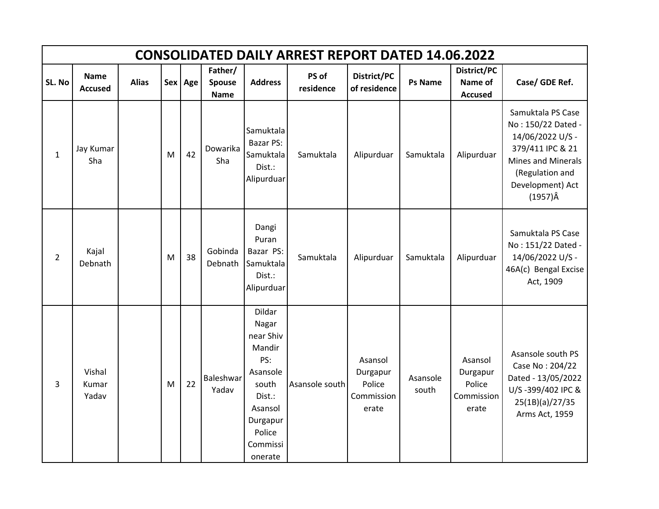|                | <b>CONSOLIDATED DAILY ARREST REPORT DATED 14.06.2022</b> |              |   |         |                                  |                                                                                                                                      |                    |                                                      |                   |                                                      |                                                                                                                                                                 |  |  |  |
|----------------|----------------------------------------------------------|--------------|---|---------|----------------------------------|--------------------------------------------------------------------------------------------------------------------------------------|--------------------|------------------------------------------------------|-------------------|------------------------------------------------------|-----------------------------------------------------------------------------------------------------------------------------------------------------------------|--|--|--|
| SL. No         | <b>Name</b><br><b>Accused</b>                            | <b>Alias</b> |   | Sex Age | Father/<br>Spouse<br><b>Name</b> | <b>Address</b>                                                                                                                       | PS of<br>residence | District/PC<br>of residence                          | <b>Ps Name</b>    | District/PC<br>Name of<br><b>Accused</b>             | Case/ GDE Ref.                                                                                                                                                  |  |  |  |
| $\mathbf{1}$   | Jay Kumar<br>Sha                                         |              | M | 42      | Dowarika<br>Sha                  | Samuktala<br><b>Bazar PS:</b><br>Samuktala<br>Dist.:<br>Alipurduar                                                                   | Samuktala          | Alipurduar                                           | Samuktala         | Alipurduar                                           | Samuktala PS Case<br>No: 150/22 Dated -<br>14/06/2022 U/S -<br>379/411 IPC & 21<br>Mines and Minerals<br>(Regulation and<br>Development) Act<br>$(1957)\hat{A}$ |  |  |  |
| $\overline{2}$ | Kajal<br>Debnath                                         |              | M | 38      | Gobinda<br>Debnath               | Dangi<br>Puran<br>Bazar PS:<br>Samuktala<br>Dist.:<br>Alipurduar                                                                     | Samuktala          | Alipurduar                                           | Samuktala         | Alipurduar                                           | Samuktala PS Case<br>No: 151/22 Dated -<br>14/06/2022 U/S -<br>46A(c) Bengal Excise<br>Act, 1909                                                                |  |  |  |
| 3              | Vishal<br>Kumar<br>Yadav                                 |              | M | 22      | Baleshwar<br>Yadav               | Dildar<br>Nagar<br>near Shiv<br>Mandir<br>PS:<br>Asansole<br>south<br>Dist.:<br>Asansol<br>Durgapur<br>Police<br>Commissi<br>onerate | Asansole south     | Asansol<br>Durgapur<br>Police<br>Commission<br>erate | Asansole<br>south | Asansol<br>Durgapur<br>Police<br>Commission<br>erate | Asansole south PS<br>Case No: 204/22<br>Dated - 13/05/2022<br>U/S-399/402 IPC &<br>25(1B)(a)/27/35<br>Arms Act, 1959                                            |  |  |  |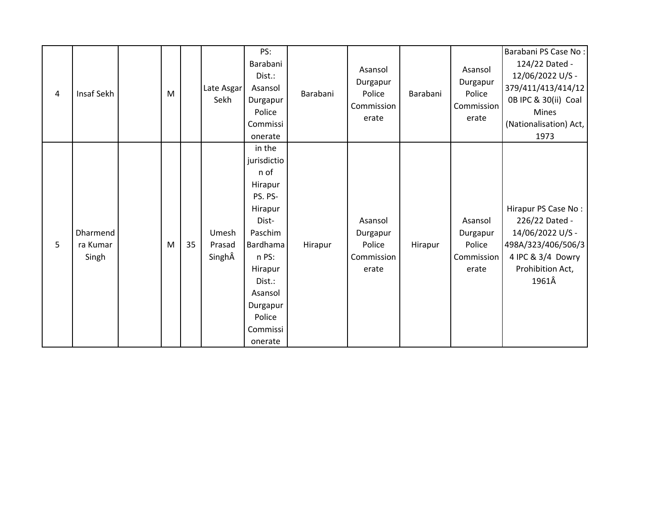| 4 | Insaf Sekh                    | M |    | Late Asgar<br>Sekh        | PS:<br>Barabani<br>Dist.:<br>Asansol<br>Durgapur<br>Police                                                                                                                           | Barabani | Asansol<br>Durgapur<br>Police<br>Commission<br>erate | Barabani | Asansol<br>Durgapur<br>Police<br>Commission<br>erate | Barabani PS Case No:<br>124/22 Dated -<br>12/06/2022 U/S -<br>379/411/413/414/12<br>0B IPC & 30(ii) Coal<br>Mines                 |
|---|-------------------------------|---|----|---------------------------|--------------------------------------------------------------------------------------------------------------------------------------------------------------------------------------|----------|------------------------------------------------------|----------|------------------------------------------------------|-----------------------------------------------------------------------------------------------------------------------------------|
|   |                               |   |    |                           | Commissi<br>onerate                                                                                                                                                                  |          |                                                      |          |                                                      | (Nationalisation) Act,<br>1973                                                                                                    |
| 5 | Dharmend<br>ra Kumar<br>Singh | M | 35 | Umesh<br>Prasad<br>SinghÂ | in the<br>jurisdictio<br>n of<br>Hirapur<br>PS. PS-<br>Hirapur<br>Dist-<br>Paschim<br>Bardhama<br>n PS:<br>Hirapur<br>Dist.:<br>Asansol<br>Durgapur<br>Police<br>Commissi<br>onerate | Hirapur  | Asansol<br>Durgapur<br>Police<br>Commission<br>erate | Hirapur  | Asansol<br>Durgapur<br>Police<br>Commission<br>erate | Hirapur PS Case No:<br>226/22 Dated -<br>14/06/2022 U/S -<br>498A/323/406/506/3<br>4 IPC & 3/4 Dowry<br>Prohibition Act,<br>1961Â |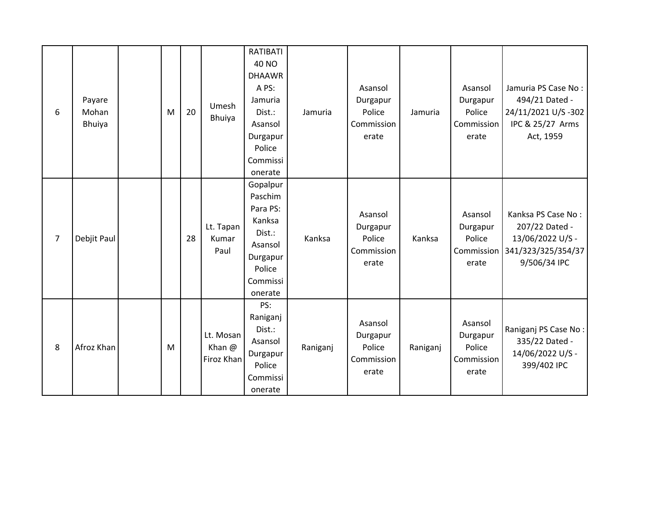| 6              | Payare<br>Mohan<br>Bhuiya | M | 20 | Umesh<br>Bhuiya                   | RATIBATI<br>40 NO<br><b>DHAAWR</b><br>A PS:<br>Jamuria<br>Dist.:<br>Asansol<br>Durgapur<br>Police<br>Commissi<br>onerate | Jamuria  | Asansol<br>Durgapur<br>Police<br>Commission<br>erate | Jamuria  | Asansol<br>Durgapur<br>Police<br>Commission<br>erate | Jamuria PS Case No:<br>494/21 Dated -<br>24/11/2021 U/S -302<br>IPC & 25/27 Arms<br>Act, 1959             |
|----------------|---------------------------|---|----|-----------------------------------|--------------------------------------------------------------------------------------------------------------------------|----------|------------------------------------------------------|----------|------------------------------------------------------|-----------------------------------------------------------------------------------------------------------|
| $\overline{7}$ | Debjit Paul               |   | 28 | Lt. Tapan<br>Kumar<br>Paul        | Gopalpur<br>Paschim<br>Para PS:<br>Kanksa<br>Dist.:<br>Asansol<br>Durgapur<br>Police<br>Commissi<br>onerate              | Kanksa   | Asansol<br>Durgapur<br>Police<br>Commission<br>erate | Kanksa   | Asansol<br>Durgapur<br>Police<br>erate               | Kanksa PS Case No:<br>207/22 Dated -<br>13/06/2022 U/S -<br>Commission 341/323/325/354/37<br>9/506/34 IPC |
| 8              | Afroz Khan                | M |    | Lt. Mosan<br>Khan @<br>Firoz Khan | PS:<br>Raniganj<br>Dist.:<br>Asansol<br>Durgapur<br>Police<br>Commissi<br>onerate                                        | Raniganj | Asansol<br>Durgapur<br>Police<br>Commission<br>erate | Raniganj | Asansol<br>Durgapur<br>Police<br>Commission<br>erate | Raniganj PS Case No:<br>335/22 Dated -<br>14/06/2022 U/S -<br>399/402 IPC                                 |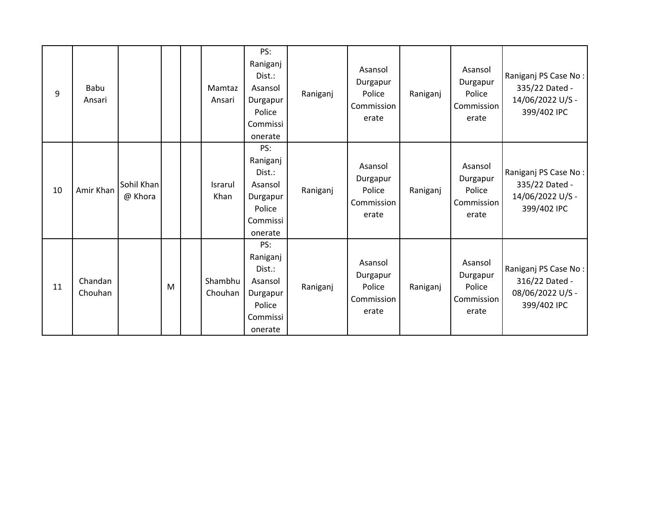| 9  | Babu<br>Ansari     |                       |   | Mamtaz<br>Ansari   | PS:<br>Raniganj<br>Dist.:<br>Asansol<br>Durgapur<br>Police<br>Commissi<br>onerate | Raniganj | Asansol<br>Durgapur<br>Police<br>Commission<br>erate | Raniganj | Asansol<br>Durgapur<br>Police<br>Commission<br>erate | Raniganj PS Case No:<br>335/22 Dated -<br>14/06/2022 U/S -<br>399/402 IPC |
|----|--------------------|-----------------------|---|--------------------|-----------------------------------------------------------------------------------|----------|------------------------------------------------------|----------|------------------------------------------------------|---------------------------------------------------------------------------|
| 10 | Amir Khan          | Sohil Khan<br>@ Khora |   | Israrul<br>Khan    | PS:<br>Raniganj<br>Dist.:<br>Asansol<br>Durgapur<br>Police<br>Commissi<br>onerate | Raniganj | Asansol<br>Durgapur<br>Police<br>Commission<br>erate | Raniganj | Asansol<br>Durgapur<br>Police<br>Commission<br>erate | Raniganj PS Case No:<br>335/22 Dated -<br>14/06/2022 U/S -<br>399/402 IPC |
| 11 | Chandan<br>Chouhan |                       | M | Shambhu<br>Chouhan | PS:<br>Raniganj<br>Dist.:<br>Asansol<br>Durgapur<br>Police<br>Commissi<br>onerate | Raniganj | Asansol<br>Durgapur<br>Police<br>Commission<br>erate | Raniganj | Asansol<br>Durgapur<br>Police<br>Commission<br>erate | Raniganj PS Case No:<br>316/22 Dated -<br>08/06/2022 U/S -<br>399/402 IPC |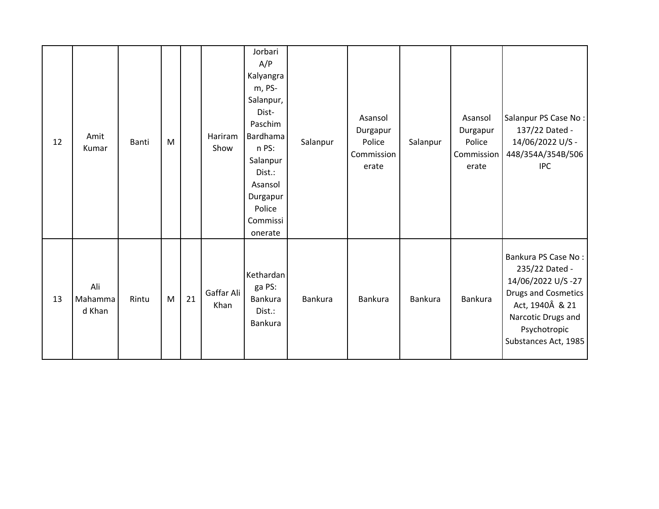| 12 | Amit<br>Kumar            | Banti | M |    | Hariram<br>Show    | Jorbari<br>A/P<br>Kalyangra<br>m, PS-<br>Salanpur,<br>Dist-<br>Paschim<br>Bardhama<br>n PS:<br>Salanpur<br>Dist.:<br>Asansol<br>Durgapur<br>Police<br>Commissi<br>onerate | Salanpur | Asansol<br>Durgapur<br>Police<br>Commission<br>erate | Salanpur | Asansol<br>Durgapur<br>Police<br>Commission<br>erate | Salanpur PS Case No:<br>137/22 Dated -<br>14/06/2022 U/S -<br>448/354A/354B/506<br><b>IPC</b>                                                                             |
|----|--------------------------|-------|---|----|--------------------|---------------------------------------------------------------------------------------------------------------------------------------------------------------------------|----------|------------------------------------------------------|----------|------------------------------------------------------|---------------------------------------------------------------------------------------------------------------------------------------------------------------------------|
| 13 | Ali<br>Mahamma<br>d Khan | Rintu | M | 21 | Gaffar Ali<br>Khan | Kethardan<br>ga PS:<br>Bankura<br>Dist.:<br>Bankura                                                                                                                       | Bankura  | <b>Bankura</b>                                       | Bankura  | Bankura                                              | Bankura PS Case No:<br>235/22 Dated -<br>14/06/2022 U/S-27<br><b>Drugs and Cosmetics</b><br>Act, 1940Â & 21<br>Narcotic Drugs and<br>Psychotropic<br>Substances Act, 1985 |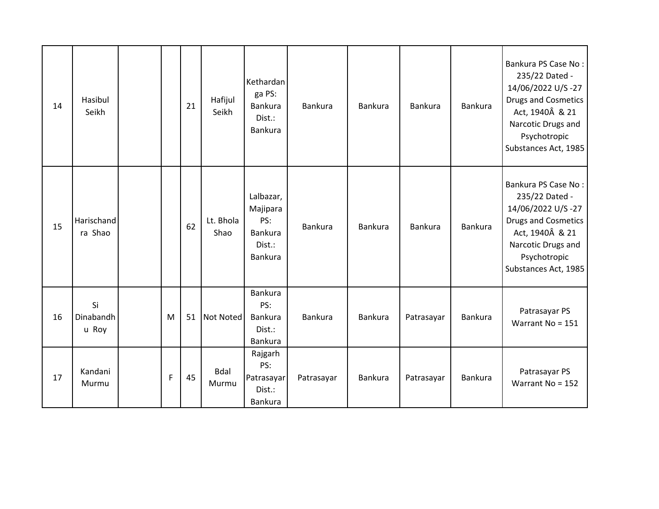| 14 | Hasibul<br>Seikh         |   | 21 | Hafijul<br>Seikh     | Kethardan<br>ga PS:<br>Bankura<br>Dist.:<br>Bankura                 | Bankura    | <b>Bankura</b> | Bankura    | Bankura        | Bankura PS Case No:<br>235/22 Dated -<br>14/06/2022 U/S-27<br><b>Drugs and Cosmetics</b><br>Act, 1940Â & 21<br>Narcotic Drugs and<br>Psychotropic<br>Substances Act, 1985 |
|----|--------------------------|---|----|----------------------|---------------------------------------------------------------------|------------|----------------|------------|----------------|---------------------------------------------------------------------------------------------------------------------------------------------------------------------------|
| 15 | Harischand<br>ra Shao    |   | 62 | Lt. Bhola<br>Shao    | Lalbazar,<br>Majipara<br>PS:<br><b>Bankura</b><br>Dist.:<br>Bankura | Bankura    | <b>Bankura</b> | Bankura    | <b>Bankura</b> | Bankura PS Case No:<br>235/22 Dated -<br>14/06/2022 U/S-27<br><b>Drugs and Cosmetics</b><br>Act, 1940Â & 21<br>Narcotic Drugs and<br>Psychotropic<br>Substances Act, 1985 |
| 16 | Si<br>Dinabandh<br>u Roy | M | 51 | <b>Not Noted</b>     | <b>Bankura</b><br>PS:<br><b>Bankura</b><br>Dist.:<br>Bankura        | Bankura    | Bankura        | Patrasayar | Bankura        | Patrasayar PS<br>Warrant No = 151                                                                                                                                         |
| 17 | Kandani<br>Murmu         | F | 45 | <b>Bdal</b><br>Murmu | Rajgarh<br>PS:<br>Patrasayar<br>Dist.:<br>Bankura                   | Patrasayar | Bankura        | Patrasayar | Bankura        | Patrasayar PS<br>Warrant No = 152                                                                                                                                         |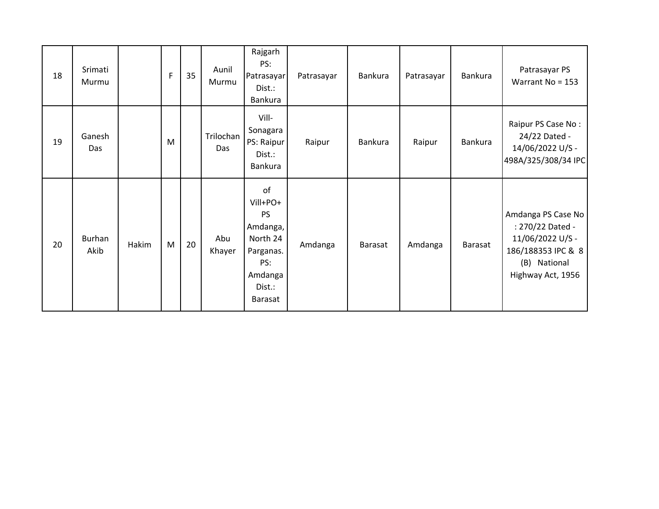| 18 | Srimati<br>Murmu |       | F | 35 | Aunil<br>Murmu   | Rajgarh<br>PS:<br>Patrasayar<br>Dist.:<br>Bankura                                                       | Patrasayar | Bankura | Patrasayar | Bankura | Patrasayar PS<br>Warrant No = 153                                                                                     |
|----|------------------|-------|---|----|------------------|---------------------------------------------------------------------------------------------------------|------------|---------|------------|---------|-----------------------------------------------------------------------------------------------------------------------|
| 19 | Ganesh<br>Das    |       | M |    | Trilochan<br>Das | Vill-<br>Sonagara<br>PS: Raipur<br>Dist.:<br>Bankura                                                    | Raipur     | Bankura | Raipur     | Bankura | Raipur PS Case No:<br>24/22 Dated -<br>14/06/2022 U/S -<br>498A/325/308/34 IPC                                        |
| 20 | Burhan<br>Akib   | Hakim | M | 20 | Abu<br>Khayer    | of<br>Vill+PO+<br>PS<br>Amdanga,<br>North 24<br>Parganas.<br>PS:<br>Amdanga<br>Dist.:<br><b>Barasat</b> | Amdanga    | Barasat | Amdanga    | Barasat | Amdanga PS Case No<br>: 270/22 Dated -<br>11/06/2022 U/S -<br>186/188353 IPC & 8<br>(B) National<br>Highway Act, 1956 |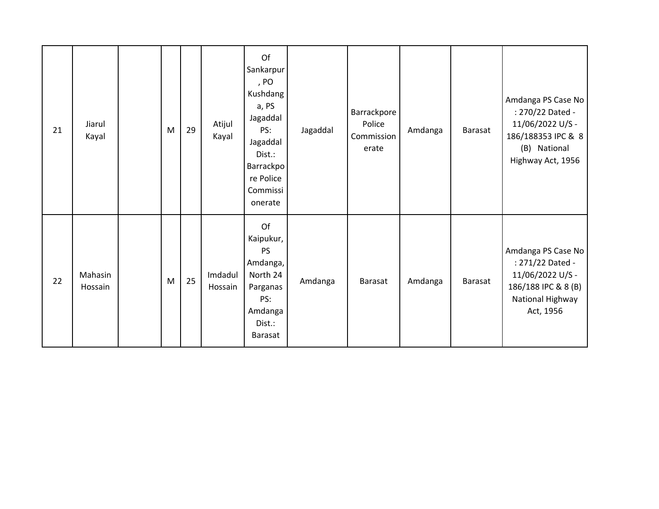| 21 | Jiarul<br>Kayal    | M | 29 | Atijul<br>Kayal    | Of<br>Sankarpur<br>, PO<br>Kushdang<br>a, PS<br>Jagaddal<br>PS:<br>Jagaddal<br>Dist.:<br><b>Barrackpo</b><br>re Police<br>Commissi<br>onerate | Jagaddal | Barrackpore<br>Police<br>Commission<br>erate | Amdanga | Barasat | Amdanga PS Case No<br>: 270/22 Dated -<br>11/06/2022 U/S -<br>186/188353 IPC & 8<br>(B) National<br>Highway Act, 1956 |
|----|--------------------|---|----|--------------------|-----------------------------------------------------------------------------------------------------------------------------------------------|----------|----------------------------------------------|---------|---------|-----------------------------------------------------------------------------------------------------------------------|
| 22 | Mahasin<br>Hossain | M | 25 | Imdadul<br>Hossain | Of<br>Kaipukur,<br><b>PS</b><br>Amdanga,<br>North 24<br>Parganas<br>PS:<br>Amdanga<br>Dist.:<br><b>Barasat</b>                                | Amdanga  | Barasat                                      | Amdanga | Barasat | Amdanga PS Case No<br>: 271/22 Dated -<br>11/06/2022 U/S -<br>186/188 IPC & 8 (B)<br>National Highway<br>Act, 1956    |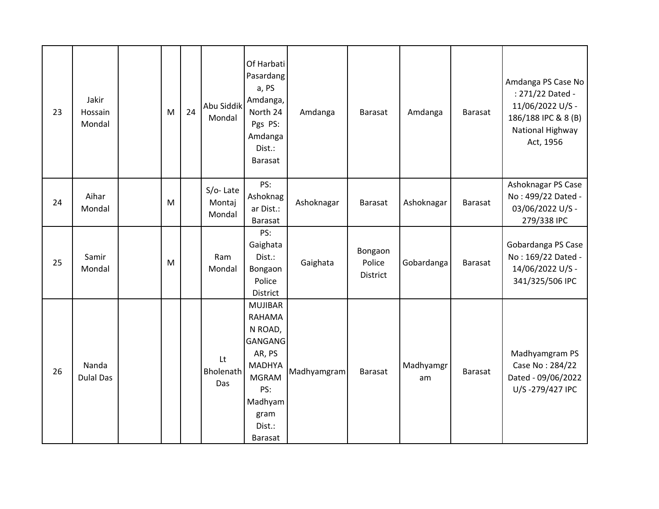| 23 | Jakir<br>Hossain<br>Mondal | M | 24 | Abu Siddik<br>Mondal         | Of Harbati<br>Pasardang<br>a, PS<br>Amdanga,<br>North 24<br>Pgs PS:<br>Amdanga<br>Dist.:<br>Barasat                                                           | Amdanga     | Barasat                       | Amdanga         | Barasat        | Amdanga PS Case No<br>: 271/22 Dated -<br>11/06/2022 U/S -<br>186/188 IPC & 8 (B)<br>National Highway<br>Act, 1956 |
|----|----------------------------|---|----|------------------------------|---------------------------------------------------------------------------------------------------------------------------------------------------------------|-------------|-------------------------------|-----------------|----------------|--------------------------------------------------------------------------------------------------------------------|
| 24 | Aihar<br>Mondal            | M |    | S/o-Late<br>Montaj<br>Mondal | PS:<br>Ashoknag<br>ar Dist.:<br>Barasat                                                                                                                       | Ashoknagar  | Barasat                       | Ashoknagar      | Barasat        | Ashoknagar PS Case<br>No: 499/22 Dated -<br>03/06/2022 U/S -<br>279/338 IPC                                        |
| 25 | Samir<br>Mondal            | M |    | Ram<br>Mondal                | PS:<br>Gaighata<br>Dist.:<br>Bongaon<br>Police<br><b>District</b>                                                                                             | Gaighata    | Bongaon<br>Police<br>District | Gobardanga      | Barasat        | Gobardanga PS Case<br>No: 169/22 Dated -<br>14/06/2022 U/S -<br>341/325/506 IPC                                    |
| 26 | Nanda<br><b>Dulal Das</b>  |   |    | Lt<br>Bholenath<br>Das       | <b>MUJIBAR</b><br><b>RAHAMA</b><br>N ROAD,<br><b>GANGANG</b><br>AR, PS<br><b>MADHYA</b><br><b>MGRAM</b><br>PS:<br>Madhyam<br>gram<br>Dist.:<br><b>Barasat</b> | Madhyamgram | <b>Barasat</b>                | Madhyamgr<br>am | <b>Barasat</b> | Madhyamgram PS<br>Case No: 284/22<br>Dated - 09/06/2022<br>U/S-279/427 IPC                                         |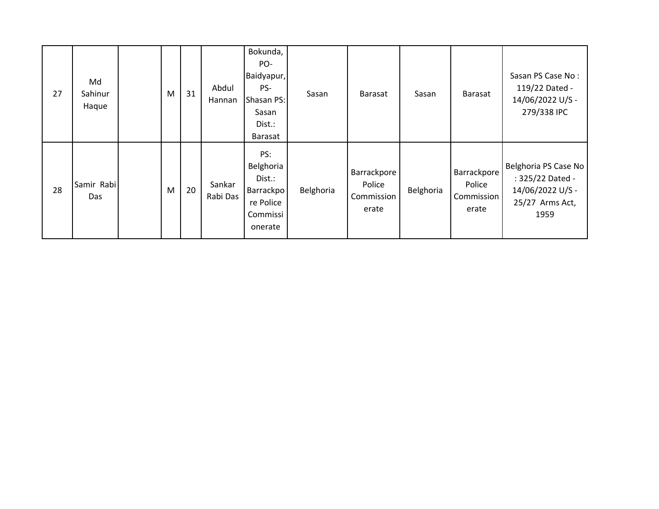| 27 | Md<br>Sahinur<br>Haque | M | 31 | Abdul<br>Hannan    | Bokunda,<br>PO-<br>Baidyapur,<br>PS-<br>Shasan PS:<br>Sasan<br>Dist.:<br>Barasat | Sasan     | <b>Barasat</b>                               | Sasan     | Barasat                                      | Sasan PS Case No:<br>119/22 Dated -<br>14/06/2022 U/S -<br>279/338 IPC                  |
|----|------------------------|---|----|--------------------|----------------------------------------------------------------------------------|-----------|----------------------------------------------|-----------|----------------------------------------------|-----------------------------------------------------------------------------------------|
| 28 | Samir Rabi<br>Das      | M | 20 | Sankar<br>Rabi Das | PS:<br>Belghoria<br>Dist.:<br>Barrackpo<br>re Police<br>Commissi<br>onerate      | Belghoria | Barrackpore<br>Police<br>Commission<br>erate | Belghoria | Barrackpore<br>Police<br>Commission<br>erate | Belghoria PS Case No<br>: 325/22 Dated -<br>14/06/2022 U/S -<br>25/27 Arms Act,<br>1959 |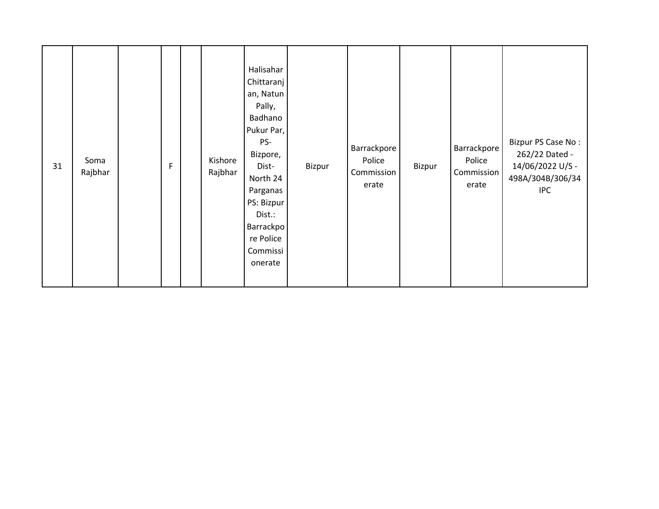| 31 | Soma<br>Rajbhar |  | F |  | Kishore<br>Rajbhar | Halisahar<br>Chittaranj<br>an, Natun<br>Pally,<br>Badhano<br>Pukur Par,<br>PS-<br>Bizpore,<br>Dist-<br>North 24<br>Parganas<br>PS: Bizpur<br>Dist.:<br>Barrackpo<br>re Police<br>Commissi<br>onerate | Bizpur | Barrackpore<br>Police<br>Commission<br>erate | Bizpur | Barrackpore<br>Police<br>Commission<br>erate | Bizpur PS Case No:<br>262/22 Dated -<br>14/06/2022 U/S -<br>498A/304B/306/34<br><b>IPC</b> |
|----|-----------------|--|---|--|--------------------|------------------------------------------------------------------------------------------------------------------------------------------------------------------------------------------------------|--------|----------------------------------------------|--------|----------------------------------------------|--------------------------------------------------------------------------------------------|
|----|-----------------|--|---|--|--------------------|------------------------------------------------------------------------------------------------------------------------------------------------------------------------------------------------------|--------|----------------------------------------------|--------|----------------------------------------------|--------------------------------------------------------------------------------------------|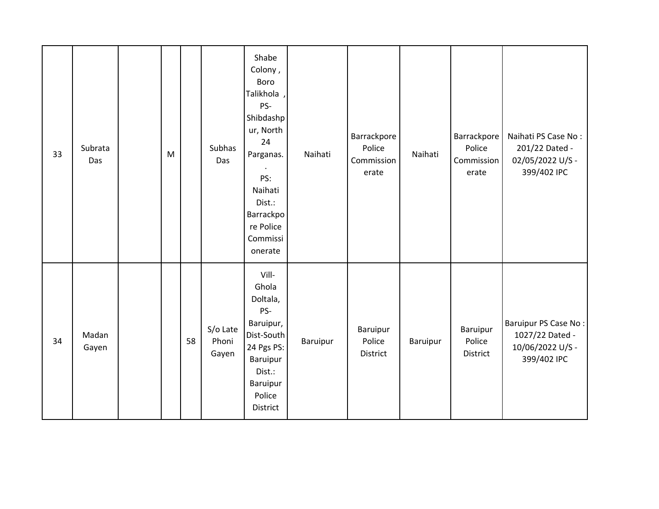| 33 | Subrata<br>Das | M |    | Subhas<br>Das              | Shabe<br>Colony,<br>Boro<br>Talikhola,<br>PS-<br>Shibdashp<br>ur, North<br>24<br>Parganas.<br>PS:<br>Naihati<br>Dist.:<br>Barrackpo<br>re Police<br>Commissi<br>onerate | Naihati  | Barrackpore<br>Police<br>Commission<br>erate | Naihati  | Barrackpore<br>Police<br>Commission<br>erate | Naihati PS Case No:<br>201/22 Dated -<br>02/05/2022 U/S -<br>399/402 IPC   |
|----|----------------|---|----|----------------------------|-------------------------------------------------------------------------------------------------------------------------------------------------------------------------|----------|----------------------------------------------|----------|----------------------------------------------|----------------------------------------------------------------------------|
| 34 | Madan<br>Gayen |   | 58 | S/o Late<br>Phoni<br>Gayen | Vill-<br>Ghola<br>Doltala,<br>PS-<br>Baruipur,<br>Dist-South<br>24 Pgs PS:<br>Baruipur<br>Dist.:<br>Baruipur<br>Police<br>District                                      | Baruipur | Baruipur<br>Police<br>District               | Baruipur | <b>Baruipur</b><br>Police<br>District        | Baruipur PS Case No:<br>1027/22 Dated -<br>10/06/2022 U/S -<br>399/402 IPC |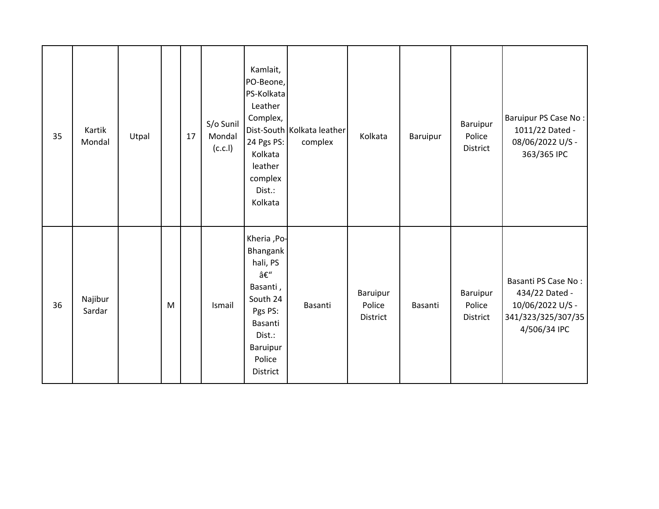| 35 | Kartik<br>Mondal  | Utpal |   | 17 | S/o Sunil<br>Mondal<br>(c.c.l) | Kamlait,<br>PO-Beone,<br>PS-Kolkata<br>Leather<br>Complex,<br>24 Pgs PS:<br>Kolkata<br>leather<br>complex<br>Dist.:<br>Kolkata      | Dist-South Kolkata leather<br>complex | Kolkata                        | Baruipur | Baruipur<br>Police<br>District | Baruipur PS Case No:<br>1011/22 Dated -<br>08/06/2022 U/S -<br>363/365 IPC                      |
|----|-------------------|-------|---|----|--------------------------------|-------------------------------------------------------------------------------------------------------------------------------------|---------------------------------------|--------------------------------|----------|--------------------------------|-------------------------------------------------------------------------------------------------|
| 36 | Najibur<br>Sardar |       | M |    | Ismail                         | Kheria , Po-<br>Bhangank<br>hali, PS<br>–<br>Basanti,<br>South 24<br>Pgs PS:<br>Basanti<br>Dist.:<br>Baruipur<br>Police<br>District | Basanti                               | Baruipur<br>Police<br>District | Basanti  | Baruipur<br>Police<br>District | Basanti PS Case No:<br>434/22 Dated -<br>10/06/2022 U/S -<br>341/323/325/307/35<br>4/506/34 IPC |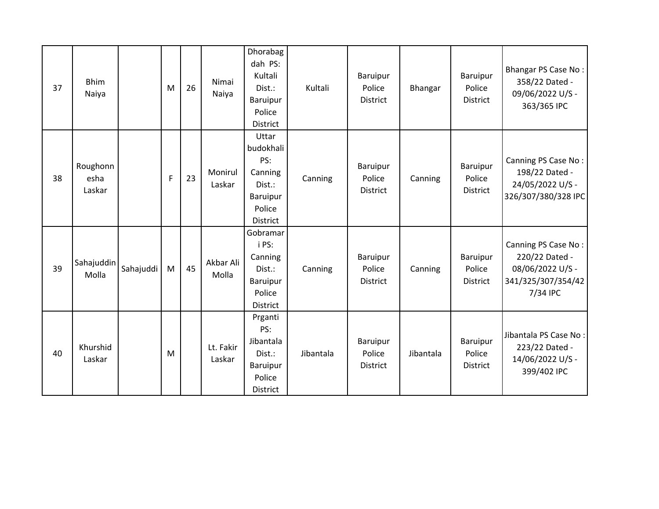| 37 | <b>Bhim</b><br>Naiya       |           | M            | 26 | Nimai<br>Naiya      | <b>Dhorabag</b><br>dah PS:<br>Kultali<br>Dist.:<br>Baruipur<br>Police<br><b>District</b> | Kultali   | Baruipur<br>Police<br><b>District</b> | Bhangar   | Baruipur<br>Police<br><b>District</b> | Bhangar PS Case No:<br>358/22 Dated -<br>09/06/2022 U/S -<br>363/365 IPC                    |
|----|----------------------------|-----------|--------------|----|---------------------|------------------------------------------------------------------------------------------|-----------|---------------------------------------|-----------|---------------------------------------|---------------------------------------------------------------------------------------------|
| 38 | Roughonn<br>esha<br>Laskar |           | $\mathsf{F}$ | 23 | Monirul<br>Laskar   | Uttar<br>budokhali<br>PS:<br>Canning<br>Dist.:<br>Baruipur<br>Police<br><b>District</b>  | Canning   | Baruipur<br>Police<br>District        | Canning   | Baruipur<br>Police<br>District        | Canning PS Case No:<br>198/22 Dated -<br>24/05/2022 U/S -<br>326/307/380/328 IPC            |
| 39 | Sahajuddin<br>Molla        | Sahajuddi | M            | 45 | Akbar Ali<br>Molla  | Gobramar<br>i PS:<br>Canning<br>Dist.:<br><b>Baruipur</b><br>Police<br><b>District</b>   | Canning   | Baruipur<br>Police<br><b>District</b> | Canning   | Baruipur<br>Police<br><b>District</b> | Canning PS Case No:<br>220/22 Dated -<br>08/06/2022 U/S -<br>341/325/307/354/42<br>7/34 IPC |
| 40 | Khurshid<br>Laskar         |           | M            |    | Lt. Fakir<br>Laskar | Prganti<br>PS:<br>Jibantala<br>Dist.:<br>Baruipur<br>Police<br><b>District</b>           | Jibantala | Baruipur<br>Police<br><b>District</b> | Jibantala | <b>Baruipur</b><br>Police<br>District | Jibantala PS Case No:<br>223/22 Dated -<br>14/06/2022 U/S -<br>399/402 IPC                  |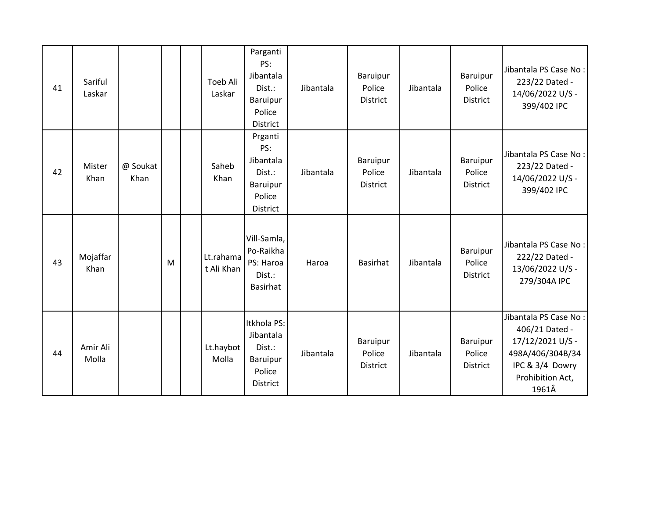| 41 | Sariful<br>Laskar |                  |   | Toeb Ali<br>Laskar      | Parganti<br>PS:<br>Jibantala<br>Dist.:<br><b>Baruipur</b><br>Police<br><b>District</b> | Jibantala | Baruipur<br>Police<br><b>District</b>        | Jibantala | Baruipur<br>Police<br>District | Jibantala PS Case No:<br>223/22 Dated -<br>14/06/2022 U/S -<br>399/402 IPC                                                      |
|----|-------------------|------------------|---|-------------------------|----------------------------------------------------------------------------------------|-----------|----------------------------------------------|-----------|--------------------------------|---------------------------------------------------------------------------------------------------------------------------------|
| 42 | Mister<br>Khan    | @ Soukat<br>Khan |   | Saheb<br>Khan           | Prganti<br>PS:<br>Jibantala<br>Dist.:<br>Baruipur<br>Police<br><b>District</b>         | Jibantala | Baruipur<br>Police<br><b>District</b>        | Jibantala | Baruipur<br>Police<br>District | Jibantala PS Case No:<br>223/22 Dated -<br>14/06/2022 U/S -<br>399/402 IPC                                                      |
| 43 | Mojaffar<br>Khan  |                  | M | Lt.rahama<br>t Ali Khan | Vill-Samla,<br>Po-Raikha<br>PS: Haroa<br>Dist.:<br><b>Basirhat</b>                     | Haroa     | <b>Basirhat</b>                              | Jibantala | Baruipur<br>Police<br>District | Jibantala PS Case No:<br>222/22 Dated -<br>13/06/2022 U/S -<br>279/304A IPC                                                     |
| 44 | Amir Ali<br>Molla |                  |   | Lt.haybot<br>Molla      | Itkhola PS:<br>Jibantala<br>Dist.:<br>Baruipur<br>Police<br><b>District</b>            | Jibantala | <b>Baruipur</b><br>Police<br><b>District</b> | Jibantala | Baruipur<br>Police<br>District | Jibantala PS Case No:<br>406/21 Dated -<br>17/12/2021 U/S -<br>498A/406/304B/34<br>IPC & 3/4 Dowry<br>Prohibition Act,<br>1961Â |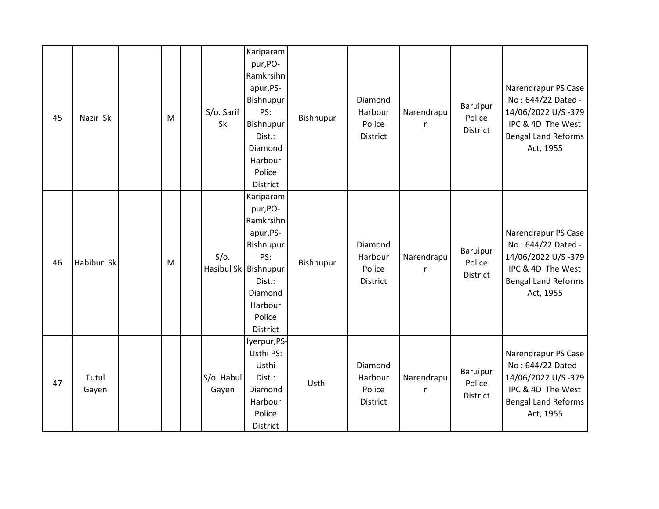| 45 | Nazir Sk       | M | S/o. Sarif<br>Sk    | Kariparam<br>pur, PO-<br>Ramkrsihn<br>apur, PS-<br>Bishnupur<br>PS:<br>Bishnupur<br>Dist.:<br>Diamond<br>Harbour<br>Police<br>District            | Bishnupur | Diamond<br>Harbour<br>Police<br>District        | Narendrapu<br>r | Baruipur<br>Police<br><b>District</b>        | Narendrapur PS Case<br>No: 644/22 Dated -<br>14/06/2022 U/S-379<br>IPC & 4D The West<br><b>Bengal Land Reforms</b><br>Act, 1955 |
|----|----------------|---|---------------------|---------------------------------------------------------------------------------------------------------------------------------------------------|-----------|-------------------------------------------------|-----------------|----------------------------------------------|---------------------------------------------------------------------------------------------------------------------------------|
| 46 | Habibur Sk     | M | $S/O$ .             | Kariparam<br>pur, PO-<br>Ramkrsihn<br>apur, PS-<br>Bishnupur<br>PS:<br>Hasibul Sk Bishnupur<br>Dist.:<br>Diamond<br>Harbour<br>Police<br>District | Bishnupur | Diamond<br>Harbour<br>Police<br>District        | Narendrapu<br>r | <b>Baruipur</b><br>Police<br><b>District</b> | Narendrapur PS Case<br>No: 644/22 Dated -<br>14/06/2022 U/S-379<br>IPC & 4D The West<br><b>Bengal Land Reforms</b><br>Act, 1955 |
| 47 | Tutul<br>Gayen |   | S/o. Habul<br>Gayen | lyerpur, PS-<br>Usthi PS:<br>Usthi<br>Dist.:<br>Diamond<br>Harbour<br>Police<br>District                                                          | Usthi     | Diamond<br>Harbour<br>Police<br><b>District</b> | Narendrapu      | Baruipur<br>Police<br><b>District</b>        | Narendrapur PS Case<br>No: 644/22 Dated -<br>14/06/2022 U/S-379<br>IPC & 4D The West<br><b>Bengal Land Reforms</b><br>Act, 1955 |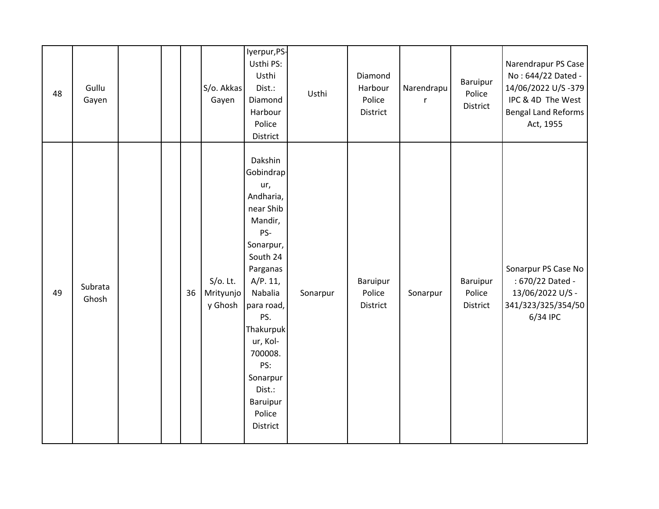| 48 | Gullu<br>Gayen   |  |    | S/o. Akkas<br>Gayen                 | lyerpur, PS-<br>Usthi PS:<br>Usthi<br>Dist.:<br>Diamond<br>Harbour<br>Police<br>District                                                                                                                                                                    | Usthi    | Diamond<br>Harbour<br>Police<br>District | Narendrapu<br>r | <b>Baruipur</b><br>Police<br><b>District</b> | Narendrapur PS Case<br>No: 644/22 Dated -<br>14/06/2022 U/S-379<br>IPC & 4D The West<br><b>Bengal Land Reforms</b><br>Act, 1955 |
|----|------------------|--|----|-------------------------------------|-------------------------------------------------------------------------------------------------------------------------------------------------------------------------------------------------------------------------------------------------------------|----------|------------------------------------------|-----------------|----------------------------------------------|---------------------------------------------------------------------------------------------------------------------------------|
| 49 | Subrata<br>Ghosh |  | 36 | $S/O$ . Lt.<br>Mrityunjo<br>y Ghosh | Dakshin<br>Gobindrap<br>ur,<br>Andharia,<br>near Shib<br>Mandir,<br>PS-<br>Sonarpur,<br>South 24<br>Parganas<br>A/P. 11,<br>Nabalia<br>para road,<br>PS.<br>Thakurpuk<br>ur, Kol-<br>700008.<br>PS:<br>Sonarpur<br>Dist.:<br>Baruipur<br>Police<br>District | Sonarpur | Baruipur<br>Police<br>District           | Sonarpur        | <b>Baruipur</b><br>Police<br>District        | Sonarpur PS Case No<br>: 670/22 Dated -<br>13/06/2022 U/S -<br>341/323/325/354/50<br>6/34 IPC                                   |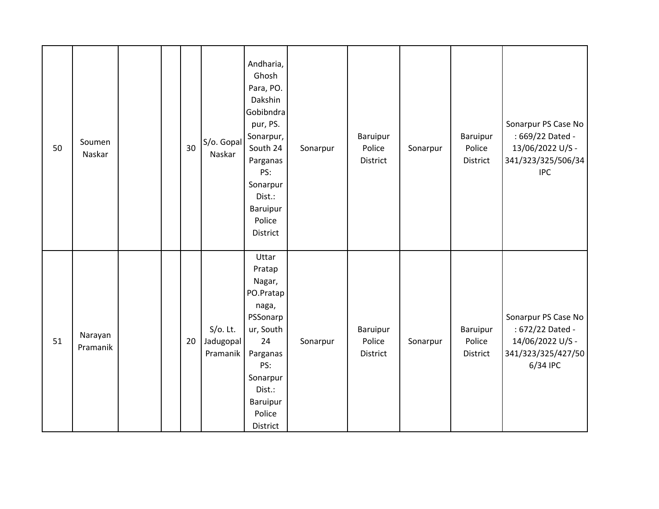| 50 | Soumen<br>Naskar    |  | 30 | S/o. Gopal<br>Naskar                 | Andharia,<br>Ghosh<br>Para, PO.<br>Dakshin<br>Gobibndra<br>pur, PS.<br>Sonarpur,<br>South 24<br>Parganas<br>PS:<br>Sonarpur<br>Dist.:<br>Baruipur<br>Police<br><b>District</b> | Sonarpur | Baruipur<br>Police<br>District | Sonarpur | Baruipur<br>Police<br>District | Sonarpur PS Case No<br>: 669/22 Dated -<br>13/06/2022 U/S -<br>341/323/325/506/34<br><b>IPC</b> |
|----|---------------------|--|----|--------------------------------------|--------------------------------------------------------------------------------------------------------------------------------------------------------------------------------|----------|--------------------------------|----------|--------------------------------|-------------------------------------------------------------------------------------------------|
| 51 | Narayan<br>Pramanik |  | 20 | $S/O$ . Lt.<br>Jadugopal<br>Pramanik | Uttar<br>Pratap<br>Nagar,<br>PO.Pratap<br>naga,<br>PSSonarp<br>ur, South<br>24<br>Parganas<br>PS:<br>Sonarpur<br>Dist.:<br>Baruipur<br>Police<br>District                      | Sonarpur | Baruipur<br>Police<br>District | Sonarpur | Baruipur<br>Police<br>District | Sonarpur PS Case No<br>: 672/22 Dated -<br>14/06/2022 U/S -<br>341/323/325/427/50<br>6/34 IPC   |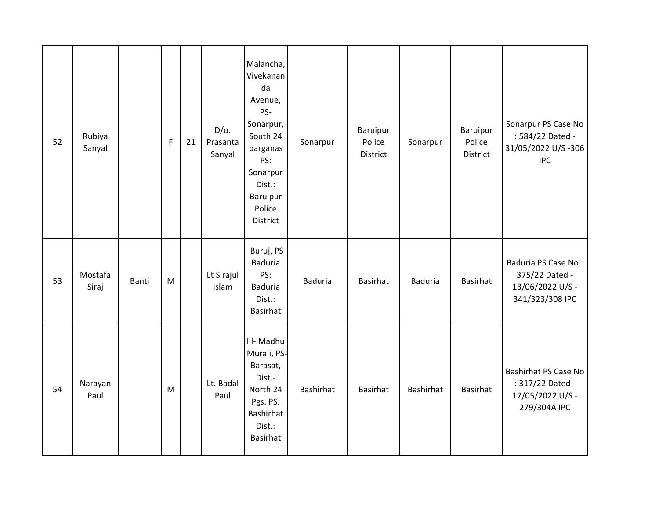| 52 | Rubiya<br>Sanyal |       | F | 21 | $D/O$ .<br>Prasanta<br>Sanyal | Malancha,<br>Vivekanan<br>da<br>Avenue,<br>PS-<br>Sonarpur,<br>South 24<br>parganas<br>PS:<br>Sonarpur<br>Dist.:<br>Baruipur<br>Police<br>District | Sonarpur       | Baruipur<br>Police<br>District | Sonarpur       | Baruipur<br>Police<br>District | Sonarpur PS Case No<br>: 584/22 Dated -<br>31/05/2022 U/S-306<br><b>IPC</b>  |
|----|------------------|-------|---|----|-------------------------------|----------------------------------------------------------------------------------------------------------------------------------------------------|----------------|--------------------------------|----------------|--------------------------------|------------------------------------------------------------------------------|
| 53 | Mostafa<br>Siraj | Banti | M |    | Lt Sirajul<br>Islam           | Buruj, PS<br><b>Baduria</b><br>PS:<br><b>Baduria</b><br>Dist.:<br><b>Basirhat</b>                                                                  | <b>Baduria</b> | <b>Basirhat</b>                | <b>Baduria</b> | Basirhat                       | Baduria PS Case No:<br>375/22 Dated -<br>13/06/2022 U/S -<br>341/323/308 IPC |
| 54 | Narayan<br>Paul  |       | M |    | Lt. Badal<br>Paul             | III- Madhu<br>Murali, PS-<br>Barasat,<br>Dist.-<br>North 24<br>Pgs. PS:<br><b>Bashirhat</b><br>Dist.:<br><b>Basirhat</b>                           | Bashirhat      | <b>Basirhat</b>                | Bashirhat      | Basirhat                       | Bashirhat PS Case No<br>: 317/22 Dated -<br>17/05/2022 U/S -<br>279/304A IPC |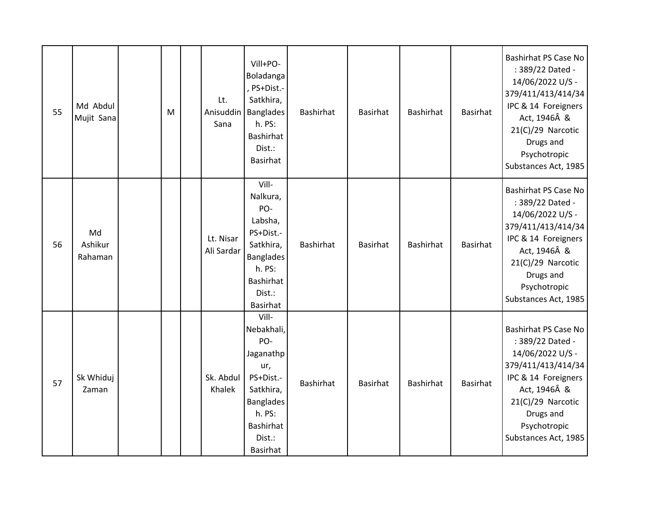| 55 | Md Abdul<br>Mujit Sana   | M | Lt.<br>Anisuddin<br>Sana | Vill+PO-<br>Boladanga<br>, PS+Dist.-<br>Satkhira,<br><b>Banglades</b><br>h. PS:<br>Bashirhat<br>Dist.:<br>Basirhat                        | <b>Bashirhat</b> | <b>Basirhat</b> | <b>Bashirhat</b> | <b>Basirhat</b> | Bashirhat PS Case No<br>: 389/22 Dated -<br>14/06/2022 U/S -<br>379/411/413/414/34<br>IPC & 14 Foreigners<br>Act, 1946Â &<br>21(C)/29 Narcotic<br>Drugs and<br>Psychotropic<br>Substances Act, 1985        |
|----|--------------------------|---|--------------------------|-------------------------------------------------------------------------------------------------------------------------------------------|------------------|-----------------|------------------|-----------------|------------------------------------------------------------------------------------------------------------------------------------------------------------------------------------------------------------|
| 56 | Md<br>Ashikur<br>Rahaman |   | Lt. Nisar<br>Ali Sardar  | Vill-<br>Nalkura,<br>PO-<br>Labsha,<br>PS+Dist.-<br>Satkhira,<br><b>Banglades</b><br>h. PS:<br>Bashirhat<br>Dist.:<br><b>Basirhat</b>     | <b>Bashirhat</b> | <b>Basirhat</b> | <b>Bashirhat</b> | <b>Basirhat</b> | <b>Bashirhat PS Case No</b><br>: 389/22 Dated -<br>14/06/2022 U/S -<br>379/411/413/414/34<br>IPC & 14 Foreigners<br>Act, 1946Â &<br>21(C)/29 Narcotic<br>Drugs and<br>Psychotropic<br>Substances Act, 1985 |
| 57 | Sk Whiduj<br>Zaman       |   | Sk. Abdul<br>Khalek      | Vill-<br>Nebakhali,<br>PO-<br>Jaganathp<br>ur,<br>PS+Dist.-<br>Satkhira,<br><b>Banglades</b><br>h. PS:<br>Bashirhat<br>Dist.:<br>Basirhat | Bashirhat        | <b>Basirhat</b> | <b>Bashirhat</b> | <b>Basirhat</b> | <b>Bashirhat PS Case No</b><br>: 389/22 Dated -<br>14/06/2022 U/S -<br>379/411/413/414/34<br>IPC & 14 Foreigners<br>Act, 1946Â &<br>21(C)/29 Narcotic<br>Drugs and<br>Psychotropic<br>Substances Act, 1985 |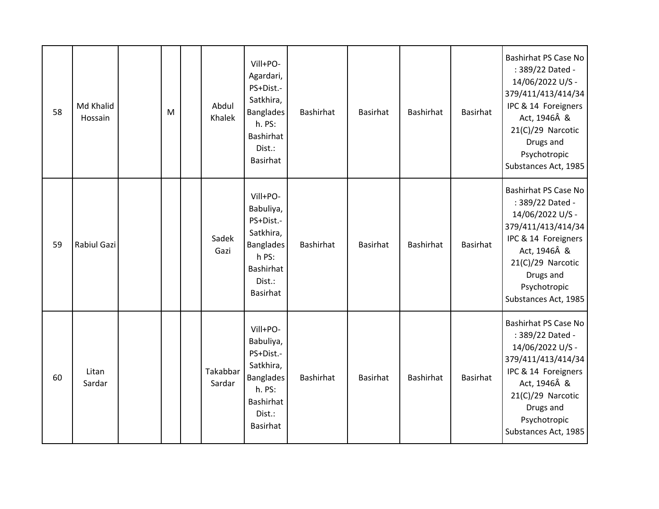| 58 | Md Khalid<br>Hossain | M | Abdul<br>Khalek    | Vill+PO-<br>Agardari,<br>PS+Dist.-<br>Satkhira,<br><b>Banglades</b><br>h. PS:<br>Bashirhat<br>Dist.:<br>Basirhat       | Bashirhat        | <b>Basirhat</b> | <b>Bashirhat</b> | <b>Basirhat</b> | <b>Bashirhat PS Case No</b><br>: 389/22 Dated -<br>14/06/2022 U/S -<br>379/411/413/414/34<br>IPC & 14 Foreigners<br>Act, 1946Â &<br>21(C)/29 Narcotic<br>Drugs and<br>Psychotropic<br>Substances Act, 1985 |
|----|----------------------|---|--------------------|------------------------------------------------------------------------------------------------------------------------|------------------|-----------------|------------------|-----------------|------------------------------------------------------------------------------------------------------------------------------------------------------------------------------------------------------------|
| 59 | Rabiul Gazi          |   | Sadek<br>Gazi      | Vill+PO-<br>Babuliya,<br>PS+Dist.-<br>Satkhira,<br><b>Banglades</b><br>h PS:<br><b>Bashirhat</b><br>Dist.:<br>Basirhat | Bashirhat        | <b>Basirhat</b> | <b>Bashirhat</b> | <b>Basirhat</b> | Bashirhat PS Case No<br>: 389/22 Dated -<br>14/06/2022 U/S -<br>379/411/413/414/34<br>IPC & 14 Foreigners<br>Act, 1946Â &<br>21(C)/29 Narcotic<br>Drugs and<br>Psychotropic<br>Substances Act, 1985        |
| 60 | Litan<br>Sardar      |   | Takabbar<br>Sardar | Vill+PO-<br>Babuliya,<br>PS+Dist.-<br>Satkhira,<br><b>Banglades</b><br>h. PS:<br>Bashirhat<br>Dist.:<br>Basirhat       | <b>Bashirhat</b> | <b>Basirhat</b> | <b>Bashirhat</b> | <b>Basirhat</b> | Bashirhat PS Case No<br>: 389/22 Dated -<br>14/06/2022 U/S -<br>379/411/413/414/34<br>IPC & 14 Foreigners<br>Act, 1946Â &<br>21(C)/29 Narcotic<br>Drugs and<br>Psychotropic<br>Substances Act, 1985        |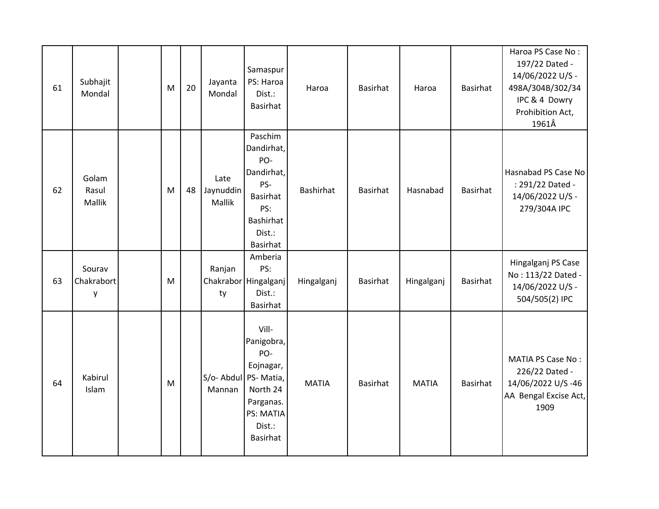| 61 | Subhajit<br>Mondal        | M | 20 | Jayanta<br>Mondal               | Samaspur<br>PS: Haroa<br>Dist.:<br><b>Basirhat</b>                                                      | Haroa            | <b>Basirhat</b> | Haroa        | Basirhat        | Haroa PS Case No:<br>197/22 Dated -<br>14/06/2022 U/S -<br>498A/304B/302/34<br>IPC & 4 Dowry<br>Prohibition Act,<br>1961Â |
|----|---------------------------|---|----|---------------------------------|---------------------------------------------------------------------------------------------------------|------------------|-----------------|--------------|-----------------|---------------------------------------------------------------------------------------------------------------------------|
| 62 | Golam<br>Rasul<br>Mallik  | M | 48 | Late<br>Jaynuddin<br>Mallik     | Paschim<br>Dandirhat,<br>PO-<br>Dandirhat,<br>PS-<br>Basirhat<br>PS:<br>Bashirhat<br>Dist.:<br>Basirhat | <b>Bashirhat</b> | <b>Basirhat</b> | Hasnabad     | Basirhat        | Hasnabad PS Case No<br>: 291/22 Dated -<br>14/06/2022 U/S -<br>279/304A IPC                                               |
| 63 | Sourav<br>Chakrabort<br>y | M |    | Ranjan<br>ty                    | Amberia<br>PS:<br>Chakrabor Hingalganj<br>Dist.:<br><b>Basirhat</b>                                     | Hingalganj       | <b>Basirhat</b> | Hingalganj   | <b>Basirhat</b> | Hingalganj PS Case<br>No: 113/22 Dated -<br>14/06/2022 U/S -<br>504/505(2) IPC                                            |
| 64 | Kabirul<br>Islam          | M |    | S/o- Abdul PS- Matia,<br>Mannan | Vill-<br>Panigobra,<br>PO-<br>Eojnagar,<br>North 24<br>Parganas.<br>PS: MATIA<br>Dist.:<br>Basirhat     | <b>MATIA</b>     | <b>Basirhat</b> | <b>MATIA</b> | Basirhat        | <b>MATIA PS Case No:</b><br>226/22 Dated -<br>14/06/2022 U/S-46<br>AA Bengal Excise Act,<br>1909                          |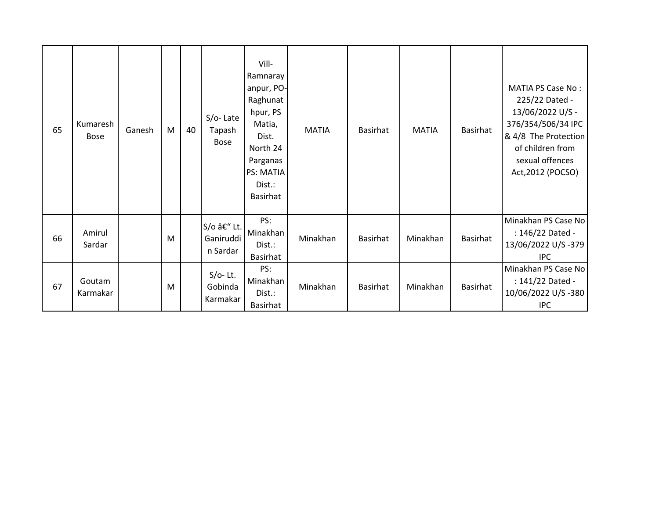| 65 | Kumaresh<br><b>Bose</b> | Ganesh | M | 40 | $S/O-$ Late<br>Tapash<br><b>Bose</b> | Vill-<br>Ramnaray<br>anpur, PO-<br>Raghunat<br>hpur, PS<br>Matia,<br>Dist.<br>North 24<br>Parganas<br>PS: MATIA<br>Dist.:<br>Basirhat | <b>MATIA</b> | <b>Basirhat</b> | <b>MATIA</b> | Basirhat        | <b>MATIA PS Case No:</b><br>225/22 Dated -<br>13/06/2022 U/S -<br>376/354/506/34 IPC<br>& 4/8 The Protection<br>of children from<br>sexual offences<br>Act, 2012 (POCSO) |
|----|-------------------------|--------|---|----|--------------------------------------|---------------------------------------------------------------------------------------------------------------------------------------|--------------|-----------------|--------------|-----------------|--------------------------------------------------------------------------------------------------------------------------------------------------------------------------|
| 66 | Amirul<br>Sardar        |        | M |    | S/o – Lt.<br>Ganiruddi<br>n Sardar   | PS:<br>Minakhan<br>Dist.:<br>Basirhat                                                                                                 | Minakhan     | Basirhat        | Minakhan     | Basirhat        | Minakhan PS Case No<br>: 146/22 Dated -<br>13/06/2022 U/S -379<br><b>IPC</b>                                                                                             |
| 67 | Goutam<br>Karmakar      |        | M |    | $S/O-$ Lt.<br>Gobinda<br>Karmakar    | PS:<br>Minakhan<br>Dist.:<br>Basirhat                                                                                                 | Minakhan     | Basirhat        | Minakhan     | <b>Basirhat</b> | Minakhan PS Case No<br>: 141/22 Dated -<br>10/06/2022 U/S-380<br><b>IPC</b>                                                                                              |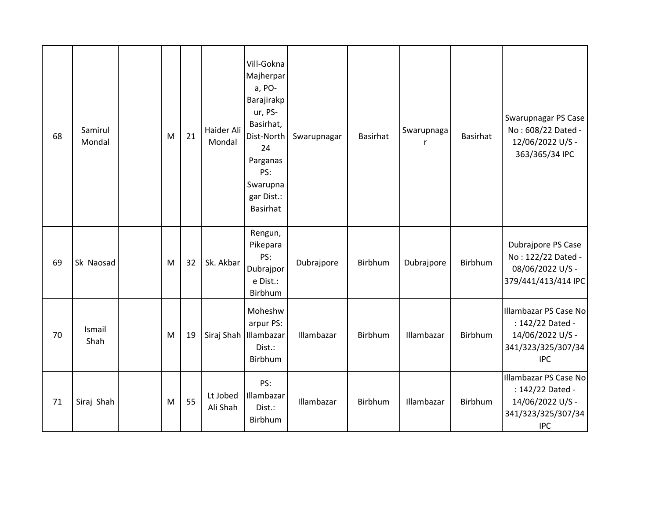| 68 | Samirul<br>Mondal | M | 21 | Haider Ali<br>Mondal | Vill-Gokna<br>Majherpar<br>a, PO-<br>Barajirakp<br>ur, PS-<br>Basirhat,<br>Dist-North<br>24<br>Parganas<br>PS:<br>Swarupna<br>gar Dist.:<br><b>Basirhat</b> | Swarupnagar | <b>Basirhat</b> | Swarupnaga<br>r | <b>Basirhat</b> | Swarupnagar PS Case<br>No: 608/22 Dated -<br>12/06/2022 U/S -<br>363/365/34 IPC                   |
|----|-------------------|---|----|----------------------|-------------------------------------------------------------------------------------------------------------------------------------------------------------|-------------|-----------------|-----------------|-----------------|---------------------------------------------------------------------------------------------------|
| 69 | Sk Naosad         | M | 32 | Sk. Akbar            | Rengun,<br>Pikepara<br>PS:<br>Dubrajpor<br>e Dist.:<br>Birbhum                                                                                              | Dubrajpore  | Birbhum         | Dubrajpore      | Birbhum         | Dubrajpore PS Case<br>No: 122/22 Dated -<br>08/06/2022 U/S -<br>379/441/413/414 IPC               |
| 70 | Ismail<br>Shah    | M | 19 |                      | Moheshw<br>arpur PS:<br>Siraj Shah   Illambazar<br>Dist.:<br>Birbhum                                                                                        | Illambazar  | Birbhum         | Illambazar      | Birbhum         | Illambazar PS Case No<br>: 142/22 Dated -<br>14/06/2022 U/S -<br>341/323/325/307/34<br><b>IPC</b> |
| 71 | Siraj Shah        | M | 55 | Lt Jobed<br>Ali Shah | PS:<br>Illambazar<br>Dist.:<br>Birbhum                                                                                                                      | Illambazar  | Birbhum         | Illambazar      | Birbhum         | Illambazar PS Case No<br>: 142/22 Dated -<br>14/06/2022 U/S -<br>341/323/325/307/34<br><b>IPC</b> |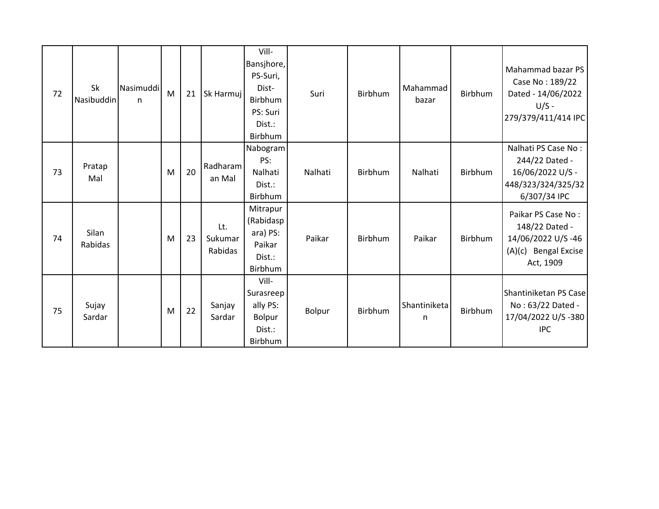| 72 | Sk<br>Nasibuddin | Nasimuddi<br>n | M | 21 | Sk Harmuj                 | Vill-<br>Bansjhore,<br>PS-Suri,<br>Dist-<br>Birbhum<br>PS: Suri<br>Dist.:<br>Birbhum | Suri    | <b>Birbhum</b> | Mahammad<br>bazar | Birbhum | Mahammad bazar PS<br>Case No: 189/22<br>Dated - 14/06/2022<br>$U/S -$<br>279/379/411/414 IPC    |
|----|------------------|----------------|---|----|---------------------------|--------------------------------------------------------------------------------------|---------|----------------|-------------------|---------|-------------------------------------------------------------------------------------------------|
| 73 | Pratap<br>Mal    |                | M | 20 | Radharam<br>an Mal        | Nabogram<br>PS:<br>Nalhati<br>Dist.:<br>Birbhum                                      | Nalhati | Birbhum        | Nalhati           | Birbhum | Nalhati PS Case No:<br>244/22 Dated -<br>16/06/2022 U/S -<br>448/323/324/325/32<br>6/307/34 IPC |
| 74 | Silan<br>Rabidas |                | M | 23 | Lt.<br>Sukumar<br>Rabidas | Mitrapur<br>(Rabidasp<br>ara) PS:<br>Paikar<br>Dist.:<br>Birbhum                     | Paikar  | Birbhum        | Paikar            | Birbhum | Paikar PS Case No:<br>148/22 Dated -<br>14/06/2022 U/S-46<br>(A)(c) Bengal Excise<br>Act, 1909  |
| 75 | Sujay<br>Sardar  |                | M | 22 | Sanjay<br>Sardar          | Vill-<br>Surasreep<br>ally PS:<br>Bolpur<br>Dist.:<br>Birbhum                        | Bolpur  | Birbhum        | Shantiniketa<br>n | Birbhum | Shantiniketan PS Case<br>No: 63/22 Dated -<br>17/04/2022 U/S-380<br><b>IPC</b>                  |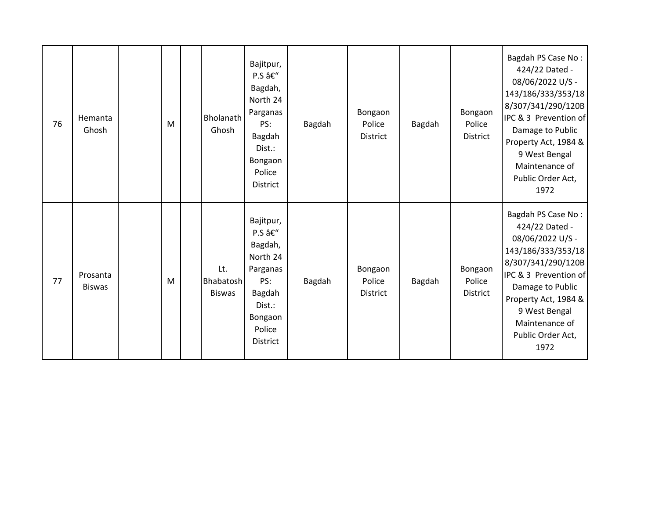| 76 | Hemanta<br>Ghosh          | M | <b>Bholanath</b><br>Ghosh         | Bajitpur,<br>P.S –<br>Bagdah,<br>North 24<br>Parganas<br>PS:<br>Bagdah<br>Dist.:<br>Bongaon<br>Police<br><b>District</b> | Bagdah | Bongaon<br>Police<br>District        | Bagdah | Bongaon<br>Police<br><b>District</b> | Bagdah PS Case No:<br>424/22 Dated -<br>08/06/2022 U/S -<br>143/186/333/353/18<br>8/307/341/290/120B<br>IPC & 3 Prevention of<br>Damage to Public<br>Property Act, 1984 &<br>9 West Bengal<br>Maintenance of<br>Public Order Act,<br>1972 |
|----|---------------------------|---|-----------------------------------|--------------------------------------------------------------------------------------------------------------------------|--------|--------------------------------------|--------|--------------------------------------|-------------------------------------------------------------------------------------------------------------------------------------------------------------------------------------------------------------------------------------------|
| 77 | Prosanta<br><b>Biswas</b> | M | Lt.<br>Bhabatosh<br><b>Biswas</b> | Bajitpur,<br>P.S –<br>Bagdah,<br>North 24<br>Parganas<br>PS:<br>Bagdah<br>Dist.:<br>Bongaon<br>Police<br><b>District</b> | Bagdah | Bongaon<br>Police<br><b>District</b> | Bagdah | Bongaon<br>Police<br><b>District</b> | Bagdah PS Case No:<br>424/22 Dated -<br>08/06/2022 U/S -<br>143/186/333/353/18<br>8/307/341/290/120B<br>IPC & 3 Prevention of<br>Damage to Public<br>Property Act, 1984 &<br>9 West Bengal<br>Maintenance of<br>Public Order Act,<br>1972 |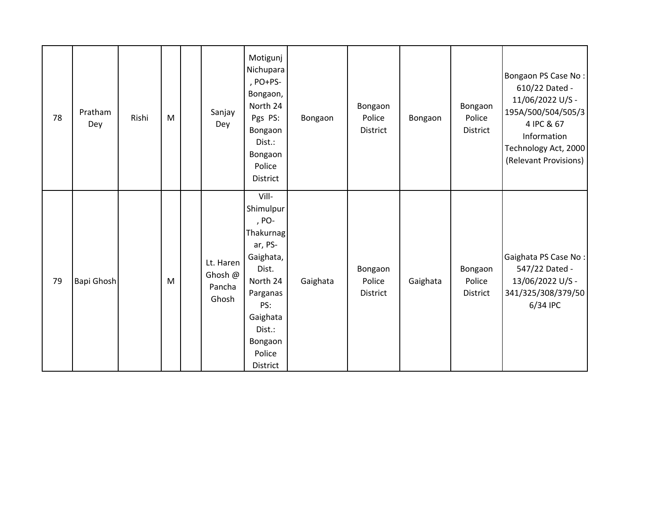| 78 | Pratham<br>Dey | Rishi | M | Sanjay<br>Dey                           | Motigunj<br>Nichupara<br>, PO+PS-<br>Bongaon,<br>North 24<br>Pgs PS:<br>Bongaon<br>Dist.:<br>Bongaon<br>Police<br><b>District</b>                               | Bongaon  | Bongaon<br>Police<br>District | Bongaon  | Bongaon<br>Police<br>District | Bongaon PS Case No:<br>610/22 Dated -<br>11/06/2022 U/S -<br>195A/500/504/505/3<br>4 IPC & 67<br>Information<br>Technology Act, 2000<br>(Relevant Provisions) |
|----|----------------|-------|---|-----------------------------------------|-----------------------------------------------------------------------------------------------------------------------------------------------------------------|----------|-------------------------------|----------|-------------------------------|---------------------------------------------------------------------------------------------------------------------------------------------------------------|
| 79 | Bapi Ghosh     |       | M | Lt. Haren<br>Ghosh @<br>Pancha<br>Ghosh | Vill-<br>Shimulpur<br>, PO-<br>Thakurnag<br>ar, PS-<br>Gaighata,<br>Dist.<br>North 24<br>Parganas<br>PS:<br>Gaighata<br>Dist.:<br>Bongaon<br>Police<br>District | Gaighata | Bongaon<br>Police<br>District | Gaighata | Bongaon<br>Police<br>District | Gaighata PS Case No:<br>547/22 Dated -<br>13/06/2022 U/S -<br>341/325/308/379/50<br>6/34 IPC                                                                  |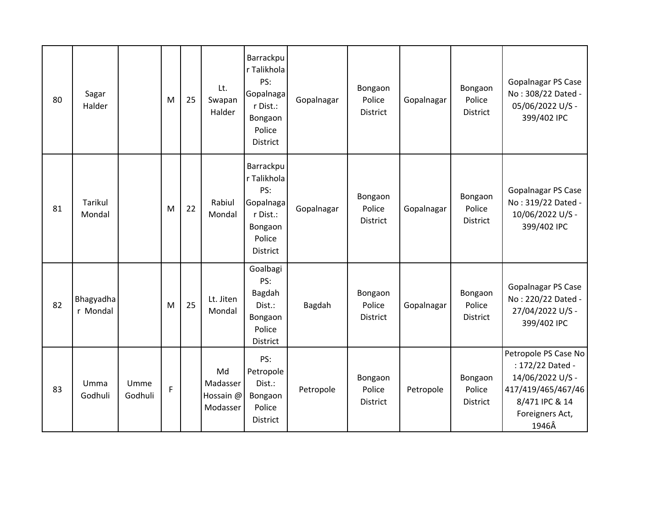| 80 | Sagar<br>Halder          |                 | M | 25 | Lt.<br>Swapan<br>Halder                 | Barrackpu<br>r Talikhola<br>PS:<br>Gopalnaga<br>r Dist.:<br>Bongaon<br>Police<br><b>District</b> | Gopalnagar | Bongaon<br>Police<br><b>District</b> | Gopalnagar | Bongaon<br>Police<br><b>District</b> | Gopalnagar PS Case<br>No: 308/22 Dated -<br>05/06/2022 U/S -<br>399/402 IPC                                                      |
|----|--------------------------|-----------------|---|----|-----------------------------------------|--------------------------------------------------------------------------------------------------|------------|--------------------------------------|------------|--------------------------------------|----------------------------------------------------------------------------------------------------------------------------------|
| 81 | <b>Tarikul</b><br>Mondal |                 | M | 22 | Rabiul<br>Mondal                        | Barrackpu<br>r Talikhola<br>PS:<br>Gopalnaga<br>r Dist.:<br>Bongaon<br>Police<br><b>District</b> | Gopalnagar | Bongaon<br>Police<br>District        | Gopalnagar | Bongaon<br>Police<br>District        | Gopalnagar PS Case<br>No: 319/22 Dated -<br>10/06/2022 U/S -<br>399/402 IPC                                                      |
| 82 | Bhagyadha<br>r Mondal    |                 | M | 25 | Lt. Jiten<br>Mondal                     | Goalbagi<br>PS:<br>Bagdah<br>Dist.:<br>Bongaon<br>Police<br><b>District</b>                      | Bagdah     | Bongaon<br>Police<br><b>District</b> | Gopalnagar | Bongaon<br>Police<br><b>District</b> | Gopalnagar PS Case<br>No: 220/22 Dated -<br>27/04/2022 U/S -<br>399/402 IPC                                                      |
| 83 | Umma<br>Godhuli          | Umme<br>Godhuli | F |    | Md<br>Madasser<br>Hossain @<br>Modasser | PS:<br>Petropole<br>Dist.:<br>Bongaon<br>Police<br>District                                      | Petropole  | Bongaon<br>Police<br><b>District</b> | Petropole  | Bongaon<br>Police<br><b>District</b> | Petropole PS Case No<br>: 172/22 Dated -<br>14/06/2022 U/S -<br>417/419/465/467/46<br>8/471 IPC & 14<br>Foreigners Act,<br>1946Â |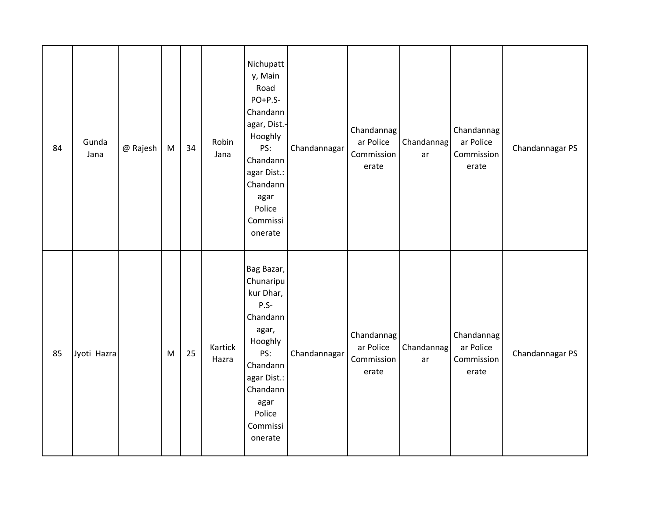| 84 | Gunda<br>Jana | @ Rajesh | ${\sf M}$ | 34 | Robin<br>Jana    | Nichupatt<br>y, Main<br>Road<br>$PO+P.S-$<br>Chandann<br>agar, Dist.-<br>Hooghly<br>PS:<br>Chandann<br>agar Dist.:<br>Chandann<br>agar<br>Police<br>Commissi<br>onerate | Chandannagar | Chandannag<br>ar Police<br>Commission<br>erate | Chandannag<br>ar | Chandannag<br>ar Police<br>Commission<br>erate | Chandannagar PS |
|----|---------------|----------|-----------|----|------------------|-------------------------------------------------------------------------------------------------------------------------------------------------------------------------|--------------|------------------------------------------------|------------------|------------------------------------------------|-----------------|
| 85 | Jyoti Hazra   |          | M         | 25 | Kartick<br>Hazra | Bag Bazar,<br>Chunaripu<br>kur Dhar,<br>$P.S-$<br>Chandann<br>agar,<br>Hooghly<br>PS:<br>Chandann<br>agar Dist.:<br>Chandann<br>agar<br>Police<br>Commissi<br>onerate   | Chandannagar | Chandannag<br>ar Police<br>Commission<br>erate | Chandannag<br>ar | Chandannag<br>ar Police<br>Commission<br>erate | Chandannagar PS |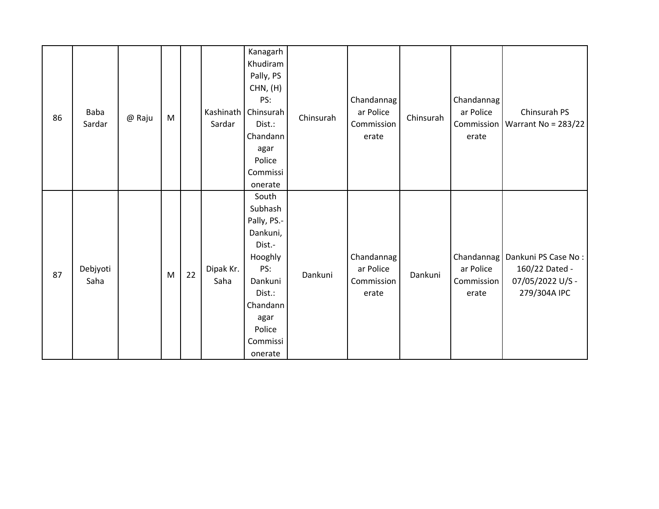| 86 | Baba<br>Sardar   | @ Raju | M |    | Sardar            | Kanagarh<br>Khudiram<br>Pally, PS<br>CHN, (H)<br>PS:<br>Kashinath   Chinsurah<br>Dist.:<br>Chandann<br>agar<br>Police<br>Commissi<br>onerate      | Chinsurah | Chandannag<br>ar Police<br>Commission<br>erate | Chinsurah | Chandannag<br>ar Police<br>erate | Chinsurah PS<br>Commission   Warrant No = 283/22                                       |
|----|------------------|--------|---|----|-------------------|---------------------------------------------------------------------------------------------------------------------------------------------------|-----------|------------------------------------------------|-----------|----------------------------------|----------------------------------------------------------------------------------------|
| 87 | Debjyoti<br>Saha |        | M | 22 | Dipak Kr.<br>Saha | South<br>Subhash<br>Pally, PS.-<br>Dankuni,<br>Dist.-<br>Hooghly<br>PS:<br>Dankuni<br>Dist.:<br>Chandann<br>agar<br>Police<br>Commissi<br>onerate | Dankuni   | Chandannag<br>ar Police<br>Commission<br>erate | Dankuni   | ar Police<br>Commission<br>erate | Chandannag   Dankuni PS Case No:<br>160/22 Dated -<br>07/05/2022 U/S -<br>279/304A IPC |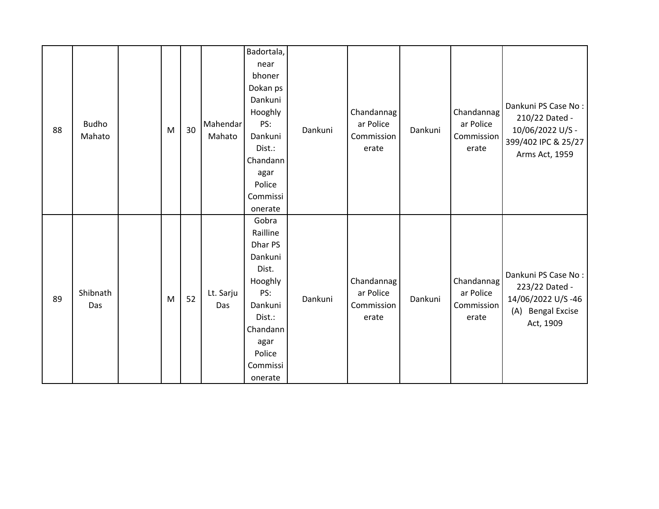| 88 | <b>Budho</b><br>Mahato | M | 30 | Mahendar<br>Mahato | Badortala,<br>near<br>bhoner<br>Dokan ps<br>Dankuni<br>Hooghly<br>PS:<br>Dankuni<br>Dist.:<br>Chandann<br>agar<br>Police<br>Commissi<br>onerate | Dankuni | Chandannag<br>ar Police<br>Commission<br>erate | Dankuni | Chandannag<br>ar Police<br>Commission<br>erate | Dankuni PS Case No:<br>210/22 Dated -<br>10/06/2022 U/S -<br>399/402 IPC & 25/27<br>Arms Act, 1959 |
|----|------------------------|---|----|--------------------|-------------------------------------------------------------------------------------------------------------------------------------------------|---------|------------------------------------------------|---------|------------------------------------------------|----------------------------------------------------------------------------------------------------|
| 89 | Shibnath<br>Das        | M | 52 | Lt. Sarju<br>Das   | Gobra<br>Railline<br>Dhar PS<br>Dankuni<br>Dist.<br>Hooghly<br>PS:<br>Dankuni<br>Dist.:<br>Chandann<br>agar<br>Police<br>Commissi<br>onerate    | Dankuni | Chandannag<br>ar Police<br>Commission<br>erate | Dankuni | Chandannag<br>ar Police<br>Commission<br>erate | Dankuni PS Case No:<br>223/22 Dated -<br>14/06/2022 U/S-46<br>(A) Bengal Excise<br>Act, 1909       |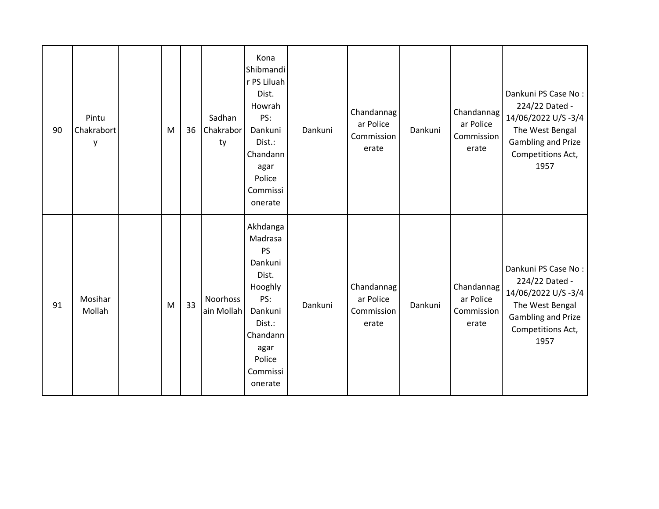| 90 | Pintu<br>Chakrabort<br>y | M | 36 | Sadhan<br>Chakrabor<br>ty | Kona<br>Shibmandi<br>r PS Liluah<br>Dist.<br>Howrah<br>PS:<br>Dankuni<br>Dist.:<br>Chandann<br>agar<br>Police<br>Commissi<br>onerate      | Dankuni | Chandannag<br>ar Police<br>Commission<br>erate | Dankuni | Chandannag<br>ar Police<br>Commission<br>erate | Dankuni PS Case No:<br>224/22 Dated -<br>14/06/2022 U/S-3/4<br>The West Bengal<br><b>Gambling and Prize</b><br>Competitions Act,<br>1957 |
|----|--------------------------|---|----|---------------------------|-------------------------------------------------------------------------------------------------------------------------------------------|---------|------------------------------------------------|---------|------------------------------------------------|------------------------------------------------------------------------------------------------------------------------------------------|
| 91 | Mosihar<br>Mollah        | M | 33 | Noorhoss<br>ain Mollah    | Akhdanga<br>Madrasa<br>PS<br>Dankuni<br>Dist.<br>Hooghly<br>PS:<br>Dankuni<br>Dist.:<br>Chandann<br>agar<br>Police<br>Commissi<br>onerate | Dankuni | Chandannag<br>ar Police<br>Commission<br>erate | Dankuni | Chandannag<br>ar Police<br>Commission<br>erate | Dankuni PS Case No:<br>224/22 Dated -<br>14/06/2022 U/S-3/4<br>The West Bengal<br>Gambling and Prize<br>Competitions Act,<br>1957        |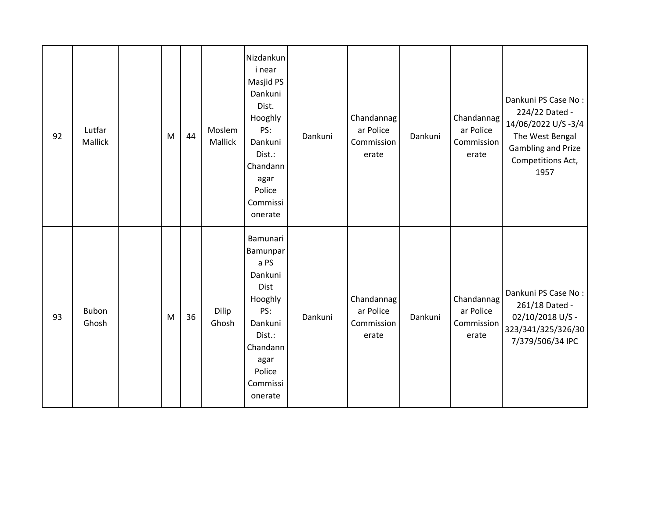| 92 | Lutfar<br>Mallick | M | 44 | Moslem<br>Mallick | Nizdankun<br>i near<br>Masjid PS<br>Dankuni<br>Dist.<br>Hooghly<br>PS:<br>Dankuni<br>Dist.:<br>Chandann<br>agar<br>Police<br>Commissi<br>onerate | Dankuni | Chandannag<br>ar Police<br>Commission<br>erate | Dankuni | Chandannag<br>ar Police<br>Commission<br>erate | Dankuni PS Case No:<br>224/22 Dated -<br>14/06/2022 U/S-3/4<br>The West Bengal<br>Gambling and Prize<br>Competitions Act,<br>1957 |
|----|-------------------|---|----|-------------------|--------------------------------------------------------------------------------------------------------------------------------------------------|---------|------------------------------------------------|---------|------------------------------------------------|-----------------------------------------------------------------------------------------------------------------------------------|
| 93 | Bubon<br>Ghosh    | M | 36 | Dilip<br>Ghosh    | Bamunari<br>Bamunpar<br>a PS<br>Dankuni<br>Dist<br>Hooghly<br>PS:<br>Dankuni<br>Dist.:<br>Chandann<br>agar<br>Police<br>Commissi<br>onerate      | Dankuni | Chandannag<br>ar Police<br>Commission<br>erate | Dankuni | Chandannag<br>ar Police<br>Commission<br>erate | Dankuni PS Case No:<br>261/18 Dated -<br>02/10/2018 U/S -<br>323/341/325/326/30<br>7/379/506/34 IPC                               |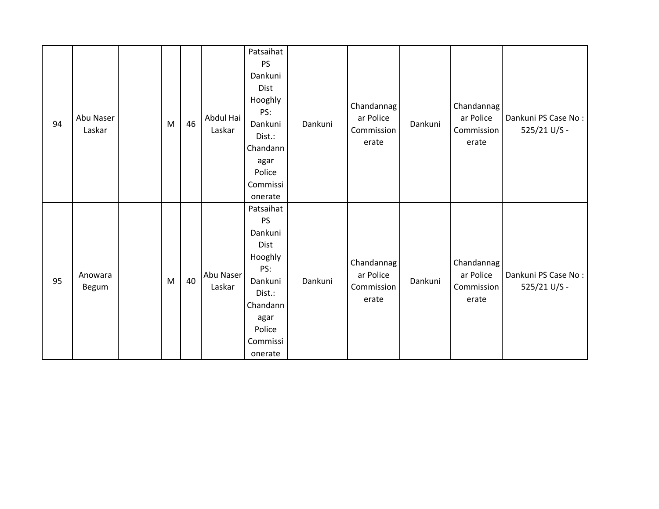| 94 | Abu Naser<br>Laskar | M | 46 | Abdul Hai<br>Laskar | Patsaihat<br><b>PS</b><br>Dankuni<br><b>Dist</b><br>Hooghly<br>PS:<br>Dankuni<br>Dist.:<br>Chandann<br>agar<br>Police<br>Commissi         | Dankuni | Chandannag<br>ar Police<br>Commission<br>erate | Dankuni | Chandannag<br>ar Police<br>Commission<br>erate | Dankuni PS Case No:<br>525/21 U/S - |
|----|---------------------|---|----|---------------------|-------------------------------------------------------------------------------------------------------------------------------------------|---------|------------------------------------------------|---------|------------------------------------------------|-------------------------------------|
| 95 | Anowara<br>Begum    | M | 40 | Abu Naser<br>Laskar | onerate<br>Patsaihat<br>PS<br>Dankuni<br>Dist<br>Hooghly<br>PS:<br>Dankuni<br>Dist.:<br>Chandann<br>agar<br>Police<br>Commissi<br>onerate | Dankuni | Chandannag<br>ar Police<br>Commission<br>erate | Dankuni | Chandannag<br>ar Police<br>Commission<br>erate | Dankuni PS Case No:<br>525/21 U/S - |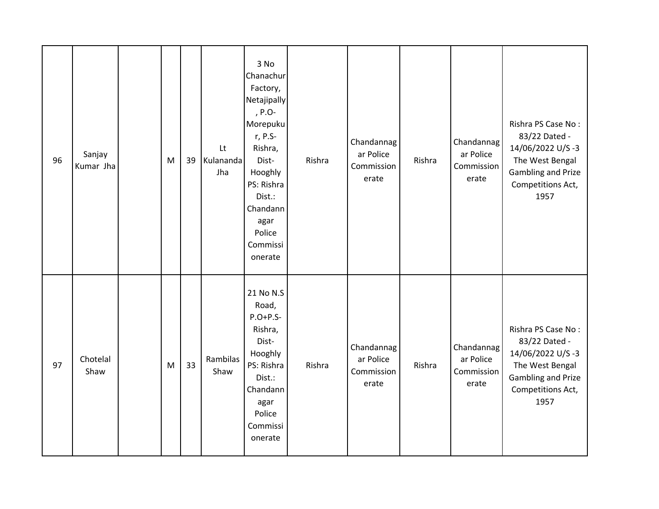| 96 | Sanjay<br>Kumar Jha | M | 39 | Lt<br>Kulananda<br>Jha | 3 No<br>Chanachur<br>Factory,<br>Netajipally<br>, P.O-<br>Morepuku<br>r, P.S-<br>Rishra,<br>Dist-<br>Hooghly<br>PS: Rishra<br>Dist.:<br>Chandann<br>agar<br>Police<br>Commissi<br>onerate | Rishra | Chandannag<br>ar Police<br>Commission<br>erate | Rishra | Chandannag<br>ar Police<br>Commission<br>erate | Rishra PS Case No:<br>83/22 Dated -<br>14/06/2022 U/S-3<br>The West Bengal<br>Gambling and Prize<br>Competitions Act,<br>1957        |
|----|---------------------|---|----|------------------------|-------------------------------------------------------------------------------------------------------------------------------------------------------------------------------------------|--------|------------------------------------------------|--------|------------------------------------------------|--------------------------------------------------------------------------------------------------------------------------------------|
| 97 | Chotelal<br>Shaw    | M | 33 | Rambilas<br>Shaw       | 21 No N.S<br>Road,<br>$P.O+P.S-$<br>Rishra,<br>Dist-<br>Hooghly<br>PS: Rishra<br>Dist.:<br>Chandann<br>agar<br>Police<br>Commissi<br>onerate                                              | Rishra | Chandannag<br>ar Police<br>Commission<br>erate | Rishra | Chandannag<br>ar Police<br>Commission<br>erate | Rishra PS Case No:<br>83/22 Dated -<br>14/06/2022 U/S-3<br>The West Bengal<br><b>Gambling and Prize</b><br>Competitions Act,<br>1957 |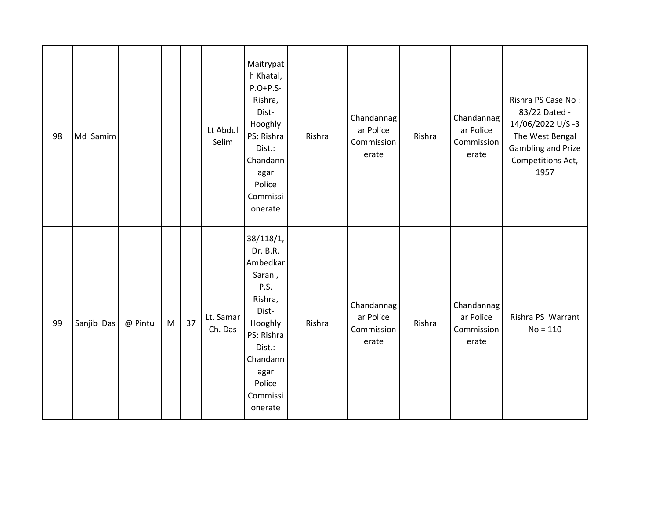| 98 | Md Samim   |         |   |    | Lt Abdul<br>Selim    | Maitrypat<br>h Khatal,<br>$P.O+P.S-$<br>Rishra,<br>Dist-<br>Hooghly<br>PS: Rishra<br>Dist.:<br>Chandann<br>agar<br>Police<br>Commissi<br>onerate                 | Rishra | Chandannag<br>ar Police<br>Commission<br>erate | Rishra | Chandannag<br>ar Police<br>Commission<br>erate | Rishra PS Case No:<br>83/22 Dated -<br>14/06/2022 U/S-3<br>The West Bengal<br>Gambling and Prize<br>Competitions Act,<br>1957 |
|----|------------|---------|---|----|----------------------|------------------------------------------------------------------------------------------------------------------------------------------------------------------|--------|------------------------------------------------|--------|------------------------------------------------|-------------------------------------------------------------------------------------------------------------------------------|
| 99 | Sanjib Das | @ Pintu | M | 37 | Lt. Samar<br>Ch. Das | 38/118/1,<br>Dr. B.R.<br>Ambedkar<br>Sarani,<br>P.S.<br>Rishra,<br>Dist-<br>Hooghly<br>PS: Rishra<br>Dist.:<br>Chandann<br>agar<br>Police<br>Commissi<br>onerate | Rishra | Chandannag<br>ar Police<br>Commission<br>erate | Rishra | Chandannag<br>ar Police<br>Commission<br>erate | Rishra PS Warrant<br>$No = 110$                                                                                               |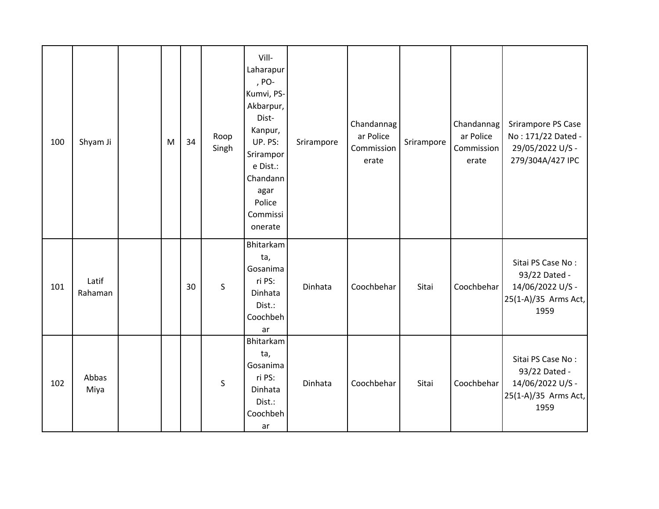| 100 | Shyam Ji         | M | 34 | Roop<br>Singh | Vill-<br>Laharapur<br>, PO-<br>Kumvi, PS-<br>Akbarpur,<br>Dist-<br>Kanpur,<br>UP. PS:<br>Srirampor<br>e Dist.:<br>Chandann<br>agar<br>Police<br>Commissi<br>onerate | Srirampore | Chandannag<br>ar Police<br>Commission<br>erate | Srirampore | Chandannag<br>ar Police<br>Commission<br>erate | Srirampore PS Case<br>No: 171/22 Dated -<br>29/05/2022 U/S -<br>279/304A/427 IPC       |
|-----|------------------|---|----|---------------|---------------------------------------------------------------------------------------------------------------------------------------------------------------------|------------|------------------------------------------------|------------|------------------------------------------------|----------------------------------------------------------------------------------------|
| 101 | Latif<br>Rahaman |   | 30 | S             | Bhitarkam<br>ta,<br>Gosanima<br>ri PS:<br>Dinhata<br>Dist.:<br>Coochbeh<br>ar                                                                                       | Dinhata    | Coochbehar                                     | Sitai      | Coochbehar                                     | Sitai PS Case No:<br>93/22 Dated -<br>14/06/2022 U/S -<br>25(1-A)/35 Arms Act,<br>1959 |
| 102 | Abbas<br>Miya    |   |    | S             | Bhitarkam<br>ta,<br>Gosanima<br>ri PS:<br>Dinhata<br>Dist.:<br>Coochbeh<br>ar                                                                                       | Dinhata    | Coochbehar                                     | Sitai      | Coochbehar                                     | Sitai PS Case No:<br>93/22 Dated -<br>14/06/2022 U/S -<br>25(1-A)/35 Arms Act,<br>1959 |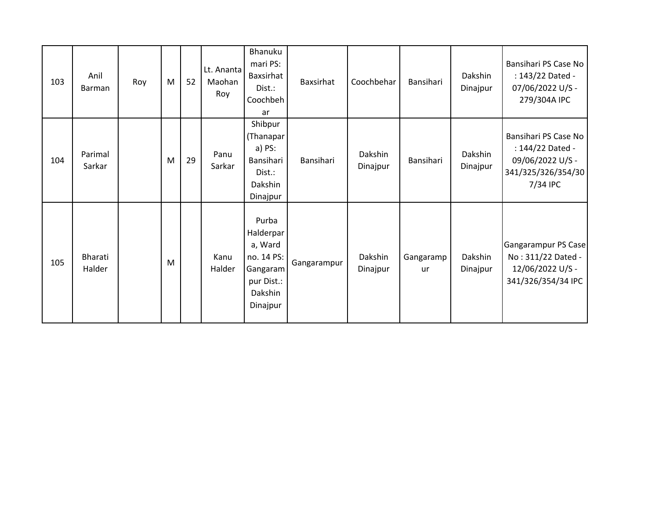| 103 | Anil<br><b>Barman</b> | Roy | M | 52 | Lt. Ananta<br>Maohan<br>Roy | Bhanuku<br>mari PS:<br>Baxsirhat<br>Dist.:<br>Coochbeh<br>ar                                 | <b>Baxsirhat</b> | Coochbehar          | Bansihari       | Dakshin<br>Dinajpur | Bansihari PS Case No<br>: 143/22 Dated -<br>07/06/2022 U/S -<br>279/304A IPC                   |
|-----|-----------------------|-----|---|----|-----------------------------|----------------------------------------------------------------------------------------------|------------------|---------------------|-----------------|---------------------|------------------------------------------------------------------------------------------------|
| 104 | Parimal<br>Sarkar     |     | M | 29 | Panu<br>Sarkar              | Shibpur<br>(Thanapar<br>a) PS:<br>Bansihari<br>Dist.:<br>Dakshin<br>Dinajpur                 | Bansihari        | Dakshin<br>Dinajpur | Bansihari       | Dakshin<br>Dinajpur | Bansihari PS Case No<br>: 144/22 Dated -<br>09/06/2022 U/S -<br>341/325/326/354/30<br>7/34 IPC |
| 105 | Bharati<br>Halder     |     | M |    | Kanu<br>Halder              | Purba<br>Halderpar<br>a, Ward<br>no. 14 PS:<br>Gangaram<br>pur Dist.:<br>Dakshin<br>Dinajpur | Gangarampur      | Dakshin<br>Dinajpur | Gangaramp<br>ur | Dakshin<br>Dinajpur | Gangarampur PS Case<br>No: 311/22 Dated -<br>12/06/2022 U/S -<br>341/326/354/34 IPC            |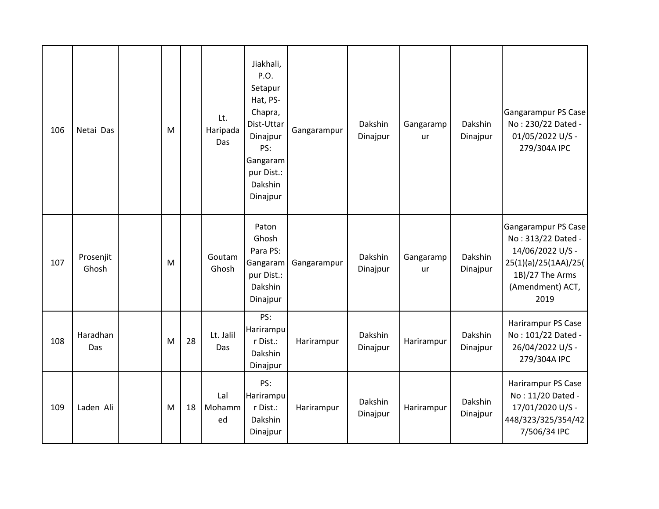| 106 | Netai Das          | M |    | Lt.<br>Haripada<br>Das | Jiakhali,<br>P.O.<br>Setapur<br>Hat, PS-<br>Chapra,<br>Dist-Uttar<br>Dinajpur<br>PS:<br>Gangaram<br>pur Dist.:<br>Dakshin<br>Dinajpur | Gangarampur | Dakshin<br>Dinajpur | Gangaramp<br>ur | Dakshin<br>Dinajpur | Gangarampur PS Case<br>No: 230/22 Dated -<br>01/05/2022 U/S -<br>279/304A IPC                                                        |
|-----|--------------------|---|----|------------------------|---------------------------------------------------------------------------------------------------------------------------------------|-------------|---------------------|-----------------|---------------------|--------------------------------------------------------------------------------------------------------------------------------------|
| 107 | Prosenjit<br>Ghosh | M |    | Goutam<br>Ghosh        | Paton<br>Ghosh<br>Para PS:<br>Gangaram<br>pur Dist.:<br>Dakshin<br>Dinajpur                                                           | Gangarampur | Dakshin<br>Dinajpur | Gangaramp<br>ur | Dakshin<br>Dinajpur | Gangarampur PS Case<br>No: 313/22 Dated -<br>14/06/2022 U/S -<br>25(1)(a)/25(1AA)/25(<br>1B)/27 The Arms<br>(Amendment) ACT,<br>2019 |
| 108 | Haradhan<br>Das    | M | 28 | Lt. Jalil<br>Das       | PS:<br>Harirampu<br>r Dist.:<br>Dakshin<br>Dinajpur                                                                                   | Harirampur  | Dakshin<br>Dinajpur | Harirampur      | Dakshin<br>Dinajpur | Harirampur PS Case<br>No: 101/22 Dated -<br>26/04/2022 U/S -<br>279/304A IPC                                                         |
| 109 | Laden Ali          | M | 18 | Lal<br>Mohamm<br>ed    | PS:<br>Harirampu<br>r Dist.:<br>Dakshin<br>Dinajpur                                                                                   | Harirampur  | Dakshin<br>Dinajpur | Harirampur      | Dakshin<br>Dinajpur | Harirampur PS Case<br>No: 11/20 Dated -<br>17/01/2020 U/S -<br>448/323/325/354/42<br>7/506/34 IPC                                    |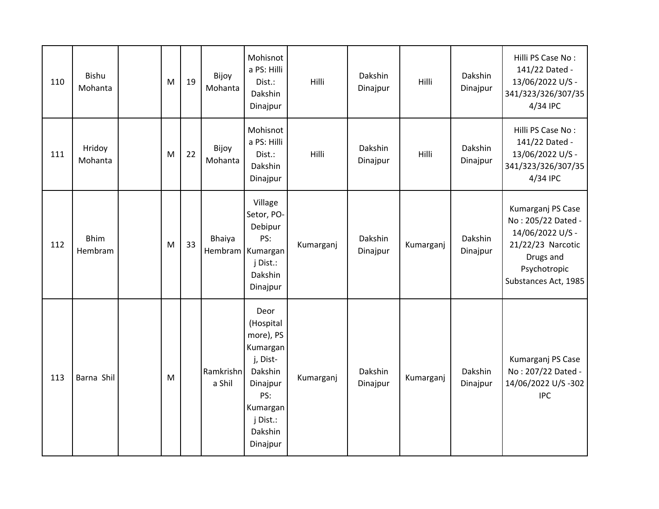| 110 | Bishu<br>Mohanta       | M | 19 | Bijoy<br>Mohanta    | Mohisnot<br>a PS: Hilli<br>Dist.:<br>Dakshin<br>Dinajpur                                                                            | Hilli     | Dakshin<br>Dinajpur | Hilli     | Dakshin<br>Dinajpur | Hilli PS Case No:<br>141/22 Dated -<br>13/06/2022 U/S -<br>341/323/326/307/35<br>4/34 IPC                                             |
|-----|------------------------|---|----|---------------------|-------------------------------------------------------------------------------------------------------------------------------------|-----------|---------------------|-----------|---------------------|---------------------------------------------------------------------------------------------------------------------------------------|
| 111 | Hridoy<br>Mohanta      | M | 22 | Bijoy<br>Mohanta    | Mohisnot<br>a PS: Hilli<br>Dist.:<br>Dakshin<br>Dinajpur                                                                            | Hilli     | Dakshin<br>Dinajpur | Hilli     | Dakshin<br>Dinajpur | Hilli PS Case No:<br>141/22 Dated -<br>13/06/2022 U/S -<br>341/323/326/307/35<br>4/34 IPC                                             |
| 112 | <b>Bhim</b><br>Hembram | M | 33 | Bhaiya<br>Hembram   | Village<br>Setor, PO-<br>Debipur<br>PS:<br>Kumargan<br>j Dist.:<br>Dakshin<br>Dinajpur                                              | Kumarganj | Dakshin<br>Dinajpur | Kumarganj | Dakshin<br>Dinajpur | Kumarganj PS Case<br>No: 205/22 Dated -<br>14/06/2022 U/S -<br>21/22/23 Narcotic<br>Drugs and<br>Psychotropic<br>Substances Act, 1985 |
| 113 | Barna Shil             | M |    | Ramkrishn<br>a Shil | Deor<br>(Hospital<br>more), PS<br>Kumargan<br>j, Dist-<br>Dakshin<br>Dinajpur<br>PS:<br>Kumargan<br>j Dist.:<br>Dakshin<br>Dinajpur | Kumarganj | Dakshin<br>Dinajpur | Kumarganj | Dakshin<br>Dinajpur | Kumarganj PS Case<br>No: 207/22 Dated -<br>14/06/2022 U/S-302<br><b>IPC</b>                                                           |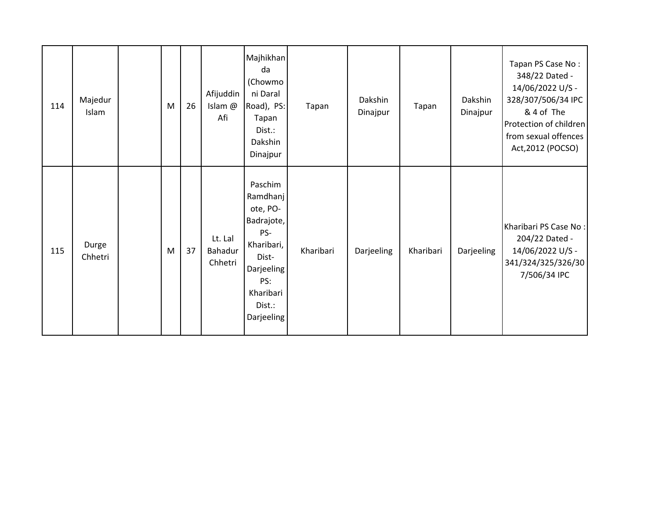| 114 | Majedur<br>Islam | M | 26 | Afijuddin<br>Islam @<br>Afi   | Majhikhan<br>da<br>(Chowmo<br>ni Daral<br>Road), PS:<br>Tapan<br>Dist.:<br>Dakshin<br>Dinajpur                                        | Tapan     | Dakshin<br>Dinajpur | Tapan     | Dakshin<br>Dinajpur | Tapan PS Case No:<br>348/22 Dated -<br>14/06/2022 U/S -<br>328/307/506/34 IPC<br>& 4 of The<br>Protection of children<br>from sexual offences<br>Act, 2012 (POCSO) |
|-----|------------------|---|----|-------------------------------|---------------------------------------------------------------------------------------------------------------------------------------|-----------|---------------------|-----------|---------------------|--------------------------------------------------------------------------------------------------------------------------------------------------------------------|
| 115 | Durge<br>Chhetri | M | 37 | Lt. Lal<br>Bahadur<br>Chhetri | Paschim<br>Ramdhanj<br>ote, PO-<br>Badrajote,<br>PS-<br>Kharibari,<br>Dist-<br>Darjeeling<br>PS:<br>Kharibari<br>Dist.:<br>Darjeeling | Kharibari | Darjeeling          | Kharibari | Darjeeling          | Kharibari PS Case No:<br>204/22 Dated -<br>14/06/2022 U/S -<br>341/324/325/326/30<br>7/506/34 IPC                                                                  |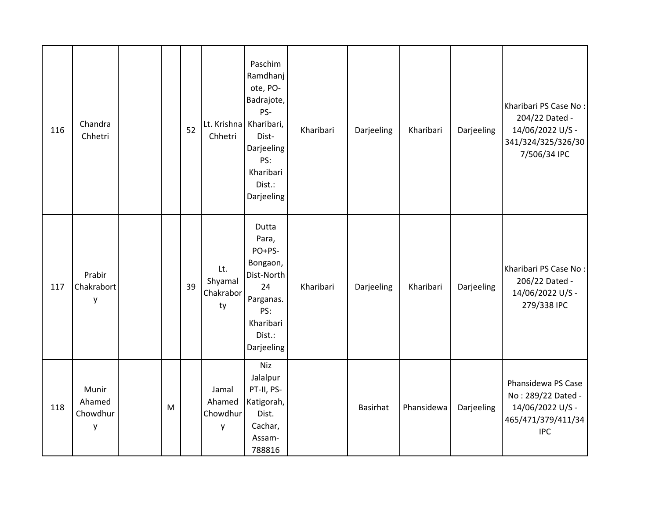| 116 | Chandra<br>Chhetri               |   | 52 | Chhetri                           | Paschim<br>Ramdhanj<br>ote, PO-<br>Badrajote,<br>PS-<br>Lt. Krishna Kharibari,<br>Dist-<br>Darjeeling<br>PS:<br>Kharibari<br>Dist.:<br>Darjeeling | Kharibari | Darjeeling      | Kharibari  | Darjeeling | Kharibari PS Case No:<br>204/22 Dated -<br>14/06/2022 U/S -<br>341/324/325/326/30<br>7/506/34 IPC |
|-----|----------------------------------|---|----|-----------------------------------|---------------------------------------------------------------------------------------------------------------------------------------------------|-----------|-----------------|------------|------------|---------------------------------------------------------------------------------------------------|
| 117 | Prabir<br>Chakrabort<br>y        |   | 39 | Lt.<br>Shyamal<br>Chakrabor<br>ty | Dutta<br>Para,<br>PO+PS-<br>Bongaon,<br>Dist-North<br>24<br>Parganas.<br>PS:<br>Kharibari<br>Dist.:<br>Darjeeling                                 | Kharibari | Darjeeling      | Kharibari  | Darjeeling | Kharibari PS Case No:<br>206/22 Dated -<br>14/06/2022 U/S -<br>279/338 IPC                        |
| 118 | Munir<br>Ahamed<br>Chowdhur<br>у | M |    | Jamal<br>Ahamed<br>Chowdhur<br>y  | <b>Niz</b><br>Jalalpur<br>PT-II, PS-<br>Katigorah,<br>Dist.<br>Cachar,<br>Assam-<br>788816                                                        |           | <b>Basirhat</b> | Phansidewa | Darjeeling | Phansidewa PS Case<br>No: 289/22 Dated -<br>14/06/2022 U/S -<br>465/471/379/411/34<br><b>IPC</b>  |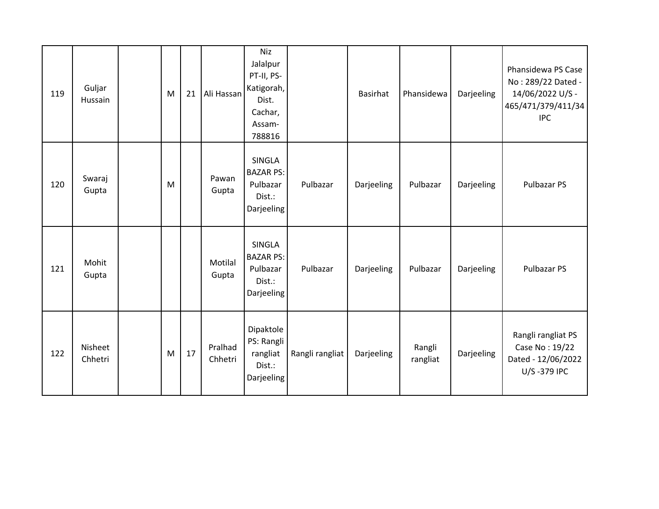| 119 | Guljar<br>Hussain  | M | 21 | Ali Hassan         | <b>Niz</b><br>Jalalpur<br>PT-II, PS-<br>Katigorah,<br>Dist.<br>Cachar,<br>Assam-<br>788816 |                 | <b>Basirhat</b> | Phansidewa         | Darjeeling | Phansidewa PS Case<br>No: 289/22 Dated -<br>14/06/2022 U/S -<br>465/471/379/411/34<br><b>IPC</b> |
|-----|--------------------|---|----|--------------------|--------------------------------------------------------------------------------------------|-----------------|-----------------|--------------------|------------|--------------------------------------------------------------------------------------------------|
| 120 | Swaraj<br>Gupta    | M |    | Pawan<br>Gupta     | SINGLA<br><b>BAZAR PS:</b><br>Pulbazar<br>Dist.:<br>Darjeeling                             | Pulbazar        | Darjeeling      | Pulbazar           | Darjeeling | Pulbazar PS                                                                                      |
| 121 | Mohit<br>Gupta     |   |    | Motilal<br>Gupta   | SINGLA<br><b>BAZAR PS:</b><br>Pulbazar<br>Dist.:<br>Darjeeling                             | Pulbazar        | Darjeeling      | Pulbazar           | Darjeeling | Pulbazar PS                                                                                      |
| 122 | Nisheet<br>Chhetri | M | 17 | Pralhad<br>Chhetri | Dipaktole<br>PS: Rangli<br>rangliat<br>Dist.:<br>Darjeeling                                | Rangli rangliat | Darjeeling      | Rangli<br>rangliat | Darjeeling | Rangli rangliat PS<br>Case No: 19/22<br>Dated - 12/06/2022<br>U/S-379 IPC                        |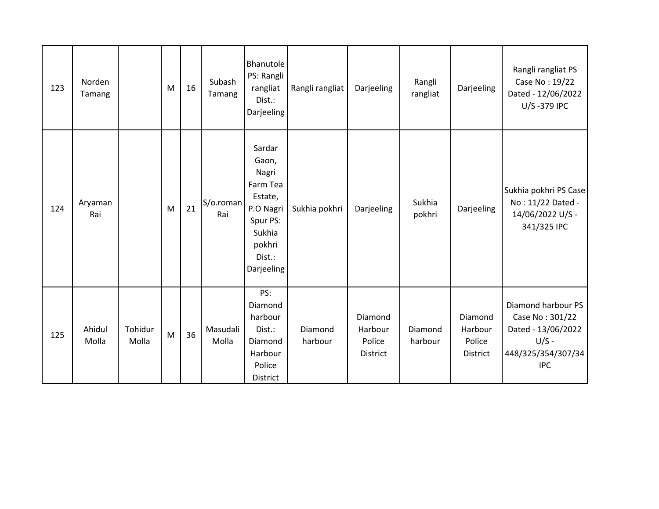| 123 | Norden<br>Tamang |                  | M | 16 | Subash<br>Tamang  | Bhanutole<br>PS: Rangli<br>rangliat<br>Dist.:<br>Darjeeling                                                          | Rangli rangliat    | Darjeeling                                      | Rangli<br>rangliat | Darjeeling                               | Rangli rangliat PS<br>Case No: 19/22<br>Dated - 12/06/2022<br>U/S-379 IPC                                  |
|-----|------------------|------------------|---|----|-------------------|----------------------------------------------------------------------------------------------------------------------|--------------------|-------------------------------------------------|--------------------|------------------------------------------|------------------------------------------------------------------------------------------------------------|
| 124 | Aryaman<br>Rai   |                  | M | 21 | S/o.roman<br>Rai  | Sardar<br>Gaon,<br>Nagri<br>Farm Tea<br>Estate,<br>P.O Nagri<br>Spur PS:<br>Sukhia<br>pokhri<br>Dist.:<br>Darjeeling | Sukhia pokhri      | Darjeeling                                      | Sukhia<br>pokhri   | Darjeeling                               | Sukhia pokhri PS Case<br>No: 11/22 Dated -<br>14/06/2022 U/S -<br>341/325 IPC                              |
| 125 | Ahidul<br>Molla  | Tohidur<br>Molla | M | 36 | Masudali<br>Molla | PS:<br>Diamond<br>harbour<br>Dist.:<br>Diamond<br>Harbour<br>Police<br>District                                      | Diamond<br>harbour | Diamond<br>Harbour<br>Police<br><b>District</b> | Diamond<br>harbour | Diamond<br>Harbour<br>Police<br>District | Diamond harbour PS<br>Case No: 301/22<br>Dated - 13/06/2022<br>$U/S -$<br>448/325/354/307/34<br><b>IPC</b> |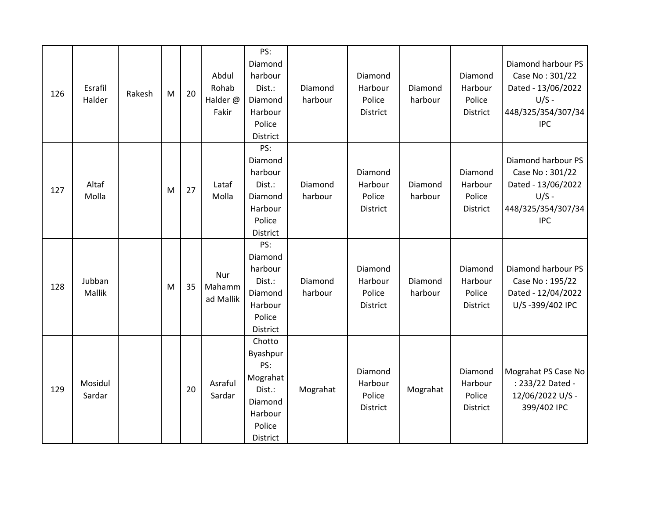| 126 | Esrafil<br>Halder | Rakesh | M | 20 | Abdul<br>Rohab<br>Halder @<br>Fakir | PS:<br>Diamond<br>harbour<br>Dist.:<br>Diamond<br>Harbour<br>Police<br>District             | Diamond<br>harbour | Diamond<br>Harbour<br>Police<br>District        | Diamond<br>harbour | Diamond<br>Harbour<br>Police<br><b>District</b> | Diamond harbour PS<br>Case No: 301/22<br>Dated - 13/06/2022<br>$U/S -$<br>448/325/354/307/34<br><b>IPC</b> |
|-----|-------------------|--------|---|----|-------------------------------------|---------------------------------------------------------------------------------------------|--------------------|-------------------------------------------------|--------------------|-------------------------------------------------|------------------------------------------------------------------------------------------------------------|
| 127 | Altaf<br>Molla    |        | M | 27 | Lataf<br>Molla                      | PS:<br>Diamond<br>harbour<br>Dist.:<br>Diamond<br>Harbour<br>Police<br>District             | Diamond<br>harbour | Diamond<br>Harbour<br>Police<br><b>District</b> | Diamond<br>harbour | Diamond<br>Harbour<br>Police<br><b>District</b> | Diamond harbour PS<br>Case No: 301/22<br>Dated - 13/06/2022<br>$U/S -$<br>448/325/354/307/34<br><b>IPC</b> |
| 128 | Jubban<br>Mallik  |        | M | 35 | Nur<br>Mahamm<br>ad Mallik          | PS:<br>Diamond<br>harbour<br>Dist.:<br>Diamond<br>Harbour<br>Police<br>District             | Diamond<br>harbour | Diamond<br>Harbour<br>Police<br>District        | Diamond<br>harbour | Diamond<br>Harbour<br>Police<br>District        | Diamond harbour PS<br>Case No: 195/22<br>Dated - 12/04/2022<br>U/S-399/402 IPC                             |
| 129 | Mosidul<br>Sardar |        |   | 20 | Asraful<br>Sardar                   | Chotto<br>Byashpur<br>PS:<br>Mograhat<br>Dist.:<br>Diamond<br>Harbour<br>Police<br>District | Mograhat           | Diamond<br>Harbour<br>Police<br>District        | Mograhat           | Diamond<br>Harbour<br>Police<br>District        | Mograhat PS Case No<br>: 233/22 Dated -<br>12/06/2022 U/S -<br>399/402 IPC                                 |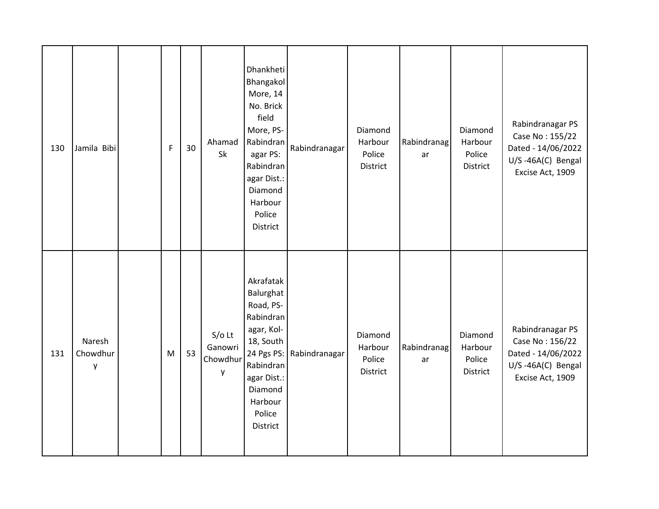| 130 | Jamila Bibi             | $\mathsf F$ | 30 | Ahamad<br>Sk                         | Dhankheti<br>Bhangakol<br>More, 14<br>No. Brick<br>field<br>More, PS-<br>Rabindran<br>agar PS:<br>Rabindran<br>agar Dist.:<br>Diamond<br>Harbour<br>Police<br><b>District</b> | Rabindranagar            | Diamond<br>Harbour<br>Police<br>District | Rabindranag<br>ar | Diamond<br>Harbour<br>Police<br>District | Rabindranagar PS<br>Case No: 155/22<br>Dated - 14/06/2022<br>U/S-46A(C) Bengal<br>Excise Act, 1909 |
|-----|-------------------------|-------------|----|--------------------------------------|-------------------------------------------------------------------------------------------------------------------------------------------------------------------------------|--------------------------|------------------------------------------|-------------------|------------------------------------------|----------------------------------------------------------------------------------------------------|
| 131 | Naresh<br>Chowdhur<br>y | M           | 53 | $S/O$ Lt<br>Ganowri<br>Chowdhur<br>y | Akrafatak<br>Balurghat<br>Road, PS-<br>Rabindran<br>agar, Kol-<br>18, South<br>Rabindran<br>agar Dist.:<br>Diamond<br>Harbour<br>Police<br>District                           | 24 Pgs PS: Rabindranagar | Diamond<br>Harbour<br>Police<br>District | Rabindranag<br>ar | Diamond<br>Harbour<br>Police<br>District | Rabindranagar PS<br>Case No: 156/22<br>Dated - 14/06/2022<br>U/S-46A(C) Bengal<br>Excise Act, 1909 |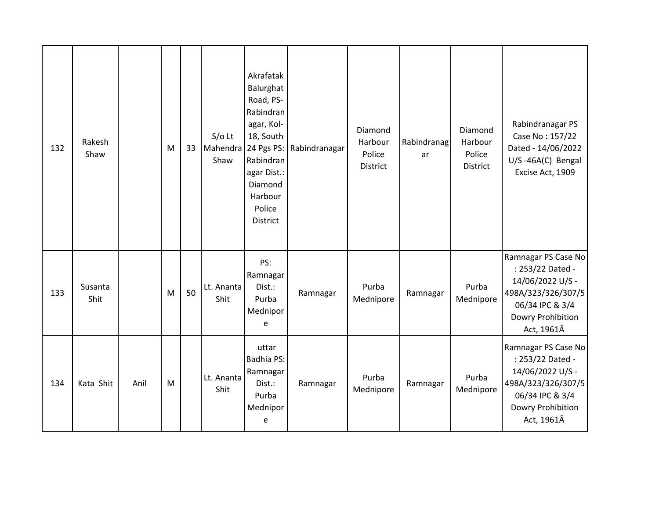| 132 | Rakesh<br>Shaw  |      | M | 33 | $S/O$ Lt<br>Mahendra<br>Shaw | Akrafatak<br>Balurghat<br>Road, PS-<br>Rabindran<br>agar, Kol-<br>18, South<br>24 Pgs PS:<br>Rabindran<br>agar Dist.:<br>Diamond<br>Harbour<br>Police<br><b>District</b> | Rabindranagar | Diamond<br>Harbour<br>Police<br>District | Rabindranag<br>ar | Diamond<br>Harbour<br>Police<br><b>District</b> | Rabindranagar PS<br>Case No: 157/22<br>Dated - 14/06/2022<br>U/S-46A(C) Bengal<br>Excise Act, 1909                                      |
|-----|-----------------|------|---|----|------------------------------|--------------------------------------------------------------------------------------------------------------------------------------------------------------------------|---------------|------------------------------------------|-------------------|-------------------------------------------------|-----------------------------------------------------------------------------------------------------------------------------------------|
| 133 | Susanta<br>Shit |      | M | 50 | Lt. Ananta<br>Shit           | PS:<br>Ramnagar<br>Dist.:<br>Purba<br>Mednipor<br>e                                                                                                                      | Ramnagar      | Purba<br>Mednipore                       | Ramnagar          | Purba<br>Mednipore                              | Ramnagar PS Case No<br>: 253/22 Dated -<br>14/06/2022 U/S -<br>498A/323/326/307/5<br>06/34 IPC & 3/4<br>Dowry Prohibition<br>Act, 1961Â |
| 134 | Kata Shit       | Anil | M |    | Lt. Ananta<br>Shit           | uttar<br>Badhia PS:<br>Ramnagar<br>Dist.:<br>Purba<br>Mednipor<br>e                                                                                                      | Ramnagar      | Purba<br>Mednipore                       | Ramnagar          | Purba<br>Mednipore                              | Ramnagar PS Case No<br>: 253/22 Dated -<br>14/06/2022 U/S -<br>498A/323/326/307/5<br>06/34 IPC & 3/4<br>Dowry Prohibition<br>Act, 1961Â |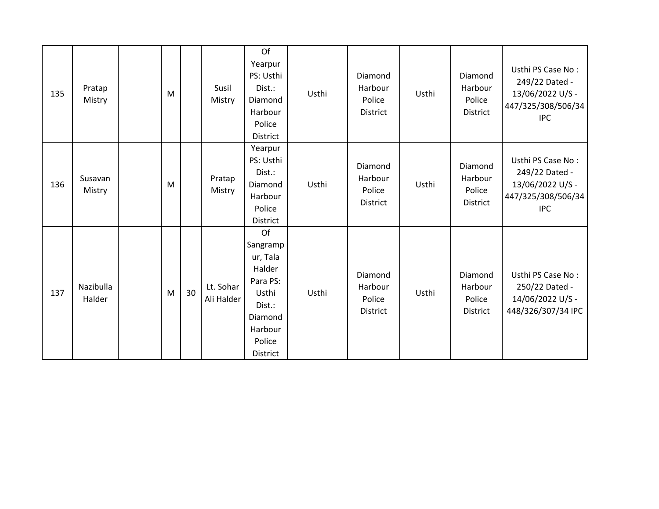| 135 | Pratap<br>Mistry    | M |    | Susil<br>Mistry         | Of<br>Yearpur<br>PS: Usthi<br>Dist.:<br>Diamond<br>Harbour<br>Police<br>District                                       | Usthi | Diamond<br>Harbour<br>Police<br><b>District</b> | Usthi | Diamond<br>Harbour<br>Police<br>District        | Usthi PS Case No:<br>249/22 Dated -<br>13/06/2022 U/S -<br>447/325/308/506/34<br><b>IPC</b> |
|-----|---------------------|---|----|-------------------------|------------------------------------------------------------------------------------------------------------------------|-------|-------------------------------------------------|-------|-------------------------------------------------|---------------------------------------------------------------------------------------------|
| 136 | Susavan<br>Mistry   | M |    | Pratap<br>Mistry        | Yearpur<br>PS: Usthi<br>Dist.:<br>Diamond<br>Harbour<br>Police<br>District                                             | Usthi | Diamond<br>Harbour<br>Police<br><b>District</b> | Usthi | Diamond<br>Harbour<br>Police<br><b>District</b> | Usthi PS Case No:<br>249/22 Dated -<br>13/06/2022 U/S -<br>447/325/308/506/34<br><b>IPC</b> |
| 137 | Nazibulla<br>Halder | M | 30 | Lt. Sohar<br>Ali Halder | Of<br>Sangramp<br>ur, Tala<br>Halder<br>Para PS:<br>Usthi<br>Dist.:<br>Diamond<br>Harbour<br>Police<br><b>District</b> | Usthi | Diamond<br>Harbour<br>Police<br><b>District</b> | Usthi | Diamond<br>Harbour<br>Police<br>District        | Usthi PS Case No:<br>250/22 Dated -<br>14/06/2022 U/S -<br>448/326/307/34 IPC               |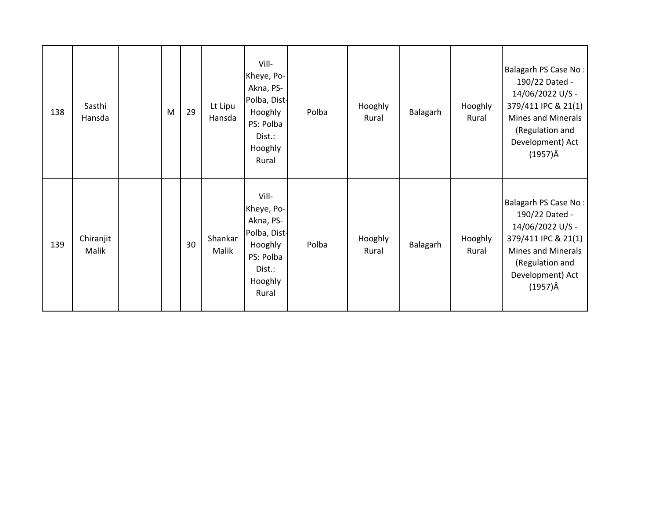| 138 | Sasthi<br>Hansda   | M | 29 | Lt Lipu<br>Hansda | Vill-<br>Kheye, Po-<br>Akna, PS-<br>Polba, Dist-<br>Hooghly<br>PS: Polba<br>Dist.:<br>Hooghly<br>Rural | Polba | Hooghly<br>Rural | Balagarh | Hooghly<br>Rural | Balagarh PS Case No:<br>190/22 Dated -<br>14/06/2022 U/S -<br>379/411 IPC & 21(1)<br>Mines and Minerals<br>(Regulation and<br>Development) Act<br>$(1957)\hat{A}$ |
|-----|--------------------|---|----|-------------------|--------------------------------------------------------------------------------------------------------|-------|------------------|----------|------------------|-------------------------------------------------------------------------------------------------------------------------------------------------------------------|
| 139 | Chiranjit<br>Malik |   | 30 | Shankar<br>Malik  | Vill-<br>Kheye, Po-<br>Akna, PS-<br>Polba, Dist-<br>Hooghly<br>PS: Polba<br>Dist.:<br>Hooghly<br>Rural | Polba | Hooghly<br>Rural | Balagarh | Hooghly<br>Rural | Balagarh PS Case No:<br>190/22 Dated -<br>14/06/2022 U/S -<br>379/411 IPC & 21(1)<br><b>Mines and Minerals</b><br>(Regulation and<br>Development) Act<br>(1957)Â  |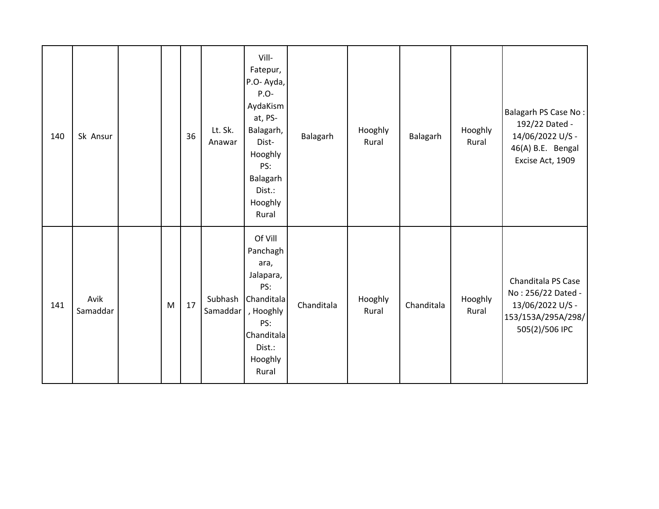| 140 | Sk Ansur         |   | 36 | Lt. Sk.<br>Anawar   | Vill-<br>Fatepur,<br>P.O- Ayda,<br>P.O-<br>AydaKism<br>at, PS-<br>Balagarh,<br>Dist-<br>Hooghly<br>PS:<br>Balagarh<br>Dist.:<br>Hooghly<br>Rural | Balagarh   | Hooghly<br>Rural | Balagarh   | Hooghly<br>Rural | Balagarh PS Case No:<br>192/22 Dated -<br>14/06/2022 U/S -<br>46(A) B.E. Bengal<br>Excise Act, 1909  |
|-----|------------------|---|----|---------------------|--------------------------------------------------------------------------------------------------------------------------------------------------|------------|------------------|------------|------------------|------------------------------------------------------------------------------------------------------|
| 141 | Avik<br>Samaddar | M | 17 | Subhash<br>Samaddar | Of Vill<br>Panchagh<br>ara,<br>Jalapara,<br>PS:<br>Chanditala<br>, Hooghly<br>PS:<br>Chanditala<br>Dist.:<br>Hooghly<br>Rural                    | Chanditala | Hooghly<br>Rural | Chanditala | Hooghly<br>Rural | Chanditala PS Case<br>No: 256/22 Dated -<br>13/06/2022 U/S -<br>153/153A/295A/298/<br>505(2)/506 IPC |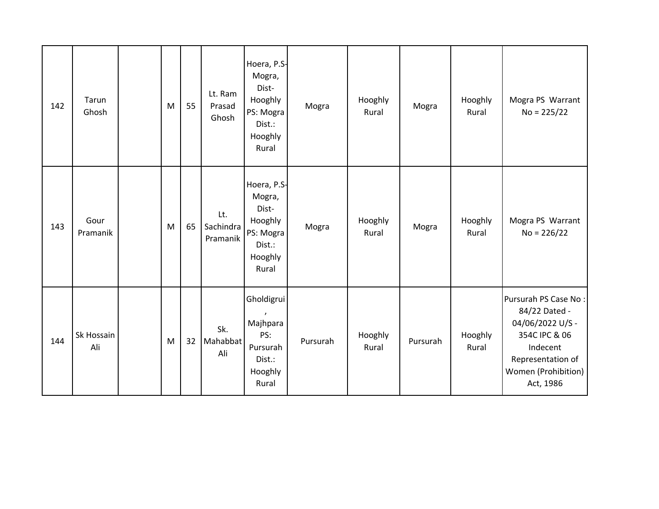| 142 | Tarun<br>Ghosh    | M | 55 | Lt. Ram<br>Prasad<br>Ghosh   | Hoera, P.S-<br>Mogra,<br>Dist-<br>Hooghly<br>PS: Mogra<br>Dist.:<br>Hooghly<br>Rural | Mogra    | Hooghly<br>Rural | Mogra    | Hooghly<br>Rural | Mogra PS Warrant<br>$No = 225/22$                                                                                                               |
|-----|-------------------|---|----|------------------------------|--------------------------------------------------------------------------------------|----------|------------------|----------|------------------|-------------------------------------------------------------------------------------------------------------------------------------------------|
| 143 | Gour<br>Pramanik  | M | 65 | Lt.<br>Sachindra<br>Pramanik | Hoera, P.S-<br>Mogra,<br>Dist-<br>Hooghly<br>PS: Mogra<br>Dist.:<br>Hooghly<br>Rural | Mogra    | Hooghly<br>Rural | Mogra    | Hooghly<br>Rural | Mogra PS Warrant<br>$No = 226/22$                                                                                                               |
| 144 | Sk Hossain<br>Ali | M | 32 | Sk.<br>Mahabbat<br>Ali       | Gholdigrui<br>Majhpara<br>PS:<br>Pursurah<br>Dist.:<br>Hooghly<br>Rural              | Pursurah | Hooghly<br>Rural | Pursurah | Hooghly<br>Rural | Pursurah PS Case No:<br>84/22 Dated -<br>04/06/2022 U/S -<br>354C IPC & 06<br>Indecent<br>Representation of<br>Women (Prohibition)<br>Act, 1986 |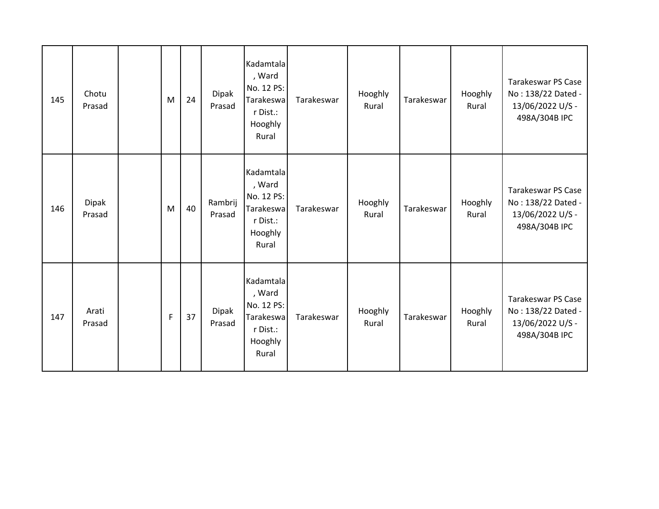| 145 | Chotu<br>Prasad        | M | 24 | Dipak<br>Prasad        | Kadamtala<br>, Ward<br>No. 12 PS:<br>Tarakeswa<br>r Dist.:<br>Hooghly<br>Rural | Tarakeswar | Hooghly<br>Rural | Tarakeswar | Hooghly<br>Rural | <b>Tarakeswar PS Case</b><br>No: 138/22 Dated -<br>13/06/2022 U/S -<br>498A/304B IPC |
|-----|------------------------|---|----|------------------------|--------------------------------------------------------------------------------|------------|------------------|------------|------------------|--------------------------------------------------------------------------------------|
| 146 | <b>Dipak</b><br>Prasad | M | 40 | Rambrij<br>Prasad      | Kadamtala<br>, Ward<br>No. 12 PS:<br>Tarakeswa<br>r Dist.:<br>Hooghly<br>Rural | Tarakeswar | Hooghly<br>Rural | Tarakeswar | Hooghly<br>Rural | <b>Tarakeswar PS Case</b><br>No: 138/22 Dated -<br>13/06/2022 U/S -<br>498A/304B IPC |
| 147 | Arati<br>Prasad        | F | 37 | <b>Dipak</b><br>Prasad | Kadamtala<br>, Ward<br>No. 12 PS:<br>Tarakeswa<br>r Dist.:<br>Hooghly<br>Rural | Tarakeswar | Hooghly<br>Rural | Tarakeswar | Hooghly<br>Rural | <b>Tarakeswar PS Case</b><br>No: 138/22 Dated -<br>13/06/2022 U/S -<br>498A/304B IPC |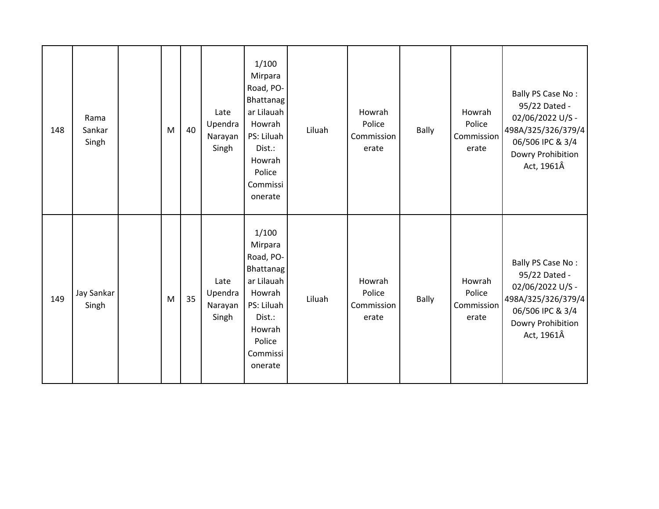| 148 | Rama<br>Sankar<br>Singh | M | 40 | Late<br>Upendra<br>Narayan<br>Singh | 1/100<br>Mirpara<br>Road, PO-<br><b>Bhattanag</b><br>ar Lilauah<br>Howrah<br>PS: Liluah<br>Dist.:<br>Howrah<br>Police<br>Commissi<br>onerate | Liluah | Howrah<br>Police<br>Commission<br>erate | Bally        | Howrah<br>Police<br>Commission<br>erate | Bally PS Case No:<br>95/22 Dated -<br>02/06/2022 U/S -<br>498A/325/326/379/4<br>06/506 IPC & 3/4<br>Dowry Prohibition<br>Act, 1961Â |
|-----|-------------------------|---|----|-------------------------------------|----------------------------------------------------------------------------------------------------------------------------------------------|--------|-----------------------------------------|--------------|-----------------------------------------|-------------------------------------------------------------------------------------------------------------------------------------|
| 149 | Jay Sankar<br>Singh     | M | 35 | Late<br>Upendra<br>Narayan<br>Singh | 1/100<br>Mirpara<br>Road, PO-<br><b>Bhattanag</b><br>ar Lilauah<br>Howrah<br>PS: Liluah<br>Dist.:<br>Howrah<br>Police<br>Commissi<br>onerate | Liluah | Howrah<br>Police<br>Commission<br>erate | <b>Bally</b> | Howrah<br>Police<br>Commission<br>erate | Bally PS Case No:<br>95/22 Dated -<br>02/06/2022 U/S -<br>498A/325/326/379/4<br>06/506 IPC & 3/4<br>Dowry Prohibition<br>Act, 1961Â |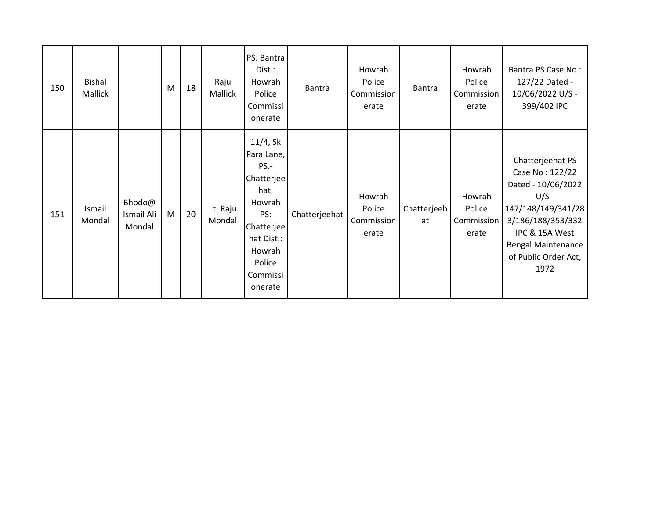| 150 | <b>Bishal</b><br>Mallick |                                | M | 18 | Raju<br>Mallick    | PS: Bantra<br>Dist.:<br>Howrah<br>Police<br>Commissi<br>onerate                                                                              | <b>Bantra</b> | Howrah<br>Police<br>Commission<br>erate | Bantra            | Howrah<br>Police<br>Commission<br>erate | Bantra PS Case No:<br>127/22 Dated -<br>10/06/2022 U/S -<br>399/402 IPC                                                                                                                        |
|-----|--------------------------|--------------------------------|---|----|--------------------|----------------------------------------------------------------------------------------------------------------------------------------------|---------------|-----------------------------------------|-------------------|-----------------------------------------|------------------------------------------------------------------------------------------------------------------------------------------------------------------------------------------------|
| 151 | Ismail<br>Mondal         | Bhodo@<br>Ismail Ali<br>Mondal | M | 20 | Lt. Raju<br>Mondal | 11/4, Sk<br>Para Lane,<br>PS.-<br>Chatterjee<br>hat,<br>Howrah<br>PS:<br>Chatterjee<br>hat Dist.:<br>Howrah<br>Police<br>Commissi<br>onerate | Chatterjeehat | Howrah<br>Police<br>Commission<br>erate | Chatterjeeh<br>at | Howrah<br>Police<br>Commission<br>erate | Chatterjeehat PS<br>Case No: 122/22<br>Dated - 10/06/2022<br>$U/S -$<br>147/148/149/341/28<br>3/186/188/353/332<br>IPC & 15A West<br><b>Bengal Maintenance</b><br>of Public Order Act,<br>1972 |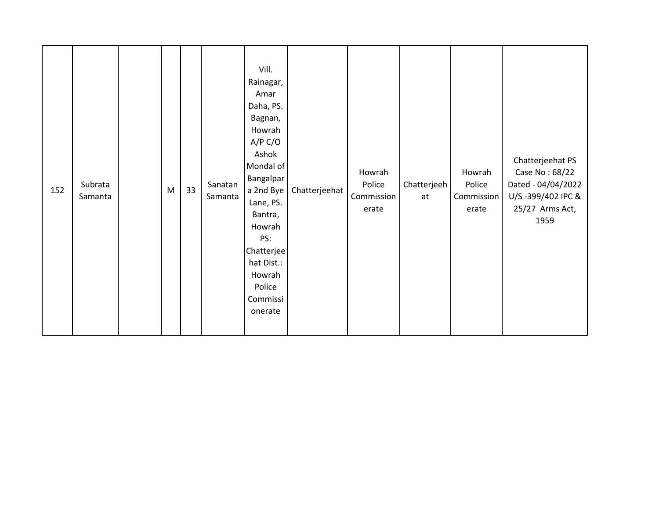| 152 | Subrata<br>Samanta |  | ${\sf M}$ | 33 | Sanatan<br>Samanta | Vill.<br>Rainagar,<br>Amar<br>Daha, PS.<br>Bagnan,<br>Howrah<br>A/P C/O<br>Ashok<br>Mondal of<br><b>Bangalpar</b><br>a 2nd Bye<br>Lane, PS.<br>Bantra,<br>Howrah<br>PS:<br>Chatterjee<br>hat Dist.:<br>Howrah<br>Police<br>Commissi<br>onerate | Chatterjeehat | Howrah<br>Police<br>Commission<br>erate | Chatterjeeh<br>at | Howrah<br>Police<br>Commission<br>erate | Chatterjeehat PS<br>Case No: 68/22<br>Dated - 04/04/2022<br>U/S-399/402 IPC &<br>25/27 Arms Act,<br>1959 |
|-----|--------------------|--|-----------|----|--------------------|------------------------------------------------------------------------------------------------------------------------------------------------------------------------------------------------------------------------------------------------|---------------|-----------------------------------------|-------------------|-----------------------------------------|----------------------------------------------------------------------------------------------------------|
|-----|--------------------|--|-----------|----|--------------------|------------------------------------------------------------------------------------------------------------------------------------------------------------------------------------------------------------------------------------------------|---------------|-----------------------------------------|-------------------|-----------------------------------------|----------------------------------------------------------------------------------------------------------|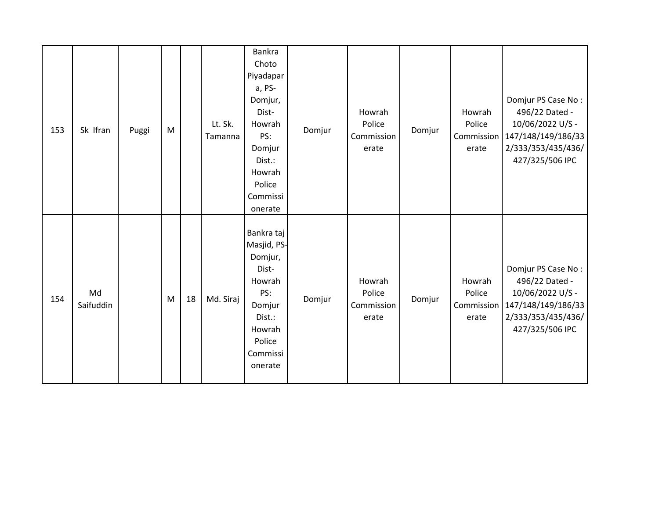| 153 | Sk Ifran        | Puggi | M |    | Lt. Sk.<br>Tamanna | Bankra<br>Choto<br>Piyadapar<br>a, PS-<br>Domjur,<br>Dist-<br>Howrah<br>PS:<br>Domjur<br>Dist.:<br>Howrah<br>Police<br>Commissi<br>onerate | Domjur | Howrah<br>Police<br>Commission<br>erate | Domjur | Howrah<br>Police<br>Commission<br>erate | Domjur PS Case No:<br>496/22 Dated -<br>10/06/2022 U/S -<br>147/148/149/186/33<br>2/333/353/435/436/<br>427/325/506 IPC              |
|-----|-----------------|-------|---|----|--------------------|--------------------------------------------------------------------------------------------------------------------------------------------|--------|-----------------------------------------|--------|-----------------------------------------|--------------------------------------------------------------------------------------------------------------------------------------|
| 154 | Md<br>Saifuddin |       | M | 18 | Md. Siraj          | Bankra taj<br>Masjid, PS-<br>Domjur,<br>Dist-<br>Howrah<br>PS:<br>Domjur<br>Dist.:<br>Howrah<br>Police<br>Commissi<br>onerate              | Domjur | Howrah<br>Police<br>Commission<br>erate | Domjur | Howrah<br>Police<br>erate               | Domjur PS Case No:<br>496/22 Dated -<br>10/06/2022 U/S -<br>Commission   147/148/149/186/33<br>2/333/353/435/436/<br>427/325/506 IPC |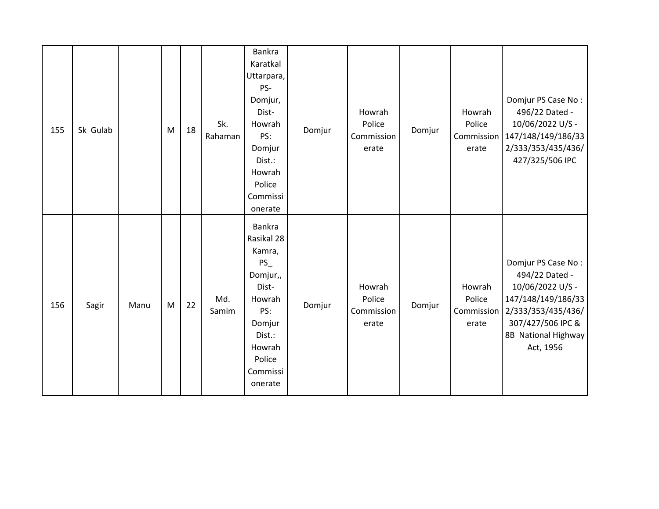| 155 | Sk Gulab |      | M | 18 | Sk.<br>Rahaman | Bankra<br>Karatkal<br>Uttarpara,<br>PS-<br>Domjur,<br>Dist-<br>Howrah<br>PS:<br>Domjur<br>Dist.:<br>Howrah<br>Police<br>Commissi<br>onerate  | Domjur | Howrah<br>Police<br>Commission<br>erate | Domjur | Howrah<br>Police<br>erate               | Domjur PS Case No:<br>496/22 Dated -<br>10/06/2022 U/S -<br>Commission   147/148/149/186/33<br>2/333/353/435/436/<br>427/325/506 IPC                          |
|-----|----------|------|---|----|----------------|----------------------------------------------------------------------------------------------------------------------------------------------|--------|-----------------------------------------|--------|-----------------------------------------|---------------------------------------------------------------------------------------------------------------------------------------------------------------|
| 156 | Sagir    | Manu | M | 22 | Md.<br>Samim   | Bankra<br>Rasikal 28<br>Kamra,<br>$PS_$<br>Domjur,,<br>Dist-<br>Howrah<br>PS:<br>Domjur<br>Dist.:<br>Howrah<br>Police<br>Commissi<br>onerate | Domjur | Howrah<br>Police<br>Commission<br>erate | Domjur | Howrah<br>Police<br>Commission<br>erate | Domjur PS Case No:<br>494/22 Dated -<br>10/06/2022 U/S -<br>147/148/149/186/33<br>2/333/353/435/436/<br>307/427/506 IPC &<br>8B National Highway<br>Act, 1956 |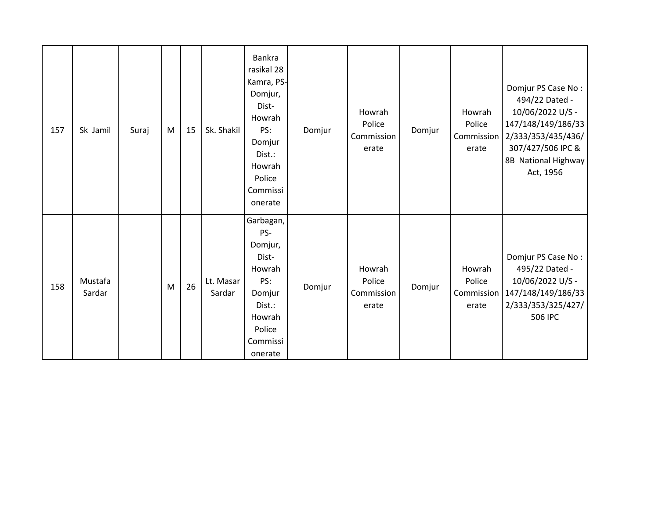| 157 | Sk Jamil          | Suraj | M | 15 | Sk. Shakil          | Bankra<br>rasikal 28<br>Kamra, PS-<br>Domjur,<br>Dist-<br>Howrah<br>PS:<br>Domjur<br>Dist.:<br>Howrah<br>Police<br>Commissi<br>onerate | Domjur | Howrah<br>Police<br>Commission<br>erate | Domjur | Howrah<br>Police<br>Commission<br>erate | Domjur PS Case No:<br>494/22 Dated -<br>10/06/2022 U/S -<br>147/148/149/186/33<br>2/333/353/435/436/<br>307/427/506 IPC &<br>8B National Highway<br>Act, 1956 |
|-----|-------------------|-------|---|----|---------------------|----------------------------------------------------------------------------------------------------------------------------------------|--------|-----------------------------------------|--------|-----------------------------------------|---------------------------------------------------------------------------------------------------------------------------------------------------------------|
| 158 | Mustafa<br>Sardar |       | M | 26 | Lt. Masar<br>Sardar | Garbagan,<br>PS-<br>Domjur,<br>Dist-<br>Howrah<br>PS:<br>Domjur<br>Dist.:<br>Howrah<br>Police<br>Commissi<br>onerate                   | Domjur | Howrah<br>Police<br>Commission<br>erate | Domjur | Howrah<br>Police<br>Commission<br>erate | Domjur PS Case No:<br>495/22 Dated -<br>10/06/2022 U/S -<br>147/148/149/186/33<br>2/333/353/325/427/<br>506 IPC                                               |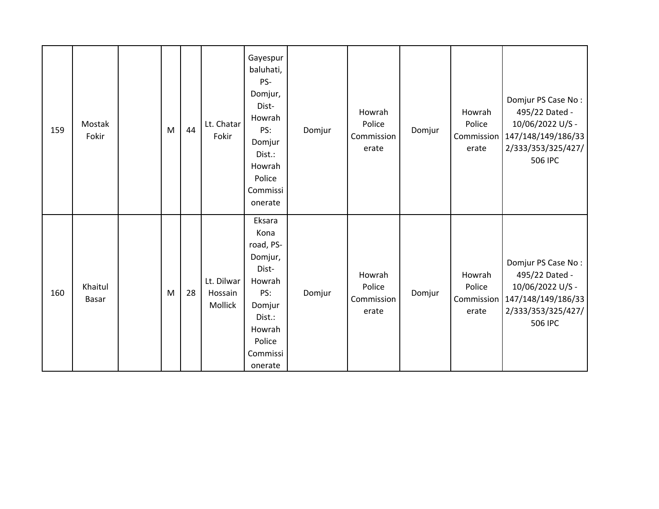| 159 | Mostak<br>Fokir  | M | 44 | Lt. Chatar<br>Fokir              | Gayespur<br>baluhati,<br>PS-<br>Domjur,<br>Dist-<br>Howrah<br>PS:<br>Domjur<br>Dist.:<br>Howrah<br>Police<br>Commissi<br>onerate | Domjur | Howrah<br>Police<br>Commission<br>erate | Domjur | Howrah<br>Police<br>Commission<br>erate | Domjur PS Case No:<br>495/22 Dated -<br>10/06/2022 U/S -<br>147/148/149/186/33<br>2/333/353/325/427/<br>506 IPC |
|-----|------------------|---|----|----------------------------------|----------------------------------------------------------------------------------------------------------------------------------|--------|-----------------------------------------|--------|-----------------------------------------|-----------------------------------------------------------------------------------------------------------------|
| 160 | Khaitul<br>Basar | M | 28 | Lt. Dilwar<br>Hossain<br>Mollick | Eksara<br>Kona<br>road, PS-<br>Domjur,<br>Dist-<br>Howrah<br>PS:<br>Domjur<br>Dist.:<br>Howrah<br>Police<br>Commissi<br>onerate  | Domjur | Howrah<br>Police<br>Commission<br>erate | Domjur | Howrah<br>Police<br>Commission<br>erate | Domjur PS Case No:<br>495/22 Dated -<br>10/06/2022 U/S -<br>147/148/149/186/33<br>2/333/353/325/427/<br>506 IPC |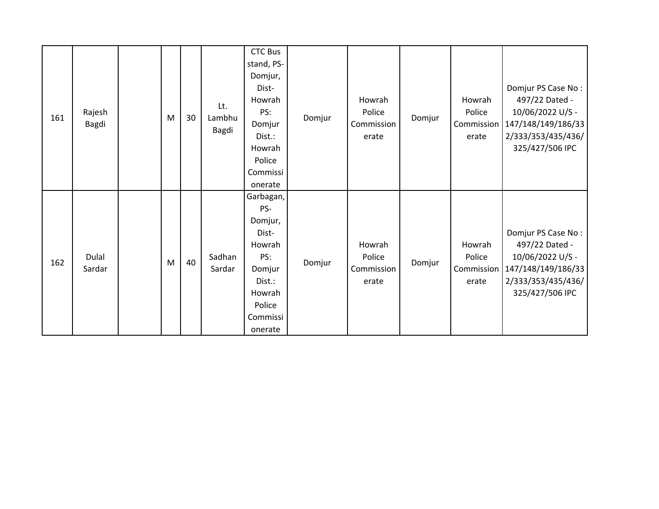| 161 | Rajesh<br>Bagdi | M | 30 | Lt.<br>Lambhu<br>Bagdi | <b>CTC Bus</b><br>stand, PS-<br>Domjur,<br>Dist-<br>Howrah<br>PS:<br>Domjur<br>Dist.:<br>Howrah<br>Police<br>Commissi           | Domjur | Howrah<br>Police<br>Commission<br>erate | Domjur | Howrah<br>Police<br>Commission<br>erate | Domjur PS Case No:<br>497/22 Dated -<br>10/06/2022 U/S -<br>147/148/149/186/33<br>2/333/353/435/436/<br>325/427/506 IPC |
|-----|-----------------|---|----|------------------------|---------------------------------------------------------------------------------------------------------------------------------|--------|-----------------------------------------|--------|-----------------------------------------|-------------------------------------------------------------------------------------------------------------------------|
| 162 | Dulal<br>Sardar | M | 40 | Sadhan<br>Sardar       | onerate<br>Garbagan,<br>PS-<br>Domjur,<br>Dist-<br>Howrah<br>PS:<br>Domjur<br>Dist.:<br>Howrah<br>Police<br>Commissi<br>onerate | Domjur | Howrah<br>Police<br>Commission<br>erate | Domjur | Howrah<br>Police<br>Commission<br>erate | Domjur PS Case No:<br>497/22 Dated -<br>10/06/2022 U/S -<br>147/148/149/186/33<br>2/333/353/435/436/<br>325/427/506 IPC |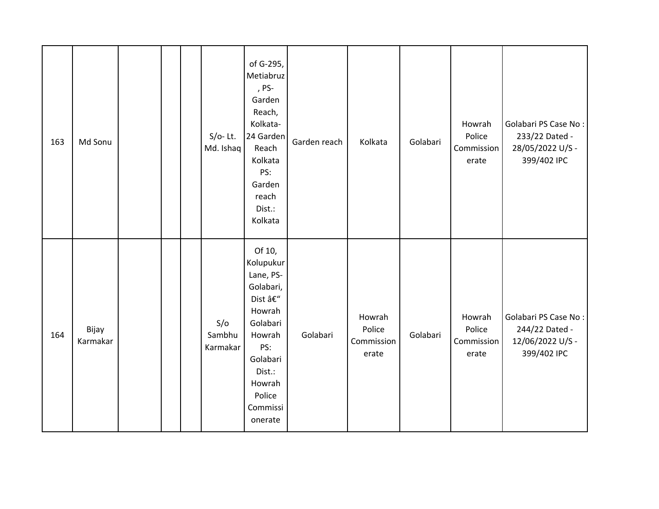| 163 | Md Sonu           |  | $S/O-$ Lt.<br>Md. Ishaq   | of G-295,<br>Metiabruz<br>, PS-<br>Garden<br>Reach,<br>Kolkata-<br>24 Garden<br>Reach<br>Kolkata<br>PS:<br>Garden<br>reach<br>Dist.:<br>Kolkata                 | Garden reach | Kolkata                                 | Golabari | Howrah<br>Police<br>Commission<br>erate | Golabari PS Case No:<br>233/22 Dated -<br>28/05/2022 U/S -<br>399/402 IPC |
|-----|-------------------|--|---------------------------|-----------------------------------------------------------------------------------------------------------------------------------------------------------------|--------------|-----------------------------------------|----------|-----------------------------------------|---------------------------------------------------------------------------|
| 164 | Bijay<br>Karmakar |  | S/O<br>Sambhu<br>Karmakar | Of 10,<br>Kolupukur<br>Lane, PS-<br>Golabari,<br>Dist –<br>Howrah<br>Golabari<br>Howrah<br>PS:<br>Golabari<br>Dist.:<br>Howrah<br>Police<br>Commissi<br>onerate | Golabari     | Howrah<br>Police<br>Commission<br>erate | Golabari | Howrah<br>Police<br>Commission<br>erate | Golabari PS Case No:<br>244/22 Dated -<br>12/06/2022 U/S -<br>399/402 IPC |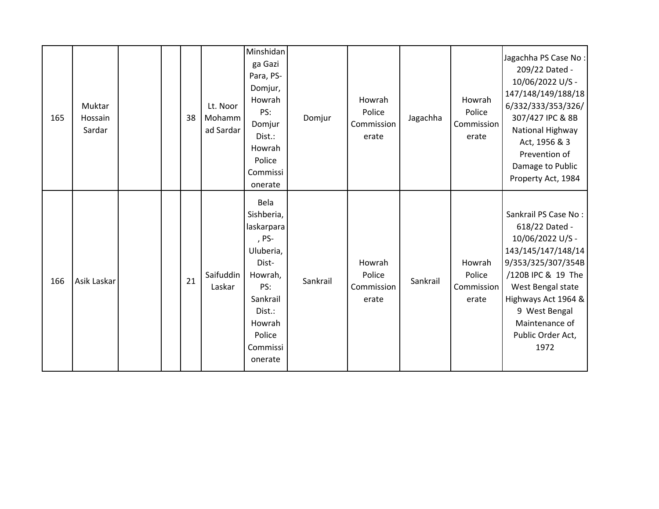| 165 | Muktar<br>Hossain<br>Sardar |  | 38 | Lt. Noor<br>Mohamm<br>ad Sardar | Minshidan<br>ga Gazi<br>Para, PS-<br>Domjur,<br>Howrah<br>PS:<br>Domjur<br>Dist.:<br>Howrah<br>Police<br>Commissi<br>onerate                       | Domjur   | Howrah<br>Police<br>Commission<br>erate | Jagachha | Howrah<br>Police<br>Commission<br>erate | Jagachha PS Case No:<br>209/22 Dated -<br>10/06/2022 U/S -<br>147/148/149/188/18<br>6/332/333/353/326/<br>307/427 IPC & 8B<br>National Highway<br>Act, 1956 & 3<br>Prevention of<br>Damage to Public<br>Property Act, 1984               |
|-----|-----------------------------|--|----|---------------------------------|----------------------------------------------------------------------------------------------------------------------------------------------------|----------|-----------------------------------------|----------|-----------------------------------------|------------------------------------------------------------------------------------------------------------------------------------------------------------------------------------------------------------------------------------------|
| 166 | Asik Laskar                 |  | 21 | Saifuddin<br>Laskar             | Bela<br>Sishberia,<br>laskarpara<br>, PS-<br>Uluberia,<br>Dist-<br>Howrah,<br>PS:<br>Sankrail<br>Dist.:<br>Howrah<br>Police<br>Commissi<br>onerate | Sankrail | Howrah<br>Police<br>Commission<br>erate | Sankrail | Howrah<br>Police<br>Commission<br>erate | Sankrail PS Case No:<br>618/22 Dated -<br>10/06/2022 U/S -<br>143/145/147/148/14<br>9/353/325/307/354B<br>/120B IPC & 19 The<br>West Bengal state<br>Highways Act 1964 &<br>9 West Bengal<br>Maintenance of<br>Public Order Act,<br>1972 |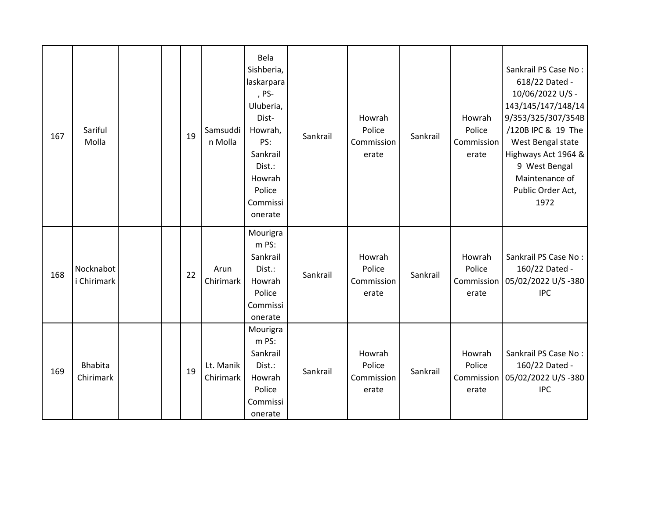| 167 | Sariful<br>Molla            |  | 19 | Samsuddi<br>n Molla    | Bela<br>Sishberia,<br>laskarpara<br>, PS-<br>Uluberia,<br>Dist-<br>Howrah,<br>PS:<br>Sankrail<br>Dist.:<br>Howrah<br>Police<br>Commissi<br>onerate | Sankrail | Howrah<br>Police<br>Commission<br>erate | Sankrail | Howrah<br>Police<br>Commission<br>erate | Sankrail PS Case No:<br>618/22 Dated -<br>10/06/2022 U/S -<br>143/145/147/148/14<br>9/353/325/307/354B<br>/120B IPC & 19 The<br>West Bengal state<br>Highways Act 1964 &<br>9 West Bengal<br>Maintenance of<br>Public Order Act,<br>1972 |
|-----|-----------------------------|--|----|------------------------|----------------------------------------------------------------------------------------------------------------------------------------------------|----------|-----------------------------------------|----------|-----------------------------------------|------------------------------------------------------------------------------------------------------------------------------------------------------------------------------------------------------------------------------------------|
| 168 | Nocknabot<br>i Chirimark    |  | 22 | Arun<br>Chirimark      | Mourigra<br>m PS:<br>Sankrail<br>Dist.:<br>Howrah<br>Police<br>Commissi<br>onerate                                                                 | Sankrail | Howrah<br>Police<br>Commission<br>erate | Sankrail | Howrah<br>Police<br>erate               | Sankrail PS Case No:<br>160/22 Dated -<br>Commission 05/02/2022 U/S -380<br><b>IPC</b>                                                                                                                                                   |
| 169 | <b>Bhabita</b><br>Chirimark |  | 19 | Lt. Manik<br>Chirimark | Mourigra<br>m PS:<br>Sankrail<br>Dist.:<br>Howrah<br>Police<br>Commissi<br>onerate                                                                 | Sankrail | Howrah<br>Police<br>Commission<br>erate | Sankrail | Howrah<br>Police<br>erate               | Sankrail PS Case No:<br>160/22 Dated -<br>Commission   05/02/2022 U/S -380<br><b>IPC</b>                                                                                                                                                 |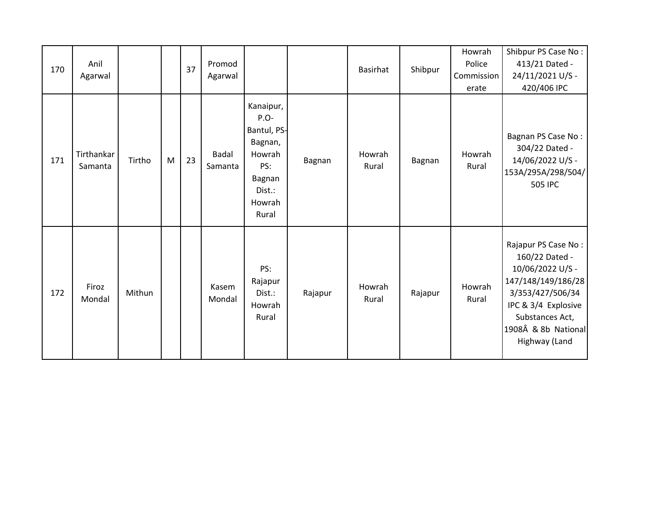| 170 | Anil<br>Agarwal       |        |   | 37 | Promod<br>Agarwal       |                                                                                                       |         | <b>Basirhat</b> | Shibpur | Howrah<br>Police<br>Commission<br>erate | Shibpur PS Case No:<br>413/21 Dated -<br>24/11/2021 U/S -<br>420/406 IPC                                                                                                              |
|-----|-----------------------|--------|---|----|-------------------------|-------------------------------------------------------------------------------------------------------|---------|-----------------|---------|-----------------------------------------|---------------------------------------------------------------------------------------------------------------------------------------------------------------------------------------|
| 171 | Tirthankar<br>Samanta | Tirtho | M | 23 | <b>Badal</b><br>Samanta | Kanaipur,<br>$P.O-$<br>Bantul, PS-<br>Bagnan,<br>Howrah<br>PS:<br>Bagnan<br>Dist.:<br>Howrah<br>Rural | Bagnan  | Howrah<br>Rural | Bagnan  | Howrah<br>Rural                         | Bagnan PS Case No:<br>304/22 Dated -<br>14/06/2022 U/S -<br>153A/295A/298/504/<br>505 IPC                                                                                             |
| 172 | Firoz<br>Mondal       | Mithun |   |    | Kasem<br>Mondal         | PS:<br>Rajapur<br>Dist.:<br>Howrah<br>Rural                                                           | Rajapur | Howrah<br>Rural | Rajapur | Howrah<br>Rural                         | Rajapur PS Case No:<br>160/22 Dated -<br>10/06/2022 U/S -<br>147/148/149/186/28<br>3/353/427/506/34<br>IPC & 3/4 Explosive<br>Substances Act,<br>1908Â & 8b National<br>Highway (Land |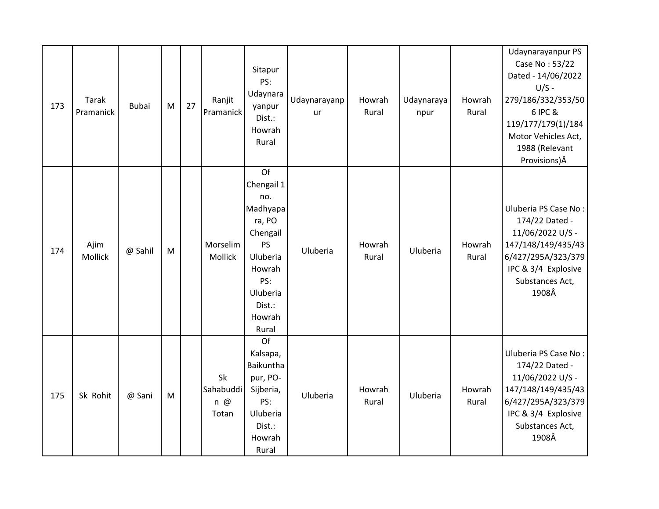| 173 | Tarak<br>Pramanick | <b>Bubai</b> | M         | 27 | Ranjit<br>Pramanick                    | Sitapur<br>PS:<br>Udaynara<br>yanpur<br>Dist.:<br>Howrah<br>Rural                                                                     | Udaynarayanp<br>ur | Howrah<br>Rural | Udaynaraya<br>npur | Howrah<br>Rural | Udaynarayanpur PS<br>Case No: 53/22<br>Dated - 14/06/2022<br>$U/S -$<br>279/186/332/353/50<br>6 IPC &<br>119/177/179(1)/184<br>Motor Vehicles Act,<br>1988 (Relevant<br>Provisions) Â |
|-----|--------------------|--------------|-----------|----|----------------------------------------|---------------------------------------------------------------------------------------------------------------------------------------|--------------------|-----------------|--------------------|-----------------|---------------------------------------------------------------------------------------------------------------------------------------------------------------------------------------|
| 174 | Ajim<br>Mollick    | @ Sahil      | ${\sf M}$ |    | Morselim<br>Mollick                    | Of<br>Chengail 1<br>no.<br>Madhyapa<br>ra, PO<br>Chengail<br>PS<br>Uluberia<br>Howrah<br>PS:<br>Uluberia<br>Dist.:<br>Howrah<br>Rural | Uluberia           | Howrah<br>Rural | Uluberia           | Howrah<br>Rural | Uluberia PS Case No:<br>174/22 Dated -<br>11/06/2022 U/S -<br>147/148/149/435/43<br>6/427/295A/323/379<br>IPC & 3/4 Explosive<br>Substances Act,<br>1908Â                             |
| 175 | Sk Rohit           | @ Sani       | ${\sf M}$ |    | Sk<br>Sahabuddi<br>$n \omega$<br>Totan | Of<br>Kalsapa,<br>Baikuntha<br>pur, PO-<br>Sijberia,<br>PS:<br>Uluberia<br>Dist.:<br>Howrah<br>Rural                                  | Uluberia           | Howrah<br>Rural | Uluberia           | Howrah<br>Rural | Uluberia PS Case No:<br>174/22 Dated -<br>11/06/2022 U/S -<br>147/148/149/435/43<br>6/427/295A/323/379<br>IPC & 3/4 Explosive<br>Substances Act,<br>1908Â                             |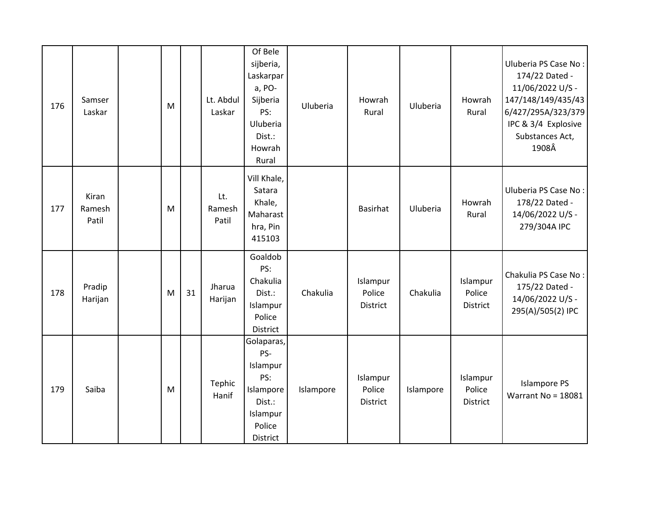| 176 | Samser<br>Laskar         | M |    | Lt. Abdul<br>Laskar    | Of Bele<br>sijberia,<br>Laskarpar<br>a, PO-<br>Sijberia<br>PS:<br>Uluberia<br>Dist.:<br>Howrah<br>Rural | Uluberia  | Howrah<br>Rural                | Uluberia  | Howrah<br>Rural                       | Uluberia PS Case No:<br>174/22 Dated -<br>11/06/2022 U/S -<br>147/148/149/435/43<br>6/427/295A/323/379<br>IPC & 3/4 Explosive<br>Substances Act,<br>1908Â |
|-----|--------------------------|---|----|------------------------|---------------------------------------------------------------------------------------------------------|-----------|--------------------------------|-----------|---------------------------------------|-----------------------------------------------------------------------------------------------------------------------------------------------------------|
| 177 | Kiran<br>Ramesh<br>Patil | M |    | Lt.<br>Ramesh<br>Patil | Vill Khale,<br>Satara<br>Khale,<br>Maharast<br>hra, Pin<br>415103                                       |           | <b>Basirhat</b>                | Uluberia  | Howrah<br>Rural                       | Uluberia PS Case No:<br>178/22 Dated -<br>14/06/2022 U/S -<br>279/304A IPC                                                                                |
| 178 | Pradip<br>Harijan        | M | 31 | Jharua<br>Harijan      | Goaldob<br>PS:<br>Chakulia<br>Dist.:<br>Islampur<br>Police<br>District                                  | Chakulia  | Islampur<br>Police<br>District | Chakulia  | Islampur<br>Police<br>District        | Chakulia PS Case No:<br>175/22 Dated -<br>14/06/2022 U/S -<br>295(A)/505(2) IPC                                                                           |
| 179 | Saiba                    | M |    | Tephic<br>Hanif        | Golaparas,<br>PS-<br>Islampur<br>PS:<br>Islampore<br>Dist.:<br>Islampur<br>Police<br>District           | Islampore | Islampur<br>Police<br>District | Islampore | Islampur<br>Police<br><b>District</b> | <b>Islampore PS</b><br>Warrant No = 18081                                                                                                                 |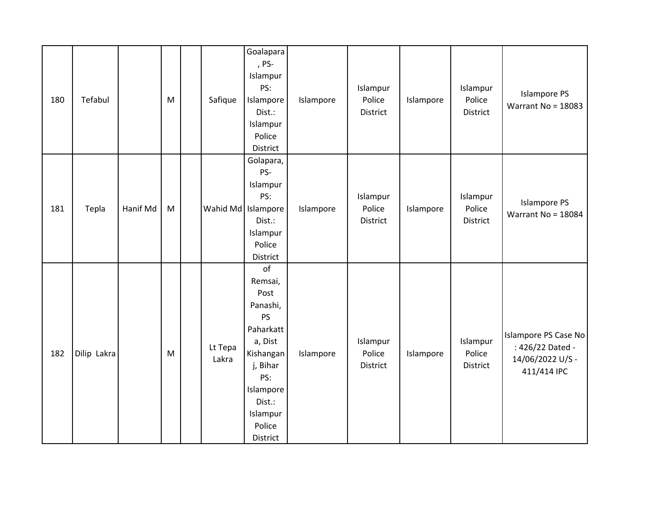| 180 | Tefabul     |          | M         | Safique            | Goalapara<br>, PS-<br>Islampur<br>PS:<br>Islampore<br>Dist.:<br>Islampur<br>Police<br>District                                                           | Islampore | Islampur<br>Police<br><b>District</b> | Islampore | Islampur<br>Police<br><b>District</b> | <b>Islampore PS</b><br>Warrant No = $18083$                                 |
|-----|-------------|----------|-----------|--------------------|----------------------------------------------------------------------------------------------------------------------------------------------------------|-----------|---------------------------------------|-----------|---------------------------------------|-----------------------------------------------------------------------------|
| 181 | Tepla       | Hanif Md | ${\sf M}$ | Wahid Md Islampore | Golapara,<br>PS-<br>Islampur<br>PS:<br>Dist.:<br>Islampur<br>Police<br>District                                                                          | Islampore | Islampur<br>Police<br><b>District</b> | Islampore | Islampur<br>Police<br><b>District</b> | <b>Islampore PS</b><br>Warrant No = 18084                                   |
| 182 | Dilip Lakra |          | M         | Lt Tepa<br>Lakra   | of<br>Remsai,<br>Post<br>Panashi,<br>PS<br>Paharkatt<br>a, Dist<br>Kishangan<br>j, Bihar<br>PS:<br>Islampore<br>Dist.:<br>Islampur<br>Police<br>District | Islampore | Islampur<br>Police<br>District        | Islampore | Islampur<br>Police<br>District        | Islampore PS Case No<br>: 426/22 Dated -<br>14/06/2022 U/S -<br>411/414 IPC |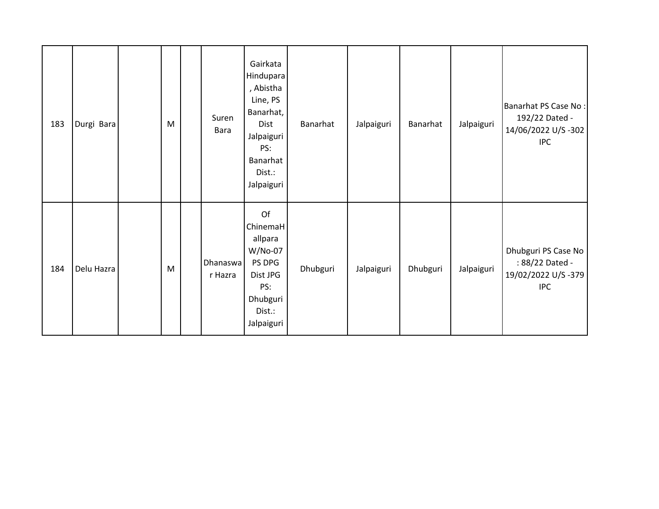| 183 | Durgi Bara | M | Suren<br>Bara              | Gairkata<br>Hindupara<br>, Abistha<br>Line, PS<br>Banarhat,<br>Dist<br>Jalpaiguri<br>PS:<br>Banarhat<br>Dist.:<br>Jalpaiguri | Banarhat | Jalpaiguri | Banarhat | Jalpaiguri | Banarhat PS Case No:<br>192/22 Dated -<br>14/06/2022 U/S-302<br><b>IPC</b> |
|-----|------------|---|----------------------------|------------------------------------------------------------------------------------------------------------------------------|----------|------------|----------|------------|----------------------------------------------------------------------------|
| 184 | Delu Hazra | M | <b>Dhanaswa</b><br>r Hazra | Of<br>ChinemaH<br>allpara<br>W/No-07<br>PS DPG<br>Dist JPG<br>PS:<br>Dhubguri<br>Dist.:<br>Jalpaiguri                        | Dhubguri | Jalpaiguri | Dhubguri | Jalpaiguri | Dhubguri PS Case No<br>: 88/22 Dated -<br>19/02/2022 U/S-379<br><b>IPC</b> |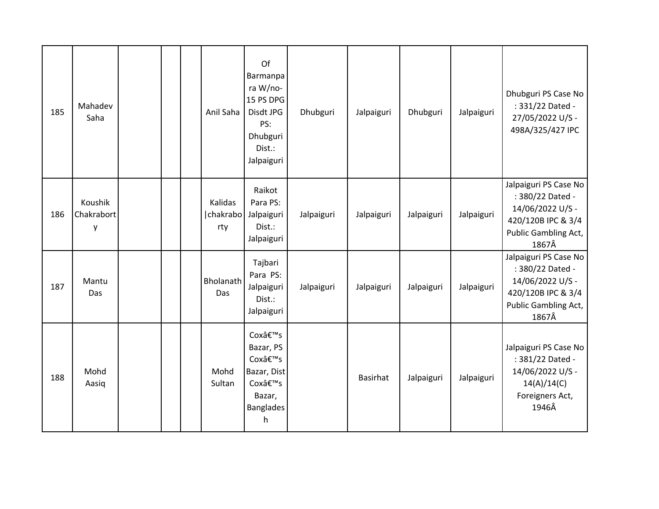| 185 | Mahadev<br>Saha            |  | Anil Saha                                 | Of<br>Barmanpa<br>ra W/no-<br>15 PS DPG<br>Disdt JPG<br>PS:<br>Dhubguri<br>Dist.:<br>Jalpaiguri | Dhubguri   | Jalpaiguri      | Dhubguri   | Jalpaiguri | Dhubguri PS Case No<br>: 331/22 Dated -<br>27/05/2022 U/S -<br>498A/325/427 IPC                                      |
|-----|----------------------------|--|-------------------------------------------|-------------------------------------------------------------------------------------------------|------------|-----------------|------------|------------|----------------------------------------------------------------------------------------------------------------------|
| 186 | Koushik<br>Chakrabort<br>у |  | Kalidas<br>  chakrabo   Jalpaiguri<br>rty | Raikot<br>Para PS:<br>Dist.:<br>Jalpaiguri                                                      | Jalpaiguri | Jalpaiguri      | Jalpaiguri | Jalpaiguri | Jalpaiguri PS Case No<br>: 380/22 Dated -<br>14/06/2022 U/S -<br>420/120B IPC & 3/4<br>Public Gambling Act,<br>1867Â |
| 187 | Mantu<br>Das               |  | Bholanath<br>Das                          | Tajbari<br>Para PS:<br>Jalpaiguri<br>Dist.:<br>Jalpaiguri                                       | Jalpaiguri | Jalpaiguri      | Jalpaiguri | Jalpaiguri | Jalpaiguri PS Case No<br>: 380/22 Dated -<br>14/06/2022 U/S -<br>420/120B IPC & 3/4<br>Public Gambling Act,<br>1867Â |
| 188 | Mohd<br>Aasiq              |  | Mohd<br>Sultan                            | Cox's<br>Bazar, PS<br>Cox's<br>Bazar, Dist<br>Cox's<br>Bazar,<br><b>Banglades</b><br>h.         |            | <b>Basirhat</b> | Jalpaiguri | Jalpaiguri | Jalpaiguri PS Case No<br>: 381/22 Dated -<br>14/06/2022 U/S -<br>14(A)/14(C)<br>Foreigners Act,<br>1946Â             |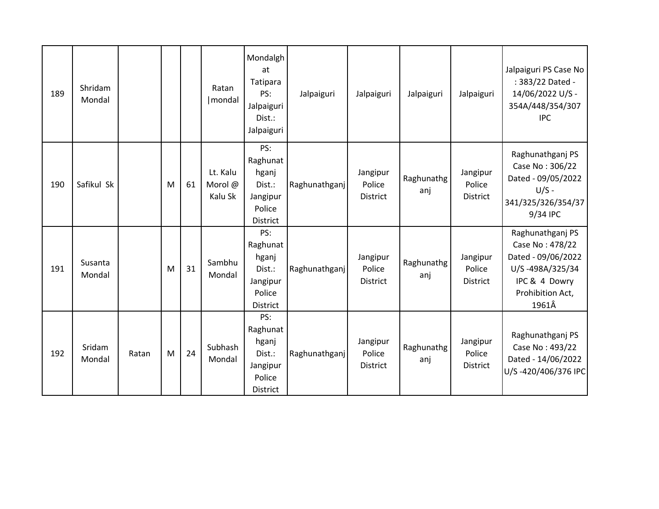| 189 | Shridam<br>Mondal |       |   |    | Ratan<br>  mondal              | Mondalgh<br>at<br>Tatipara<br>PS:<br>Jalpaiguri<br>Dist.:<br>Jalpaiguri | Jalpaiguri    | Jalpaiguri                            | Jalpaiguri        | Jalpaiguri                            | Jalpaiguri PS Case No<br>: 383/22 Dated -<br>14/06/2022 U/S -<br>354A/448/354/307<br><b>IPC</b>                            |
|-----|-------------------|-------|---|----|--------------------------------|-------------------------------------------------------------------------|---------------|---------------------------------------|-------------------|---------------------------------------|----------------------------------------------------------------------------------------------------------------------------|
| 190 | Safikul Sk        |       | M | 61 | Lt. Kalu<br>Morol @<br>Kalu Sk | PS:<br>Raghunat<br>hganj<br>Dist.:<br>Jangipur<br>Police<br>District    | Raghunathganj | Jangipur<br>Police<br>District        | Raghunathg<br>anj | Jangipur<br>Police<br>District        | Raghunathganj PS<br>Case No: 306/22<br>Dated - 09/05/2022<br>$U/S -$<br>341/325/326/354/37<br>9/34 IPC                     |
| 191 | Susanta<br>Mondal |       | M | 31 | Sambhu<br>Mondal               | PS:<br>Raghunat<br>hganj<br>Dist.:<br>Jangipur<br>Police<br>District    | Raghunathganj | Jangipur<br>Police<br><b>District</b> | Raghunathg<br>anj | Jangipur<br>Police<br><b>District</b> | Raghunathganj PS<br>Case No: 478/22<br>Dated - 09/06/2022<br>U/S-498A/325/34<br>IPC & 4 Dowry<br>Prohibition Act,<br>1961Â |
| 192 | Sridam<br>Mondal  | Ratan | M | 24 | Subhash<br>Mondal              | PS:<br>Raghunat<br>hganj<br>Dist.:<br>Jangipur<br>Police<br>District    | Raghunathganj | Jangipur<br>Police<br><b>District</b> | Raghunathg<br>anj | Jangipur<br>Police<br><b>District</b> | Raghunathganj PS<br>Case No: 493/22<br>Dated - 14/06/2022<br>U/S-420/406/376 IPC                                           |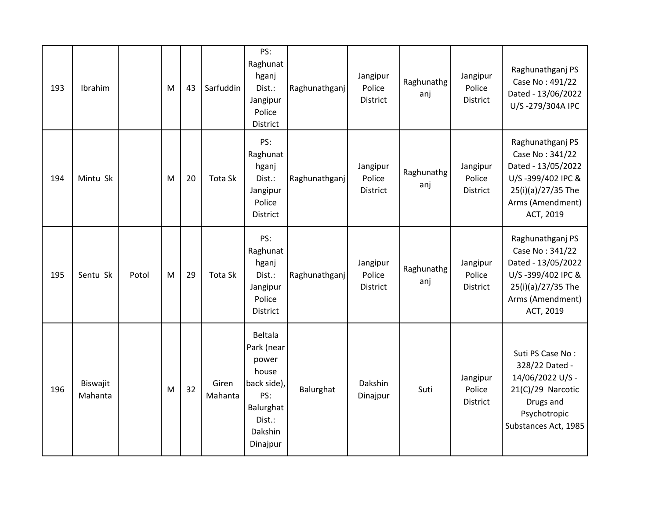| 193 | Ibrahim             |       | M | 43 | Sarfuddin        | PS:<br>Raghunat<br>hganj<br>Dist.:<br>Jangipur<br>Police<br>District                                               | Raghunathganj | Jangipur<br>Police<br>District | Raghunathg<br>anj | Jangipur<br>Police<br><b>District</b> | Raghunathganj PS<br>Case No: 491/22<br>Dated - 13/06/2022<br>U/S-279/304A IPC                                                         |
|-----|---------------------|-------|---|----|------------------|--------------------------------------------------------------------------------------------------------------------|---------------|--------------------------------|-------------------|---------------------------------------|---------------------------------------------------------------------------------------------------------------------------------------|
| 194 | Mintu Sk            |       | M | 20 | Tota Sk          | PS:<br>Raghunat<br>hganj<br>Dist.:<br>Jangipur<br>Police<br><b>District</b>                                        | Raghunathganj | Jangipur<br>Police<br>District | Raghunathg<br>anj | Jangipur<br>Police<br>District        | Raghunathganj PS<br>Case No: 341/22<br>Dated - 13/05/2022<br>U/S-399/402 IPC &<br>25(i)(a)/27/35 The<br>Arms (Amendment)<br>ACT, 2019 |
| 195 | Sentu Sk            | Potol | M | 29 | Tota Sk          | PS:<br>Raghunat<br>hganj<br>Dist.:<br>Jangipur<br>Police<br>District                                               | Raghunathganj | Jangipur<br>Police<br>District | Raghunathg<br>anj | Jangipur<br>Police<br><b>District</b> | Raghunathganj PS<br>Case No: 341/22<br>Dated - 13/05/2022<br>U/S-399/402 IPC &<br>25(i)(a)/27/35 The<br>Arms (Amendment)<br>ACT, 2019 |
| 196 | Biswajit<br>Mahanta |       | M | 32 | Giren<br>Mahanta | <b>Beltala</b><br>Park (near<br>power<br>house<br>back side),<br>PS:<br>Balurghat<br>Dist.:<br>Dakshin<br>Dinajpur | Balurghat     | Dakshin<br>Dinajpur            | Suti              | Jangipur<br>Police<br>District        | Suti PS Case No:<br>328/22 Dated -<br>14/06/2022 U/S -<br>21(C)/29 Narcotic<br>Drugs and<br>Psychotropic<br>Substances Act, 1985      |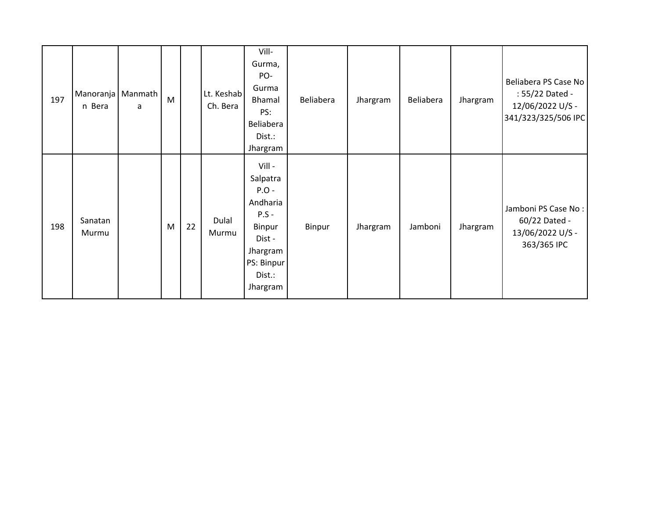| 197 | Manoranja   Manmath<br>n Bera | a | M |    | Lt. Keshab<br>Ch. Bera | Vill-<br>Gurma,<br>PO-<br>Gurma<br>Bhamal<br>PS:<br>Beliabera<br>Dist.:<br>Jhargram                                      | Beliabera | Jhargram | Beliabera | Jhargram | Beliabera PS Case No<br>: 55/22 Dated -<br>12/06/2022 U/S -<br>341/323/325/506 IPC |
|-----|-------------------------------|---|---|----|------------------------|--------------------------------------------------------------------------------------------------------------------------|-----------|----------|-----------|----------|------------------------------------------------------------------------------------|
| 198 | Sanatan<br>Murmu              |   | M | 22 | Dulal<br>Murmu         | Vill -<br>Salpatra<br>$P.O -$<br>Andharia<br>$P.S -$<br>Binpur<br>Dist -<br>Jhargram<br>PS: Binpur<br>Dist.:<br>Jhargram | Binpur    | Jhargram | Jamboni   | Jhargram | Jamboni PS Case No:<br>60/22 Dated -<br>13/06/2022 U/S -<br>363/365 IPC            |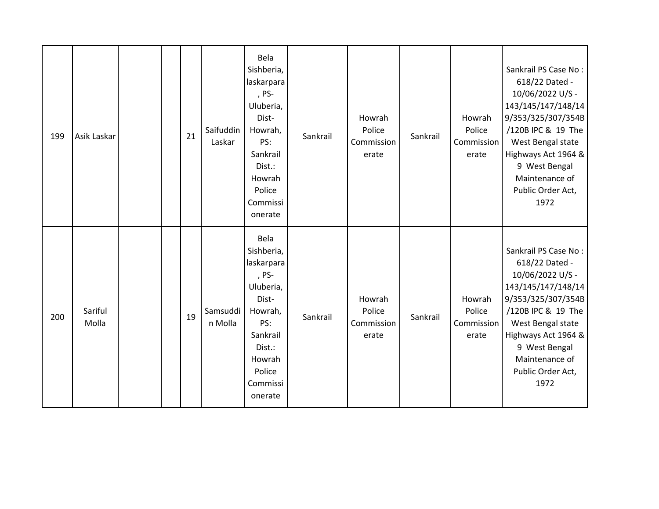| 199 | Asik Laskar      |  | 21 | Saifuddin<br>Laskar | Bela<br>Sishberia,<br>laskarpara<br>, PS-<br>Uluberia,<br>Dist-<br>Howrah,<br>PS:<br>Sankrail<br>Dist.:<br>Howrah<br>Police<br>Commissi<br>onerate | Sankrail | Howrah<br>Police<br>Commission<br>erate | Sankrail | Howrah<br>Police<br>Commission<br>erate | Sankrail PS Case No:<br>618/22 Dated -<br>10/06/2022 U/S -<br>143/145/147/148/14<br>9/353/325/307/354B<br>/120B IPC & 19 The<br>West Bengal state<br>Highways Act 1964 &<br>9 West Bengal<br>Maintenance of<br>Public Order Act,<br>1972 |
|-----|------------------|--|----|---------------------|----------------------------------------------------------------------------------------------------------------------------------------------------|----------|-----------------------------------------|----------|-----------------------------------------|------------------------------------------------------------------------------------------------------------------------------------------------------------------------------------------------------------------------------------------|
| 200 | Sariful<br>Molla |  | 19 | Samsuddi<br>n Molla | Bela<br>Sishberia,<br>laskarpara<br>, PS-<br>Uluberia,<br>Dist-<br>Howrah,<br>PS:<br>Sankrail<br>Dist.:<br>Howrah<br>Police<br>Commissi<br>onerate | Sankrail | Howrah<br>Police<br>Commission<br>erate | Sankrail | Howrah<br>Police<br>Commission<br>erate | Sankrail PS Case No:<br>618/22 Dated -<br>10/06/2022 U/S -<br>143/145/147/148/14<br>9/353/325/307/354B<br>/120B IPC & 19 The<br>West Bengal state<br>Highways Act 1964 &<br>9 West Bengal<br>Maintenance of<br>Public Order Act,<br>1972 |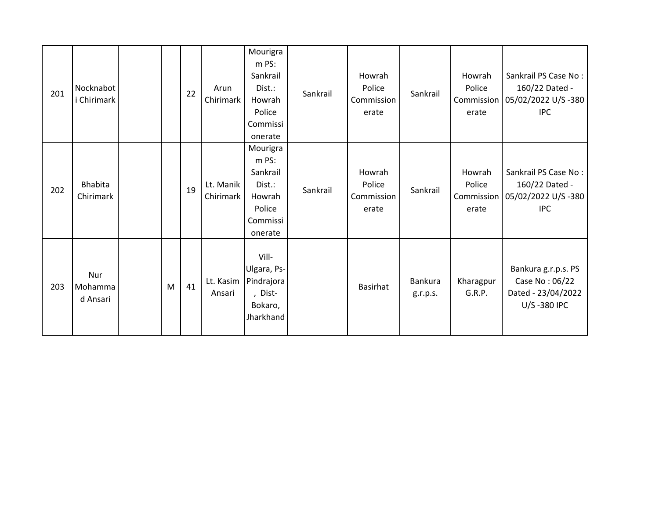| 201 | Nocknabot<br>Chirimark      |   | 22 | Arun<br>Chirimark      | Mourigra<br>m PS:<br>Sankrail<br>Dist.:<br>Howrah<br>Police<br>Commissi<br>onerate | Sankrail | Howrah<br>Police<br>Commission<br>erate | Sankrail                   | Howrah<br>Police<br>Commission<br>erate | Sankrail PS Case No:<br>160/22 Dated -<br>05/02/2022 U/S -380<br><b>IPC</b> |
|-----|-----------------------------|---|----|------------------------|------------------------------------------------------------------------------------|----------|-----------------------------------------|----------------------------|-----------------------------------------|-----------------------------------------------------------------------------|
| 202 | <b>Bhabita</b><br>Chirimark |   | 19 | Lt. Manik<br>Chirimark | Mourigra<br>m PS:<br>Sankrail<br>Dist.:<br>Howrah<br>Police<br>Commissi<br>onerate | Sankrail | Howrah<br>Police<br>Commission<br>erate | Sankrail                   | Howrah<br>Police<br>Commission<br>erate | Sankrail PS Case No:<br>160/22 Dated -<br>05/02/2022 U/S-380<br><b>IPC</b>  |
| 203 | Nur<br>Mohamma<br>d Ansari  | M | 41 | Lt. Kasim<br>Ansari    | Vill-<br>Ulgara, Ps-<br>Pindrajora<br>, Dist-<br>Bokaro,<br>Jharkhand              |          | <b>Basirhat</b>                         | <b>Bankura</b><br>g.r.p.s. | Kharagpur<br>G.R.P.                     | Bankura g.r.p.s. PS<br>Case No: 06/22<br>Dated - 23/04/2022<br>U/S-380 IPC  |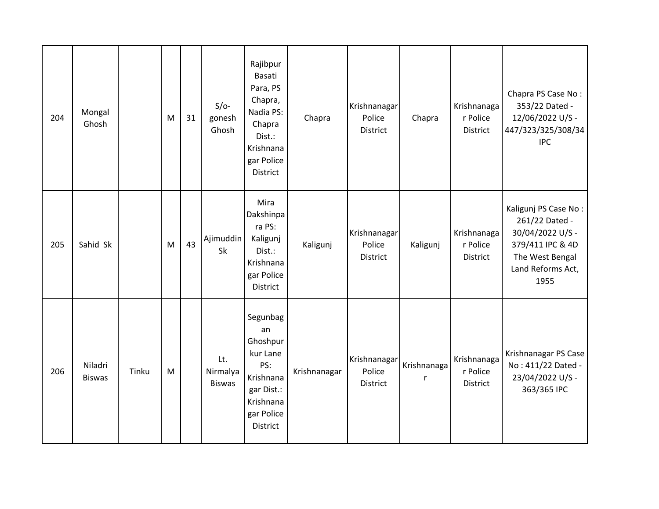| 204 | Mongal<br>Ghosh          |       | M | 31 | $S/O-$<br>gonesh<br>Ghosh        | Rajibpur<br>Basati<br>Para, PS<br>Chapra,<br>Nadia PS:<br>Chapra<br>Dist.:<br>Krishnana<br>gar Police<br>District | Chapra       | Krishnanagar<br>Police<br>District | Chapra           | Krishnanaga<br>r Police<br>District | Chapra PS Case No:<br>353/22 Dated -<br>12/06/2022 U/S -<br>447/323/325/308/34<br><b>IPC</b>                                   |
|-----|--------------------------|-------|---|----|----------------------------------|-------------------------------------------------------------------------------------------------------------------|--------------|------------------------------------|------------------|-------------------------------------|--------------------------------------------------------------------------------------------------------------------------------|
| 205 | Sahid Sk                 |       | M | 43 | Ajimuddin<br>Sk                  | Mira<br>Dakshinpa<br>ra PS:<br>Kaligunj<br>Dist.:<br>Krishnana<br>gar Police<br>District                          | Kaligunj     | Krishnanagar<br>Police<br>District | Kaligunj         | Krishnanaga<br>r Police<br>District | Kaligunj PS Case No:<br>261/22 Dated -<br>30/04/2022 U/S -<br>379/411 IPC & 4D<br>The West Bengal<br>Land Reforms Act,<br>1955 |
| 206 | Niladri<br><b>Biswas</b> | Tinku | M |    | Lt.<br>Nirmalya<br><b>Biswas</b> | Segunbag<br>an<br>Ghoshpur<br>kur Lane<br>PS:<br>Krishnana<br>gar Dist.:<br>Krishnana<br>gar Police<br>District   | Krishnanagar | Krishnanagar<br>Police<br>District | Krishnanaga<br>r | Krishnanaga<br>r Police<br>District | Krishnanagar PS Case<br>No: 411/22 Dated -<br>23/04/2022 U/S -<br>363/365 IPC                                                  |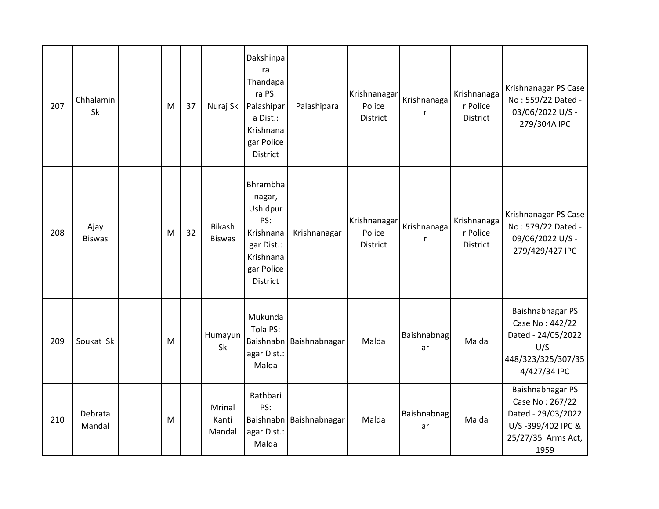| 207 | Chhalamin<br>Sk       | M | 37 | Nuraj Sk                  | Dakshinpa<br>ra<br>Thandapa<br>ra PS:<br>Palashipar<br>a Dist.:<br>Krishnana<br>gar Police<br>District         | Palashipara             | Krishnanagar<br>Police<br><b>District</b> | Krishnanaga<br>r  | Krishnanaga<br>r Police<br><b>District</b> | Krishnanagar PS Case<br>No: 559/22 Dated -<br>03/06/2022 U/S -<br>279/304A IPC                               |
|-----|-----------------------|---|----|---------------------------|----------------------------------------------------------------------------------------------------------------|-------------------------|-------------------------------------------|-------------------|--------------------------------------------|--------------------------------------------------------------------------------------------------------------|
| 208 | Ajay<br><b>Biswas</b> | M | 32 | Bikash<br><b>Biswas</b>   | Bhrambha<br>nagar,<br>Ushidpur<br>PS:<br>Krishnana<br>gar Dist.:<br>Krishnana<br>gar Police<br><b>District</b> | Krishnanagar            | Krishnanagar<br>Police<br><b>District</b> | Krishnanaga<br>r  | Krishnanaga<br>r Police<br><b>District</b> | Krishnanagar PS Case<br>No: 579/22 Dated -<br>09/06/2022 U/S -<br>279/429/427 IPC                            |
| 209 | Soukat Sk             | M |    | Humayun<br>Sk             | Mukunda<br>Tola PS:<br>Baishnabn<br>agar Dist.:<br>Malda                                                       | Baishnabnagar           | Malda                                     | Baishnabnag<br>ar | Malda                                      | Baishnabnagar PS<br>Case No: 442/22<br>Dated - 24/05/2022<br>$U/S -$<br>448/323/325/307/35<br>4/427/34 IPC   |
| 210 | Debrata<br>Mandal     | M |    | Mrinal<br>Kanti<br>Mandal | Rathbari<br>PS:<br>agar Dist.:<br>Malda                                                                        | Baishnabn Baishnabnagar | Malda                                     | Baishnabnag<br>ar | Malda                                      | Baishnabnagar PS<br>Case No: 267/22<br>Dated - 29/03/2022<br>U/S-399/402 IPC &<br>25/27/35 Arms Act,<br>1959 |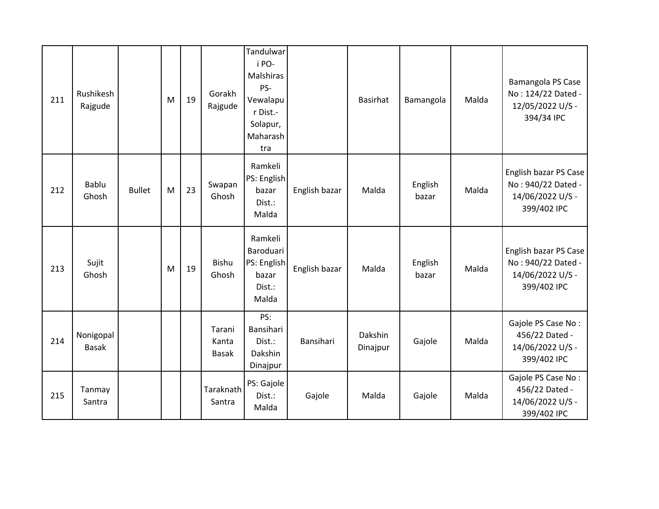| 211 | Rushikesh<br>Rajgude      |               | M | 19 | Gorakh<br>Rajgude               | Tandulwar<br>i PO-<br>Malshiras<br>PS-<br>Vewalapu<br>r Dist.-<br>Solapur,<br>Maharash<br>tra |               | <b>Basirhat</b>     | Bamangola        | Malda | Bamangola PS Case<br>No: 124/22 Dated -<br>12/05/2022 U/S -<br>394/34 IPC      |
|-----|---------------------------|---------------|---|----|---------------------------------|-----------------------------------------------------------------------------------------------|---------------|---------------------|------------------|-------|--------------------------------------------------------------------------------|
| 212 | <b>Bablu</b><br>Ghosh     | <b>Bullet</b> | M | 23 | Swapan<br>Ghosh                 | Ramkeli<br>PS: English<br>bazar<br>Dist.:<br>Malda                                            | English bazar | Malda               | English<br>bazar | Malda | English bazar PS Case<br>No: 940/22 Dated -<br>14/06/2022 U/S -<br>399/402 IPC |
| 213 | Sujit<br>Ghosh            |               | M | 19 | Bishu<br>Ghosh                  | Ramkeli<br>Baroduari<br>PS: English<br>bazar<br>Dist.:<br>Malda                               | English bazar | Malda               | English<br>bazar | Malda | English bazar PS Case<br>No: 940/22 Dated -<br>14/06/2022 U/S -<br>399/402 IPC |
| 214 | Nonigopal<br><b>Basak</b> |               |   |    | Tarani<br>Kanta<br><b>Basak</b> | PS:<br>Bansihari<br>Dist.:<br>Dakshin<br>Dinajpur                                             | Bansihari     | Dakshin<br>Dinajpur | Gajole           | Malda | Gajole PS Case No:<br>456/22 Dated -<br>14/06/2022 U/S -<br>399/402 IPC        |
| 215 | Tanmay<br>Santra          |               |   |    | Taraknath<br>Santra             | PS: Gajole<br>Dist.:<br>Malda                                                                 | Gajole        | Malda               | Gajole           | Malda | Gajole PS Case No:<br>456/22 Dated -<br>14/06/2022 U/S -<br>399/402 IPC        |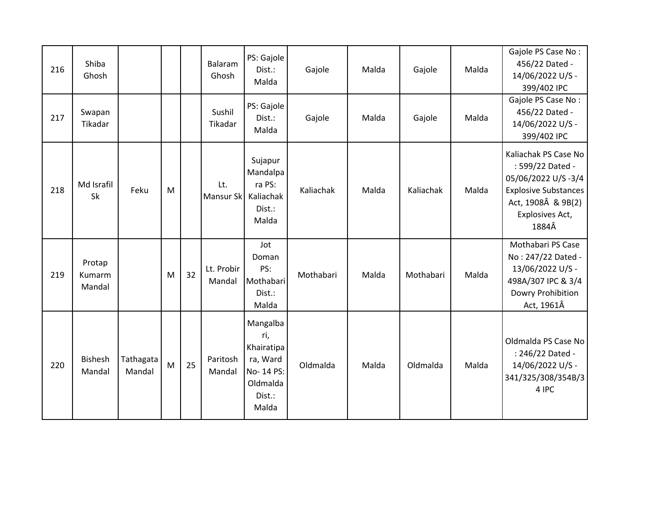| 216 | Shiba<br>Ghosh             |                     |   |    | Balaram<br>Ghosh     | PS: Gajole<br>Dist.:<br>Malda                                                          | Gajole    | Malda | Gajole    | Malda | Gajole PS Case No:<br>456/22 Dated -<br>14/06/2022 U/S -<br>399/402 IPC                                                                         |
|-----|----------------------------|---------------------|---|----|----------------------|----------------------------------------------------------------------------------------|-----------|-------|-----------|-------|-------------------------------------------------------------------------------------------------------------------------------------------------|
| 217 | Swapan<br>Tikadar          |                     |   |    | Sushil<br>Tikadar    | PS: Gajole<br>Dist.:<br>Malda                                                          | Gajole    | Malda | Gajole    | Malda | Gajole PS Case No:<br>456/22 Dated -<br>14/06/2022 U/S -<br>399/402 IPC                                                                         |
| 218 | Md Israfil<br>Sk           | Feku                | M |    | Lt.<br>Mansur Sk     | Sujapur<br>Mandalpa<br>ra PS:<br>Kaliachak<br>Dist.:<br>Malda                          | Kaliachak | Malda | Kaliachak | Malda | Kaliachak PS Case No<br>: 599/22 Dated -<br>05/06/2022 U/S-3/4<br><b>Explosive Substances</b><br>Act, 1908Â & 9B(2)<br>Explosives Act,<br>1884Â |
| 219 | Protap<br>Kumarm<br>Mandal |                     | M | 32 | Lt. Probir<br>Mandal | Jot<br>Doman<br>PS:<br>Mothabari<br>Dist.:<br>Malda                                    | Mothabari | Malda | Mothabari | Malda | Mothabari PS Case<br>No: 247/22 Dated -<br>13/06/2022 U/S -<br>498A/307 IPC & 3/4<br>Dowry Prohibition<br>Act, 1961Â                            |
| 220 | <b>Bishesh</b><br>Mandal   | Tathagata<br>Mandal | M | 25 | Paritosh<br>Mandal   | Mangalba<br>ri,<br>Khairatipa<br>ra, Ward<br>No- 14 PS:<br>Oldmalda<br>Dist.:<br>Malda | Oldmalda  | Malda | Oldmalda  | Malda | Oldmalda PS Case No<br>: 246/22 Dated -<br>14/06/2022 U/S -<br>341/325/308/354B/3<br>4 IPC                                                      |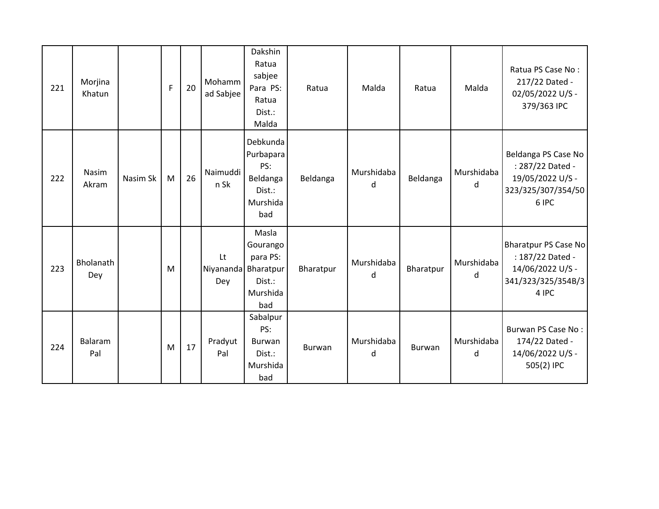| 221 | Morjina<br>Khatun     |          | $\mathsf{F}$ | 20 | Mohamm<br>ad Sabjee              | Dakshin<br>Ratua<br>sabjee<br>Para PS:<br>Ratua<br>Dist.:<br>Malda    | Ratua     | Malda           | Ratua     | Malda           | Ratua PS Case No:<br>217/22 Dated -<br>02/05/2022 U/S -<br>379/363 IPC                      |
|-----|-----------------------|----------|--------------|----|----------------------------------|-----------------------------------------------------------------------|-----------|-----------------|-----------|-----------------|---------------------------------------------------------------------------------------------|
| 222 | Nasim<br>Akram        | Nasim Sk | M            | 26 | Naimuddi<br>n Sk                 | Debkunda<br>Purbapara<br>PS:<br>Beldanga<br>Dist.:<br>Murshida<br>bad | Beldanga  | Murshidaba<br>d | Beldanga  | Murshidaba<br>d | Beldanga PS Case No<br>: 287/22 Dated -<br>19/05/2022 U/S -<br>323/325/307/354/50<br>6 IPC  |
| 223 | Bholanath<br>Dey      |          | M            |    | Lt<br>Niyananda Bharatpur<br>Dey | Masla<br>Gourango<br>para PS:<br>Dist.:<br>Murshida<br>bad            | Bharatpur | Murshidaba<br>d | Bharatpur | Murshidaba<br>d | Bharatpur PS Case No<br>: 187/22 Dated -<br>14/06/2022 U/S -<br>341/323/325/354B/3<br>4 IPC |
| 224 | <b>Balaram</b><br>Pal |          | M            | 17 | Pradyut<br>Pal                   | Sabalpur<br>PS:<br>Burwan<br>Dist.:<br>Murshida<br>bad                | Burwan    | Murshidaba<br>d | Burwan    | Murshidaba<br>d | Burwan PS Case No:<br>174/22 Dated -<br>14/06/2022 U/S -<br>505(2) IPC                      |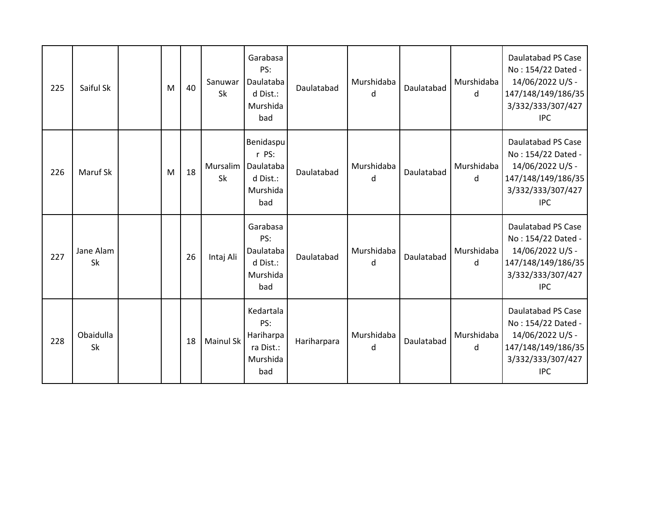| 225 | Saiful Sk              | M | 40 | Sanuwar<br><b>Sk</b>  | Garabasa<br>PS:<br>Daulataba<br>d Dist.:<br>Murshida<br>bad    | Daulatabad  | Murshidaba<br>d | Daulatabad | Murshidaba<br>d | Daulatabad PS Case<br>No: 154/22 Dated -<br>14/06/2022 U/S -<br>147/148/149/186/35<br>3/332/333/307/427<br><b>IPC</b> |
|-----|------------------------|---|----|-----------------------|----------------------------------------------------------------|-------------|-----------------|------------|-----------------|-----------------------------------------------------------------------------------------------------------------------|
| 226 | Maruf Sk               | M | 18 | Mursalim<br><b>Sk</b> | Benidaspu<br>r PS:<br>Daulataba<br>d Dist.:<br>Murshida<br>bad | Daulatabad  | Murshidaba<br>d | Daulatabad | Murshidaba<br>d | Daulatabad PS Case<br>No: 154/22 Dated -<br>14/06/2022 U/S -<br>147/148/149/186/35<br>3/332/333/307/427<br><b>IPC</b> |
| 227 | Jane Alam<br><b>Sk</b> |   | 26 | Intaj Ali             | Garabasa<br>PS:<br>Daulataba<br>d Dist.:<br>Murshida<br>bad    | Daulatabad  | Murshidaba<br>d | Daulatabad | Murshidaba<br>d | Daulatabad PS Case<br>No: 154/22 Dated -<br>14/06/2022 U/S -<br>147/148/149/186/35<br>3/332/333/307/427<br><b>IPC</b> |
| 228 | Obaidulla<br><b>Sk</b> |   | 18 | <b>Mainul Sk</b>      | Kedartala<br>PS:<br>Hariharpa<br>ra Dist.:<br>Murshida<br>bad  | Hariharpara | Murshidaba<br>d | Daulatabad | Murshidaba<br>d | Daulatabad PS Case<br>No: 154/22 Dated -<br>14/06/2022 U/S -<br>147/148/149/186/35<br>3/332/333/307/427<br><b>IPC</b> |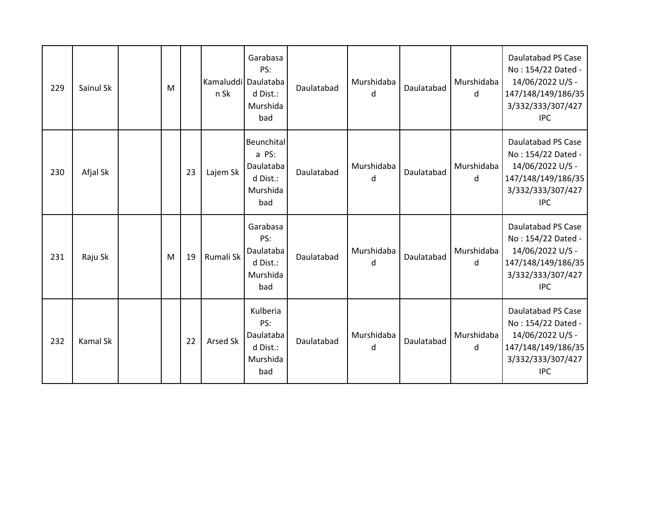| 229 | Sainul Sk | M |    | Kamaluddil Daulataba<br>n Sk | Garabasa<br>PS:<br>d Dist.:<br>Murshida<br>bad                  | Daulatabad | Murshidaba<br>d | Daulatabad | Murshidaba<br>d | Daulatabad PS Case<br>No: 154/22 Dated -<br>14/06/2022 U/S -<br>147/148/149/186/35<br>3/332/333/307/427<br><b>IPC</b> |
|-----|-----------|---|----|------------------------------|-----------------------------------------------------------------|------------|-----------------|------------|-----------------|-----------------------------------------------------------------------------------------------------------------------|
| 230 | Afjal Sk  |   | 23 | Lajem Sk                     | Beunchital<br>a PS:<br>Daulataba<br>d Dist.:<br>Murshida<br>bad | Daulatabad | Murshidaba<br>d | Daulatabad | Murshidaba<br>d | Daulatabad PS Case<br>No: 154/22 Dated -<br>14/06/2022 U/S -<br>147/148/149/186/35<br>3/332/333/307/427<br><b>IPC</b> |
| 231 | Raju Sk   | M | 19 | Rumali Sk                    | Garabasa<br>PS:<br>Daulataba<br>d Dist.:<br>Murshida<br>bad     | Daulatabad | Murshidaba<br>d | Daulatabad | Murshidaba<br>d | Daulatabad PS Case<br>No: 154/22 Dated -<br>14/06/2022 U/S -<br>147/148/149/186/35<br>3/332/333/307/427<br><b>IPC</b> |
| 232 | Kamal Sk  |   | 22 | <b>Arsed Sk</b>              | Kulberia<br>PS:<br>Daulataba<br>d Dist.:<br>Murshida<br>bad     | Daulatabad | Murshidaba<br>d | Daulatabad | Murshidaba<br>d | Daulatabad PS Case<br>No: 154/22 Dated -<br>14/06/2022 U/S -<br>147/148/149/186/35<br>3/332/333/307/427<br><b>IPC</b> |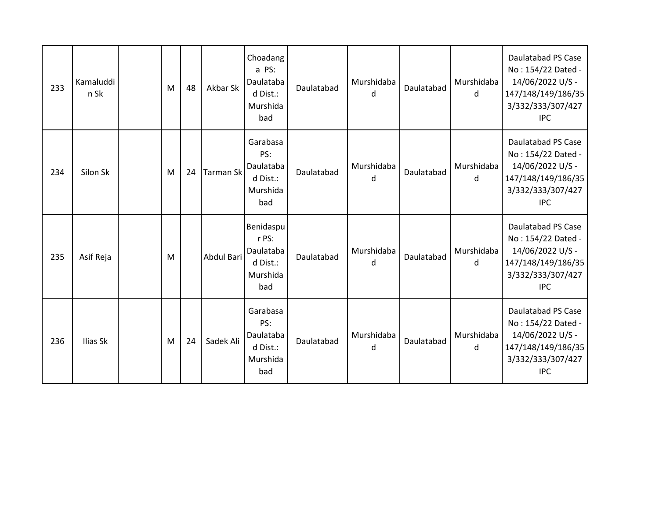| 233 | Kamaluddi<br>n Sk | M | 48 | Akbar Sk         | Choadang<br>a PS:<br>Daulataba<br>d Dist.:<br>Murshida<br>bad  | Daulatabad | Murshidaba<br>d | Daulatabad | Murshidaba<br>d | Daulatabad PS Case<br>No: 154/22 Dated -<br>14/06/2022 U/S -<br>147/148/149/186/35<br>3/332/333/307/427<br><b>IPC</b> |
|-----|-------------------|---|----|------------------|----------------------------------------------------------------|------------|-----------------|------------|-----------------|-----------------------------------------------------------------------------------------------------------------------|
| 234 | Silon Sk          | M | 24 | <b>Tarman Sk</b> | Garabasa<br>PS:<br>Daulataba<br>d Dist.:<br>Murshida<br>bad    | Daulatabad | Murshidaba<br>d | Daulatabad | Murshidaba<br>d | Daulatabad PS Case<br>No: 154/22 Dated -<br>14/06/2022 U/S -<br>147/148/149/186/35<br>3/332/333/307/427<br><b>IPC</b> |
| 235 | Asif Reja         | M |    | Abdul Bari       | Benidaspu<br>r PS:<br>Daulataba<br>d Dist.:<br>Murshida<br>bad | Daulatabad | Murshidaba<br>d | Daulatabad | Murshidaba<br>d | Daulatabad PS Case<br>No: 154/22 Dated -<br>14/06/2022 U/S -<br>147/148/149/186/35<br>3/332/333/307/427<br><b>IPC</b> |
| 236 | Ilias Sk          | M | 24 | Sadek Ali        | Garabasa<br>PS:<br>Daulataba<br>d Dist.:<br>Murshida<br>bad    | Daulatabad | Murshidaba<br>d | Daulatabad | Murshidaba<br>d | Daulatabad PS Case<br>No: 154/22 Dated -<br>14/06/2022 U/S -<br>147/148/149/186/35<br>3/332/333/307/427<br><b>IPC</b> |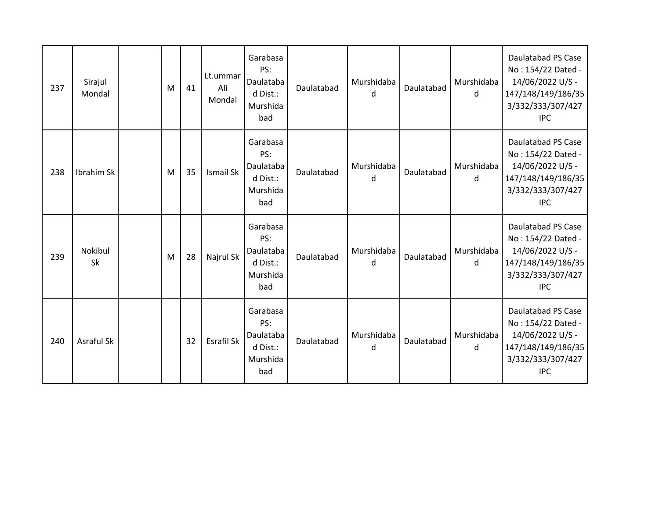| 237 | Sirajul<br>Mondal | M | 41 | Lt.ummar<br>Ali<br>Mondal | Garabasa<br>PS:<br>Daulataba<br>d Dist.:<br>Murshida<br>bad | Daulatabad | Murshidaba<br>d | Daulatabad | Murshidaba<br>d | Daulatabad PS Case<br>No: 154/22 Dated -<br>14/06/2022 U/S -<br>147/148/149/186/35<br>3/332/333/307/427<br><b>IPC</b> |
|-----|-------------------|---|----|---------------------------|-------------------------------------------------------------|------------|-----------------|------------|-----------------|-----------------------------------------------------------------------------------------------------------------------|
| 238 | Ibrahim Sk        | M | 35 | Ismail Sk                 | Garabasa<br>PS:<br>Daulataba<br>d Dist.:<br>Murshida<br>bad | Daulatabad | Murshidaba<br>d | Daulatabad | Murshidaba<br>d | Daulatabad PS Case<br>No: 154/22 Dated -<br>14/06/2022 U/S -<br>147/148/149/186/35<br>3/332/333/307/427<br><b>IPC</b> |
| 239 | Nokibul<br>Sk     | M | 28 | Najrul Sk                 | Garabasa<br>PS:<br>Daulataba<br>d Dist.:<br>Murshida<br>bad | Daulatabad | Murshidaba<br>d | Daulatabad | Murshidaba<br>d | Daulatabad PS Case<br>No: 154/22 Dated -<br>14/06/2022 U/S -<br>147/148/149/186/35<br>3/332/333/307/427<br><b>IPC</b> |
| 240 | <b>Asraful Sk</b> |   | 32 | Esrafil Sk                | Garabasa<br>PS:<br>Daulataba<br>d Dist.:<br>Murshida<br>bad | Daulatabad | Murshidaba<br>d | Daulatabad | Murshidaba<br>d | Daulatabad PS Case<br>No: 154/22 Dated -<br>14/06/2022 U/S -<br>147/148/149/186/35<br>3/332/333/307/427<br><b>IPC</b> |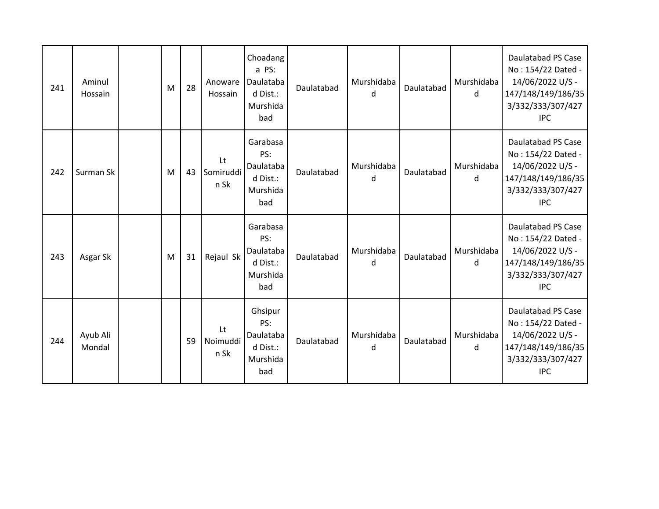| 241 | Aminul<br>Hossain  | M | 28 | Anoware<br>Hossain      | Choadang<br>a PS:<br>Daulataba<br>d Dist.:<br>Murshida<br>bad | Daulatabad | Murshidaba<br>d | Daulatabad | Murshidaba<br>d | Daulatabad PS Case<br>No: 154/22 Dated -<br>14/06/2022 U/S -<br>147/148/149/186/35<br>3/332/333/307/427<br><b>IPC</b> |
|-----|--------------------|---|----|-------------------------|---------------------------------------------------------------|------------|-----------------|------------|-----------------|-----------------------------------------------------------------------------------------------------------------------|
| 242 | Surman Sk          | M | 43 | Lt<br>Somiruddi<br>n Sk | Garabasa<br>PS:<br>Daulataba<br>d Dist.:<br>Murshida<br>bad   | Daulatabad | Murshidaba<br>d | Daulatabad | Murshidaba<br>d | Daulatabad PS Case<br>No: 154/22 Dated -<br>14/06/2022 U/S -<br>147/148/149/186/35<br>3/332/333/307/427<br><b>IPC</b> |
| 243 | Asgar Sk           | M | 31 | Rejaul Sk               | Garabasa<br>PS:<br>Daulataba<br>d Dist.:<br>Murshida<br>bad   | Daulatabad | Murshidaba<br>d | Daulatabad | Murshidaba<br>d | Daulatabad PS Case<br>No: 154/22 Dated -<br>14/06/2022 U/S -<br>147/148/149/186/35<br>3/332/333/307/427<br><b>IPC</b> |
| 244 | Ayub Ali<br>Mondal |   | 59 | Lt<br>Noimuddi<br>n Sk  | Ghsipur<br>PS:<br>Daulataba<br>d Dist.:<br>Murshida<br>bad    | Daulatabad | Murshidaba<br>d | Daulatabad | Murshidaba<br>d | Daulatabad PS Case<br>No: 154/22 Dated -<br>14/06/2022 U/S -<br>147/148/149/186/35<br>3/332/333/307/427<br><b>IPC</b> |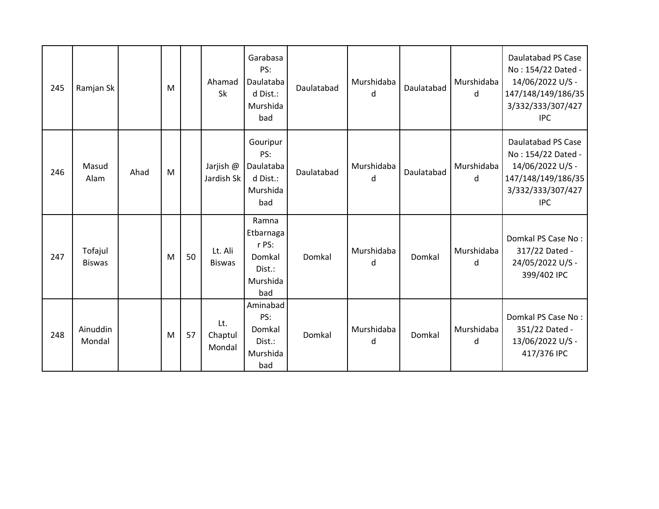| 245 | Ramjan Sk                |      | M |    | Ahamad<br>Sk             | Garabasa<br>PS:<br>Daulataba<br>d Dist.:<br>Murshida<br>bad        | Daulatabad | Murshidaba<br>d | Daulatabad | Murshidaba<br>d | Daulatabad PS Case<br>No: 154/22 Dated -<br>14/06/2022 U/S -<br>147/148/149/186/35<br>3/332/333/307/427<br><b>IPC</b> |
|-----|--------------------------|------|---|----|--------------------------|--------------------------------------------------------------------|------------|-----------------|------------|-----------------|-----------------------------------------------------------------------------------------------------------------------|
| 246 | Masud<br>Alam            | Ahad | M |    | Jarjish @<br>Jardish Sk  | Gouripur<br>PS:<br>Daulataba<br>d Dist.:<br>Murshida<br>bad        | Daulatabad | Murshidaba<br>d | Daulatabad | Murshidaba<br>d | Daulatabad PS Case<br>No: 154/22 Dated -<br>14/06/2022 U/S -<br>147/148/149/186/35<br>3/332/333/307/427<br><b>IPC</b> |
| 247 | Tofajul<br><b>Biswas</b> |      | M | 50 | Lt. Ali<br><b>Biswas</b> | Ramna<br>Etbarnaga<br>r PS:<br>Domkal<br>Dist.:<br>Murshida<br>bad | Domkal     | Murshidaba<br>d | Domkal     | Murshidaba<br>d | Domkal PS Case No:<br>317/22 Dated -<br>24/05/2022 U/S -<br>399/402 IPC                                               |
| 248 | Ainuddin<br>Mondal       |      | M | 57 | Lt.<br>Chaptul<br>Mondal | Aminabad<br>PS:<br>Domkal<br>Dist.:<br>Murshida<br>bad             | Domkal     | Murshidaba<br>d | Domkal     | Murshidaba<br>d | Domkal PS Case No:<br>351/22 Dated -<br>13/06/2022 U/S -<br>417/376 IPC                                               |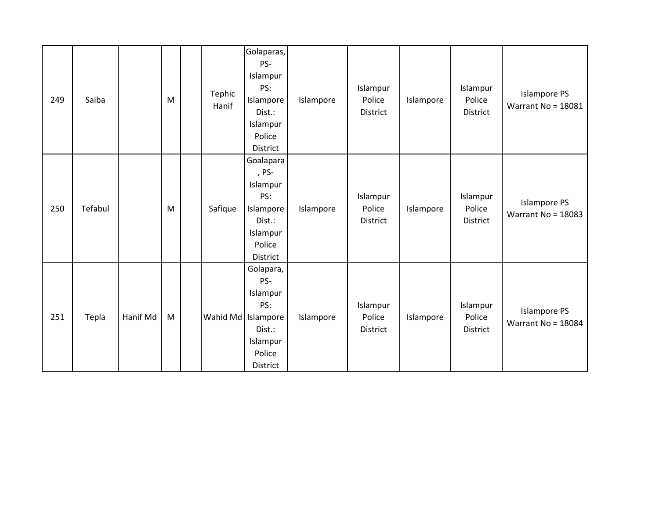| 249 | Saiba   |          | M | Tephic<br>Hanif | Golaparas,<br>PS-<br>Islampur<br>PS:<br>Islampore<br>Dist.:<br>Islampur<br>Police<br>District           | Islampore | Islampur<br>Police<br>District | Islampore | Islampur<br>Police<br><b>District</b> | <b>Islampore PS</b><br>Warrant No = 18081   |
|-----|---------|----------|---|-----------------|---------------------------------------------------------------------------------------------------------|-----------|--------------------------------|-----------|---------------------------------------|---------------------------------------------|
| 250 | Tefabul |          | M | Safique         | Goalapara<br>, PS-<br>Islampur<br>PS:<br>Islampore<br>Dist.:<br>Islampur<br>Police<br>District          | Islampore | Islampur<br>Police<br>District | Islampore | Islampur<br>Police<br>District        | <b>Islampore PS</b><br>Warrant No = $18083$ |
| 251 | Tepla   | Hanif Md | M |                 | Golapara,<br>PS-<br>Islampur<br>PS:<br>Wahid Md   Islampore<br>Dist.:<br>Islampur<br>Police<br>District | Islampore | Islampur<br>Police<br>District | Islampore | Islampur<br>Police<br>District        | <b>Islampore PS</b><br>Warrant No = $18084$ |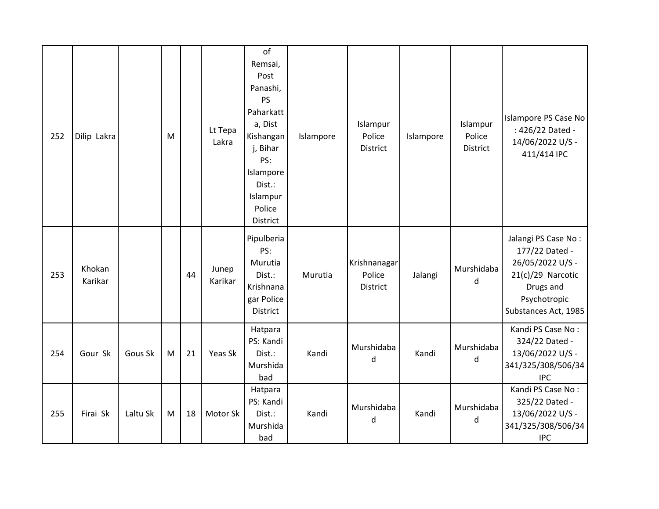| 252 | Dilip Lakra       |          | M |    | Lt Tepa<br>Lakra | of<br>Remsai,<br>Post<br>Panashi,<br><b>PS</b><br>Paharkatt<br>a, Dist<br>Kishangan<br>j, Bihar<br>PS:<br>Islampore<br>Dist.:<br>Islampur<br>Police<br>District | Islampore | Islampur<br>Police<br><b>District</b> | Islampore | Islampur<br>Police<br><b>District</b> | Islampore PS Case No<br>: 426/22 Dated -<br>14/06/2022 U/S -<br>411/414 IPC                                                         |
|-----|-------------------|----------|---|----|------------------|-----------------------------------------------------------------------------------------------------------------------------------------------------------------|-----------|---------------------------------------|-----------|---------------------------------------|-------------------------------------------------------------------------------------------------------------------------------------|
| 253 | Khokan<br>Karikar |          |   | 44 | Junep<br>Karikar | Pipulberia<br>PS:<br>Murutia<br>Dist.:<br>Krishnana<br>gar Police<br><b>District</b>                                                                            | Murutia   | Krishnanagar<br>Police<br>District    | Jalangi   | Murshidaba<br>d                       | Jalangi PS Case No:<br>177/22 Dated -<br>26/05/2022 U/S -<br>21(c)/29 Narcotic<br>Drugs and<br>Psychotropic<br>Substances Act, 1985 |
| 254 | Gour Sk           | Gous Sk  | M | 21 | Yeas Sk          | Hatpara<br>PS: Kandi<br>Dist.:<br>Murshida<br>bad                                                                                                               | Kandi     | Murshidaba<br>d                       | Kandi     | Murshidaba<br>$\sf d$                 | Kandi PS Case No:<br>324/22 Dated -<br>13/06/2022 U/S -<br>341/325/308/506/34<br><b>IPC</b>                                         |
| 255 | Firai Sk          | Laltu Sk | M | 18 | Motor Sk         | Hatpara<br>PS: Kandi<br>Dist.:<br>Murshida<br>bad                                                                                                               | Kandi     | Murshidaba<br>d                       | Kandi     | Murshidaba<br>d                       | Kandi PS Case No:<br>325/22 Dated -<br>13/06/2022 U/S -<br>341/325/308/506/34<br><b>IPC</b>                                         |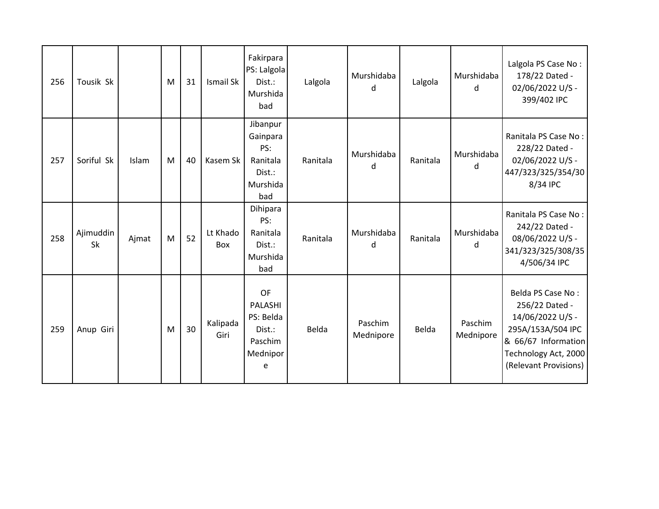| 256 | Tousik Sk              |       | M | 31 | Ismail Sk        | Fakirpara<br>PS: Lalgola<br>Dist.:<br>Murshida<br>bad                | Lalgola  | Murshidaba<br>d      | Lalgola  | Murshidaba<br>d      | Lalgola PS Case No:<br>178/22 Dated -<br>02/06/2022 U/S -<br>399/402 IPC                                                                             |
|-----|------------------------|-------|---|----|------------------|----------------------------------------------------------------------|----------|----------------------|----------|----------------------|------------------------------------------------------------------------------------------------------------------------------------------------------|
| 257 | Soriful Sk             | Islam | M | 40 | Kasem Sk         | Jibanpur<br>Gainpara<br>PS:<br>Ranitala<br>Dist.:<br>Murshida<br>bad | Ranitala | Murshidaba<br>d      | Ranitala | Murshidaba<br>d      | Ranitala PS Case No:<br>228/22 Dated -<br>02/06/2022 U/S -<br>447/323/325/354/30<br>8/34 IPC                                                         |
| 258 | Ajimuddin<br><b>Sk</b> | Ajmat | M | 52 | Lt Khado<br>Box  | Dihipara<br>PS:<br>Ranitala<br>Dist.:<br>Murshida<br>bad             | Ranitala | Murshidaba<br>d      | Ranitala | Murshidaba<br>d      | Ranitala PS Case No:<br>242/22 Dated -<br>08/06/2022 U/S -<br>341/323/325/308/35<br>4/506/34 IPC                                                     |
| 259 | Anup Giri              |       | M | 30 | Kalipada<br>Giri | OF<br>PALASHI<br>PS: Belda<br>Dist.:<br>Paschim<br>Mednipor<br>e     | Belda    | Paschim<br>Mednipore | Belda    | Paschim<br>Mednipore | Belda PS Case No:<br>256/22 Dated -<br>14/06/2022 U/S -<br>295A/153A/504 IPC<br>& 66/67 Information<br>Technology Act, 2000<br>(Relevant Provisions) |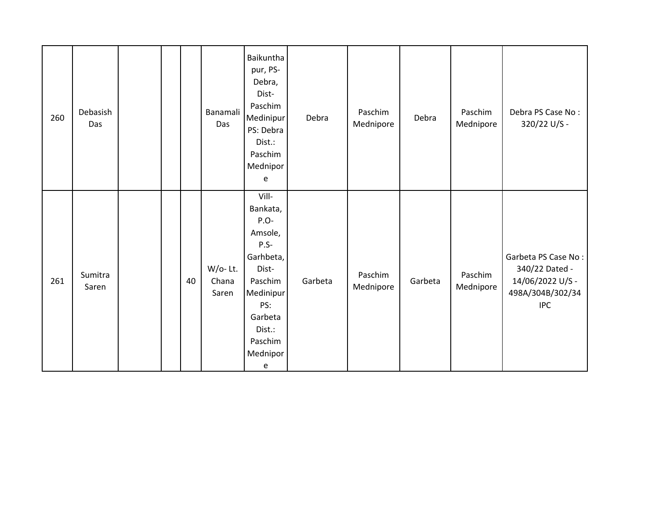| 260 | Debasish<br>Das  |  |    | Banamali<br>Das              | Baikuntha<br>pur, PS-<br>Debra,<br>Dist-<br>Paschim<br>Medinipur<br>PS: Debra<br>Dist.:<br>Paschim<br>Mednipor<br>e                                  | Debra   | Paschim<br>Mednipore | Debra   | Paschim<br>Mednipore | Debra PS Case No:<br>320/22 U/S -                                                           |
|-----|------------------|--|----|------------------------------|------------------------------------------------------------------------------------------------------------------------------------------------------|---------|----------------------|---------|----------------------|---------------------------------------------------------------------------------------------|
| 261 | Sumitra<br>Saren |  | 40 | $W$ /o-Lt.<br>Chana<br>Saren | Vill-<br>Bankata,<br>P.O-<br>Amsole,<br>$P.S-$<br>Garhbeta,<br>Dist-<br>Paschim<br>Medinipur<br>PS:<br>Garbeta<br>Dist.:<br>Paschim<br>Mednipor<br>e | Garbeta | Paschim<br>Mednipore | Garbeta | Paschim<br>Mednipore | Garbeta PS Case No:<br>340/22 Dated -<br>14/06/2022 U/S -<br>498A/304B/302/34<br><b>IPC</b> |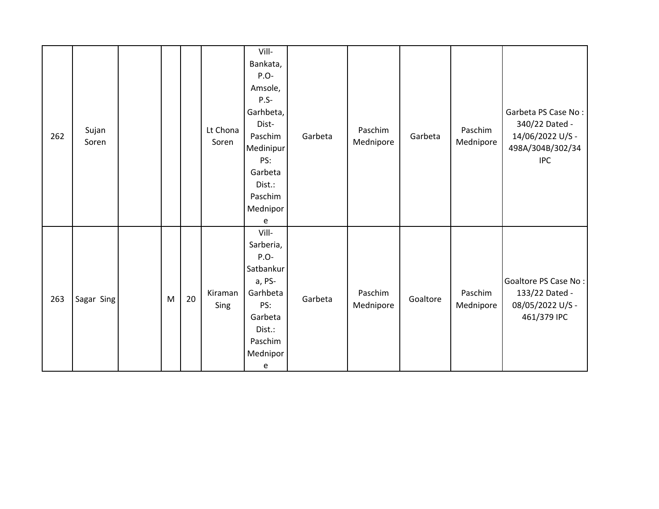| 262 | Sujan<br>Soren |   |    | Lt Chona<br>Soren | Vill-<br>Bankata,<br>$P.O-$<br>Amsole,<br>$P.S-$<br>Garhbeta,<br>Dist-<br>Paschim<br>Medinipur<br>PS:<br>Garbeta<br>Dist.:<br>Paschim<br>Mednipor<br>e | Garbeta | Paschim<br>Mednipore | Garbeta  | Paschim<br>Mednipore | Garbeta PS Case No:<br>340/22 Dated -<br>14/06/2022 U/S -<br>498A/304B/302/34<br><b>IPC</b> |
|-----|----------------|---|----|-------------------|--------------------------------------------------------------------------------------------------------------------------------------------------------|---------|----------------------|----------|----------------------|---------------------------------------------------------------------------------------------|
| 263 | Sagar Sing     | M | 20 | Kiraman<br>Sing   | Vill-<br>Sarberia,<br>P.O-<br>Satbankur<br>a, PS-<br>Garhbeta<br>PS:<br>Garbeta<br>Dist.:<br>Paschim<br>Mednipor<br>e                                  | Garbeta | Paschim<br>Mednipore | Goaltore | Paschim<br>Mednipore | Goaltore PS Case No:<br>133/22 Dated -<br>08/05/2022 U/S -<br>461/379 IPC                   |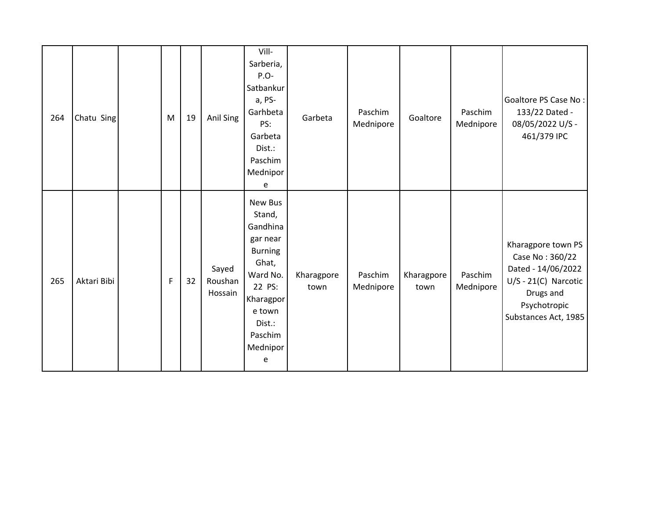| 264 | Chatu Sing  | M           | 19 | Anil Sing                   | Vill-<br>Sarberia,<br>$P.O-$<br>Satbankur<br>a, PS-<br>Garhbeta<br>PS:<br>Garbeta<br>Dist.:<br>Paschim<br>Mednipor<br>e                                 | Garbeta            | Paschim<br>Mednipore | Goaltore           | Paschim<br>Mednipore | Goaltore PS Case No:<br>133/22 Dated -<br>08/05/2022 U/S -<br>461/379 IPC                                                                  |
|-----|-------------|-------------|----|-----------------------------|---------------------------------------------------------------------------------------------------------------------------------------------------------|--------------------|----------------------|--------------------|----------------------|--------------------------------------------------------------------------------------------------------------------------------------------|
| 265 | Aktari Bibi | $\mathsf F$ | 32 | Sayed<br>Roushan<br>Hossain | New Bus<br>Stand,<br>Gandhina<br>gar near<br><b>Burning</b><br>Ghat,<br>Ward No.<br>22 PS:<br>Kharagpor<br>e town<br>Dist.:<br>Paschim<br>Mednipor<br>e | Kharagpore<br>town | Paschim<br>Mednipore | Kharagpore<br>town | Paschim<br>Mednipore | Kharagpore town PS<br>Case No: 360/22<br>Dated - 14/06/2022<br>$U/S - 21(C)$ Narcotic<br>Drugs and<br>Psychotropic<br>Substances Act, 1985 |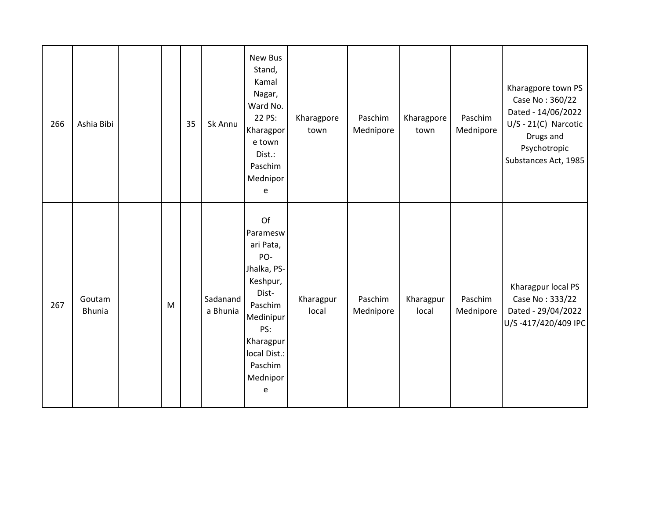| 266 | Ashia Bibi              |   | 35 | Sk Annu              | New Bus<br>Stand,<br>Kamal<br>Nagar,<br>Ward No.<br>22 PS:<br>Kharagpor<br>e town<br>Dist.:<br>Paschim<br>Mednipor<br>e                                        | Kharagpore<br>town | Paschim<br>Mednipore | Kharagpore<br>town | Paschim<br>Mednipore | Kharagpore town PS<br>Case No: 360/22<br>Dated - 14/06/2022<br>$U/S - 21(C)$ Narcotic<br>Drugs and<br>Psychotropic<br>Substances Act, 1985 |
|-----|-------------------------|---|----|----------------------|----------------------------------------------------------------------------------------------------------------------------------------------------------------|--------------------|----------------------|--------------------|----------------------|--------------------------------------------------------------------------------------------------------------------------------------------|
| 267 | Goutam<br><b>Bhunia</b> | M |    | Sadanand<br>a Bhunia | Of<br>Paramesw<br>ari Pata,<br>PO-<br>Jhalka, PS-<br>Keshpur,<br>Dist-<br>Paschim<br>Medinipur<br>PS:<br>Kharagpur<br>local Dist.:<br>Paschim<br>Mednipor<br>e | Kharagpur<br>local | Paschim<br>Mednipore | Kharagpur<br>local | Paschim<br>Mednipore | Kharagpur local PS<br>Case No: 333/22<br>Dated - 29/04/2022<br>U/S-417/420/409 IPC                                                         |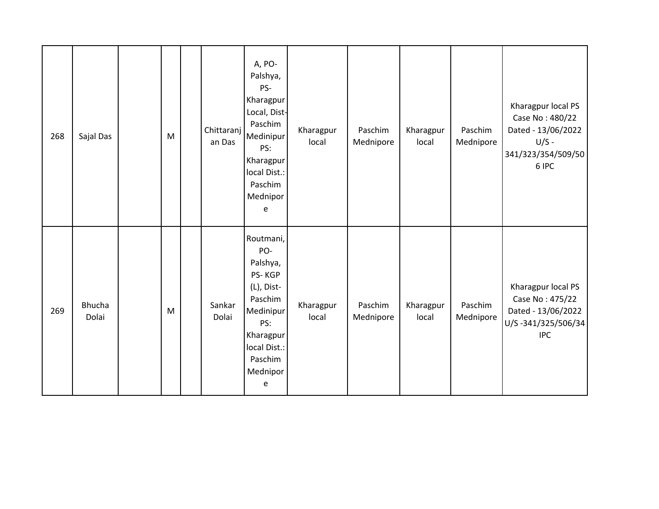| 268 | Sajal Das              | M | Chittaranj  <br>an Das | A, PO-<br>Palshya,<br>PS-<br>Kharagpur<br>Local, Dist-<br>Paschim<br>Medinipur<br>PS:<br>Kharagpur<br>local Dist.:<br>Paschim<br>Mednipor<br>e | Kharagpur<br>local | Paschim<br>Mednipore | Kharagpur<br>local | Paschim<br>Mednipore | Kharagpur local PS<br>Case No: 480/22<br>Dated - 13/06/2022<br>$U/S -$<br>341/323/354/509/50<br>6 IPC |
|-----|------------------------|---|------------------------|------------------------------------------------------------------------------------------------------------------------------------------------|--------------------|----------------------|--------------------|----------------------|-------------------------------------------------------------------------------------------------------|
| 269 | <b>Bhucha</b><br>Dolai | M | Sankar<br>Dolai        | Routmani,<br>PO-<br>Palshya,<br>PS-KGP<br>(L), Dist-<br>Paschim<br>Medinipur<br>PS:<br>Kharagpur<br>local Dist.:<br>Paschim<br>Mednipor<br>e   | Kharagpur<br>local | Paschim<br>Mednipore | Kharagpur<br>local | Paschim<br>Mednipore | Kharagpur local PS<br>Case No: 475/22<br>Dated - 13/06/2022<br>U/S-341/325/506/34<br><b>IPC</b>       |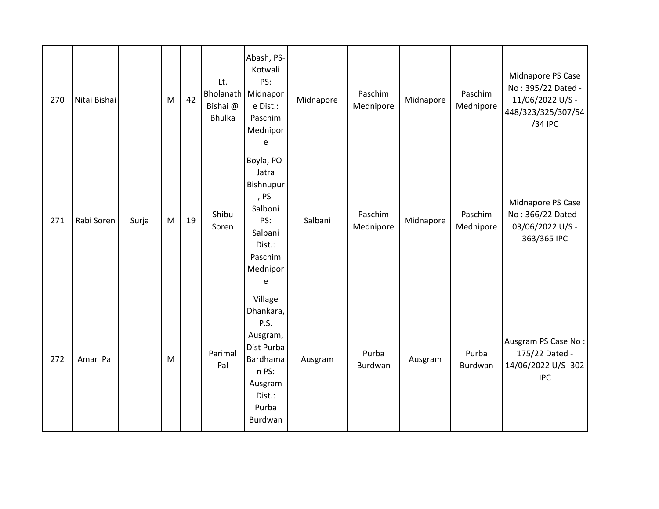| 270 | Nitai Bishai |       | M | 42 | Lt.<br><b>Bholanath</b> Midnapor<br>Bishai @<br><b>Bhulka</b> | Abash, PS-<br>Kotwali<br>PS:<br>e Dist.:<br>Paschim<br>Mednipor<br>e                                                 | Midnapore | Paschim<br>Mednipore | Midnapore | Paschim<br>Mednipore | Midnapore PS Case<br>No: 395/22 Dated -<br>11/06/2022 U/S -<br>448/323/325/307/54<br>/34 IPC |
|-----|--------------|-------|---|----|---------------------------------------------------------------|----------------------------------------------------------------------------------------------------------------------|-----------|----------------------|-----------|----------------------|----------------------------------------------------------------------------------------------|
| 271 | Rabi Soren   | Surja | M | 19 | Shibu<br>Soren                                                | Boyla, PO-<br>Jatra<br>Bishnupur<br>, PS-<br>Salboni<br>PS:<br>Salbani<br>Dist.:<br>Paschim<br>Mednipor<br>e         | Salbani   | Paschim<br>Mednipore | Midnapore | Paschim<br>Mednipore | Midnapore PS Case<br>No: 366/22 Dated -<br>03/06/2022 U/S -<br>363/365 IPC                   |
| 272 | Amar Pal     |       | M |    | Parimal<br>Pal                                                | Village<br>Dhankara,<br>P.S.<br>Ausgram,<br>Dist Purba<br>Bardhama<br>n PS:<br>Ausgram<br>Dist.:<br>Purba<br>Burdwan | Ausgram   | Purba<br>Burdwan     | Ausgram   | Purba<br>Burdwan     | Ausgram PS Case No:<br>175/22 Dated -<br>14/06/2022 U/S-302<br><b>IPC</b>                    |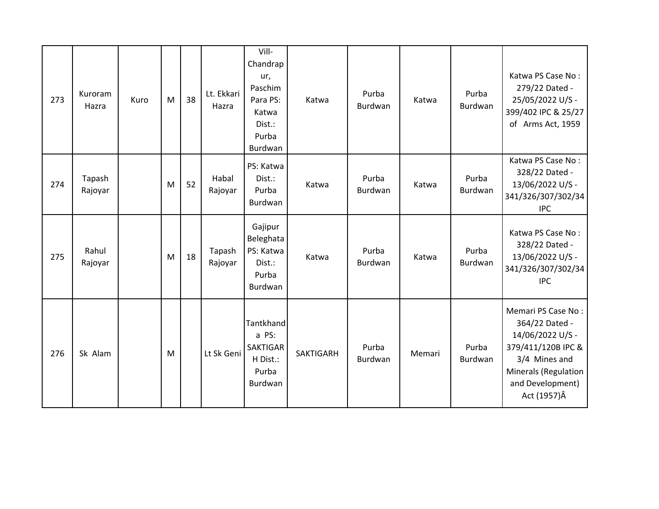| 273 | Kuroram<br>Hazra  | Kuro | M | 38 | Lt. Ekkari<br>Hazra | Vill-<br>Chandrap<br>ur,<br>Paschim<br>Para PS:<br>Katwa<br>Dist.:<br>Purba<br>Burdwan | Katwa            | Purba<br>Burdwan        | Katwa  | Purba<br>Burdwan | Katwa PS Case No:<br>279/22 Dated -<br>25/05/2022 U/S -<br>399/402 IPC & 25/27<br>of Arms Act, 1959                                                         |
|-----|-------------------|------|---|----|---------------------|----------------------------------------------------------------------------------------|------------------|-------------------------|--------|------------------|-------------------------------------------------------------------------------------------------------------------------------------------------------------|
| 274 | Tapash<br>Rajoyar |      | M | 52 | Habal<br>Rajoyar    | PS: Katwa<br>Dist.:<br>Purba<br>Burdwan                                                | Katwa            | Purba<br>Burdwan        | Katwa  | Purba<br>Burdwan | Katwa PS Case No:<br>328/22 Dated -<br>13/06/2022 U/S -<br>341/326/307/302/34<br><b>IPC</b>                                                                 |
| 275 | Rahul<br>Rajoyar  |      | M | 18 | Tapash<br>Rajoyar   | Gajipur<br>Beleghata<br>PS: Katwa<br>Dist.:<br>Purba<br>Burdwan                        | Katwa            | Purba<br>Burdwan        | Katwa  | Purba<br>Burdwan | Katwa PS Case No:<br>328/22 Dated -<br>13/06/2022 U/S -<br>341/326/307/302/34<br><b>IPC</b>                                                                 |
| 276 | Sk Alam           |      | M |    | Lt Sk Geni          | Tantkhand<br>a PS:<br><b>SAKTIGAR</b><br>H Dist.:<br>Purba<br>Burdwan                  | <b>SAKTIGARH</b> | Purba<br><b>Burdwan</b> | Memari | Purba<br>Burdwan | Memari PS Case No:<br>364/22 Dated -<br>14/06/2022 U/S -<br>379/411/120B IPC &<br>3/4 Mines and<br>Minerals (Regulation<br>and Development)<br>Act (1957) Â |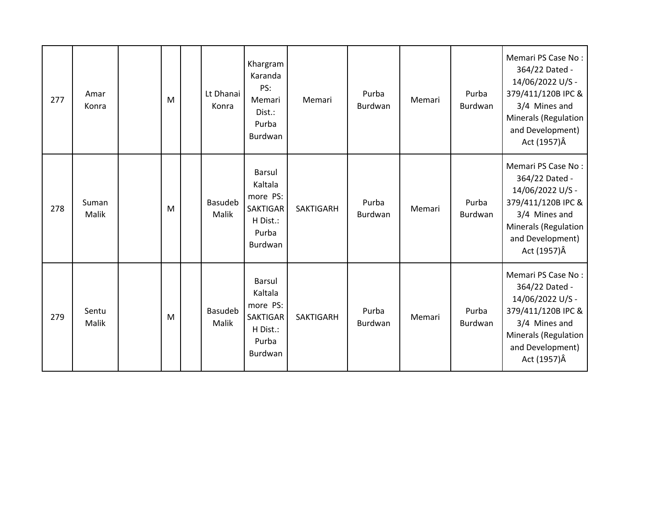| 277 | Amar<br>Konra  | M | Lt Dhanai<br>Konra      | Khargram<br>Karanda<br>PS:<br>Memari<br>Dist.:<br>Purba<br>Burdwan                      | Memari           | Purba<br>Burdwan | Memari | Purba<br>Burdwan | Memari PS Case No:<br>364/22 Dated -<br>14/06/2022 U/S -<br>379/411/120B IPC &<br>3/4 Mines and<br>Minerals (Regulation<br>and Development)<br>Act (1957)Â  |
|-----|----------------|---|-------------------------|-----------------------------------------------------------------------------------------|------------------|------------------|--------|------------------|-------------------------------------------------------------------------------------------------------------------------------------------------------------|
| 278 | Suman<br>Malik | M | <b>Basudeb</b><br>Malik | <b>Barsul</b><br>Kaltala<br>more PS:<br><b>SAKTIGAR</b><br>H Dist.:<br>Purba<br>Burdwan | <b>SAKTIGARH</b> | Purba<br>Burdwan | Memari | Purba<br>Burdwan | Memari PS Case No:<br>364/22 Dated -<br>14/06/2022 U/S -<br>379/411/120B IPC &<br>3/4 Mines and<br>Minerals (Regulation<br>and Development)<br>Act (1957) Â |
| 279 | Sentu<br>Malik | M | <b>Basudeb</b><br>Malik | <b>Barsul</b><br>Kaltala<br>more PS:<br><b>SAKTIGAR</b><br>H Dist.:<br>Purba<br>Burdwan | <b>SAKTIGARH</b> | Purba<br>Burdwan | Memari | Purba<br>Burdwan | Memari PS Case No:<br>364/22 Dated -<br>14/06/2022 U/S -<br>379/411/120B IPC &<br>3/4 Mines and<br>Minerals (Regulation<br>and Development)<br>Act (1957) Â |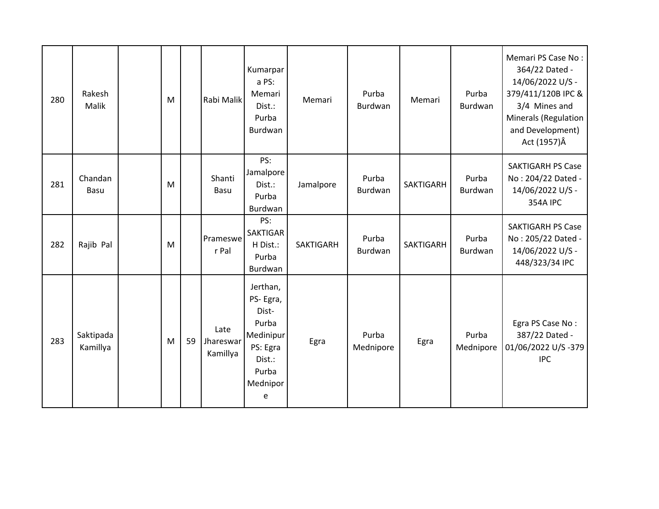| 280 | Rakesh<br>Malik        | M |    | Rabi Malik                    | Kumarpar<br>a PS:<br>Memari<br>Dist.:<br>Purba<br>Burdwan                                           | Memari           | Purba<br>Burdwan   | Memari           | Purba<br>Burdwan   | Memari PS Case No:<br>364/22 Dated -<br>14/06/2022 U/S -<br>379/411/120B IPC &<br>3/4 Mines and<br>Minerals (Regulation<br>and Development)<br>Act (1957) Â |
|-----|------------------------|---|----|-------------------------------|-----------------------------------------------------------------------------------------------------|------------------|--------------------|------------------|--------------------|-------------------------------------------------------------------------------------------------------------------------------------------------------------|
| 281 | Chandan<br><b>Basu</b> | M |    | Shanti<br>Basu                | PS:<br>Jamalpore<br>Dist.:<br>Purba<br>Burdwan                                                      | Jamalpore        | Purba<br>Burdwan   | <b>SAKTIGARH</b> | Purba<br>Burdwan   | <b>SAKTIGARH PS Case</b><br>No: 204/22 Dated -<br>14/06/2022 U/S -<br><b>354A IPC</b>                                                                       |
| 282 | Rajib Pal              | M |    | Prameswe<br>r Pal             | PS:<br><b>SAKTIGAR</b><br>H Dist.:<br>Purba<br>Burdwan                                              | <b>SAKTIGARH</b> | Purba<br>Burdwan   | <b>SAKTIGARH</b> | Purba<br>Burdwan   | <b>SAKTIGARH PS Case</b><br>No: 205/22 Dated -<br>14/06/2022 U/S -<br>448/323/34 IPC                                                                        |
| 283 | Saktipada<br>Kamillya  | M | 59 | Late<br>Jhareswar<br>Kamillya | Jerthan,<br>PS-Egra,<br>Dist-<br>Purba<br>Medinipur<br>PS: Egra<br>Dist.:<br>Purba<br>Mednipor<br>e | Egra             | Purba<br>Mednipore | Egra             | Purba<br>Mednipore | Egra PS Case No:<br>387/22 Dated -<br>01/06/2022 U/S-379<br><b>IPC</b>                                                                                      |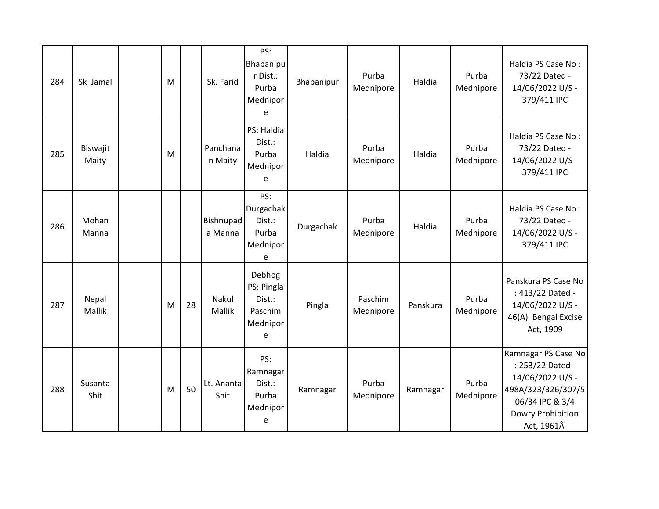| 284 | Sk Jamal               | M |    | Sk. Farid                   | PS:<br>Bhabanipu<br>r Dist.:<br>Purba<br>Mednipor<br>e     | Bhabanipur | Purba<br>Mednipore   | Haldia   | Purba<br>Mednipore | Haldia PS Case No:<br>73/22 Dated -<br>14/06/2022 U/S -<br>379/411 IPC                                                                  |
|-----|------------------------|---|----|-----------------------------|------------------------------------------------------------|------------|----------------------|----------|--------------------|-----------------------------------------------------------------------------------------------------------------------------------------|
| 285 | Biswajit<br>Maity      | M |    | Panchana<br>n Maity         | PS: Haldia<br>Dist.:<br>Purba<br>Mednipor<br>e             | Haldia     | Purba<br>Mednipore   | Haldia   | Purba<br>Mednipore | Haldia PS Case No:<br>73/22 Dated -<br>14/06/2022 U/S -<br>379/411 IPC                                                                  |
| 286 | Mohan<br>Manna         |   |    | <b>Bishnupad</b><br>a Manna | PS:<br>Durgachak<br>Dist.:<br>Purba<br>Mednipor<br>e       | Durgachak  | Purba<br>Mednipore   | Haldia   | Purba<br>Mednipore | Haldia PS Case No:<br>73/22 Dated -<br>14/06/2022 U/S -<br>379/411 IPC                                                                  |
| 287 | Nepal<br><b>Mallik</b> | M | 28 | Nakul<br>Mallik             | Debhog<br>PS: Pingla<br>Dist.:<br>Paschim<br>Mednipor<br>e | Pingla     | Paschim<br>Mednipore | Panskura | Purba<br>Mednipore | Panskura PS Case No<br>: 413/22 Dated -<br>14/06/2022 U/S -<br>46(A) Bengal Excise<br>Act, 1909                                         |
| 288 | Susanta<br>Shit        | M | 50 | Lt. Ananta<br>Shit          | PS:<br>Ramnagar<br>Dist.:<br>Purba<br>Mednipor<br>e        | Ramnagar   | Purba<br>Mednipore   | Ramnagar | Purba<br>Mednipore | Ramnagar PS Case No<br>: 253/22 Dated -<br>14/06/2022 U/S -<br>498A/323/326/307/5<br>06/34 IPC & 3/4<br>Dowry Prohibition<br>Act, 1961Â |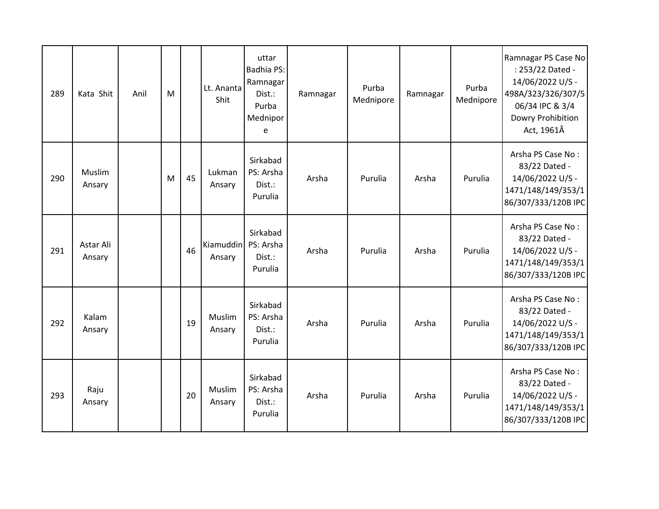| 289 | Kata Shit           | Anil | M |    | Lt. Ananta<br>Shit  | uttar<br>Badhia PS:<br>Ramnagar<br>Dist.:<br>Purba<br>Mednipor<br>e | Ramnagar | Purba<br>Mednipore | Ramnagar | Purba<br>Mednipore | Ramnagar PS Case No<br>: 253/22 Dated -<br>14/06/2022 U/S -<br>498A/323/326/307/5<br>06/34 IPC & 3/4<br>Dowry Prohibition<br>Act, 1961Â |
|-----|---------------------|------|---|----|---------------------|---------------------------------------------------------------------|----------|--------------------|----------|--------------------|-----------------------------------------------------------------------------------------------------------------------------------------|
| 290 | Muslim<br>Ansary    |      | M | 45 | Lukman<br>Ansary    | Sirkabad<br>PS: Arsha<br>Dist.:<br>Purulia                          | Arsha    | Purulia            | Arsha    | Purulia            | Arsha PS Case No:<br>83/22 Dated -<br>14/06/2022 U/S -<br>1471/148/149/353/1<br>86/307/333/120B IPC                                     |
| 291 | Astar Ali<br>Ansary |      |   | 46 | Kiamuddin<br>Ansary | Sirkabad<br>PS: Arsha<br>Dist.:<br>Purulia                          | Arsha    | Purulia            | Arsha    | Purulia            | Arsha PS Case No:<br>83/22 Dated -<br>14/06/2022 U/S -<br>1471/148/149/353/1<br>86/307/333/120B IPC                                     |
| 292 | Kalam<br>Ansary     |      |   | 19 | Muslim<br>Ansary    | Sirkabad<br>PS: Arsha<br>Dist.:<br>Purulia                          | Arsha    | Purulia            | Arsha    | Purulia            | Arsha PS Case No:<br>83/22 Dated -<br>14/06/2022 U/S -<br>1471/148/149/353/1<br>86/307/333/120B IPC                                     |
| 293 | Raju<br>Ansary      |      |   | 20 | Muslim<br>Ansary    | Sirkabad<br>PS: Arsha<br>Dist.:<br>Purulia                          | Arsha    | Purulia            | Arsha    | Purulia            | Arsha PS Case No:<br>83/22 Dated -<br>14/06/2022 U/S -<br>1471/148/149/353/1<br>86/307/333/120B IPC                                     |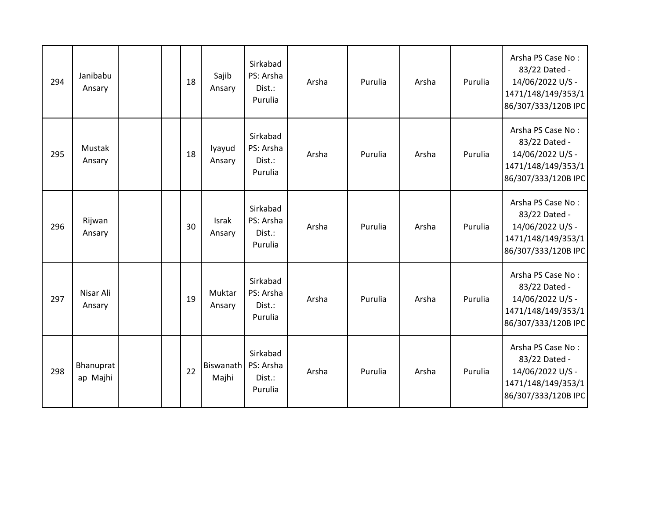| 294 | Janibabu<br>Ansary    |  | 18 | Sajib<br>Ansary    | Sirkabad<br>PS: Arsha<br>Dist.:<br>Purulia | Arsha | Purulia | Arsha | Purulia | Arsha PS Case No:<br>83/22 Dated -<br>14/06/2022 U/S -<br>1471/148/149/353/1<br>86/307/333/120B IPC |
|-----|-----------------------|--|----|--------------------|--------------------------------------------|-------|---------|-------|---------|-----------------------------------------------------------------------------------------------------|
| 295 | Mustak<br>Ansary      |  | 18 | lyayud<br>Ansary   | Sirkabad<br>PS: Arsha<br>Dist.:<br>Purulia | Arsha | Purulia | Arsha | Purulia | Arsha PS Case No:<br>83/22 Dated -<br>14/06/2022 U/S -<br>1471/148/149/353/1<br>86/307/333/120B IPC |
| 296 | Rijwan<br>Ansary      |  | 30 | Israk<br>Ansary    | Sirkabad<br>PS: Arsha<br>Dist.:<br>Purulia | Arsha | Purulia | Arsha | Purulia | Arsha PS Case No:<br>83/22 Dated -<br>14/06/2022 U/S -<br>1471/148/149/353/1<br>86/307/333/120B IPC |
| 297 | Nisar Ali<br>Ansary   |  | 19 | Muktar<br>Ansary   | Sirkabad<br>PS: Arsha<br>Dist.:<br>Purulia | Arsha | Purulia | Arsha | Purulia | Arsha PS Case No:<br>83/22 Dated -<br>14/06/2022 U/S -<br>1471/148/149/353/1<br>86/307/333/120B IPC |
| 298 | Bhanuprat<br>ap Majhi |  | 22 | Biswanath<br>Majhi | Sirkabad<br>PS: Arsha<br>Dist.:<br>Purulia | Arsha | Purulia | Arsha | Purulia | Arsha PS Case No:<br>83/22 Dated -<br>14/06/2022 U/S -<br>1471/148/149/353/1<br>86/307/333/120B IPC |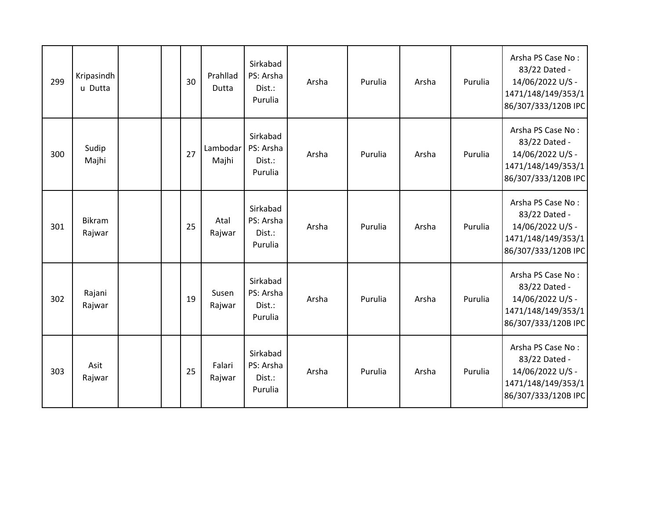| 299 | Kripasindh<br>u Dutta   |  | 30 | Prahllad<br>Dutta | Sirkabad<br>PS: Arsha<br>Dist.:<br>Purulia | Arsha | Purulia | Arsha | Purulia | Arsha PS Case No:<br>83/22 Dated -<br>14/06/2022 U/S -<br>1471/148/149/353/1<br>86/307/333/120B IPC |
|-----|-------------------------|--|----|-------------------|--------------------------------------------|-------|---------|-------|---------|-----------------------------------------------------------------------------------------------------|
| 300 | Sudip<br>Majhi          |  | 27 | Lambodar<br>Majhi | Sirkabad<br>PS: Arsha<br>Dist.:<br>Purulia | Arsha | Purulia | Arsha | Purulia | Arsha PS Case No:<br>83/22 Dated -<br>14/06/2022 U/S -<br>1471/148/149/353/1<br>86/307/333/120B IPC |
| 301 | <b>Bikram</b><br>Rajwar |  | 25 | Atal<br>Rajwar    | Sirkabad<br>PS: Arsha<br>Dist.:<br>Purulia | Arsha | Purulia | Arsha | Purulia | Arsha PS Case No:<br>83/22 Dated -<br>14/06/2022 U/S -<br>1471/148/149/353/1<br>86/307/333/120B IPC |
| 302 | Rajani<br>Rajwar        |  | 19 | Susen<br>Rajwar   | Sirkabad<br>PS: Arsha<br>Dist.:<br>Purulia | Arsha | Purulia | Arsha | Purulia | Arsha PS Case No:<br>83/22 Dated -<br>14/06/2022 U/S -<br>1471/148/149/353/1<br>86/307/333/120B IPC |
| 303 | Asit<br>Rajwar          |  | 25 | Falari<br>Rajwar  | Sirkabad<br>PS: Arsha<br>Dist.:<br>Purulia | Arsha | Purulia | Arsha | Purulia | Arsha PS Case No:<br>83/22 Dated -<br>14/06/2022 U/S -<br>1471/148/149/353/1<br>86/307/333/120B IPC |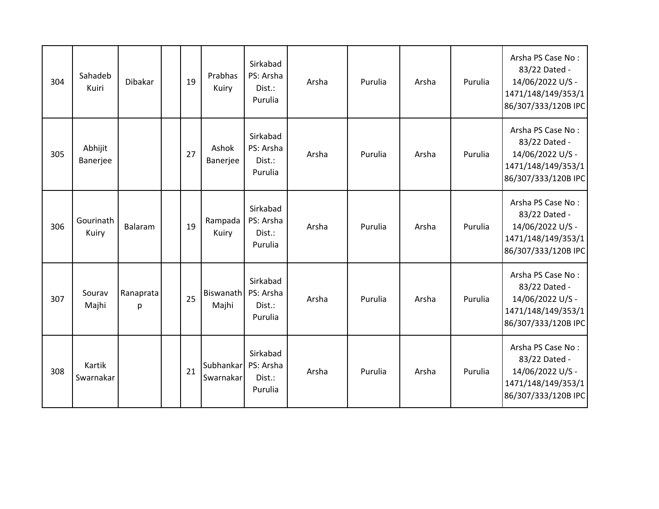| 304 | Sahadeb<br>Kuiri    | Dibakar        | 19 | Prabhas<br>Kuiry       | Sirkabad<br>PS: Arsha<br>Dist.:<br>Purulia | Arsha | Purulia | Arsha | Purulia | Arsha PS Case No:<br>83/22 Dated -<br>14/06/2022 U/S -<br>1471/148/149/353/1<br>86/307/333/120B IPC |
|-----|---------------------|----------------|----|------------------------|--------------------------------------------|-------|---------|-------|---------|-----------------------------------------------------------------------------------------------------|
| 305 | Abhijit<br>Banerjee |                | 27 | Ashok<br>Banerjee      | Sirkabad<br>PS: Arsha<br>Dist.:<br>Purulia | Arsha | Purulia | Arsha | Purulia | Arsha PS Case No:<br>83/22 Dated -<br>14/06/2022 U/S -<br>1471/148/149/353/1<br>86/307/333/120B IPC |
| 306 | Gourinath<br>Kuiry  | Balaram        | 19 | Rampada<br>Kuiry       | Sirkabad<br>PS: Arsha<br>Dist.:<br>Purulia | Arsha | Purulia | Arsha | Purulia | Arsha PS Case No:<br>83/22 Dated -<br>14/06/2022 U/S -<br>1471/148/149/353/1<br>86/307/333/120B IPC |
| 307 | Sourav<br>Majhi     | Ranaprata<br>p | 25 | Biswanath<br>Majhi     | Sirkabad<br>PS: Arsha<br>Dist.:<br>Purulia | Arsha | Purulia | Arsha | Purulia | Arsha PS Case No:<br>83/22 Dated -<br>14/06/2022 U/S -<br>1471/148/149/353/1<br>86/307/333/120B IPC |
| 308 | Kartik<br>Swarnakar |                | 21 | Subhankar<br>Swarnakar | Sirkabad<br>PS: Arsha<br>Dist.:<br>Purulia | Arsha | Purulia | Arsha | Purulia | Arsha PS Case No:<br>83/22 Dated -<br>14/06/2022 U/S -<br>1471/148/149/353/1<br>86/307/333/120B IPC |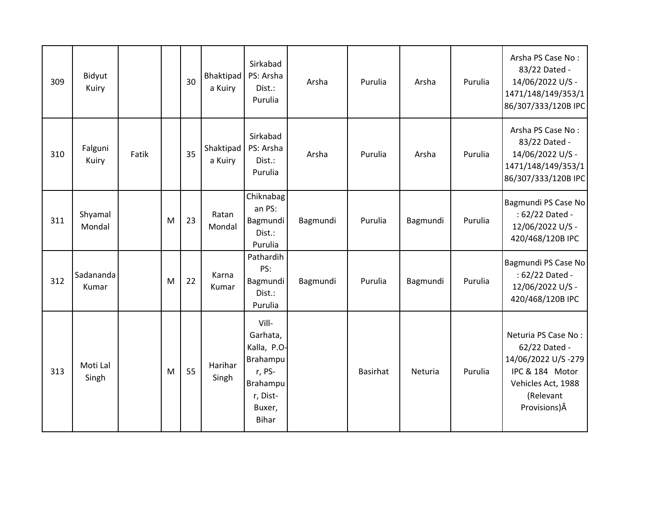| 309 | Bidyut<br>Kuiry    |       |   | 30 | Bhaktipad<br>a Kuiry | Sirkabad<br>PS: Arsha<br>Dist.:<br>Purulia                                                               | Arsha    | Purulia         | Arsha    | Purulia | Arsha PS Case No:<br>83/22 Dated -<br>14/06/2022 U/S -<br>1471/148/149/353/1<br>86/307/333/120B IPC                               |
|-----|--------------------|-------|---|----|----------------------|----------------------------------------------------------------------------------------------------------|----------|-----------------|----------|---------|-----------------------------------------------------------------------------------------------------------------------------------|
| 310 | Falguni<br>Kuiry   | Fatik |   | 35 | Shaktipad<br>a Kuiry | Sirkabad<br>PS: Arsha<br>Dist.:<br>Purulia                                                               | Arsha    | Purulia         | Arsha    | Purulia | Arsha PS Case No:<br>83/22 Dated -<br>14/06/2022 U/S -<br>1471/148/149/353/1<br>86/307/333/120B IPC                               |
| 311 | Shyamal<br>Mondal  |       | M | 23 | Ratan<br>Mondal      | Chiknabag<br>an PS:<br>Bagmundi<br>Dist.:<br>Purulia                                                     | Bagmundi | Purulia         | Bagmundi | Purulia | Bagmundi PS Case No<br>: 62/22 Dated -<br>12/06/2022 U/S -<br>420/468/120B IPC                                                    |
| 312 | Sadananda<br>Kumar |       | M | 22 | Karna<br>Kumar       | Pathardih<br>PS:<br>Bagmundi<br>Dist.:<br>Purulia                                                        | Bagmundi | Purulia         | Bagmundi | Purulia | Bagmundi PS Case No<br>: 62/22 Dated -<br>12/06/2022 U/S -<br>420/468/120B IPC                                                    |
| 313 | Moti Lal<br>Singh  |       | M | 55 | Harihar<br>Singh     | Vill-<br>Garhata,<br>Kalla, P.O-<br>Brahampu<br>r, PS-<br>Brahampu<br>r, Dist-<br>Buxer,<br><b>Bihar</b> |          | <b>Basirhat</b> | Neturia  | Purulia | Neturia PS Case No:<br>62/22 Dated -<br>14/06/2022 U/S-279<br>IPC & 184 Motor<br>Vehicles Act, 1988<br>(Relevant<br>Provisions) Â |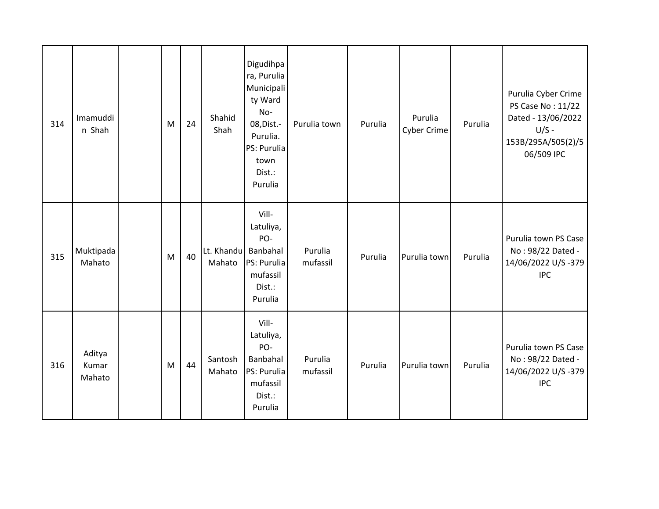| 314 | Imamuddi<br>n Shah        | M | 24 | Shahid<br>Shah       | Digudihpa<br>ra, Purulia<br>Municipali<br>ty Ward<br>No-<br>08, Dist.-<br>Purulia.<br>PS: Purulia<br>town<br>Dist.:<br>Purulia | Purulia town        | Purulia | Purulia<br><b>Cyber Crime</b> | Purulia | Purulia Cyber Crime<br>PS Case No: 11/22<br>Dated - 13/06/2022<br>$U/S -$<br>153B/295A/505(2)/5<br>06/509 IPC |
|-----|---------------------------|---|----|----------------------|--------------------------------------------------------------------------------------------------------------------------------|---------------------|---------|-------------------------------|---------|---------------------------------------------------------------------------------------------------------------|
| 315 | Muktipada<br>Mahato       | M | 40 | Lt. Khandu<br>Mahato | Vill-<br>Latuliya,<br>PO-<br>Banbahal<br>PS: Purulia<br>mufassil<br>Dist.:<br>Purulia                                          | Purulia<br>mufassil | Purulia | Purulia town                  | Purulia | Purulia town PS Case<br>No: 98/22 Dated -<br>14/06/2022 U/S-379<br><b>IPC</b>                                 |
| 316 | Aditya<br>Kumar<br>Mahato | M | 44 | Santosh<br>Mahato    | Vill-<br>Latuliya,<br>PO-<br>Banbahal<br>PS: Purulia<br>mufassil<br>Dist.:<br>Purulia                                          | Purulia<br>mufassil | Purulia | Purulia town                  | Purulia | Purulia town PS Case<br>No: 98/22 Dated -<br>14/06/2022 U/S-379<br><b>IPC</b>                                 |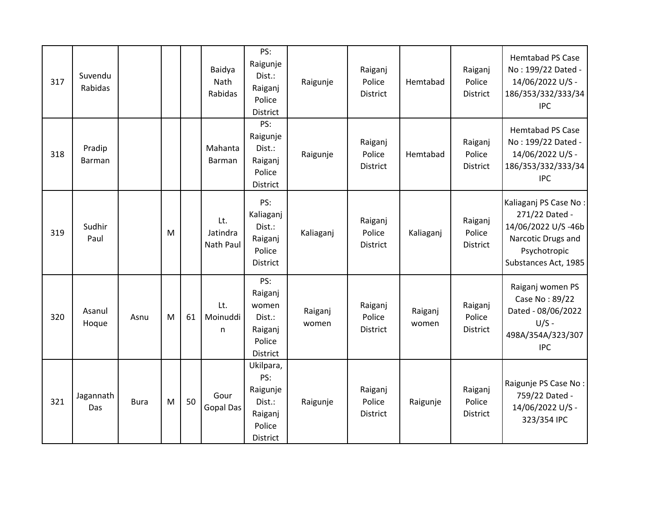| 317 | Suvendu<br>Rabidas |             |   |    | Baidya<br>Nath<br>Rabidas    | PS:<br>Raigunje<br>Dist.:<br>Raiganj<br>Police<br>District              | Raigunje         | Raiganj<br>Police<br><b>District</b> | Hemtabad         | Raiganj<br>Police<br><b>District</b> | <b>Hemtabad PS Case</b><br>No: 199/22 Dated -<br>14/06/2022 U/S -<br>186/353/332/333/34<br><b>IPC</b>                       |
|-----|--------------------|-------------|---|----|------------------------------|-------------------------------------------------------------------------|------------------|--------------------------------------|------------------|--------------------------------------|-----------------------------------------------------------------------------------------------------------------------------|
| 318 | Pradip<br>Barman   |             |   |    | Mahanta<br>Barman            | PS:<br>Raigunje<br>Dist.:<br>Raiganj<br>Police<br><b>District</b>       | Raigunje         | Raiganj<br>Police<br><b>District</b> | Hemtabad         | Raiganj<br>Police<br><b>District</b> | <b>Hemtabad PS Case</b><br>No: 199/22 Dated -<br>14/06/2022 U/S -<br>186/353/332/333/34<br><b>IPC</b>                       |
| 319 | Sudhir<br>Paul     |             | M |    | Lt.<br>Jatindra<br>Nath Paul | PS:<br>Kaliaganj<br>Dist.:<br>Raiganj<br>Police<br><b>District</b>      | Kaliaganj        | Raiganj<br>Police<br>District        | Kaliaganj        | Raiganj<br>Police<br>District        | Kaliaganj PS Case No:<br>271/22 Dated -<br>14/06/2022 U/S-46b<br>Narcotic Drugs and<br>Psychotropic<br>Substances Act, 1985 |
| 320 | Asanul<br>Hoque    | Asnu        | M | 61 | Lt.<br>Moinuddi<br>n         | PS:<br>Raiganj<br>women<br>Dist.:<br>Raiganj<br>Police<br>District      | Raiganj<br>women | Raiganj<br>Police<br><b>District</b> | Raiganj<br>women | Raiganj<br>Police<br><b>District</b> | Raiganj women PS<br>Case No: 89/22<br>Dated - 08/06/2022<br>$U/S -$<br>498A/354A/323/307<br><b>IPC</b>                      |
| 321 | Jagannath<br>Das   | <b>Bura</b> | M | 50 | Gour<br><b>Gopal Das</b>     | Ukilpara,<br>PS:<br>Raigunje<br>Dist.:<br>Raiganj<br>Police<br>District | Raigunje         | Raiganj<br>Police<br>District        | Raigunje         | Raiganj<br>Police<br><b>District</b> | Raigunje PS Case No:<br>759/22 Dated -<br>14/06/2022 U/S -<br>323/354 IPC                                                   |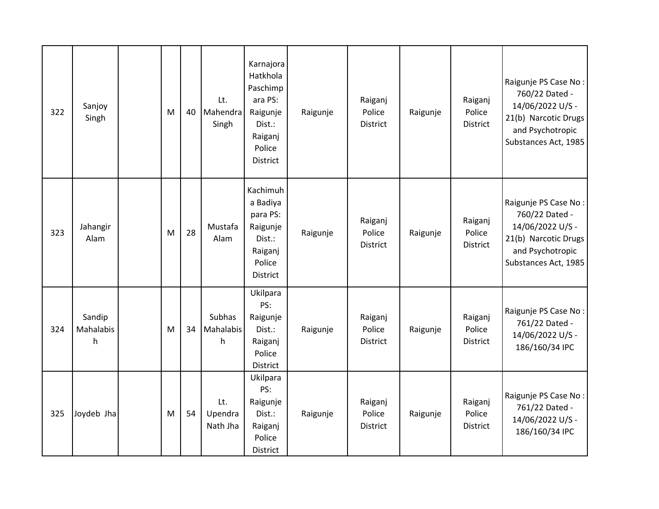| 322 | Sanjoy<br>Singh          | M | 40 | Lt.<br>Mahendra<br>Singh   | Karnajora<br>Hatkhola<br>Paschimp<br>ara PS:<br>Raigunje<br>Dist.:<br>Raiganj<br>Police<br><b>District</b> | Raigunje | Raiganj<br>Police<br><b>District</b> | Raigunje | Raiganj<br>Police<br><b>District</b> | Raigunje PS Case No:<br>760/22 Dated -<br>14/06/2022 U/S -<br>21(b) Narcotic Drugs<br>and Psychotropic<br>Substances Act, 1985 |
|-----|--------------------------|---|----|----------------------------|------------------------------------------------------------------------------------------------------------|----------|--------------------------------------|----------|--------------------------------------|--------------------------------------------------------------------------------------------------------------------------------|
| 323 | Jahangir<br>Alam         | M | 28 | Mustafa<br>Alam            | Kachimuh<br>a Badiya<br>para PS:<br>Raigunje<br>Dist.:<br>Raiganj<br>Police<br><b>District</b>             | Raigunje | Raiganj<br>Police<br>District        | Raigunje | Raiganj<br>Police<br><b>District</b> | Raigunje PS Case No:<br>760/22 Dated -<br>14/06/2022 U/S -<br>21(b) Narcotic Drugs<br>and Psychotropic<br>Substances Act, 1985 |
| 324 | Sandip<br>Mahalabis<br>h | M | 34 | Subhas<br>Mahalabis<br>h   | Ukilpara<br>PS:<br>Raigunje<br>Dist.:<br>Raiganj<br>Police<br><b>District</b>                              | Raigunje | Raiganj<br>Police<br>District        | Raigunje | Raiganj<br>Police<br><b>District</b> | Raigunje PS Case No:<br>761/22 Dated -<br>14/06/2022 U/S -<br>186/160/34 IPC                                                   |
| 325 | Joydeb Jha               | M | 54 | Lt.<br>Upendra<br>Nath Jha | Ukilpara<br>PS:<br>Raigunje<br>Dist.:<br>Raiganj<br>Police<br>District                                     | Raigunje | Raiganj<br>Police<br>District        | Raigunje | Raiganj<br>Police<br>District        | Raigunje PS Case No:<br>761/22 Dated -<br>14/06/2022 U/S -<br>186/160/34 IPC                                                   |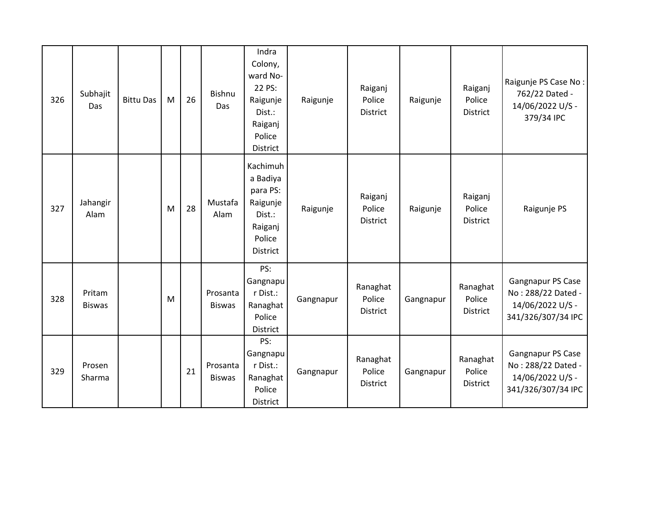| 326 | Subhajit<br>Das         | <b>Bittu Das</b> | M | 26 | <b>Bishnu</b><br>Das      | Indra<br>Colony,<br>ward No-<br>22 PS:<br>Raigunje<br>Dist.:<br>Raiganj<br>Police<br>District | Raigunje  | Raiganj<br>Police<br>District         | Raigunje  | Raiganj<br>Police<br>District         | Raigunje PS Case No:<br>762/22 Dated -<br>14/06/2022 U/S -<br>379/34 IPC          |
|-----|-------------------------|------------------|---|----|---------------------------|-----------------------------------------------------------------------------------------------|-----------|---------------------------------------|-----------|---------------------------------------|-----------------------------------------------------------------------------------|
| 327 | Jahangir<br>Alam        |                  | M | 28 | Mustafa<br>Alam           | Kachimuh<br>a Badiya<br>para PS:<br>Raigunje<br>Dist.:<br>Raiganj<br>Police<br>District       | Raigunje  | Raiganj<br>Police<br><b>District</b>  | Raigunje  | Raiganj<br>Police<br><b>District</b>  | Raigunje PS                                                                       |
| 328 | Pritam<br><b>Biswas</b> |                  | M |    | Prosanta<br><b>Biswas</b> | PS:<br>Gangnapu<br>r Dist.:<br>Ranaghat<br>Police<br>District                                 | Gangnapur | Ranaghat<br>Police<br><b>District</b> | Gangnapur | Ranaghat<br>Police<br><b>District</b> | Gangnapur PS Case<br>No: 288/22 Dated -<br>14/06/2022 U/S -<br>341/326/307/34 IPC |
| 329 | Prosen<br>Sharma        |                  |   | 21 | Prosanta<br><b>Biswas</b> | PS:<br>Gangnapu<br>r Dist.:<br>Ranaghat<br>Police<br>District                                 | Gangnapur | Ranaghat<br>Police<br>District        | Gangnapur | Ranaghat<br>Police<br>District        | Gangnapur PS Case<br>No: 288/22 Dated -<br>14/06/2022 U/S -<br>341/326/307/34 IPC |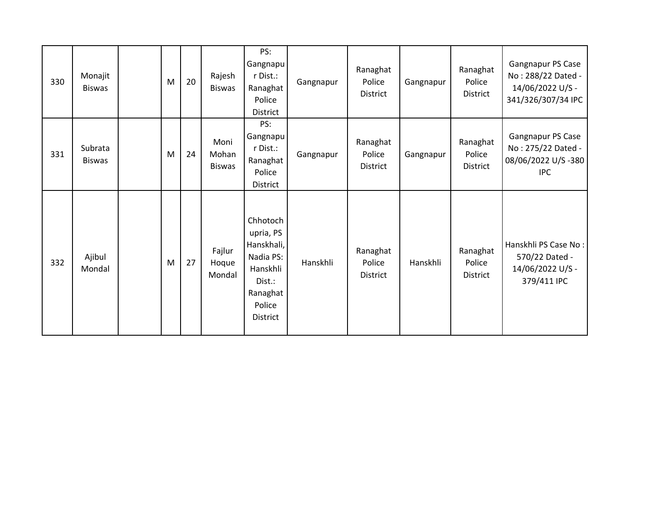| 330 | Monajit<br><b>Biswas</b> | M | 20 | Rajesh<br><b>Biswas</b>        | PS:<br>Gangnapu<br>r Dist.:<br>Ranaghat<br>Police<br><b>District</b>                                            | Gangnapur | Ranaghat<br>Police<br><b>District</b> | Gangnapur | Ranaghat<br>Police<br>District        | Gangnapur PS Case<br>No: 288/22 Dated -<br>14/06/2022 U/S -<br>341/326/307/34 IPC |
|-----|--------------------------|---|----|--------------------------------|-----------------------------------------------------------------------------------------------------------------|-----------|---------------------------------------|-----------|---------------------------------------|-----------------------------------------------------------------------------------|
| 331 | Subrata<br><b>Biswas</b> | M | 24 | Moni<br>Mohan<br><b>Biswas</b> | PS:<br>Gangnapu<br>r Dist.:<br>Ranaghat<br>Police<br><b>District</b>                                            | Gangnapur | Ranaghat<br>Police<br>District        | Gangnapur | Ranaghat<br>Police<br>District        | Gangnapur PS Case<br>No: 275/22 Dated -<br>08/06/2022 U/S -380<br><b>IPC</b>      |
| 332 | Ajibul<br>Mondal         | M | 27 | Fajlur<br>Hoque<br>Mondal      | Chhotoch<br>upria, PS<br>Hanskhali,<br>Nadia PS:<br>Hanskhli<br>Dist.:<br>Ranaghat<br>Police<br><b>District</b> | Hanskhli  | Ranaghat<br>Police<br>District        | Hanskhli  | Ranaghat<br>Police<br><b>District</b> | Hanskhli PS Case No:<br>570/22 Dated -<br>14/06/2022 U/S -<br>379/411 IPC         |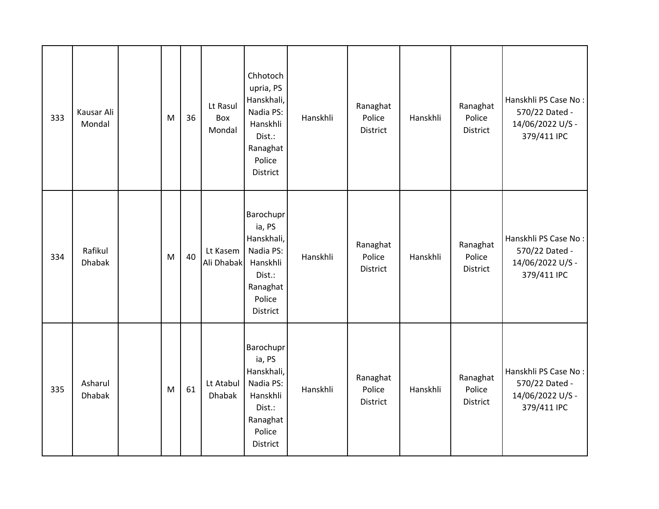| 333 | Kausar Ali<br>Mondal     | M | 36 | Lt Rasul<br>Box<br>Mondal  | Chhotoch<br>upria, PS<br>Hanskhali,<br>Nadia PS:<br>Hanskhli<br>Dist.:<br>Ranaghat<br>Police<br><b>District</b> | Hanskhli | Ranaghat<br>Police<br>District | Hanskhli | Ranaghat<br>Police<br>District        | Hanskhli PS Case No:<br>570/22 Dated -<br>14/06/2022 U/S -<br>379/411 IPC |
|-----|--------------------------|---|----|----------------------------|-----------------------------------------------------------------------------------------------------------------|----------|--------------------------------|----------|---------------------------------------|---------------------------------------------------------------------------|
| 334 | Rafikul<br><b>Dhabak</b> | M | 40 | Lt Kasem<br>Ali Dhabak     | Barochupr<br>ia, PS<br>Hanskhali,<br>Nadia PS:<br>Hanskhli<br>Dist.:<br>Ranaghat<br>Police<br><b>District</b>   | Hanskhli | Ranaghat<br>Police<br>District | Hanskhli | Ranaghat<br>Police<br>District        | Hanskhli PS Case No:<br>570/22 Dated -<br>14/06/2022 U/S -<br>379/411 IPC |
| 335 | Asharul<br><b>Dhabak</b> | M | 61 | Lt Atabul<br><b>Dhabak</b> | Barochupr<br>ia, PS<br>Hanskhali,<br>Nadia PS:<br>Hanskhli<br>Dist.:<br>Ranaghat<br>Police<br>District          | Hanskhli | Ranaghat<br>Police<br>District | Hanskhli | Ranaghat<br>Police<br><b>District</b> | Hanskhli PS Case No:<br>570/22 Dated -<br>14/06/2022 U/S -<br>379/411 IPC |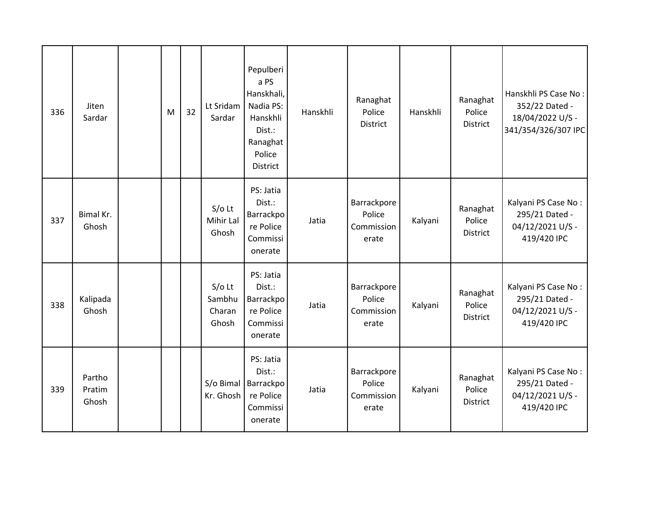| 336 | Jiten<br>Sardar           | M | 32 | Lt Sridam<br>Sardar                   | Pepulberi<br>a PS<br>Hanskhali,<br>Nadia PS:<br>Hanskhli<br>Dist.:<br>Ranaghat<br>Police<br><b>District</b> | Hanskhli | Ranaghat<br>Police<br><b>District</b>        | Hanskhli | Ranaghat<br>Police<br>District        | Hanskhli PS Case No:<br>352/22 Dated -<br>18/04/2022 U/S -<br>341/354/326/307 IPC |
|-----|---------------------------|---|----|---------------------------------------|-------------------------------------------------------------------------------------------------------------|----------|----------------------------------------------|----------|---------------------------------------|-----------------------------------------------------------------------------------|
| 337 | Bimal Kr.<br>Ghosh        |   |    | $S/O$ Lt<br>Mihir Lal<br>Ghosh        | PS: Jatia<br>Dist.:<br>Barrackpo<br>re Police<br>Commissi<br>onerate                                        | Jatia    | Barrackpore<br>Police<br>Commission<br>erate | Kalyani  | Ranaghat<br>Police<br>District        | Kalyani PS Case No:<br>295/21 Dated -<br>04/12/2021 U/S -<br>419/420 IPC          |
| 338 | Kalipada<br>Ghosh         |   |    | $S/O$ Lt<br>Sambhu<br>Charan<br>Ghosh | PS: Jatia<br>Dist.:<br>Barrackpo<br>re Police<br>Commissi<br>onerate                                        | Jatia    | Barrackpore<br>Police<br>Commission<br>erate | Kalyani  | Ranaghat<br>Police<br><b>District</b> | Kalyani PS Case No:<br>295/21 Dated -<br>04/12/2021 U/S -<br>419/420 IPC          |
| 339 | Partho<br>Pratim<br>Ghosh |   |    | Kr. Ghosh                             | PS: Jatia<br>Dist.:<br>S/o Bimal   Barrackpo<br>re Police<br>Commissi<br>onerate                            | Jatia    | Barrackpore<br>Police<br>Commission<br>erate | Kalyani  | Ranaghat<br>Police<br>District        | Kalyani PS Case No:<br>295/21 Dated -<br>04/12/2021 U/S -<br>419/420 IPC          |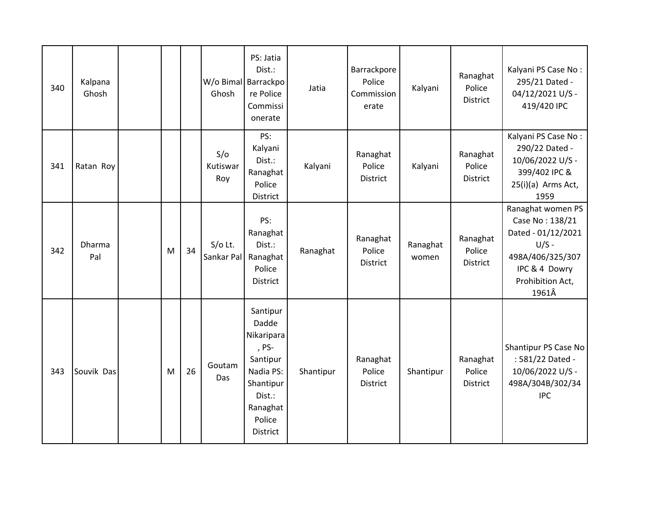| 340 | Kalpana<br>Ghosh |   |    | Ghosh                   | PS: Jatia<br>Dist.:<br>W/o Bimal Barrackpo<br>re Police<br>Commissi<br>onerate                                             | Jatia     | Barrackpore<br>Police<br>Commission<br>erate | Kalyani           | Ranaghat<br>Police<br><b>District</b> | Kalyani PS Case No:<br>295/21 Dated -<br>04/12/2021 U/S -<br>419/420 IPC                                                                |
|-----|------------------|---|----|-------------------------|----------------------------------------------------------------------------------------------------------------------------|-----------|----------------------------------------------|-------------------|---------------------------------------|-----------------------------------------------------------------------------------------------------------------------------------------|
| 341 | Ratan Roy        |   |    | S/O<br>Kutiswar<br>Roy  | PS:<br>Kalyani<br>Dist.:<br>Ranaghat<br>Police<br>District                                                                 | Kalyani   | Ranaghat<br>Police<br><b>District</b>        | Kalyani           | Ranaghat<br>Police<br><b>District</b> | Kalyani PS Case No:<br>290/22 Dated -<br>10/06/2022 U/S -<br>399/402 IPC &<br>25(i)(a) Arms Act,<br>1959                                |
| 342 | Dharma<br>Pal    | M | 34 | $S/O$ Lt.<br>Sankar Pal | PS:<br>Ranaghat<br>Dist.:<br>Ranaghat<br>Police<br>District                                                                | Ranaghat  | Ranaghat<br>Police<br><b>District</b>        | Ranaghat<br>women | Ranaghat<br>Police<br><b>District</b> | Ranaghat women PS<br>Case No: 138/21<br>Dated - 01/12/2021<br>$U/S -$<br>498A/406/325/307<br>IPC & 4 Dowry<br>Prohibition Act,<br>1961Â |
| 343 | Souvik Das       | M | 26 | Goutam<br>Das           | Santipur<br>Dadde<br>Nikaripara<br>, PS-<br>Santipur<br>Nadia PS:<br>Shantipur<br>Dist.:<br>Ranaghat<br>Police<br>District | Shantipur | Ranaghat<br>Police<br><b>District</b>        | Shantipur         | Ranaghat<br>Police<br><b>District</b> | Shantipur PS Case No<br>: 581/22 Dated -<br>10/06/2022 U/S -<br>498A/304B/302/34<br><b>IPC</b>                                          |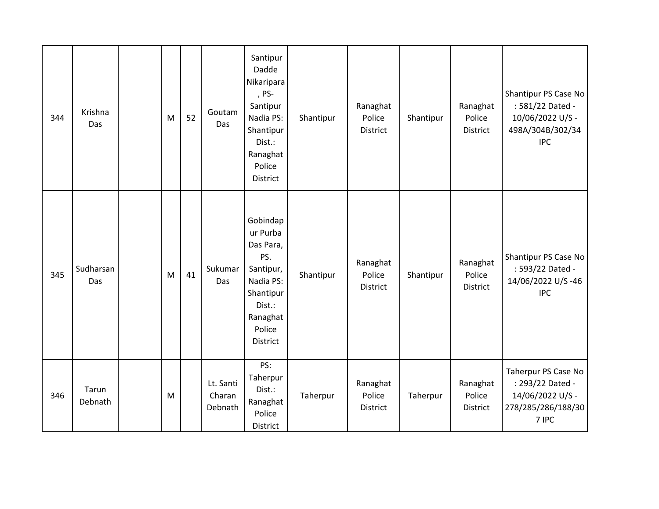| 344 | Krishna<br>Das   | M | 52 | Goutam<br>Das                  | Santipur<br>Dadde<br>Nikaripara<br>, PS-<br>Santipur<br>Nadia PS:<br>Shantipur<br>Dist.:<br>Ranaghat<br>Police<br><b>District</b>  | Shantipur | Ranaghat<br>Police<br>District        | Shantipur | Ranaghat<br>Police<br>District | Shantipur PS Case No<br>: 581/22 Dated -<br>10/06/2022 U/S -<br>498A/304B/302/34<br><b>IPC</b> |
|-----|------------------|---|----|--------------------------------|------------------------------------------------------------------------------------------------------------------------------------|-----------|---------------------------------------|-----------|--------------------------------|------------------------------------------------------------------------------------------------|
| 345 | Sudharsan<br>Das | M | 41 | Sukumar<br>Das                 | Gobindap<br>ur Purba<br>Das Para,<br>PS.<br>Santipur,<br>Nadia PS:<br>Shantipur<br>Dist.:<br>Ranaghat<br>Police<br><b>District</b> | Shantipur | Ranaghat<br>Police<br><b>District</b> | Shantipur | Ranaghat<br>Police<br>District | Shantipur PS Case No<br>: 593/22 Dated -<br>14/06/2022 U/S-46<br><b>IPC</b>                    |
| 346 | Tarun<br>Debnath | M |    | Lt. Santi<br>Charan<br>Debnath | PS:<br>Taherpur<br>Dist.:<br>Ranaghat<br>Police<br>District                                                                        | Taherpur  | Ranaghat<br>Police<br>District        | Taherpur  | Ranaghat<br>Police<br>District | Taherpur PS Case No<br>: 293/22 Dated -<br>14/06/2022 U/S -<br>278/285/286/188/30<br>7 IPC     |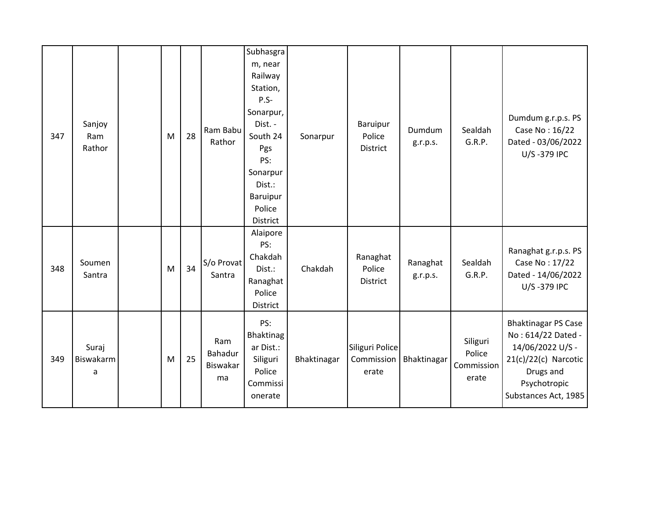| 347 | Sanjoy<br>Ram<br>Rathor | M | 28 | Ram Babu<br>Rathor               | Subhasgra<br>m, near<br>Railway<br>Station,<br>$P.S-$<br>Sonarpur,<br>Dist. -<br>South 24<br>Pgs<br>PS:<br>Sonarpur<br>Dist.:<br><b>Baruipur</b><br>Police<br>District | Sonarpur    | Baruipur<br>Police<br>District         | Dumdum<br>g.r.p.s.   | Sealdah<br>G.R.P.                         | Dumdum g.r.p.s. PS<br>Case No: 16/22<br>Dated - 03/06/2022<br>U/S-379 IPC                                                                           |
|-----|-------------------------|---|----|----------------------------------|------------------------------------------------------------------------------------------------------------------------------------------------------------------------|-------------|----------------------------------------|----------------------|-------------------------------------------|-----------------------------------------------------------------------------------------------------------------------------------------------------|
| 348 | Soumen<br>Santra        | M | 34 | S/o Provat<br>Santra             | Alaipore<br>PS:<br>Chakdah<br>Dist.:<br>Ranaghat<br>Police<br>District                                                                                                 | Chakdah     | Ranaghat<br>Police<br><b>District</b>  | Ranaghat<br>g.r.p.s. | Sealdah<br>G.R.P.                         | Ranaghat g.r.p.s. PS<br>Case No: 17/22<br>Dated - 14/06/2022<br>U/S-379 IPC                                                                         |
| 349 | Suraj<br>Biswakarm<br>a | M | 25 | Ram<br>Bahadur<br>Biswakar<br>ma | PS:<br>Bhaktinag<br>ar Dist.:<br>Siliguri<br>Police<br>Commissi<br>onerate                                                                                             | Bhaktinagar | Siliguri Police<br>Commission<br>erate | Bhaktinagar          | Siliguri<br>Police<br>Commission<br>erate | <b>Bhaktinagar PS Case</b><br>No: 614/22 Dated -<br>14/06/2022 U/S -<br>$21(c)/22(c)$ Narcotic<br>Drugs and<br>Psychotropic<br>Substances Act, 1985 |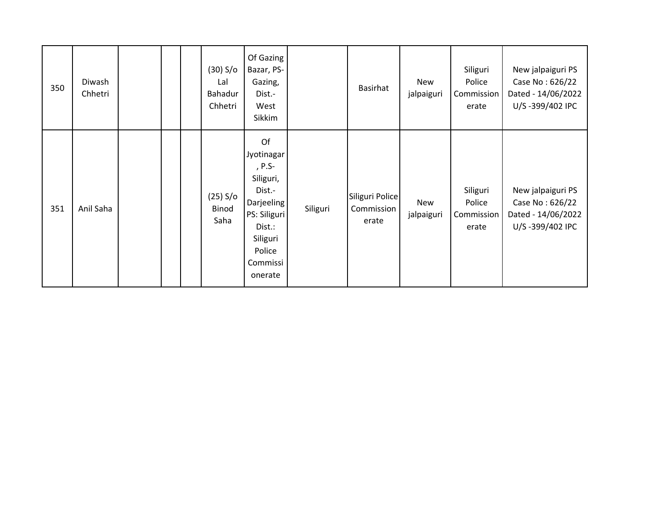| 350 | Diwash<br>Chhetri |  | (30) S/o<br>Lal<br><b>Bahadur</b><br>Chhetri | Of Gazing<br>Bazar, PS-<br>Gazing,<br>Dist.-<br>West<br>Sikkim                                                                         |          | <b>Basirhat</b>                        | New<br>jalpaiguri | Siliguri<br>Police<br>Commission<br>erate | New jalpaiguri PS<br>Case No: 626/22<br>Dated - 14/06/2022<br>U/S-399/402 IPC |
|-----|-------------------|--|----------------------------------------------|----------------------------------------------------------------------------------------------------------------------------------------|----------|----------------------------------------|-------------------|-------------------------------------------|-------------------------------------------------------------------------------|
| 351 | Anil Saha         |  | (25) S/o<br>Binod<br>Saha                    | Of<br>Jyotinagar<br>, P.S-<br>Siliguri,<br>Dist.-<br>Darjeeling<br>PS: Siliguri<br>Dist.:<br>Siliguri<br>Police<br>Commissi<br>onerate | Siliguri | Siliguri Police<br>Commission<br>erate | New<br>jalpaiguri | Siliguri<br>Police<br>Commission<br>erate | New jalpaiguri PS<br>Case No: 626/22<br>Dated - 14/06/2022<br>U/S-399/402 IPC |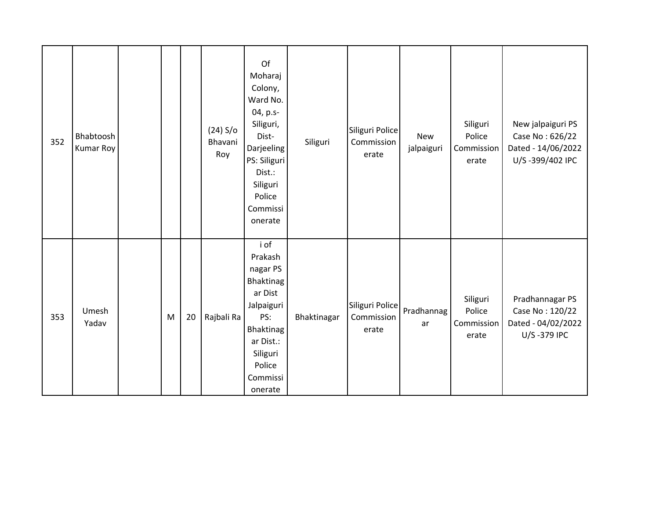| 352 | Bhabtoosh<br><b>Kumar Roy</b> |   |    | (24) S/o<br>Bhavani<br>Roy | Of<br>Moharaj<br>Colony,<br>Ward No.<br>04, p.s-<br>Siliguri,<br>Dist-<br><b>Darjeeling</b><br>PS: Siliguri<br>Dist.:<br>Siliguri<br>Police<br>Commissi<br>onerate | Siliguri    | Siliguri Police<br>Commission<br>erate | <b>New</b><br>jalpaiguri | Siliguri<br>Police<br>Commission<br>erate | New jalpaiguri PS<br>Case No: 626/22<br>Dated - 14/06/2022<br>U/S-399/402 IPC |
|-----|-------------------------------|---|----|----------------------------|--------------------------------------------------------------------------------------------------------------------------------------------------------------------|-------------|----------------------------------------|--------------------------|-------------------------------------------|-------------------------------------------------------------------------------|
| 353 | Umesh<br>Yadav                | M | 20 | Rajbali Ra                 | i of<br>Prakash<br>nagar PS<br>Bhaktinag<br>ar Dist<br>Jalpaiguri<br>PS:<br><b>Bhaktinag</b><br>ar Dist.:<br>Siliguri<br>Police<br>Commissi<br>onerate             | Bhaktinagar | Siliguri Police<br>Commission<br>erate | Pradhannag<br>ar         | Siliguri<br>Police<br>Commission<br>erate | Pradhannagar PS<br>Case No: 120/22<br>Dated - 04/02/2022<br>U/S-379 IPC       |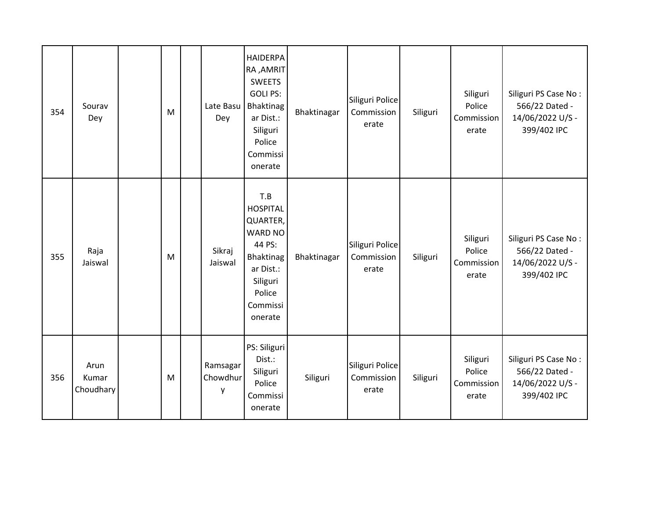| 354 | Sourav<br>Dey              | M | Late Basu<br>Dey          | <b>HAIDERPA</b><br>RA, AMRIT<br><b>SWEETS</b><br><b>GOLI PS:</b><br>Bhaktinag<br>ar Dist.:<br>Siliguri<br>Police<br>Commissi<br>onerate | Bhaktinagar | Siliguri Police<br>Commission<br>erate | Siliguri | Siliguri<br>Police<br>Commission<br>erate | Siliguri PS Case No:<br>566/22 Dated -<br>14/06/2022 U/S -<br>399/402 IPC |
|-----|----------------------------|---|---------------------------|-----------------------------------------------------------------------------------------------------------------------------------------|-------------|----------------------------------------|----------|-------------------------------------------|---------------------------------------------------------------------------|
| 355 | Raja<br>Jaiswal            | M | Sikraj<br>Jaiswal         | T.B<br><b>HOSPITAL</b><br>QUARTER,<br>WARD NO<br>44 PS:<br><b>Bhaktinag</b><br>ar Dist.:<br>Siliguri<br>Police<br>Commissi<br>onerate   | Bhaktinagar | Siliguri Police<br>Commission<br>erate | Siliguri | Siliguri<br>Police<br>Commission<br>erate | Siliguri PS Case No:<br>566/22 Dated -<br>14/06/2022 U/S -<br>399/402 IPC |
| 356 | Arun<br>Kumar<br>Choudhary | M | Ramsagar<br>Chowdhur<br>y | PS: Siliguri<br>Dist.:<br>Siliguri<br>Police<br>Commissi<br>onerate                                                                     | Siliguri    | Siliguri Police<br>Commission<br>erate | Siliguri | Siliguri<br>Police<br>Commission<br>erate | Siliguri PS Case No:<br>566/22 Dated -<br>14/06/2022 U/S -<br>399/402 IPC |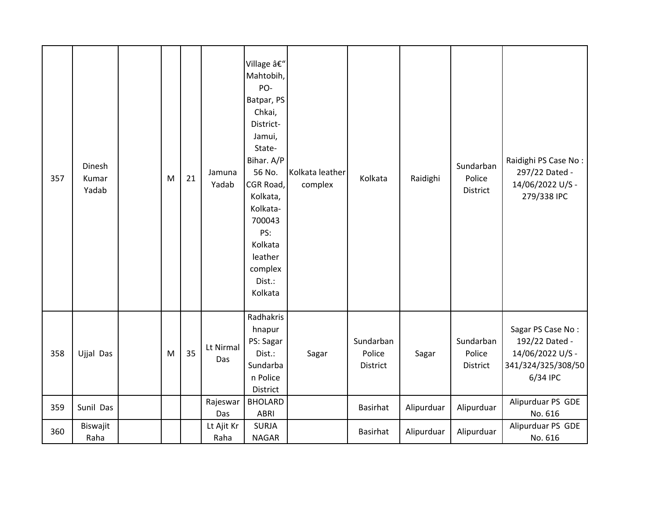| 357 | Dinesh<br>Kumar<br>Yadab | M | 21 | Jamuna<br>Yadab    | Village –<br>Mahtobih,<br>PO-<br>Batpar, PS<br>Chkai,<br>District-<br>Jamui,<br>State-<br>Bihar. A/P<br>56 No.<br>CGR Road,<br>Kolkata,<br>Kolkata-<br>700043<br>PS:<br>Kolkata<br>leather<br>complex<br>Dist.:<br>Kolkata | Kolkata leather<br>complex | Kolkata                         | Raidighi   | Sundarban<br>Police<br>District | Raidighi PS Case No:<br>297/22 Dated -<br>14/06/2022 U/S -<br>279/338 IPC                 |
|-----|--------------------------|---|----|--------------------|----------------------------------------------------------------------------------------------------------------------------------------------------------------------------------------------------------------------------|----------------------------|---------------------------------|------------|---------------------------------|-------------------------------------------------------------------------------------------|
| 358 | Ujjal Das                | M | 35 | Lt Nirmal<br>Das   | Radhakris<br>hnapur<br>PS: Sagar<br>Dist.:<br>Sundarba<br>n Police<br>District                                                                                                                                             | Sagar                      | Sundarban<br>Police<br>District | Sagar      | Sundarban<br>Police<br>District | Sagar PS Case No:<br>192/22 Dated -<br>14/06/2022 U/S -<br>341/324/325/308/50<br>6/34 IPC |
| 359 | Sunil Das                |   |    | Rajeswar<br>Das    | <b>BHOLARD</b><br>ABRI                                                                                                                                                                                                     |                            | <b>Basirhat</b>                 | Alipurduar | Alipurduar                      | Alipurduar PS GDE<br>No. 616                                                              |
| 360 | Biswajit<br>Raha         |   |    | Lt Ajit Kr<br>Raha | <b>SURJA</b><br><b>NAGAR</b>                                                                                                                                                                                               |                            | <b>Basirhat</b>                 | Alipurduar | Alipurduar                      | Alipurduar PS GDE<br>No. 616                                                              |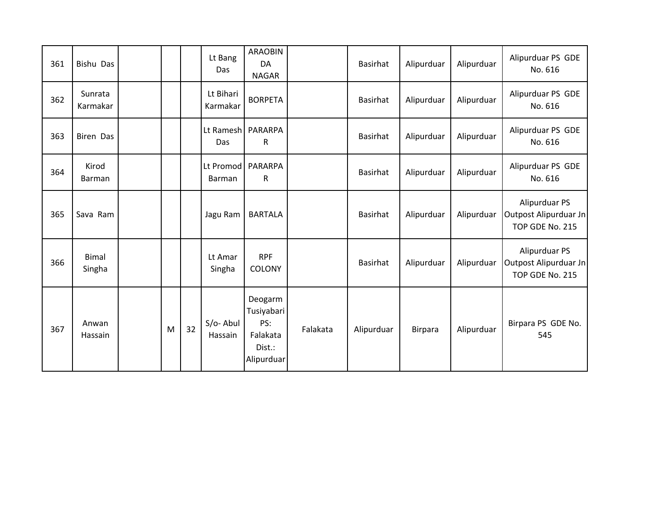| 361 | <b>Bishu Das</b>       |   |    | Lt Bang<br>Das                | <b>ARAOBIN</b><br>DA<br><b>NAGAR</b>                             |          | Basirhat        | Alipurduar     | Alipurduar | Alipurduar PS GDE<br>No. 616                              |
|-----|------------------------|---|----|-------------------------------|------------------------------------------------------------------|----------|-----------------|----------------|------------|-----------------------------------------------------------|
| 362 | Sunrata<br>Karmakar    |   |    | Lt Bihari<br>Karmakar         | <b>BORPETA</b>                                                   |          | <b>Basirhat</b> | Alipurduar     | Alipurduar | Alipurduar PS GDE<br>No. 616                              |
| 363 | <b>Biren Das</b>       |   |    | Lt Ramesh   PARARPA<br>Das    | R                                                                |          | Basirhat        | Alipurduar     | Alipurduar | Alipurduar PS GDE<br>No. 616                              |
| 364 | Kirod<br>Barman        |   |    | Lt Promod   PARARPA<br>Barman | $\mathsf R$                                                      |          | Basirhat        | Alipurduar     | Alipurduar | Alipurduar PS GDE<br>No. 616                              |
| 365 | Sava Ram               |   |    | Jagu Ram                      | <b>BARTALA</b>                                                   |          | Basirhat        | Alipurduar     | Alipurduar | Alipurduar PS<br>Outpost Alipurduar Jn<br>TOP GDE No. 215 |
| 366 | <b>Bimal</b><br>Singha |   |    | Lt Amar<br>Singha             | <b>RPF</b><br>COLONY                                             |          | <b>Basirhat</b> | Alipurduar     | Alipurduar | Alipurduar PS<br>Outpost Alipurduar Jn<br>TOP GDE No. 215 |
| 367 | Anwan<br>Hassain       | M | 32 | S/o-Abul<br>Hassain           | Deogarm<br>Tusiyabari<br>PS:<br>Falakata<br>Dist.:<br>Alipurduar | Falakata | Alipurduar      | <b>Birpara</b> | Alipurduar | Birpara PS GDE No.<br>545                                 |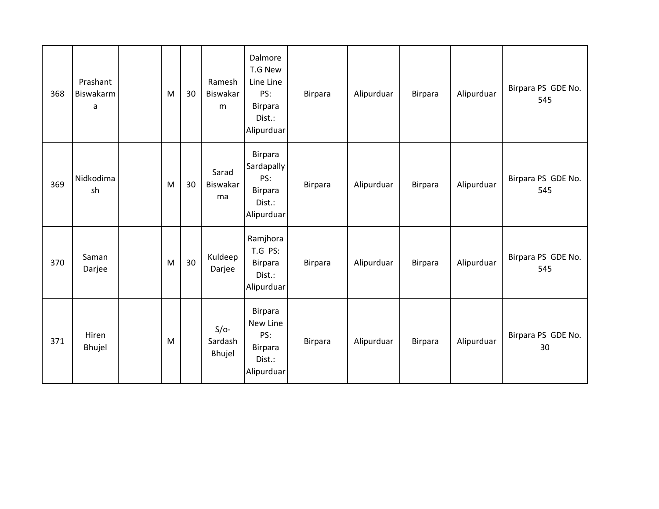| 368 | Prashant<br>Biswakarm<br>a | M | 30 | Ramesh<br>Biswakar<br>m     | Dalmore<br>T.G New<br>Line Line<br>PS:<br><b>Birpara</b><br>Dist.:<br>Alipurduar | <b>Birpara</b> | Alipurduar | <b>Birpara</b> | Alipurduar | Birpara PS GDE No.<br>545 |
|-----|----------------------------|---|----|-----------------------------|----------------------------------------------------------------------------------|----------------|------------|----------------|------------|---------------------------|
| 369 | Nidkodima<br>sh            | M | 30 | Sarad<br>Biswakar<br>ma     | <b>Birpara</b><br>Sardapally<br>PS:<br><b>Birpara</b><br>Dist.:<br>Alipurduar    | <b>Birpara</b> | Alipurduar | <b>Birpara</b> | Alipurduar | Birpara PS GDE No.<br>545 |
| 370 | Saman<br>Darjee            | M | 30 | Kuldeep<br>Darjee           | Ramjhora<br>T.G PS:<br><b>Birpara</b><br>Dist.:<br>Alipurduar                    | <b>Birpara</b> | Alipurduar | <b>Birpara</b> | Alipurduar | Birpara PS GDE No.<br>545 |
| 371 | Hiren<br>Bhujel            | M |    | $S/O-$<br>Sardash<br>Bhujel | <b>Birpara</b><br>New Line<br>PS:<br><b>Birpara</b><br>Dist.:<br>Alipurduar      | <b>Birpara</b> | Alipurduar | Birpara        | Alipurduar | Birpara PS GDE No.<br>30  |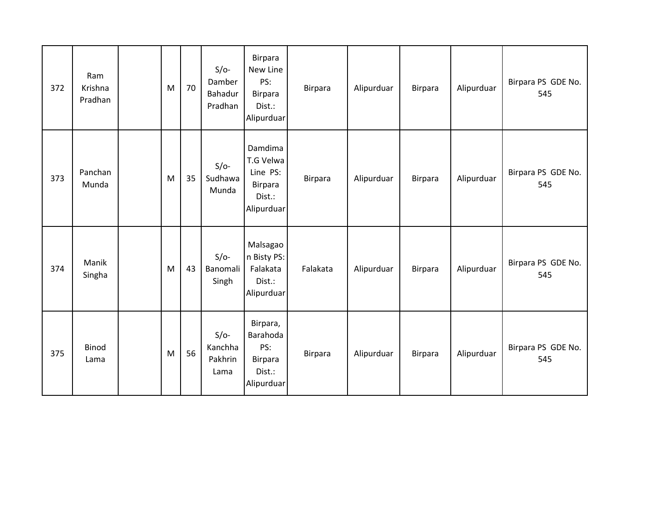| 372 | Ram<br>Krishna<br>Pradhan | M | 70 | $S/O-$<br>Damber<br>Bahadur<br>Pradhan | Birpara<br>New Line<br>PS:<br>Birpara<br>Dist.:<br>Alipurduar         | <b>Birpara</b> | Alipurduar | Birpara        | Alipurduar | Birpara PS GDE No.<br>545 |
|-----|---------------------------|---|----|----------------------------------------|-----------------------------------------------------------------------|----------------|------------|----------------|------------|---------------------------|
| 373 | Panchan<br>Munda          | M | 35 | $S/O-$<br>Sudhawa<br>Munda             | Damdima<br>T.G Velwa<br>Line PS:<br>Birpara<br>Dist.:<br>Alipurduar   | Birpara        | Alipurduar | Birpara        | Alipurduar | Birpara PS GDE No.<br>545 |
| 374 | Manik<br>Singha           | M | 43 | $S/O-$<br>Banomali<br>Singh            | Malsagao<br>n Bisty PS:<br>Falakata<br>Dist.:<br>Alipurduar           | Falakata       | Alipurduar | Birpara        | Alipurduar | Birpara PS GDE No.<br>545 |
| 375 | <b>Binod</b><br>Lama      | M | 56 | $S/O-$<br>Kanchha<br>Pakhrin<br>Lama   | Birpara,<br>Barahoda<br>PS:<br><b>Birpara</b><br>Dist.:<br>Alipurduar | Birpara        | Alipurduar | <b>Birpara</b> | Alipurduar | Birpara PS GDE No.<br>545 |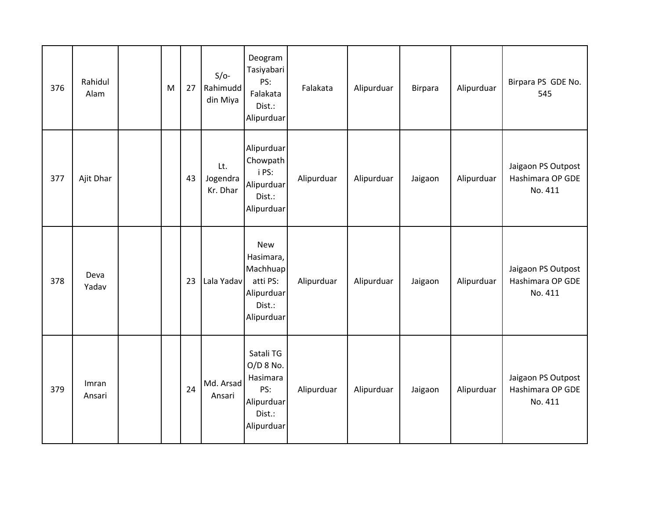| 376 | Rahidul<br>Alam | M | 27 | $S/O-$<br>Rahimudd<br>din Miya | Deogram<br>Tasiyabari<br>PS:<br>Falakata<br>Dist.:<br>Alipurduar                      | Falakata   | Alipurduar | Birpara | Alipurduar | Birpara PS GDE No.<br>545                         |
|-----|-----------------|---|----|--------------------------------|---------------------------------------------------------------------------------------|------------|------------|---------|------------|---------------------------------------------------|
| 377 | Ajit Dhar       |   | 43 | Lt.<br>Jogendra<br>Kr. Dhar    | Alipurduar<br>Chowpath<br>i PS:<br>Alipurduar<br>Dist.:<br>Alipurduar                 | Alipurduar | Alipurduar | Jaigaon | Alipurduar | Jaigaon PS Outpost<br>Hashimara OP GDE<br>No. 411 |
| 378 | Deva<br>Yadav   |   | 23 | Lala Yadav                     | <b>New</b><br>Hasimara,<br>Machhuap<br>atti PS:<br>Alipurduar<br>Dist.:<br>Alipurduar | Alipurduar | Alipurduar | Jaigaon | Alipurduar | Jaigaon PS Outpost<br>Hashimara OP GDE<br>No. 411 |
| 379 | Imran<br>Ansari |   | 24 | Md. Arsad<br>Ansari            | Satali TG<br>$O/D$ 8 No.<br>Hasimara<br>PS:<br>Alipurduar<br>Dist.:<br>Alipurduar     | Alipurduar | Alipurduar | Jaigaon | Alipurduar | Jaigaon PS Outpost<br>Hashimara OP GDE<br>No. 411 |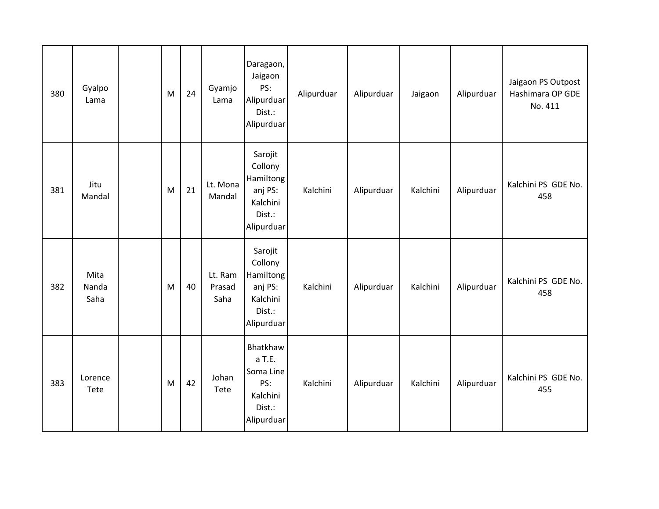| 380 | Gyalpo<br>Lama        | ${\sf M}$ | 24 | Gyamjo<br>Lama            | Daragaon,<br>Jaigaon<br>PS:<br>Alipurduar<br>Dist.:<br>Alipurduar              | Alipurduar | Alipurduar | Jaigaon  | Alipurduar | Jaigaon PS Outpost<br>Hashimara OP GDE<br>No. 411 |
|-----|-----------------------|-----------|----|---------------------------|--------------------------------------------------------------------------------|------------|------------|----------|------------|---------------------------------------------------|
| 381 | Jitu<br>Mandal        | M         | 21 | Lt. Mona<br>Mandal        | Sarojit<br>Collony<br>Hamiltong<br>anj PS:<br>Kalchini<br>Dist.:<br>Alipurduar | Kalchini   | Alipurduar | Kalchini | Alipurduar | Kalchini PS GDE No.<br>458                        |
| 382 | Mita<br>Nanda<br>Saha | M         | 40 | Lt. Ram<br>Prasad<br>Saha | Sarojit<br>Collony<br>Hamiltong<br>anj PS:<br>Kalchini<br>Dist.:<br>Alipurduar | Kalchini   | Alipurduar | Kalchini | Alipurduar | Kalchini PS GDE No.<br>458                        |
| 383 | Lorence<br>Tete       | M         | 42 | Johan<br>Tete             | Bhatkhaw<br>a T.E.<br>Soma Line<br>PS:<br>Kalchini<br>Dist.:<br>Alipurduar     | Kalchini   | Alipurduar | Kalchini | Alipurduar | Kalchini PS GDE No.<br>455                        |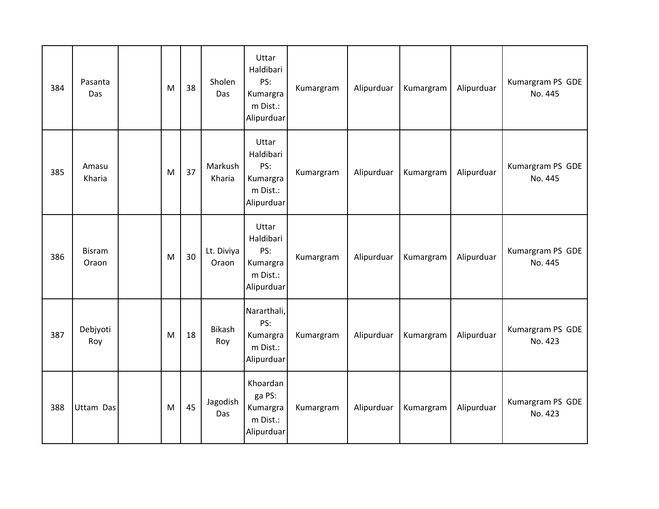| 384 | Pasanta<br>Das         | M | 38 | Sholen<br>Das       | Uttar<br>Haldibari<br>PS:<br>Kumargra<br>m Dist.:<br>Alipurduar | Kumargram | Alipurduar | Kumargram | Alipurduar | Kumargram PS GDE<br>No. 445 |
|-----|------------------------|---|----|---------------------|-----------------------------------------------------------------|-----------|------------|-----------|------------|-----------------------------|
| 385 | Amasu<br>Kharia        | M | 37 | Markush<br>Kharia   | Uttar<br>Haldibari<br>PS:<br>Kumargra<br>m Dist.:<br>Alipurduar | Kumargram | Alipurduar | Kumargram | Alipurduar | Kumargram PS GDE<br>No. 445 |
| 386 | <b>Bisram</b><br>Oraon | M | 30 | Lt. Diviya<br>Oraon | Uttar<br>Haldibari<br>PS:<br>Kumargra<br>m Dist.:<br>Alipurduar | Kumargram | Alipurduar | Kumargram | Alipurduar | Kumargram PS GDE<br>No. 445 |
| 387 | Debjyoti<br>Roy        | M | 18 | Bikash<br>Roy       | Nararthali,<br>PS:<br>Kumargra<br>m Dist.:<br>Alipurduar        | Kumargram | Alipurduar | Kumargram | Alipurduar | Kumargram PS GDE<br>No. 423 |
| 388 | Uttam Das              | M | 45 | Jagodish<br>Das     | Khoardan<br>ga PS:<br>Kumargra<br>m Dist.:<br>Alipurduar        | Kumargram | Alipurduar | Kumargram | Alipurduar | Kumargram PS GDE<br>No. 423 |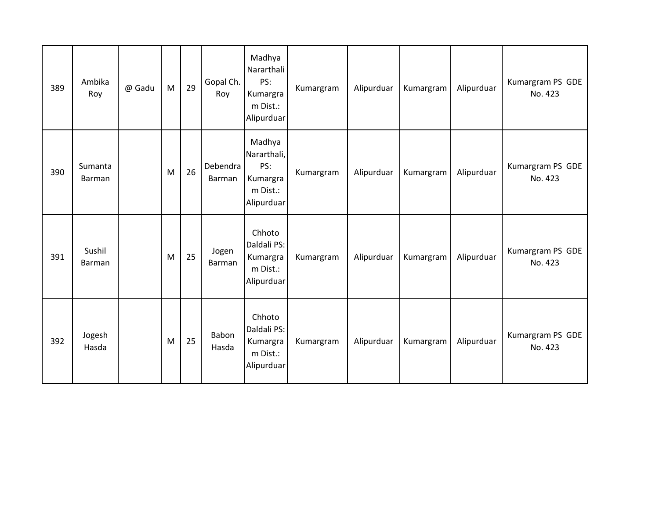| 389 | Ambika<br>Roy     | @ Gadu | M | 29 | Gopal Ch.<br>Roy   | Madhya<br>Nararthali<br>PS:<br>Kumargra<br>m Dist.:<br>Alipurduar  | Kumargram | Alipurduar | Kumargram | Alipurduar | Kumargram PS GDE<br>No. 423 |
|-----|-------------------|--------|---|----|--------------------|--------------------------------------------------------------------|-----------|------------|-----------|------------|-----------------------------|
| 390 | Sumanta<br>Barman |        | M | 26 | Debendra<br>Barman | Madhya<br>Nararthali,<br>PS:<br>Kumargra<br>m Dist.:<br>Alipurduar | Kumargram | Alipurduar | Kumargram | Alipurduar | Kumargram PS GDE<br>No. 423 |
| 391 | Sushil<br>Barman  |        | M | 25 | Jogen<br>Barman    | Chhoto<br>Daldali PS:<br>Kumargra<br>m Dist.:<br>Alipurduar        | Kumargram | Alipurduar | Kumargram | Alipurduar | Kumargram PS GDE<br>No. 423 |
| 392 | Jogesh<br>Hasda   |        | M | 25 | Babon<br>Hasda     | Chhoto<br>Daldali PS:<br>Kumargra<br>m Dist.:<br>Alipurduar        | Kumargram | Alipurduar | Kumargram | Alipurduar | Kumargram PS GDE<br>No. 423 |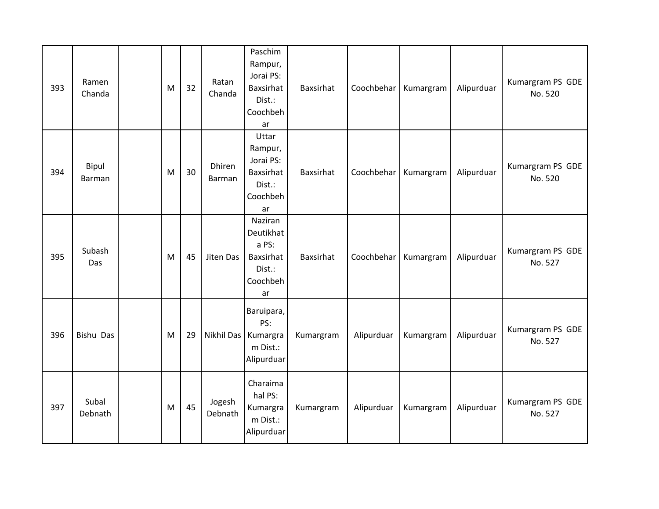| 393 | Ramen<br>Chanda        | M | 32 | Ratan<br>Chanda   | Paschim<br>Rampur,<br>Jorai PS:<br><b>Baxsirhat</b><br>Dist.:<br>Coochbeh<br>ar | Baxsirhat | Coochbehar | Kumargram | Alipurduar | Kumargram PS GDE<br>No. 520 |
|-----|------------------------|---|----|-------------------|---------------------------------------------------------------------------------|-----------|------------|-----------|------------|-----------------------------|
| 394 | Bipul<br><b>Barman</b> | M | 30 | Dhiren<br>Barman  | Uttar<br>Rampur,<br>Jorai PS:<br>Baxsirhat<br>Dist.:<br>Coochbeh<br>ar          | Baxsirhat | Coochbehar | Kumargram | Alipurduar | Kumargram PS GDE<br>No. 520 |
| 395 | Subash<br>Das          | M | 45 | Jiten Das         | Naziran<br>Deutikhat<br>a PS:<br>Baxsirhat<br>Dist.:<br>Coochbeh<br>ar          | Baxsirhat | Coochbehar | Kumargram | Alipurduar | Kumargram PS GDE<br>No. 527 |
| 396 | Bishu Das              | M | 29 | Nikhil Das        | Baruipara,<br>PS:<br>Kumargra<br>m Dist.:<br>Alipurduar                         | Kumargram | Alipurduar | Kumargram | Alipurduar | Kumargram PS GDE<br>No. 527 |
| 397 | Subal<br>Debnath       | M | 45 | Jogesh<br>Debnath | Charaima<br>hal PS:<br>Kumargra<br>m Dist.:<br>Alipurduar                       | Kumargram | Alipurduar | Kumargram | Alipurduar | Kumargram PS GDE<br>No. 527 |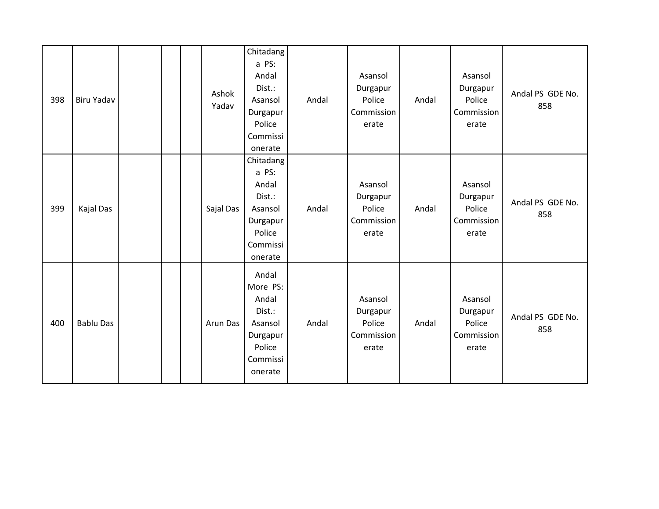| 398 | <b>Biru Yadav</b> |  | Ashok<br>Yadav | Chitadang<br>a PS:<br>Andal<br>Dist.:<br>Asansol<br>Durgapur<br>Police<br>Commissi<br>onerate | Andal | Asansol<br>Durgapur<br>Police<br>Commission<br>erate | Andal | Asansol<br>Durgapur<br>Police<br>Commission<br>erate | Andal PS GDE No.<br>858 |
|-----|-------------------|--|----------------|-----------------------------------------------------------------------------------------------|-------|------------------------------------------------------|-------|------------------------------------------------------|-------------------------|
| 399 | Kajal Das         |  | Sajal Das      | Chitadang<br>a PS:<br>Andal<br>Dist.:<br>Asansol<br>Durgapur<br>Police<br>Commissi<br>onerate | Andal | Asansol<br>Durgapur<br>Police<br>Commission<br>erate | Andal | Asansol<br>Durgapur<br>Police<br>Commission<br>erate | Andal PS GDE No.<br>858 |
| 400 | <b>Bablu Das</b>  |  | Arun Das       | Andal<br>More PS:<br>Andal<br>Dist.:<br>Asansol<br>Durgapur<br>Police<br>Commissi<br>onerate  | Andal | Asansol<br>Durgapur<br>Police<br>Commission<br>erate | Andal | Asansol<br>Durgapur<br>Police<br>Commission<br>erate | Andal PS GDE No.<br>858 |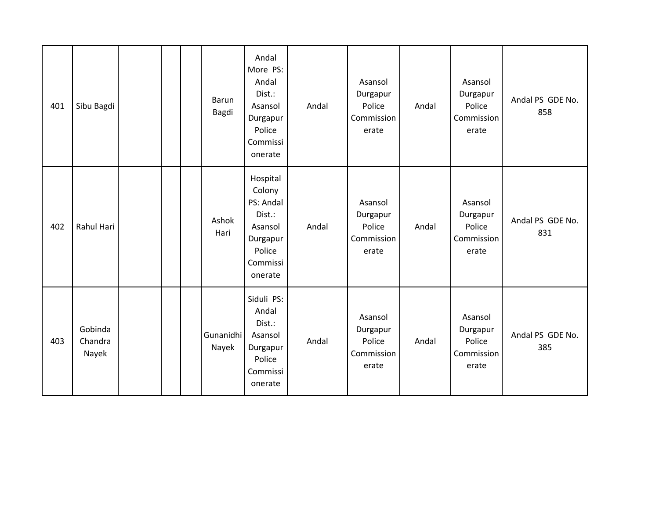| 401 | Sibu Bagdi                  |  | Barun<br>Bagdi     | Andal<br>More PS:<br>Andal<br>Dist.:<br>Asansol<br>Durgapur<br>Police<br>Commissi<br>onerate      | Andal | Asansol<br>Durgapur<br>Police<br>Commission<br>erate | Andal | Asansol<br>Durgapur<br>Police<br>Commission<br>erate | Andal PS GDE No.<br>858 |
|-----|-----------------------------|--|--------------------|---------------------------------------------------------------------------------------------------|-------|------------------------------------------------------|-------|------------------------------------------------------|-------------------------|
| 402 | Rahul Hari                  |  | Ashok<br>Hari      | Hospital<br>Colony<br>PS: Andal<br>Dist.:<br>Asansol<br>Durgapur<br>Police<br>Commissi<br>onerate | Andal | Asansol<br>Durgapur<br>Police<br>Commission<br>erate | Andal | Asansol<br>Durgapur<br>Police<br>Commission<br>erate | Andal PS GDE No.<br>831 |
| 403 | Gobinda<br>Chandra<br>Nayek |  | Gunanidhi<br>Nayek | Siduli PS:<br>Andal<br>Dist.:<br>Asansol<br>Durgapur<br>Police<br>Commissi<br>onerate             | Andal | Asansol<br>Durgapur<br>Police<br>Commission<br>erate | Andal | Asansol<br>Durgapur<br>Police<br>Commission<br>erate | Andal PS GDE No.<br>385 |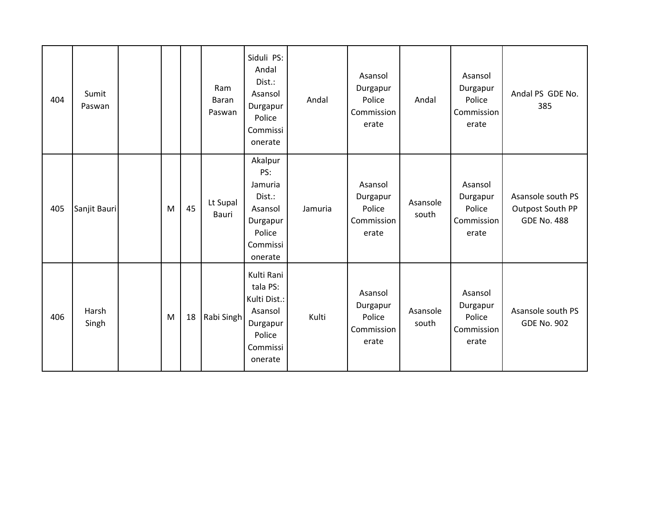| 404 | Sumit<br>Paswan |   |    | Ram<br>Baran<br>Paswan | Siduli PS:<br>Andal<br>Dist.:<br>Asansol<br>Durgapur<br>Police<br>Commissi<br>onerate          | Andal   | Asansol<br>Durgapur<br>Police<br>Commission<br>erate | Andal             | Asansol<br>Durgapur<br>Police<br>Commission<br>erate | Andal PS GDE No.<br>385                                     |
|-----|-----------------|---|----|------------------------|------------------------------------------------------------------------------------------------|---------|------------------------------------------------------|-------------------|------------------------------------------------------|-------------------------------------------------------------|
| 405 | Sanjit Bauri    | M | 45 | Lt Supal<br>Bauri      | Akalpur<br>PS:<br>Jamuria<br>Dist.:<br>Asansol<br>Durgapur<br>Police<br>Commissi<br>onerate    | Jamuria | Asansol<br>Durgapur<br>Police<br>Commission<br>erate | Asansole<br>south | Asansol<br>Durgapur<br>Police<br>Commission<br>erate | Asansole south PS<br>Outpost South PP<br><b>GDE No. 488</b> |
| 406 | Harsh<br>Singh  | M | 18 | Rabi Singh             | Kulti Rani<br>tala PS:<br>Kulti Dist.:<br>Asansol<br>Durgapur<br>Police<br>Commissi<br>onerate | Kulti   | Asansol<br>Durgapur<br>Police<br>Commission<br>erate | Asansole<br>south | Asansol<br>Durgapur<br>Police<br>Commission<br>erate | Asansole south PS<br><b>GDE No. 902</b>                     |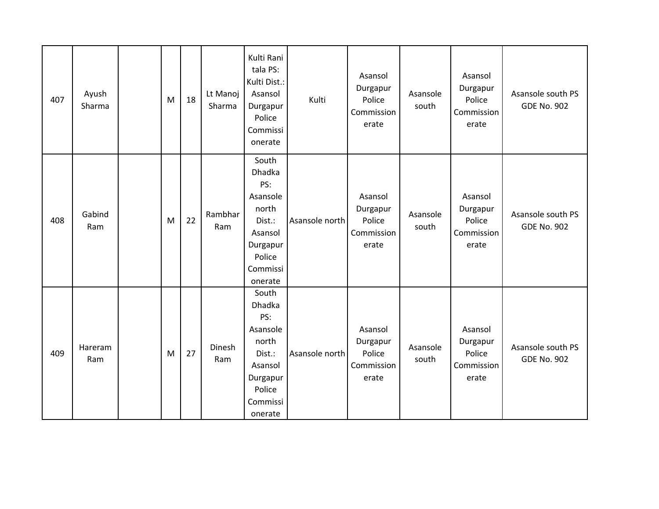| 407 | Ayush<br>Sharma | M | 18 | Lt Manoj<br>Sharma | Kulti Rani<br>tala PS:<br>Kulti Dist.:<br>Asansol<br>Durgapur<br>Police<br>Commissi<br>onerate                | Kulti          | Asansol<br>Durgapur<br>Police<br>Commission<br>erate | Asansole<br>south | Asansol<br>Durgapur<br>Police<br>Commission<br>erate | Asansole south PS<br><b>GDE No. 902</b> |
|-----|-----------------|---|----|--------------------|---------------------------------------------------------------------------------------------------------------|----------------|------------------------------------------------------|-------------------|------------------------------------------------------|-----------------------------------------|
| 408 | Gabind<br>Ram   | M | 22 | Rambhar<br>Ram     | South<br>Dhadka<br>PS:<br>Asansole<br>north<br>Dist.:<br>Asansol<br>Durgapur<br>Police<br>Commissi<br>onerate | Asansole north | Asansol<br>Durgapur<br>Police<br>Commission<br>erate | Asansole<br>south | Asansol<br>Durgapur<br>Police<br>Commission<br>erate | Asansole south PS<br><b>GDE No. 902</b> |
| 409 | Hareram<br>Ram  | M | 27 | Dinesh<br>Ram      | South<br>Dhadka<br>PS:<br>Asansole<br>north<br>Dist.:<br>Asansol<br>Durgapur<br>Police<br>Commissi<br>onerate | Asansole north | Asansol<br>Durgapur<br>Police<br>Commission<br>erate | Asansole<br>south | Asansol<br>Durgapur<br>Police<br>Commission<br>erate | Asansole south PS<br><b>GDE No. 902</b> |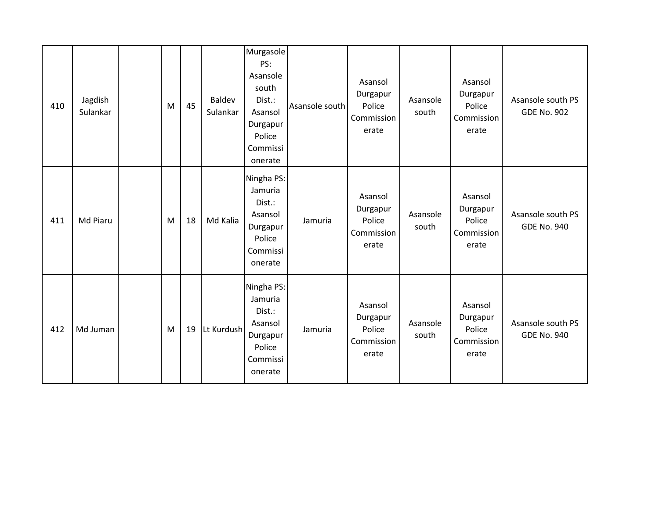| 410 | Jagdish<br>Sulankar | M | 45 | Baldev<br>Sulankar | Murgasole<br>PS:<br>Asansole<br>south<br>Dist.:<br>Asansol<br>Durgapur<br>Police<br>Commissi<br>onerate | Asansole south | Asansol<br>Durgapur<br>Police<br>Commission<br>erate | Asansole<br>south | Asansol<br>Durgapur<br>Police<br>Commission<br>erate | Asansole south PS<br><b>GDE No. 902</b> |
|-----|---------------------|---|----|--------------------|---------------------------------------------------------------------------------------------------------|----------------|------------------------------------------------------|-------------------|------------------------------------------------------|-----------------------------------------|
| 411 | Md Piaru            | M | 18 | Md Kalia           | Ningha PS:<br>Jamuria<br>Dist.:<br>Asansol<br>Durgapur<br>Police<br>Commissi<br>onerate                 | Jamuria        | Asansol<br>Durgapur<br>Police<br>Commission<br>erate | Asansole<br>south | Asansol<br>Durgapur<br>Police<br>Commission<br>erate | Asansole south PS<br><b>GDE No. 940</b> |
| 412 | Md Juman            | M | 19 | Lt Kurdush         | Ningha PS:<br>Jamuria<br>Dist.:<br>Asansol<br>Durgapur<br>Police<br>Commissi<br>onerate                 | Jamuria        | Asansol<br>Durgapur<br>Police<br>Commission<br>erate | Asansole<br>south | Asansol<br>Durgapur<br>Police<br>Commission<br>erate | Asansole south PS<br><b>GDE No. 940</b> |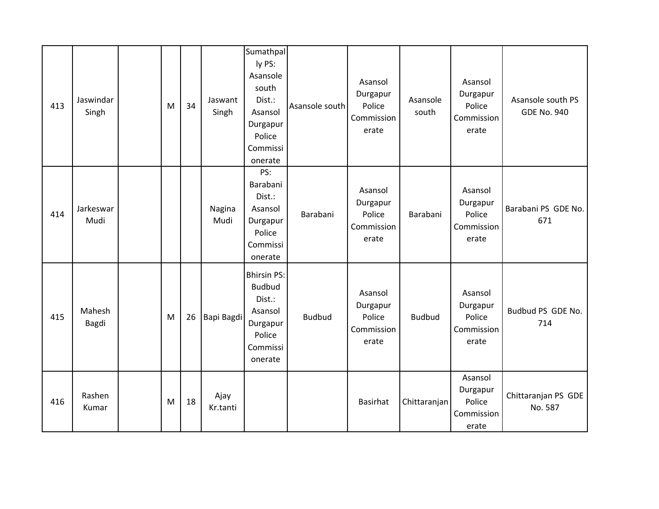| 413 | Jaswindar<br>Singh | M | 34 | Jaswant<br>Singh | Sumathpal<br>ly PS:<br>Asansole<br>south<br>Dist.:<br>Asansol<br>Durgapur<br>Police<br>Commissi<br>onerate | Asansole south | Asansol<br>Durgapur<br>Police<br>Commission<br>erate | Asansole<br>south | Asansol<br>Durgapur<br>Police<br>Commission<br>erate | Asansole south PS<br><b>GDE No. 940</b> |
|-----|--------------------|---|----|------------------|------------------------------------------------------------------------------------------------------------|----------------|------------------------------------------------------|-------------------|------------------------------------------------------|-----------------------------------------|
| 414 | Jarkeswar<br>Mudi  |   |    | Nagina<br>Mudi   | PS:<br>Barabani<br>Dist.:<br>Asansol<br>Durgapur<br>Police<br>Commissi<br>onerate                          | Barabani       | Asansol<br>Durgapur<br>Police<br>Commission<br>erate | Barabani          | Asansol<br>Durgapur<br>Police<br>Commission<br>erate | Barabani PS GDE No.<br>671              |
| 415 | Mahesh<br>Bagdi    | M | 26 | Bapi Bagdi       | <b>Bhirsin PS:</b><br><b>Budbud</b><br>Dist.:<br>Asansol<br>Durgapur<br>Police<br>Commissi<br>onerate      | <b>Budbud</b>  | Asansol<br>Durgapur<br>Police<br>Commission<br>erate | <b>Budbud</b>     | Asansol<br>Durgapur<br>Police<br>Commission<br>erate | Budbud PS GDE No.<br>714                |
| 416 | Rashen<br>Kumar    | M | 18 | Ajay<br>Kr.tanti |                                                                                                            |                | <b>Basirhat</b>                                      | Chittaranjan      | Asansol<br>Durgapur<br>Police<br>Commission<br>erate | Chittaranjan PS GDE<br>No. 587          |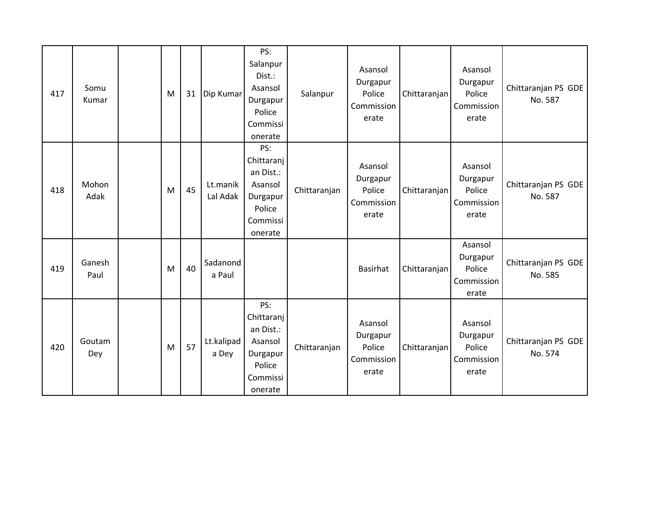| 417 | Somu<br>Kumar  | M | 31 | Dip Kumar            | PS:<br>Salanpur<br>Dist.:<br>Asansol<br>Durgapur<br>Police<br>Commissi<br>onerate      | Salanpur     | Asansol<br>Durgapur<br>Police<br>Commission<br>erate | Chittaranjan | Asansol<br>Durgapur<br>Police<br>Commission<br>erate | Chittaranjan PS GDE<br>No. 587 |
|-----|----------------|---|----|----------------------|----------------------------------------------------------------------------------------|--------------|------------------------------------------------------|--------------|------------------------------------------------------|--------------------------------|
| 418 | Mohon<br>Adak  | M | 45 | Lt.manik<br>Lal Adak | PS:<br>Chittaranj<br>an Dist.:<br>Asansol<br>Durgapur<br>Police<br>Commissi<br>onerate | Chittaranjan | Asansol<br>Durgapur<br>Police<br>Commission<br>erate | Chittaranjan | Asansol<br>Durgapur<br>Police<br>Commission<br>erate | Chittaranjan PS GDE<br>No. 587 |
| 419 | Ganesh<br>Paul | M | 40 | Sadanond<br>a Paul   |                                                                                        |              | Basirhat                                             | Chittaranjan | Asansol<br>Durgapur<br>Police<br>Commission<br>erate | Chittaranjan PS GDE<br>No. 585 |
| 420 | Goutam<br>Dey  | M | 57 | Lt.kalipad<br>a Dey  | PS:<br>Chittaranj<br>an Dist.:<br>Asansol<br>Durgapur<br>Police<br>Commissi<br>onerate | Chittaranjan | Asansol<br>Durgapur<br>Police<br>Commission<br>erate | Chittaranjan | Asansol<br>Durgapur<br>Police<br>Commission<br>erate | Chittaranjan PS GDE<br>No. 574 |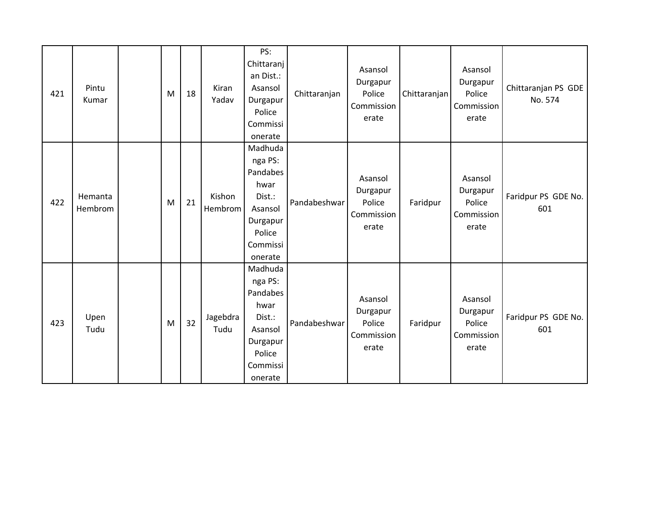| 421 | Pintu<br>Kumar     | M | 18 | Kiran<br>Yadav    | PS:<br>Chittaranj<br>an Dist.:<br>Asansol<br>Durgapur<br>Police<br>Commissi<br>onerate                   | Chittaranjan | Asansol<br>Durgapur<br>Police<br>Commission<br>erate | Chittaranjan | Asansol<br>Durgapur<br>Police<br>Commission<br>erate | Chittaranjan PS GDE<br>No. 574 |
|-----|--------------------|---|----|-------------------|----------------------------------------------------------------------------------------------------------|--------------|------------------------------------------------------|--------------|------------------------------------------------------|--------------------------------|
| 422 | Hemanta<br>Hembrom | M | 21 | Kishon<br>Hembrom | Madhuda<br>nga PS:<br>Pandabes<br>hwar<br>Dist.:<br>Asansol<br>Durgapur<br>Police<br>Commissi<br>onerate | Pandabeshwar | Asansol<br>Durgapur<br>Police<br>Commission<br>erate | Faridpur     | Asansol<br>Durgapur<br>Police<br>Commission<br>erate | Faridpur PS GDE No.<br>601     |
| 423 | Upen<br>Tudu       | M | 32 | Jagebdra<br>Tudu  | Madhuda<br>nga PS:<br>Pandabes<br>hwar<br>Dist.:<br>Asansol<br>Durgapur<br>Police<br>Commissi<br>onerate | Pandabeshwar | Asansol<br>Durgapur<br>Police<br>Commission<br>erate | Faridpur     | Asansol<br>Durgapur<br>Police<br>Commission<br>erate | Faridpur PS GDE No.<br>601     |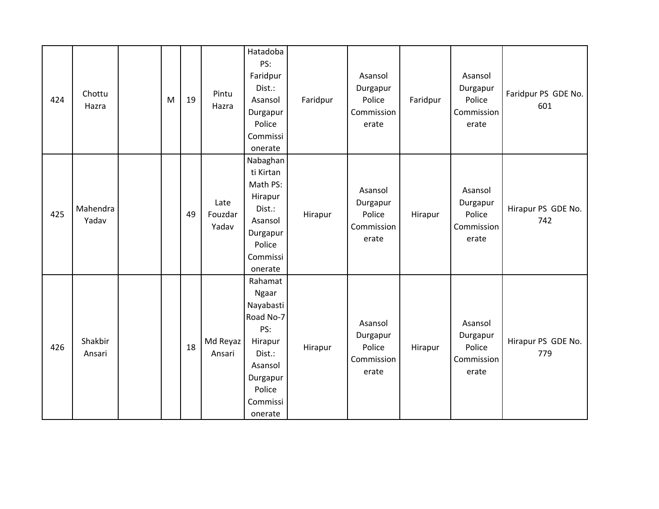| 424 | Chottu<br>Hazra   | M | 19 | Pintu<br>Hazra           | Hatadoba<br>PS:<br>Faridpur<br>Dist.:<br>Asansol<br>Durgapur<br>Police<br>Commissi<br>onerate                                  | Faridpur | Asansol<br>Durgapur<br>Police<br>Commission<br>erate | Faridpur | Asansol<br>Durgapur<br>Police<br>Commission<br>erate | Faridpur PS GDE No.<br>601 |
|-----|-------------------|---|----|--------------------------|--------------------------------------------------------------------------------------------------------------------------------|----------|------------------------------------------------------|----------|------------------------------------------------------|----------------------------|
| 425 | Mahendra<br>Yadav |   | 49 | Late<br>Fouzdar<br>Yadav | Nabaghan<br>ti Kirtan<br>Math PS:<br>Hirapur<br>Dist.:<br>Asansol<br>Durgapur<br>Police<br>Commissi<br>onerate                 | Hirapur  | Asansol<br>Durgapur<br>Police<br>Commission<br>erate | Hirapur  | Asansol<br>Durgapur<br>Police<br>Commission<br>erate | Hirapur PS GDE No.<br>742  |
| 426 | Shakbir<br>Ansari |   | 18 | Md Reyaz<br>Ansari       | Rahamat<br>Ngaar<br>Nayabasti<br>Road No-7<br>PS:<br>Hirapur<br>Dist.:<br>Asansol<br>Durgapur<br>Police<br>Commissi<br>onerate | Hirapur  | Asansol<br>Durgapur<br>Police<br>Commission<br>erate | Hirapur  | Asansol<br>Durgapur<br>Police<br>Commission<br>erate | Hirapur PS GDE No.<br>779  |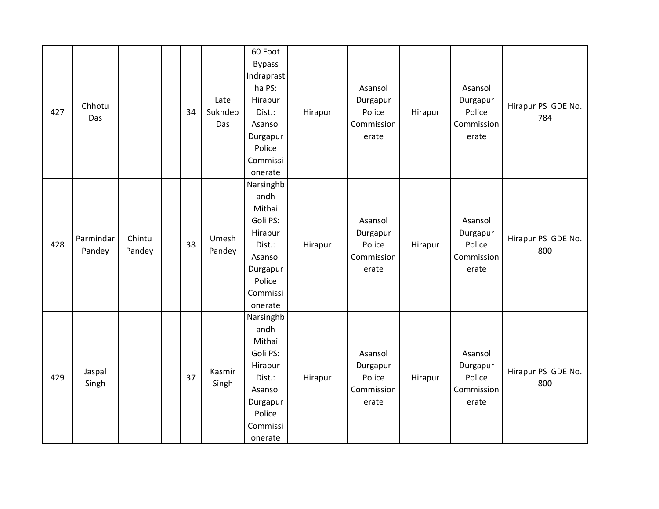| 427 | Chhotu<br>Das       |                  | 34 | Late<br>Sukhdeb<br>Das | 60 Foot<br><b>Bypass</b><br>Indraprast<br>ha PS:<br>Hirapur<br>Dist.:<br>Asansol<br>Durgapur<br>Police<br>Commissi<br>onerate | Hirapur | Asansol<br>Durgapur<br>Police<br>Commission<br>erate | Hirapur | Asansol<br>Durgapur<br>Police<br>Commission<br>erate | Hirapur PS GDE No.<br>784 |
|-----|---------------------|------------------|----|------------------------|-------------------------------------------------------------------------------------------------------------------------------|---------|------------------------------------------------------|---------|------------------------------------------------------|---------------------------|
| 428 | Parmindar<br>Pandey | Chintu<br>Pandey | 38 | Umesh<br>Pandey        | Narsinghb<br>andh<br>Mithai<br>Goli PS:<br>Hirapur<br>Dist.:<br>Asansol<br>Durgapur<br>Police<br>Commissi<br>onerate          | Hirapur | Asansol<br>Durgapur<br>Police<br>Commission<br>erate | Hirapur | Asansol<br>Durgapur<br>Police<br>Commission<br>erate | Hirapur PS GDE No.<br>800 |
| 429 | Jaspal<br>Singh     |                  | 37 | Kasmir<br>Singh        | Narsinghb<br>andh<br>Mithai<br>Goli PS:<br>Hirapur<br>Dist.:<br>Asansol<br>Durgapur<br>Police<br>Commissi<br>onerate          | Hirapur | Asansol<br>Durgapur<br>Police<br>Commission<br>erate | Hirapur | Asansol<br>Durgapur<br>Police<br>Commission<br>erate | Hirapur PS GDE No.<br>800 |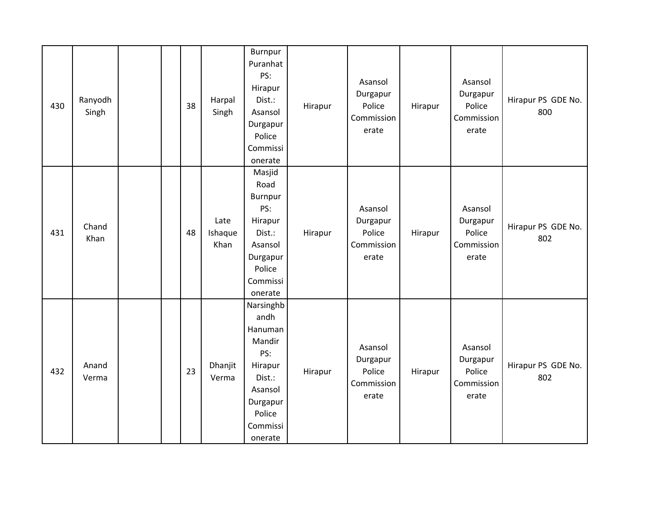| 430 | Ranyodh<br>Singh | 38 | Harpal<br>Singh         | <b>Burnpur</b><br>Puranhat<br>PS:<br>Hirapur<br>Dist.:<br>Asansol<br>Durgapur<br>Police<br>Commissi<br>onerate             | Hirapur | Asansol<br>Durgapur<br>Police<br>Commission<br>erate | Hirapur | Asansol<br>Durgapur<br>Police<br>Commission<br>erate | Hirapur PS GDE No.<br>800 |
|-----|------------------|----|-------------------------|----------------------------------------------------------------------------------------------------------------------------|---------|------------------------------------------------------|---------|------------------------------------------------------|---------------------------|
| 431 | Chand<br>Khan    | 48 | Late<br>Ishaque<br>Khan | Masjid<br>Road<br>Burnpur<br>PS:<br>Hirapur<br>Dist.:<br>Asansol<br>Durgapur<br>Police<br>Commissi<br>onerate              | Hirapur | Asansol<br>Durgapur<br>Police<br>Commission<br>erate | Hirapur | Asansol<br>Durgapur<br>Police<br>Commission<br>erate | Hirapur PS GDE No.<br>802 |
| 432 | Anand<br>Verma   | 23 | Dhanjit<br>Verma        | Narsinghb<br>andh<br>Hanuman<br>Mandir<br>PS:<br>Hirapur<br>Dist.:<br>Asansol<br>Durgapur<br>Police<br>Commissi<br>onerate | Hirapur | Asansol<br>Durgapur<br>Police<br>Commission<br>erate | Hirapur | Asansol<br>Durgapur<br>Police<br>Commission<br>erate | Hirapur PS GDE No.<br>802 |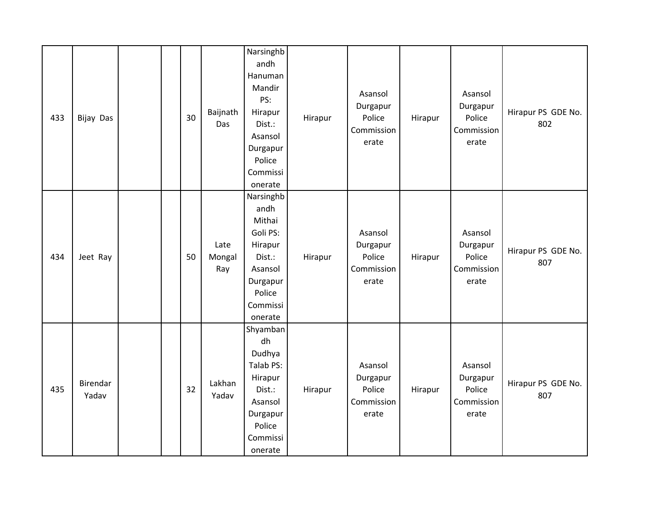| 433 | Bijay Das         |  | 30 | Baijnath<br>Das       | Narsinghb<br>andh<br>Hanuman<br>Mandir<br>PS:<br>Hirapur<br>Dist.:<br>Asansol<br>Durgapur<br>Police<br>Commissi<br>onerate | Hirapur | Asansol<br>Durgapur<br>Police<br>Commission<br>erate | Hirapur | Asansol<br>Durgapur<br>Police<br>Commission<br>erate | Hirapur PS GDE No.<br>802 |
|-----|-------------------|--|----|-----------------------|----------------------------------------------------------------------------------------------------------------------------|---------|------------------------------------------------------|---------|------------------------------------------------------|---------------------------|
| 434 | Jeet Ray          |  | 50 | Late<br>Mongal<br>Ray | Narsinghb<br>andh<br>Mithai<br>Goli PS:<br>Hirapur<br>Dist.:<br>Asansol<br>Durgapur<br>Police<br>Commissi<br>onerate       | Hirapur | Asansol<br>Durgapur<br>Police<br>Commission<br>erate | Hirapur | Asansol<br>Durgapur<br>Police<br>Commission<br>erate | Hirapur PS GDE No.<br>807 |
| 435 | Birendar<br>Yadav |  | 32 | Lakhan<br>Yadav       | Shyamban<br>dh<br>Dudhya<br>Talab PS:<br>Hirapur<br>Dist.:<br>Asansol<br>Durgapur<br>Police<br>Commissi<br>onerate         | Hirapur | Asansol<br>Durgapur<br>Police<br>Commission<br>erate | Hirapur | Asansol<br>Durgapur<br>Police<br>Commission<br>erate | Hirapur PS GDE No.<br>807 |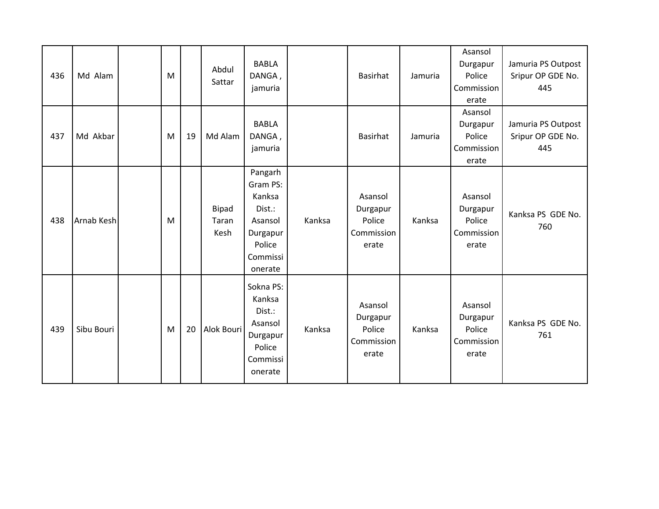| 436 | Md Alam    | M |    | Abdul<br>Sattar               | <b>BABLA</b><br>DANGA,<br>jamuria                                                               |        | Basirhat                                             | Jamuria | Asansol<br>Durgapur<br>Police<br>Commission<br>erate | Jamuria PS Outpost<br>Sripur OP GDE No.<br>445 |
|-----|------------|---|----|-------------------------------|-------------------------------------------------------------------------------------------------|--------|------------------------------------------------------|---------|------------------------------------------------------|------------------------------------------------|
| 437 | Md Akbar   | M | 19 | Md Alam                       | <b>BABLA</b><br>DANGA,<br>jamuria                                                               |        | Basirhat                                             | Jamuria | Asansol<br>Durgapur<br>Police<br>Commission<br>erate | Jamuria PS Outpost<br>Sripur OP GDE No.<br>445 |
| 438 | Arnab Kesh | M |    | <b>Bipad</b><br>Taran<br>Kesh | Pangarh<br>Gram PS:<br>Kanksa<br>Dist.:<br>Asansol<br>Durgapur<br>Police<br>Commissi<br>onerate | Kanksa | Asansol<br>Durgapur<br>Police<br>Commission<br>erate | Kanksa  | Asansol<br>Durgapur<br>Police<br>Commission<br>erate | Kanksa PS GDE No.<br>760                       |
| 439 | Sibu Bouri | M | 20 | Alok Bouri                    | Sokna PS:<br>Kanksa<br>Dist.:<br>Asansol<br>Durgapur<br>Police<br>Commissi<br>onerate           | Kanksa | Asansol<br>Durgapur<br>Police<br>Commission<br>erate | Kanksa  | Asansol<br>Durgapur<br>Police<br>Commission<br>erate | Kanksa PS GDE No.<br>761                       |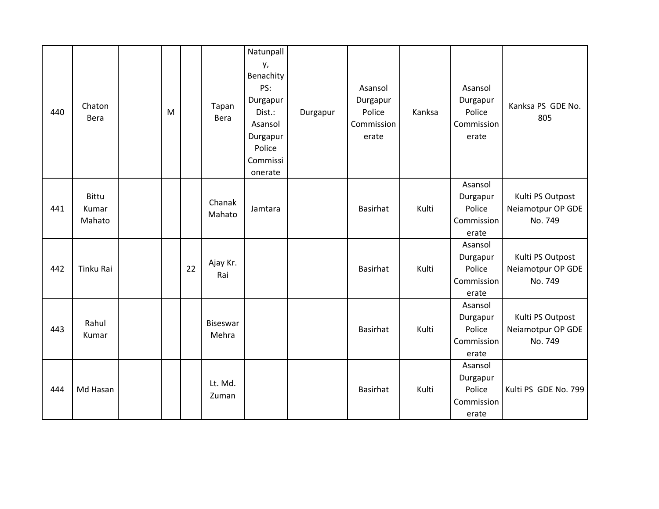| 440 | Chaton<br>Bera           | M |    | Tapan<br>Bera     | Natunpall<br>у,<br>Benachity<br>PS:<br>Durgapur<br>Dist.:<br>Asansol<br>Durgapur<br>Police<br>Commissi<br>onerate | Durgapur | Asansol<br>Durgapur<br>Police<br>Commission<br>erate | Kanksa | Asansol<br>Durgapur<br>Police<br>Commission<br>erate | Kanksa PS GDE No.<br>805                         |
|-----|--------------------------|---|----|-------------------|-------------------------------------------------------------------------------------------------------------------|----------|------------------------------------------------------|--------|------------------------------------------------------|--------------------------------------------------|
| 441 | Bittu<br>Kumar<br>Mahato |   |    | Chanak<br>Mahato  | Jamtara                                                                                                           |          | <b>Basirhat</b>                                      | Kulti  | Asansol<br>Durgapur<br>Police<br>Commission<br>erate | Kulti PS Outpost<br>Neiamotpur OP GDE<br>No. 749 |
| 442 | Tinku Rai                |   | 22 | Ajay Kr.<br>Rai   |                                                                                                                   |          | <b>Basirhat</b>                                      | Kulti  | Asansol<br>Durgapur<br>Police<br>Commission<br>erate | Kulti PS Outpost<br>Neiamotpur OP GDE<br>No. 749 |
| 443 | Rahul<br>Kumar           |   |    | Biseswar<br>Mehra |                                                                                                                   |          | <b>Basirhat</b>                                      | Kulti  | Asansol<br>Durgapur<br>Police<br>Commission<br>erate | Kulti PS Outpost<br>Neiamotpur OP GDE<br>No. 749 |
| 444 | Md Hasan                 |   |    | Lt. Md.<br>Zuman  |                                                                                                                   |          | <b>Basirhat</b>                                      | Kulti  | Asansol<br>Durgapur<br>Police<br>Commission<br>erate | Kulti PS GDE No. 799                             |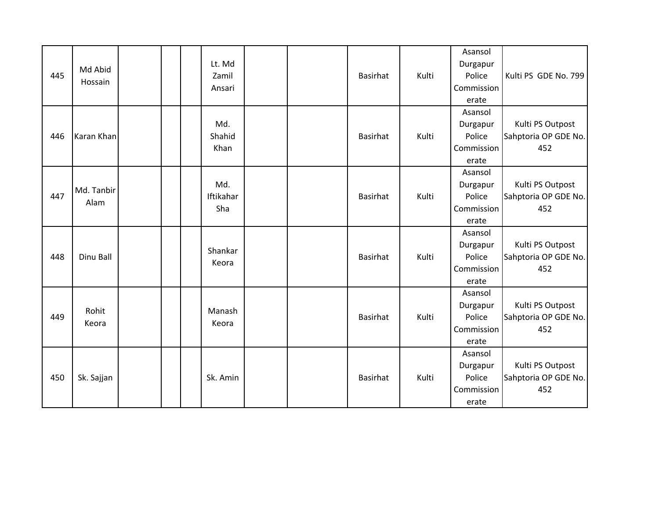| 445 | Md Abid<br>Hossain |  | Lt. Md<br>Zamil<br>Ansari |  | <b>Basirhat</b> | Kulti | Asansol<br>Durgapur<br>Police<br>Commission<br>erate | Kulti PS GDE No. 799                            |
|-----|--------------------|--|---------------------------|--|-----------------|-------|------------------------------------------------------|-------------------------------------------------|
| 446 | Karan Khan         |  | Md.<br>Shahid<br>Khan     |  | Basirhat        | Kulti | Asansol<br>Durgapur<br>Police<br>Commission<br>erate | Kulti PS Outpost<br>Sahptoria OP GDE No.<br>452 |
| 447 | Md. Tanbir<br>Alam |  | Md.<br>Iftikahar<br>Sha   |  | <b>Basirhat</b> | Kulti | Asansol<br>Durgapur<br>Police<br>Commission<br>erate | Kulti PS Outpost<br>Sahptoria OP GDE No.<br>452 |
| 448 | Dinu Ball          |  | Shankar<br>Keora          |  | <b>Basirhat</b> | Kulti | Asansol<br>Durgapur<br>Police<br>Commission<br>erate | Kulti PS Outpost<br>Sahptoria OP GDE No.<br>452 |
| 449 | Rohit<br>Keora     |  | Manash<br>Keora           |  | <b>Basirhat</b> | Kulti | Asansol<br>Durgapur<br>Police<br>Commission<br>erate | Kulti PS Outpost<br>Sahptoria OP GDE No.<br>452 |
| 450 | Sk. Sajjan         |  | Sk. Amin                  |  | <b>Basirhat</b> | Kulti | Asansol<br>Durgapur<br>Police<br>Commission<br>erate | Kulti PS Outpost<br>Sahptoria OP GDE No.<br>452 |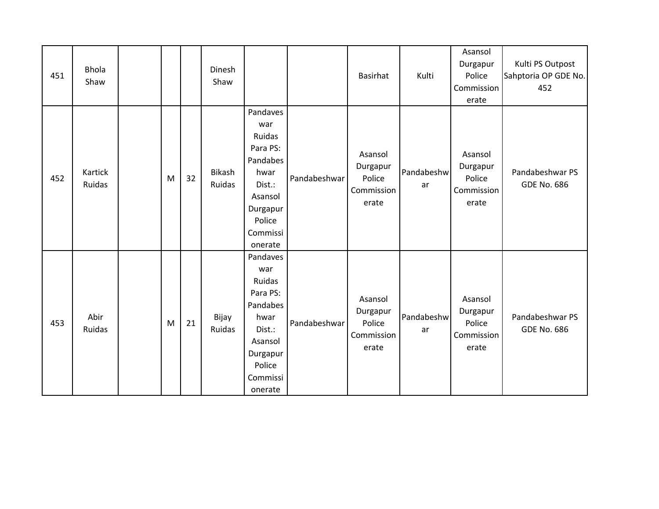| 451 | <b>Bhola</b><br>Shaw |   |    | Dinesh<br>Shaw   |                                                                                                                             |              | Basirhat                                             | Kulti            | Asansol<br>Durgapur<br>Police<br>Commission<br>erate | Kulti PS Outpost<br>Sahptoria OP GDE No.<br>452 |
|-----|----------------------|---|----|------------------|-----------------------------------------------------------------------------------------------------------------------------|--------------|------------------------------------------------------|------------------|------------------------------------------------------|-------------------------------------------------|
| 452 | Kartick<br>Ruidas    | M | 32 | Bikash<br>Ruidas | Pandaves<br>war<br>Ruidas<br>Para PS:<br>Pandabes<br>hwar<br>Dist.:<br>Asansol<br>Durgapur<br>Police<br>Commissi<br>onerate | Pandabeshwar | Asansol<br>Durgapur<br>Police<br>Commission<br>erate | Pandabeshw<br>ar | Asansol<br>Durgapur<br>Police<br>Commission<br>erate | Pandabeshwar PS<br><b>GDE No. 686</b>           |
| 453 | Abir<br>Ruidas       | M | 21 | Bijay<br>Ruidas  | Pandaves<br>war<br>Ruidas<br>Para PS:<br>Pandabes<br>hwar<br>Dist.:<br>Asansol<br>Durgapur<br>Police<br>Commissi<br>onerate | Pandabeshwar | Asansol<br>Durgapur<br>Police<br>Commission<br>erate | Pandabeshw<br>ar | Asansol<br>Durgapur<br>Police<br>Commission<br>erate | Pandabeshwar PS<br><b>GDE No. 686</b>           |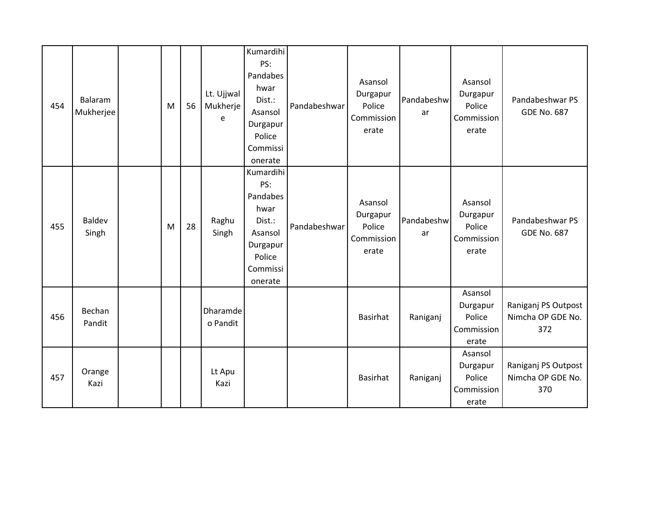| 454 | Balaram<br>Mukherjee   | M | 56 | Lt. Ujjwal<br>Mukherje<br>$\epsilon$ | Kumardihi<br>PS:<br>Pandabes<br>hwar<br>Dist.:<br>Asansol<br>Durgapur<br>Police<br>Commissi<br>onerate | Pandabeshwar | Asansol<br>Durgapur<br>Police<br>Commission<br>erate | Pandabeshw<br>ar | Asansol<br>Durgapur<br>Police<br>Commission<br>erate | Pandabeshwar PS<br><b>GDE No. 687</b>           |
|-----|------------------------|---|----|--------------------------------------|--------------------------------------------------------------------------------------------------------|--------------|------------------------------------------------------|------------------|------------------------------------------------------|-------------------------------------------------|
| 455 | <b>Baldev</b><br>Singh | M | 28 | Raghu<br>Singh                       | Kumardihi<br>PS:<br>Pandabes<br>hwar<br>Dist.:<br>Asansol<br>Durgapur<br>Police<br>Commissi<br>onerate | Pandabeshwar | Asansol<br>Durgapur<br>Police<br>Commission<br>erate | Pandabeshw<br>ar | Asansol<br>Durgapur<br>Police<br>Commission<br>erate | Pandabeshwar PS<br><b>GDE No. 687</b>           |
| 456 | Bechan<br>Pandit       |   |    | Dharamde<br>o Pandit                 |                                                                                                        |              | Basirhat                                             | Raniganj         | Asansol<br>Durgapur<br>Police<br>Commission<br>erate | Raniganj PS Outpost<br>Nimcha OP GDE No.<br>372 |
| 457 | Orange<br>Kazi         |   |    | Lt Apu<br>Kazi                       |                                                                                                        |              | Basirhat                                             | Raniganj         | Asansol<br>Durgapur<br>Police<br>Commission<br>erate | Raniganj PS Outpost<br>Nimcha OP GDE No.<br>370 |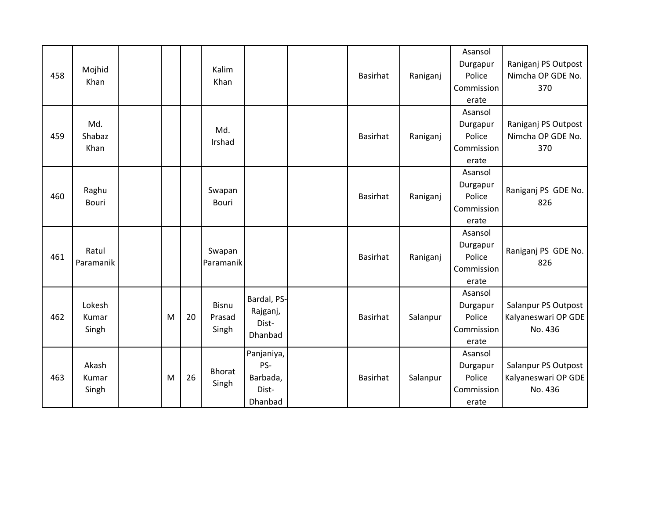| 458 | Mojhid<br>Khan           |   |    | Kalim<br>Khan                   |                                                   | <b>Basirhat</b> | Raniganj | Asansol<br>Durgapur<br>Police<br>Commission<br>erate | Raniganj PS Outpost<br>Nimcha OP GDE No.<br>370       |
|-----|--------------------------|---|----|---------------------------------|---------------------------------------------------|-----------------|----------|------------------------------------------------------|-------------------------------------------------------|
| 459 | Md.<br>Shabaz<br>Khan    |   |    | Md.<br>Irshad                   |                                                   | <b>Basirhat</b> | Raniganj | Asansol<br>Durgapur<br>Police<br>Commission<br>erate | Raniganj PS Outpost<br>Nimcha OP GDE No.<br>370       |
| 460 | Raghu<br><b>Bouri</b>    |   |    | Swapan<br><b>Bouri</b>          |                                                   | <b>Basirhat</b> | Raniganj | Asansol<br>Durgapur<br>Police<br>Commission<br>erate | Raniganj PS GDE No.<br>826                            |
| 461 | Ratul<br>Paramanik       |   |    | Swapan<br>Paramanik             |                                                   | <b>Basirhat</b> | Raniganj | Asansol<br>Durgapur<br>Police<br>Commission<br>erate | Raniganj PS GDE No.<br>826                            |
| 462 | Lokesh<br>Kumar<br>Singh | M | 20 | <b>Bisnu</b><br>Prasad<br>Singh | Bardal, PS-<br>Rajganj,<br>Dist-<br>Dhanbad       | <b>Basirhat</b> | Salanpur | Asansol<br>Durgapur<br>Police<br>Commission<br>erate | Salanpur PS Outpost<br>Kalyaneswari OP GDE<br>No. 436 |
| 463 | Akash<br>Kumar<br>Singh  | M | 26 | <b>Bhorat</b><br>Singh          | Panjaniya,<br>PS-<br>Barbada,<br>Dist-<br>Dhanbad | <b>Basirhat</b> | Salanpur | Asansol<br>Durgapur<br>Police<br>Commission<br>erate | Salanpur PS Outpost<br>Kalyaneswari OP GDE<br>No. 436 |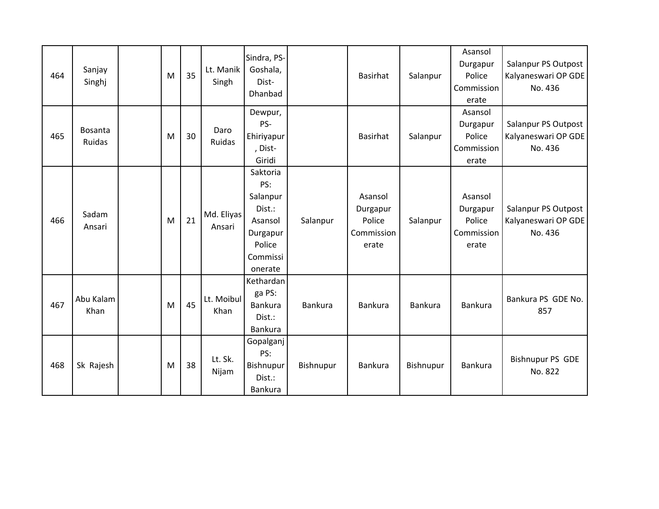| 464 | Sanjay<br>Singhj         | M | 35 | Lt. Manik<br>Singh   | Sindra, PS-<br>Goshala,<br>Dist-<br>Dhanbad                                                   |           | <b>Basirhat</b>                                      | Salanpur  | Asansol<br>Durgapur<br>Police<br>Commission<br>erate | Salanpur PS Outpost<br>Kalyaneswari OP GDE<br>No. 436 |
|-----|--------------------------|---|----|----------------------|-----------------------------------------------------------------------------------------------|-----------|------------------------------------------------------|-----------|------------------------------------------------------|-------------------------------------------------------|
| 465 | <b>Bosanta</b><br>Ruidas | M | 30 | Daro<br>Ruidas       | Dewpur,<br>PS-<br>Ehiriyapur<br>, Dist-<br>Giridi                                             |           | <b>Basirhat</b>                                      | Salanpur  | Asansol<br>Durgapur<br>Police<br>Commission<br>erate | Salanpur PS Outpost<br>Kalyaneswari OP GDE<br>No. 436 |
| 466 | Sadam<br>Ansari          | M | 21 | Md. Eliyas<br>Ansari | Saktoria<br>PS:<br>Salanpur<br>Dist.:<br>Asansol<br>Durgapur<br>Police<br>Commissi<br>onerate | Salanpur  | Asansol<br>Durgapur<br>Police<br>Commission<br>erate | Salanpur  | Asansol<br>Durgapur<br>Police<br>Commission<br>erate | Salanpur PS Outpost<br>Kalyaneswari OP GDE<br>No. 436 |
| 467 | Abu Kalam<br>Khan        | M | 45 | Lt. Moibul<br>Khan   | Kethardan<br>ga PS:<br>Bankura<br>Dist.:<br><b>Bankura</b>                                    | Bankura   | <b>Bankura</b>                                       | Bankura   | <b>Bankura</b>                                       | Bankura PS GDE No.<br>857                             |
| 468 | Sk Rajesh                | M | 38 | Lt. Sk.<br>Nijam     | Gopalganj<br>PS:<br>Bishnupur<br>Dist.:<br>Bankura                                            | Bishnupur | <b>Bankura</b>                                       | Bishnupur | <b>Bankura</b>                                       | <b>Bishnupur PS GDE</b><br>No. 822                    |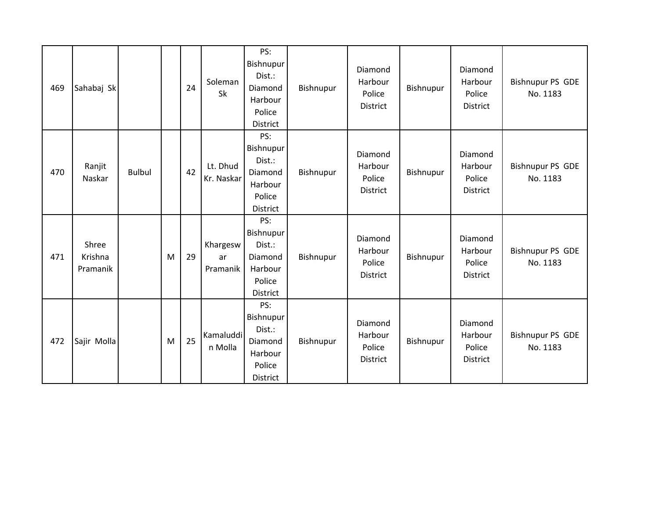| 469 | Sahabaj Sk                   |               |   | 24 | Soleman<br>Sk              | PS:<br>Bishnupur<br>Dist.:<br>Diamond<br>Harbour<br>Police<br><b>District</b> | Bishnupur | Diamond<br>Harbour<br>Police<br>District | Bishnupur | Diamond<br>Harbour<br>Police<br>District | <b>Bishnupur PS GDE</b><br>No. 1183 |
|-----|------------------------------|---------------|---|----|----------------------------|-------------------------------------------------------------------------------|-----------|------------------------------------------|-----------|------------------------------------------|-------------------------------------|
| 470 | Ranjit<br>Naskar             | <b>Bulbul</b> |   | 42 | Lt. Dhud<br>Kr. Naskar     | PS:<br>Bishnupur<br>Dist.:<br>Diamond<br>Harbour<br>Police<br><b>District</b> | Bishnupur | Diamond<br>Harbour<br>Police<br>District | Bishnupur | Diamond<br>Harbour<br>Police<br>District | <b>Bishnupur PS GDE</b><br>No. 1183 |
| 471 | Shree<br>Krishna<br>Pramanik |               | M | 29 | Khargesw<br>ar<br>Pramanik | PS:<br>Bishnupur<br>Dist.:<br>Diamond<br>Harbour<br>Police<br>District        | Bishnupur | Diamond<br>Harbour<br>Police<br>District | Bishnupur | Diamond<br>Harbour<br>Police<br>District | <b>Bishnupur PS GDE</b><br>No. 1183 |
| 472 | Sajir Molla                  |               | M | 25 | Kamaluddi<br>n Molla       | PS:<br>Bishnupur<br>Dist.:<br>Diamond<br>Harbour<br>Police<br><b>District</b> | Bishnupur | Diamond<br>Harbour<br>Police<br>District | Bishnupur | Diamond<br>Harbour<br>Police<br>District | <b>Bishnupur PS GDE</b><br>No. 1183 |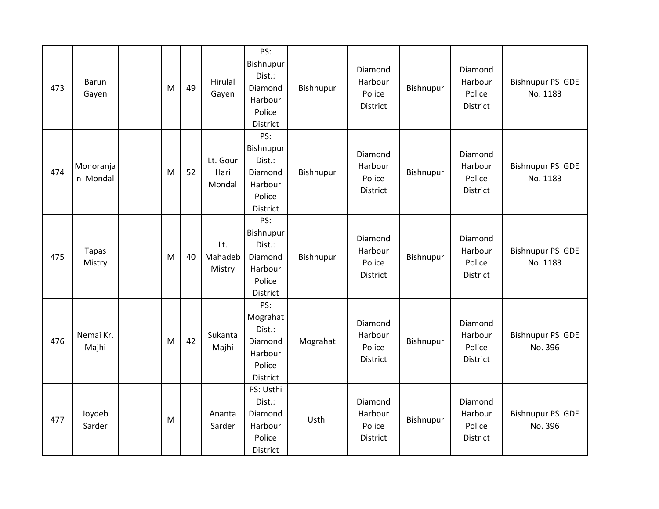| 473 | Barun<br>Gayen         | M | 49 | Hirulal<br>Gayen           | PS:<br>Bishnupur<br>Dist.:<br>Diamond<br>Harbour<br>Police<br>District | Bishnupur | Diamond<br>Harbour<br>Police<br>District | Bishnupur | Diamond<br>Harbour<br>Police<br>District | <b>Bishnupur PS GDE</b><br>No. 1183 |
|-----|------------------------|---|----|----------------------------|------------------------------------------------------------------------|-----------|------------------------------------------|-----------|------------------------------------------|-------------------------------------|
| 474 | Monoranja<br>n Mondal  | M | 52 | Lt. Gour<br>Hari<br>Mondal | PS:<br>Bishnupur<br>Dist.:<br>Diamond<br>Harbour<br>Police<br>District | Bishnupur | Diamond<br>Harbour<br>Police<br>District | Bishnupur | Diamond<br>Harbour<br>Police<br>District | <b>Bishnupur PS GDE</b><br>No. 1183 |
| 475 | <b>Tapas</b><br>Mistry | M | 40 | Lt.<br>Mahadeb<br>Mistry   | PS:<br>Bishnupur<br>Dist.:<br>Diamond<br>Harbour<br>Police<br>District | Bishnupur | Diamond<br>Harbour<br>Police<br>District | Bishnupur | Diamond<br>Harbour<br>Police<br>District | <b>Bishnupur PS GDE</b><br>No. 1183 |
| 476 | Nemai Kr.<br>Majhi     | M | 42 | Sukanta<br>Majhi           | PS:<br>Mograhat<br>Dist.:<br>Diamond<br>Harbour<br>Police<br>District  | Mograhat  | Diamond<br>Harbour<br>Police<br>District | Bishnupur | Diamond<br>Harbour<br>Police<br>District | <b>Bishnupur PS GDE</b><br>No. 396  |
| 477 | Joydeb<br>Sarder       | M |    | Ananta<br>Sarder           | PS: Usthi<br>Dist.:<br>Diamond<br>Harbour<br>Police<br>District        | Usthi     | Diamond<br>Harbour<br>Police<br>District | Bishnupur | Diamond<br>Harbour<br>Police<br>District | <b>Bishnupur PS GDE</b><br>No. 396  |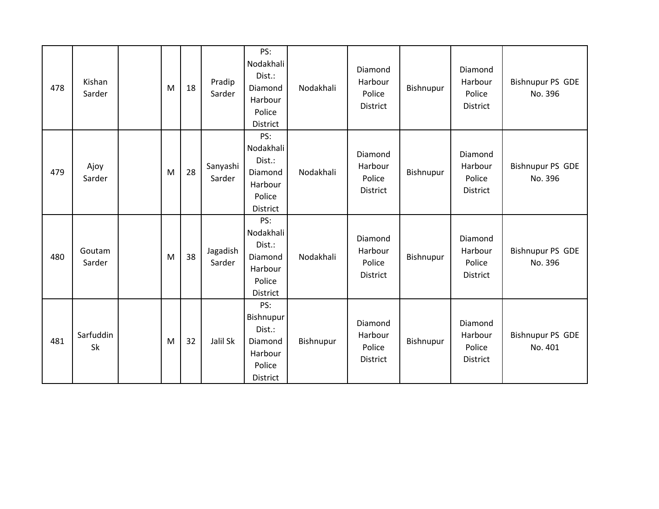| 478 | Kishan<br>Sarder | M | 18 | Pradip<br>Sarder   | PS:<br>Nodakhali<br>Dist.:<br>Diamond<br>Harbour<br>Police<br>District | Nodakhali | Diamond<br>Harbour<br>Police<br><b>District</b> | Bishnupur | Diamond<br>Harbour<br>Police<br><b>District</b> | <b>Bishnupur PS GDE</b><br>No. 396 |
|-----|------------------|---|----|--------------------|------------------------------------------------------------------------|-----------|-------------------------------------------------|-----------|-------------------------------------------------|------------------------------------|
| 479 | Ajoy<br>Sarder   | M | 28 | Sanyashi<br>Sarder | PS:<br>Nodakhali<br>Dist.:<br>Diamond<br>Harbour<br>Police<br>District | Nodakhali | Diamond<br>Harbour<br>Police<br>District        | Bishnupur | Diamond<br>Harbour<br>Police<br><b>District</b> | <b>Bishnupur PS GDE</b><br>No. 396 |
| 480 | Goutam<br>Sarder | M | 38 | Jagadish<br>Sarder | PS:<br>Nodakhali<br>Dist.:<br>Diamond<br>Harbour<br>Police<br>District | Nodakhali | Diamond<br>Harbour<br>Police<br><b>District</b> | Bishnupur | Diamond<br>Harbour<br>Police<br>District        | <b>Bishnupur PS GDE</b><br>No. 396 |
| 481 | Sarfuddin<br>Sk  | M | 32 | Jalil Sk           | PS:<br>Bishnupur<br>Dist.:<br>Diamond<br>Harbour<br>Police<br>District | Bishnupur | Diamond<br>Harbour<br>Police<br>District        | Bishnupur | Diamond<br>Harbour<br>Police<br><b>District</b> | <b>Bishnupur PS GDE</b><br>No. 401 |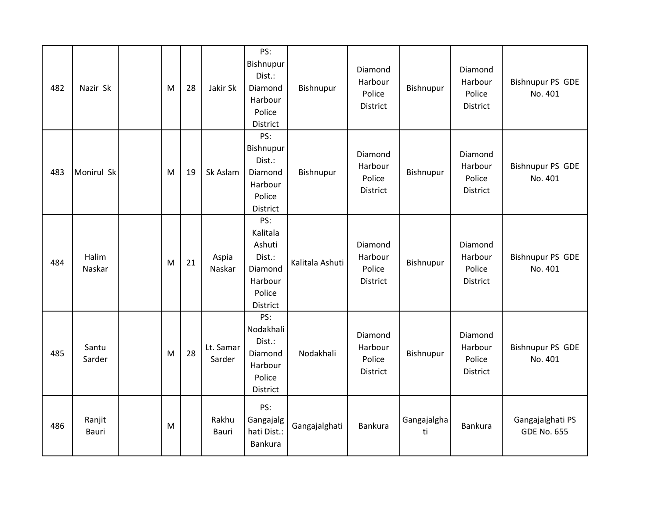| 482 | Nazir Sk        | M | 28 | Jakir Sk            | PS:<br>Bishnupur<br>Dist.:<br>Diamond<br>Harbour<br>Police<br>District          | Bishnupur       | Diamond<br>Harbour<br>Police<br>District | Bishnupur         | Diamond<br>Harbour<br>Police<br>District | <b>Bishnupur PS GDE</b><br>No. 401     |
|-----|-----------------|---|----|---------------------|---------------------------------------------------------------------------------|-----------------|------------------------------------------|-------------------|------------------------------------------|----------------------------------------|
| 483 | Monirul Sk      | M | 19 | Sk Aslam            | PS:<br>Bishnupur<br>Dist.:<br>Diamond<br>Harbour<br>Police<br>District          | Bishnupur       | Diamond<br>Harbour<br>Police<br>District | Bishnupur         | Diamond<br>Harbour<br>Police<br>District | <b>Bishnupur PS GDE</b><br>No. 401     |
| 484 | Halim<br>Naskar | M | 21 | Aspia<br>Naskar     | PS:<br>Kalitala<br>Ashuti<br>Dist.:<br>Diamond<br>Harbour<br>Police<br>District | Kalitala Ashuti | Diamond<br>Harbour<br>Police<br>District | Bishnupur         | Diamond<br>Harbour<br>Police<br>District | <b>Bishnupur PS GDE</b><br>No. 401     |
| 485 | Santu<br>Sarder | M | 28 | Lt. Samar<br>Sarder | PS:<br>Nodakhali<br>Dist.:<br>Diamond<br>Harbour<br>Police<br>District          | Nodakhali       | Diamond<br>Harbour<br>Police<br>District | Bishnupur         | Diamond<br>Harbour<br>Police<br>District | <b>Bishnupur PS GDE</b><br>No. 401     |
| 486 | Ranjit<br>Bauri | M |    | Rakhu<br>Bauri      | PS:<br>Gangajalg<br>hati Dist.:<br>Bankura                                      | Gangajalghati   | Bankura                                  | Gangajalgha<br>ti | Bankura                                  | Gangajalghati PS<br><b>GDE No. 655</b> |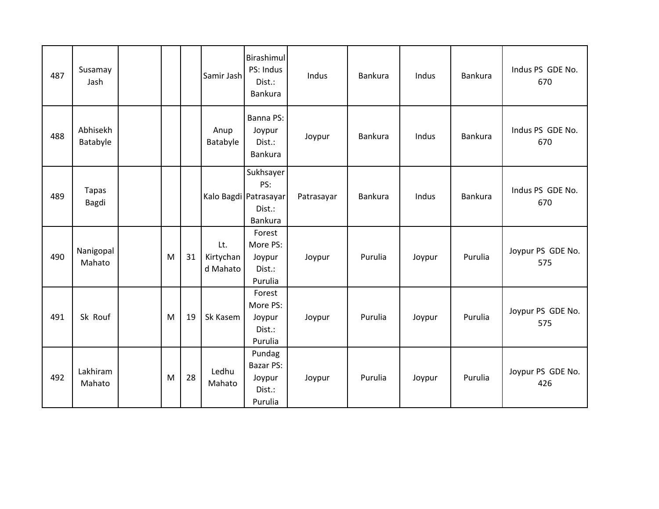| 487 | Susamay<br>Jash       |   |    | Samir Jash                   | Birashimul<br>PS: Indus<br>Dist.:<br>Bankura                   | Indus      | <b>Bankura</b> | Indus  | <b>Bankura</b> | Indus PS GDE No.<br>670  |
|-----|-----------------------|---|----|------------------------------|----------------------------------------------------------------|------------|----------------|--------|----------------|--------------------------|
| 488 | Abhisekh<br>Batabyle  |   |    | Anup<br>Batabyle             | Banna PS:<br>Joypur<br>Dist.:<br>Bankura                       | Joypur     | Bankura        | Indus  | <b>Bankura</b> | Indus PS GDE No.<br>670  |
| 489 | <b>Tapas</b><br>Bagdi |   |    |                              | Sukhsayer<br>PS:<br>Kalo Bagdi Patrasayar<br>Dist.:<br>Bankura | Patrasayar | Bankura        | Indus  | <b>Bankura</b> | Indus PS GDE No.<br>670  |
| 490 | Nanigopal<br>Mahato   | M | 31 | Lt.<br>Kirtychan<br>d Mahato | Forest<br>More PS:<br>Joypur<br>Dist.:<br>Purulia              | Joypur     | Purulia        | Joypur | Purulia        | Joypur PS GDE No.<br>575 |
| 491 | Sk Rouf               | M | 19 | Sk Kasem                     | Forest<br>More PS:<br>Joypur<br>Dist.:<br>Purulia              | Joypur     | Purulia        | Joypur | Purulia        | Joypur PS GDE No.<br>575 |
| 492 | Lakhiram<br>Mahato    | M | 28 | Ledhu<br>Mahato              | Pundag<br>Bazar PS:<br>Joypur<br>Dist.:<br>Purulia             | Joypur     | Purulia        | Joypur | Purulia        | Joypur PS GDE No.<br>426 |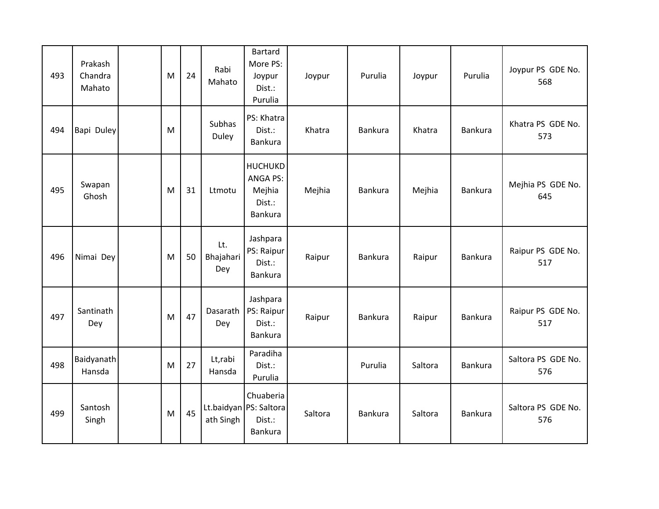| 493 | Prakash<br>Chandra<br>Mahato | M | 24 | Rabi<br>Mahato          | <b>Bartard</b><br>More PS:<br>Joypur<br>Dist.:<br>Purulia        | Joypur  | Purulia        | Joypur  | Purulia        | Joypur PS GDE No.<br>568  |
|-----|------------------------------|---|----|-------------------------|------------------------------------------------------------------|---------|----------------|---------|----------------|---------------------------|
| 494 | Bapi Duley                   | M |    | <b>Subhas</b><br>Duley  | PS: Khatra<br>Dist.:<br>Bankura                                  | Khatra  | Bankura        | Khatra  | Bankura        | Khatra PS GDE No.<br>573  |
| 495 | Swapan<br>Ghosh              | M | 31 | Ltmotu                  | <b>HUCHUKD</b><br><b>ANGA PS:</b><br>Mejhia<br>Dist.:<br>Bankura | Mejhia  | Bankura        | Mejhia  | Bankura        | Mejhia PS GDE No.<br>645  |
| 496 | Nimai Dey                    | M | 50 | Lt.<br>Bhajahari<br>Dey | Jashpara<br>PS: Raipur<br>Dist.:<br>Bankura                      | Raipur  | Bankura        | Raipur  | Bankura        | Raipur PS GDE No.<br>517  |
| 497 | Santinath<br>Dey             | M | 47 | Dasarath<br>Dey         | Jashpara<br>PS: Raipur<br>Dist.:<br>Bankura                      | Raipur  | Bankura        | Raipur  | <b>Bankura</b> | Raipur PS GDE No.<br>517  |
| 498 | Baidyanath<br>Hansda         | M | 27 | Lt,rabi<br>Hansda       | Paradiha<br>Dist.:<br>Purulia                                    |         | Purulia        | Saltora | Bankura        | Saltora PS GDE No.<br>576 |
| 499 | Santosh<br>Singh             | M | 45 | ath Singh               | Chuaberia<br>Lt.baidyan PS: Saltora<br>Dist.:<br>Bankura         | Saltora | <b>Bankura</b> | Saltora | <b>Bankura</b> | Saltora PS GDE No.<br>576 |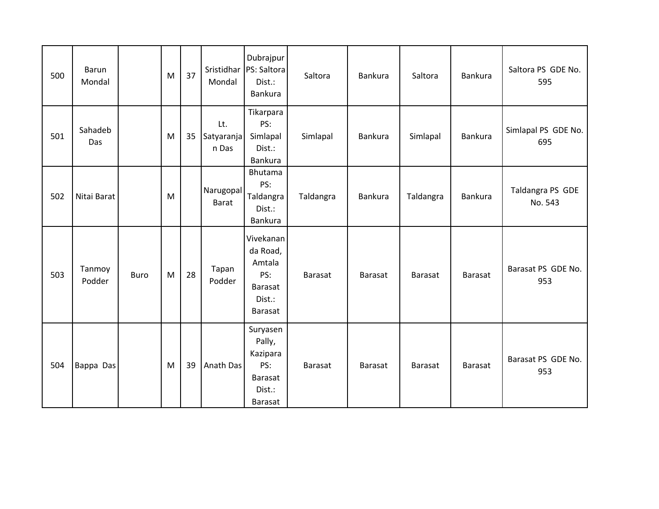| 500 | Barun<br>Mondal  |             | M | 37 | Sristidhar<br>Mondal       | Dubrajpur<br>PS: Saltora<br>Dist.:<br>Bankura                                        | Saltora        | Bankura        | Saltora        | <b>Bankura</b> | Saltora PS GDE No.<br>595   |
|-----|------------------|-------------|---|----|----------------------------|--------------------------------------------------------------------------------------|----------------|----------------|----------------|----------------|-----------------------------|
| 501 | Sahadeb<br>Das   |             | M | 35 | Lt.<br>Satyaranja<br>n Das | Tikarpara<br>PS:<br>Simlapal<br>Dist.:<br><b>Bankura</b>                             | Simlapal       | <b>Bankura</b> | Simlapal       | <b>Bankura</b> | Simlapal PS GDE No.<br>695  |
| 502 | Nitai Barat      |             | M |    | Narugopal<br><b>Barat</b>  | Bhutama<br>PS:<br>Taldangra<br>Dist.:<br>Bankura                                     | Taldangra      | <b>Bankura</b> | Taldangra      | <b>Bankura</b> | Taldangra PS GDE<br>No. 543 |
| 503 | Tanmoy<br>Podder | <b>Buro</b> | M | 28 | Tapan<br>Podder            | Vivekanan<br>da Road,<br>Amtala<br>PS:<br><b>Barasat</b><br>Dist.:<br><b>Barasat</b> | <b>Barasat</b> | <b>Barasat</b> | <b>Barasat</b> | Barasat        | Barasat PS GDE No.<br>953   |
| 504 | Bappa Das        |             | M | 39 | Anath Das                  | Suryasen<br>Pally,<br>Kazipara<br>PS:<br>Barasat<br>Dist.:<br>Barasat                | <b>Barasat</b> | Barasat        | <b>Barasat</b> | Barasat        | Barasat PS GDE No.<br>953   |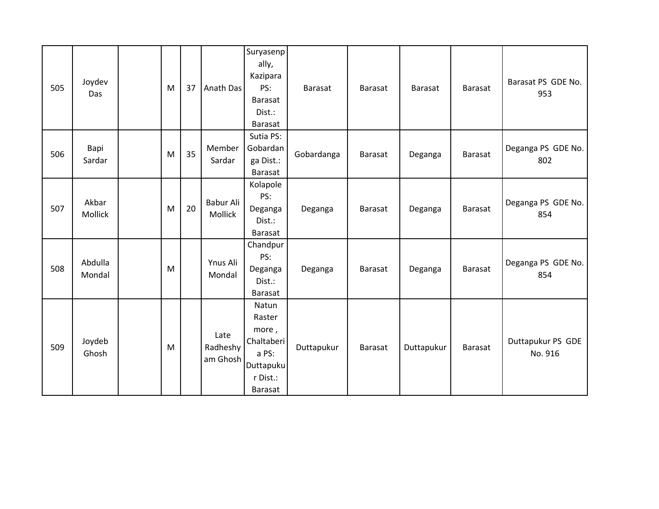| 505 | Joydev<br>Das     | M | 37 | Anath Das                    | Suryasenp<br>ally,<br>Kazipara<br>PS:<br>Barasat<br>Dist.:<br>Barasat               | Barasat    | Barasat        | <b>Barasat</b> | <b>Barasat</b> | Barasat PS GDE No.<br>953    |
|-----|-------------------|---|----|------------------------------|-------------------------------------------------------------------------------------|------------|----------------|----------------|----------------|------------------------------|
| 506 | Bapi<br>Sardar    | M | 35 | Member<br>Sardar             | Sutia PS:<br>Gobardan<br>ga Dist.:<br><b>Barasat</b>                                | Gobardanga | Barasat        | Deganga        | Barasat        | Deganga PS GDE No.<br>802    |
| 507 | Akbar<br>Mollick  | M | 20 | Babur Ali<br>Mollick         | Kolapole<br>PS:<br>Deganga<br>Dist.:<br>Barasat                                     | Deganga    | Barasat        | Deganga        | Barasat        | Deganga PS GDE No.<br>854    |
| 508 | Abdulla<br>Mondal | M |    | Ynus Ali<br>Mondal           | Chandpur<br>PS:<br>Deganga<br>Dist.:<br>Barasat                                     | Deganga    | <b>Barasat</b> | Deganga        | <b>Barasat</b> | Deganga PS GDE No.<br>854    |
| 509 | Joydeb<br>Ghosh   | M |    | Late<br>Radheshy<br>am Ghosh | Natun<br>Raster<br>more,<br>Chaltaberi<br>a PS:<br>Duttapuku<br>r Dist.:<br>Barasat | Duttapukur | Barasat        | Duttapukur     | Barasat        | Duttapukur PS GDE<br>No. 916 |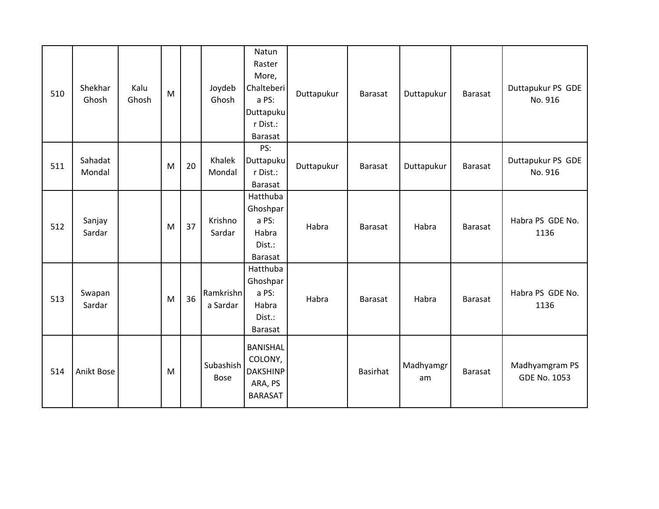| 510 | Shekhar<br>Ghosh  | Kalu<br>Ghosh | M |    | Joydeb<br>Ghosh       | Natun<br>Raster<br>More,<br>Chalteberi<br>a PS:<br><b>Duttapuku</b><br>r Dist.:<br><b>Barasat</b> | Duttapukur | Barasat        | Duttapukur      | <b>Barasat</b> | Duttapukur PS GDE<br>No. 916          |
|-----|-------------------|---------------|---|----|-----------------------|---------------------------------------------------------------------------------------------------|------------|----------------|-----------------|----------------|---------------------------------------|
| 511 | Sahadat<br>Mondal |               | M | 20 | Khalek<br>Mondal      | PS:<br><b>Duttapuku</b><br>r Dist.:<br><b>Barasat</b>                                             | Duttapukur | Barasat        | Duttapukur      | Barasat        | Duttapukur PS GDE<br>No. 916          |
| 512 | Sanjay<br>Sardar  |               | M | 37 | Krishno<br>Sardar     | Hatthuba<br>Ghoshpar<br>a PS:<br>Habra<br>Dist.:<br>Barasat                                       | Habra      | Barasat        | Habra           | Barasat        | Habra PS GDE No.<br>1136              |
| 513 | Swapan<br>Sardar  |               | M | 36 | Ramkrishn<br>a Sardar | Hatthuba<br>Ghoshpar<br>a PS:<br>Habra<br>Dist.:<br>Barasat                                       | Habra      | <b>Barasat</b> | Habra           | <b>Barasat</b> | Habra PS GDE No.<br>1136              |
| 514 | Anikt Bose        |               | M |    | Subashish<br>Bose     | <b>BANISHAL</b><br>COLONY,<br><b>DAKSHINP</b><br>ARA, PS<br><b>BARASAT</b>                        |            | Basirhat       | Madhyamgr<br>am | <b>Barasat</b> | Madhyamgram PS<br><b>GDE No. 1053</b> |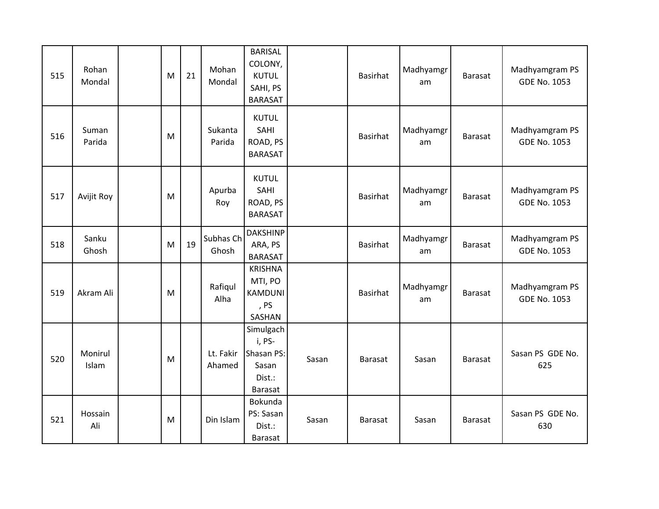| 515 | Rohan<br>Mondal  | M | 21 | Mohan<br>Mondal     | <b>BARISAL</b><br>COLONY,<br><b>KUTUL</b><br>SAHI, PS<br><b>BARASAT</b> |       | Basirhat        | Madhyamgr<br>am | Barasat        | Madhyamgram PS<br><b>GDE No. 1053</b> |
|-----|------------------|---|----|---------------------|-------------------------------------------------------------------------|-------|-----------------|-----------------|----------------|---------------------------------------|
| 516 | Suman<br>Parida  | M |    | Sukanta<br>Parida   | <b>KUTUL</b><br>SAHI<br>ROAD, PS<br><b>BARASAT</b>                      |       | Basirhat        | Madhyamgr<br>am | Barasat        | Madhyamgram PS<br><b>GDE No. 1053</b> |
| 517 | Avijit Roy       | M |    | Apurba<br>Roy       | <b>KUTUL</b><br>SAHI<br>ROAD, PS<br><b>BARASAT</b>                      |       | Basirhat        | Madhyamgr<br>am | <b>Barasat</b> | Madhyamgram PS<br><b>GDE No. 1053</b> |
| 518 | Sanku<br>Ghosh   | M | 19 | Subhas Ch<br>Ghosh  | <b>DAKSHINP</b><br>ARA, PS<br><b>BARASAT</b>                            |       | Basirhat        | Madhyamgr<br>am | Barasat        | Madhyamgram PS<br><b>GDE No. 1053</b> |
| 519 | Akram Ali        | M |    | Rafiqul<br>Alha     | <b>KRISHNA</b><br>MTI, PO<br><b>KAMDUNI</b><br>, PS<br>SASHAN           |       | <b>Basirhat</b> | Madhyamgr<br>am | <b>Barasat</b> | Madhyamgram PS<br><b>GDE No. 1053</b> |
| 520 | Monirul<br>Islam | M |    | Lt. Fakir<br>Ahamed | Simulgach<br>i, PS-<br>Shasan PS:<br>Sasan<br>Dist.:<br><b>Barasat</b>  | Sasan | Barasat         | Sasan           | <b>Barasat</b> | Sasan PS GDE No.<br>625               |
| 521 | Hossain<br>Ali   | M |    | Din Islam           | Bokunda<br>PS: Sasan<br>Dist.:<br>Barasat                               | Sasan | Barasat         | Sasan           | <b>Barasat</b> | Sasan PS GDE No.<br>630               |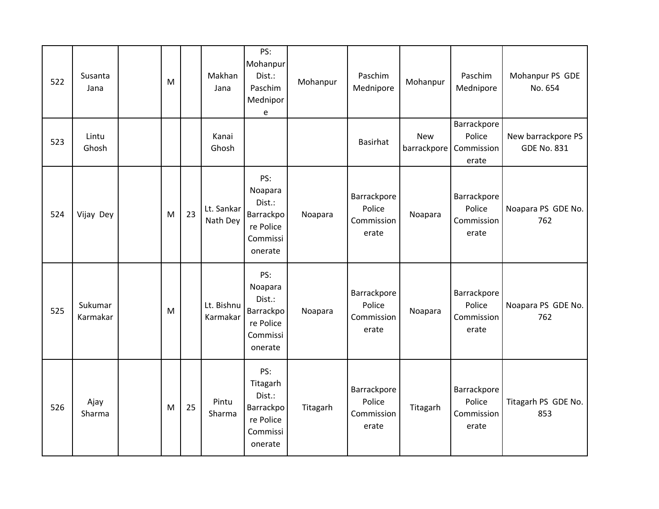| 522 | Susanta<br>Jana     | M |    | Makhan<br>Jana         | PS:<br>Mohanpur<br>Dist.:<br>Paschim<br>Mednipor<br>e                             | Mohanpur | Paschim<br>Mednipore                         | Mohanpur   | Paschim<br>Mednipore                                     | Mohanpur PS GDE<br>No. 654               |
|-----|---------------------|---|----|------------------------|-----------------------------------------------------------------------------------|----------|----------------------------------------------|------------|----------------------------------------------------------|------------------------------------------|
| 523 | Lintu<br>Ghosh      |   |    | Kanai<br>Ghosh         |                                                                                   |          | Basirhat                                     | <b>New</b> | Barrackpore<br>Police<br>barrackpore Commission<br>erate | New barrackpore PS<br><b>GDE No. 831</b> |
| 524 | Vijay Dey           | M | 23 | Lt. Sankar<br>Nath Dey | PS:<br>Noapara<br>Dist.:<br><b>Barrackpo</b><br>re Police<br>Commissi<br>onerate  | Noapara  | Barrackpore<br>Police<br>Commission<br>erate | Noapara    | Barrackpore<br>Police<br>Commission<br>erate             | Noapara PS GDE No.<br>762                |
| 525 | Sukumar<br>Karmakar | M |    | Lt. Bishnu<br>Karmakar | PS:<br>Noapara<br>Dist.:<br>Barrackpo<br>re Police<br>Commissi<br>onerate         | Noapara  | Barrackpore<br>Police<br>Commission<br>erate | Noapara    | Barrackpore<br>Police<br>Commission<br>erate             | Noapara PS GDE No.<br>762                |
| 526 | Ajay<br>Sharma      | M | 25 | Pintu<br>Sharma        | PS:<br>Titagarh<br>Dist.:<br><b>Barrackpo</b><br>re Police<br>Commissi<br>onerate | Titagarh | Barrackpore<br>Police<br>Commission<br>erate | Titagarh   | Barrackpore<br>Police<br>Commission<br>erate             | Titagarh PS GDE No.<br>853               |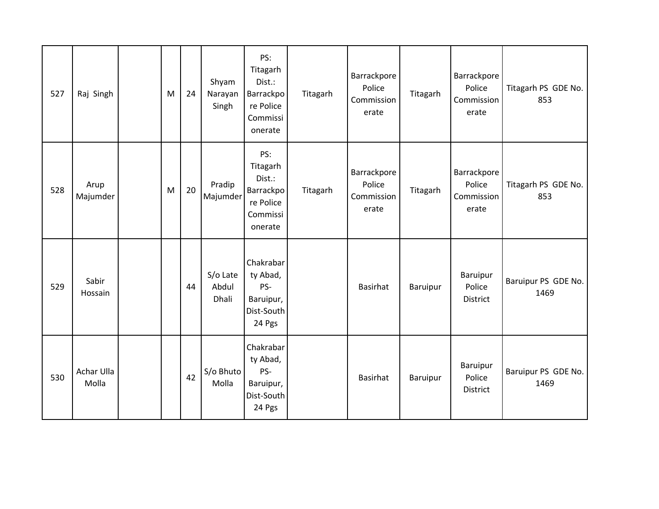| 527 | Raj Singh           | M | 24 | Shyam<br>Narayan<br>Singh  | PS:<br>Titagarh<br>Dist.:<br>Barrackpo<br>re Police<br>Commissi<br>onerate | Titagarh | Barrackpore<br>Police<br>Commission<br>erate | Titagarh        | Barrackpore<br>Police<br>Commission<br>erate | Titagarh PS GDE No.<br>853  |
|-----|---------------------|---|----|----------------------------|----------------------------------------------------------------------------|----------|----------------------------------------------|-----------------|----------------------------------------------|-----------------------------|
| 528 | Arup<br>Majumder    | M | 20 | Pradip<br>Majumder         | PS:<br>Titagarh<br>Dist.:<br>Barrackpo<br>re Police<br>Commissi<br>onerate | Titagarh | Barrackpore<br>Police<br>Commission<br>erate | Titagarh        | Barrackpore<br>Police<br>Commission<br>erate | Titagarh PS GDE No.<br>853  |
| 529 | Sabir<br>Hossain    |   | 44 | S/o Late<br>Abdul<br>Dhali | Chakrabar<br>ty Abad,<br>PS-<br>Baruipur,<br>Dist-South<br>24 Pgs          |          | <b>Basirhat</b>                              | Baruipur        | Baruipur<br>Police<br>District               | Baruipur PS GDE No.<br>1469 |
| 530 | Achar Ulla<br>Molla |   | 42 | S/o Bhuto<br>Molla         | Chakrabar<br>ty Abad,<br>PS-<br>Baruipur,<br>Dist-South<br>24 Pgs          |          | <b>Basirhat</b>                              | <b>Baruipur</b> | Baruipur<br>Police<br>District               | Baruipur PS GDE No.<br>1469 |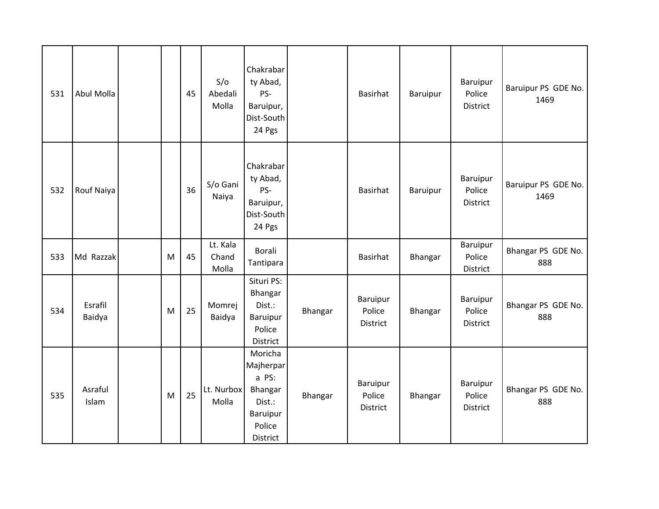| 531 | Abul Molla        |   | 45 | S/O<br>Abedali<br>Molla    | Chakrabar<br>ty Abad,<br>PS-<br>Baruipur,<br>Dist-South<br>24 Pgs                    |         | Basirhat                       | Baruipur       | <b>Baruipur</b><br>Police<br>District | Baruipur PS GDE No.<br>1469 |
|-----|-------------------|---|----|----------------------------|--------------------------------------------------------------------------------------|---------|--------------------------------|----------------|---------------------------------------|-----------------------------|
| 532 | Rouf Naiya        |   | 36 | S/o Gani<br>Naiya          | Chakrabar<br>ty Abad,<br>PS-<br>Baruipur,<br>Dist-South<br>24 Pgs                    |         | <b>Basirhat</b>                | Baruipur       | Baruipur<br>Police<br>District        | Baruipur PS GDE No.<br>1469 |
| 533 | Md Razzak         | M | 45 | Lt. Kala<br>Chand<br>Molla | Borali<br>Tantipara                                                                  |         | Basirhat                       | Bhangar        | Baruipur<br>Police<br>District        | Bhangar PS GDE No.<br>888   |
| 534 | Esrafil<br>Baidya | M | 25 | Momrej<br>Baidya           | Situri PS:<br>Bhangar<br>Dist.:<br><b>Baruipur</b><br>Police<br>District             | Bhangar | Baruipur<br>Police<br>District | <b>Bhangar</b> | Baruipur<br>Police<br>District        | Bhangar PS GDE No.<br>888   |
| 535 | Asraful<br>Islam  | M | 25 | Lt. Nurbox<br>Molla        | Moricha<br>Majherpar<br>a PS:<br>Bhangar<br>Dist.:<br>Baruipur<br>Police<br>District | Bhangar | Baruipur<br>Police<br>District | Bhangar        | Baruipur<br>Police<br>District        | Bhangar PS GDE No.<br>888   |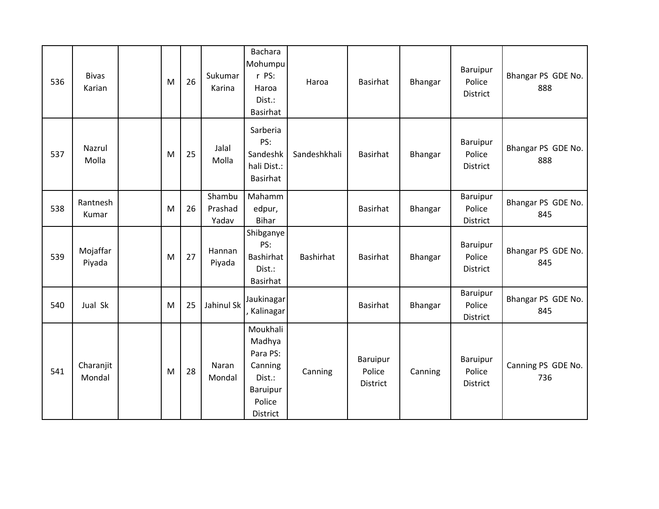| 536 | <b>Bivas</b><br>Karian | M | 26 | Sukumar<br>Karina          | <b>Bachara</b><br>Mohumpu<br>r PS:<br>Haroa<br>Dist.:<br><b>Basirhat</b>              | Haroa            | <b>Basirhat</b>                | Bhangar        | Baruipur<br>Police<br>District        | Bhangar PS GDE No.<br>888 |
|-----|------------------------|---|----|----------------------------|---------------------------------------------------------------------------------------|------------------|--------------------------------|----------------|---------------------------------------|---------------------------|
| 537 | Nazrul<br>Molla        | M | 25 | Jalal<br>Molla             | Sarberia<br>PS:<br>Sandeshk<br>hali Dist.:<br>Basirhat                                | Sandeshkhali     | Basirhat                       | <b>Bhangar</b> | Baruipur<br>Police<br>District        | Bhangar PS GDE No.<br>888 |
| 538 | Rantnesh<br>Kumar      | M | 26 | Shambu<br>Prashad<br>Yadav | Mahamm<br>edpur,<br><b>Bihar</b>                                                      |                  | <b>Basirhat</b>                | Bhangar        | Baruipur<br>Police<br>District        | Bhangar PS GDE No.<br>845 |
| 539 | Mojaffar<br>Piyada     | M | 27 | Hannan<br>Piyada           | Shibganye<br>PS:<br>Bashirhat<br>Dist.:<br>Basirhat                                   | <b>Bashirhat</b> | Basirhat                       | Bhangar        | <b>Baruipur</b><br>Police<br>District | Bhangar PS GDE No.<br>845 |
| 540 | Jual Sk                | M | 25 | Jahinul Sk                 | Jaukinagar<br>, Kalinagar                                                             |                  | <b>Basirhat</b>                | <b>Bhangar</b> | <b>Baruipur</b><br>Police<br>District | Bhangar PS GDE No.<br>845 |
| 541 | Charanjit<br>Mondal    | M | 28 | Naran<br>Mondal            | Moukhali<br>Madhya<br>Para PS:<br>Canning<br>Dist.:<br>Baruipur<br>Police<br>District | Canning          | Baruipur<br>Police<br>District | Canning        | Baruipur<br>Police<br>District        | Canning PS GDE No.<br>736 |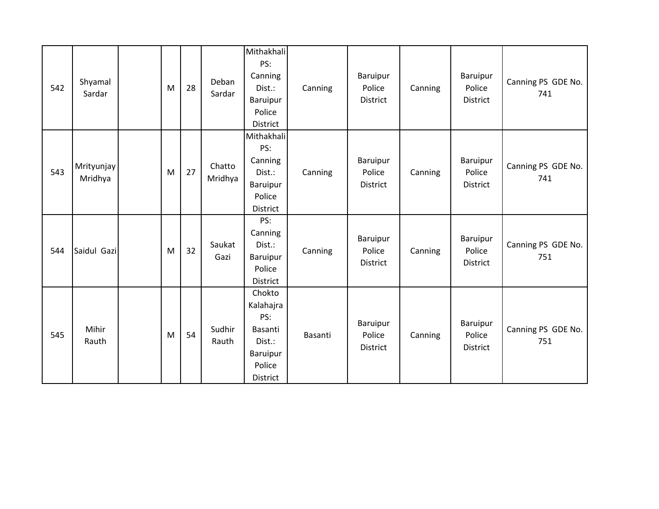| 542 | Shyamal<br>Sardar     | M | 28 | Deban<br>Sardar   | Mithakhali<br>PS:<br>Canning<br>Dist.:<br>Baruipur<br>Police<br>District          | Canning | Baruipur<br>Police<br>District | Canning | Baruipur<br>Police<br>District | Canning PS GDE No.<br>741 |
|-----|-----------------------|---|----|-------------------|-----------------------------------------------------------------------------------|---------|--------------------------------|---------|--------------------------------|---------------------------|
| 543 | Mrityunjay<br>Mridhya | M | 27 | Chatto<br>Mridhya | Mithakhali<br>PS:<br>Canning<br>Dist.:<br><b>Baruipur</b><br>Police<br>District   | Canning | Baruipur<br>Police<br>District | Canning | Baruipur<br>Police<br>District | Canning PS GDE No.<br>741 |
| 544 | Saidul Gazi           | M | 32 | Saukat<br>Gazi    | PS:<br>Canning<br>Dist.:<br>Baruipur<br>Police<br>District                        | Canning | Baruipur<br>Police<br>District | Canning | Baruipur<br>Police<br>District | Canning PS GDE No.<br>751 |
| 545 | Mihir<br>Rauth        | M | 54 | Sudhir<br>Rauth   | Chokto<br>Kalahajra<br>PS:<br>Basanti<br>Dist.:<br>Baruipur<br>Police<br>District | Basanti | Baruipur<br>Police<br>District | Canning | Baruipur<br>Police<br>District | Canning PS GDE No.<br>751 |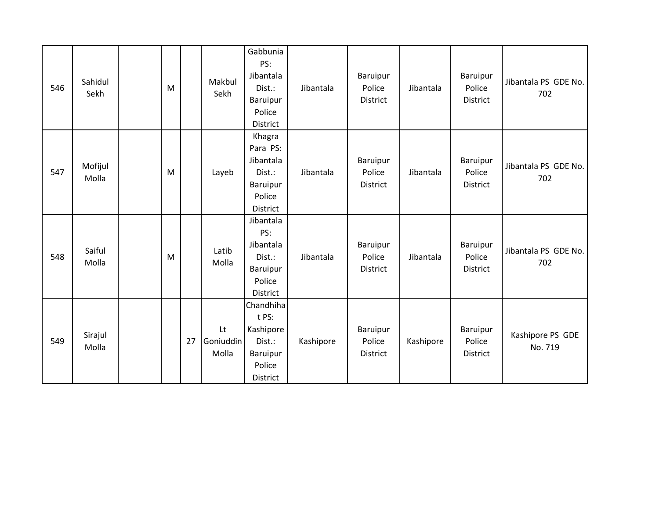| 546 | Sahidul<br>Sekh  | M |    | Makbul<br>Sekh           | Gabbunia<br>PS:<br>Jibantala<br>Dist.:<br>Baruipur<br>Police<br>District           | Jibantala | Baruipur<br>Police<br>District | Jibantala | Baruipur<br>Police<br>District        | Jibantala PS GDE No.<br>702 |
|-----|------------------|---|----|--------------------------|------------------------------------------------------------------------------------|-----------|--------------------------------|-----------|---------------------------------------|-----------------------------|
| 547 | Mofijul<br>Molla | M |    | Layeb                    | Khagra<br>Para PS:<br>Jibantala<br>Dist.:<br>Baruipur<br>Police<br>District        | Jibantala | Baruipur<br>Police<br>District | Jibantala | <b>Baruipur</b><br>Police<br>District | Jibantala PS GDE No.<br>702 |
| 548 | Saiful<br>Molla  | M |    | Latib<br>Molla           | Jibantala<br>PS:<br>Jibantala<br>Dist.:<br>Baruipur<br>Police<br>District          | Jibantala | Baruipur<br>Police<br>District | Jibantala | Baruipur<br>Police<br>District        | Jibantala PS GDE No.<br>702 |
| 549 | Sirajul<br>Molla |   | 27 | Lt<br>Goniuddin<br>Molla | Chandhiha<br>t PS:<br>Kashipore<br>Dist.:<br><b>Baruipur</b><br>Police<br>District | Kashipore | Baruipur<br>Police<br>District | Kashipore | Baruipur<br>Police<br>District        | Kashipore PS GDE<br>No. 719 |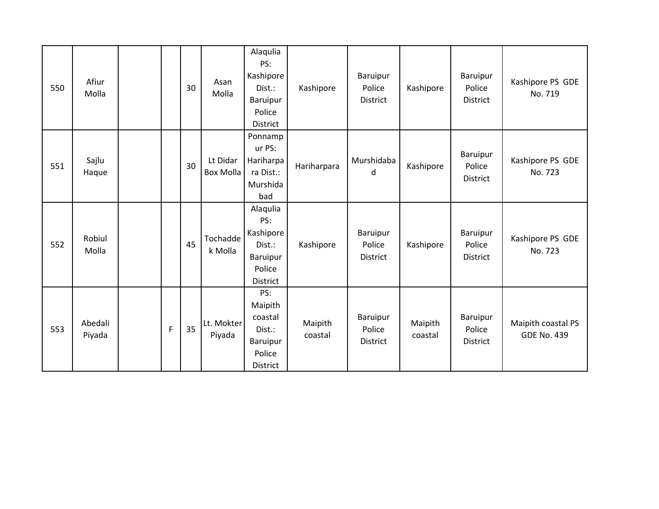| 550 | Afiur<br>Molla    |   | 30 | Asan<br>Molla         | Alaqulia<br>PS:<br>Kashipore<br>Dist.:<br>Baruipur<br>Police<br><b>District</b> | Kashipore          | Baruipur<br>Police<br><b>District</b> | Kashipore          | Baruipur<br>Police<br>District               | Kashipore PS GDE<br>No. 719              |
|-----|-------------------|---|----|-----------------------|---------------------------------------------------------------------------------|--------------------|---------------------------------------|--------------------|----------------------------------------------|------------------------------------------|
| 551 | Sajlu<br>Haque    |   | 30 | Lt Didar<br>Box Molla | Ponnamp<br>ur PS:<br>Hariharpa<br>ra Dist.:<br>Murshida<br>bad                  | Hariharpara        | Murshidaba<br>d                       | Kashipore          | Baruipur<br>Police<br>District               | Kashipore PS GDE<br>No. 723              |
| 552 | Robiul<br>Molla   |   | 45 | Tochadde<br>k Molla   | Alaqulia<br>PS:<br>Kashipore<br>Dist.:<br>Baruipur<br>Police<br>District        | Kashipore          | Baruipur<br>Police<br><b>District</b> | Kashipore          | <b>Baruipur</b><br>Police<br><b>District</b> | Kashipore PS GDE<br>No. 723              |
| 553 | Abedali<br>Piyada | F | 35 | Lt. Mokter<br>Piyada  | PS:<br>Maipith<br>coastal<br>Dist.:<br>Baruipur<br>Police<br><b>District</b>    | Maipith<br>coastal | Baruipur<br>Police<br>District        | Maipith<br>coastal | Baruipur<br>Police<br>District               | Maipith coastal PS<br><b>GDE No. 439</b> |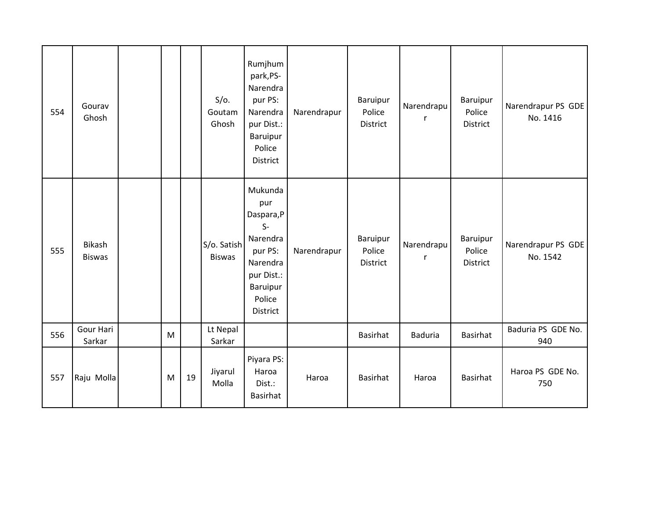| 554 | Gourav<br>Ghosh         |   |    | $S/O$ .<br>Goutam<br>Ghosh   | Rumjhum<br>park,PS-<br>Narendra<br>pur PS:<br>Narendra<br>pur Dist.:<br>Baruipur<br>Police<br>District                 | Narendrapur | Baruipur<br>Police<br>District | Narendrapu<br>r | Baruipur<br>Police<br>District | Narendrapur PS GDE<br>No. 1416 |
|-----|-------------------------|---|----|------------------------------|------------------------------------------------------------------------------------------------------------------------|-------------|--------------------------------|-----------------|--------------------------------|--------------------------------|
| 555 | Bikash<br><b>Biswas</b> |   |    | S/o. Satish<br><b>Biswas</b> | Mukunda<br>pur<br>Daspara,P<br>$S-$<br>Narendra<br>pur PS:<br>Narendra<br>pur Dist.:<br>Baruipur<br>Police<br>District | Narendrapur | Baruipur<br>Police<br>District | Narendrapu<br>r | Baruipur<br>Police<br>District | Narendrapur PS GDE<br>No. 1542 |
| 556 | Gour Hari<br>Sarkar     | M |    | Lt Nepal<br>Sarkar           |                                                                                                                        |             | <b>Basirhat</b>                | <b>Baduria</b>  | Basirhat                       | Baduria PS GDE No.<br>940      |
| 557 | Raju Molla              | M | 19 | Jiyarul<br>Molla             | Piyara PS:<br>Haroa<br>Dist.:<br><b>Basirhat</b>                                                                       | Haroa       | <b>Basirhat</b>                | Haroa           | Basirhat                       | Haroa PS GDE No.<br>750        |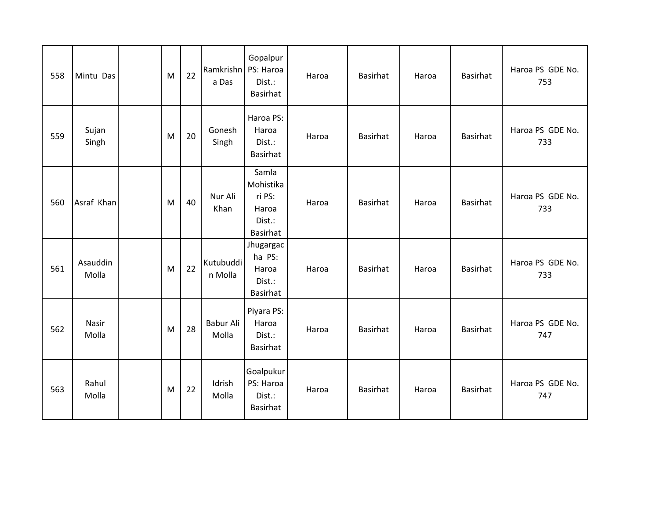| 558 | Mintu Das         | M | 22 | Ramkrishn PS: Haroa<br>a Das | Gopalpur<br>Dist.:<br>Basirhat                                     | Haroa | <b>Basirhat</b> | Haroa | <b>Basirhat</b> | Haroa PS GDE No.<br>753 |
|-----|-------------------|---|----|------------------------------|--------------------------------------------------------------------|-------|-----------------|-------|-----------------|-------------------------|
| 559 | Sujan<br>Singh    | M | 20 | Gonesh<br>Singh              | Haroa PS:<br>Haroa<br>Dist.:<br>Basirhat                           | Haroa | <b>Basirhat</b> | Haroa | <b>Basirhat</b> | Haroa PS GDE No.<br>733 |
| 560 | Asraf Khan        | M | 40 | Nur Ali<br>Khan              | Samla<br>Mohistika<br>ri PS:<br>Haroa<br>Dist.:<br><b>Basirhat</b> | Haroa | <b>Basirhat</b> | Haroa | <b>Basirhat</b> | Haroa PS GDE No.<br>733 |
| 561 | Asauddin<br>Molla | M | 22 | Kutubuddi<br>n Molla         | Jhugargac<br>ha PS:<br>Haroa<br>Dist.:<br><b>Basirhat</b>          | Haroa | <b>Basirhat</b> | Haroa | <b>Basirhat</b> | Haroa PS GDE No.<br>733 |
| 562 | Nasir<br>Molla    | M | 28 | Babur Ali<br>Molla           | Piyara PS:<br>Haroa<br>Dist.:<br>Basirhat                          | Haroa | <b>Basirhat</b> | Haroa | <b>Basirhat</b> | Haroa PS GDE No.<br>747 |
| 563 | Rahul<br>Molla    | M | 22 | Idrish<br>Molla              | Goalpukur<br>PS: Haroa<br>Dist.:<br>Basirhat                       | Haroa | <b>Basirhat</b> | Haroa | <b>Basirhat</b> | Haroa PS GDE No.<br>747 |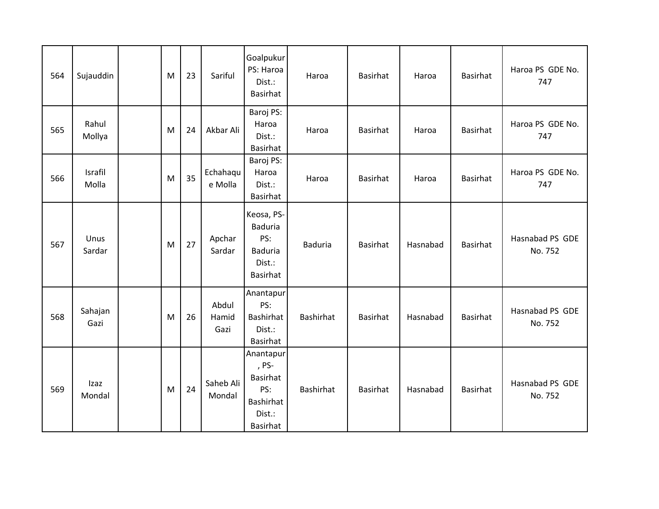| 564 | Sujauddin        | M | 23 | Sariful                | Goalpukur<br>PS: Haroa<br>Dist.:<br><b>Basirhat</b>                                    | Haroa            | Basirhat        | Haroa    | Basirhat        | Haroa PS GDE No.<br>747    |
|-----|------------------|---|----|------------------------|----------------------------------------------------------------------------------------|------------------|-----------------|----------|-----------------|----------------------------|
| 565 | Rahul<br>Mollya  | M | 24 | Akbar Ali              | Baroj PS:<br>Haroa<br>Dist.:<br><b>Basirhat</b>                                        | Haroa            | <b>Basirhat</b> | Haroa    | <b>Basirhat</b> | Haroa PS GDE No.<br>747    |
| 566 | Israfil<br>Molla | M | 35 | Echahaqu<br>e Molla    | Baroj PS:<br>Haroa<br>Dist.:<br><b>Basirhat</b>                                        | Haroa            | Basirhat        | Haroa    | Basirhat        | Haroa PS GDE No.<br>747    |
| 567 | Unus<br>Sardar   | M | 27 | Apchar<br>Sardar       | Keosa, PS-<br>Baduria<br>PS:<br><b>Baduria</b><br>Dist.:<br>Basirhat                   | <b>Baduria</b>   | Basirhat        | Hasnabad | Basirhat        | Hasnabad PS GDE<br>No. 752 |
| 568 | Sahajan<br>Gazi  | M | 26 | Abdul<br>Hamid<br>Gazi | Anantapur<br>PS:<br><b>Bashirhat</b><br>Dist.:<br><b>Basirhat</b>                      | <b>Bashirhat</b> | Basirhat        | Hasnabad | <b>Basirhat</b> | Hasnabad PS GDE<br>No. 752 |
| 569 | Izaz<br>Mondal   | M | 24 | Saheb Ali<br>Mondal    | Anantapur<br>, PS-<br>Basirhat<br>PS:<br><b>Bashirhat</b><br>Dist.:<br><b>Basirhat</b> | <b>Bashirhat</b> | Basirhat        | Hasnabad | Basirhat        | Hasnabad PS GDE<br>No. 752 |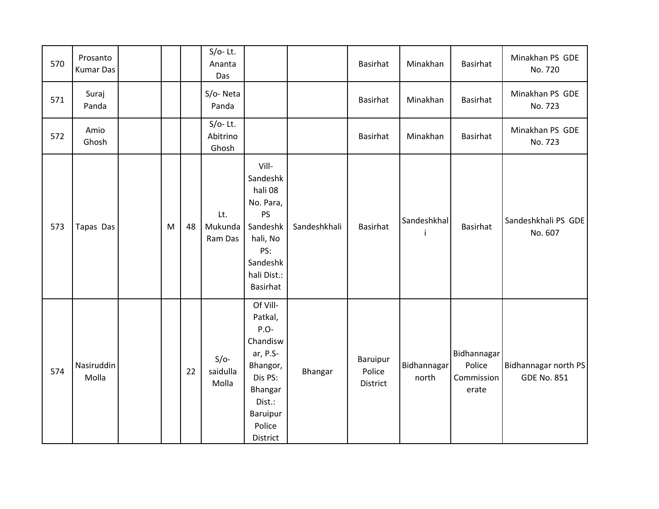| 570 | Prosanto<br><b>Kumar Das</b> |   |    | $S/O-$ Lt.<br>Ananta<br>Das     |                                                                                                                                   |              | <b>Basirhat</b>                | Minakhan             | Basirhat                                     | Minakhan PS GDE<br>No. 720                 |
|-----|------------------------------|---|----|---------------------------------|-----------------------------------------------------------------------------------------------------------------------------------|--------------|--------------------------------|----------------------|----------------------------------------------|--------------------------------------------|
| 571 | Suraj<br>Panda               |   |    | S/o-Neta<br>Panda               |                                                                                                                                   |              | <b>Basirhat</b>                | Minakhan             | Basirhat                                     | Minakhan PS GDE<br>No. 723                 |
| 572 | Amio<br>Ghosh                |   |    | $S/O-$ Lt.<br>Abitrino<br>Ghosh |                                                                                                                                   |              | Basirhat                       | Minakhan             | Basirhat                                     | Minakhan PS GDE<br>No. 723                 |
| 573 | Tapas Das                    | M | 48 | Lt.<br>Mukunda<br>Ram Das       | Vill-<br>Sandeshk<br>hali 08<br>No. Para,<br>PS<br>Sandeshk<br>hali, No<br>PS:<br>Sandeshk<br>hali Dist.:<br><b>Basirhat</b>      | Sandeshkhali | <b>Basirhat</b>                | Sandeshkhal<br>j.    | <b>Basirhat</b>                              | Sandeshkhali PS GDE<br>No. 607             |
| 574 | Nasiruddin<br>Molla          |   | 22 | $S/O-$<br>saidulla<br>Molla     | Of Vill-<br>Patkal,<br>P.O-<br>Chandisw<br>ar, P.S-<br>Bhangor,<br>Dis PS:<br>Bhangar<br>Dist.:<br>Baruipur<br>Police<br>District | Bhangar      | Baruipur<br>Police<br>District | Bidhannagar<br>north | Bidhannagar<br>Police<br>Commission<br>erate | Bidhannagar north PS<br><b>GDE No. 851</b> |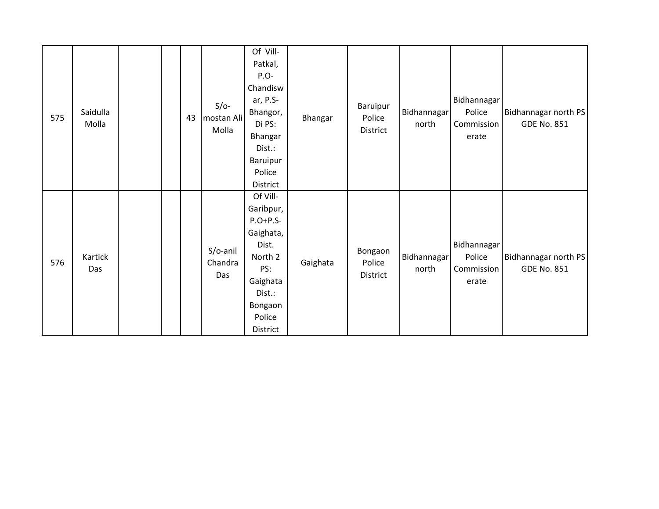| 575 | Saidulla<br>Molla |  | 43 | $S/O-$<br>mostan Ali<br>Molla | Of Vill-<br>Patkal,<br>$P.O-$<br>Chandisw<br>ar, P.S-<br>Bhangor,<br>Di PS:<br>Bhangar<br>Dist.:<br>Baruipur<br>Police<br>District | Bhangar  | Baruipur<br>Police<br>District | Bidhannagar<br>north | Bidhannagar<br>Police<br>Commission<br>erate | Bidhannagar north PS<br><b>GDE No. 851</b> |
|-----|-------------------|--|----|-------------------------------|------------------------------------------------------------------------------------------------------------------------------------|----------|--------------------------------|----------------------|----------------------------------------------|--------------------------------------------|
| 576 | Kartick<br>Das    |  |    | S/o-anil<br>Chandra<br>Das    | Of Vill-<br>Garibpur,<br>$P.O+P.S-$<br>Gaighata,<br>Dist.<br>North 2<br>PS:<br>Gaighata<br>Dist.:<br>Bongaon<br>Police<br>District | Gaighata | Bongaon<br>Police<br>District  | Bidhannagar<br>north | Bidhannagar<br>Police<br>Commission<br>erate | Bidhannagar north PS<br><b>GDE No. 851</b> |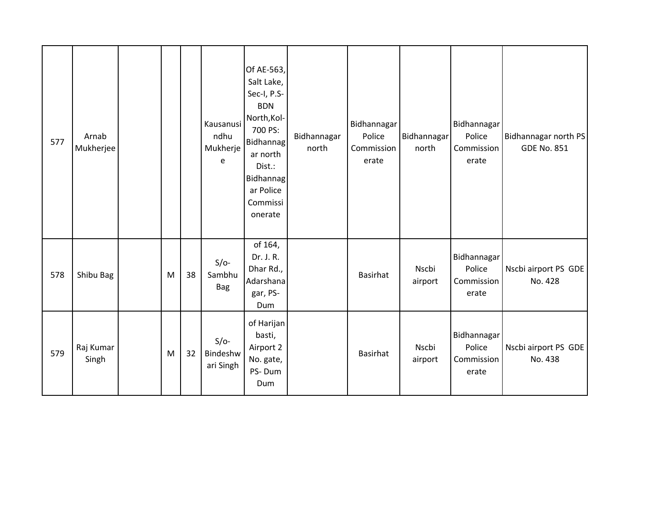| 577 | Arnab<br>Mukherjee |   |    | Kausanusi<br>ndhu<br>Mukherje<br>e | Of AE-563,<br>Salt Lake,<br>Sec-I, P.S-<br><b>BDN</b><br>North, Kol-<br>700 PS:<br><b>Bidhannag</b><br>ar north<br>Dist.:<br>Bidhannag<br>ar Police<br>Commissi<br>onerate | Bidhannagar<br>north | Bidhannagar<br>Police<br>Commission<br>erate | Bidhannagar<br>north | Bidhannagar<br>Police<br>Commission<br>erate | Bidhannagar north PS<br><b>GDE No. 851</b> |
|-----|--------------------|---|----|------------------------------------|----------------------------------------------------------------------------------------------------------------------------------------------------------------------------|----------------------|----------------------------------------------|----------------------|----------------------------------------------|--------------------------------------------|
| 578 | Shibu Bag          | M | 38 | $S/O-$<br>Sambhu<br><b>Bag</b>     | of 164,<br>Dr. J. R.<br>Dhar Rd.,<br>Adarshana<br>gar, PS-<br>Dum                                                                                                          |                      | <b>Basirhat</b>                              | Nscbi<br>airport     | Bidhannagar<br>Police<br>Commission<br>erate | Nscbi airport PS GDE<br>No. 428            |
| 579 | Raj Kumar<br>Singh | M | 32 | $S/O-$<br>Bindeshw<br>ari Singh    | of Harijan<br>basti,<br>Airport 2<br>No. gate,<br>PS-Dum<br>Dum                                                                                                            |                      | <b>Basirhat</b>                              | Nscbi<br>airport     | Bidhannagar<br>Police<br>Commission<br>erate | Nscbi airport PS GDE<br>No. 438            |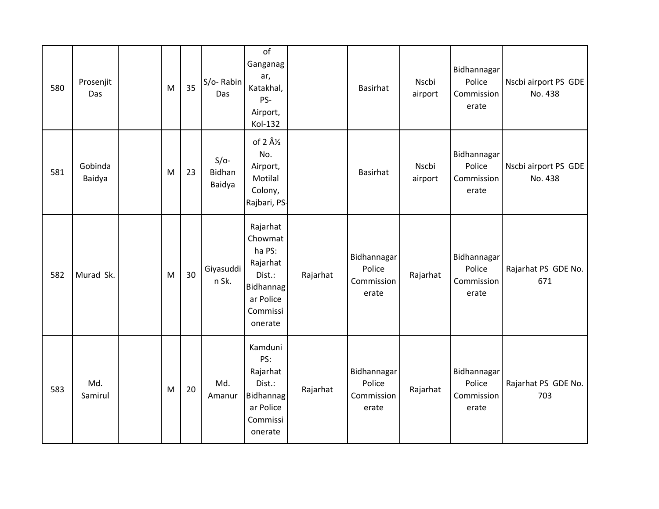| 580 | Prosenjit<br>Das  | M | 35 | S/o-Rabin<br>Das           | of<br>Ganganag<br>ar,<br>Katakhal,<br>PS-<br>Airport,<br>Kol-132                                            |          | <b>Basirhat</b>                              | Nscbi<br>airport | Bidhannagar<br>Police<br>Commission<br>erate | Nscbi airport PS GDE<br>No. 438 |
|-----|-------------------|---|----|----------------------------|-------------------------------------------------------------------------------------------------------------|----------|----------------------------------------------|------------------|----------------------------------------------|---------------------------------|
| 581 | Gobinda<br>Baidya | M | 23 | $S/O-$<br>Bidhan<br>Baidya | of $2 \hat{A}$ / <sub>2</sub><br>No.<br>Airport,<br>Motilal<br>Colony,<br>Rajbari, PS-                      |          | <b>Basirhat</b>                              | Nscbi<br>airport | Bidhannagar<br>Police<br>Commission<br>erate | Nscbi airport PS GDE<br>No. 438 |
| 582 | Murad Sk.         | M | 30 | Giyasuddi<br>n Sk.         | Rajarhat<br>Chowmat<br>ha PS:<br>Rajarhat<br>Dist.:<br><b>Bidhannag</b><br>ar Police<br>Commissi<br>onerate | Rajarhat | Bidhannagar<br>Police<br>Commission<br>erate | Rajarhat         | Bidhannagar<br>Police<br>Commission<br>erate | Rajarhat PS GDE No.<br>671      |
| 583 | Md.<br>Samirul    | M | 20 | Md.<br>Amanur              | Kamduni<br>PS:<br>Rajarhat<br>Dist.:<br><b>Bidhannag</b><br>ar Police<br>Commissi<br>onerate                | Rajarhat | Bidhannagar<br>Police<br>Commission<br>erate | Rajarhat         | Bidhannagar<br>Police<br>Commission<br>erate | Rajarhat PS GDE No.<br>703      |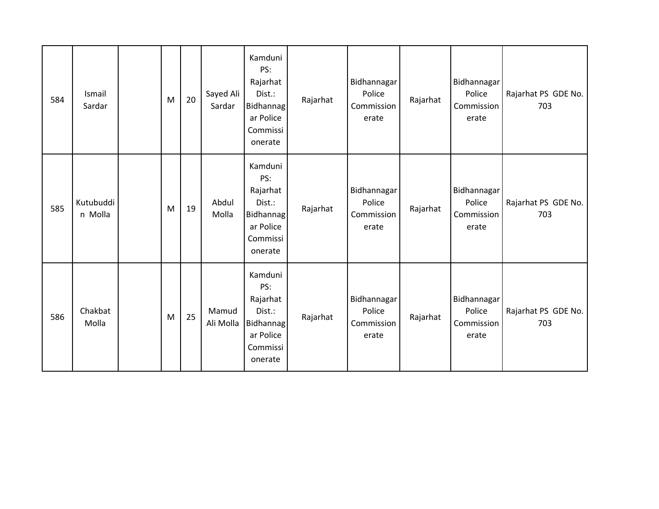| 584 | Ismail<br>Sardar     | M | 20 | Sayed Ali<br>Sardar | Kamduni<br>PS:<br>Rajarhat<br>Dist.:<br>Bidhannag<br>ar Police<br>Commissi<br>onerate        | Rajarhat | Bidhannagar<br>Police<br>Commission<br>erate | Rajarhat | Bidhannagar<br>Police<br>Commission<br>erate | Rajarhat PS GDE No.<br>703 |
|-----|----------------------|---|----|---------------------|----------------------------------------------------------------------------------------------|----------|----------------------------------------------|----------|----------------------------------------------|----------------------------|
| 585 | Kutubuddi<br>n Molla | M | 19 | Abdul<br>Molla      | Kamduni<br>PS:<br>Rajarhat<br>Dist.:<br>Bidhannag<br>ar Police<br>Commissi<br>onerate        | Rajarhat | Bidhannagar<br>Police<br>Commission<br>erate | Rajarhat | Bidhannagar<br>Police<br>Commission<br>erate | Rajarhat PS GDE No.<br>703 |
| 586 | Chakbat<br>Molla     | M | 25 | Mamud<br>Ali Molla  | Kamduni<br>PS:<br>Rajarhat<br>Dist.:<br><b>Bidhannag</b><br>ar Police<br>Commissi<br>onerate | Rajarhat | Bidhannagar<br>Police<br>Commission<br>erate | Rajarhat | Bidhannagar<br>Police<br>Commission<br>erate | Rajarhat PS GDE No.<br>703 |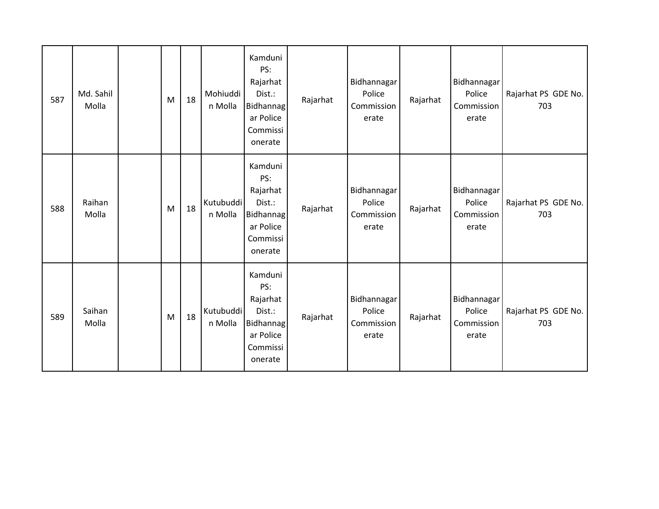| 587 | Md. Sahil<br>Molla | M | 18 | Mohiuddi<br>n Molla  | Kamduni<br>PS:<br>Rajarhat<br>Dist.:<br>Bidhannag<br>ar Police<br>Commissi<br>onerate        | Rajarhat | Bidhannagar<br>Police<br>Commission<br>erate | Rajarhat | Bidhannagar<br>Police<br>Commission<br>erate | Rajarhat PS GDE No.<br>703 |
|-----|--------------------|---|----|----------------------|----------------------------------------------------------------------------------------------|----------|----------------------------------------------|----------|----------------------------------------------|----------------------------|
| 588 | Raihan<br>Molla    | M | 18 | Kutubuddi<br>n Molla | Kamduni<br>PS:<br>Rajarhat<br>Dist.:<br>Bidhannag<br>ar Police<br>Commissi<br>onerate        | Rajarhat | Bidhannagar<br>Police<br>Commission<br>erate | Rajarhat | Bidhannagar<br>Police<br>Commission<br>erate | Rajarhat PS GDE No.<br>703 |
| 589 | Saihan<br>Molla    | M | 18 | Kutubuddi<br>n Molla | Kamduni<br>PS:<br>Rajarhat<br>Dist.:<br><b>Bidhannag</b><br>ar Police<br>Commissi<br>onerate | Rajarhat | Bidhannagar<br>Police<br>Commission<br>erate | Rajarhat | Bidhannagar<br>Police<br>Commission<br>erate | Rajarhat PS GDE No.<br>703 |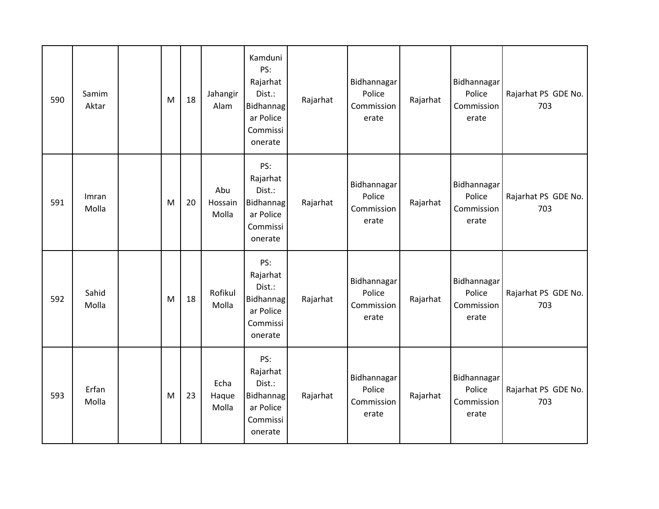| 590 | Samim<br>Aktar | M | 18 | Jahangir<br>Alam        | Kamduni<br>PS:<br>Rajarhat<br>Dist.:<br>Bidhannag<br>ar Police<br>Commissi<br>onerate | Rajarhat | Bidhannagar<br>Police<br>Commission<br>erate | Rajarhat | Bidhannagar<br>Police<br>Commission<br>erate | Rajarhat PS GDE No.<br>703 |
|-----|----------------|---|----|-------------------------|---------------------------------------------------------------------------------------|----------|----------------------------------------------|----------|----------------------------------------------|----------------------------|
| 591 | Imran<br>Molla | M | 20 | Abu<br>Hossain<br>Molla | PS:<br>Rajarhat<br>Dist.:<br>Bidhannag<br>ar Police<br>Commissi<br>onerate            | Rajarhat | Bidhannagar<br>Police<br>Commission<br>erate | Rajarhat | Bidhannagar<br>Police<br>Commission<br>erate | Rajarhat PS GDE No.<br>703 |
| 592 | Sahid<br>Molla | M | 18 | Rofikul<br>Molla        | PS:<br>Rajarhat<br>Dist.:<br>Bidhannag<br>ar Police<br>Commissi<br>onerate            | Rajarhat | Bidhannagar<br>Police<br>Commission<br>erate | Rajarhat | Bidhannagar<br>Police<br>Commission<br>erate | Rajarhat PS GDE No.<br>703 |
| 593 | Erfan<br>Molla | M | 23 | Echa<br>Haque<br>Molla  | PS:<br>Rajarhat<br>Dist.:<br>Bidhannag<br>ar Police<br>Commissi<br>onerate            | Rajarhat | Bidhannagar<br>Police<br>Commission<br>erate | Rajarhat | Bidhannagar<br>Police<br>Commission<br>erate | Rajarhat PS GDE No.<br>703 |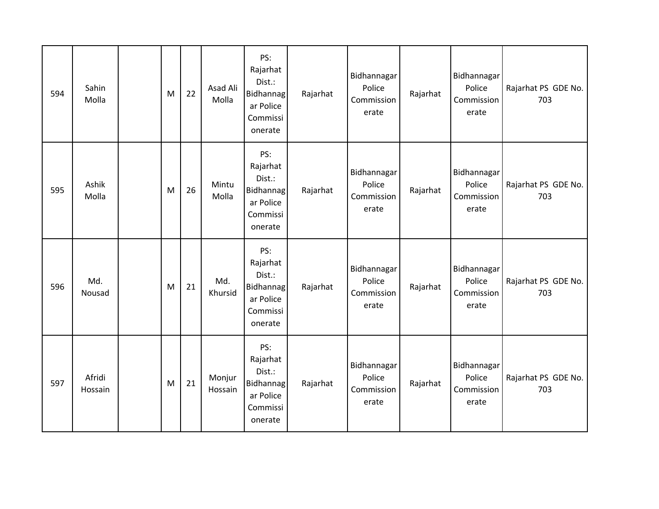| 594 | Sahin<br>Molla    | M | 22 | Asad Ali<br>Molla | PS:<br>Rajarhat<br>Dist.:<br>Bidhannag<br>ar Police<br>Commissi<br>onerate        | Rajarhat | Bidhannagar<br>Police<br>Commission<br>erate | Rajarhat | Bidhannagar<br>Police<br>Commission<br>erate | Rajarhat PS GDE No.<br>703 |
|-----|-------------------|---|----|-------------------|-----------------------------------------------------------------------------------|----------|----------------------------------------------|----------|----------------------------------------------|----------------------------|
| 595 | Ashik<br>Molla    | M | 26 | Mintu<br>Molla    | PS:<br>Rajarhat<br>Dist.:<br><b>Bidhannag</b><br>ar Police<br>Commissi<br>onerate | Rajarhat | Bidhannagar<br>Police<br>Commission<br>erate | Rajarhat | Bidhannagar<br>Police<br>Commission<br>erate | Rajarhat PS GDE No.<br>703 |
| 596 | Md.<br>Nousad     | M | 21 | Md.<br>Khursid    | PS:<br>Rajarhat<br>Dist.:<br><b>Bidhannag</b><br>ar Police<br>Commissi<br>onerate | Rajarhat | Bidhannagar<br>Police<br>Commission<br>erate | Rajarhat | Bidhannagar<br>Police<br>Commission<br>erate | Rajarhat PS GDE No.<br>703 |
| 597 | Afridi<br>Hossain | M | 21 | Monjur<br>Hossain | PS:<br>Rajarhat<br>Dist.:<br><b>Bidhannag</b><br>ar Police<br>Commissi<br>onerate | Rajarhat | Bidhannagar<br>Police<br>Commission<br>erate | Rajarhat | Bidhannagar<br>Police<br>Commission<br>erate | Rajarhat PS GDE No.<br>703 |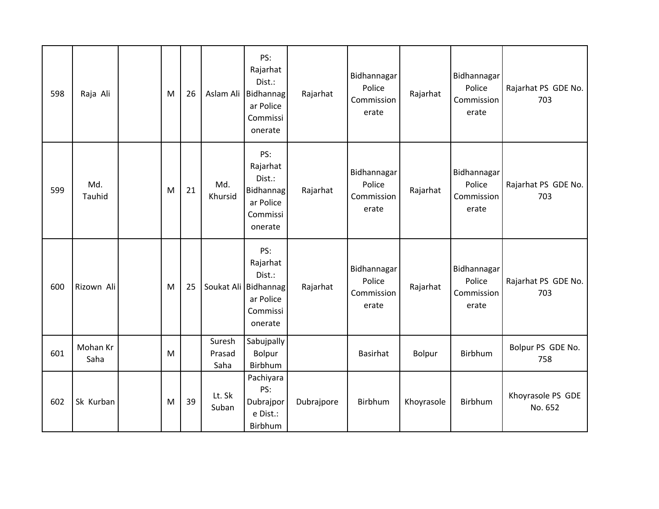| 598 | Raja Ali             | M | 26 | Aslam Ali                | PS:<br>Rajarhat<br>Dist.:<br>Bidhannag<br>ar Police<br>Commissi<br>onerate            | Rajarhat   | Bidhannagar<br>Police<br>Commission<br>erate | Rajarhat   | Bidhannagar<br>Police<br>Commission<br>erate | Rajarhat PS GDE No.<br>703   |
|-----|----------------------|---|----|--------------------------|---------------------------------------------------------------------------------------|------------|----------------------------------------------|------------|----------------------------------------------|------------------------------|
| 599 | Md.<br><b>Tauhid</b> | M | 21 | Md.<br>Khursid           | PS:<br>Rajarhat<br>Dist.:<br>Bidhannag<br>ar Police<br>Commissi<br>onerate            | Rajarhat   | Bidhannagar<br>Police<br>Commission<br>erate | Rajarhat   | Bidhannagar<br>Police<br>Commission<br>erate | Rajarhat PS GDE No.<br>703   |
| 600 | Rizown Ali           | M | 25 |                          | PS:<br>Rajarhat<br>Dist.:<br>Soukat Ali Bidhannag<br>ar Police<br>Commissi<br>onerate | Rajarhat   | Bidhannagar<br>Police<br>Commission<br>erate | Rajarhat   | Bidhannagar<br>Police<br>Commission<br>erate | Rajarhat PS GDE No.<br>703   |
| 601 | Mohan Kr<br>Saha     | M |    | Suresh<br>Prasad<br>Saha | Sabujpally<br>Bolpur<br>Birbhum                                                       |            | <b>Basirhat</b>                              | Bolpur     | Birbhum                                      | Bolpur PS GDE No.<br>758     |
| 602 | Sk Kurban            | M | 39 | Lt. Sk<br>Suban          | Pachiyara<br>PS:<br>Dubrajpor<br>e Dist.:<br>Birbhum                                  | Dubrajpore | Birbhum                                      | Khoyrasole | Birbhum                                      | Khoyrasole PS GDE<br>No. 652 |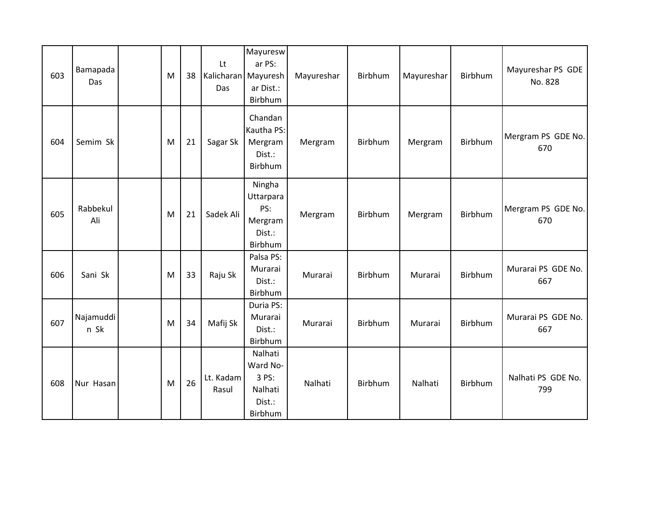| 603 | Bamapada<br>Das   | M | 38 | Lt<br>Kalicharan Mayuresh<br>Das | Mayuresw<br>ar PS:<br>ar Dist.:<br>Birbhum                   | Mayureshar | Birbhum | Mayureshar | Birbhum | Mayureshar PS GDE<br>No. 828 |
|-----|-------------------|---|----|----------------------------------|--------------------------------------------------------------|------------|---------|------------|---------|------------------------------|
| 604 | Semim Sk          | M | 21 | Sagar Sk                         | Chandan<br>Kautha PS:<br>Mergram<br>Dist.:<br>Birbhum        | Mergram    | Birbhum | Mergram    | Birbhum | Mergram PS GDE No.<br>670    |
| 605 | Rabbekul<br>Ali   | M | 21 | Sadek Ali                        | Ningha<br>Uttarpara<br>PS:<br>Mergram<br>Dist.:<br>Birbhum   | Mergram    | Birbhum | Mergram    | Birbhum | Mergram PS GDE No.<br>670    |
| 606 | Sani Sk           | M | 33 | Raju Sk                          | Palsa PS:<br>Murarai<br>Dist.:<br>Birbhum                    | Murarai    | Birbhum | Murarai    | Birbhum | Murarai PS GDE No.<br>667    |
| 607 | Najamuddi<br>n Sk | M | 34 | Mafij Sk                         | Duria PS:<br>Murarai<br>Dist.:<br>Birbhum                    | Murarai    | Birbhum | Murarai    | Birbhum | Murarai PS GDE No.<br>667    |
| 608 | Nur Hasan         | M | 26 | Lt. Kadam<br>Rasul               | Nalhati<br>Ward No-<br>3 PS:<br>Nalhati<br>Dist.:<br>Birbhum | Nalhati    | Birbhum | Nalhati    | Birbhum | Nalhati PS GDE No.<br>799    |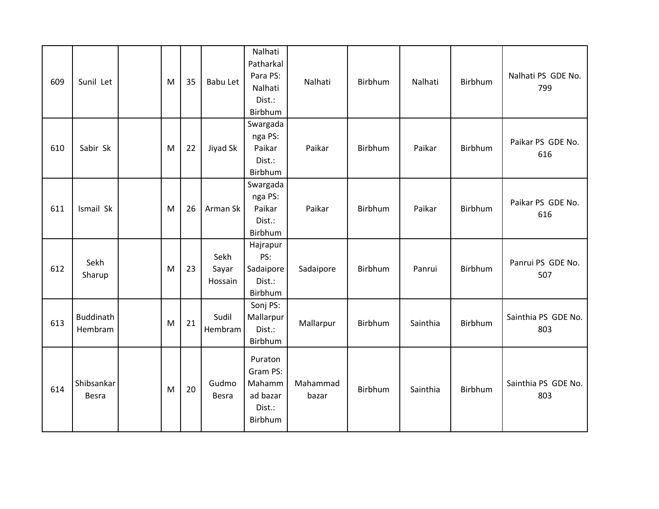| 609 | Sunil Let                   | M | 35 | Babu Let                 | Nalhati<br>Patharkal<br>Para PS:<br>Nalhati<br>Dist.:<br>Birbhum | Nalhati           | Birbhum | Nalhati  | Birbhum | Nalhati PS GDE No.<br>799  |
|-----|-----------------------------|---|----|--------------------------|------------------------------------------------------------------|-------------------|---------|----------|---------|----------------------------|
| 610 | Sabir Sk                    | M | 22 | Jiyad Sk                 | Swargada<br>nga PS:<br>Paikar<br>Dist.:<br>Birbhum               | Paikar            | Birbhum | Paikar   | Birbhum | Paikar PS GDE No.<br>616   |
| 611 | Ismail Sk                   | M | 26 | Arman Sk                 | Swargada<br>nga PS:<br>Paikar<br>Dist.:<br>Birbhum               | Paikar            | Birbhum | Paikar   | Birbhum | Paikar PS GDE No.<br>616   |
| 612 | Sekh<br>Sharup              | M | 23 | Sekh<br>Sayar<br>Hossain | Hajrapur<br>PS:<br>Sadaipore<br>Dist.:<br>Birbhum                | Sadaipore         | Birbhum | Panrui   | Birbhum | Panrui PS GDE No.<br>507   |
| 613 | <b>Buddinath</b><br>Hembram | M | 21 | Sudil<br>Hembram         | Sonj PS:<br>Mallarpur<br>Dist.:<br>Birbhum                       | Mallarpur         | Birbhum | Sainthia | Birbhum | Sainthia PS GDE No.<br>803 |
| 614 | Shibsankar<br>Besra         | M | 20 | Gudmo<br><b>Besra</b>    | Puraton<br>Gram PS:<br>Mahamm<br>ad bazar<br>Dist.:<br>Birbhum   | Mahammad<br>bazar | Birbhum | Sainthia | Birbhum | Sainthia PS GDE No.<br>803 |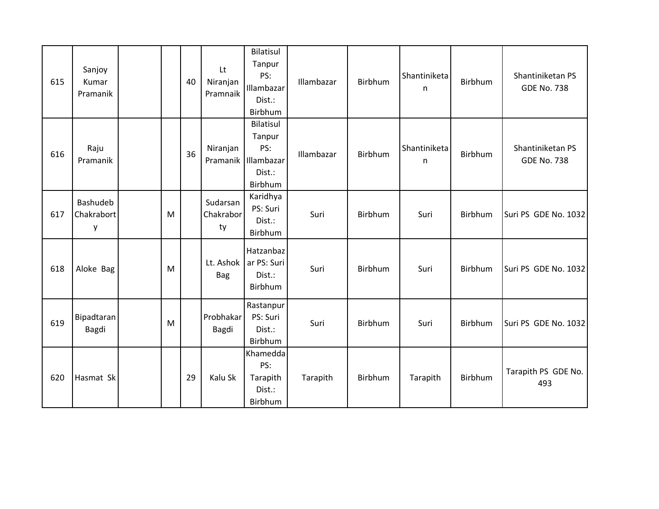| 615 | Sanjoy<br>Kumar<br>Pramanik |   | 40 | Lt<br>Niranjan<br>Pramnaik  | Bilatisul<br>Tanpur<br>PS:<br>Illambazar<br>Dist.:<br>Birbhum | Illambazar | Birbhum | Shantiniketa<br>n | Birbhum        | Shantiniketan PS<br><b>GDE No. 738</b> |
|-----|-----------------------------|---|----|-----------------------------|---------------------------------------------------------------|------------|---------|-------------------|----------------|----------------------------------------|
| 616 | Raju<br>Pramanik            |   | 36 | Niranjan<br>Pramanik        | Bilatisul<br>Tanpur<br>PS:<br>Illambazar<br>Dist.:<br>Birbhum | Illambazar | Birbhum | Shantiniketa<br>n | <b>Birbhum</b> | Shantiniketan PS<br><b>GDE No. 738</b> |
| 617 | Bashudeb<br>Chakrabort<br>у | M |    | Sudarsan<br>Chakrabor<br>ty | Karidhya<br>PS: Suri<br>Dist.:<br>Birbhum                     | Suri       | Birbhum | Suri              | Birbhum        | Suri PS GDE No. 1032                   |
| 618 | Aloke Bag                   | M |    | Lt. Ashok<br><b>Bag</b>     | Hatzanbaz<br>ar PS: Suri<br>Dist.:<br>Birbhum                 | Suri       | Birbhum | Suri              | Birbhum        | Suri PS GDE No. 1032                   |
| 619 | <b>Bipadtaran</b><br>Bagdi  | M |    | Probhakar<br>Bagdi          | Rastanpur<br>PS: Suri<br>Dist.:<br>Birbhum                    | Suri       | Birbhum | Suri              | Birbhum        | Suri PS GDE No. 1032                   |
| 620 | Hasmat Sk                   |   | 29 | Kalu Sk                     | Khamedda<br>PS:<br>Tarapith<br>Dist.:<br>Birbhum              | Tarapith   | Birbhum | Tarapith          | Birbhum        | Tarapith PS GDE No.<br>493             |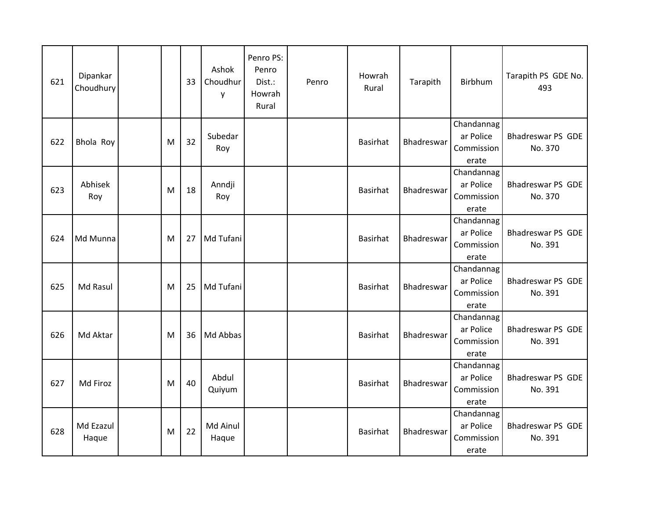| 621 | Dipankar<br>Choudhury |   | 33 | Ashok<br>Choudhur<br>y | Penro PS:<br>Penro<br>Dist.:<br>Howrah<br>Rural | Penro | Howrah<br>Rural | Tarapith          | Birbhum                                        | Tarapith PS GDE No.<br>493          |
|-----|-----------------------|---|----|------------------------|-------------------------------------------------|-------|-----------------|-------------------|------------------------------------------------|-------------------------------------|
| 622 | Bhola Roy             | M | 32 | Subedar<br>Roy         |                                                 |       | <b>Basirhat</b> | <b>Bhadreswar</b> | Chandannag<br>ar Police<br>Commission<br>erate | <b>Bhadreswar PS GDE</b><br>No. 370 |
| 623 | Abhisek<br>Roy        | M | 18 | Anndji<br>Roy          |                                                 |       | <b>Basirhat</b> | Bhadreswar        | Chandannag<br>ar Police<br>Commission<br>erate | <b>Bhadreswar PS GDE</b><br>No. 370 |
| 624 | Md Munna              | M | 27 | Md Tufani              |                                                 |       | <b>Basirhat</b> | Bhadreswar        | Chandannag<br>ar Police<br>Commission<br>erate | <b>Bhadreswar PS GDE</b><br>No. 391 |
| 625 | Md Rasul              | M | 25 | Md Tufani              |                                                 |       | <b>Basirhat</b> | Bhadreswar        | Chandannag<br>ar Police<br>Commission<br>erate | Bhadreswar PS GDE<br>No. 391        |
| 626 | Md Aktar              | M | 36 | Md Abbas               |                                                 |       | <b>Basirhat</b> | Bhadreswar        | Chandannag<br>ar Police<br>Commission<br>erate | <b>Bhadreswar PS GDE</b><br>No. 391 |
| 627 | Md Firoz              | M | 40 | Abdul<br>Quiyum        |                                                 |       | <b>Basirhat</b> | Bhadreswar        | Chandannag<br>ar Police<br>Commission<br>erate | <b>Bhadreswar PS GDE</b><br>No. 391 |
| 628 | Md Ezazul<br>Haque    | M | 22 | Md Ainul<br>Haque      |                                                 |       | <b>Basirhat</b> | Bhadreswar        | Chandannag<br>ar Police<br>Commission<br>erate | Bhadreswar PS GDE<br>No. 391        |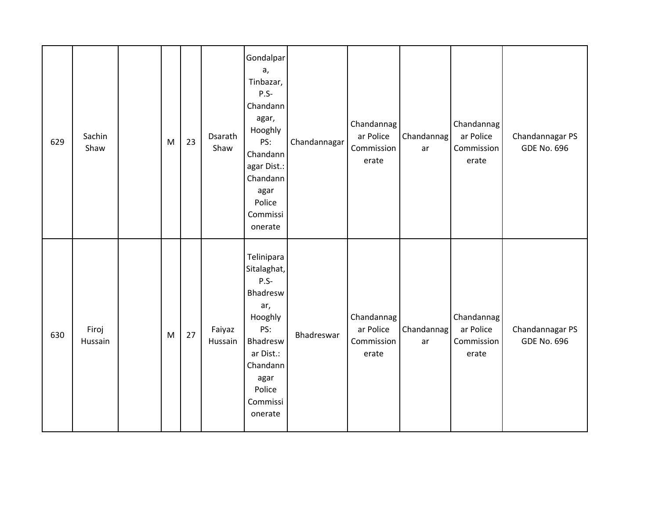| 629 | Sachin<br>Shaw   | M | 23 | Dsarath<br>Shaw   | Gondalpar<br>a,<br>Tinbazar,<br>$P.S-$<br>Chandann<br>agar,<br>Hooghly<br>PS:<br>Chandann<br>agar Dist.:<br>Chandann<br>agar<br>Police<br>Commissi<br>onerate | Chandannagar | Chandannag<br>ar Police<br>Commission<br>erate | Chandannag<br>ar | Chandannag<br>ar Police<br>Commission<br>erate | Chandannagar PS<br><b>GDE No. 696</b> |
|-----|------------------|---|----|-------------------|---------------------------------------------------------------------------------------------------------------------------------------------------------------|--------------|------------------------------------------------|------------------|------------------------------------------------|---------------------------------------|
| 630 | Firoj<br>Hussain | M | 27 | Faiyaz<br>Hussain | Telinipara<br>Sitalaghat,<br>$P.S-$<br>Bhadresw<br>ar,<br>Hooghly<br>PS:<br>Bhadresw<br>ar Dist.:<br>Chandann<br>agar<br>Police<br>Commissi<br>onerate        | Bhadreswar   | Chandannag<br>ar Police<br>Commission<br>erate | Chandannag<br>ar | Chandannag<br>ar Police<br>Commission<br>erate | Chandannagar PS<br><b>GDE No. 696</b> |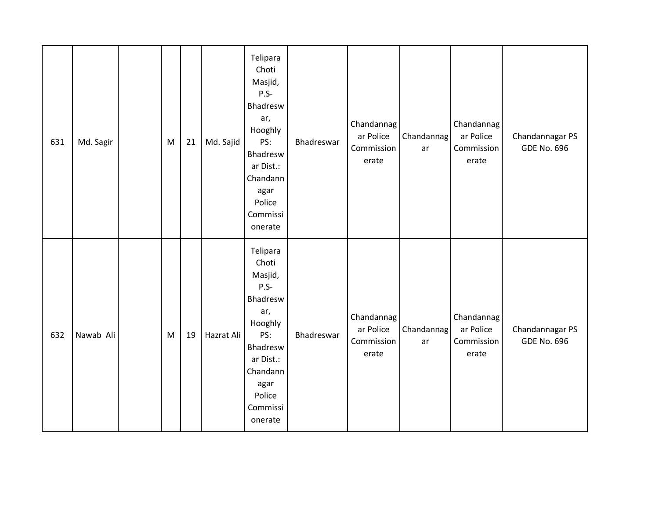| 631 | Md. Sagir | M | 21 | Md. Sajid  | Telipara<br>Choti<br>Masjid,<br>$P.S-$<br>Bhadresw<br>ar,<br>Hooghly<br>PS:<br>Bhadresw<br>ar Dist.:<br>Chandann<br>agar<br>Police<br>Commissi<br>onerate | Bhadreswar | Chandannag<br>ar Police<br>Commission<br>erate | Chandannag<br>ar | Chandannag<br>ar Police<br>Commission<br>erate | Chandannagar PS<br><b>GDE No. 696</b> |
|-----|-----------|---|----|------------|-----------------------------------------------------------------------------------------------------------------------------------------------------------|------------|------------------------------------------------|------------------|------------------------------------------------|---------------------------------------|
| 632 | Nawab Ali | M | 19 | Hazrat Ali | Telipara<br>Choti<br>Masjid,<br>$P.S-$<br>Bhadresw<br>ar,<br>Hooghly<br>PS:<br>Bhadresw<br>ar Dist.:<br>Chandann<br>agar<br>Police<br>Commissi<br>onerate | Bhadreswar | Chandannag<br>ar Police<br>Commission<br>erate | Chandannag<br>ar | Chandannag<br>ar Police<br>Commission<br>erate | Chandannagar PS<br><b>GDE No. 696</b> |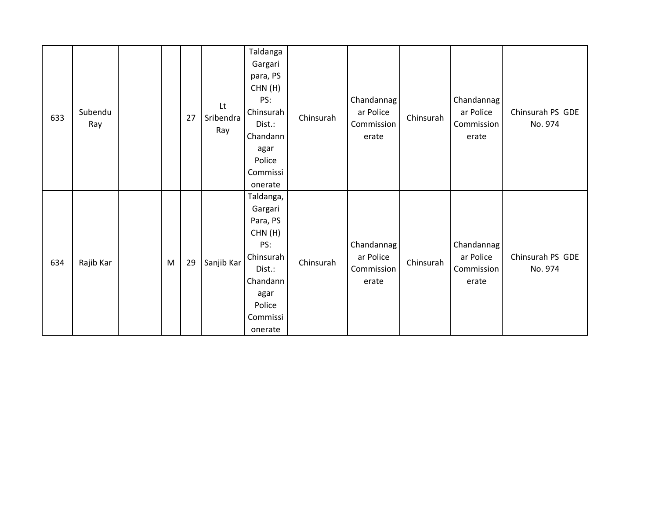| 633 | Subendu<br>Ray |   | 27 | Lt<br>Sribendra<br>Ray | Taldanga<br>Gargari<br>para, PS<br>CHN(H)<br>PS:<br>Chinsurah<br>Dist.:<br>Chandann<br>agar<br>Police<br>Commissi<br>onerate  | Chinsurah | Chandannag<br>ar Police<br>Commission<br>erate | Chinsurah | Chandannag<br>ar Police<br>Commission<br>erate | Chinsurah PS GDE<br>No. 974 |
|-----|----------------|---|----|------------------------|-------------------------------------------------------------------------------------------------------------------------------|-----------|------------------------------------------------|-----------|------------------------------------------------|-----------------------------|
| 634 | Rajib Kar      | M | 29 | Sanjib Kar             | Taldanga,<br>Gargari<br>Para, PS<br>CHN(H)<br>PS:<br>Chinsurah<br>Dist.:<br>Chandann<br>agar<br>Police<br>Commissi<br>onerate | Chinsurah | Chandannag<br>ar Police<br>Commission<br>erate | Chinsurah | Chandannag<br>ar Police<br>Commission<br>erate | Chinsurah PS GDE<br>No. 974 |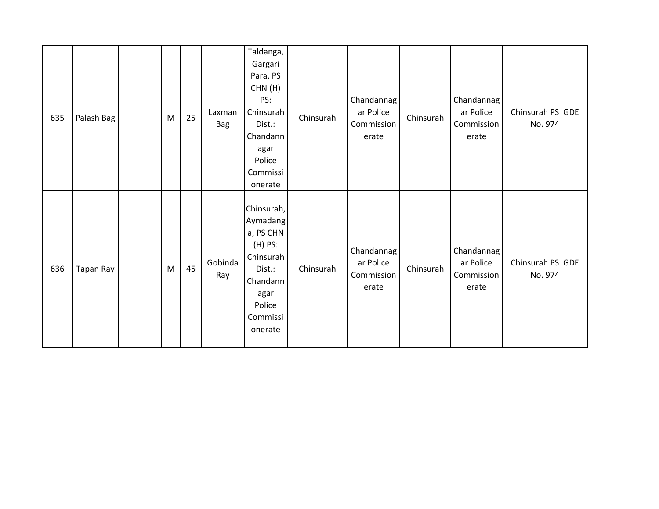| 635 | Palash Bag | M | 25 | Laxman<br><b>Bag</b> | Taldanga,<br>Gargari<br>Para, PS<br>CHN(H)<br>PS:<br>Chinsurah<br>Dist.:<br>Chandann<br>agar<br>Police<br>Commissi<br>onerate | Chinsurah | Chandannag<br>ar Police<br>Commission<br>erate | Chinsurah | Chandannag<br>ar Police<br>Commission<br>erate | Chinsurah PS GDE<br>No. 974 |
|-----|------------|---|----|----------------------|-------------------------------------------------------------------------------------------------------------------------------|-----------|------------------------------------------------|-----------|------------------------------------------------|-----------------------------|
| 636 | Tapan Ray  | M | 45 | Gobinda<br>Ray       | Chinsurah,<br>Aymadang<br>a, PS CHN<br>(H) PS:<br>Chinsurah<br>Dist.:<br>Chandann<br>agar<br>Police<br>Commissi<br>onerate    | Chinsurah | Chandannag<br>ar Police<br>Commission<br>erate | Chinsurah | Chandannag<br>ar Police<br>Commission<br>erate | Chinsurah PS GDE<br>No. 974 |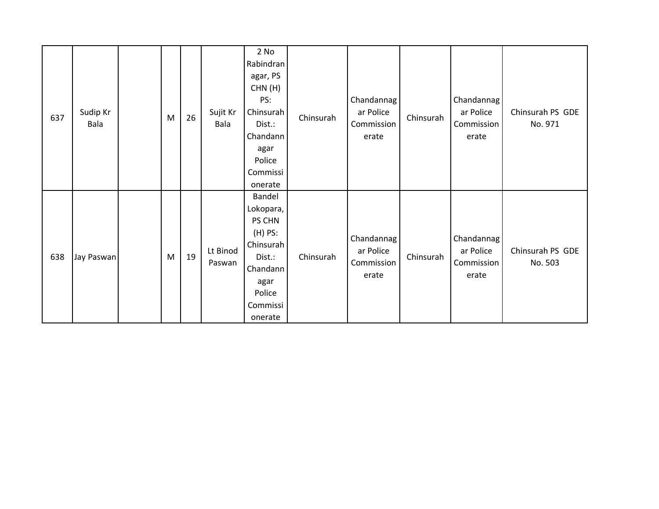| 637 | Sudip Kr<br>Bala | M | 26 | Sujit Kr<br>Bala   | 2 No<br>Rabindran<br>agar, PS<br>CHN(H)<br>PS:<br>Chinsurah<br>Dist.:<br>Chandann<br>agar<br>Police<br>Commissi<br>onerate | Chinsurah | Chandannag<br>ar Police<br>Commission<br>erate | Chinsurah | Chandannag<br>ar Police<br>Commission<br>erate | Chinsurah PS GDE<br>No. 971 |
|-----|------------------|---|----|--------------------|----------------------------------------------------------------------------------------------------------------------------|-----------|------------------------------------------------|-----------|------------------------------------------------|-----------------------------|
| 638 | Jay Paswan       | M | 19 | Lt Binod<br>Paswan | Bandel<br>Lokopara,<br>PS CHN<br>$(H)$ PS:<br>Chinsurah<br>Dist.:<br>Chandann<br>agar<br>Police<br>Commissi<br>onerate     | Chinsurah | Chandannag<br>ar Police<br>Commission<br>erate | Chinsurah | Chandannag<br>ar Police<br>Commission<br>erate | Chinsurah PS GDE<br>No. 503 |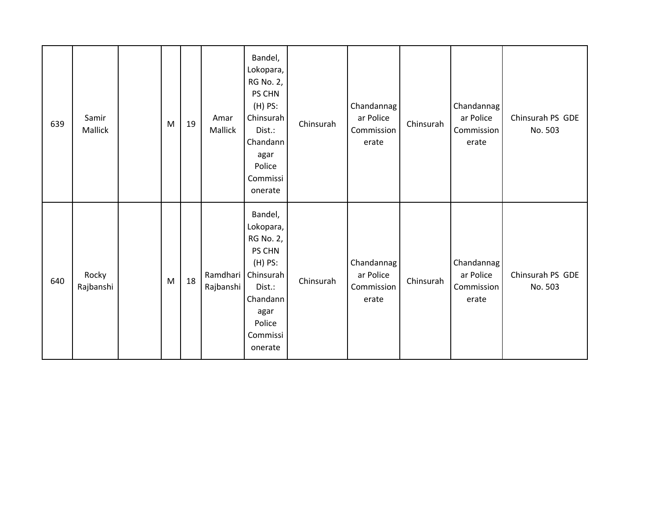| 639 | Samir<br>Mallick   | M | 19 | Amar<br>Mallick | Bandel,<br>Lokopara,<br><b>RG No. 2,</b><br>PS CHN<br>$(H)$ PS:<br>Chinsurah<br>Dist.:<br>Chandann<br>agar<br>Police<br>Commissi<br>onerate          | Chinsurah | Chandannag<br>ar Police<br>Commission<br>erate | Chinsurah | Chandannag<br>ar Police<br>Commission<br>erate | Chinsurah PS GDE<br>No. 503 |
|-----|--------------------|---|----|-----------------|------------------------------------------------------------------------------------------------------------------------------------------------------|-----------|------------------------------------------------|-----------|------------------------------------------------|-----------------------------|
| 640 | Rocky<br>Rajbanshi | M | 18 | Rajbanshi       | Bandel,<br>Lokopara,<br><b>RG No. 2,</b><br>PS CHN<br>$(H)$ PS:<br>Ramdhari Chinsurah<br>Dist.:<br>Chandann<br>agar<br>Police<br>Commissi<br>onerate | Chinsurah | Chandannag<br>ar Police<br>Commission<br>erate | Chinsurah | Chandannag<br>ar Police<br>Commission<br>erate | Chinsurah PS GDE<br>No. 503 |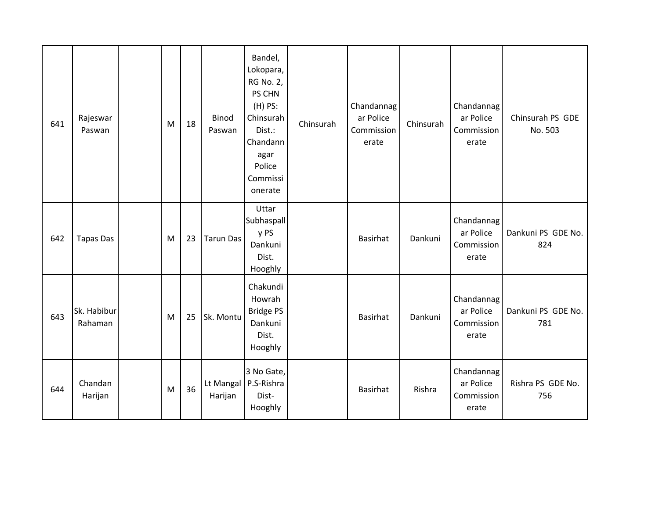| 641 | Rajeswar<br>Paswan     | M | 18 | <b>Binod</b><br>Paswan | Bandel,<br>Lokopara,<br>RG No. 2,<br>PS CHN<br>(H) PS:<br>Chinsurah<br>Dist.:<br>Chandann<br>agar<br>Police<br>Commissi<br>onerate | Chinsurah | Chandannag<br>ar Police<br>Commission<br>erate | Chinsurah | Chandannag<br>ar Police<br>Commission<br>erate | Chinsurah PS GDE<br>No. 503 |
|-----|------------------------|---|----|------------------------|------------------------------------------------------------------------------------------------------------------------------------|-----------|------------------------------------------------|-----------|------------------------------------------------|-----------------------------|
| 642 | <b>Tapas Das</b>       | M | 23 | <b>Tarun Das</b>       | Uttar<br>Subhaspall<br>y PS<br>Dankuni<br>Dist.<br>Hooghly                                                                         |           | Basirhat                                       | Dankuni   | Chandannag<br>ar Police<br>Commission<br>erate | Dankuni PS GDE No.<br>824   |
| 643 | Sk. Habibur<br>Rahaman | M | 25 | Sk. Montu              | Chakundi<br>Howrah<br><b>Bridge PS</b><br>Dankuni<br>Dist.<br>Hooghly                                                              |           | <b>Basirhat</b>                                | Dankuni   | Chandannag<br>ar Police<br>Commission<br>erate | Dankuni PS GDE No.<br>781   |
| 644 | Chandan<br>Harijan     | M | 36 | Harijan                | 3 No Gate,<br>Lt Mangal   P.S-Rishra<br>Dist-<br>Hooghly                                                                           |           | <b>Basirhat</b>                                | Rishra    | Chandannag<br>ar Police<br>Commission<br>erate | Rishra PS GDE No.<br>756    |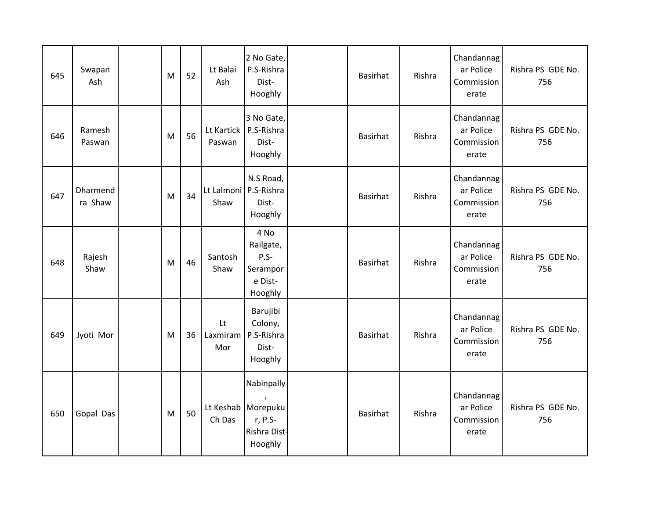| 645 | Swapan<br>Ash       | M | 52 | Lt Balai<br>Ash                 | 2 No Gate,<br>P.S-Rishra<br>Dist-<br>Hooghly                             | <b>Basirhat</b> | Rishra | Chandannag<br>ar Police<br>Commission<br>erate | Rishra PS GDE No.<br>756 |
|-----|---------------------|---|----|---------------------------------|--------------------------------------------------------------------------|-----------------|--------|------------------------------------------------|--------------------------|
| 646 | Ramesh<br>Paswan    | M | 56 | Paswan                          | 3 No Gate,<br>Lt Kartick   P.S-Rishra<br>Dist-<br>Hooghly                | <b>Basirhat</b> | Rishra | Chandannag<br>ar Police<br>Commission<br>erate | Rishra PS GDE No.<br>756 |
| 647 | Dharmend<br>ra Shaw | M | 34 | Lt Lalmoni   P.S-Rishra<br>Shaw | N.S Road,<br>Dist-<br>Hooghly                                            | <b>Basirhat</b> | Rishra | Chandannag<br>ar Police<br>Commission<br>erate | Rishra PS GDE No.<br>756 |
| 648 | Rajesh<br>Shaw      | M | 46 | Santosh<br>Shaw                 | 4 No<br>Railgate,<br>$P.S-$<br>Serampor<br>e Dist-<br>Hooghly            | <b>Basirhat</b> | Rishra | Chandannag<br>ar Police<br>Commission<br>erate | Rishra PS GDE No.<br>756 |
| 649 | Jyoti Mor           | M | 36 | Lt<br>Laxmiram<br>Mor           | Barujibi<br>Colony,<br>P.S-Rishra<br>Dist-<br>Hooghly                    | <b>Basirhat</b> | Rishra | Chandannag<br>ar Police<br>Commission<br>erate | Rishra PS GDE No.<br>756 |
| 650 | Gopal Das           | M | 50 | Ch Das                          | Nabinpally<br>Lt Keshab   Morepuku<br>r, P.S-<br>Rishra Dist-<br>Hooghly | <b>Basirhat</b> | Rishra | Chandannag<br>ar Police<br>Commission<br>erate | Rishra PS GDE No.<br>756 |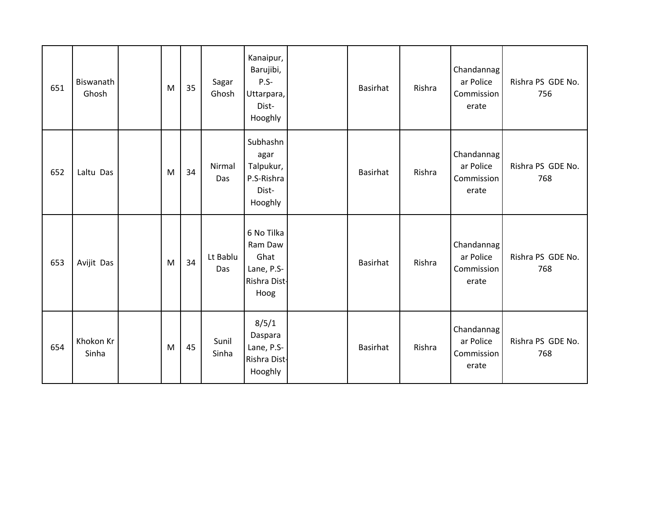| 651 | Biswanath<br>Ghosh | M | 35 | Sagar<br>Ghosh  | Kanaipur,<br>Barujibi,<br>$P.S-$<br>Uttarpara,<br>Dist-<br>Hooghly  | Basirhat        | Rishra | Chandannag<br>ar Police<br>Commission<br>erate | Rishra PS GDE No.<br>756 |
|-----|--------------------|---|----|-----------------|---------------------------------------------------------------------|-----------------|--------|------------------------------------------------|--------------------------|
| 652 | Laltu Das          | M | 34 | Nirmal<br>Das   | Subhashn<br>agar<br>Talpukur,<br>P.S-Rishra<br>Dist-<br>Hooghly     | <b>Basirhat</b> | Rishra | Chandannag<br>ar Police<br>Commission<br>erate | Rishra PS GDE No.<br>768 |
| 653 | Avijit Das         | M | 34 | Lt Bablu<br>Das | 6 No Tilka<br>Ram Daw<br>Ghat<br>Lane, P.S-<br>Rishra Dist-<br>Hoog | Basirhat        | Rishra | Chandannag<br>ar Police<br>Commission<br>erate | Rishra PS GDE No.<br>768 |
| 654 | Khokon Kr<br>Sinha | M | 45 | Sunil<br>Sinha  | 8/5/1<br>Daspara<br>Lane, P.S-<br>Rishra Dist-<br>Hooghly           | Basirhat        | Rishra | Chandannag<br>ar Police<br>Commission<br>erate | Rishra PS GDE No.<br>768 |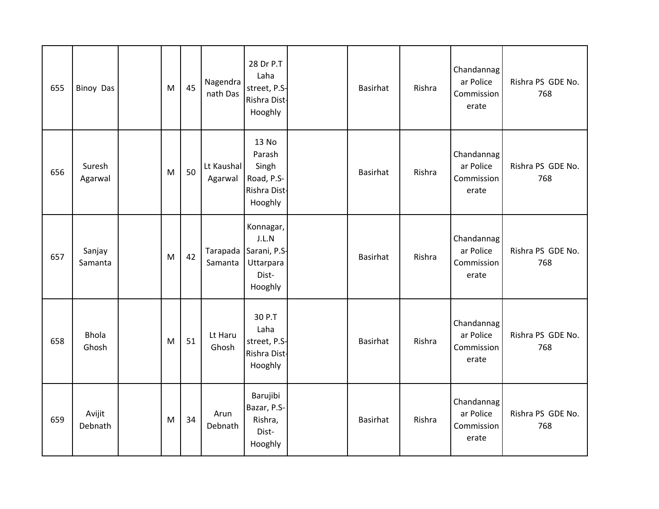| 655 | <b>Binoy Das</b>      | M | 45 | Nagendra<br>nath Das  | 28 Dr P.T<br>Laha<br>street, P.S-<br>Rishra Dist-<br>Hooghly        | <b>Basirhat</b> | Rishra | Chandannag<br>ar Police<br>Commission<br>erate | Rishra PS GDE No.<br>768 |
|-----|-----------------------|---|----|-----------------------|---------------------------------------------------------------------|-----------------|--------|------------------------------------------------|--------------------------|
| 656 | Suresh<br>Agarwal     | M | 50 | Lt Kaushal<br>Agarwal | 13 No<br>Parash<br>Singh<br>Road, P.S-<br>Rishra Dist-<br>Hooghly   | <b>Basirhat</b> | Rishra | Chandannag<br>ar Police<br>Commission<br>erate | Rishra PS GDE No.<br>768 |
| 657 | Sanjay<br>Samanta     | M | 42 | Tarapada<br>Samanta   | Konnagar,<br>J.L.N<br>Sarani, P.S-<br>Uttarpara<br>Dist-<br>Hooghly | <b>Basirhat</b> | Rishra | Chandannag<br>ar Police<br>Commission<br>erate | Rishra PS GDE No.<br>768 |
| 658 | <b>Bhola</b><br>Ghosh | M | 51 | Lt Haru<br>Ghosh      | 30 P.T<br>Laha<br>street, P.S-<br>Rishra Dist-<br>Hooghly           | <b>Basirhat</b> | Rishra | Chandannag<br>ar Police<br>Commission<br>erate | Rishra PS GDE No.<br>768 |
| 659 | Avijit<br>Debnath     | M | 34 | Arun<br>Debnath       | Barujibi<br>Bazar, P.S-<br>Rishra,<br>Dist-<br>Hooghly              | <b>Basirhat</b> | Rishra | Chandannag<br>ar Police<br>Commission<br>erate | Rishra PS GDE No.<br>768 |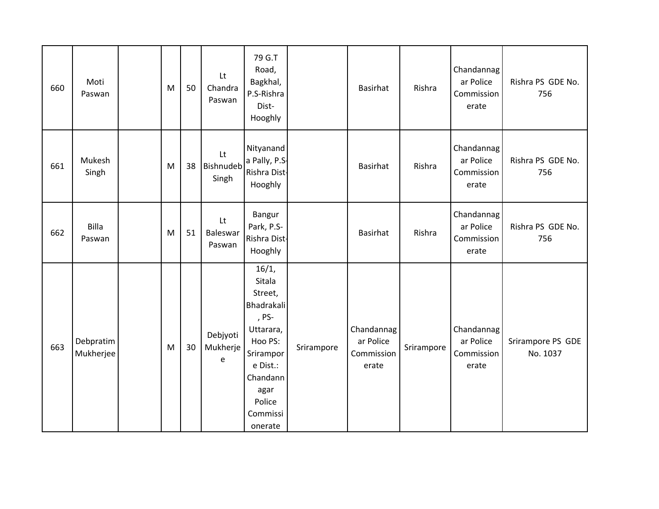| 660 | Moti<br>Paswan         | M | 50 | Lt<br>Chandra<br>Paswan   | 79 G.T<br>Road,<br>Bagkhal,<br>P.S-Rishra<br>Dist-<br>Hooghly                                                                                                  |            | <b>Basirhat</b>                                | Rishra     | Chandannag<br>ar Police<br>Commission<br>erate | Rishra PS GDE No.<br>756      |
|-----|------------------------|---|----|---------------------------|----------------------------------------------------------------------------------------------------------------------------------------------------------------|------------|------------------------------------------------|------------|------------------------------------------------|-------------------------------|
| 661 | Mukesh<br>Singh        | M | 38 | Lt<br>Bishnudeb<br>Singh  | Nityanand<br>a Pally, P.S.<br>Rishra Dist-<br>Hooghly                                                                                                          |            | <b>Basirhat</b>                                | Rishra     | Chandannag<br>ar Police<br>Commission<br>erate | Rishra PS GDE No.<br>756      |
| 662 | <b>Billa</b><br>Paswan | M | 51 | Lt<br>Baleswar<br>Paswan  | Bangur<br>Park, P.S-<br>Rishra Dist-<br>Hooghly                                                                                                                |            | <b>Basirhat</b>                                | Rishra     | Chandannag<br>ar Police<br>Commission<br>erate | Rishra PS GDE No.<br>756      |
| 663 | Debpratim<br>Mukherjee | M | 30 | Debjyoti<br>Mukherje<br>e | 16/1,<br>Sitala<br>Street,<br><b>Bhadrakali</b><br>, PS-<br>Uttarara,<br>Hoo PS:<br>Srirampor<br>e Dist.:<br>Chandann<br>agar<br>Police<br>Commissi<br>onerate | Srirampore | Chandannag<br>ar Police<br>Commission<br>erate | Srirampore | Chandannag<br>ar Police<br>Commission<br>erate | Srirampore PS GDE<br>No. 1037 |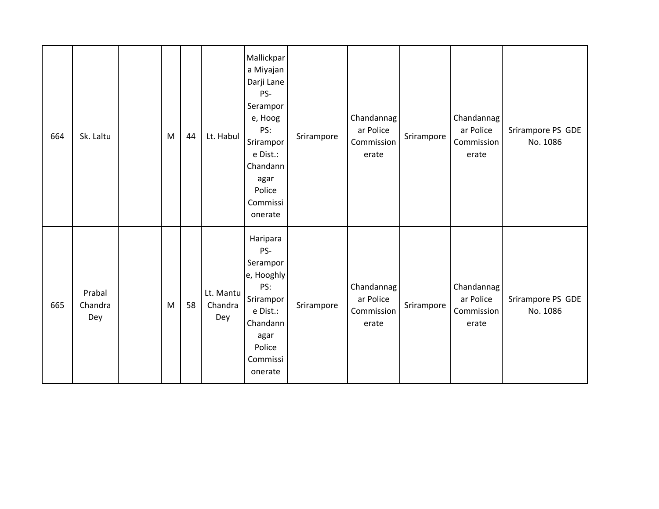| 664 | Sk. Laltu                | M | 44 | Lt. Habul                   | Mallickpar<br>a Miyajan<br>Darji Lane<br>PS-<br>Serampor<br>e, Hoog<br>PS:<br>Srirampor<br>e Dist.:<br>Chandann<br>agar<br>Police<br>Commissi<br>onerate | Srirampore | Chandannag<br>ar Police<br>Commission<br>erate | Srirampore | Chandannag<br>ar Police<br>Commission<br>erate | Srirampore PS GDE<br>No. 1086 |
|-----|--------------------------|---|----|-----------------------------|----------------------------------------------------------------------------------------------------------------------------------------------------------|------------|------------------------------------------------|------------|------------------------------------------------|-------------------------------|
| 665 | Prabal<br>Chandra<br>Dey | M | 58 | Lt. Mantu<br>Chandra<br>Dey | Haripara<br>PS-<br>Serampor<br>e, Hooghly<br>PS:<br>Srirampor<br>e Dist.:<br>Chandann<br>agar<br>Police<br>Commissi<br>onerate                           | Srirampore | Chandannag<br>ar Police<br>Commission<br>erate | Srirampore | Chandannag<br>ar Police<br>Commission<br>erate | Srirampore PS GDE<br>No. 1086 |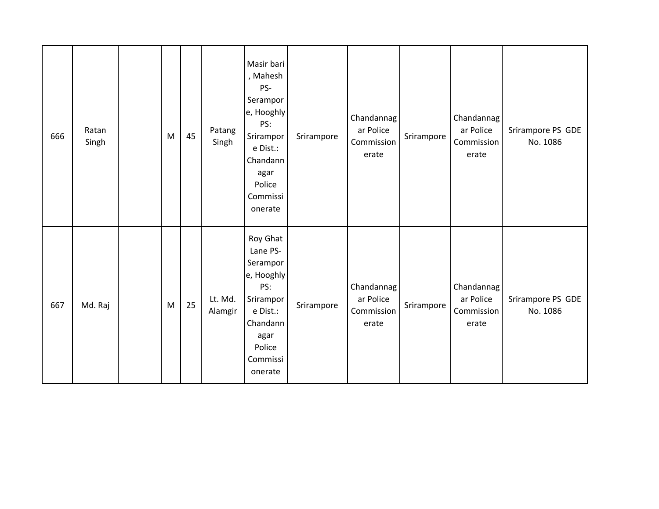| 666 | Ratan<br>Singh | M | 45 | Patang<br>Singh    | Masir bari<br>, Mahesh<br>PS-<br>Serampor<br>e, Hooghly<br>PS:<br>Srirampor<br>e Dist.:<br>Chandann<br>agar<br>Police<br>Commissi<br>onerate | Srirampore | Chandannag<br>ar Police<br>Commission<br>erate | Srirampore | Chandannag<br>ar Police<br>Commission<br>erate | Srirampore PS GDE<br>No. 1086 |
|-----|----------------|---|----|--------------------|----------------------------------------------------------------------------------------------------------------------------------------------|------------|------------------------------------------------|------------|------------------------------------------------|-------------------------------|
| 667 | Md. Raj        | M | 25 | Lt. Md.<br>Alamgir | Roy Ghat<br>Lane PS-<br>Serampor<br>e, Hooghly<br>PS:<br>Srirampor<br>e Dist.:<br>Chandann<br>agar<br>Police<br>Commissi<br>onerate          | Srirampore | Chandannag<br>ar Police<br>Commission<br>erate | Srirampore | Chandannag<br>ar Police<br>Commission<br>erate | Srirampore PS GDE<br>No. 1086 |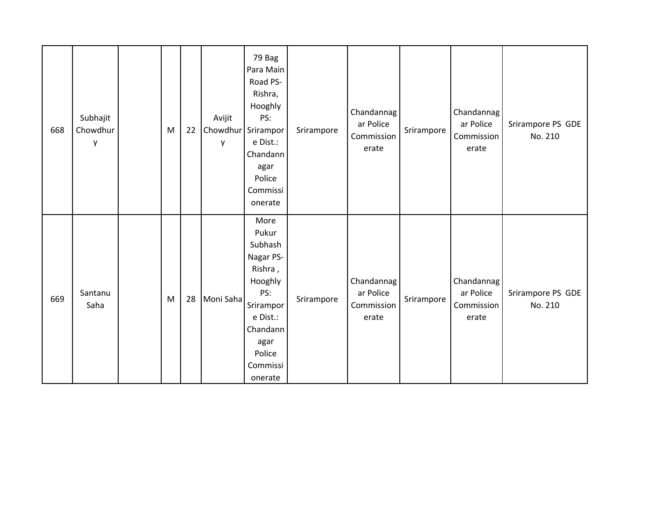| 668 | Subhajit<br>Chowdhur<br>у | M | 22 | Avijit<br>Chowdhur<br>y | 79 Bag<br>Para Main<br>Road PS-<br>Rishra,<br>Hooghly<br>PS:<br>Srirampor<br>e Dist.:<br>Chandann<br>agar<br>Police<br>Commissi<br>onerate       | Srirampore | Chandannag<br>ar Police<br>Commission<br>erate | Srirampore | Chandannag<br>ar Police<br>Commission<br>erate | Srirampore PS GDE<br>No. 210 |
|-----|---------------------------|---|----|-------------------------|--------------------------------------------------------------------------------------------------------------------------------------------------|------------|------------------------------------------------|------------|------------------------------------------------|------------------------------|
| 669 | Santanu<br>Saha           | M | 28 | Moni Saha               | More<br>Pukur<br>Subhash<br>Nagar PS-<br>Rishra,<br>Hooghly<br>PS:<br>Srirampor<br>e Dist.:<br>Chandann<br>agar<br>Police<br>Commissi<br>onerate | Srirampore | Chandannag<br>ar Police<br>Commission<br>erate | Srirampore | Chandannag<br>ar Police<br>Commission<br>erate | Srirampore PS GDE<br>No. 210 |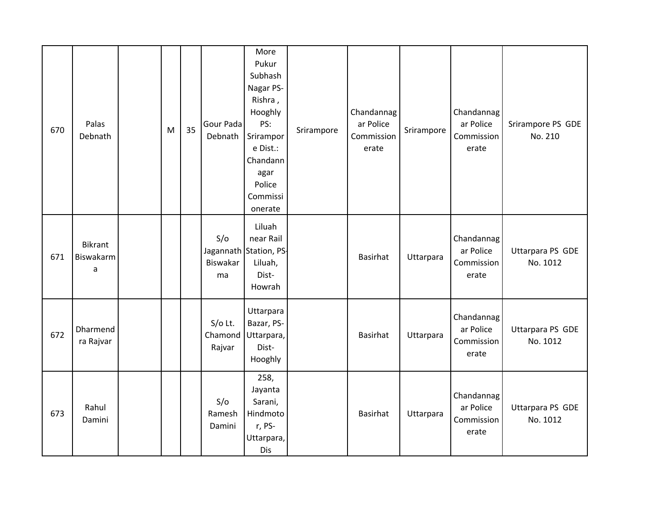| 670 | Palas<br>Debnath                 | M | 35 | Gour Pada<br>Debnath           | More<br>Pukur<br>Subhash<br>Nagar PS-<br>Rishra,<br>Hooghly<br>PS:<br>Srirampor<br>e Dist.:<br>Chandann<br>agar<br>Police<br>Commissi<br>onerate | Srirampore | Chandannag<br>ar Police<br>Commission<br>erate | Srirampore | Chandannag<br>ar Police<br>Commission<br>erate | Srirampore PS GDE<br>No. 210 |
|-----|----------------------------------|---|----|--------------------------------|--------------------------------------------------------------------------------------------------------------------------------------------------|------------|------------------------------------------------|------------|------------------------------------------------|------------------------------|
| 671 | <b>Bikrant</b><br>Biswakarm<br>a |   |    | S/O<br>Biswakar<br>ma          | Liluah<br>near Rail<br>Jagannath Station, PS-<br>Liluah,<br>Dist-<br>Howrah                                                                      |            | Basirhat                                       | Uttarpara  | Chandannag<br>ar Police<br>Commission<br>erate | Uttarpara PS GDE<br>No. 1012 |
| 672 | Dharmend<br>ra Rajvar            |   |    | $S/O$ Lt.<br>Chamond<br>Rajvar | Uttarpara<br>Bazar, PS-<br>Uttarpara,<br>Dist-<br>Hooghly                                                                                        |            | Basirhat                                       | Uttarpara  | Chandannag<br>ar Police<br>Commission<br>erate | Uttarpara PS GDE<br>No. 1012 |
| 673 | Rahul<br>Damini                  |   |    | S/O<br>Ramesh<br>Damini        | 258,<br>Jayanta<br>Sarani,<br>Hindmoto<br>r, PS-<br>Uttarpara,<br>Dis                                                                            |            | Basirhat                                       | Uttarpara  | Chandannag<br>ar Police<br>Commission<br>erate | Uttarpara PS GDE<br>No. 1012 |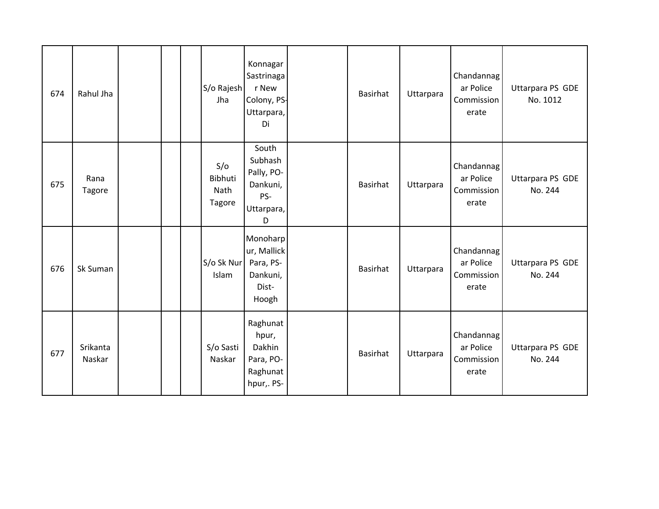| 674 | Rahul Jha             |  | S/o Rajesh<br>Jha                       | Konnagar<br>Sastrinaga<br>r New<br>Colony, PS-<br>Uttarpara,<br>Di   | Basirhat        | Uttarpara | Chandannag<br>ar Police<br>Commission<br>erate | Uttarpara PS GDE<br>No. 1012 |
|-----|-----------------------|--|-----------------------------------------|----------------------------------------------------------------------|-----------------|-----------|------------------------------------------------|------------------------------|
| 675 | Rana<br><b>Tagore</b> |  | S/O<br>Bibhuti<br>Nath<br><b>Tagore</b> | South<br>Subhash<br>Pally, PO-<br>Dankuni,<br>PS-<br>Uttarpara,<br>D | Basirhat        | Uttarpara | Chandannag<br>ar Police<br>Commission<br>erate | Uttarpara PS GDE<br>No. 244  |
| 676 | Sk Suman              |  | S/o Sk Nur<br>Islam                     | Monoharp<br>ur, Mallick<br>Para, PS-<br>Dankuni,<br>Dist-<br>Hoogh   | <b>Basirhat</b> | Uttarpara | Chandannag<br>ar Police<br>Commission<br>erate | Uttarpara PS GDE<br>No. 244  |
| 677 | Srikanta<br>Naskar    |  | S/o Sasti<br>Naskar                     | Raghunat<br>hpur,<br>Dakhin<br>Para, PO-<br>Raghunat<br>hpur,. PS-   | Basirhat        | Uttarpara | Chandannag<br>ar Police<br>Commission<br>erate | Uttarpara PS GDE<br>No. 244  |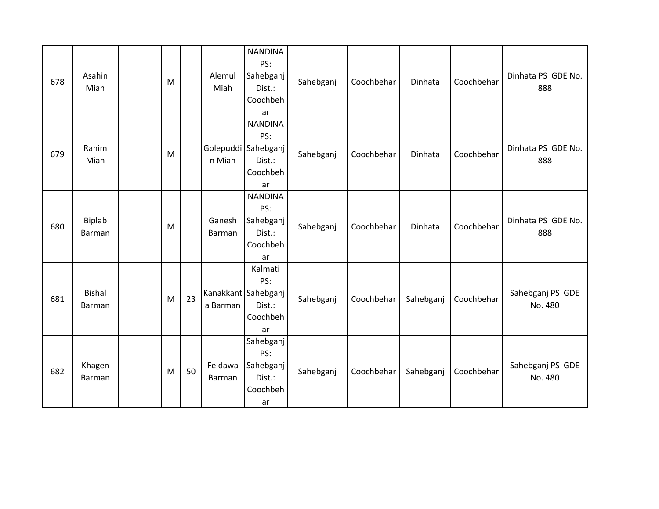| 678 | Asahin<br>Miah          | M |    | Alemul<br>Miah    | <b>NANDINA</b><br>PS:<br>Sahebganj<br>Dist.:<br>Coochbeh<br>ar           | Sahebganj | Coochbehar | Dinhata   | Coochbehar | Dinhata PS GDE No.<br>888   |
|-----|-------------------------|---|----|-------------------|--------------------------------------------------------------------------|-----------|------------|-----------|------------|-----------------------------|
| 679 | Rahim<br>Miah           | M |    | n Miah            | <b>NANDINA</b><br>PS:<br>Golepuddi Sahebganj<br>Dist.:<br>Coochbeh<br>ar | Sahebganj | Coochbehar | Dinhata   | Coochbehar | Dinhata PS GDE No.<br>888   |
| 680 | <b>Biplab</b><br>Barman | M |    | Ganesh<br>Barman  | <b>NANDINA</b><br>PS:<br>Sahebganj<br>Dist.:<br>Coochbeh<br>ar           | Sahebganj | Coochbehar | Dinhata   | Coochbehar | Dinhata PS GDE No.<br>888   |
| 681 | <b>Bishal</b><br>Barman | M | 23 | a Barman          | Kalmati<br>PS:<br>Kanakkant   Sahebganj  <br>Dist.:<br>Coochbeh<br>ar    | Sahebganj | Coochbehar | Sahebganj | Coochbehar | Sahebganj PS GDE<br>No. 480 |
| 682 | Khagen<br>Barman        | M | 50 | Feldawa<br>Barman | Sahebganj<br>PS:<br>Sahebganj<br>Dist.:<br>Coochbeh<br>ar                | Sahebganj | Coochbehar | Sahebganj | Coochbehar | Sahebganj PS GDE<br>No. 480 |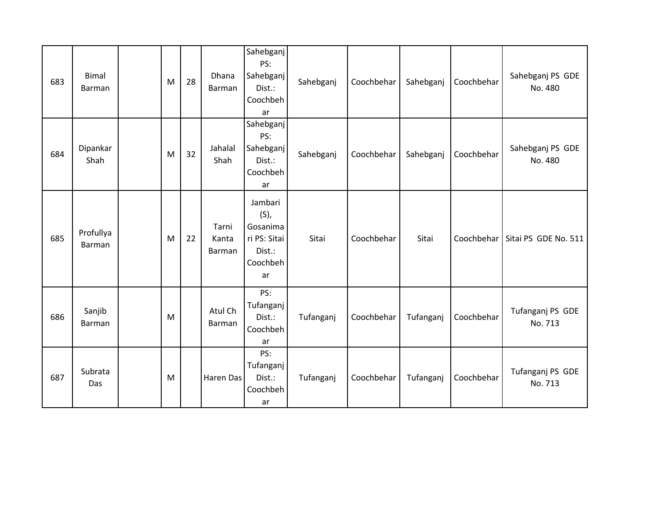| 683 | <b>Bimal</b><br>Barman | M | 28 | Dhana<br>Barman          | Sahebganj<br>PS:<br>Sahebganj<br>Dist.:<br>Coochbeh<br>ar                  | Sahebganj | Coochbehar | Sahebganj | Coochbehar | Sahebganj PS GDE<br>No. 480 |
|-----|------------------------|---|----|--------------------------|----------------------------------------------------------------------------|-----------|------------|-----------|------------|-----------------------------|
| 684 | Dipankar<br>Shah       | M | 32 | Jahalal<br>Shah          | Sahebganj<br>PS:<br>Sahebganj<br>Dist.:<br>Coochbeh<br>ar                  | Sahebganj | Coochbehar | Sahebganj | Coochbehar | Sahebganj PS GDE<br>No. 480 |
| 685 | Profullya<br>Barman    | M | 22 | Tarni<br>Kanta<br>Barman | Jambari<br>$(S)$ ,<br>Gosanima<br>ri PS: Sitai<br>Dist.:<br>Coochbeh<br>ar | Sitai     | Coochbehar | Sitai     | Coochbehar | Sitai PS GDE No. 511        |
| 686 | Sanjib<br>Barman       | M |    | Atul Ch<br>Barman        | PS:<br>Tufanganj<br>Dist.:<br>Coochbeh<br>ar                               | Tufanganj | Coochbehar | Tufanganj | Coochbehar | Tufanganj PS GDE<br>No. 713 |
| 687 | Subrata<br>Das         | M |    | Haren Das                | PS:<br>Tufanganj<br>Dist.:<br>Coochbeh<br>ar                               | Tufanganj | Coochbehar | Tufanganj | Coochbehar | Tufanganj PS GDE<br>No. 713 |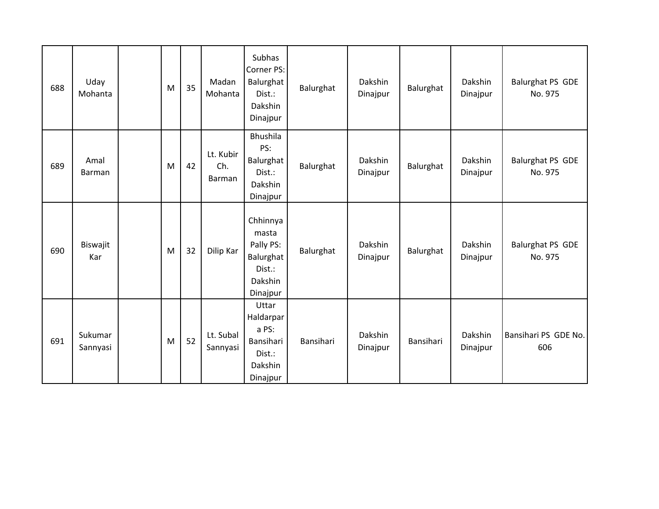| 688 | Uday<br>Mohanta     | M | 35 | Madan<br>Mohanta           | Subhas<br>Corner PS:<br>Balurghat<br>Dist.:<br>Dakshin<br>Dinajpur           | Balurghat | Dakshin<br>Dinajpur | Balurghat | Dakshin<br>Dinajpur | Balurghat PS GDE<br>No. 975        |
|-----|---------------------|---|----|----------------------------|------------------------------------------------------------------------------|-----------|---------------------|-----------|---------------------|------------------------------------|
| 689 | Amal<br>Barman      | M | 42 | Lt. Kubir<br>Ch.<br>Barman | Bhushila<br>PS:<br>Balurghat<br>Dist.:<br>Dakshin<br>Dinajpur                | Balurghat | Dakshin<br>Dinajpur | Balurghat | Dakshin<br>Dinajpur | Balurghat PS GDE<br>No. 975        |
| 690 | Biswajit<br>Kar     | M | 32 | Dilip Kar                  | Chhinnya<br>masta<br>Pally PS:<br>Balurghat<br>Dist.:<br>Dakshin<br>Dinajpur | Balurghat | Dakshin<br>Dinajpur | Balurghat | Dakshin<br>Dinajpur | <b>Balurghat PS GDE</b><br>No. 975 |
| 691 | Sukumar<br>Sannyasi | M | 52 | Lt. Subal<br>Sannyasi      | Uttar<br>Haldarpar<br>a PS:<br>Bansihari<br>Dist.:<br>Dakshin<br>Dinajpur    | Bansihari | Dakshin<br>Dinajpur | Bansihari | Dakshin<br>Dinajpur | Bansihari PS GDE No.<br>606        |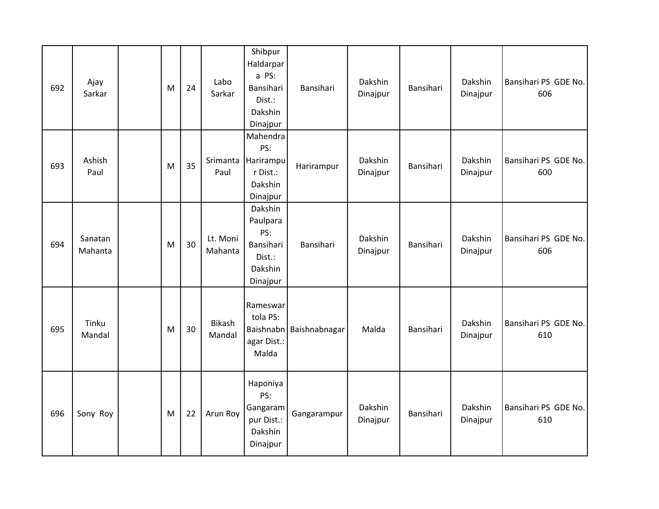| 692 | Ajay<br>Sarkar     | M | 24 | Labo<br>Sarkar          | Shibpur<br>Haldarpar<br>a PS:<br>Bansihari<br>Dist.:<br>Dakshin<br>Dinajpur | Bansihari               | Dakshin<br>Dinajpur | Bansihari | Dakshin<br>Dinajpur | Bansihari PS GDE No.<br>606 |
|-----|--------------------|---|----|-------------------------|-----------------------------------------------------------------------------|-------------------------|---------------------|-----------|---------------------|-----------------------------|
| 693 | Ashish<br>Paul     | M | 35 | Srimanta<br>Paul        | Mahendra<br>PS:<br>Harirampu<br>r Dist.:<br>Dakshin<br>Dinajpur             | Harirampur              | Dakshin<br>Dinajpur | Bansihari | Dakshin<br>Dinajpur | Bansihari PS GDE No.<br>600 |
| 694 | Sanatan<br>Mahanta | M | 30 | Lt. Moni<br>Mahanta     | Dakshin<br>Paulpara<br>PS:<br>Bansihari<br>Dist.:<br>Dakshin<br>Dinajpur    | Bansihari               | Dakshin<br>Dinajpur | Bansihari | Dakshin<br>Dinajpur | Bansihari PS GDE No.<br>606 |
| 695 | Tinku<br>Mandal    | M | 30 | <b>Bikash</b><br>Mandal | Rameswar<br>tola PS:<br>agar Dist.:<br>Malda                                | Baishnabn Baishnabnagar | Malda               | Bansihari | Dakshin<br>Dinajpur | Bansihari PS GDE No.<br>610 |
| 696 | Sony Roy           | M | 22 | Arun Roy                | Haponiya<br>PS:<br>Gangaram<br>pur Dist.:<br>Dakshin<br>Dinajpur            | Gangarampur             | Dakshin<br>Dinajpur | Bansihari | Dakshin<br>Dinajpur | Bansihari PS GDE No.<br>610 |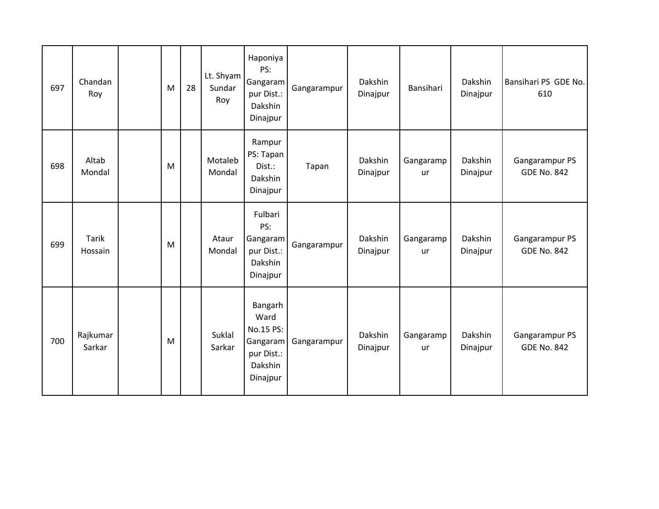| 697 | Chandan<br>Roy          | M | 28 | Lt. Shyam<br>Sundar<br>Roy | Haponiya<br>PS:<br>Gangaram<br>pur Dist.:<br>Dakshin<br>Dinajpur              | Gangarampur | Dakshin<br>Dinajpur | Bansihari              | Dakshin<br>Dinajpur | Bansihari PS GDE No.<br>610          |
|-----|-------------------------|---|----|----------------------------|-------------------------------------------------------------------------------|-------------|---------------------|------------------------|---------------------|--------------------------------------|
| 698 | Altab<br>Mondal         | M |    | Motaleb<br>Mondal          | Rampur<br>PS: Tapan<br>Dist.:<br>Dakshin<br>Dinajpur                          | Tapan       | Dakshin<br>Dinajpur | Gangaramp<br><b>ur</b> | Dakshin<br>Dinajpur | Gangarampur PS<br><b>GDE No. 842</b> |
| 699 | <b>Tarik</b><br>Hossain | M |    | Ataur<br>Mondal            | Fulbari<br>PS:<br>Gangaram<br>pur Dist.:<br>Dakshin<br>Dinajpur               | Gangarampur | Dakshin<br>Dinajpur | Gangaramp<br><b>ur</b> | Dakshin<br>Dinajpur | Gangarampur PS<br><b>GDE No. 842</b> |
| 700 | Rajkumar<br>Sarkar      | M |    | Suklal<br>Sarkar           | Bangarh<br>Ward<br>No.15 PS:<br>Gangaram<br>pur Dist.:<br>Dakshin<br>Dinajpur | Gangarampur | Dakshin<br>Dinajpur | Gangaramp<br><b>ur</b> | Dakshin<br>Dinajpur | Gangarampur PS<br><b>GDE No. 842</b> |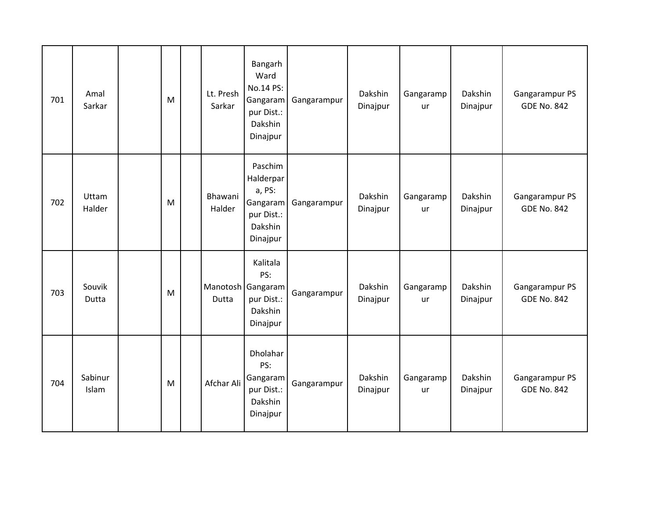| 701 | Amal<br>Sarkar   | M | Lt. Presh<br>Sarkar | Bangarh<br>Ward<br>No.14 PS:<br>Gangaram<br>pur Dist.:<br>Dakshin<br>Dinajpur   | Gangarampur | Dakshin<br>Dinajpur | Gangaramp<br><b>ur</b> | Dakshin<br>Dinajpur | Gangarampur PS<br><b>GDE No. 842</b> |
|-----|------------------|---|---------------------|---------------------------------------------------------------------------------|-------------|---------------------|------------------------|---------------------|--------------------------------------|
| 702 | Uttam<br>Halder  | M | Bhawani<br>Halder   | Paschim<br>Halderpar<br>a, PS:<br>Gangaram<br>pur Dist.:<br>Dakshin<br>Dinajpur | Gangarampur | Dakshin<br>Dinajpur | Gangaramp<br><b>ur</b> | Dakshin<br>Dinajpur | Gangarampur PS<br><b>GDE No. 842</b> |
| 703 | Souvik<br>Dutta  | M | Dutta               | Kalitala<br>PS:<br>Manotosh   Gangaram<br>pur Dist.:<br>Dakshin<br>Dinajpur     | Gangarampur | Dakshin<br>Dinajpur | Gangaramp<br>ur        | Dakshin<br>Dinajpur | Gangarampur PS<br><b>GDE No. 842</b> |
| 704 | Sabinur<br>Islam | M | Afchar Ali          | Dholahar<br>PS:<br>Gangaram<br>pur Dist.:<br>Dakshin<br>Dinajpur                | Gangarampur | Dakshin<br>Dinajpur | Gangaramp<br><b>ur</b> | Dakshin<br>Dinajpur | Gangarampur PS<br><b>GDE No. 842</b> |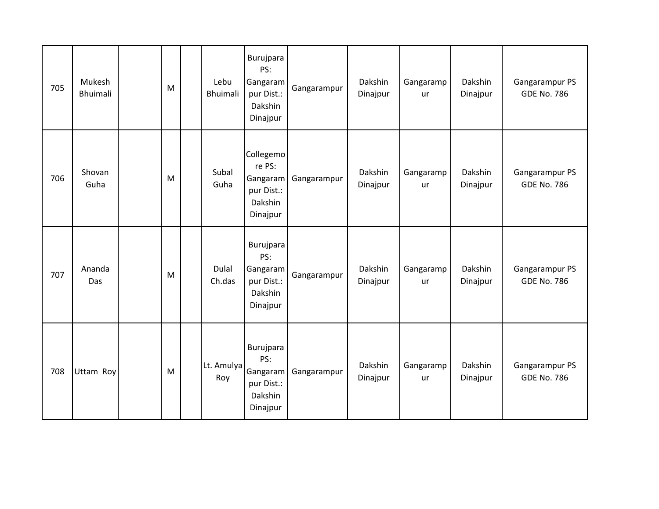| 705 | Mukesh<br><b>Bhuimali</b> | M | Lebu<br><b>Bhuimali</b> | Burujpara<br>PS:<br>Gangaram<br>pur Dist.:<br>Dakshin<br>Dinajpur    | Gangarampur | Dakshin<br>Dinajpur | Gangaramp<br>ur        | Dakshin<br>Dinajpur | Gangarampur PS<br><b>GDE No. 786</b> |
|-----|---------------------------|---|-------------------------|----------------------------------------------------------------------|-------------|---------------------|------------------------|---------------------|--------------------------------------|
| 706 | Shovan<br>Guha            | M | Subal<br>Guha           | Collegemo<br>re PS:<br>Gangaram<br>pur Dist.:<br>Dakshin<br>Dinajpur | Gangarampur | Dakshin<br>Dinajpur | Gangaramp<br>ur        | Dakshin<br>Dinajpur | Gangarampur PS<br><b>GDE No. 786</b> |
| 707 | Ananda<br>Das             | M | <b>Dulal</b><br>Ch.das  | Burujpara<br>PS:<br>Gangaram<br>pur Dist.:<br>Dakshin<br>Dinajpur    | Gangarampur | Dakshin<br>Dinajpur | Gangaramp<br>ur        | Dakshin<br>Dinajpur | Gangarampur PS<br><b>GDE No. 786</b> |
| 708 | Uttam Roy                 | M | Lt. Amulya<br>Roy       | Burujpara<br>PS:<br>Gangaram<br>pur Dist.:<br>Dakshin<br>Dinajpur    | Gangarampur | Dakshin<br>Dinajpur | Gangaramp<br><b>ur</b> | Dakshin<br>Dinajpur | Gangarampur PS<br><b>GDE No. 786</b> |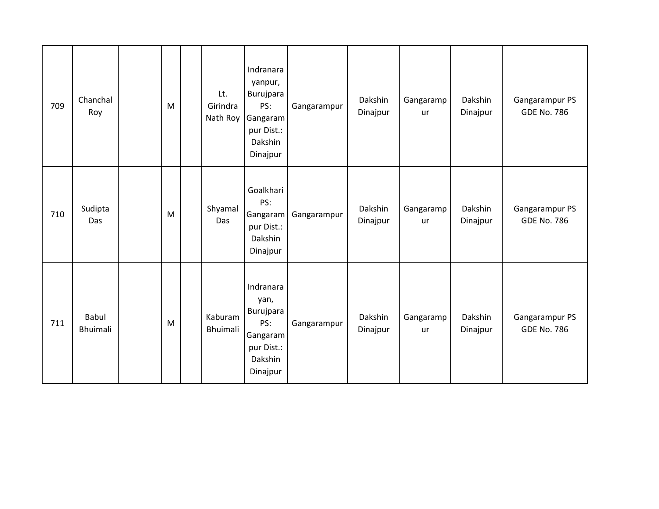| 709 | Chanchal<br>Roy          | M | Lt.<br>Girindra<br>Nath Roy | Indranara<br>yanpur,<br>Burujpara<br>PS:<br>Gangaram<br>pur Dist.:<br>Dakshin<br>Dinajpur | Gangarampur | Dakshin<br>Dinajpur | Gangaramp<br>ur        | Dakshin<br>Dinajpur | Gangarampur PS<br><b>GDE No. 786</b> |
|-----|--------------------------|---|-----------------------------|-------------------------------------------------------------------------------------------|-------------|---------------------|------------------------|---------------------|--------------------------------------|
| 710 | Sudipta<br>Das           | M | Shyamal<br>Das              | Goalkhari<br>PS:<br>Gangaram<br>pur Dist.:<br>Dakshin<br>Dinajpur                         | Gangarampur | Dakshin<br>Dinajpur | Gangaramp<br><b>ur</b> | Dakshin<br>Dinajpur | Gangarampur PS<br><b>GDE No. 786</b> |
| 711 | <b>Babul</b><br>Bhuimali | M | Kaburam<br><b>Bhuimali</b>  | Indranara<br>yan,<br>Burujpara<br>PS:<br>Gangaram<br>pur Dist.:<br>Dakshin<br>Dinajpur    | Gangarampur | Dakshin<br>Dinajpur | Gangaramp<br><b>ur</b> | Dakshin<br>Dinajpur | Gangarampur PS<br><b>GDE No. 786</b> |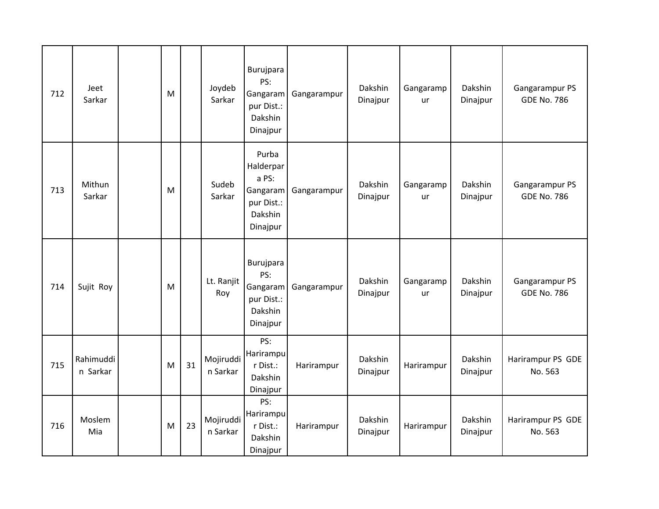| 712 | Jeet<br>Sarkar        | M |    | Joydeb<br>Sarkar      | Burujpara<br>PS:<br>Gangaram<br>pur Dist.:<br>Dakshin<br>Dinajpur            | Gangarampur | Dakshin<br>Dinajpur | Gangaramp<br>ur | Dakshin<br>Dinajpur | Gangarampur PS<br><b>GDE No. 786</b> |
|-----|-----------------------|---|----|-----------------------|------------------------------------------------------------------------------|-------------|---------------------|-----------------|---------------------|--------------------------------------|
| 713 | Mithun<br>Sarkar      | M |    | Sudeb<br>Sarkar       | Purba<br>Halderpar<br>a PS:<br>Gangaram<br>pur Dist.:<br>Dakshin<br>Dinajpur | Gangarampur | Dakshin<br>Dinajpur | Gangaramp<br>ur | Dakshin<br>Dinajpur | Gangarampur PS<br><b>GDE No. 786</b> |
| 714 | Sujit Roy             | M |    | Lt. Ranjit<br>Roy     | Burujpara<br>PS:<br>Gangaram<br>pur Dist.:<br>Dakshin<br>Dinajpur            | Gangarampur | Dakshin<br>Dinajpur | Gangaramp<br>ur | Dakshin<br>Dinajpur | Gangarampur PS<br><b>GDE No. 786</b> |
| 715 | Rahimuddi<br>n Sarkar | M | 31 | Mojiruddi<br>n Sarkar | PS:<br>Harirampu<br>r Dist.:<br>Dakshin<br>Dinajpur                          | Harirampur  | Dakshin<br>Dinajpur | Harirampur      | Dakshin<br>Dinajpur | Harirampur PS GDE<br>No. 563         |
| 716 | Moslem<br>Mia         | M | 23 | Mojiruddi<br>n Sarkar | PS:<br>Harirampu<br>r Dist.:<br>Dakshin<br>Dinajpur                          | Harirampur  | Dakshin<br>Dinajpur | Harirampur      | Dakshin<br>Dinajpur | Harirampur PS GDE<br>No. 563         |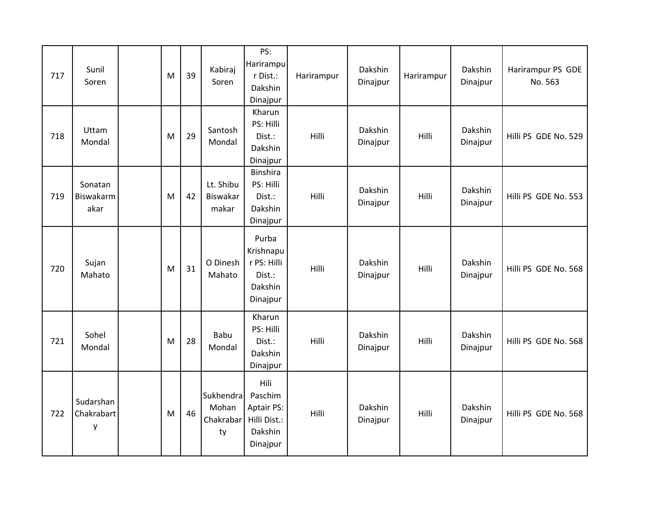| 717 | Sunil<br>Soren               | M | 39 | Kabiraj<br>Soren                      | PS:<br>Harirampu<br>r Dist.:<br>Dakshin<br>Dinajpur                         | Harirampur | Dakshin<br>Dinajpur | Harirampur | Dakshin<br>Dinajpur | Harirampur PS GDE<br>No. 563 |
|-----|------------------------------|---|----|---------------------------------------|-----------------------------------------------------------------------------|------------|---------------------|------------|---------------------|------------------------------|
| 718 | Uttam<br>Mondal              | M | 29 | Santosh<br>Mondal                     | Kharun<br>PS: Hilli<br>Dist.:<br>Dakshin<br>Dinajpur                        | Hilli      | Dakshin<br>Dinajpur | Hilli      | Dakshin<br>Dinajpur | Hilli PS GDE No. 529         |
| 719 | Sonatan<br>Biswakarm<br>akar | M | 42 | Lt. Shibu<br>Biswakar<br>makar        | <b>Binshira</b><br>PS: Hilli<br>Dist.:<br>Dakshin<br>Dinajpur               | Hilli      | Dakshin<br>Dinajpur | Hilli      | Dakshin<br>Dinajpur | Hilli PS GDE No. 553         |
| 720 | Sujan<br>Mahato              | M | 31 | O Dinesh<br>Mahato                    | Purba<br>Krishnapu<br>r PS: Hilli<br>Dist.:<br>Dakshin<br>Dinajpur          | Hilli      | Dakshin<br>Dinajpur | Hilli      | Dakshin<br>Dinajpur | Hilli PS GDE No. 568         |
| 721 | Sohel<br>Mondal              | M | 28 | Babu<br>Mondal                        | Kharun<br>PS: Hilli<br>Dist.:<br>Dakshin<br>Dinajpur                        | Hilli      | Dakshin<br>Dinajpur | Hilli      | Dakshin<br>Dinajpur | Hilli PS GDE No. 568         |
| 722 | Sudarshan<br>Chakrabart<br>у | M | 46 | Sukhendra<br>Mohan<br>Chakrabar<br>ty | Hili<br>Paschim<br><b>Aptair PS:</b><br>Hilli Dist.:<br>Dakshin<br>Dinajpur | Hilli      | Dakshin<br>Dinajpur | Hilli      | Dakshin<br>Dinajpur | Hilli PS GDE No. 568         |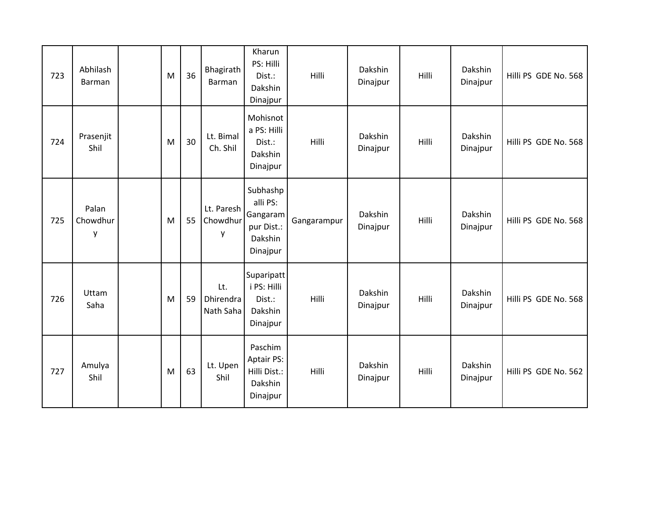| 723 | Abhilash<br>Barman     | M | 36 | Bhagirath<br>Barman           | Kharun<br>PS: Hilli<br>Dist.:<br>Dakshin<br>Dinajpur                  | Hilli       | Dakshin<br>Dinajpur | Hilli | Dakshin<br>Dinajpur | Hilli PS GDE No. 568 |
|-----|------------------------|---|----|-------------------------------|-----------------------------------------------------------------------|-------------|---------------------|-------|---------------------|----------------------|
| 724 | Prasenjit<br>Shil      | M | 30 | Lt. Bimal<br>Ch. Shil         | Mohisnot<br>a PS: Hilli<br>Dist.:<br>Dakshin<br>Dinajpur              | Hilli       | Dakshin<br>Dinajpur | Hilli | Dakshin<br>Dinajpur | Hilli PS GDE No. 568 |
| 725 | Palan<br>Chowdhur<br>у | M | 55 | Lt. Paresh<br>Chowdhur<br>y   | Subhashp<br>alli PS:<br>Gangaram<br>pur Dist.:<br>Dakshin<br>Dinajpur | Gangarampur | Dakshin<br>Dinajpur | Hilli | Dakshin<br>Dinajpur | Hilli PS GDE No. 568 |
| 726 | Uttam<br>Saha          | M | 59 | Lt.<br>Dhirendra<br>Nath Saha | Suparipatt<br>i PS: Hilli<br>Dist.:<br>Dakshin<br>Dinajpur            | Hilli       | Dakshin<br>Dinajpur | Hilli | Dakshin<br>Dinajpur | Hilli PS GDE No. 568 |
| 727 | Amulya<br>Shil         | M | 63 | Lt. Upen<br>Shil              | Paschim<br><b>Aptair PS:</b><br>Hilli Dist.:<br>Dakshin<br>Dinajpur   | Hilli       | Dakshin<br>Dinajpur | Hilli | Dakshin<br>Dinajpur | Hilli PS GDE No. 562 |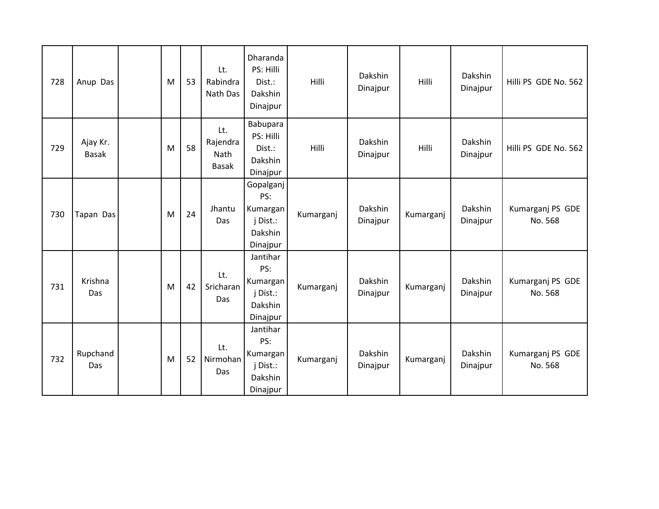| 728 | Anup Das                 | M | 53 | Lt.<br>Rabindra<br>Nath Das             | Dharanda<br>PS: Hilli<br>Dist.:<br>Dakshin<br>Dinajpur          | Hilli     | Dakshin<br>Dinajpur | Hilli     | Dakshin<br>Dinajpur | Hilli PS GDE No. 562        |
|-----|--------------------------|---|----|-----------------------------------------|-----------------------------------------------------------------|-----------|---------------------|-----------|---------------------|-----------------------------|
| 729 | Ajay Kr.<br><b>Basak</b> | M | 58 | Lt.<br>Rajendra<br>Nath<br><b>Basak</b> | Babupara<br>PS: Hilli<br>Dist.:<br>Dakshin<br>Dinajpur          | Hilli     | Dakshin<br>Dinajpur | Hilli     | Dakshin<br>Dinajpur | Hilli PS GDE No. 562        |
| 730 | Tapan Das                | M | 24 | Jhantu<br>Das                           | Gopalganj<br>PS:<br>Kumargan<br>j Dist.:<br>Dakshin<br>Dinajpur | Kumarganj | Dakshin<br>Dinajpur | Kumarganj | Dakshin<br>Dinajpur | Kumarganj PS GDE<br>No. 568 |
| 731 | Krishna<br>Das           | M | 42 | Lt.<br>Sricharan<br>Das                 | Jantihar<br>PS:<br>Kumargan<br>j Dist.:<br>Dakshin<br>Dinajpur  | Kumarganj | Dakshin<br>Dinajpur | Kumarganj | Dakshin<br>Dinajpur | Kumarganj PS GDE<br>No. 568 |
| 732 | Rupchand<br>Das          | M | 52 | Lt.<br>Nirmohan<br>Das                  | Jantihar<br>PS:<br>Kumargan<br>j Dist.:<br>Dakshin<br>Dinajpur  | Kumarganj | Dakshin<br>Dinajpur | Kumarganj | Dakshin<br>Dinajpur | Kumarganj PS GDE<br>No. 568 |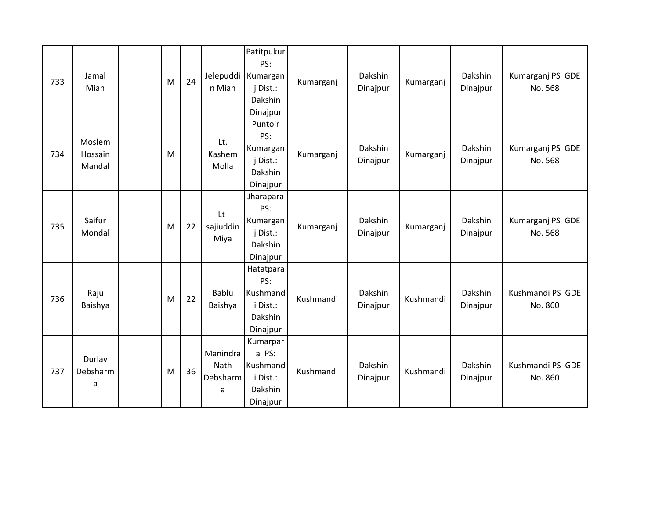| 733 | Jamal<br>Miah               | M | 24 | Jelepuddi<br>n Miah               | Patitpukur<br>PS:<br>Kumargan<br>j Dist.:<br>Dakshin<br>Dinajpur | Kumarganj | Dakshin<br>Dinajpur | Kumarganj | Dakshin<br>Dinajpur | Kumarganj PS GDE<br>No. 568 |
|-----|-----------------------------|---|----|-----------------------------------|------------------------------------------------------------------|-----------|---------------------|-----------|---------------------|-----------------------------|
| 734 | Moslem<br>Hossain<br>Mandal | M |    | Lt.<br>Kashem<br>Molla            | Puntoir<br>PS:<br>Kumargan<br>j Dist.:<br>Dakshin<br>Dinajpur    | Kumarganj | Dakshin<br>Dinajpur | Kumarganj | Dakshin<br>Dinajpur | Kumarganj PS GDE<br>No. 568 |
| 735 | Saifur<br>Mondal            | M | 22 | Lt-<br>sajiuddin<br>Miya          | Jharapara<br>PS:<br>Kumargan<br>j Dist.:<br>Dakshin<br>Dinajpur  | Kumarganj | Dakshin<br>Dinajpur | Kumarganj | Dakshin<br>Dinajpur | Kumarganj PS GDE<br>No. 568 |
| 736 | Raju<br>Baishya             | M | 22 | Bablu<br>Baishya                  | Hatatpara<br>PS:<br>Kushmand<br>i Dist.:<br>Dakshin<br>Dinajpur  | Kushmandi | Dakshin<br>Dinajpur | Kushmandi | Dakshin<br>Dinajpur | Kushmandi PS GDE<br>No. 860 |
| 737 | Durlav<br>Debsharm<br>a     | M | 36 | Manindra<br>Nath<br>Debsharm<br>a | Kumarpar<br>a PS:<br>Kushmand<br>i Dist.:<br>Dakshin<br>Dinajpur | Kushmandi | Dakshin<br>Dinajpur | Kushmandi | Dakshin<br>Dinajpur | Kushmandi PS GDE<br>No. 860 |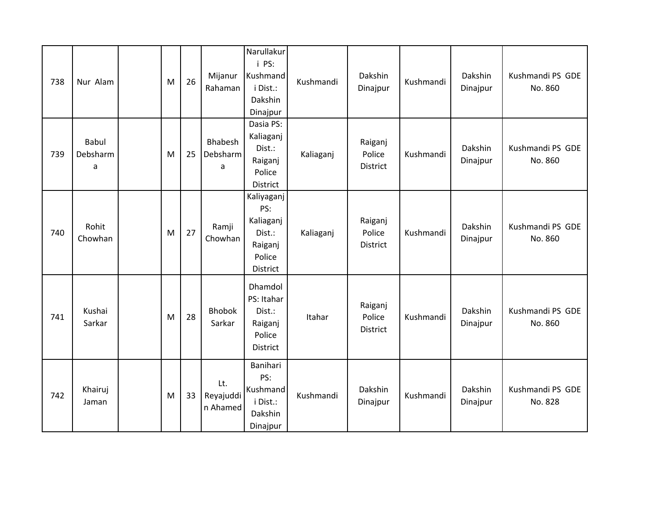| 738 | Nur Alam                      | M | 26 | Mijanur<br>Rahaman           | Narullakur<br>i PS:<br>Kushmand<br>i Dist.:<br>Dakshin<br>Dinajpur        | Kushmandi | Dakshin<br>Dinajpur           | Kushmandi | Dakshin<br>Dinajpur | Kushmandi PS GDE<br>No. 860 |
|-----|-------------------------------|---|----|------------------------------|---------------------------------------------------------------------------|-----------|-------------------------------|-----------|---------------------|-----------------------------|
| 739 | <b>Babul</b><br>Debsharm<br>a | M | 25 | Bhabesh<br>Debsharm<br>a     | Dasia PS:<br>Kaliaganj<br>Dist.:<br>Raiganj<br>Police<br>District         | Kaliaganj | Raiganj<br>Police<br>District | Kushmandi | Dakshin<br>Dinajpur | Kushmandi PS GDE<br>No. 860 |
| 740 | Rohit<br>Chowhan              | M | 27 | Ramji<br>Chowhan             | Kaliyaganj<br>PS:<br>Kaliaganj<br>Dist.:<br>Raiganj<br>Police<br>District | Kaliaganj | Raiganj<br>Police<br>District | Kushmandi | Dakshin<br>Dinajpur | Kushmandi PS GDE<br>No. 860 |
| 741 | Kushai<br>Sarkar              | M | 28 | <b>Bhobok</b><br>Sarkar      | Dhamdol<br>PS: Itahar<br>Dist.:<br>Raiganj<br>Police<br>District          | Itahar    | Raiganj<br>Police<br>District | Kushmandi | Dakshin<br>Dinajpur | Kushmandi PS GDE<br>No. 860 |
| 742 | Khairuj<br>Jaman              | M | 33 | Lt.<br>Reyajuddi<br>n Ahamed | Banihari<br>PS:<br>Kushmand<br>i Dist.:<br>Dakshin<br>Dinajpur            | Kushmandi | Dakshin<br>Dinajpur           | Kushmandi | Dakshin<br>Dinajpur | Kushmandi PS GDE<br>No. 828 |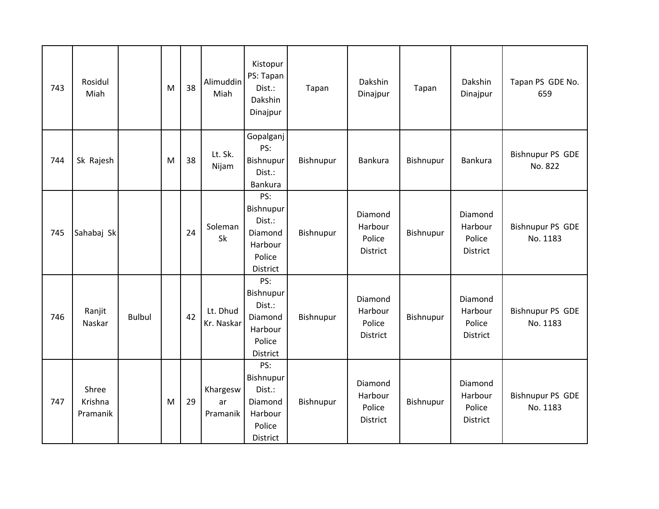| 743 | Rosidul<br>Miah              |               | M | 38 | Alimuddin<br>Miah          | Kistopur<br>PS: Tapan<br>Dist.:<br>Dakshin<br>Dinajpur                 | Tapan     | Dakshin<br>Dinajpur                             | Tapan     | Dakshin<br>Dinajpur                      | Tapan PS GDE No.<br>659             |
|-----|------------------------------|---------------|---|----|----------------------------|------------------------------------------------------------------------|-----------|-------------------------------------------------|-----------|------------------------------------------|-------------------------------------|
| 744 | Sk Rajesh                    |               | M | 38 | Lt. Sk.<br>Nijam           | Gopalganj<br>PS:<br>Bishnupur<br>Dist.:<br><b>Bankura</b>              | Bishnupur | Bankura                                         | Bishnupur | Bankura                                  | <b>Bishnupur PS GDE</b><br>No. 822  |
| 745 | Sahabaj Sk                   |               |   | 24 | Soleman<br>Sk              | PS:<br>Bishnupur<br>Dist.:<br>Diamond<br>Harbour<br>Police<br>District | Bishnupur | Diamond<br>Harbour<br>Police<br>District        | Bishnupur | Diamond<br>Harbour<br>Police<br>District | <b>Bishnupur PS GDE</b><br>No. 1183 |
| 746 | Ranjit<br>Naskar             | <b>Bulbul</b> |   | 42 | Lt. Dhud<br>Kr. Naskar     | PS:<br>Bishnupur<br>Dist.:<br>Diamond<br>Harbour<br>Police<br>District | Bishnupur | Diamond<br>Harbour<br>Police<br><b>District</b> | Bishnupur | Diamond<br>Harbour<br>Police<br>District | <b>Bishnupur PS GDE</b><br>No. 1183 |
| 747 | Shree<br>Krishna<br>Pramanik |               | M | 29 | Khargesw<br>ar<br>Pramanik | PS:<br>Bishnupur<br>Dist.:<br>Diamond<br>Harbour<br>Police<br>District | Bishnupur | Diamond<br>Harbour<br>Police<br><b>District</b> | Bishnupur | Diamond<br>Harbour<br>Police<br>District | <b>Bishnupur PS GDE</b><br>No. 1183 |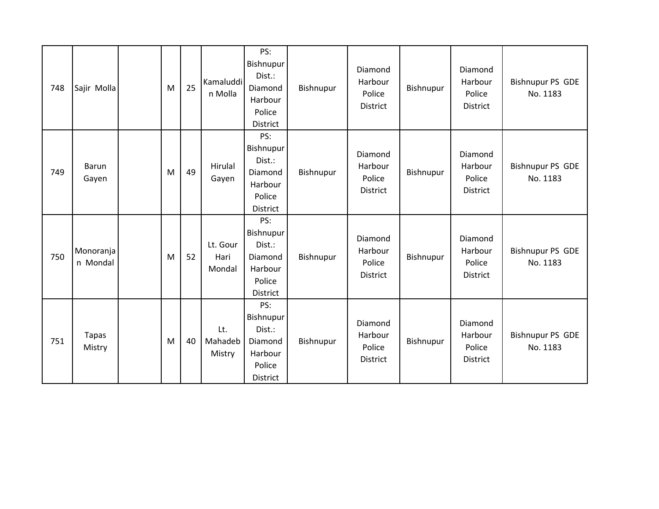| 748 | Sajir Molla            | M | 25 | Kamaluddi<br>n Molla       | PS:<br>Bishnupur<br>Dist.:<br>Diamond<br>Harbour<br>Police<br>District        | Bishnupur | Diamond<br>Harbour<br>Police<br>District        | Bishnupur | Diamond<br>Harbour<br>Police<br>District | <b>Bishnupur PS GDE</b><br>No. 1183 |
|-----|------------------------|---|----|----------------------------|-------------------------------------------------------------------------------|-----------|-------------------------------------------------|-----------|------------------------------------------|-------------------------------------|
| 749 | Barun<br>Gayen         | M | 49 | Hirulal<br>Gayen           | PS:<br>Bishnupur<br>Dist.:<br>Diamond<br>Harbour<br>Police<br>District        | Bishnupur | Diamond<br>Harbour<br>Police<br>District        | Bishnupur | Diamond<br>Harbour<br>Police<br>District | <b>Bishnupur PS GDE</b><br>No. 1183 |
| 750 | Monoranja<br>n Mondal  | M | 52 | Lt. Gour<br>Hari<br>Mondal | PS:<br>Bishnupur<br>Dist.:<br>Diamond<br>Harbour<br>Police<br>District        | Bishnupur | Diamond<br>Harbour<br>Police<br><b>District</b> | Bishnupur | Diamond<br>Harbour<br>Police<br>District | <b>Bishnupur PS GDE</b><br>No. 1183 |
| 751 | <b>Tapas</b><br>Mistry | M | 40 | Lt.<br>Mahadeb<br>Mistry   | PS:<br>Bishnupur<br>Dist.:<br>Diamond<br>Harbour<br>Police<br><b>District</b> | Bishnupur | Diamond<br>Harbour<br>Police<br>District        | Bishnupur | Diamond<br>Harbour<br>Police<br>District | <b>Bishnupur PS GDE</b><br>No. 1183 |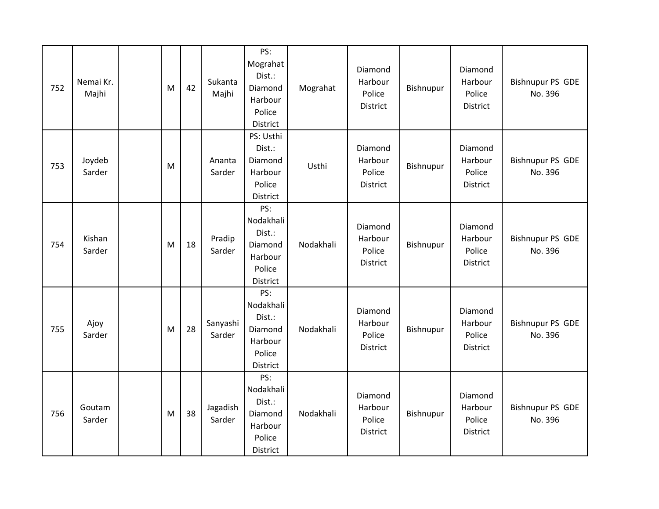| 752 | Nemai Kr.<br>Majhi | M | 42 | Sukanta<br>Majhi   | PS:<br>Mograhat<br>Dist.:<br>Diamond<br>Harbour<br>Police<br>District         | Mograhat  | Diamond<br>Harbour<br>Police<br>District | Bishnupur | Diamond<br>Harbour<br>Police<br>District | <b>Bishnupur PS GDE</b><br>No. 396 |
|-----|--------------------|---|----|--------------------|-------------------------------------------------------------------------------|-----------|------------------------------------------|-----------|------------------------------------------|------------------------------------|
| 753 | Joydeb<br>Sarder   | M |    | Ananta<br>Sarder   | PS: Usthi<br>Dist.:<br>Diamond<br>Harbour<br>Police<br>District               | Usthi     | Diamond<br>Harbour<br>Police<br>District | Bishnupur | Diamond<br>Harbour<br>Police<br>District | <b>Bishnupur PS GDE</b><br>No. 396 |
| 754 | Kishan<br>Sarder   | M | 18 | Pradip<br>Sarder   | PS:<br>Nodakhali<br>Dist.:<br>Diamond<br>Harbour<br>Police<br>District        | Nodakhali | Diamond<br>Harbour<br>Police<br>District | Bishnupur | Diamond<br>Harbour<br>Police<br>District | <b>Bishnupur PS GDE</b><br>No. 396 |
| 755 | Ajoy<br>Sarder     | M | 28 | Sanyashi<br>Sarder | PS:<br>Nodakhali<br>Dist.:<br>Diamond<br>Harbour<br>Police<br>District        | Nodakhali | Diamond<br>Harbour<br>Police<br>District | Bishnupur | Diamond<br>Harbour<br>Police<br>District | <b>Bishnupur PS GDE</b><br>No. 396 |
| 756 | Goutam<br>Sarder   | M | 38 | Jagadish<br>Sarder | PS:<br>Nodakhali<br>Dist.:<br>Diamond<br>Harbour<br>Police<br><b>District</b> | Nodakhali | Diamond<br>Harbour<br>Police<br>District | Bishnupur | Diamond<br>Harbour<br>Police<br>District | <b>Bishnupur PS GDE</b><br>No. 396 |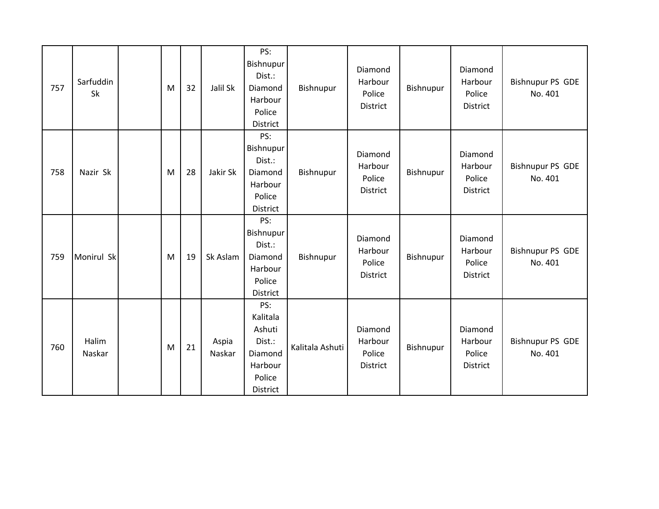| 757 | Sarfuddin<br>Sk | M | 32 | Jalil Sk        | PS:<br><b>Bishnupur</b><br>Dist.:<br>Diamond<br>Harbour<br>Police<br>District   | Bishnupur       | Diamond<br>Harbour<br>Police<br>District | Bishnupur | Diamond<br>Harbour<br>Police<br>District | <b>Bishnupur PS GDE</b><br>No. 401 |
|-----|-----------------|---|----|-----------------|---------------------------------------------------------------------------------|-----------------|------------------------------------------|-----------|------------------------------------------|------------------------------------|
| 758 | Nazir Sk        | M | 28 | Jakir Sk        | PS:<br>Bishnupur<br>Dist.:<br>Diamond<br>Harbour<br>Police<br><b>District</b>   | Bishnupur       | Diamond<br>Harbour<br>Police<br>District | Bishnupur | Diamond<br>Harbour<br>Police<br>District | <b>Bishnupur PS GDE</b><br>No. 401 |
| 759 | Monirul Sk      | M | 19 | Sk Aslam        | PS:<br>Bishnupur<br>Dist.:<br>Diamond<br>Harbour<br>Police<br><b>District</b>   | Bishnupur       | Diamond<br>Harbour<br>Police<br>District | Bishnupur | Diamond<br>Harbour<br>Police<br>District | <b>Bishnupur PS GDE</b><br>No. 401 |
| 760 | Halim<br>Naskar | M | 21 | Aspia<br>Naskar | PS:<br>Kalitala<br>Ashuti<br>Dist.:<br>Diamond<br>Harbour<br>Police<br>District | Kalitala Ashuti | Diamond<br>Harbour<br>Police<br>District | Bishnupur | Diamond<br>Harbour<br>Police<br>District | <b>Bishnupur PS GDE</b><br>No. 401 |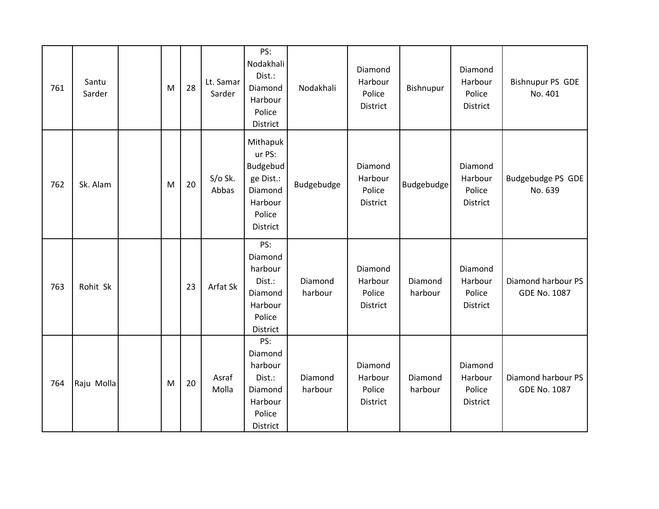| 761 | Santu<br>Sarder | M | 28 | Lt. Samar<br>Sarder | PS:<br>Nodakhali<br>Dist.:<br>Diamond<br>Harbour<br>Police<br>District                  | Nodakhali          | Diamond<br>Harbour<br>Police<br>District | Bishnupur          | Diamond<br>Harbour<br>Police<br>District | <b>Bishnupur PS GDE</b><br>No. 401        |
|-----|-----------------|---|----|---------------------|-----------------------------------------------------------------------------------------|--------------------|------------------------------------------|--------------------|------------------------------------------|-------------------------------------------|
| 762 | Sk. Alam        | M | 20 | S/o Sk.<br>Abbas    | Mithapuk<br>ur PS:<br>Budgebud<br>ge Dist.:<br>Diamond<br>Harbour<br>Police<br>District | Budgebudge         | Diamond<br>Harbour<br>Police<br>District | Budgebudge         | Diamond<br>Harbour<br>Police<br>District | Budgebudge PS GDE<br>No. 639              |
| 763 | Rohit Sk        |   | 23 | Arfat Sk            | PS:<br>Diamond<br>harbour<br>Dist.:<br>Diamond<br>Harbour<br>Police<br>District         | Diamond<br>harbour | Diamond<br>Harbour<br>Police<br>District | Diamond<br>harbour | Diamond<br>Harbour<br>Police<br>District | Diamond harbour PS<br><b>GDE No. 1087</b> |
| 764 | Raju Molla      | M | 20 | Asraf<br>Molla      | PS:<br>Diamond<br>harbour<br>Dist.:<br>Diamond<br>Harbour<br>Police<br>District         | Diamond<br>harbour | Diamond<br>Harbour<br>Police<br>District | Diamond<br>harbour | Diamond<br>Harbour<br>Police<br>District | Diamond harbour PS<br><b>GDE No. 1087</b> |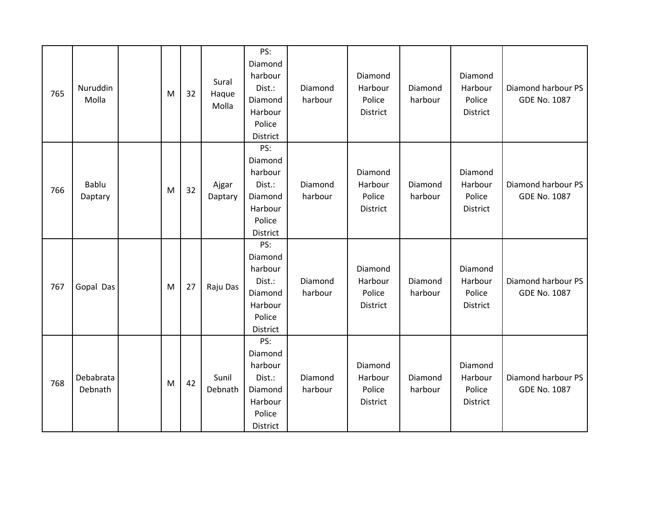| 765 | Nuruddin<br>Molla    | M | 32 | Sural<br>Haque<br>Molla | PS:<br>Diamond<br>harbour<br>Dist.:<br>Diamond<br>Harbour<br>Police<br>District | Diamond<br>harbour | Diamond<br>Harbour<br>Police<br>District | Diamond<br>harbour | Diamond<br>Harbour<br>Police<br>District | Diamond harbour PS<br><b>GDE No. 1087</b> |
|-----|----------------------|---|----|-------------------------|---------------------------------------------------------------------------------|--------------------|------------------------------------------|--------------------|------------------------------------------|-------------------------------------------|
| 766 | Bablu<br>Daptary     | M | 32 | Ajgar<br>Daptary        | PS:<br>Diamond<br>harbour<br>Dist.:<br>Diamond<br>Harbour<br>Police<br>District | Diamond<br>harbour | Diamond<br>Harbour<br>Police<br>District | Diamond<br>harbour | Diamond<br>Harbour<br>Police<br>District | Diamond harbour PS<br><b>GDE No. 1087</b> |
| 767 | Gopal Das            | M | 27 | Raju Das                | PS:<br>Diamond<br>harbour<br>Dist.:<br>Diamond<br>Harbour<br>Police<br>District | Diamond<br>harbour | Diamond<br>Harbour<br>Police<br>District | Diamond<br>harbour | Diamond<br>Harbour<br>Police<br>District | Diamond harbour PS<br><b>GDE No. 1087</b> |
| 768 | Debabrata<br>Debnath | M | 42 | Sunil<br>Debnath        | PS:<br>Diamond<br>harbour<br>Dist.:<br>Diamond<br>Harbour<br>Police<br>District | Diamond<br>harbour | Diamond<br>Harbour<br>Police<br>District | Diamond<br>harbour | Diamond<br>Harbour<br>Police<br>District | Diamond harbour PS<br><b>GDE No. 1087</b> |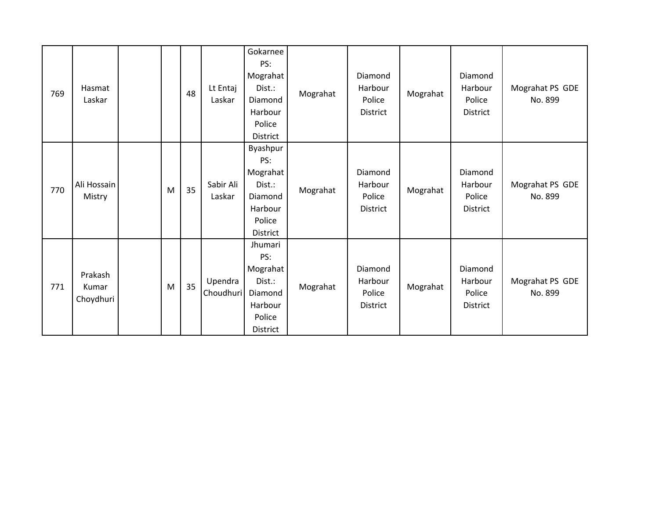| 769 | Hasmat<br>Laskar              |   | 48 | Lt Entaj<br>Laskar   | Gokarnee<br>PS:<br>Mograhat<br>Dist.:<br>Diamond<br>Harbour<br>Police<br>District        | Mograhat | Diamond<br>Harbour<br>Police<br>District        | Mograhat | Diamond<br>Harbour<br>Police<br><b>District</b> | Mograhat PS GDE<br>No. 899 |
|-----|-------------------------------|---|----|----------------------|------------------------------------------------------------------------------------------|----------|-------------------------------------------------|----------|-------------------------------------------------|----------------------------|
| 770 | Ali Hossain<br>Mistry         | M | 35 | Sabir Ali<br>Laskar  | Byashpur<br>PS:<br>Mograhat<br>Dist.:<br>Diamond<br>Harbour<br>Police<br><b>District</b> | Mograhat | Diamond<br>Harbour<br>Police<br>District        | Mograhat | Diamond<br>Harbour<br>Police<br>District        | Mograhat PS GDE<br>No. 899 |
| 771 | Prakash<br>Kumar<br>Choydhuri | M | 35 | Upendra<br>Choudhuri | Jhumari<br>PS:<br>Mograhat<br>Dist.:<br>Diamond<br>Harbour<br>Police<br><b>District</b>  | Mograhat | Diamond<br>Harbour<br>Police<br><b>District</b> | Mograhat | Diamond<br>Harbour<br>Police<br><b>District</b> | Mograhat PS GDE<br>No. 899 |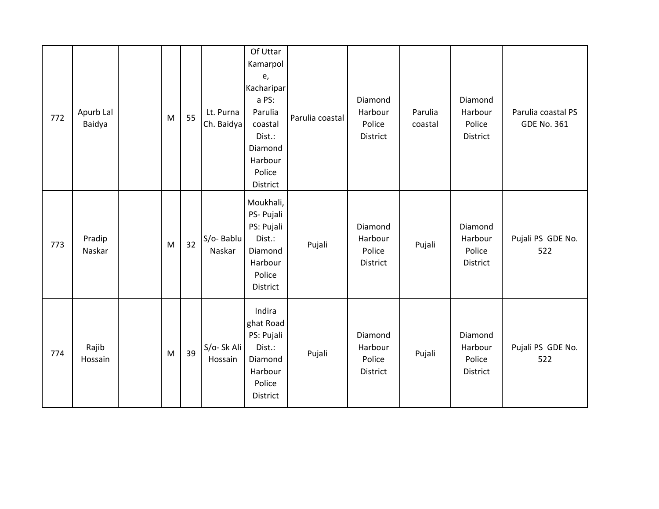| 772 | Apurb Lal<br>Baidya | M         | 55 | Lt. Purna<br>Ch. Baidya  | Of Uttar<br>Kamarpol<br>e,<br>Kacharipar<br>a PS:<br>Parulia<br>coastal<br>Dist.:<br>Diamond<br>Harbour<br>Police<br>District | Parulia coastal | Diamond<br>Harbour<br>Police<br>District | Parulia<br>coastal | Diamond<br>Harbour<br>Police<br>District | Parulia coastal PS<br><b>GDE No. 361</b> |
|-----|---------------------|-----------|----|--------------------------|-------------------------------------------------------------------------------------------------------------------------------|-----------------|------------------------------------------|--------------------|------------------------------------------|------------------------------------------|
| 773 | Pradip<br>Naskar    | M         | 32 | S/o-Bablu<br>Naskar      | Moukhali,<br>PS- Pujali<br>PS: Pujali<br>Dist.:<br>Diamond<br>Harbour<br>Police<br>District                                   | Pujali          | Diamond<br>Harbour<br>Police<br>District | Pujali             | Diamond<br>Harbour<br>Police<br>District | Pujali PS GDE No.<br>522                 |
| 774 | Rajib<br>Hossain    | ${\sf M}$ | 39 | $S/O- Sk Ali$<br>Hossain | Indira<br>ghat Road<br>PS: Pujali<br>Dist.:<br>Diamond<br>Harbour<br>Police<br>District                                       | Pujali          | Diamond<br>Harbour<br>Police<br>District | Pujali             | Diamond<br>Harbour<br>Police<br>District | Pujali PS GDE No.<br>522                 |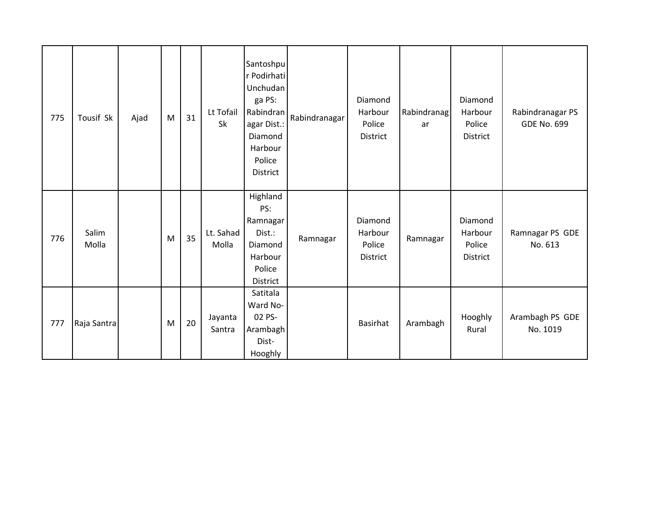| 775 | Tousif Sk      | Ajad | M | 31 | Lt Tofail<br>Sk    | Santoshpu<br>r Podirhati<br>Unchudan<br>ga PS:<br>Rabindran<br>agar Dist.:<br>Diamond<br>Harbour<br>Police<br>District | Rabindranagar | Diamond<br>Harbour<br>Police<br>District | Rabindranag<br>ar | Diamond<br>Harbour<br>Police<br>District | Rabindranagar PS<br><b>GDE No. 699</b> |
|-----|----------------|------|---|----|--------------------|------------------------------------------------------------------------------------------------------------------------|---------------|------------------------------------------|-------------------|------------------------------------------|----------------------------------------|
| 776 | Salim<br>Molla |      | M | 35 | Lt. Sahad<br>Molla | Highland<br>PS:<br>Ramnagar<br>Dist.:<br>Diamond<br>Harbour<br>Police<br>District                                      | Ramnagar      | Diamond<br>Harbour<br>Police<br>District | Ramnagar          | Diamond<br>Harbour<br>Police<br>District | Ramnagar PS GDE<br>No. 613             |
| 777 | Raja Santra    |      | M | 20 | Jayanta<br>Santra  | Satitala<br>Ward No-<br>02 PS-<br>Arambagh<br>Dist-<br>Hooghly                                                         |               | <b>Basirhat</b>                          | Arambagh          | Hooghly<br>Rural                         | Arambagh PS GDE<br>No. 1019            |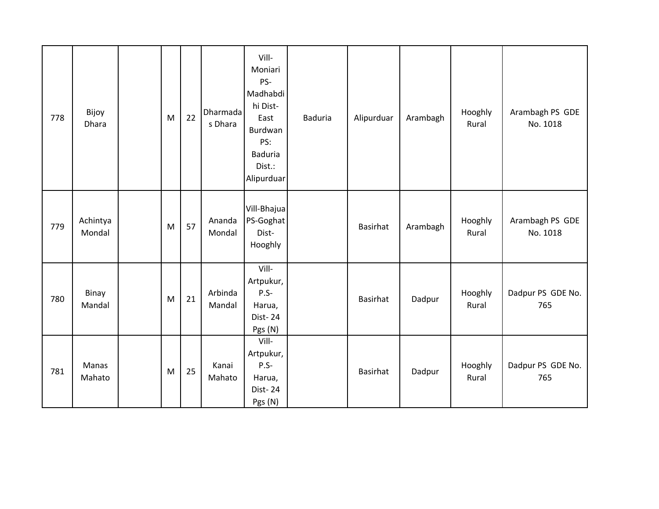| 778 | Bijoy<br>Dhara     | M         | 22 | Dharmada<br>s Dhara | Vill-<br>Moniari<br>PS-<br>Madhabdi<br>hi Dist-<br>East<br>Burdwan<br>PS:<br><b>Baduria</b><br>Dist.:<br>Alipurduar | <b>Baduria</b> | Alipurduar      | Arambagh | Hooghly<br>Rural | Arambagh PS GDE<br>No. 1018 |
|-----|--------------------|-----------|----|---------------------|---------------------------------------------------------------------------------------------------------------------|----------------|-----------------|----------|------------------|-----------------------------|
| 779 | Achintya<br>Mondal | ${\sf M}$ | 57 | Ananda<br>Mondal    | Vill-Bhajua<br>PS-Goghat<br>Dist-<br>Hooghly                                                                        |                | Basirhat        | Arambagh | Hooghly<br>Rural | Arambagh PS GDE<br>No. 1018 |
| 780 | Binay<br>Mandal    | M         | 21 | Arbinda<br>Mandal   | Vill-<br>Artpukur,<br>$P.S-$<br>Harua,<br>Dist-24<br>Pgs (N)                                                        |                | <b>Basirhat</b> | Dadpur   | Hooghly<br>Rural | Dadpur PS GDE No.<br>765    |
| 781 | Manas<br>Mahato    | M         | 25 | Kanai<br>Mahato     | Vill-<br>Artpukur,<br>$P.S-$<br>Harua,<br>Dist-24<br>Pgs (N)                                                        |                | Basirhat        | Dadpur   | Hooghly<br>Rural | Dadpur PS GDE No.<br>765    |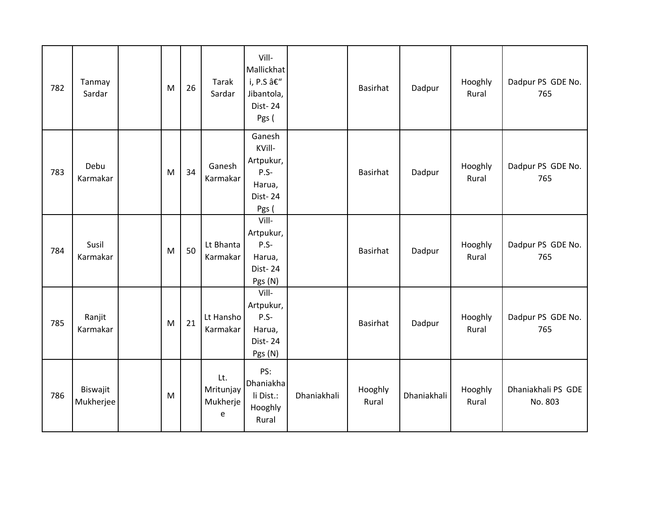| 782 | Tanmay<br>Sardar      | M | 26 | Tarak<br>Sardar                   | Vill-<br>Mallickhat<br>i, P.S –<br>Jibantola,<br>Dist-24<br>Pgs (     |             | <b>Basirhat</b>  | Dadpur      | Hooghly<br>Rural | Dadpur PS GDE No.<br>765      |
|-----|-----------------------|---|----|-----------------------------------|-----------------------------------------------------------------------|-------------|------------------|-------------|------------------|-------------------------------|
| 783 | Debu<br>Karmakar      | M | 34 | Ganesh<br>Karmakar                | Ganesh<br>KVill-<br>Artpukur,<br>$P.S-$<br>Harua,<br>Dist-24<br>Pgs ( |             | <b>Basirhat</b>  | Dadpur      | Hooghly<br>Rural | Dadpur PS GDE No.<br>765      |
| 784 | Susil<br>Karmakar     | M | 50 | Lt Bhanta<br>Karmakar             | Vill-<br>Artpukur,<br>$P.S-$<br>Harua,<br><b>Dist-24</b><br>Pgs (N)   |             | Basirhat         | Dadpur      | Hooghly<br>Rural | Dadpur PS GDE No.<br>765      |
| 785 | Ranjit<br>Karmakar    | M | 21 | Lt Hansho<br>Karmakar             | Vill-<br>Artpukur,<br>$P.S-$<br>Harua,<br><b>Dist-24</b><br>Pgs (N)   |             | Basirhat         | Dadpur      | Hooghly<br>Rural | Dadpur PS GDE No.<br>765      |
| 786 | Biswajit<br>Mukherjee | M |    | Lt.<br>Mritunjay<br>Mukherje<br>e | PS:<br>Dhaniakha<br>li Dist.:<br>Hooghly<br>Rural                     | Dhaniakhali | Hooghly<br>Rural | Dhaniakhali | Hooghly<br>Rural | Dhaniakhali PS GDE<br>No. 803 |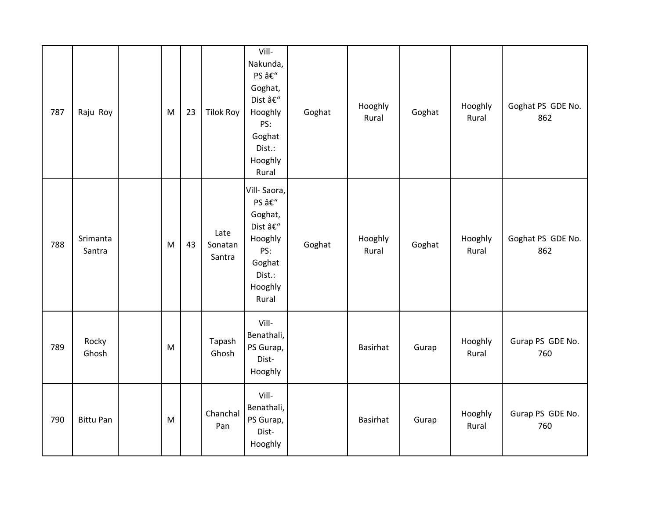| 787 | Raju Roy           | M | 23 | <b>Tilok Roy</b>          | Vill-<br>Nakunda,<br>PS –<br>Goghat,<br>Dist –<br>Hooghly<br>PS:<br>Goghat<br>Dist.:<br>Hooghly<br>Rural | Goghat | Hooghly<br>Rural | Goghat | Hooghly<br>Rural | Goghat PS GDE No.<br>862 |
|-----|--------------------|---|----|---------------------------|----------------------------------------------------------------------------------------------------------|--------|------------------|--------|------------------|--------------------------|
| 788 | Srimanta<br>Santra | M | 43 | Late<br>Sonatan<br>Santra | Vill-Saora,<br>PS –<br>Goghat,<br>Dist –<br>Hooghly<br>PS:<br>Goghat<br>Dist.:<br>Hooghly<br>Rural       | Goghat | Hooghly<br>Rural | Goghat | Hooghly<br>Rural | Goghat PS GDE No.<br>862 |
| 789 | Rocky<br>Ghosh     | M |    | Tapash<br>Ghosh           | Vill-<br>Benathali,<br>PS Gurap,<br>Dist-<br>Hooghly                                                     |        | <b>Basirhat</b>  | Gurap  | Hooghly<br>Rural | Gurap PS GDE No.<br>760  |
| 790 | <b>Bittu Pan</b>   | M |    | Chanchal<br>Pan           | Vill-<br>Benathali,<br>PS Gurap,<br>Dist-<br>Hooghly                                                     |        | Basirhat         | Gurap  | Hooghly<br>Rural | Gurap PS GDE No.<br>760  |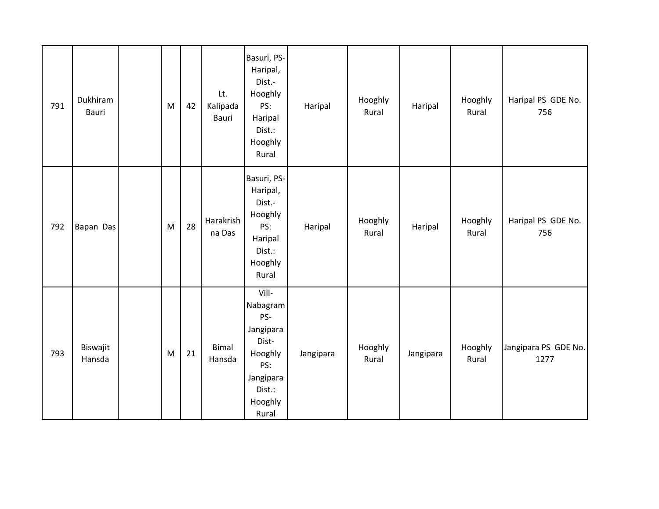| 791 | Dukhiram<br>Bauri  | M         | 42 | Lt.<br>Kalipada<br>Bauri | Basuri, PS-<br>Haripal,<br>Dist.-<br>Hooghly<br>PS:<br>Haripal<br>Dist.:<br>Hooghly<br>Rural                | Haripal   | Hooghly<br>Rural | Haripal   | Hooghly<br>Rural | Haripal PS GDE No.<br>756    |
|-----|--------------------|-----------|----|--------------------------|-------------------------------------------------------------------------------------------------------------|-----------|------------------|-----------|------------------|------------------------------|
| 792 | Bapan Das          | M         | 28 | Harakrish<br>na Das      | Basuri, PS-<br>Haripal,<br>Dist.-<br>Hooghly<br>PS:<br>Haripal<br>Dist.:<br>Hooghly<br>Rural                | Haripal   | Hooghly<br>Rural | Haripal   | Hooghly<br>Rural | Haripal PS GDE No.<br>756    |
| 793 | Biswajit<br>Hansda | ${\sf M}$ | 21 | <b>Bimal</b><br>Hansda   | Vill-<br>Nabagram<br>PS-<br>Jangipara<br>Dist-<br>Hooghly<br>PS:<br>Jangipara<br>Dist.:<br>Hooghly<br>Rural | Jangipara | Hooghly<br>Rural | Jangipara | Hooghly<br>Rural | Jangipara PS GDE No.<br>1277 |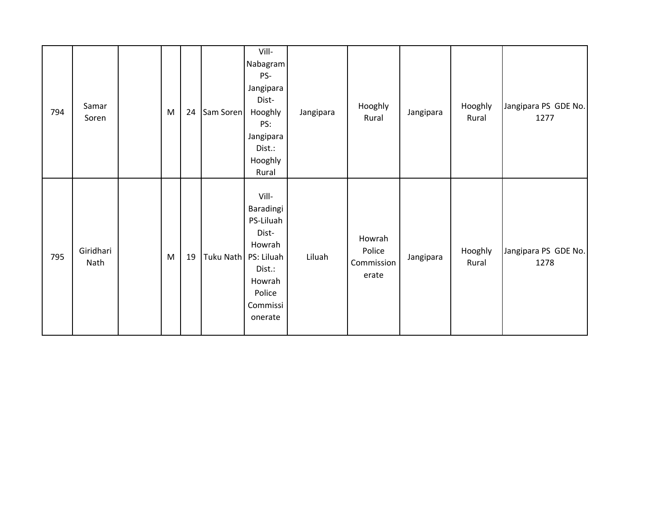| 794 | Samar<br>Soren    | M | 24 | Sam Soren              | Vill-<br>Nabagram<br>PS-<br>Jangipara<br>Dist-<br>Hooghly<br>PS:<br>Jangipara<br>Dist.:<br>Hooghly<br>Rural | Jangipara | Hooghly<br>Rural                        | Jangipara | Hooghly<br>Rural | Jangipara PS GDE No.<br>1277 |
|-----|-------------------|---|----|------------------------|-------------------------------------------------------------------------------------------------------------|-----------|-----------------------------------------|-----------|------------------|------------------------------|
| 795 | Giridhari<br>Nath | M | 19 | Tuku Nath   PS: Liluah | Vill-<br>Baradingi<br>PS-Liluah<br>Dist-<br>Howrah<br>Dist.:<br>Howrah<br>Police<br>Commissi<br>onerate     | Liluah    | Howrah<br>Police<br>Commission<br>erate | Jangipara | Hooghly<br>Rural | Jangipara PS GDE No.<br>1278 |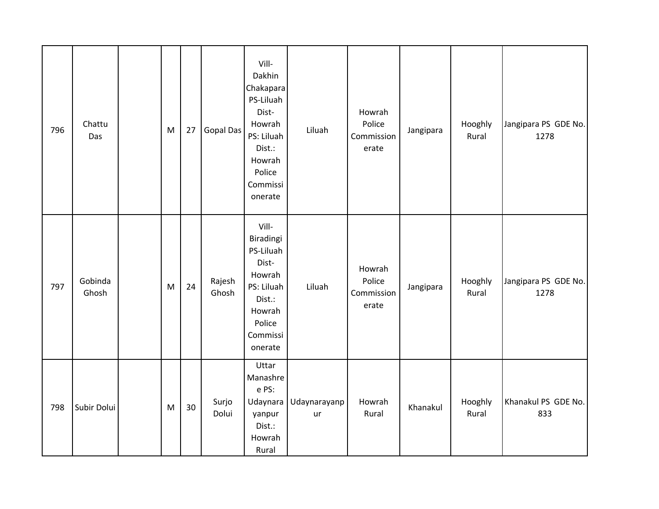| 796 | Chattu<br>Das    | ${\sf M}$ | 27 | Gopal Das       | Vill-<br>Dakhin<br>Chakapara<br>PS-Liluah<br>Dist-<br>Howrah<br>PS: Liluah<br>Dist.:<br>Howrah<br>Police<br>Commissi<br>onerate | Liluah             | Howrah<br>Police<br>Commission<br>erate | Jangipara | Hooghly<br>Rural | Jangipara PS GDE No.<br>1278 |
|-----|------------------|-----------|----|-----------------|---------------------------------------------------------------------------------------------------------------------------------|--------------------|-----------------------------------------|-----------|------------------|------------------------------|
| 797 | Gobinda<br>Ghosh | M         | 24 | Rajesh<br>Ghosh | Vill-<br>Biradingi<br>PS-Liluah<br>Dist-<br>Howrah<br>PS: Liluah<br>Dist.:<br>Howrah<br>Police<br>Commissi<br>onerate           | Liluah             | Howrah<br>Police<br>Commission<br>erate | Jangipara | Hooghly<br>Rural | Jangipara PS GDE No.<br>1278 |
| 798 | Subir Dolui      | M         | 30 | Surjo<br>Dolui  | Uttar<br>Manashre<br>e PS:<br>Udaynara<br>yanpur<br>Dist.:<br>Howrah<br>Rural                                                   | Udaynarayanp<br>ur | Howrah<br>Rural                         | Khanakul  | Hooghly<br>Rural | Khanakul PS GDE No.<br>833   |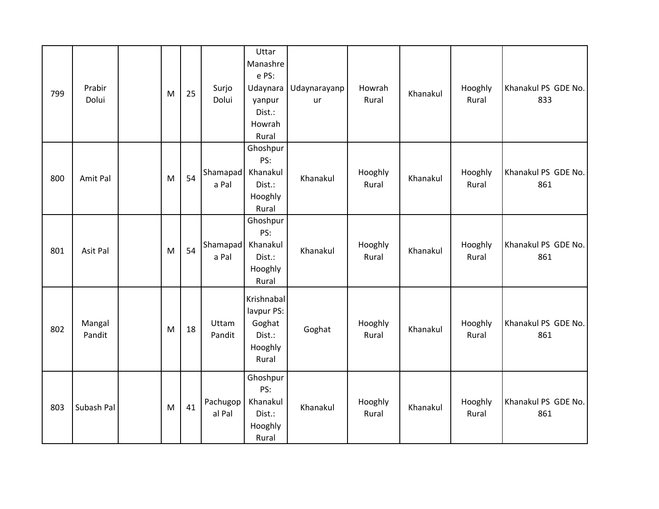| 799 | Prabir<br>Dolui  | M | 25 | Surjo<br>Dolui             | Uttar<br>Manashre<br>e PS:<br>Udaynara<br>yanpur<br>Dist.:<br>Howrah<br>Rural | Udaynarayanp<br>ur | Howrah<br>Rural  | Khanakul | Hooghly<br>Rural | Khanakul PS GDE No.<br>833 |
|-----|------------------|---|----|----------------------------|-------------------------------------------------------------------------------|--------------------|------------------|----------|------------------|----------------------------|
| 800 | Amit Pal         | M | 54 | Shamapad Khanakul<br>a Pal | Ghoshpur<br>PS:<br>Dist.:<br>Hooghly<br>Rural                                 | Khanakul           | Hooghly<br>Rural | Khanakul | Hooghly<br>Rural | Khanakul PS GDE No.<br>861 |
| 801 | Asit Pal         | M | 54 | Shamapad Khanakul<br>a Pal | Ghoshpur<br>PS:<br>Dist.:<br>Hooghly<br>Rural                                 | Khanakul           | Hooghly<br>Rural | Khanakul | Hooghly<br>Rural | Khanakul PS GDE No.<br>861 |
| 802 | Mangal<br>Pandit | M | 18 | Uttam<br>Pandit            | Krishnabal<br>lavpur PS:<br>Goghat<br>Dist.:<br>Hooghly<br>Rural              | Goghat             | Hooghly<br>Rural | Khanakul | Hooghly<br>Rural | Khanakul PS GDE No.<br>861 |
| 803 | Subash Pal       | M | 41 | Pachugop<br>al Pal         | Ghoshpur<br>PS:<br>Khanakul<br>Dist.:<br>Hooghly<br>Rural                     | Khanakul           | Hooghly<br>Rural | Khanakul | Hooghly<br>Rural | Khanakul PS GDE No.<br>861 |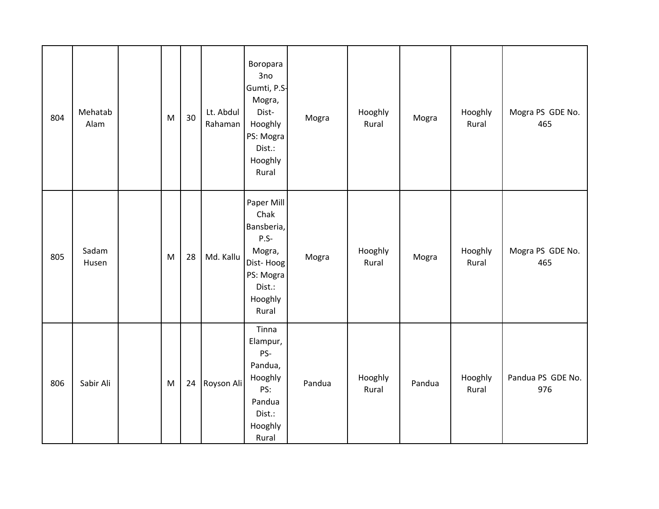| 804 | Mehatab<br>Alam | ${\sf M}$ | 30 | Lt. Abdul<br>Rahaman | Boropara<br>3no<br>Gumti, P.S-<br>Mogra,<br>Dist-<br>Hooghly<br>PS: Mogra<br>Dist.:<br>Hooghly<br>Rural      | Mogra  | Hooghly<br>Rural | Mogra  | Hooghly<br>Rural | Mogra PS GDE No.<br>465  |
|-----|-----------------|-----------|----|----------------------|--------------------------------------------------------------------------------------------------------------|--------|------------------|--------|------------------|--------------------------|
| 805 | Sadam<br>Husen  | M         | 28 | Md. Kallu            | Paper Mill<br>Chak<br>Bansberia,<br>$P.S-$<br>Mogra,<br>Dist-Hoog<br>PS: Mogra<br>Dist.:<br>Hooghly<br>Rural | Mogra  | Hooghly<br>Rural | Mogra  | Hooghly<br>Rural | Mogra PS GDE No.<br>465  |
| 806 | Sabir Ali       | ${\sf M}$ | 24 | Royson Ali           | Tinna<br>Elampur,<br>PS-<br>Pandua,<br>Hooghly<br>PS:<br>Pandua<br>Dist.:<br>Hooghly<br>Rural                | Pandua | Hooghly<br>Rural | Pandua | Hooghly<br>Rural | Pandua PS GDE No.<br>976 |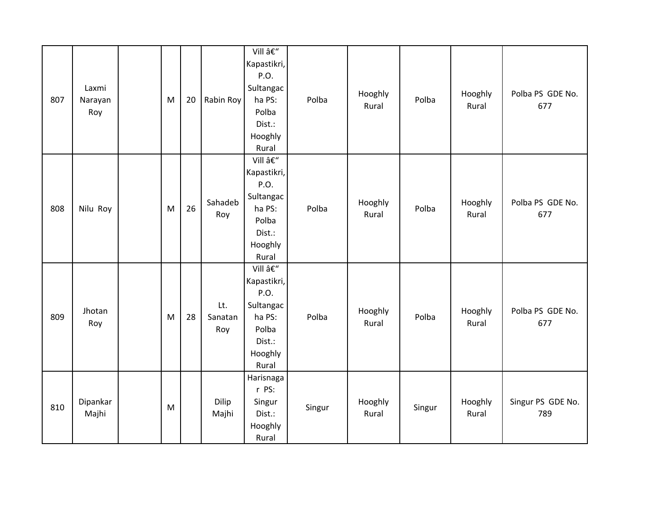| 807 | Laxmi<br>Narayan<br>Roy | M | 20 | Rabin Roy             | Vill –<br>Kapastikri,<br>P.O.<br>Sultangac<br>ha PS:<br>Polba<br>Dist.:<br>Hooghly<br>Rural | Polba  | Hooghly<br>Rural | Polba  | Hooghly<br>Rural | Polba PS GDE No.<br>677  |
|-----|-------------------------|---|----|-----------------------|---------------------------------------------------------------------------------------------|--------|------------------|--------|------------------|--------------------------|
| 808 | Nilu Roy                | M | 26 | Sahadeb<br>Roy        | Vill –<br>Kapastikri,<br>P.O.<br>Sultangac<br>ha PS:<br>Polba<br>Dist.:<br>Hooghly<br>Rural | Polba  | Hooghly<br>Rural | Polba  | Hooghly<br>Rural | Polba PS GDE No.<br>677  |
| 809 | Jhotan<br>Roy           | M | 28 | Lt.<br>Sanatan<br>Roy | Vill –<br>Kapastikri,<br>P.O.<br>Sultangac<br>ha PS:<br>Polba<br>Dist.:<br>Hooghly<br>Rural | Polba  | Hooghly<br>Rural | Polba  | Hooghly<br>Rural | Polba PS GDE No.<br>677  |
| 810 | Dipankar<br>Majhi       | M |    | Dilip<br>Majhi        | Harisnaga<br>r PS:<br>Singur<br>Dist.:<br>Hooghly<br>Rural                                  | Singur | Hooghly<br>Rural | Singur | Hooghly<br>Rural | Singur PS GDE No.<br>789 |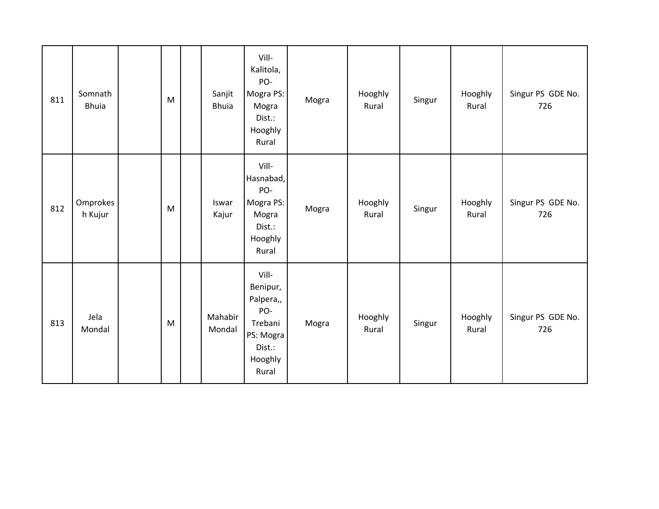| 811 | Somnath<br><b>Bhuia</b> | M | Sanjit<br><b>Bhuia</b> | Vill-<br>Kalitola,<br>PO-<br>Mogra PS:<br>Mogra<br>Dist.:<br>Hooghly<br>Rural               | Mogra | Hooghly<br>Rural | Singur | Hooghly<br>Rural | Singur PS GDE No.<br>726 |
|-----|-------------------------|---|------------------------|---------------------------------------------------------------------------------------------|-------|------------------|--------|------------------|--------------------------|
| 812 | Omprokes<br>h Kujur     | M | Iswar<br>Kajur         | Vill-<br>Hasnabad,<br>PO-<br>Mogra PS:<br>Mogra<br>Dist.:<br>Hooghly<br>Rural               | Mogra | Hooghly<br>Rural | Singur | Hooghly<br>Rural | Singur PS GDE No.<br>726 |
| 813 | Jela<br>Mondal          | M | Mahabir<br>Mondal      | Vill-<br>Benipur,<br>Palpera,,<br>PO-<br>Trebani<br>PS: Mogra<br>Dist.:<br>Hooghly<br>Rural | Mogra | Hooghly<br>Rural | Singur | Hooghly<br>Rural | Singur PS GDE No.<br>726 |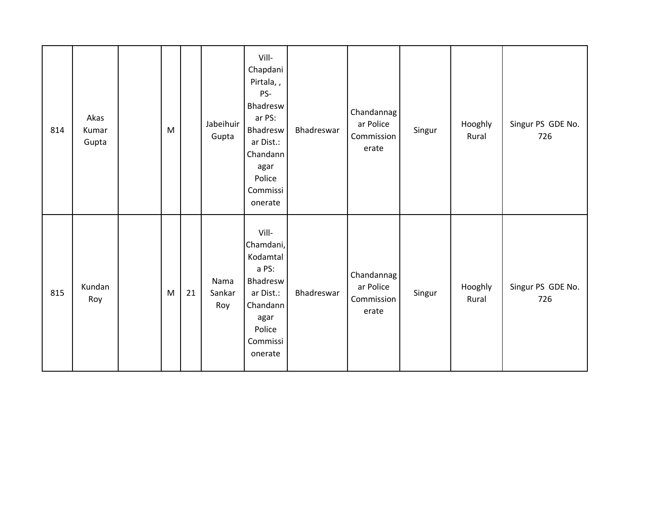| 814 | Akas<br>Kumar<br>Gupta | M |    | Jabeihuir<br>Gupta    | Vill-<br>Chapdani<br>Pirtala,,<br>PS-<br>Bhadresw<br>ar PS:<br>Bhadresw<br>ar Dist.:<br>Chandann<br>agar<br>Police<br>Commissi<br>onerate | Bhadreswar | Chandannag<br>ar Police<br>Commission<br>erate | Singur | Hooghly<br>Rural | Singur PS GDE No.<br>726 |
|-----|------------------------|---|----|-----------------------|-------------------------------------------------------------------------------------------------------------------------------------------|------------|------------------------------------------------|--------|------------------|--------------------------|
| 815 | Kundan<br>Roy          | M | 21 | Nama<br>Sankar<br>Roy | Vill-<br>Chamdani,<br>Kodamtal<br>a PS:<br>Bhadresw<br>ar Dist.:<br>Chandann<br>agar<br>Police<br>Commissi<br>onerate                     | Bhadreswar | Chandannag<br>ar Police<br>Commission<br>erate | Singur | Hooghly<br>Rural | Singur PS GDE No.<br>726 |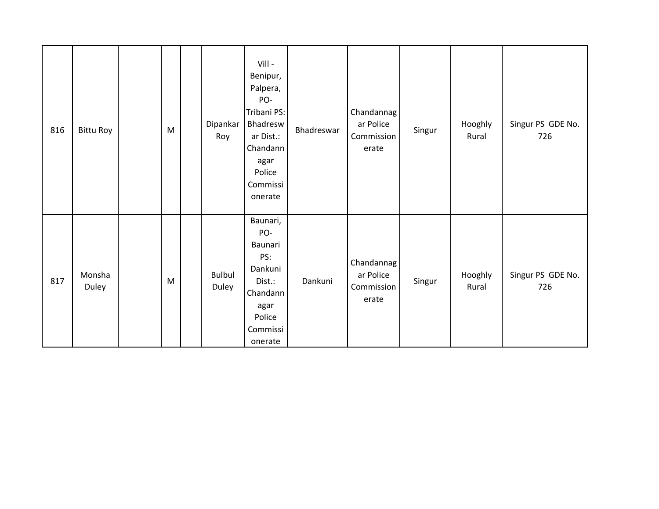| 816 | <b>Bittu Roy</b> | M | Dipankar<br>Roy        | Vill -<br>Benipur,<br>Palpera,<br>PO-<br>Tribani PS:<br>Bhadresw<br>ar Dist.:<br>Chandann<br>agar<br>Police<br>Commissi<br>onerate | Bhadreswar | Chandannag<br>ar Police<br>Commission<br>erate | Singur | Hooghly<br>Rural | Singur PS GDE No.<br>726 |
|-----|------------------|---|------------------------|------------------------------------------------------------------------------------------------------------------------------------|------------|------------------------------------------------|--------|------------------|--------------------------|
| 817 | Monsha<br>Duley  | M | <b>Bulbul</b><br>Duley | Baunari,<br>PO-<br>Baunari<br>PS:<br>Dankuni<br>Dist.:<br>Chandann<br>agar<br>Police<br>Commissi<br>onerate                        | Dankuni    | Chandannag<br>ar Police<br>Commission<br>erate | Singur | Hooghly<br>Rural | Singur PS GDE No.<br>726 |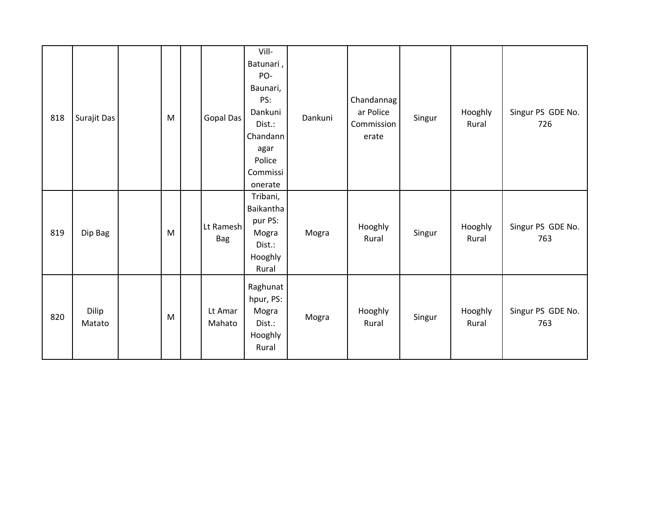| 818 | Surajit Das     | M | Gopal Das         | Vill-<br>Batunari,<br>PO-<br>Baunari,<br>PS:<br>Dankuni<br>Dist.:<br>Chandann<br>agar<br>Police<br>Commissi<br>onerate | Dankuni | Chandannag<br>ar Police<br>Commission<br>erate | Singur | Hooghly<br>Rural | Singur PS GDE No.<br>726 |
|-----|-----------------|---|-------------------|------------------------------------------------------------------------------------------------------------------------|---------|------------------------------------------------|--------|------------------|--------------------------|
| 819 | Dip Bag         | M | Lt Ramesh<br>Bag  | Tribani,<br>Baikantha<br>pur PS:<br>Mogra<br>Dist.:<br>Hooghly<br>Rural                                                | Mogra   | Hooghly<br>Rural                               | Singur | Hooghly<br>Rural | Singur PS GDE No.<br>763 |
| 820 | Dilip<br>Matato | M | Lt Amar<br>Mahato | Raghunat<br>hpur, PS:<br>Mogra<br>Dist.:<br>Hooghly<br>Rural                                                           | Mogra   | Hooghly<br>Rural                               | Singur | Hooghly<br>Rural | Singur PS GDE No.<br>763 |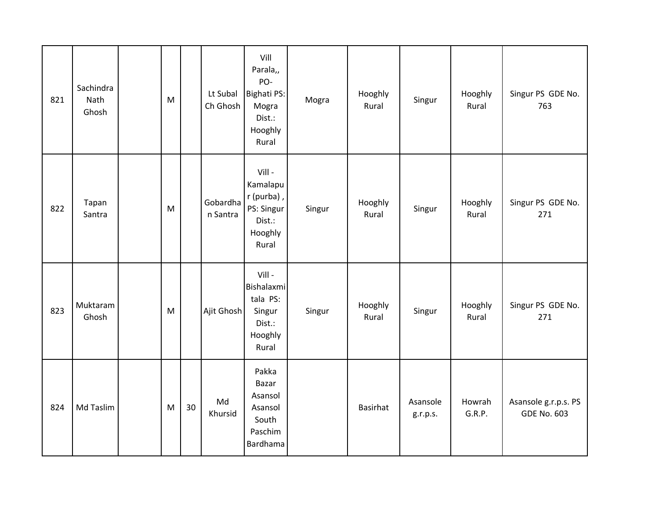| 821 | Sachindra<br>Nath<br>Ghosh | M |    | Lt Subal<br>Ch Ghosh | Vill<br>Parala,,<br>PO-<br><b>Bighati PS:</b><br>Mogra<br>Dist.:<br>Hooghly<br>Rural | Mogra  | Hooghly<br>Rural | Singur               | Hooghly<br>Rural | Singur PS GDE No.<br>763                   |
|-----|----------------------------|---|----|----------------------|--------------------------------------------------------------------------------------|--------|------------------|----------------------|------------------|--------------------------------------------|
| 822 | Tapan<br>Santra            | M |    | Gobardha<br>n Santra | Vill -<br>Kamalapu<br>r (purba),<br>PS: Singur<br>Dist.:<br>Hooghly<br>Rural         | Singur | Hooghly<br>Rural | Singur               | Hooghly<br>Rural | Singur PS GDE No.<br>271                   |
| 823 | Muktaram<br>Ghosh          | M |    | Ajit Ghosh           | Vill -<br>Bishalaxmi<br>tala PS:<br>Singur<br>Dist.:<br>Hooghly<br>Rural             | Singur | Hooghly<br>Rural | Singur               | Hooghly<br>Rural | Singur PS GDE No.<br>271                   |
| 824 | Md Taslim                  | M | 30 | Md<br>Khursid        | Pakka<br>Bazar<br>Asansol<br>Asansol<br>South<br>Paschim<br>Bardhama                 |        | <b>Basirhat</b>  | Asansole<br>g.r.p.s. | Howrah<br>G.R.P. | Asansole g.r.p.s. PS<br><b>GDE No. 603</b> |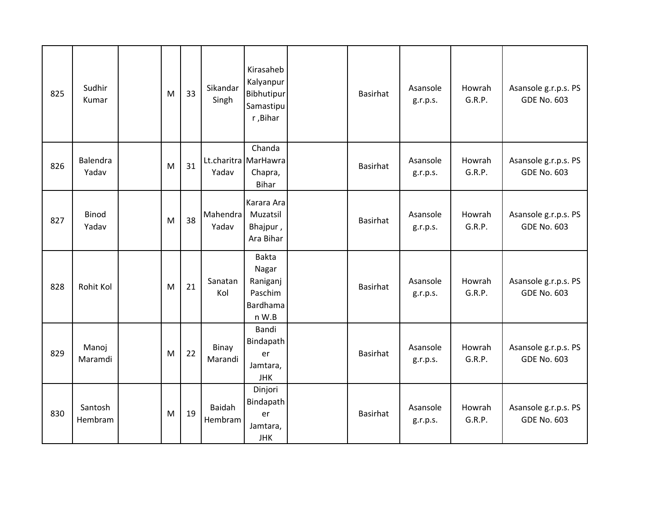| 825 | Sudhir<br>Kumar       | M | 33 | Sikandar<br>Singh        | Kirasaheb<br>Kalyanpur<br>Bibhutipur<br>Samastipu<br>r, Bihar | <b>Basirhat</b> | Asansole<br>g.r.p.s. | Howrah<br>G.R.P. | Asansole g.r.p.s. PS<br><b>GDE No. 603</b> |
|-----|-----------------------|---|----|--------------------------|---------------------------------------------------------------|-----------------|----------------------|------------------|--------------------------------------------|
| 826 | Balendra<br>Yadav     | M | 31 | Yadav                    | Chanda<br>Lt.charitra MarHawra<br>Chapra,<br><b>Bihar</b>     | Basirhat        | Asansole<br>g.r.p.s. | Howrah<br>G.R.P. | Asansole g.r.p.s. PS<br><b>GDE No. 603</b> |
| 827 | <b>Binod</b><br>Yadav | M | 38 | Mahendra<br>Yadav        | Karara Ara<br>Muzatsil<br>Bhajpur,<br>Ara Bihar               | <b>Basirhat</b> | Asansole<br>g.r.p.s. | Howrah<br>G.R.P. | Asansole g.r.p.s. PS<br><b>GDE No. 603</b> |
| 828 | Rohit Kol             | M | 21 | Sanatan<br>Kol           | Bakta<br>Nagar<br>Raniganj<br>Paschim<br>Bardhama<br>n W.B    | <b>Basirhat</b> | Asansole<br>g.r.p.s. | Howrah<br>G.R.P. | Asansole g.r.p.s. PS<br><b>GDE No. 603</b> |
| 829 | Manoj<br>Maramdi      | M | 22 | Binay<br>Marandi         | Bandi<br>Bindapath<br>er<br>Jamtara,<br><b>JHK</b>            | <b>Basirhat</b> | Asansole<br>g.r.p.s. | Howrah<br>G.R.P. | Asansole g.r.p.s. PS<br><b>GDE No. 603</b> |
| 830 | Santosh<br>Hembram    | M | 19 | <b>Baidah</b><br>Hembram | Dinjori<br>Bindapath<br>er<br>Jamtara,<br><b>JHK</b>          | <b>Basirhat</b> | Asansole<br>g.r.p.s. | Howrah<br>G.R.P. | Asansole g.r.p.s. PS<br><b>GDE No. 603</b> |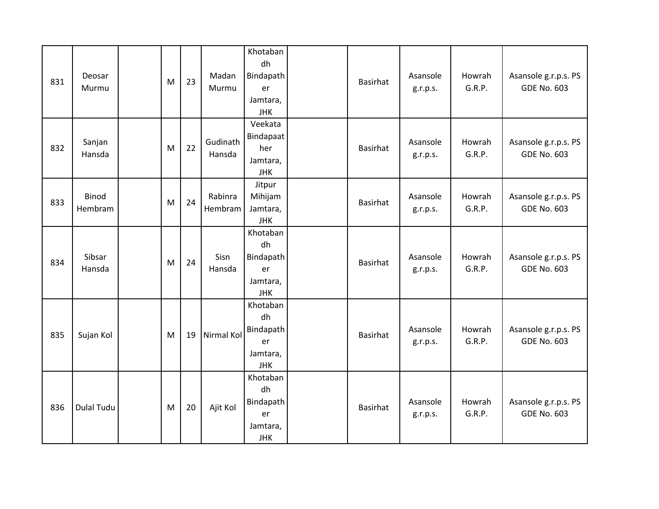| 831 | Deosar<br>Murmu  | M | 23 | Madan<br>Murmu     | Khotaban<br>dh<br>Bindapath<br>er<br>Jamtara,<br><b>JHK</b> | <b>Basirhat</b> | Asansole<br>g.r.p.s. | Howrah<br>G.R.P. | Asansole g.r.p.s. PS<br><b>GDE No. 603</b> |
|-----|------------------|---|----|--------------------|-------------------------------------------------------------|-----------------|----------------------|------------------|--------------------------------------------|
| 832 | Sanjan<br>Hansda | M | 22 | Gudinath<br>Hansda | Veekata<br>Bindapaat<br>her<br>Jamtara,<br><b>JHK</b>       | <b>Basirhat</b> | Asansole<br>g.r.p.s. | Howrah<br>G.R.P. | Asansole g.r.p.s. PS<br><b>GDE No. 603</b> |
| 833 | Binod<br>Hembram | M | 24 | Rabinra<br>Hembram | Jitpur<br>Mihijam<br>Jamtara,<br><b>JHK</b>                 | <b>Basirhat</b> | Asansole<br>g.r.p.s. | Howrah<br>G.R.P. | Asansole g.r.p.s. PS<br><b>GDE No. 603</b> |
| 834 | Sibsar<br>Hansda | M | 24 | Sisn<br>Hansda     | Khotaban<br>dh<br>Bindapath<br>er<br>Jamtara,<br><b>JHK</b> | <b>Basirhat</b> | Asansole<br>g.r.p.s. | Howrah<br>G.R.P. | Asansole g.r.p.s. PS<br><b>GDE No. 603</b> |
| 835 | Sujan Kol        | M | 19 | Nirmal Kol         | Khotaban<br>dh<br>Bindapath<br>er<br>Jamtara,<br><b>JHK</b> | <b>Basirhat</b> | Asansole<br>g.r.p.s. | Howrah<br>G.R.P. | Asansole g.r.p.s. PS<br><b>GDE No. 603</b> |
| 836 | Dulal Tudu       | M | 20 | Ajit Kol           | Khotaban<br>dh<br>Bindapath<br>er<br>Jamtara,<br><b>JHK</b> | <b>Basirhat</b> | Asansole<br>g.r.p.s. | Howrah<br>G.R.P. | Asansole g.r.p.s. PS<br><b>GDE No. 603</b> |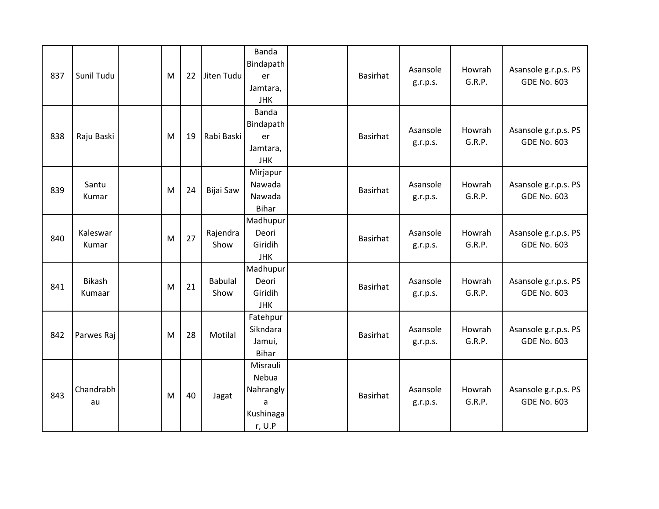| 837 | Sunil Tudu        | M | 22 | Jiten Tudu             | Banda<br>Bindapath<br>er<br>Jamtara,<br><b>JHK</b>         | Basirhat        | Asansole<br>g.r.p.s. | Howrah<br>G.R.P. | Asansole g.r.p.s. PS<br><b>GDE No. 603</b> |
|-----|-------------------|---|----|------------------------|------------------------------------------------------------|-----------------|----------------------|------------------|--------------------------------------------|
| 838 | Raju Baski        | M | 19 | Rabi Baski             | Banda<br>Bindapath<br>er<br>Jamtara,<br><b>JHK</b>         | Basirhat        | Asansole<br>g.r.p.s. | Howrah<br>G.R.P. | Asansole g.r.p.s. PS<br><b>GDE No. 603</b> |
| 839 | Santu<br>Kumar    | M | 24 | Bijai Saw              | Mirjapur<br>Nawada<br>Nawada<br><b>Bihar</b>               | <b>Basirhat</b> | Asansole<br>g.r.p.s. | Howrah<br>G.R.P. | Asansole g.r.p.s. PS<br><b>GDE No. 603</b> |
| 840 | Kaleswar<br>Kumar | M | 27 | Rajendra<br>Show       | Madhupur<br>Deori<br>Giridih<br><b>JHK</b>                 | Basirhat        | Asansole<br>g.r.p.s. | Howrah<br>G.R.P. | Asansole g.r.p.s. PS<br><b>GDE No. 603</b> |
| 841 | Bikash<br>Kumaar  | M | 21 | <b>Babulal</b><br>Show | Madhupur<br>Deori<br>Giridih<br><b>JHK</b>                 | Basirhat        | Asansole<br>g.r.p.s. | Howrah<br>G.R.P. | Asansole g.r.p.s. PS<br><b>GDE No. 603</b> |
| 842 | Parwes Raj        | M | 28 | Motilal                | Fatehpur<br>Sikndara<br>Jamui,<br><b>Bihar</b>             | Basirhat        | Asansole<br>g.r.p.s. | Howrah<br>G.R.P. | Asansole g.r.p.s. PS<br><b>GDE No. 603</b> |
| 843 | Chandrabh<br>au   | M | 40 | Jagat                  | Misrauli<br>Nebua<br>Nahrangly<br>a<br>Kushinaga<br>r, U.P | Basirhat        | Asansole<br>g.r.p.s. | Howrah<br>G.R.P. | Asansole g.r.p.s. PS<br><b>GDE No. 603</b> |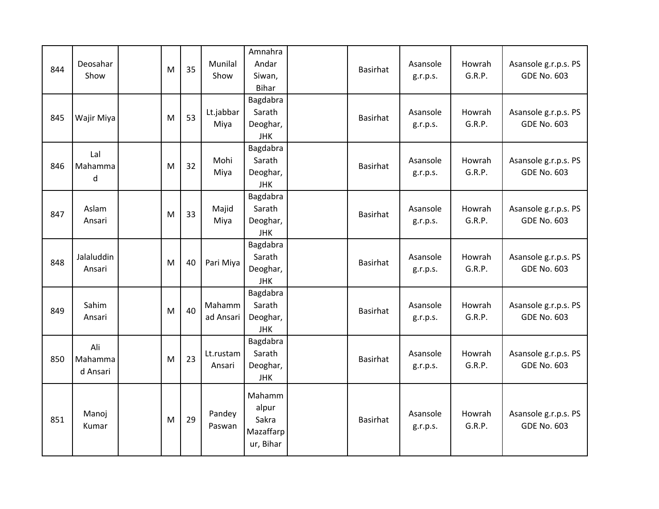| 844 | Deosahar<br>Show           | M | 35 | Munilal<br>Show     | Amnahra<br>Andar<br>Siwan,<br><b>Bihar</b>         | <b>Basirhat</b> | Asansole<br>g.r.p.s. | Howrah<br>G.R.P. | Asansole g.r.p.s. PS<br><b>GDE No. 603</b> |
|-----|----------------------------|---|----|---------------------|----------------------------------------------------|-----------------|----------------------|------------------|--------------------------------------------|
| 845 | Wajir Miya                 | M | 53 | Lt.jabbar<br>Miya   | Bagdabra<br>Sarath<br>Deoghar,<br><b>JHK</b>       | <b>Basirhat</b> | Asansole<br>g.r.p.s. | Howrah<br>G.R.P. | Asansole g.r.p.s. PS<br><b>GDE No. 603</b> |
| 846 | Lal<br>Mahamma<br>d        | M | 32 | Mohi<br>Miya        | Bagdabra<br>Sarath<br>Deoghar,<br><b>JHK</b>       | Basirhat        | Asansole<br>g.r.p.s. | Howrah<br>G.R.P. | Asansole g.r.p.s. PS<br><b>GDE No. 603</b> |
| 847 | Aslam<br>Ansari            | M | 33 | Majid<br>Miya       | Bagdabra<br>Sarath<br>Deoghar,<br><b>JHK</b>       | Basirhat        | Asansole<br>g.r.p.s. | Howrah<br>G.R.P. | Asansole g.r.p.s. PS<br><b>GDE No. 603</b> |
| 848 | Jalaluddin<br>Ansari       | M | 40 | Pari Miya           | Bagdabra<br>Sarath<br>Deoghar,<br><b>JHK</b>       | <b>Basirhat</b> | Asansole<br>g.r.p.s. | Howrah<br>G.R.P. | Asansole g.r.p.s. PS<br><b>GDE No. 603</b> |
| 849 | Sahim<br>Ansari            | M | 40 | Mahamm<br>ad Ansari | Bagdabra<br>Sarath<br>Deoghar,<br><b>JHK</b>       | Basirhat        | Asansole<br>g.r.p.s. | Howrah<br>G.R.P. | Asansole g.r.p.s. PS<br><b>GDE No. 603</b> |
| 850 | Ali<br>Mahamma<br>d Ansari | M | 23 | Lt.rustam<br>Ansari | Bagdabra<br>Sarath<br>Deoghar,<br><b>JHK</b>       | <b>Basirhat</b> | Asansole<br>g.r.p.s. | Howrah<br>G.R.P. | Asansole g.r.p.s. PS<br><b>GDE No. 603</b> |
| 851 | Manoj<br>Kumar             | M | 29 | Pandey<br>Paswan    | Mahamm<br>alpur<br>Sakra<br>Mazaffarp<br>ur, Bihar | <b>Basirhat</b> | Asansole<br>g.r.p.s. | Howrah<br>G.R.P. | Asansole g.r.p.s. PS<br><b>GDE No. 603</b> |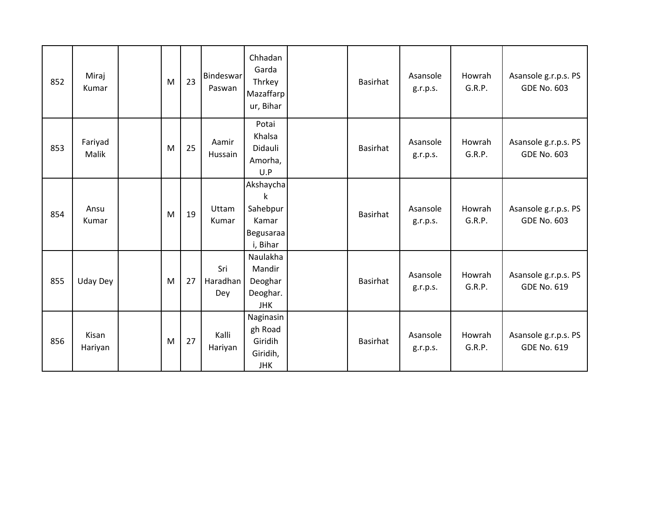| 852 | Miraj<br>Kumar   | M | 23 | Bindeswar<br>Paswan    | Chhadan<br>Garda<br>Thrkey<br>Mazaffarp<br>ur, Bihar         | <b>Basirhat</b> | Asansole<br>g.r.p.s. | Howrah<br>G.R.P. | Asansole g.r.p.s. PS<br><b>GDE No. 603</b> |
|-----|------------------|---|----|------------------------|--------------------------------------------------------------|-----------------|----------------------|------------------|--------------------------------------------|
| 853 | Fariyad<br>Malik | M | 25 | Aamir<br>Hussain       | Potai<br>Khalsa<br>Didauli<br>Amorha,<br>U.P                 | <b>Basirhat</b> | Asansole<br>g.r.p.s. | Howrah<br>G.R.P. | Asansole g.r.p.s. PS<br><b>GDE No. 603</b> |
| 854 | Ansu<br>Kumar    | M | 19 | Uttam<br>Kumar         | Akshaycha<br>k<br>Sahebpur<br>Kamar<br>Begusaraa<br>i, Bihar | <b>Basirhat</b> | Asansole<br>g.r.p.s. | Howrah<br>G.R.P. | Asansole g.r.p.s. PS<br><b>GDE No. 603</b> |
| 855 | <b>Uday Dey</b>  | M | 27 | Sri<br>Haradhan<br>Dey | Naulakha<br>Mandir<br>Deoghar<br>Deoghar.<br><b>JHK</b>      | <b>Basirhat</b> | Asansole<br>g.r.p.s. | Howrah<br>G.R.P. | Asansole g.r.p.s. PS<br><b>GDE No. 619</b> |
| 856 | Kisan<br>Hariyan | M | 27 | Kalli<br>Hariyan       | Naginasin<br>gh Road<br>Giridih<br>Giridih,<br><b>JHK</b>    | <b>Basirhat</b> | Asansole<br>g.r.p.s. | Howrah<br>G.R.P. | Asansole g.r.p.s. PS<br><b>GDE No. 619</b> |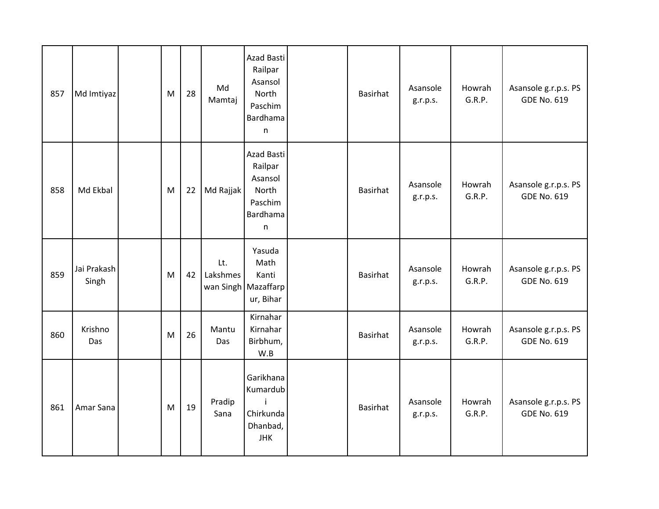| 857 | Md Imtiyaz           | M | 28 | Md<br>Mamtaj    | Azad Basti<br>Railpar<br>Asansol<br>North<br>Paschim<br>Bardhama<br>n | <b>Basirhat</b> | Asansole<br>g.r.p.s. | Howrah<br>G.R.P. | Asansole g.r.p.s. PS<br><b>GDE No. 619</b> |
|-----|----------------------|---|----|-----------------|-----------------------------------------------------------------------|-----------------|----------------------|------------------|--------------------------------------------|
| 858 | Md Ekbal             | M | 22 | Md Rajjak       | Azad Basti<br>Railpar<br>Asansol<br>North<br>Paschim<br>Bardhama<br>n | <b>Basirhat</b> | Asansole<br>g.r.p.s. | Howrah<br>G.R.P. | Asansole g.r.p.s. PS<br><b>GDE No. 619</b> |
| 859 | Jai Prakash<br>Singh | M | 42 | Lt.<br>Lakshmes | Yasuda<br>Math<br>Kanti<br>wan Singh   Mazaffarp<br>ur, Bihar         | <b>Basirhat</b> | Asansole<br>g.r.p.s. | Howrah<br>G.R.P. | Asansole g.r.p.s. PS<br><b>GDE No. 619</b> |
| 860 | Krishno<br>Das       | M | 26 | Mantu<br>Das    | Kirnahar<br>Kirnahar<br>Birbhum,<br>W.B                               | Basirhat        | Asansole<br>g.r.p.s. | Howrah<br>G.R.P. | Asansole g.r.p.s. PS<br><b>GDE No. 619</b> |
| 861 | Amar Sana            | M | 19 | Pradip<br>Sana  | Garikhana<br>Kumardub<br>Chirkunda<br>Dhanbad,<br><b>JHK</b>          | Basirhat        | Asansole<br>g.r.p.s. | Howrah<br>G.R.P. | Asansole g.r.p.s. PS<br><b>GDE No. 619</b> |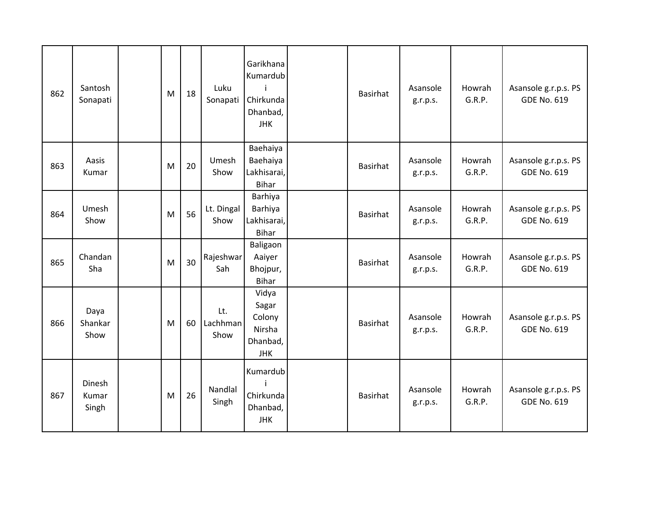| 862 | Santosh<br>Sonapati      | M | 18 | Luku<br>Sonapati        | Garikhana<br>Kumardub<br>j.<br>Chirkunda<br>Dhanbad,<br><b>JHK</b> | Basirhat        | Asansole<br>g.r.p.s. | Howrah<br>G.R.P. | Asansole g.r.p.s. PS<br><b>GDE No. 619</b> |
|-----|--------------------------|---|----|-------------------------|--------------------------------------------------------------------|-----------------|----------------------|------------------|--------------------------------------------|
| 863 | Aasis<br>Kumar           | M | 20 | Umesh<br>Show           | Baehaiya<br>Baehaiya<br>Lakhisarai,<br><b>Bihar</b>                | Basirhat        | Asansole<br>g.r.p.s. | Howrah<br>G.R.P. | Asansole g.r.p.s. PS<br><b>GDE No. 619</b> |
| 864 | Umesh<br>Show            | M | 56 | Lt. Dingal<br>Show      | Barhiya<br>Barhiya<br>Lakhisarai,<br><b>Bihar</b>                  | Basirhat        | Asansole<br>g.r.p.s. | Howrah<br>G.R.P. | Asansole g.r.p.s. PS<br><b>GDE No. 619</b> |
| 865 | Chandan<br>Sha           | M | 30 | Rajeshwar<br>Sah        | Baligaon<br>Aaiyer<br>Bhojpur,<br><b>Bihar</b>                     | <b>Basirhat</b> | Asansole<br>g.r.p.s. | Howrah<br>G.R.P. | Asansole g.r.p.s. PS<br><b>GDE No. 619</b> |
| 866 | Daya<br>Shankar<br>Show  | M | 60 | Lt.<br>Lachhman<br>Show | Vidya<br>Sagar<br>Colony<br>Nirsha<br>Dhanbad,<br><b>JHK</b>       | <b>Basirhat</b> | Asansole<br>g.r.p.s. | Howrah<br>G.R.P. | Asansole g.r.p.s. PS<br><b>GDE No. 619</b> |
| 867 | Dinesh<br>Kumar<br>Singh | M | 26 | Nandlal<br>Singh        | Kumardub<br>Chirkunda<br>Dhanbad,<br><b>JHK</b>                    | Basirhat        | Asansole<br>g.r.p.s. | Howrah<br>G.R.P. | Asansole g.r.p.s. PS<br><b>GDE No. 619</b> |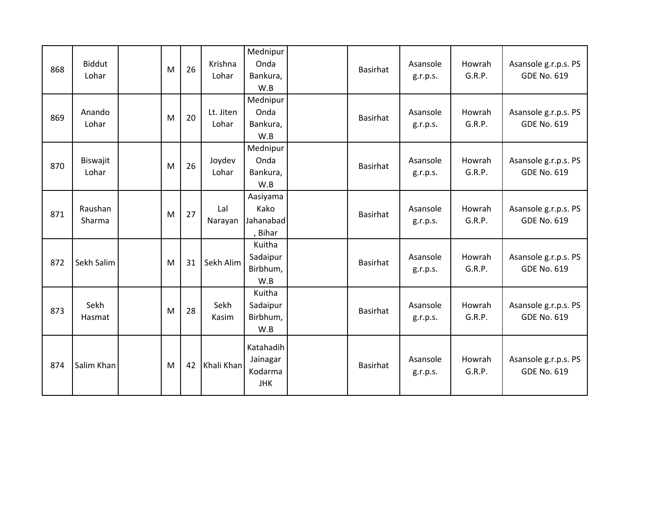| 868 | <b>Biddut</b><br>Lohar | M | 26 | Krishna<br>Lohar   | Mednipur<br>Onda<br>Bankura,<br>W.B            | <b>Basirhat</b> | Asansole<br>g.r.p.s. | Howrah<br>G.R.P. | Asansole g.r.p.s. PS<br><b>GDE No. 619</b> |
|-----|------------------------|---|----|--------------------|------------------------------------------------|-----------------|----------------------|------------------|--------------------------------------------|
| 869 | Anando<br>Lohar        | M | 20 | Lt. Jiten<br>Lohar | Mednipur<br>Onda<br>Bankura,<br>W.B            | <b>Basirhat</b> | Asansole<br>g.r.p.s. | Howrah<br>G.R.P. | Asansole g.r.p.s. PS<br><b>GDE No. 619</b> |
| 870 | Biswajit<br>Lohar      | M | 26 | Joydev<br>Lohar    | Mednipur<br>Onda<br>Bankura,<br>W.B            | <b>Basirhat</b> | Asansole<br>g.r.p.s. | Howrah<br>G.R.P. | Asansole g.r.p.s. PS<br><b>GDE No. 619</b> |
| 871 | Raushan<br>Sharma      | M | 27 | Lal<br>Narayan     | Aasiyama<br>Kako<br>Jahanabad<br>, Bihar       | <b>Basirhat</b> | Asansole<br>g.r.p.s. | Howrah<br>G.R.P. | Asansole g.r.p.s. PS<br><b>GDE No. 619</b> |
| 872 | Sekh Salim             | M | 31 | Sekh Alim          | Kuitha<br>Sadaipur<br>Birbhum,<br>W.B          | <b>Basirhat</b> | Asansole<br>g.r.p.s. | Howrah<br>G.R.P. | Asansole g.r.p.s. PS<br><b>GDE No. 619</b> |
| 873 | Sekh<br>Hasmat         | M | 28 | Sekh<br>Kasim      | Kuitha<br>Sadaipur<br>Birbhum,<br>W.B          | <b>Basirhat</b> | Asansole<br>g.r.p.s. | Howrah<br>G.R.P. | Asansole g.r.p.s. PS<br><b>GDE No. 619</b> |
| 874 | Salim Khan             | M | 42 | Khali Khan         | Katahadih<br>Jainagar<br>Kodarma<br><b>JHK</b> | <b>Basirhat</b> | Asansole<br>g.r.p.s. | Howrah<br>G.R.P. | Asansole g.r.p.s. PS<br><b>GDE No. 619</b> |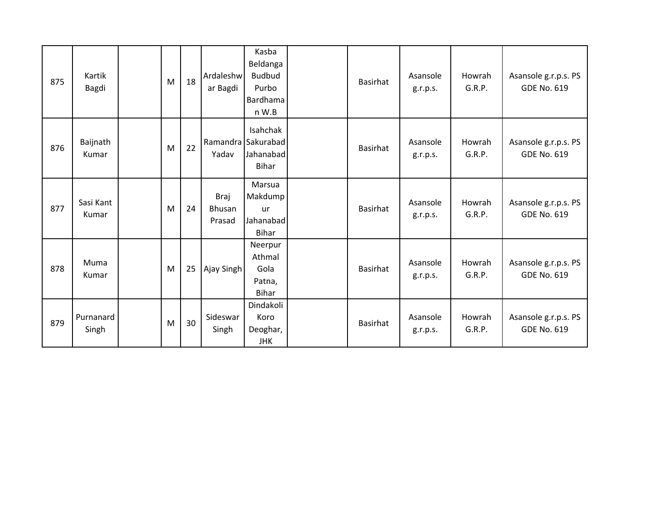| 875 | Kartik<br>Bagdi    | M | 18 | Ardaleshw<br>ar Bagdi    | Kasba<br>Beldanga<br><b>Budbud</b><br>Purbo<br>Bardhama<br>n W.B | <b>Basirhat</b> | Asansole<br>g.r.p.s. | Howrah<br>G.R.P. | Asansole g.r.p.s. PS<br><b>GDE No. 619</b> |
|-----|--------------------|---|----|--------------------------|------------------------------------------------------------------|-----------------|----------------------|------------------|--------------------------------------------|
| 876 | Baijnath<br>Kumar  | M | 22 | Yadav                    | Isahchak<br>Ramandra Sakurabad<br>Jahanabad<br>Bihar             | Basirhat        | Asansole<br>g.r.p.s. | Howrah<br>G.R.P. | Asansole g.r.p.s. PS<br><b>GDE No. 619</b> |
| 877 | Sasi Kant<br>Kumar | M | 24 | Braj<br>Bhusan<br>Prasad | Marsua<br>Makdump<br><b>ur</b><br>Jahanabad<br>Bihar             | Basirhat        | Asansole<br>g.r.p.s. | Howrah<br>G.R.P. | Asansole g.r.p.s. PS<br><b>GDE No. 619</b> |
| 878 | Muma<br>Kumar      | M | 25 | Ajay Singh               | Neerpur<br>Athmal<br>Gola<br>Patna,<br>Bihar                     | Basirhat        | Asansole<br>g.r.p.s. | Howrah<br>G.R.P. | Asansole g.r.p.s. PS<br><b>GDE No. 619</b> |
| 879 | Purnanard<br>Singh | M | 30 | Sideswar<br>Singh        | Dindakoli<br>Koro<br>Deoghar,<br><b>JHK</b>                      | <b>Basirhat</b> | Asansole<br>g.r.p.s. | Howrah<br>G.R.P. | Asansole g.r.p.s. PS<br><b>GDE No. 619</b> |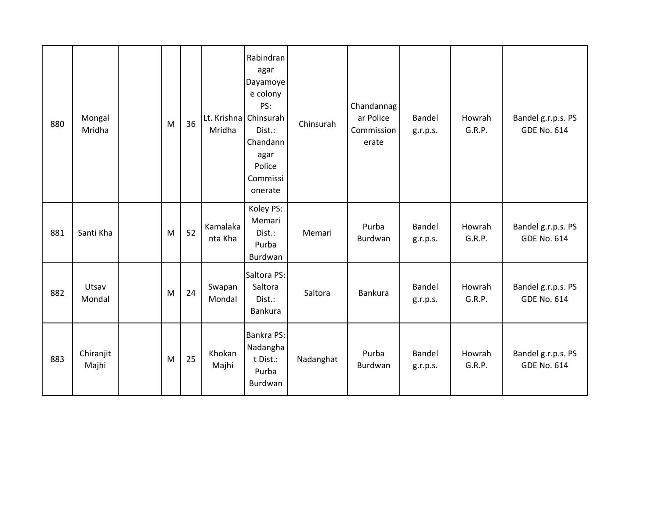| 880 | Mongal<br>Mridha   | M | 36 | Mridha              | Rabindran<br>agar<br>Dayamoye<br>e colony<br>PS:<br>Lt. Krishna Chinsurah<br>Dist.:<br>Chandann<br>agar<br>Police<br>Commissi<br>onerate | Chinsurah | Chandannag<br>ar Police<br>Commission<br>erate | <b>Bandel</b><br>g.r.p.s. | Howrah<br>G.R.P. | Bandel g.r.p.s. PS<br><b>GDE No. 614</b> |
|-----|--------------------|---|----|---------------------|------------------------------------------------------------------------------------------------------------------------------------------|-----------|------------------------------------------------|---------------------------|------------------|------------------------------------------|
| 881 | Santi Kha          | M | 52 | Kamalaka<br>nta Kha | Koley PS:<br>Memari<br>Dist.:<br>Purba<br>Burdwan                                                                                        | Memari    | Purba<br>Burdwan                               | Bandel<br>g.r.p.s.        | Howrah<br>G.R.P. | Bandel g.r.p.s. PS<br><b>GDE No. 614</b> |
| 882 | Utsav<br>Mondal    | M | 24 | Swapan<br>Mondal    | Saltora PS:<br>Saltora<br>Dist.:<br><b>Bankura</b>                                                                                       | Saltora   | <b>Bankura</b>                                 | Bandel<br>g.r.p.s.        | Howrah<br>G.R.P. | Bandel g.r.p.s. PS<br><b>GDE No. 614</b> |
| 883 | Chiranjit<br>Majhi | M | 25 | Khokan<br>Majhi     | Bankra PS:<br>Nadangha<br>t Dist.:<br>Purba<br>Burdwan                                                                                   | Nadanghat | Purba<br>Burdwan                               | Bandel<br>g.r.p.s.        | Howrah<br>G.R.P. | Bandel g.r.p.s. PS<br><b>GDE No. 614</b> |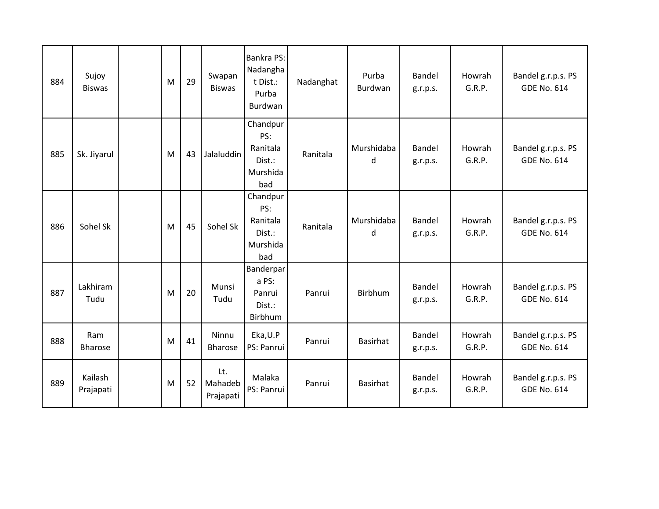| 884 | Sujoy<br><b>Biswas</b> | M | 29 | Swapan<br><b>Biswas</b>     | Bankra PS:<br>Nadangha<br>t Dist.:<br>Purba<br>Burdwan   | Nadanghat | Purba<br>Burdwan | Bandel<br>g.r.p.s. | Howrah<br>G.R.P. | Bandel g.r.p.s. PS<br><b>GDE No. 614</b> |
|-----|------------------------|---|----|-----------------------------|----------------------------------------------------------|-----------|------------------|--------------------|------------------|------------------------------------------|
| 885 | Sk. Jiyarul            | M | 43 | Jalaluddin                  | Chandpur<br>PS:<br>Ranitala<br>Dist.:<br>Murshida<br>bad | Ranitala  | Murshidaba<br>d  | Bandel<br>g.r.p.s. | Howrah<br>G.R.P. | Bandel g.r.p.s. PS<br><b>GDE No. 614</b> |
| 886 | Sohel Sk               | M | 45 | Sohel Sk                    | Chandpur<br>PS:<br>Ranitala<br>Dist.:<br>Murshida<br>bad | Ranitala  | Murshidaba<br>d  | Bandel<br>g.r.p.s. | Howrah<br>G.R.P. | Bandel g.r.p.s. PS<br><b>GDE No. 614</b> |
| 887 | Lakhiram<br>Tudu       | M | 20 | Munsi<br>Tudu               | <b>Banderpar</b><br>a PS:<br>Panrui<br>Dist.:<br>Birbhum | Panrui    | <b>Birbhum</b>   | Bandel<br>g.r.p.s. | Howrah<br>G.R.P. | Bandel g.r.p.s. PS<br><b>GDE No. 614</b> |
| 888 | Ram<br>Bharose         | M | 41 | Ninnu<br><b>Bharose</b>     | Eka, U.P<br>PS: Panrui                                   | Panrui    | <b>Basirhat</b>  | Bandel<br>g.r.p.s. | Howrah<br>G.R.P. | Bandel g.r.p.s. PS<br><b>GDE No. 614</b> |
| 889 | Kailash<br>Prajapati   | M | 52 | Lt.<br>Mahadeb<br>Prajapati | Malaka<br>PS: Panrui                                     | Panrui    | <b>Basirhat</b>  | Bandel<br>g.r.p.s. | Howrah<br>G.R.P. | Bandel g.r.p.s. PS<br><b>GDE No. 614</b> |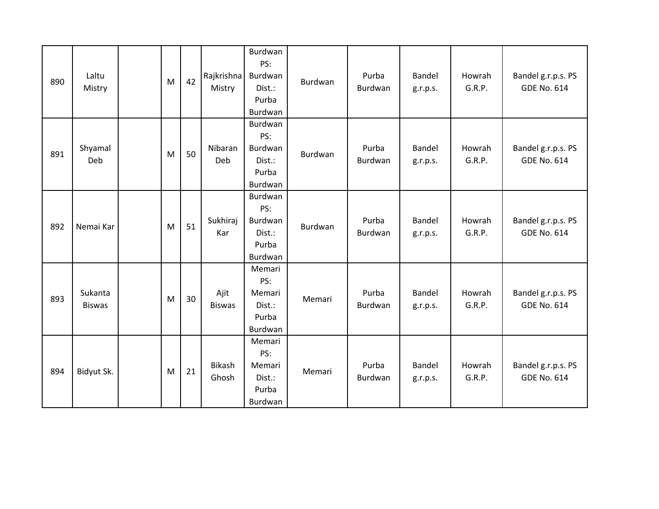| 890 | Laltu<br>Mistry          | M | 42 | Rajkrishna<br>Mistry   | Burdwan<br>PS:<br>Burdwan<br>Dist.:<br>Purba<br>Burdwan | Burdwan        | Purba<br>Burdwan | Bandel<br>g.r.p.s. | Howrah<br>G.R.P. | Bandel g.r.p.s. PS<br><b>GDE No. 614</b> |
|-----|--------------------------|---|----|------------------------|---------------------------------------------------------|----------------|------------------|--------------------|------------------|------------------------------------------|
| 891 | Shyamal<br>Deb           | M | 50 | Nibaran<br>Deb         | Burdwan<br>PS:<br>Burdwan<br>Dist.:<br>Purba<br>Burdwan | Burdwan        | Purba<br>Burdwan | Bandel<br>g.r.p.s. | Howrah<br>G.R.P. | Bandel g.r.p.s. PS<br><b>GDE No. 614</b> |
| 892 | Nemai Kar                | M | 51 | Sukhiraj<br>Kar        | Burdwan<br>PS:<br>Burdwan<br>Dist.:<br>Purba<br>Burdwan | <b>Burdwan</b> | Purba<br>Burdwan | Bandel<br>g.r.p.s. | Howrah<br>G.R.P. | Bandel g.r.p.s. PS<br><b>GDE No. 614</b> |
| 893 | Sukanta<br><b>Biswas</b> | M | 30 | Ajit<br><b>Biswas</b>  | Memari<br>PS:<br>Memari<br>Dist.:<br>Purba<br>Burdwan   | Memari         | Purba<br>Burdwan | Bandel<br>g.r.p.s. | Howrah<br>G.R.P. | Bandel g.r.p.s. PS<br><b>GDE No. 614</b> |
| 894 | Bidyut Sk.               | M | 21 | <b>Bikash</b><br>Ghosh | Memari<br>PS:<br>Memari<br>Dist.:<br>Purba<br>Burdwan   | Memari         | Purba<br>Burdwan | Bandel<br>g.r.p.s. | Howrah<br>G.R.P. | Bandel g.r.p.s. PS<br><b>GDE No. 614</b> |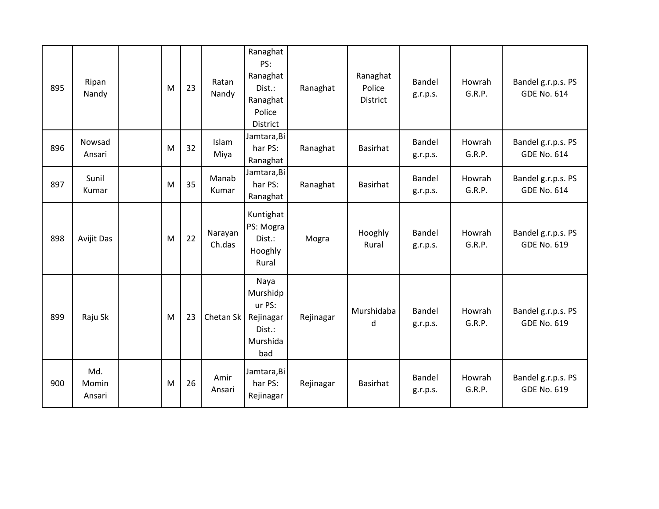| 895 | Ripan<br>Nandy         | M | 23 | Ratan<br>Nandy    | Ranaghat<br>PS:<br>Ranaghat<br>Dist.:<br>Ranaghat<br>Police<br>District | Ranaghat  | Ranaghat<br>Police<br><b>District</b> | Bandel<br>g.r.p.s. | Howrah<br>G.R.P. | Bandel g.r.p.s. PS<br><b>GDE No. 614</b> |
|-----|------------------------|---|----|-------------------|-------------------------------------------------------------------------|-----------|---------------------------------------|--------------------|------------------|------------------------------------------|
| 896 | Nowsad<br>Ansari       | M | 32 | Islam<br>Miya     | Jamtara, Bi<br>har PS:<br>Ranaghat                                      | Ranaghat  | <b>Basirhat</b>                       | Bandel<br>g.r.p.s. | Howrah<br>G.R.P. | Bandel g.r.p.s. PS<br><b>GDE No. 614</b> |
| 897 | Sunil<br>Kumar         | M | 35 | Manab<br>Kumar    | Jamtara, Bi<br>har PS:<br>Ranaghat                                      | Ranaghat  | <b>Basirhat</b>                       | Bandel<br>g.r.p.s. | Howrah<br>G.R.P. | Bandel g.r.p.s. PS<br><b>GDE No. 614</b> |
| 898 | Avijit Das             | M | 22 | Narayan<br>Ch.das | Kuntighat<br>PS: Mogra<br>Dist.:<br>Hooghly<br>Rural                    | Mogra     | Hooghly<br>Rural                      | Bandel<br>g.r.p.s. | Howrah<br>G.R.P. | Bandel g.r.p.s. PS<br><b>GDE No. 619</b> |
| 899 | Raju Sk                | M | 23 | Chetan Sk         | Naya<br>Murshidp<br>ur PS:<br>Rejinagar<br>Dist.:<br>Murshida<br>bad    | Rejinagar | Murshidaba<br>d                       | Bandel<br>g.r.p.s. | Howrah<br>G.R.P. | Bandel g.r.p.s. PS<br><b>GDE No. 619</b> |
| 900 | Md.<br>Momin<br>Ansari | M | 26 | Amir<br>Ansari    | Jamtara, Bi<br>har PS:<br>Rejinagar                                     | Rejinagar | Basirhat                              | Bandel<br>g.r.p.s. | Howrah<br>G.R.P. | Bandel g.r.p.s. PS<br><b>GDE No. 619</b> |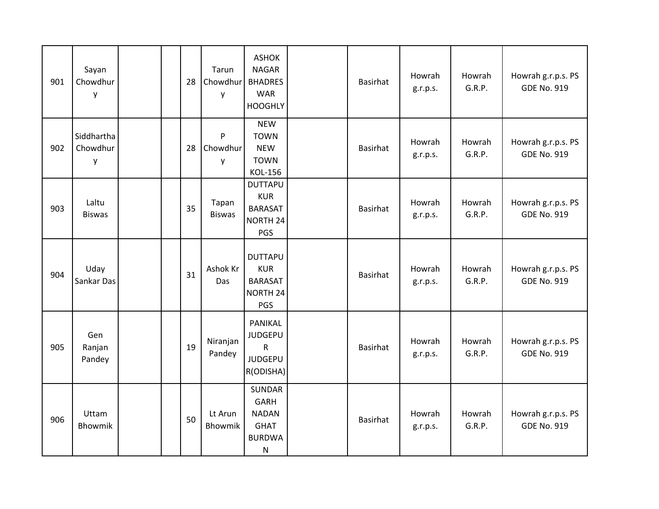| 901 | Sayan<br>Chowdhur<br>у      |  | 28 | Tarun<br>Chowdhur<br>y        | <b>ASHOK</b><br><b>NAGAR</b><br><b>BHADRES</b><br><b>WAR</b><br><b>HOOGHLY</b>            | <b>Basirhat</b> | Howrah<br>g.r.p.s. | Howrah<br>G.R.P. | Howrah g.r.p.s. PS<br><b>GDE No. 919</b> |
|-----|-----------------------------|--|----|-------------------------------|-------------------------------------------------------------------------------------------|-----------------|--------------------|------------------|------------------------------------------|
| 902 | Siddhartha<br>Chowdhur<br>y |  | 28 | $\mathsf{P}$<br>Chowdhur<br>y | <b>NEW</b><br><b>TOWN</b><br><b>NEW</b><br><b>TOWN</b><br>KOL-156                         | Basirhat        | Howrah<br>g.r.p.s. | Howrah<br>G.R.P. | Howrah g.r.p.s. PS<br><b>GDE No. 919</b> |
| 903 | Laltu<br><b>Biswas</b>      |  | 35 | Tapan<br><b>Biswas</b>        | <b>DUTTAPU</b><br><b>KUR</b><br><b>BARASAT</b><br>NORTH 24<br>PGS                         | <b>Basirhat</b> | Howrah<br>g.r.p.s. | Howrah<br>G.R.P. | Howrah g.r.p.s. PS<br><b>GDE No. 919</b> |
| 904 | Uday<br>Sankar Das          |  | 31 | Ashok Kr<br>Das               | <b>DUTTAPU</b><br><b>KUR</b><br><b>BARASAT</b><br>NORTH 24<br>PGS                         | Basirhat        | Howrah<br>g.r.p.s. | Howrah<br>G.R.P. | Howrah g.r.p.s. PS<br><b>GDE No. 919</b> |
| 905 | Gen<br>Ranjan<br>Pandey     |  | 19 | Niranjan<br>Pandey            | PANIKAL<br><b>JUDGEPU</b><br>$\mathsf{R}$<br><b>JUDGEPU</b><br>R(ODISHA)                  | <b>Basirhat</b> | Howrah<br>g.r.p.s. | Howrah<br>G.R.P. | Howrah g.r.p.s. PS<br><b>GDE No. 919</b> |
| 906 | Uttam<br>Bhowmik            |  | 50 | Lt Arun<br>Bhowmik            | <b>SUNDAR</b><br><b>GARH</b><br><b>NADAN</b><br><b>GHAT</b><br><b>BURDWA</b><br>${\sf N}$ | Basirhat        | Howrah<br>g.r.p.s. | Howrah<br>G.R.P. | Howrah g.r.p.s. PS<br><b>GDE No. 919</b> |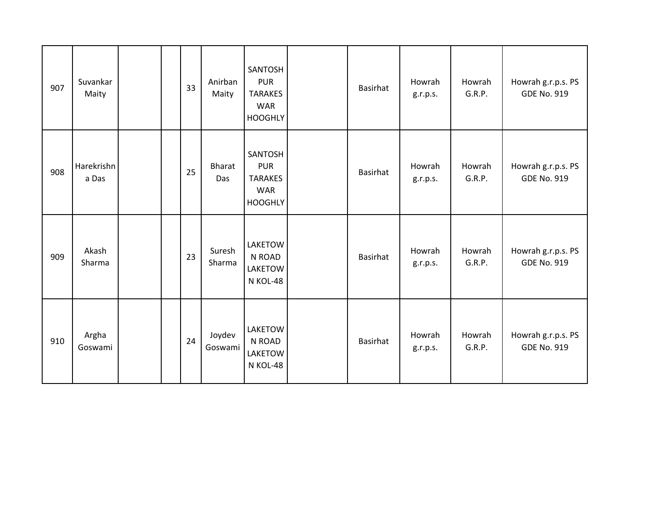| 907 | Suvankar<br>Maity   |  | 33 | Anirban<br>Maity     | SANTOSH<br><b>PUR</b><br><b>TARAKES</b><br><b>WAR</b><br><b>HOOGHLY</b> | <b>Basirhat</b> | Howrah<br>g.r.p.s. | Howrah<br>G.R.P. | Howrah g.r.p.s. PS<br><b>GDE No. 919</b> |
|-----|---------------------|--|----|----------------------|-------------------------------------------------------------------------|-----------------|--------------------|------------------|------------------------------------------|
| 908 | Harekrishn<br>a Das |  | 25 | <b>Bharat</b><br>Das | SANTOSH<br><b>PUR</b><br><b>TARAKES</b><br><b>WAR</b><br><b>HOOGHLY</b> | <b>Basirhat</b> | Howrah<br>g.r.p.s. | Howrah<br>G.R.P. | Howrah g.r.p.s. PS<br><b>GDE No. 919</b> |
| 909 | Akash<br>Sharma     |  | 23 | Suresh<br>Sharma     | LAKETOW<br>N ROAD<br><b>LAKETOW</b><br>N KOL-48                         | <b>Basirhat</b> | Howrah<br>g.r.p.s. | Howrah<br>G.R.P. | Howrah g.r.p.s. PS<br><b>GDE No. 919</b> |
| 910 | Argha<br>Goswami    |  | 24 | Joydev<br>Goswami    | LAKETOW<br>N ROAD<br><b>LAKETOW</b><br>N KOL-48                         | Basirhat        | Howrah<br>g.r.p.s. | Howrah<br>G.R.P. | Howrah g.r.p.s. PS<br><b>GDE No. 919</b> |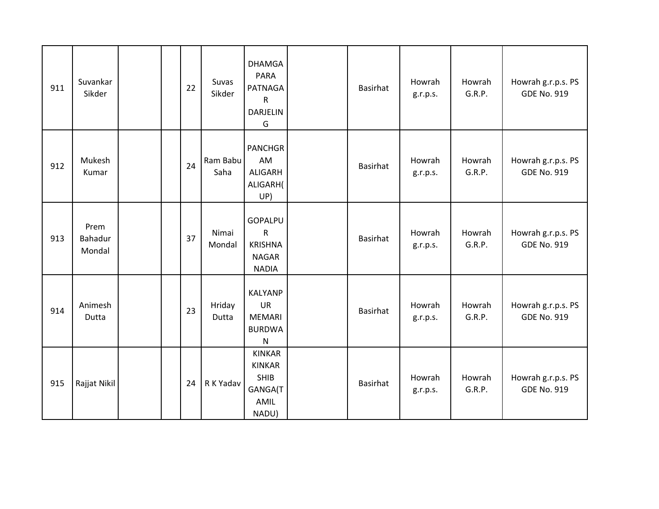| 911 | Suvankar<br>Sikder        | 22 | Suvas<br>Sikder  | <b>DHAMGA</b><br><b>PARA</b><br><b>PATNAGA</b><br>${\sf R}$<br><b>DARJELIN</b><br>G | Basirhat | Howrah<br>g.r.p.s. | Howrah<br>G.R.P. | Howrah g.r.p.s. PS<br><b>GDE No. 919</b> |
|-----|---------------------------|----|------------------|-------------------------------------------------------------------------------------|----------|--------------------|------------------|------------------------------------------|
| 912 | Mukesh<br>Kumar           | 24 | Ram Babu<br>Saha | <b>PANCHGR</b><br>AM<br><b>ALIGARH</b><br>ALIGARH(<br>UP)                           | Basirhat | Howrah<br>g.r.p.s. | Howrah<br>G.R.P. | Howrah g.r.p.s. PS<br><b>GDE No. 919</b> |
| 913 | Prem<br>Bahadur<br>Mondal | 37 | Nimai<br>Mondal  | <b>GOPALPU</b><br>$\mathsf{R}$<br><b>KRISHNA</b><br><b>NAGAR</b><br><b>NADIA</b>    | Basirhat | Howrah<br>g.r.p.s. | Howrah<br>G.R.P. | Howrah g.r.p.s. PS<br><b>GDE No. 919</b> |
| 914 | Animesh<br>Dutta          | 23 | Hriday<br>Dutta  | <b>KALYANP</b><br>UR<br><b>MEMARI</b><br><b>BURDWA</b><br>${\sf N}$                 | Basirhat | Howrah<br>g.r.p.s. | Howrah<br>G.R.P. | Howrah g.r.p.s. PS<br><b>GDE No. 919</b> |
| 915 | Rajjat Nikil              | 24 | R K Yadav        | <b>KINKAR</b><br><b>KINKAR</b><br>SHIB<br>GANGA(T<br>AMIL<br>NADU)                  | Basirhat | Howrah<br>g.r.p.s. | Howrah<br>G.R.P. | Howrah g.r.p.s. PS<br><b>GDE No. 919</b> |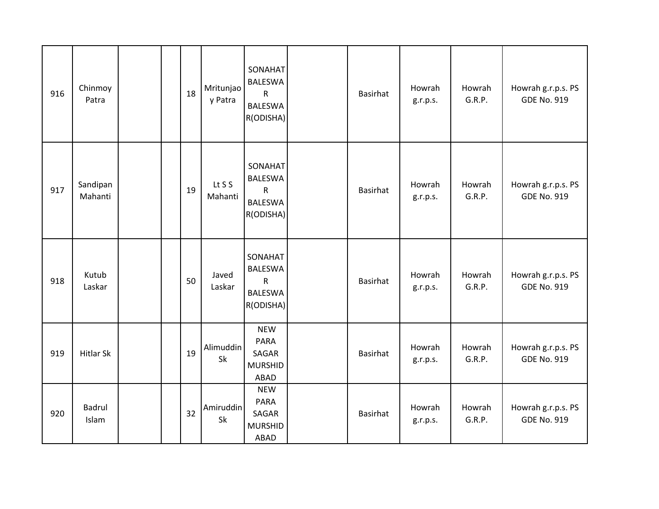| 916 | Chinmoy<br>Patra       |  | 18 | Mritunjao<br>y Patra | <b>SONAHAT</b><br><b>BALESWA</b><br>${\sf R}$<br><b>BALESWA</b><br>R(ODISHA) | <b>Basirhat</b> | Howrah<br>g.r.p.s. | Howrah<br>G.R.P. | Howrah g.r.p.s. PS<br><b>GDE No. 919</b> |
|-----|------------------------|--|----|----------------------|------------------------------------------------------------------------------|-----------------|--------------------|------------------|------------------------------------------|
| 917 | Sandipan<br>Mahanti    |  | 19 | Lt S S<br>Mahanti    | SONAHAT<br><b>BALESWA</b><br>${\sf R}$<br><b>BALESWA</b><br>R(ODISHA)        | Basirhat        | Howrah<br>g.r.p.s. | Howrah<br>G.R.P. | Howrah g.r.p.s. PS<br><b>GDE No. 919</b> |
| 918 | Kutub<br>Laskar        |  | 50 | Javed<br>Laskar      | SONAHAT<br><b>BALESWA</b><br>${\sf R}$<br><b>BALESWA</b><br>R(ODISHA)        | <b>Basirhat</b> | Howrah<br>g.r.p.s. | Howrah<br>G.R.P. | Howrah g.r.p.s. PS<br><b>GDE No. 919</b> |
| 919 | <b>Hitlar Sk</b>       |  | 19 | Alimuddin<br>Sk      | <b>NEW</b><br><b>PARA</b><br>SAGAR<br><b>MURSHID</b><br><b>ABAD</b>          | Basirhat        | Howrah<br>g.r.p.s. | Howrah<br>G.R.P. | Howrah g.r.p.s. PS<br><b>GDE No. 919</b> |
| 920 | <b>Badrul</b><br>Islam |  | 32 | Amiruddin<br>Sk      | <b>NEW</b><br><b>PARA</b><br>SAGAR<br><b>MURSHID</b><br><b>ABAD</b>          | Basirhat        | Howrah<br>g.r.p.s. | Howrah<br>G.R.P. | Howrah g.r.p.s. PS<br><b>GDE No. 919</b> |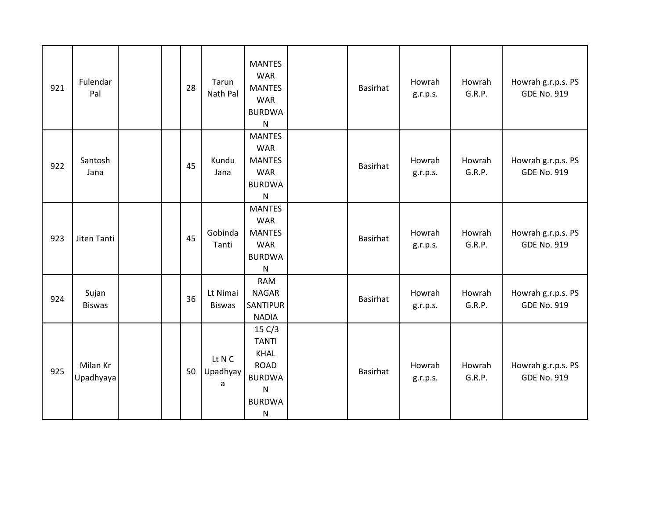| 921 | Fulendar<br>Pal        | 28 | Tarun<br>Nath Pal         | <b>MANTES</b><br><b>WAR</b><br><b>MANTES</b><br><b>WAR</b><br><b>BURDWA</b><br>${\sf N}$                            | <b>Basirhat</b> | Howrah<br>g.r.p.s. | Howrah<br>G.R.P. | Howrah g.r.p.s. PS<br><b>GDE No. 919</b> |
|-----|------------------------|----|---------------------------|---------------------------------------------------------------------------------------------------------------------|-----------------|--------------------|------------------|------------------------------------------|
| 922 | Santosh<br>Jana        | 45 | Kundu<br>Jana             | <b>MANTES</b><br><b>WAR</b><br><b>MANTES</b><br><b>WAR</b><br><b>BURDWA</b><br>$\mathsf{N}$                         | Basirhat        | Howrah<br>g.r.p.s. | Howrah<br>G.R.P. | Howrah g.r.p.s. PS<br><b>GDE No. 919</b> |
| 923 | Jiten Tanti            | 45 | Gobinda<br>Tanti          | <b>MANTES</b><br><b>WAR</b><br><b>MANTES</b><br><b>WAR</b><br><b>BURDWA</b><br>${\sf N}$                            | <b>Basirhat</b> | Howrah<br>g.r.p.s. | Howrah<br>G.R.P. | Howrah g.r.p.s. PS<br><b>GDE No. 919</b> |
| 924 | Sujan<br><b>Biswas</b> | 36 | Lt Nimai<br><b>Biswas</b> | <b>RAM</b><br><b>NAGAR</b><br><b>SANTIPUR</b><br><b>NADIA</b>                                                       | Basirhat        | Howrah<br>g.r.p.s. | Howrah<br>G.R.P. | Howrah g.r.p.s. PS<br><b>GDE No. 919</b> |
| 925 | Milan Kr<br>Upadhyaya  | 50 | Lt N C<br>Upadhyay<br>a   | 15 C/3<br><b>TANTI</b><br><b>KHAL</b><br><b>ROAD</b><br><b>BURDWA</b><br>${\sf N}$<br><b>BURDWA</b><br>$\mathsf{N}$ | Basirhat        | Howrah<br>g.r.p.s. | Howrah<br>G.R.P. | Howrah g.r.p.s. PS<br><b>GDE No. 919</b> |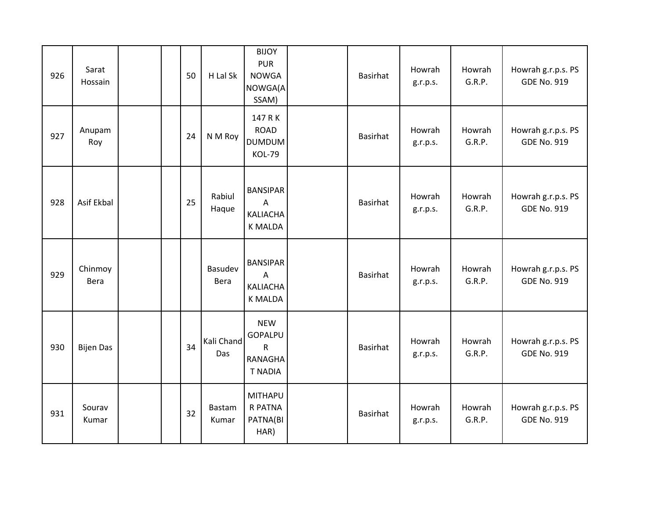| 926 | Sarat<br>Hossain |  | 50 | H Lal Sk               | <b>BIJOY</b><br><b>PUR</b><br><b>NOWGA</b><br>NOWGA(A<br>SSAM)            | Basirhat        | Howrah<br>g.r.p.s. | Howrah<br>G.R.P. | Howrah g.r.p.s. PS<br><b>GDE No. 919</b> |
|-----|------------------|--|----|------------------------|---------------------------------------------------------------------------|-----------------|--------------------|------------------|------------------------------------------|
| 927 | Anupam<br>Roy    |  | 24 | N M Roy                | 147 R K<br><b>ROAD</b><br><b>DUMDUM</b><br><b>KOL-79</b>                  | <b>Basirhat</b> | Howrah<br>g.r.p.s. | Howrah<br>G.R.P. | Howrah g.r.p.s. PS<br><b>GDE No. 919</b> |
| 928 | Asif Ekbal       |  | 25 | Rabiul<br>Haque        | <b>BANSIPAR</b><br>$\overline{A}$<br><b>KALIACHA</b><br><b>K MALDA</b>    | <b>Basirhat</b> | Howrah<br>g.r.p.s. | Howrah<br>G.R.P. | Howrah g.r.p.s. PS<br><b>GDE No. 919</b> |
| 929 | Chinmoy<br>Bera  |  |    | Basudev<br>Bera        | <b>BANSIPAR</b><br>A<br><b>KALIACHA</b><br><b>K MALDA</b>                 | Basirhat        | Howrah<br>g.r.p.s. | Howrah<br>G.R.P. | Howrah g.r.p.s. PS<br><b>GDE No. 919</b> |
| 930 | <b>Bijen Das</b> |  | 34 | Kali Chand<br>Das      | <b>NEW</b><br>GOPALPU<br>$\mathsf{R}$<br><b>RANAGHA</b><br><b>T NADIA</b> | <b>Basirhat</b> | Howrah<br>g.r.p.s. | Howrah<br>G.R.P. | Howrah g.r.p.s. PS<br><b>GDE No. 919</b> |
| 931 | Sourav<br>Kumar  |  | 32 | <b>Bastam</b><br>Kumar | <b>MITHAPU</b><br>R PATNA<br>PATNA(BI<br>HAR)                             | Basirhat        | Howrah<br>g.r.p.s. | Howrah<br>G.R.P. | Howrah g.r.p.s. PS<br><b>GDE No. 919</b> |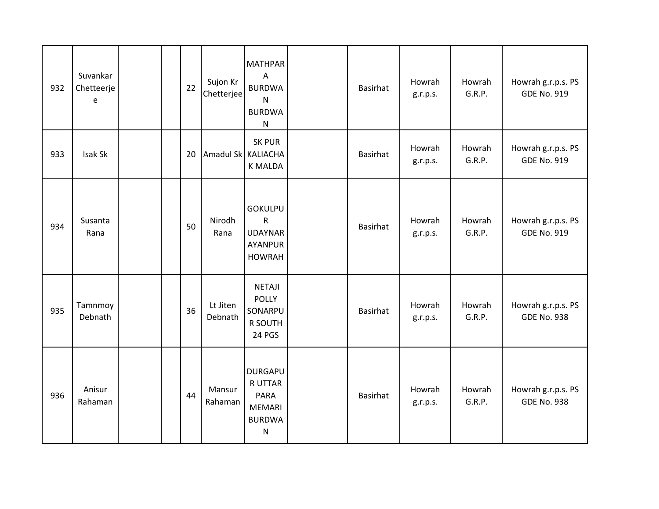| 932 | Suvankar<br>Chetteerje<br>e |  | 22 | Sujon Kr<br>Chetterjee | <b>MATHPAR</b><br>$\overline{A}$<br><b>BURDWA</b><br>$\mathsf{N}$<br><b>BURDWA</b><br>${\sf N}$ | Basirhat        | Howrah<br>g.r.p.s. | Howrah<br>G.R.P. | Howrah g.r.p.s. PS<br><b>GDE No. 919</b> |
|-----|-----------------------------|--|----|------------------------|-------------------------------------------------------------------------------------------------|-----------------|--------------------|------------------|------------------------------------------|
| 933 | Isak Sk                     |  | 20 | Amadul Sk KALIACHA     | <b>SK PUR</b><br><b>K MALDA</b>                                                                 | Basirhat        | Howrah<br>g.r.p.s. | Howrah<br>G.R.P. | Howrah g.r.p.s. PS<br><b>GDE No. 919</b> |
| 934 | Susanta<br>Rana             |  | 50 | Nirodh<br>Rana         | <b>GOKULPU</b><br>${\sf R}$<br><b>UDAYNAR</b><br><b>AYANPUR</b><br><b>HOWRAH</b>                | <b>Basirhat</b> | Howrah<br>g.r.p.s. | Howrah<br>G.R.P. | Howrah g.r.p.s. PS<br><b>GDE No. 919</b> |
| 935 | Tamnmoy<br>Debnath          |  | 36 | Lt Jiten<br>Debnath    | <b>NETAJI</b><br><b>POLLY</b><br>SONARPU<br>R SOUTH<br><b>24 PGS</b>                            | Basirhat        | Howrah<br>g.r.p.s. | Howrah<br>G.R.P. | Howrah g.r.p.s. PS<br><b>GDE No. 938</b> |
| 936 | Anisur<br>Rahaman           |  | 44 | Mansur<br>Rahaman      | <b>DURGAPU</b><br><b>R UTTAR</b><br><b>PARA</b><br><b>MEMARI</b><br><b>BURDWA</b><br>${\sf N}$  | Basirhat        | Howrah<br>g.r.p.s. | Howrah<br>G.R.P. | Howrah g.r.p.s. PS<br><b>GDE No. 938</b> |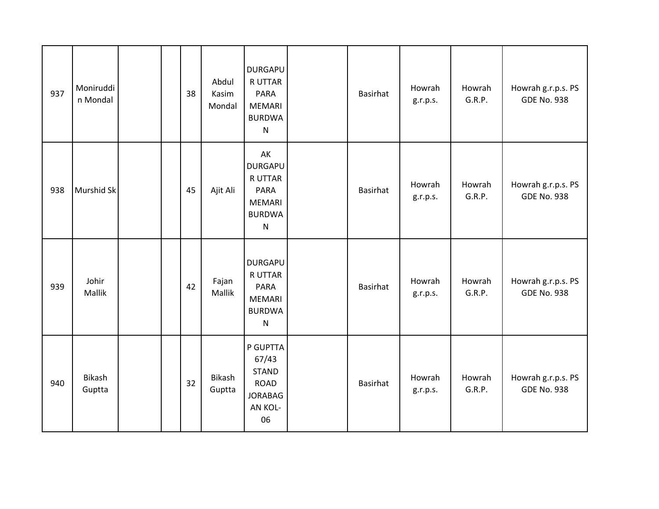| 937 | Moniruddi<br>n Mondal |  | 38 | Abdul<br>Kasim<br>Mondal | <b>DURGAPU</b><br>R UTTAR<br><b>PARA</b><br><b>MEMARI</b><br><b>BURDWA</b><br>$\mathsf{N}$             | <b>Basirhat</b> | Howrah<br>g.r.p.s. | Howrah<br>G.R.P. | Howrah g.r.p.s. PS<br><b>GDE No. 938</b> |
|-----|-----------------------|--|----|--------------------------|--------------------------------------------------------------------------------------------------------|-----------------|--------------------|------------------|------------------------------------------|
| 938 | Murshid Sk            |  | 45 | Ajit Ali                 | AK<br><b>DURGAPU</b><br><b>RUTTAR</b><br><b>PARA</b><br><b>MEMARI</b><br><b>BURDWA</b><br>$\mathsf{N}$ | Basirhat        | Howrah<br>g.r.p.s. | Howrah<br>G.R.P. | Howrah g.r.p.s. PS<br><b>GDE No. 938</b> |
| 939 | Johir<br>Mallik       |  | 42 | Fajan<br>Mallik          | <b>DURGAPU</b><br><b>R UTTAR</b><br>PARA<br><b>MEMARI</b><br><b>BURDWA</b><br>$\mathsf{N}$             | <b>Basirhat</b> | Howrah<br>g.r.p.s. | Howrah<br>G.R.P. | Howrah g.r.p.s. PS<br><b>GDE No. 938</b> |
| 940 | Bikash<br>Guptta      |  | 32 | Bikash<br>Guptta         | P GUPTTA<br>67/43<br><b>STAND</b><br><b>ROAD</b><br><b>JORABAG</b><br>AN KOL-<br>06                    | <b>Basirhat</b> | Howrah<br>g.r.p.s. | Howrah<br>G.R.P. | Howrah g.r.p.s. PS<br><b>GDE No. 938</b> |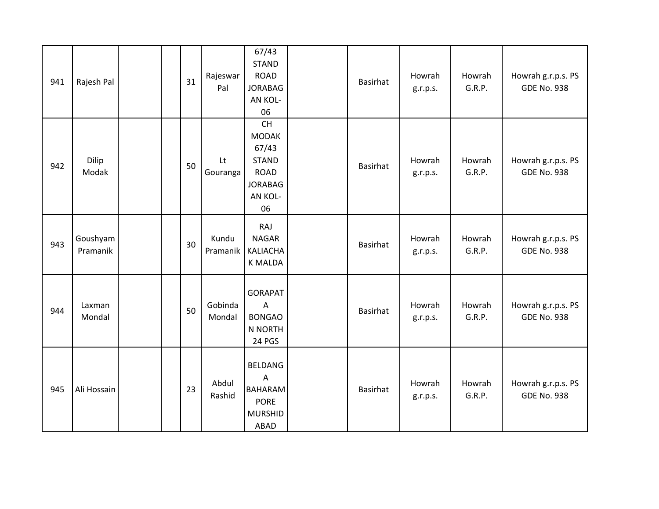| 941 | Rajesh Pal           |  | 31 | Rajeswar<br>Pal   | 67/43<br><b>STAND</b><br><b>ROAD</b><br><b>JORABAG</b><br>AN KOL-<br>06                              | <b>Basirhat</b> | Howrah<br>g.r.p.s. | Howrah<br>G.R.P. | Howrah g.r.p.s. PS<br><b>GDE No. 938</b> |
|-----|----------------------|--|----|-------------------|------------------------------------------------------------------------------------------------------|-----------------|--------------------|------------------|------------------------------------------|
| 942 | Dilip<br>Modak       |  | 50 | Lt<br>Gouranga    | <b>CH</b><br><b>MODAK</b><br>67/43<br><b>STAND</b><br><b>ROAD</b><br><b>JORABAG</b><br>AN KOL-<br>06 | <b>Basirhat</b> | Howrah<br>g.r.p.s. | Howrah<br>G.R.P. | Howrah g.r.p.s. PS<br><b>GDE No. 938</b> |
| 943 | Goushyam<br>Pramanik |  | 30 | Kundu<br>Pramanik | RAJ<br><b>NAGAR</b><br>KALIACHA<br><b>K MALDA</b>                                                    | Basirhat        | Howrah<br>g.r.p.s. | Howrah<br>G.R.P. | Howrah g.r.p.s. PS<br><b>GDE No. 938</b> |
| 944 | Laxman<br>Mondal     |  | 50 | Gobinda<br>Mondal | <b>GORAPAT</b><br>$\overline{A}$<br><b>BONGAO</b><br>N NORTH<br>24 PGS                               | Basirhat        | Howrah<br>g.r.p.s. | Howrah<br>G.R.P. | Howrah g.r.p.s. PS<br><b>GDE No. 938</b> |
| 945 | Ali Hossain          |  | 23 | Abdul<br>Rashid   | BELDANG<br>$\overline{A}$<br><b>BAHARAM</b><br><b>PORE</b><br><b>MURSHID</b><br>ABAD                 | Basirhat        | Howrah<br>g.r.p.s. | Howrah<br>G.R.P. | Howrah g.r.p.s. PS<br><b>GDE No. 938</b> |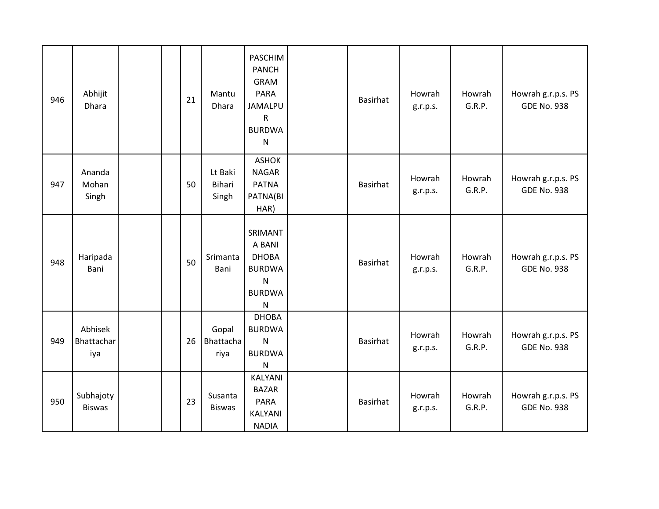| 946 | Abhijit<br><b>Dhara</b>      |  | 21 | Mantu<br>Dhara             | PASCHIM<br><b>PANCH</b><br><b>GRAM</b><br><b>PARA</b><br><b>JAMALPU</b><br>$\mathsf{R}$<br><b>BURDWA</b><br>$\mathsf{N}$ | <b>Basirhat</b> | Howrah<br>g.r.p.s. | Howrah<br>G.R.P. | Howrah g.r.p.s. PS<br><b>GDE No. 938</b> |
|-----|------------------------------|--|----|----------------------------|--------------------------------------------------------------------------------------------------------------------------|-----------------|--------------------|------------------|------------------------------------------|
| 947 | Ananda<br>Mohan<br>Singh     |  | 50 | Lt Baki<br>Bihari<br>Singh | <b>ASHOK</b><br><b>NAGAR</b><br><b>PATNA</b><br>PATNA(BI<br>HAR)                                                         | Basirhat        | Howrah<br>g.r.p.s. | Howrah<br>G.R.P. | Howrah g.r.p.s. PS<br><b>GDE No. 938</b> |
| 948 | Haripada<br>Bani             |  | 50 | Srimanta<br>Bani           | SRIMANT<br>A BANI<br><b>DHOBA</b><br><b>BURDWA</b><br>N<br><b>BURDWA</b><br>N                                            | <b>Basirhat</b> | Howrah<br>g.r.p.s. | Howrah<br>G.R.P. | Howrah g.r.p.s. PS<br><b>GDE No. 938</b> |
| 949 | Abhisek<br>Bhattachar<br>iya |  | 26 | Gopal<br>Bhattacha<br>riya | <b>DHOBA</b><br><b>BURDWA</b><br>N<br><b>BURDWA</b><br>N                                                                 | Basirhat        | Howrah<br>g.r.p.s. | Howrah<br>G.R.P. | Howrah g.r.p.s. PS<br><b>GDE No. 938</b> |
| 950 | Subhajoty<br><b>Biswas</b>   |  | 23 | Susanta<br><b>Biswas</b>   | KALYANI<br><b>BAZAR</b><br><b>PARA</b><br>KALYANI<br><b>NADIA</b>                                                        | <b>Basirhat</b> | Howrah<br>g.r.p.s. | Howrah<br>G.R.P. | Howrah g.r.p.s. PS<br><b>GDE No. 938</b> |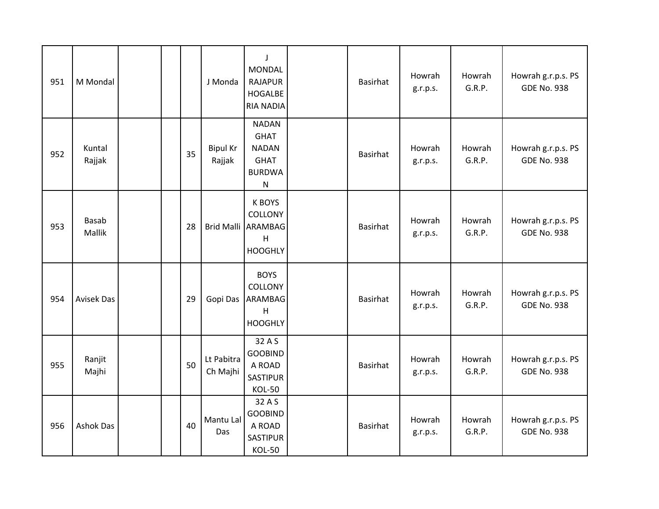| 951 | M Mondal               |    | J Monda                   | $\perp$<br><b>MONDAL</b><br><b>RAJAPUR</b><br><b>HOGALBE</b><br><b>RIA NADIA</b>         | Basirhat        | Howrah<br>g.r.p.s. | Howrah<br>G.R.P. | Howrah g.r.p.s. PS<br><b>GDE No. 938</b> |
|-----|------------------------|----|---------------------------|------------------------------------------------------------------------------------------|-----------------|--------------------|------------------|------------------------------------------|
| 952 | Kuntal<br>Rajjak       | 35 | <b>Bipul Kr</b><br>Rajjak | <b>NADAN</b><br><b>GHAT</b><br><b>NADAN</b><br><b>GHAT</b><br><b>BURDWA</b><br>${\sf N}$ | <b>Basirhat</b> | Howrah<br>g.r.p.s. | Howrah<br>G.R.P. | Howrah g.r.p.s. PS<br><b>GDE No. 938</b> |
| 953 | <b>Basab</b><br>Mallik | 28 |                           | <b>K BOYS</b><br>COLLONY<br>Brid Malli ARAMBAG<br>H<br><b>HOOGHLY</b>                    | Basirhat        | Howrah<br>g.r.p.s. | Howrah<br>G.R.P. | Howrah g.r.p.s. PS<br><b>GDE No. 938</b> |
| 954 | Avisek Das             | 29 | Gopi Das                  | <b>BOYS</b><br><b>COLLONY</b><br>ARAMBAG<br>H<br><b>HOOGHLY</b>                          | <b>Basirhat</b> | Howrah<br>g.r.p.s. | Howrah<br>G.R.P. | Howrah g.r.p.s. PS<br><b>GDE No. 938</b> |
| 955 | Ranjit<br>Majhi        | 50 | Lt Pabitra<br>Ch Majhi    | 32 A S<br><b>GOOBIND</b><br>A ROAD<br><b>SASTIPUR</b><br><b>KOL-50</b>                   | <b>Basirhat</b> | Howrah<br>g.r.p.s. | Howrah<br>G.R.P. | Howrah g.r.p.s. PS<br><b>GDE No. 938</b> |
| 956 | <b>Ashok Das</b>       | 40 | Mantu Lal<br>Das          | 32 A S<br><b>GOOBIND</b><br>A ROAD<br><b>SASTIPUR</b><br><b>KOL-50</b>                   | <b>Basirhat</b> | Howrah<br>g.r.p.s. | Howrah<br>G.R.P. | Howrah g.r.p.s. PS<br><b>GDE No. 938</b> |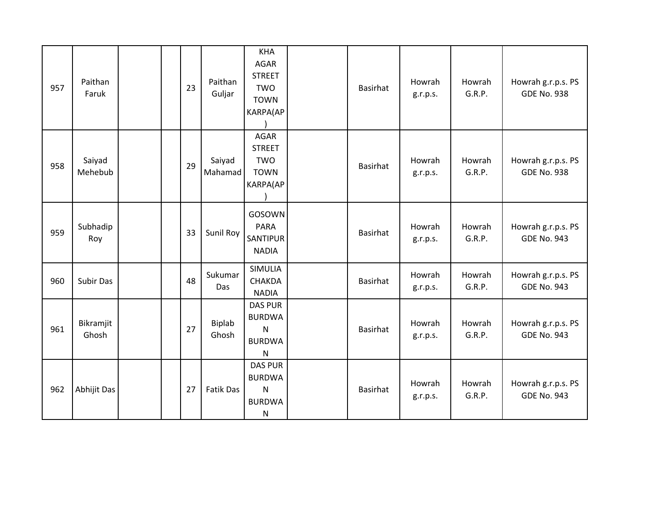| 957 | Paithan<br>Faruk   | 23 | Paithan<br>Guljar | <b>KHA</b><br>AGAR<br><b>STREET</b><br><b>TWO</b><br><b>TOWN</b><br>KARPA(AP     | <b>Basirhat</b> | Howrah<br>g.r.p.s. | Howrah<br>G.R.P. | Howrah g.r.p.s. PS<br><b>GDE No. 938</b> |
|-----|--------------------|----|-------------------|----------------------------------------------------------------------------------|-----------------|--------------------|------------------|------------------------------------------|
| 958 | Saiyad<br>Mehebub  | 29 | Saiyad<br>Mahamad | AGAR<br><b>STREET</b><br><b>TWO</b><br><b>TOWN</b><br>KARPA(AP                   | Basirhat        | Howrah<br>g.r.p.s. | Howrah<br>G.R.P. | Howrah g.r.p.s. PS<br><b>GDE No. 938</b> |
| 959 | Subhadip<br>Roy    | 33 | Sunil Roy         | GOSOWN<br><b>PARA</b><br>SANTIPUR<br><b>NADIA</b>                                | Basirhat        | Howrah<br>g.r.p.s. | Howrah<br>G.R.P. | Howrah g.r.p.s. PS<br><b>GDE No. 943</b> |
| 960 | <b>Subir Das</b>   | 48 | Sukumar<br>Das    | <b>SIMULIA</b><br><b>CHAKDA</b><br><b>NADIA</b>                                  | Basirhat        | Howrah<br>g.r.p.s. | Howrah<br>G.R.P. | Howrah g.r.p.s. PS<br><b>GDE No. 943</b> |
| 961 | Bikramjit<br>Ghosh | 27 | Biplab<br>Ghosh   | <b>DAS PUR</b><br><b>BURDWA</b><br>$\mathsf{N}$<br><b>BURDWA</b><br>${\sf N}$    | <b>Basirhat</b> | Howrah<br>g.r.p.s. | Howrah<br>G.R.P. | Howrah g.r.p.s. PS<br><b>GDE No. 943</b> |
| 962 | Abhijit Das        | 27 | Fatik Das         | <b>DAS PUR</b><br><b>BURDWA</b><br>$\mathsf{N}$<br><b>BURDWA</b><br>$\mathsf{N}$ | Basirhat        | Howrah<br>g.r.p.s. | Howrah<br>G.R.P. | Howrah g.r.p.s. PS<br><b>GDE No. 943</b> |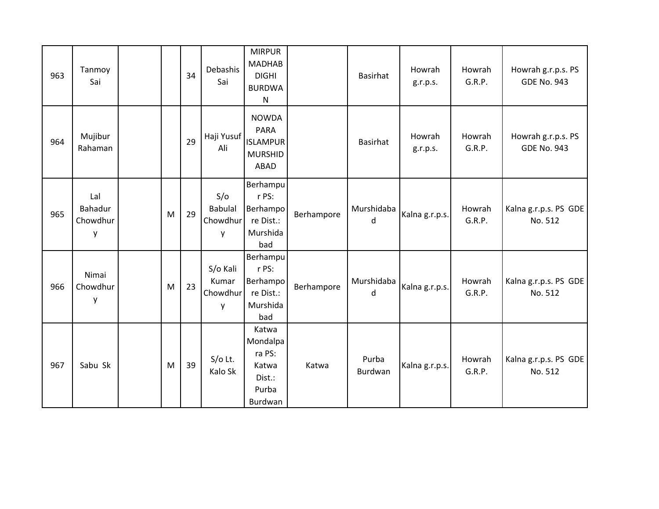| 963 | Tanmoy<br>Sai                   |   | 34 | Debashis<br>Sai                        | <b>MIRPUR</b><br><b>MADHAB</b><br><b>DIGHI</b><br><b>BURDWA</b><br>N |            | <b>Basirhat</b>  | Howrah<br>g.r.p.s. | Howrah<br>G.R.P. | Howrah g.r.p.s. PS<br><b>GDE No. 943</b> |
|-----|---------------------------------|---|----|----------------------------------------|----------------------------------------------------------------------|------------|------------------|--------------------|------------------|------------------------------------------|
| 964 | Mujibur<br>Rahaman              |   | 29 | Haji Yusuf<br>Ali                      | <b>NOWDA</b><br>PARA<br><b>ISLAMPUR</b><br><b>MURSHID</b><br>ABAD    |            | <b>Basirhat</b>  | Howrah<br>g.r.p.s. | Howrah<br>G.R.P. | Howrah g.r.p.s. PS<br><b>GDE No. 943</b> |
| 965 | Lal<br>Bahadur<br>Chowdhur<br>y | M | 29 | S/O<br><b>Babulal</b><br>Chowdhur<br>y | Berhampu<br>r PS:<br>Berhampo<br>re Dist.:<br>Murshida<br>bad        | Berhampore | Murshidaba<br>d  | Kalna g.r.p.s.     | Howrah<br>G.R.P. | Kalna g.r.p.s. PS GDE<br>No. 512         |
| 966 | Nimai<br>Chowdhur<br>y          | M | 23 | S/o Kali<br>Kumar<br>Chowdhur<br>y     | Berhampu<br>r PS:<br>Berhampo<br>re Dist.:<br>Murshida<br>bad        | Berhampore | Murshidaba<br>d  | Kalna g.r.p.s.     | Howrah<br>G.R.P. | Kalna g.r.p.s. PS GDE<br>No. 512         |
| 967 | Sabu Sk                         | M | 39 | $S/O$ Lt.<br>Kalo Sk                   | Katwa<br>Mondalpa<br>ra PS:<br>Katwa<br>Dist.:<br>Purba<br>Burdwan   | Katwa      | Purba<br>Burdwan | Kalna g.r.p.s.     | Howrah<br>G.R.P. | Kalna g.r.p.s. PS GDE<br>No. 512         |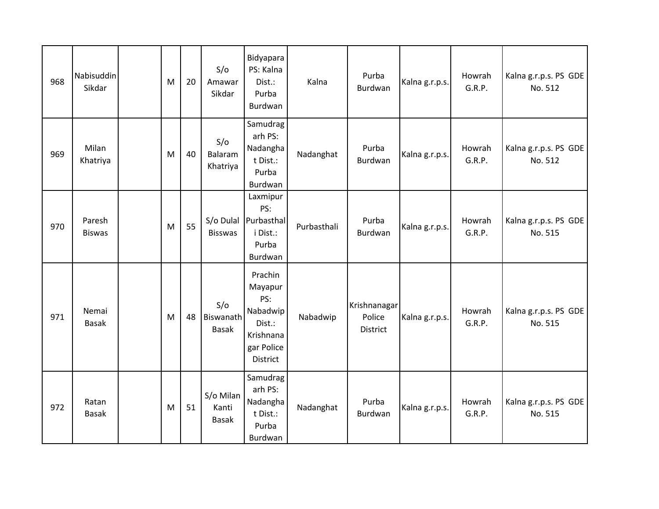| 968 | Nabisuddin<br>Sikdar    | M | 20 | S/O<br>Amawar<br>Sikdar            | Bidyapara<br>PS: Kalna<br>Dist.:<br>Purba<br>Burdwan                                   | Kalna       | Purba<br>Burdwan                   | Kalna g.r.p.s. | Howrah<br>G.R.P. | Kalna g.r.p.s. PS GDE<br>No. 512 |
|-----|-------------------------|---|----|------------------------------------|----------------------------------------------------------------------------------------|-------------|------------------------------------|----------------|------------------|----------------------------------|
| 969 | Milan<br>Khatriya       | M | 40 | S/O<br>Balaram<br>Khatriya         | Samudrag<br>arh PS:<br>Nadangha<br>t Dist.:<br>Purba<br>Burdwan                        | Nadanghat   | Purba<br>Burdwan                   | Kalna g.r.p.s. | Howrah<br>G.R.P. | Kalna g.r.p.s. PS GDE<br>No. 512 |
| 970 | Paresh<br><b>Biswas</b> | M | 55 | <b>Bisswas</b>                     | Laxmipur<br>PS:<br>S/o Dulal Purbasthal<br>i Dist.:<br>Purba<br>Burdwan                | Purbasthali | Purba<br>Burdwan                   | Kalna g.r.p.s. | Howrah<br>G.R.P. | Kalna g.r.p.s. PS GDE<br>No. 515 |
| 971 | Nemai<br><b>Basak</b>   | M | 48 | S/O<br>Biswanath<br><b>Basak</b>   | Prachin<br>Mayapur<br>PS:<br>Nabadwip<br>Dist.:<br>Krishnana<br>gar Police<br>District | Nabadwip    | Krishnanagar<br>Police<br>District | Kalna g.r.p.s. | Howrah<br>G.R.P. | Kalna g.r.p.s. PS GDE<br>No. 515 |
| 972 | Ratan<br><b>Basak</b>   | M | 51 | S/o Milan<br>Kanti<br><b>Basak</b> | Samudrag<br>arh PS:<br>Nadangha<br>t Dist.:<br>Purba<br>Burdwan                        | Nadanghat   | Purba<br>Burdwan                   | Kalna g.r.p.s. | Howrah<br>G.R.P. | Kalna g.r.p.s. PS GDE<br>No. 515 |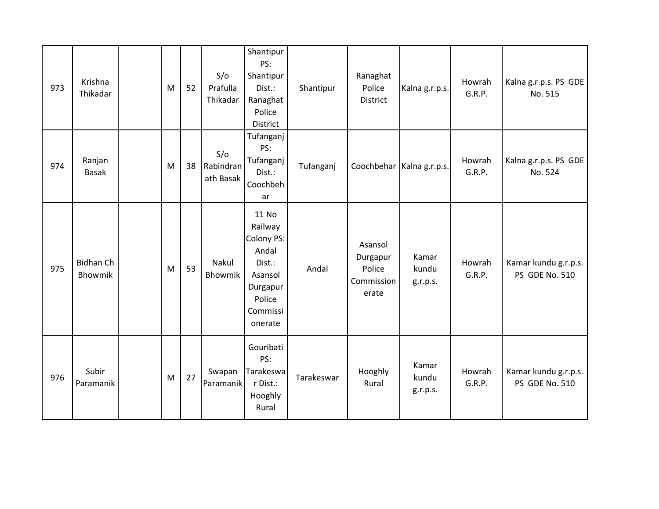| 973 | Krishna<br>Thikadar         | M | 52 | S/O<br>Prafulla<br>Thikadar   | Shantipur<br>PS:<br>Shantipur<br>Dist.:<br>Ranaghat<br>Police<br>District                                 | Shantipur  | Ranaghat<br>Police<br>District                       | Kalna g.r.p.s.              | Howrah<br>G.R.P. | Kalna g.r.p.s. PS GDE<br>No. 515       |
|-----|-----------------------------|---|----|-------------------------------|-----------------------------------------------------------------------------------------------------------|------------|------------------------------------------------------|-----------------------------|------------------|----------------------------------------|
| 974 | Ranjan<br><b>Basak</b>      | M | 38 | S/O<br>Rabindran<br>ath Basak | Tufanganj<br>PS:<br>Tufanganj<br>Dist.:<br>Coochbeh<br>ar                                                 | Tufanganj  |                                                      | Coochbehar   Kalna g.r.p.s. | Howrah<br>G.R.P. | Kalna g.r.p.s. PS GDE<br>No. 524       |
| 975 | <b>Bidhan Ch</b><br>Bhowmik | M | 53 | Nakul<br>Bhowmik              | 11 No<br>Railway<br>Colony PS:<br>Andal<br>Dist.:<br>Asansol<br>Durgapur<br>Police<br>Commissi<br>onerate | Andal      | Asansol<br>Durgapur<br>Police<br>Commission<br>erate | Kamar<br>kundu<br>g.r.p.s.  | Howrah<br>G.R.P. | Kamar kundu g.r.p.s.<br>PS GDE No. 510 |
| 976 | Subir<br>Paramanik          | M | 27 | Swapan<br>Paramanik           | Gouribati<br>PS:<br>Tarakeswa<br>r Dist.:<br>Hooghly<br>Rural                                             | Tarakeswar | Hooghly<br>Rural                                     | Kamar<br>kundu<br>g.r.p.s.  | Howrah<br>G.R.P. | Kamar kundu g.r.p.s.<br>PS GDE No. 510 |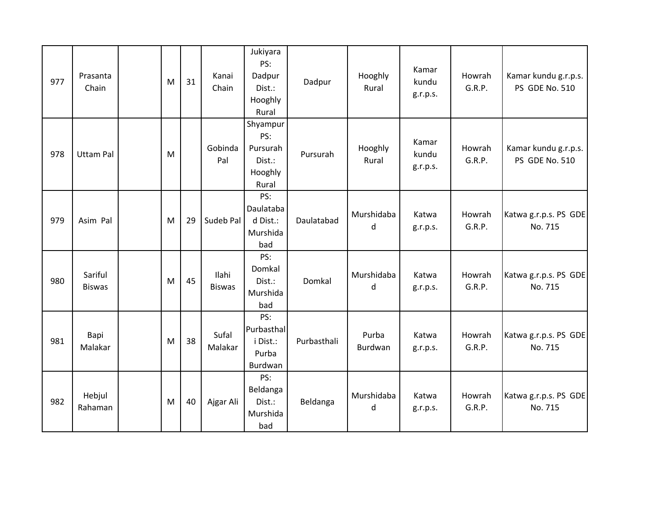| 977 | Prasanta<br>Chain        | M | 31 | Kanai<br>Chain                | Jukiyara<br>PS:<br>Dadpur<br>Dist.:<br>Hooghly<br>Rural   | Dadpur      | Hooghly<br>Rural | Kamar<br>kundu<br>g.r.p.s. | Howrah<br>G.R.P. | Kamar kundu g.r.p.s.<br>PS GDE No. 510 |
|-----|--------------------------|---|----|-------------------------------|-----------------------------------------------------------|-------------|------------------|----------------------------|------------------|----------------------------------------|
| 978 | <b>Uttam Pal</b>         | M |    | Gobinda<br>Pal                | Shyampur<br>PS:<br>Pursurah<br>Dist.:<br>Hooghly<br>Rural | Pursurah    | Hooghly<br>Rural | Kamar<br>kundu<br>g.r.p.s. | Howrah<br>G.R.P. | Kamar kundu g.r.p.s.<br>PS GDE No. 510 |
| 979 | Asim Pal                 | M | 29 | Sudeb Pal                     | PS:<br>Daulataba<br>d Dist.:<br>Murshida<br>bad           | Daulatabad  | Murshidaba<br>d  | Katwa<br>g.r.p.s.          | Howrah<br>G.R.P. | Katwa g.r.p.s. PS GDE<br>No. 715       |
| 980 | Sariful<br><b>Biswas</b> | M | 45 | <b>Ilahi</b><br><b>Biswas</b> | PS:<br>Domkal<br>Dist.:<br>Murshida<br>bad                | Domkal      | Murshidaba<br>d  | Katwa<br>g.r.p.s.          | Howrah<br>G.R.P. | Katwa g.r.p.s. PS GDE<br>No. 715       |
| 981 | Bapi<br>Malakar          | M | 38 | Sufal<br>Malakar              | PS:<br>Purbasthal<br>i Dist.:<br>Purba<br>Burdwan         | Purbasthali | Purba<br>Burdwan | Katwa<br>g.r.p.s.          | Howrah<br>G.R.P. | Katwa g.r.p.s. PS GDE<br>No. 715       |
| 982 | Hebjul<br>Rahaman        | M | 40 | Ajgar Ali                     | PS:<br>Beldanga<br>Dist.:<br>Murshida<br>bad              | Beldanga    | Murshidaba<br>d  | Katwa<br>g.r.p.s.          | Howrah<br>G.R.P. | Katwa g.r.p.s. PS GDE<br>No. 715       |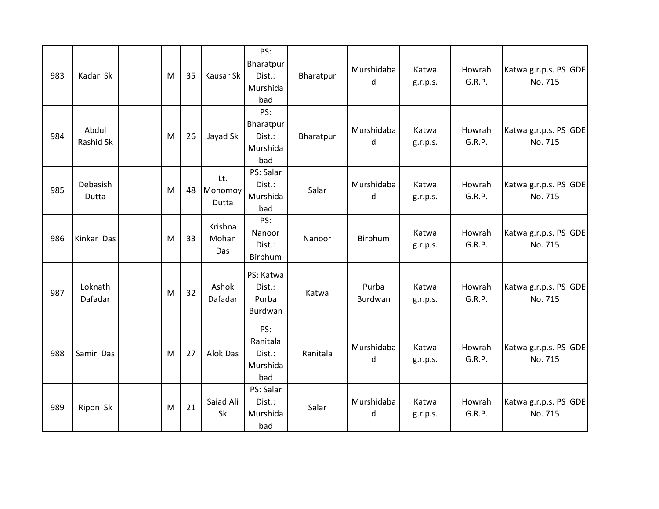| 983 | Kadar Sk           | M | 35 | Kausar Sk               | PS:<br>Bharatpur<br>Dist.:<br>Murshida<br>bad | Bharatpur | Murshidaba<br>d  | Katwa<br>g.r.p.s. | Howrah<br>G.R.P. | Katwa g.r.p.s. PS GDE<br>No. 715 |
|-----|--------------------|---|----|-------------------------|-----------------------------------------------|-----------|------------------|-------------------|------------------|----------------------------------|
| 984 | Abdul<br>Rashid Sk | M | 26 | Jayad Sk                | PS:<br>Bharatpur<br>Dist.:<br>Murshida<br>bad | Bharatpur | Murshidaba<br>d  | Katwa<br>g.r.p.s. | Howrah<br>G.R.P. | Katwa g.r.p.s. PS GDE<br>No. 715 |
| 985 | Debasish<br>Dutta  | M | 48 | Lt.<br>Monomoy<br>Dutta | PS: Salar<br>Dist.:<br>Murshida<br>bad        | Salar     | Murshidaba<br>d  | Katwa<br>g.r.p.s. | Howrah<br>G.R.P. | Katwa g.r.p.s. PS GDE<br>No. 715 |
| 986 | Kinkar Das         | M | 33 | Krishna<br>Mohan<br>Das | PS:<br>Nanoor<br>Dist.:<br>Birbhum            | Nanoor    | Birbhum          | Katwa<br>g.r.p.s. | Howrah<br>G.R.P. | Katwa g.r.p.s. PS GDE<br>No. 715 |
| 987 | Loknath<br>Dafadar | M | 32 | Ashok<br>Dafadar        | PS: Katwa<br>Dist.:<br>Purba<br>Burdwan       | Katwa     | Purba<br>Burdwan | Katwa<br>g.r.p.s. | Howrah<br>G.R.P. | Katwa g.r.p.s. PS GDE<br>No. 715 |
| 988 | Samir Das          | M | 27 | Alok Das                | PS:<br>Ranitala<br>Dist.:<br>Murshida<br>bad  | Ranitala  | Murshidaba<br>d  | Katwa<br>g.r.p.s. | Howrah<br>G.R.P. | Katwa g.r.p.s. PS GDE<br>No. 715 |
| 989 | Ripon Sk           | M | 21 | Saiad Ali<br>Sk         | PS: Salar<br>Dist.:<br>Murshida<br>bad        | Salar     | Murshidaba<br>d  | Katwa<br>g.r.p.s. | Howrah<br>G.R.P. | Katwa g.r.p.s. PS GDE<br>No. 715 |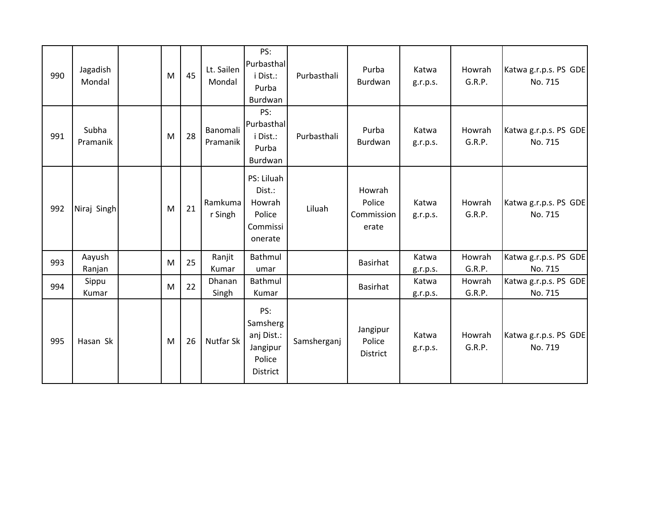| 990 | Jagadish<br>Mondal | M | 45 | Lt. Sailen<br>Mondal | PS:<br>Purbasthal<br>i Dist.:<br>Purba<br>Burdwan               | Purbasthali | Purba<br>Burdwan                        | Katwa<br>g.r.p.s. | Howrah<br>G.R.P. | Katwa g.r.p.s. PS GDE<br>No. 715 |
|-----|--------------------|---|----|----------------------|-----------------------------------------------------------------|-------------|-----------------------------------------|-------------------|------------------|----------------------------------|
| 991 | Subha<br>Pramanik  | M | 28 | Banomali<br>Pramanik | PS:<br>Purbasthal<br>i Dist.:<br>Purba<br>Burdwan               | Purbasthali | Purba<br>Burdwan                        | Katwa<br>g.r.p.s. | Howrah<br>G.R.P. | Katwa g.r.p.s. PS GDE<br>No. 715 |
| 992 | Niraj Singh        | M | 21 | Ramkuma<br>r Singh   | PS: Liluah<br>Dist.:<br>Howrah<br>Police<br>Commissi<br>onerate | Liluah      | Howrah<br>Police<br>Commission<br>erate | Katwa<br>g.r.p.s. | Howrah<br>G.R.P. | Katwa g.r.p.s. PS GDE<br>No. 715 |
| 993 | Aayush<br>Ranjan   | M | 25 | Ranjit<br>Kumar      | Bathmul<br>umar                                                 |             | <b>Basirhat</b>                         | Katwa<br>g.r.p.s. | Howrah<br>G.R.P. | Katwa g.r.p.s. PS GDE<br>No. 715 |
| 994 | Sippu<br>Kumar     | M | 22 | Dhanan<br>Singh      | Bathmul<br>Kumar                                                |             | <b>Basirhat</b>                         | Katwa<br>g.r.p.s. | Howrah<br>G.R.P. | Katwa g.r.p.s. PS GDE<br>No. 715 |
| 995 | Hasan Sk           | M | 26 | <b>Nutfar Sk</b>     | PS:<br>Samsherg<br>anj Dist.:<br>Jangipur<br>Police<br>District | Samsherganj | Jangipur<br>Police<br>District          | Katwa<br>g.r.p.s. | Howrah<br>G.R.P. | Katwa g.r.p.s. PS GDE<br>No. 719 |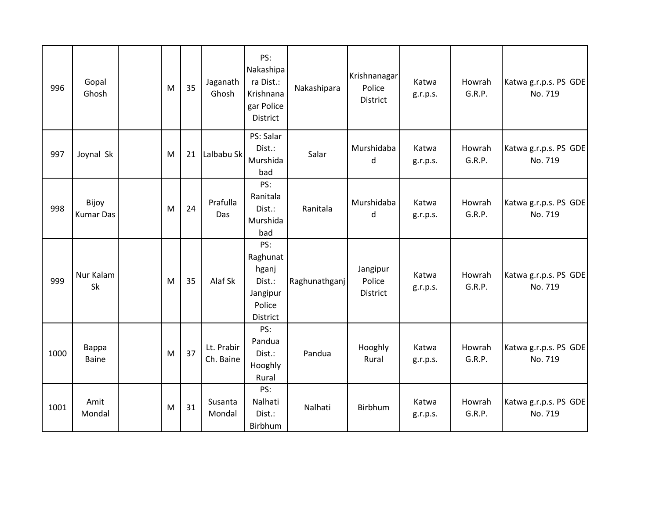| 996  | Gopal<br>Ghosh            | M | 35 | Jaganath<br>Ghosh       | PS:<br>Nakashipa<br>ra Dist.:<br>Krishnana<br>gar Police<br>District | Nakashipara   | Krishnanagar<br>Police<br>District | Katwa<br>g.r.p.s. | Howrah<br>G.R.P. | Katwa g.r.p.s. PS GDE<br>No. 719 |
|------|---------------------------|---|----|-------------------------|----------------------------------------------------------------------|---------------|------------------------------------|-------------------|------------------|----------------------------------|
| 997  | Joynal Sk                 | M | 21 | Lalbabu Sk              | PS: Salar<br>Dist.:<br>Murshida<br>bad                               | Salar         | Murshidaba<br>d                    | Katwa<br>g.r.p.s. | Howrah<br>G.R.P. | Katwa g.r.p.s. PS GDE<br>No. 719 |
| 998  | Bijoy<br><b>Kumar Das</b> | M | 24 | Prafulla<br>Das         | PS:<br>Ranitala<br>Dist.:<br>Murshida<br>bad                         | Ranitala      | Murshidaba<br>d                    | Katwa<br>g.r.p.s. | Howrah<br>G.R.P. | Katwa g.r.p.s. PS GDE<br>No. 719 |
| 999  | Nur Kalam<br><b>Sk</b>    | M | 35 | Alaf Sk                 | PS:<br>Raghunat<br>hganj<br>Dist.:<br>Jangipur<br>Police<br>District | Raghunathganj | Jangipur<br>Police<br>District     | Katwa<br>g.r.p.s. | Howrah<br>G.R.P. | Katwa g.r.p.s. PS GDE<br>No. 719 |
| 1000 | Bappa<br><b>Baine</b>     | M | 37 | Lt. Prabir<br>Ch. Baine | PS:<br>Pandua<br>Dist.:<br>Hooghly<br>Rural                          | Pandua        | Hooghly<br>Rural                   | Katwa<br>g.r.p.s. | Howrah<br>G.R.P. | Katwa g.r.p.s. PS GDE<br>No. 719 |
| 1001 | Amit<br>Mondal            | M | 31 | Susanta<br>Mondal       | PS:<br>Nalhati<br>Dist.:<br>Birbhum                                  | Nalhati       | Birbhum                            | Katwa<br>g.r.p.s. | Howrah<br>G.R.P. | Katwa g.r.p.s. PS GDE<br>No. 719 |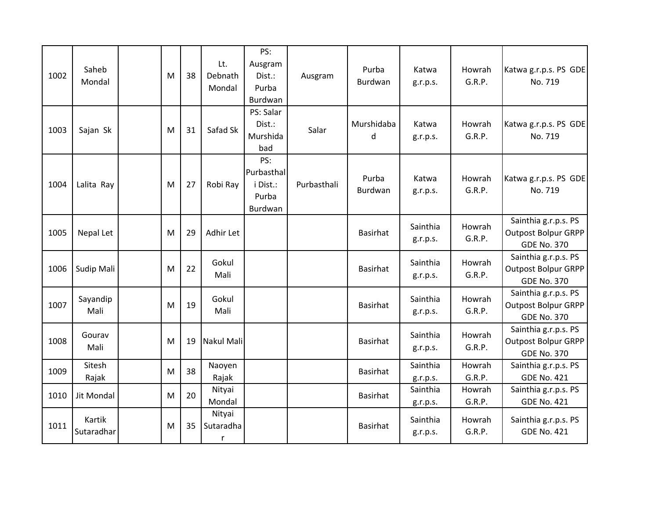| 1002 | Saheb<br>Mondal      | M | 38 | Lt.<br>Debnath<br>Mondal | PS:<br>Ausgram<br>Dist.:<br>Purba<br>Burdwan      | Ausgram     | Purba<br>Burdwan | Katwa<br>g.r.p.s.    | Howrah<br>G.R.P. | Katwa g.r.p.s. PS GDE<br>No. 719                                         |
|------|----------------------|---|----|--------------------------|---------------------------------------------------|-------------|------------------|----------------------|------------------|--------------------------------------------------------------------------|
| 1003 | Sajan Sk             | M | 31 | Safad Sk                 | PS: Salar<br>Dist.:<br>Murshida<br>bad            | Salar       | Murshidaba<br>d  | Katwa<br>g.r.p.s.    | Howrah<br>G.R.P. | Katwa g.r.p.s. PS GDE<br>No. 719                                         |
| 1004 | Lalita Ray           | M | 27 | Robi Ray                 | PS:<br>Purbasthal<br>i Dist.:<br>Purba<br>Burdwan | Purbasthali | Purba<br>Burdwan | Katwa<br>g.r.p.s.    | Howrah<br>G.R.P. | Katwa g.r.p.s. PS GDE<br>No. 719                                         |
| 1005 | Nepal Let            | M | 29 | Adhir Let                |                                                   |             | <b>Basirhat</b>  | Sainthia<br>g.r.p.s. | Howrah<br>G.R.P. | Sainthia g.r.p.s. PS<br><b>Outpost Bolpur GRPP</b><br><b>GDE No. 370</b> |
| 1006 | Sudip Mali           | M | 22 | Gokul<br>Mali            |                                                   |             | <b>Basirhat</b>  | Sainthia<br>g.r.p.s. | Howrah<br>G.R.P. | Sainthia g.r.p.s. PS<br><b>Outpost Bolpur GRPP</b><br><b>GDE No. 370</b> |
| 1007 | Sayandip<br>Mali     | M | 19 | Gokul<br>Mali            |                                                   |             | Basirhat         | Sainthia<br>g.r.p.s. | Howrah<br>G.R.P. | Sainthia g.r.p.s. PS<br><b>Outpost Bolpur GRPP</b><br><b>GDE No. 370</b> |
| 1008 | Gourav<br>Mali       | M | 19 | Nakul Mali               |                                                   |             | <b>Basirhat</b>  | Sainthia<br>g.r.p.s. | Howrah<br>G.R.P. | Sainthia g.r.p.s. PS<br><b>Outpost Bolpur GRPP</b><br><b>GDE No. 370</b> |
| 1009 | Sitesh<br>Rajak      | M | 38 | Naoyen<br>Rajak          |                                                   |             | <b>Basirhat</b>  | Sainthia<br>g.r.p.s. | Howrah<br>G.R.P. | Sainthia g.r.p.s. PS<br><b>GDE No. 421</b>                               |
| 1010 | Jit Mondal           | M | 20 | Nityai<br>Mondal         |                                                   |             | Basirhat         | Sainthia<br>g.r.p.s. | Howrah<br>G.R.P. | Sainthia g.r.p.s. PS<br><b>GDE No. 421</b>                               |
| 1011 | Kartik<br>Sutaradhar | M | 35 | Nityai<br>Sutaradha<br>r |                                                   |             | <b>Basirhat</b>  | Sainthia<br>g.r.p.s. | Howrah<br>G.R.P. | Sainthia g.r.p.s. PS<br><b>GDE No. 421</b>                               |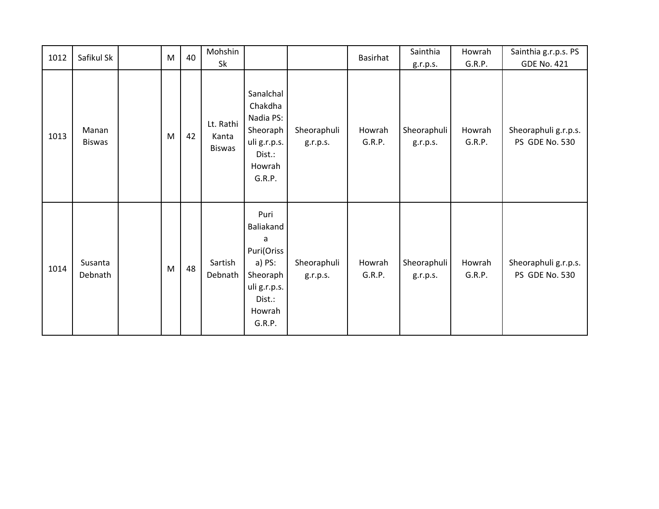| 1012 | Safikul Sk             | M | 40 | Mohshin                             |                                                                                                          |                         | Basirhat         | Sainthia                | Howrah           | Sainthia g.r.p.s. PS                   |
|------|------------------------|---|----|-------------------------------------|----------------------------------------------------------------------------------------------------------|-------------------------|------------------|-------------------------|------------------|----------------------------------------|
|      |                        |   |    | Sk                                  |                                                                                                          |                         |                  | g.r.p.s.                | G.R.P.           | <b>GDE No. 421</b>                     |
| 1013 | Manan<br><b>Biswas</b> | M | 42 | Lt. Rathi<br>Kanta<br><b>Biswas</b> | Sanalchal<br>Chakdha<br>Nadia PS:<br>Sheoraph<br>uli g.r.p.s.<br>Dist.:<br>Howrah<br>G.R.P.              | Sheoraphuli<br>g.r.p.s. | Howrah<br>G.R.P. | Sheoraphuli<br>g.r.p.s. | Howrah<br>G.R.P. | Sheoraphuli g.r.p.s.<br>PS GDE No. 530 |
| 1014 | Susanta<br>Debnath     | M | 48 | Sartish<br>Debnath                  | Puri<br>Baliakand<br>a<br>Puri(Oriss<br>a) PS:<br>Sheoraph<br>uli g.r.p.s.<br>Dist.:<br>Howrah<br>G.R.P. | Sheoraphuli<br>g.r.p.s. | Howrah<br>G.R.P. | Sheoraphuli<br>g.r.p.s. | Howrah<br>G.R.P. | Sheoraphuli g.r.p.s.<br>PS GDE No. 530 |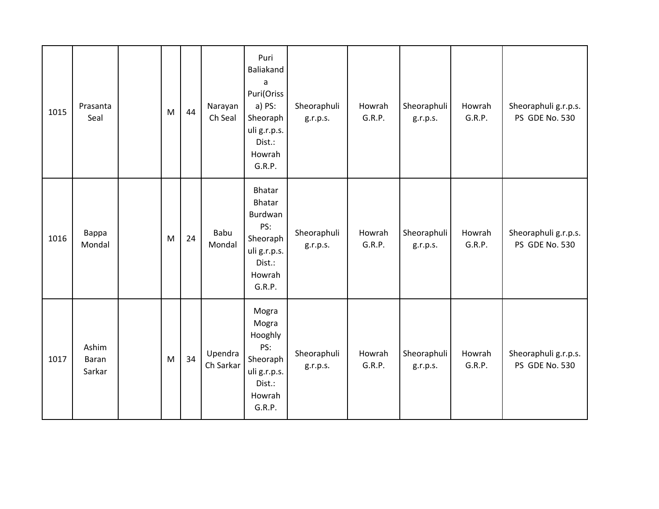| 1015 | Prasanta<br>Seal         | M | 44 | Narayan<br>Ch Seal   | Puri<br>Baliakand<br>a<br>Puri(Oriss<br>a) PS:<br>Sheoraph<br>uli g.r.p.s.<br>Dist.:<br>Howrah<br>G.R.P. | Sheoraphuli<br>g.r.p.s. | Howrah<br>G.R.P. | Sheoraphuli<br>g.r.p.s. | Howrah<br>G.R.P. | Sheoraphuli g.r.p.s.<br>PS GDE No. 530 |
|------|--------------------------|---|----|----------------------|----------------------------------------------------------------------------------------------------------|-------------------------|------------------|-------------------------|------------------|----------------------------------------|
| 1016 | Bappa<br>Mondal          | M | 24 | Babu<br>Mondal       | <b>Bhatar</b><br>Bhatar<br>Burdwan<br>PS:<br>Sheoraph<br>uli g.r.p.s.<br>Dist.:<br>Howrah<br>G.R.P.      | Sheoraphuli<br>g.r.p.s. | Howrah<br>G.R.P. | Sheoraphuli<br>g.r.p.s. | Howrah<br>G.R.P. | Sheoraphuli g.r.p.s.<br>PS GDE No. 530 |
| 1017 | Ashim<br>Baran<br>Sarkar | M | 34 | Upendra<br>Ch Sarkar | Mogra<br>Mogra<br>Hooghly<br>PS:<br>Sheoraph<br>uli g.r.p.s.<br>Dist.:<br>Howrah<br>G.R.P.               | Sheoraphuli<br>g.r.p.s. | Howrah<br>G.R.P. | Sheoraphuli<br>g.r.p.s. | Howrah<br>G.R.P. | Sheoraphuli g.r.p.s.<br>PS GDE No. 530 |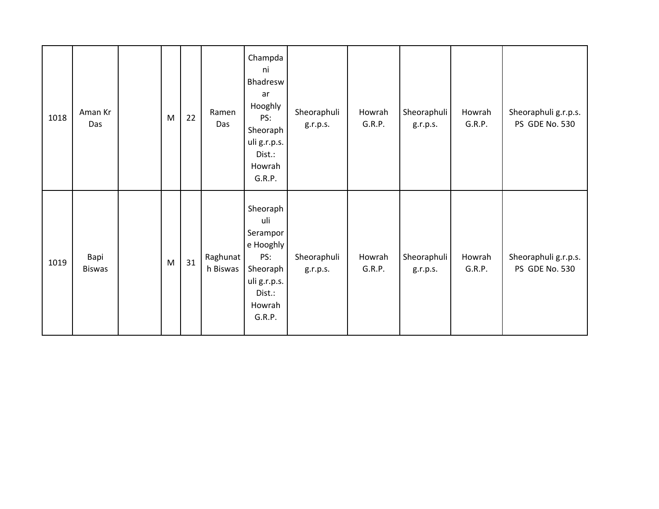| 1018 | Aman Kr<br>Das        | M | 22 | Ramen<br>Das         | Champda<br>ni<br>Bhadresw<br>ar<br>Hooghly<br>PS:<br>Sheoraph<br>uli g.r.p.s.<br>Dist.:<br>Howrah<br>G.R.P. | Sheoraphuli<br>g.r.p.s. | Howrah<br>G.R.P. | Sheoraphuli<br>g.r.p.s. | Howrah<br>G.R.P. | Sheoraphuli g.r.p.s.<br>PS GDE No. 530 |
|------|-----------------------|---|----|----------------------|-------------------------------------------------------------------------------------------------------------|-------------------------|------------------|-------------------------|------------------|----------------------------------------|
| 1019 | Bapi<br><b>Biswas</b> | M | 31 | Raghunat<br>h Biswas | Sheoraph<br>uli<br>Serampor<br>e Hooghly<br>PS:<br>Sheoraph<br>uli g.r.p.s.<br>Dist.:<br>Howrah<br>G.R.P.   | Sheoraphuli<br>g.r.p.s. | Howrah<br>G.R.P. | Sheoraphuli<br>g.r.p.s. | Howrah<br>G.R.P. | Sheoraphuli g.r.p.s.<br>PS GDE No. 530 |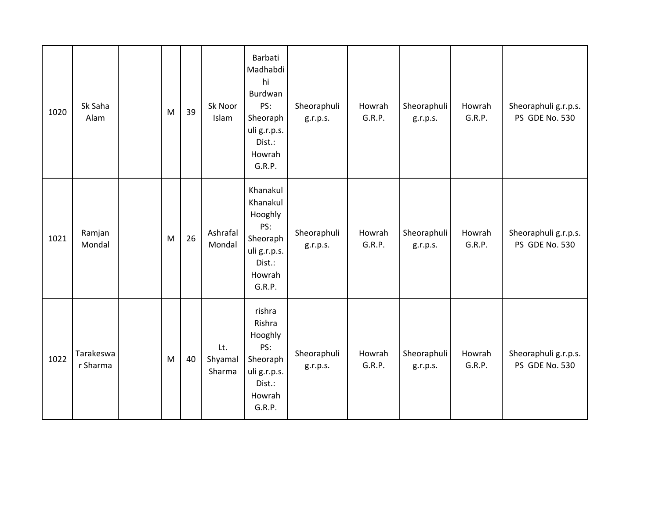| 1020 | Sk Saha<br>Alam       | M | 39 | Sk Noor<br>Islam         | Barbati<br>Madhabdi<br>hi<br>Burdwan<br>PS:<br>Sheoraph<br>uli g.r.p.s.<br>Dist.:<br>Howrah<br>G.R.P. | Sheoraphuli<br>g.r.p.s. | Howrah<br>G.R.P. | Sheoraphuli<br>g.r.p.s. | Howrah<br>G.R.P. | Sheoraphuli g.r.p.s.<br>PS GDE No. 530 |
|------|-----------------------|---|----|--------------------------|-------------------------------------------------------------------------------------------------------|-------------------------|------------------|-------------------------|------------------|----------------------------------------|
| 1021 | Ramjan<br>Mondal      | M | 26 | Ashrafal<br>Mondal       | Khanakul<br>Khanakul<br>Hooghly<br>PS:<br>Sheoraph<br>uli g.r.p.s.<br>Dist.:<br>Howrah<br>G.R.P.      | Sheoraphuli<br>g.r.p.s. | Howrah<br>G.R.P. | Sheoraphuli<br>g.r.p.s. | Howrah<br>G.R.P. | Sheoraphuli g.r.p.s.<br>PS GDE No. 530 |
| 1022 | Tarakeswa<br>r Sharma | M | 40 | Lt.<br>Shyamal<br>Sharma | rishra<br>Rishra<br>Hooghly<br>PS:<br>Sheoraph<br>uli g.r.p.s.<br>Dist.:<br>Howrah<br>G.R.P.          | Sheoraphuli<br>g.r.p.s. | Howrah<br>G.R.P. | Sheoraphuli<br>g.r.p.s. | Howrah<br>G.R.P. | Sheoraphuli g.r.p.s.<br>PS GDE No. 530 |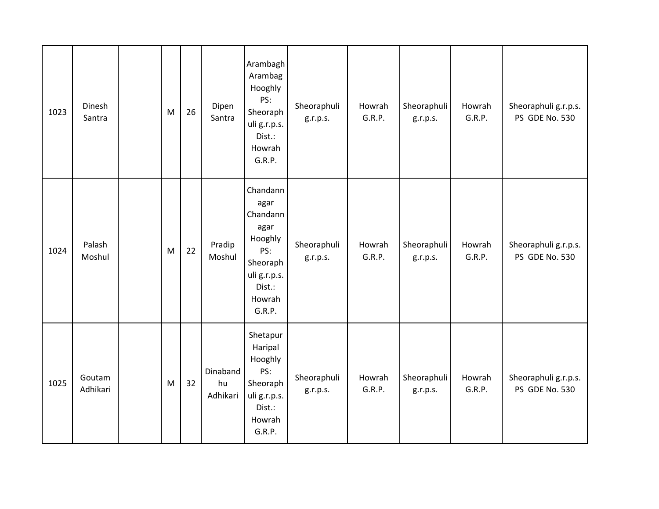| 1023 | Dinesh<br>Santra   | M | 26 | Dipen<br>Santra            | Arambagh<br>Arambag<br>Hooghly<br>PS:<br>Sheoraph<br>uli g.r.p.s.<br>Dist.:<br>Howrah<br>G.R.P.                  | Sheoraphuli<br>g.r.p.s. | Howrah<br>G.R.P. | Sheoraphuli<br>g.r.p.s. | Howrah<br>G.R.P. | Sheoraphuli g.r.p.s.<br>PS GDE No. 530 |
|------|--------------------|---|----|----------------------------|------------------------------------------------------------------------------------------------------------------|-------------------------|------------------|-------------------------|------------------|----------------------------------------|
| 1024 | Palash<br>Moshul   | M | 22 | Pradip<br>Moshul           | Chandann<br>agar<br>Chandann<br>agar<br>Hooghly<br>PS:<br>Sheoraph<br>uli g.r.p.s.<br>Dist.:<br>Howrah<br>G.R.P. | Sheoraphuli<br>g.r.p.s. | Howrah<br>G.R.P. | Sheoraphuli<br>g.r.p.s. | Howrah<br>G.R.P. | Sheoraphuli g.r.p.s.<br>PS GDE No. 530 |
| 1025 | Goutam<br>Adhikari | M | 32 | Dinaband<br>hu<br>Adhikari | Shetapur<br>Haripal<br>Hooghly<br>PS:<br>Sheoraph<br>uli g.r.p.s.<br>Dist.:<br>Howrah<br>G.R.P.                  | Sheoraphuli<br>g.r.p.s. | Howrah<br>G.R.P. | Sheoraphuli<br>g.r.p.s. | Howrah<br>G.R.P. | Sheoraphuli g.r.p.s.<br>PS GDE No. 530 |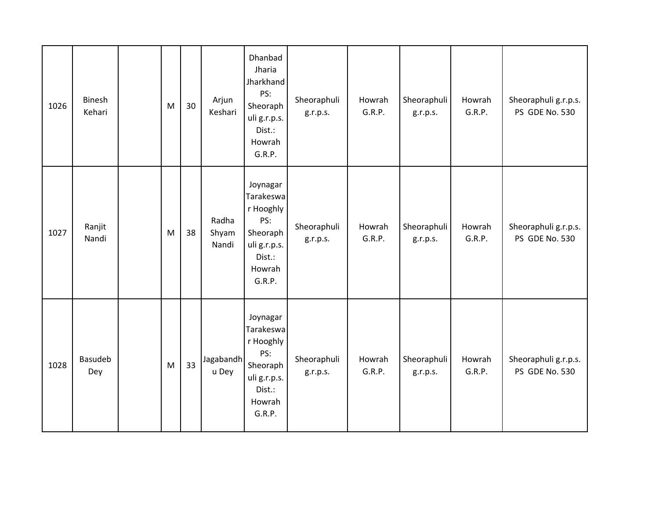| 1026 | <b>Binesh</b><br>Kehari | M | 30 | Arjun<br>Keshari        | Dhanbad<br>Jharia<br>Jharkhand<br>PS:<br>Sheoraph<br>uli g.r.p.s.<br>Dist.:<br>Howrah<br>G.R.P.     | Sheoraphuli<br>g.r.p.s. | Howrah<br>G.R.P. | Sheoraphuli<br>g.r.p.s. | Howrah<br>G.R.P. | Sheoraphuli g.r.p.s.<br>PS GDE No. 530 |
|------|-------------------------|---|----|-------------------------|-----------------------------------------------------------------------------------------------------|-------------------------|------------------|-------------------------|------------------|----------------------------------------|
| 1027 | Ranjit<br>Nandi         | M | 38 | Radha<br>Shyam<br>Nandi | Joynagar<br>Tarakeswa<br>r Hooghly<br>PS:<br>Sheoraph<br>uli g.r.p.s.<br>Dist.:<br>Howrah<br>G.R.P. | Sheoraphuli<br>g.r.p.s. | Howrah<br>G.R.P. | Sheoraphuli<br>g.r.p.s. | Howrah<br>G.R.P. | Sheoraphuli g.r.p.s.<br>PS GDE No. 530 |
| 1028 | Basudeb<br>Dey          | M | 33 | Jagabandh<br>u Dey      | Joynagar<br>Tarakeswa<br>r Hooghly<br>PS:<br>Sheoraph<br>uli g.r.p.s.<br>Dist.:<br>Howrah<br>G.R.P. | Sheoraphuli<br>g.r.p.s. | Howrah<br>G.R.P. | Sheoraphuli<br>g.r.p.s. | Howrah<br>G.R.P. | Sheoraphuli g.r.p.s.<br>PS GDE No. 530 |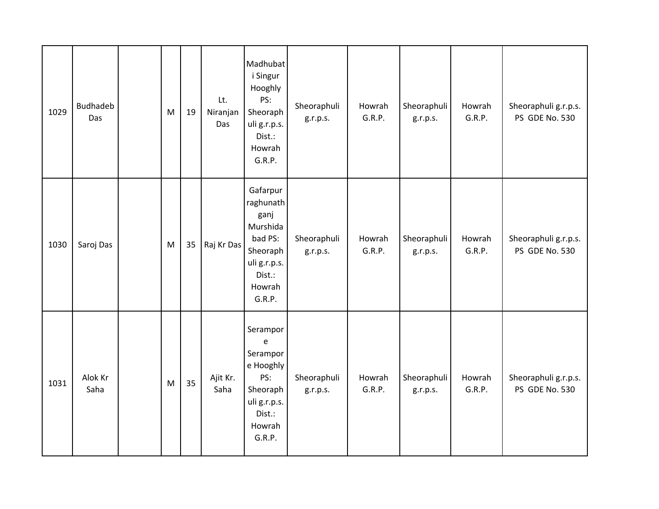| 1029 | <b>Budhadeb</b><br>Das | M | 19 | Lt.<br>Niranjan<br>Das | Madhubat<br>i Singur<br>Hooghly<br>PS:<br>Sheoraph<br>uli g.r.p.s.<br>Dist.:<br>Howrah<br>G.R.P.                                        | Sheoraphuli<br>g.r.p.s. | Howrah<br>G.R.P. | Sheoraphuli<br>g.r.p.s. | Howrah<br>G.R.P. | Sheoraphuli g.r.p.s.<br>PS GDE No. 530 |
|------|------------------------|---|----|------------------------|-----------------------------------------------------------------------------------------------------------------------------------------|-------------------------|------------------|-------------------------|------------------|----------------------------------------|
| 1030 | Saroj Das              | M | 35 | Raj Kr Das             | Gafarpur<br>raghunath<br>ganj<br>Murshida<br>bad PS:<br>Sheoraph<br>uli g.r.p.s.<br>Dist.:<br>Howrah<br>G.R.P.                          | Sheoraphuli<br>g.r.p.s. | Howrah<br>G.R.P. | Sheoraphuli<br>g.r.p.s. | Howrah<br>G.R.P. | Sheoraphuli g.r.p.s.<br>PS GDE No. 530 |
| 1031 | Alok Kr<br>Saha        | M | 35 | Ajit Kr.<br>Saha       | Serampor<br>$\mathsf{e}% _{t}\left( t\right)$<br>Serampor<br>e Hooghly<br>PS:<br>Sheoraph<br>uli g.r.p.s.<br>Dist.:<br>Howrah<br>G.R.P. | Sheoraphuli<br>g.r.p.s. | Howrah<br>G.R.P. | Sheoraphuli<br>g.r.p.s. | Howrah<br>G.R.P. | Sheoraphuli g.r.p.s.<br>PS GDE No. 530 |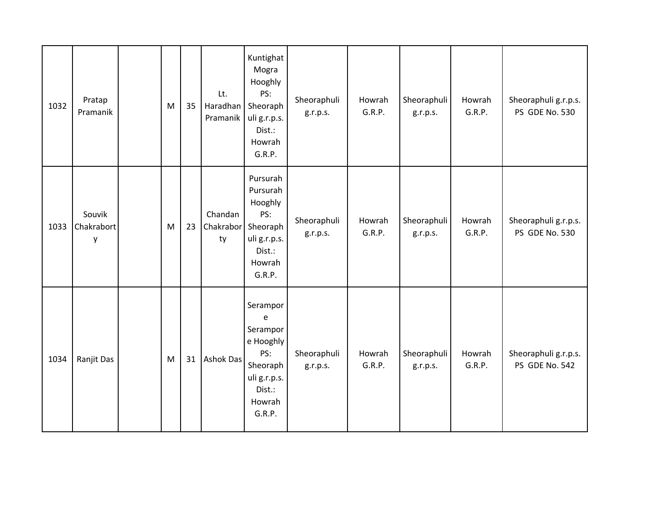| 1032 | Pratap<br>Pramanik        | M | 35 | Lt.<br>Haradhan<br>Pramanik | Kuntighat<br>Mogra<br>Hooghly<br>PS:<br>Sheoraph<br>uli g.r.p.s.<br>Dist.:<br>Howrah<br>G.R.P.          | Sheoraphuli<br>g.r.p.s. | Howrah<br>G.R.P. | Sheoraphuli<br>g.r.p.s. | Howrah<br>G.R.P. | Sheoraphuli g.r.p.s.<br>PS GDE No. 530 |
|------|---------------------------|---|----|-----------------------------|---------------------------------------------------------------------------------------------------------|-------------------------|------------------|-------------------------|------------------|----------------------------------------|
| 1033 | Souvik<br>Chakrabort<br>у | M | 23 | Chandan<br>Chakrabor<br>ty  | Pursurah<br>Pursurah<br>Hooghly<br>PS:<br>Sheoraph<br>uli g.r.p.s.<br>Dist.:<br>Howrah<br>G.R.P.        | Sheoraphuli<br>g.r.p.s. | Howrah<br>G.R.P. | Sheoraphuli<br>g.r.p.s. | Howrah<br>G.R.P. | Sheoraphuli g.r.p.s.<br>PS GDE No. 530 |
| 1034 | Ranjit Das                | M | 31 | Ashok Das                   | Serampor<br>e<br>Serampor<br>e Hooghly<br>PS:<br>Sheoraph<br>uli g.r.p.s.<br>Dist.:<br>Howrah<br>G.R.P. | Sheoraphuli<br>g.r.p.s. | Howrah<br>G.R.P. | Sheoraphuli<br>g.r.p.s. | Howrah<br>G.R.P. | Sheoraphuli g.r.p.s.<br>PS GDE No. 542 |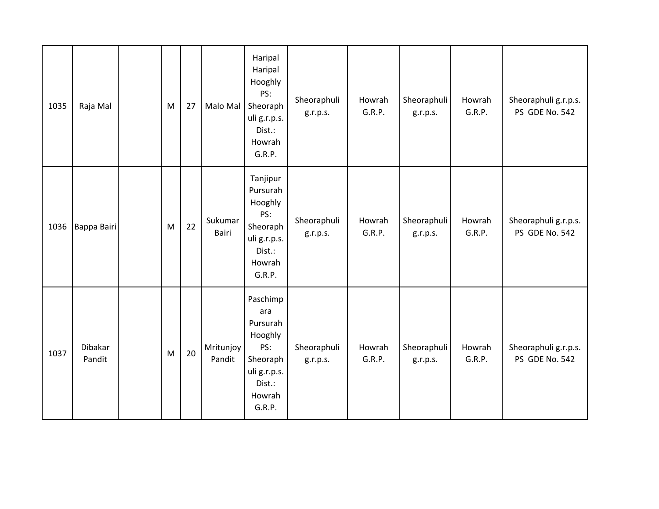| 1035 | Raja Mal          | M | 27 | Malo Mal            | Haripal<br>Haripal<br>Hooghly<br>PS:<br>Sheoraph<br>uli g.r.p.s.<br>Dist.:<br>Howrah<br>G.R.P.          | Sheoraphuli<br>g.r.p.s. | Howrah<br>G.R.P. | Sheoraphuli<br>g.r.p.s. | Howrah<br>G.R.P. | Sheoraphuli g.r.p.s.<br>PS GDE No. 542 |
|------|-------------------|---|----|---------------------|---------------------------------------------------------------------------------------------------------|-------------------------|------------------|-------------------------|------------------|----------------------------------------|
| 1036 | Bappa Bairi       | M | 22 | Sukumar<br>Bairi    | Tanjipur<br>Pursurah<br>Hooghly<br>PS:<br>Sheoraph<br>uli g.r.p.s.<br>Dist.:<br>Howrah<br>G.R.P.        | Sheoraphuli<br>g.r.p.s. | Howrah<br>G.R.P. | Sheoraphuli<br>g.r.p.s. | Howrah<br>G.R.P. | Sheoraphuli g.r.p.s.<br>PS GDE No. 542 |
| 1037 | Dibakar<br>Pandit | M | 20 | Mritunjoy<br>Pandit | Paschimp<br>ara<br>Pursurah<br>Hooghly<br>PS:<br>Sheoraph<br>uli g.r.p.s.<br>Dist.:<br>Howrah<br>G.R.P. | Sheoraphuli<br>g.r.p.s. | Howrah<br>G.R.P. | Sheoraphuli<br>g.r.p.s. | Howrah<br>G.R.P. | Sheoraphuli g.r.p.s.<br>PS GDE No. 542 |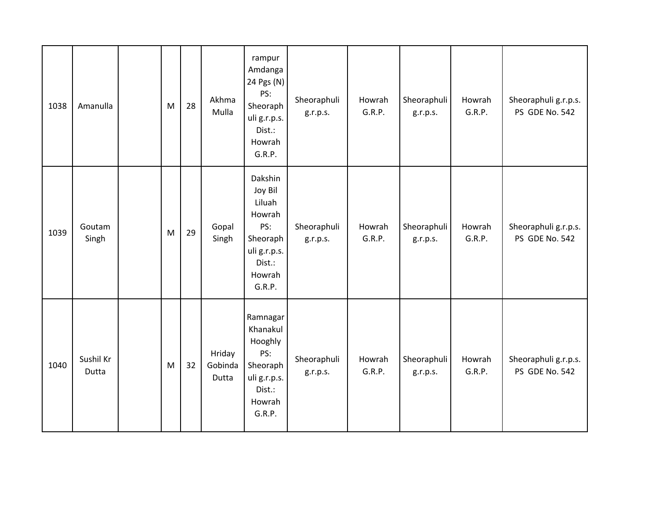| 1038 | Amanulla           | M | 28 | Akhma<br>Mulla             | rampur<br>Amdanga<br>24 Pgs (N)<br>PS:<br>Sheoraph<br>uli g.r.p.s.<br>Dist.:<br>Howrah<br>G.R.P.        | Sheoraphuli<br>g.r.p.s. | Howrah<br>G.R.P. | Sheoraphuli<br>g.r.p.s. | Howrah<br>G.R.P. | Sheoraphuli g.r.p.s.<br>PS GDE No. 542 |
|------|--------------------|---|----|----------------------------|---------------------------------------------------------------------------------------------------------|-------------------------|------------------|-------------------------|------------------|----------------------------------------|
| 1039 | Goutam<br>Singh    | M | 29 | Gopal<br>Singh             | Dakshin<br>Joy Bil<br>Liluah<br>Howrah<br>PS:<br>Sheoraph<br>uli g.r.p.s.<br>Dist.:<br>Howrah<br>G.R.P. | Sheoraphuli<br>g.r.p.s. | Howrah<br>G.R.P. | Sheoraphuli<br>g.r.p.s. | Howrah<br>G.R.P. | Sheoraphuli g.r.p.s.<br>PS GDE No. 542 |
| 1040 | Sushil Kr<br>Dutta | M | 32 | Hriday<br>Gobinda<br>Dutta | Ramnagar<br>Khanakul<br>Hooghly<br>PS:<br>Sheoraph<br>uli g.r.p.s.<br>Dist.:<br>Howrah<br>G.R.P.        | Sheoraphuli<br>g.r.p.s. | Howrah<br>G.R.P. | Sheoraphuli<br>g.r.p.s. | Howrah<br>G.R.P. | Sheoraphuli g.r.p.s.<br>PS GDE No. 542 |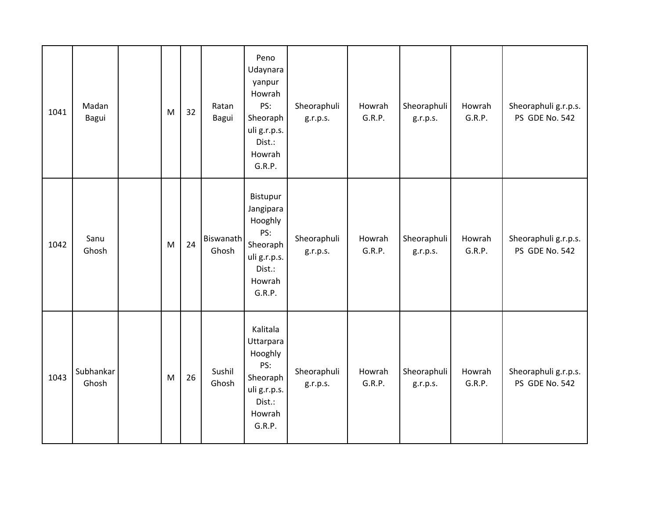| 1041 | Madan<br>Bagui     | M | 32 | Ratan<br>Bagui     | Peno<br>Udaynara<br>yanpur<br>Howrah<br>PS:<br>Sheoraph<br>uli g.r.p.s.<br>Dist.:<br>Howrah<br>G.R.P. | Sheoraphuli<br>g.r.p.s. | Howrah<br>G.R.P. | Sheoraphuli<br>g.r.p.s. | Howrah<br>G.R.P. | Sheoraphuli g.r.p.s.<br>PS GDE No. 542 |
|------|--------------------|---|----|--------------------|-------------------------------------------------------------------------------------------------------|-------------------------|------------------|-------------------------|------------------|----------------------------------------|
| 1042 | Sanu<br>Ghosh      | M | 24 | Biswanath<br>Ghosh | Bistupur<br>Jangipara<br>Hooghly<br>PS:<br>Sheoraph<br>uli g.r.p.s.<br>Dist.:<br>Howrah<br>G.R.P.     | Sheoraphuli<br>g.r.p.s. | Howrah<br>G.R.P. | Sheoraphuli<br>g.r.p.s. | Howrah<br>G.R.P. | Sheoraphuli g.r.p.s.<br>PS GDE No. 542 |
| 1043 | Subhankar<br>Ghosh | M | 26 | Sushil<br>Ghosh    | Kalitala<br>Uttarpara<br>Hooghly<br>PS:<br>Sheoraph<br>uli g.r.p.s.<br>Dist.:<br>Howrah<br>G.R.P.     | Sheoraphuli<br>g.r.p.s. | Howrah<br>G.R.P. | Sheoraphuli<br>g.r.p.s. | Howrah<br>G.R.P. | Sheoraphuli g.r.p.s.<br>PS GDE No. 542 |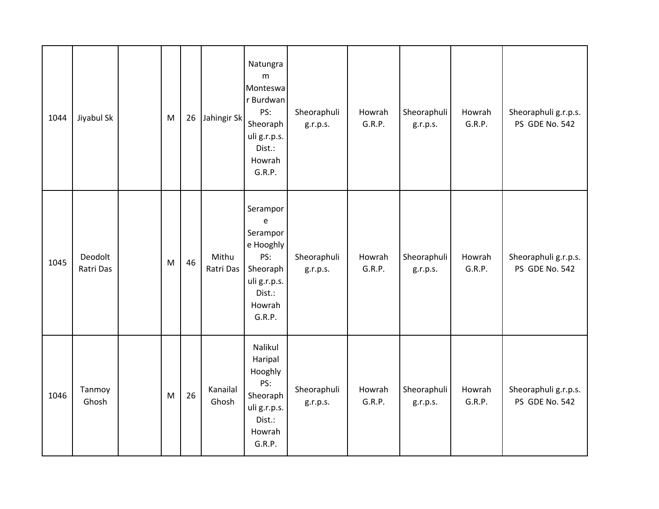| 1044 | Jiyabul Sk           | M | 26 | Jahingir Sk        | Natungra<br>m<br>Monteswa<br>r Burdwan<br>PS:<br>Sheoraph<br>uli g.r.p.s.<br>Dist.:<br>Howrah<br>G.R.P.                                 | Sheoraphuli<br>g.r.p.s. | Howrah<br>G.R.P. | Sheoraphuli<br>g.r.p.s. | Howrah<br>G.R.P. | Sheoraphuli g.r.p.s.<br>PS GDE No. 542 |
|------|----------------------|---|----|--------------------|-----------------------------------------------------------------------------------------------------------------------------------------|-------------------------|------------------|-------------------------|------------------|----------------------------------------|
| 1045 | Deodolt<br>Ratri Das | M | 46 | Mithu<br>Ratri Das | Serampor<br>$\mathsf{e}% _{t}\left( t\right)$<br>Serampor<br>e Hooghly<br>PS:<br>Sheoraph<br>uli g.r.p.s.<br>Dist.:<br>Howrah<br>G.R.P. | Sheoraphuli<br>g.r.p.s. | Howrah<br>G.R.P. | Sheoraphuli<br>g.r.p.s. | Howrah<br>G.R.P. | Sheoraphuli g.r.p.s.<br>PS GDE No. 542 |
| 1046 | Tanmoy<br>Ghosh      | M | 26 | Kanailal<br>Ghosh  | Nalikul<br>Haripal<br>Hooghly<br>PS:<br>Sheoraph<br>uli g.r.p.s.<br>Dist.:<br>Howrah<br>G.R.P.                                          | Sheoraphuli<br>g.r.p.s. | Howrah<br>G.R.P. | Sheoraphuli<br>g.r.p.s. | Howrah<br>G.R.P. | Sheoraphuli g.r.p.s.<br>PS GDE No. 542 |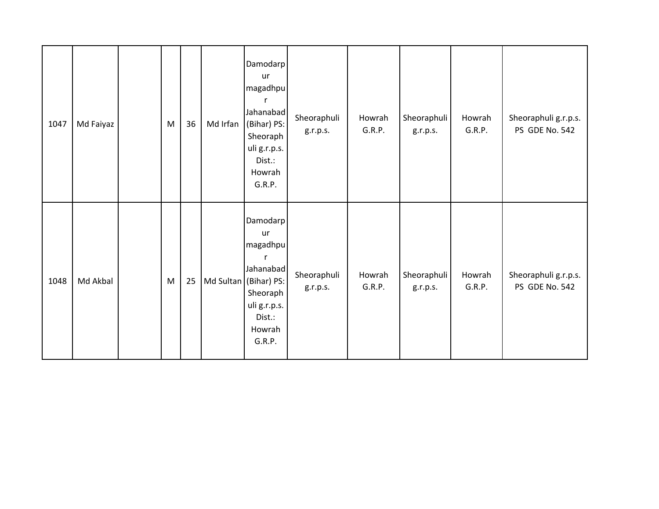| 1047 | Md Faiyaz | ${\sf M}$ | 36 | Md Irfan | Damodarp<br>ur<br>magadhpu<br>Jahanabad<br>(Bihar) PS:<br>Sheoraph<br>uli g.r.p.s.<br>Dist.:<br>Howrah<br>G.R.P.                           | Sheoraphuli<br>g.r.p.s. | Howrah<br>G.R.P. | Sheoraphuli<br>g.r.p.s. | Howrah<br>G.R.P. | Sheoraphuli g.r.p.s.<br>PS GDE No. 542 |
|------|-----------|-----------|----|----------|--------------------------------------------------------------------------------------------------------------------------------------------|-------------------------|------------------|-------------------------|------------------|----------------------------------------|
| 1048 | Md Akbal  | ${\sf M}$ | 25 |          | Damodarp<br>ur<br>magadhpu<br>$\mathsf{r}$<br>Jahanabad<br>Md Sultan (Bihar) PS:<br>Sheoraph<br>uli g.r.p.s.<br>Dist.:<br>Howrah<br>G.R.P. | Sheoraphuli<br>g.r.p.s. | Howrah<br>G.R.P. | Sheoraphuli<br>g.r.p.s. | Howrah<br>G.R.P. | Sheoraphuli g.r.p.s.<br>PS GDE No. 542 |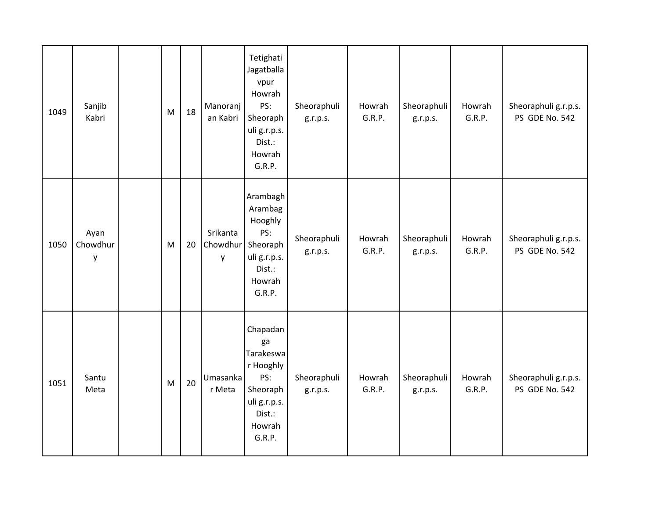| 1049 | Sanjib<br>Kabri       | M | 18 | Manoranj<br>an Kabri      | Tetighati<br>Jagatballa<br>vpur<br>Howrah<br>PS:<br>Sheoraph<br>uli g.r.p.s.<br>Dist.:<br>Howrah<br>G.R.P. | Sheoraphuli<br>g.r.p.s. | Howrah<br>G.R.P. | Sheoraphuli<br>g.r.p.s. | Howrah<br>G.R.P. | Sheoraphuli g.r.p.s.<br>PS GDE No. 542 |
|------|-----------------------|---|----|---------------------------|------------------------------------------------------------------------------------------------------------|-------------------------|------------------|-------------------------|------------------|----------------------------------------|
| 1050 | Ayan<br>Chowdhur<br>y | M | 20 | Srikanta<br>Chowdhur<br>y | Arambagh<br>Arambag<br>Hooghly<br>PS:<br>Sheoraph<br>uli g.r.p.s.<br>Dist.:<br>Howrah<br>G.R.P.            | Sheoraphuli<br>g.r.p.s. | Howrah<br>G.R.P. | Sheoraphuli<br>g.r.p.s. | Howrah<br>G.R.P. | Sheoraphuli g.r.p.s.<br>PS GDE No. 542 |
| 1051 | Santu<br>Meta         | M | 20 | Umasanka<br>r Meta        | Chapadan<br>ga<br>Tarakeswa<br>r Hooghly<br>PS:<br>Sheoraph<br>uli g.r.p.s.<br>Dist.:<br>Howrah<br>G.R.P.  | Sheoraphuli<br>g.r.p.s. | Howrah<br>G.R.P. | Sheoraphuli<br>g.r.p.s. | Howrah<br>G.R.P. | Sheoraphuli g.r.p.s.<br>PS GDE No. 542 |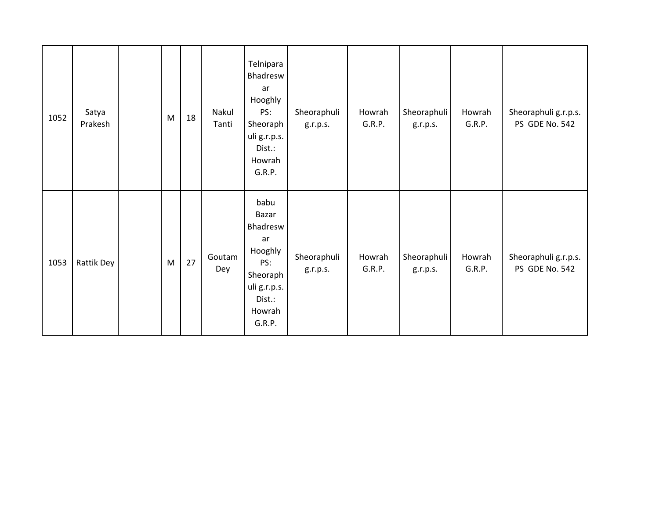| 1052 | Satya<br>Prakesh | M | 18 | Nakul<br>Tanti | Telnipara<br>Bhadresw<br>ar<br>Hooghly<br>PS:<br>Sheoraph<br>uli g.r.p.s.<br>Dist.:<br>Howrah<br>G.R.P.     | Sheoraphuli<br>g.r.p.s. | Howrah<br>G.R.P. | Sheoraphuli<br>g.r.p.s. | Howrah<br>G.R.P. | Sheoraphuli g.r.p.s.<br>PS GDE No. 542 |
|------|------------------|---|----|----------------|-------------------------------------------------------------------------------------------------------------|-------------------------|------------------|-------------------------|------------------|----------------------------------------|
| 1053 | Rattik Dey       | M | 27 | Goutam<br>Dey  | babu<br>Bazar<br>Bhadresw<br>ar<br>Hooghly<br>PS:<br>Sheoraph<br>uli g.r.p.s.<br>Dist.:<br>Howrah<br>G.R.P. | Sheoraphuli<br>g.r.p.s. | Howrah<br>G.R.P. | Sheoraphuli<br>g.r.p.s. | Howrah<br>G.R.P. | Sheoraphuli g.r.p.s.<br>PS GDE No. 542 |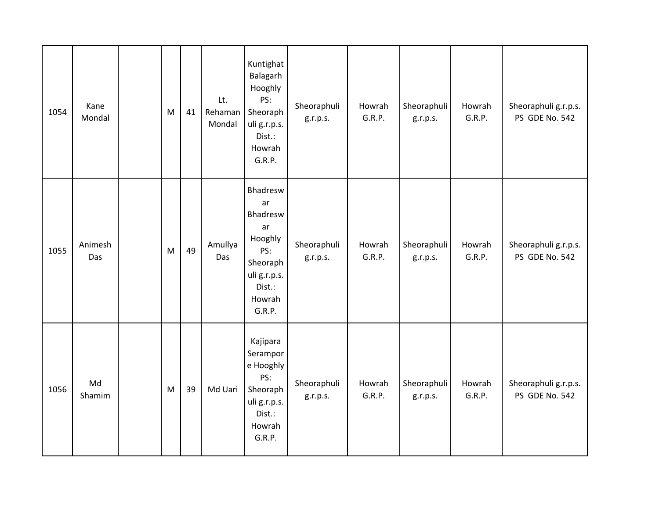| 1054 | Kane<br>Mondal | M | 41 | Lt.<br>Rehaman<br>Mondal | Kuntighat<br>Balagarh<br>Hooghly<br>PS:<br>Sheoraph<br>uli g.r.p.s.<br>Dist.:<br>Howrah<br>G.R.P.            | Sheoraphuli<br>g.r.p.s. | Howrah<br>G.R.P. | Sheoraphuli<br>g.r.p.s. | Howrah<br>G.R.P. | Sheoraphuli g.r.p.s.<br>PS GDE No. 542        |
|------|----------------|---|----|--------------------------|--------------------------------------------------------------------------------------------------------------|-------------------------|------------------|-------------------------|------------------|-----------------------------------------------|
| 1055 | Animesh<br>Das | M | 49 | Amullya<br>Das           | Bhadresw<br>ar<br>Bhadresw<br>ar<br>Hooghly<br>PS:<br>Sheoraph<br>uli g.r.p.s.<br>Dist.:<br>Howrah<br>G.R.P. | Sheoraphuli<br>g.r.p.s. | Howrah<br>G.R.P. | Sheoraphuli<br>g.r.p.s. | Howrah<br>G.R.P. | Sheoraphuli g.r.p.s.<br>PS GDE No. 542        |
| 1056 | Md<br>Shamim   | M | 39 | Md Uari                  | Kajipara<br>Serampor<br>e Hooghly<br>PS:<br>Sheoraph<br>uli g.r.p.s.<br>Dist.:<br>Howrah<br>G.R.P.           | Sheoraphuli<br>g.r.p.s. | Howrah<br>G.R.P. | Sheoraphuli<br>g.r.p.s. | Howrah<br>G.R.P. | Sheoraphuli g.r.p.s.<br><b>PS GDE No. 542</b> |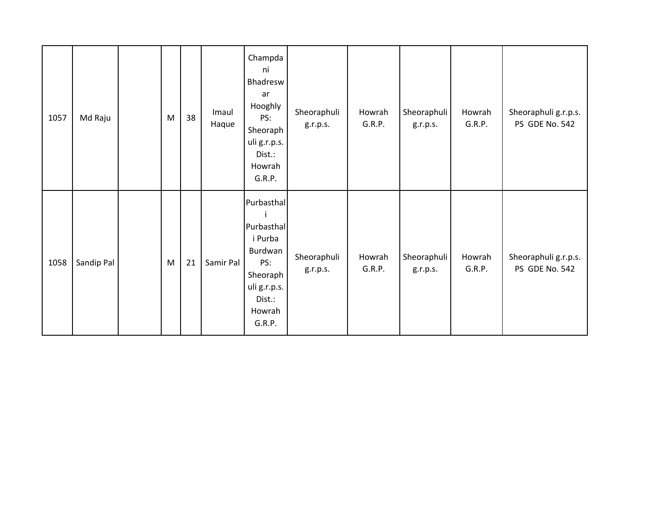| 1057 | Md Raju    | M | 38 | Imaul<br>Haque | Champda<br>ni<br>Bhadresw<br>ar<br>Hooghly<br>PS:<br>Sheoraph<br>uli g.r.p.s.<br>Dist.:<br>Howrah<br>G.R.P.           | Sheoraphuli<br>g.r.p.s. | Howrah<br>G.R.P. | Sheoraphuli<br>g.r.p.s. | Howrah<br>G.R.P. | Sheoraphuli g.r.p.s.<br>PS GDE No. 542 |
|------|------------|---|----|----------------|-----------------------------------------------------------------------------------------------------------------------|-------------------------|------------------|-------------------------|------------------|----------------------------------------|
| 1058 | Sandip Pal | M | 21 | Samir Pal      | Purbasthal<br>-i<br>Purbasthal<br>i Purba<br>Burdwan<br>PS:<br>Sheoraph<br>uli g.r.p.s.<br>Dist.:<br>Howrah<br>G.R.P. | Sheoraphuli<br>g.r.p.s. | Howrah<br>G.R.P. | Sheoraphuli<br>g.r.p.s. | Howrah<br>G.R.P. | Sheoraphuli g.r.p.s.<br>PS GDE No. 542 |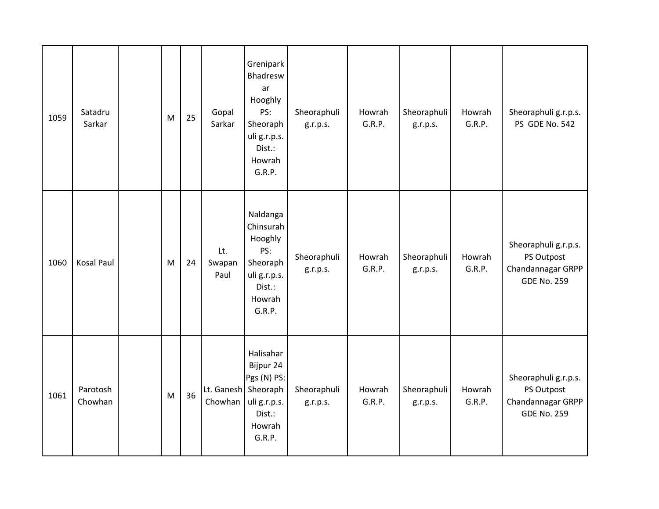| 1059 | Satadru<br>Sarkar   | ${\sf M}$ | 25 | Gopal<br>Sarkar                | Grenipark<br>Bhadresw<br>ar<br>Hooghly<br>PS:<br>Sheoraph<br>uli g.r.p.s.<br>Dist.:<br>Howrah<br>G.R.P. | Sheoraphuli<br>g.r.p.s. | Howrah<br>G.R.P. | Sheoraphuli<br>g.r.p.s. | Howrah<br>G.R.P. | Sheoraphuli g.r.p.s.<br>PS GDE No. 542                                        |
|------|---------------------|-----------|----|--------------------------------|---------------------------------------------------------------------------------------------------------|-------------------------|------------------|-------------------------|------------------|-------------------------------------------------------------------------------|
| 1060 | <b>Kosal Paul</b>   | M         | 24 | Lt.<br>Swapan<br>Paul          | Naldanga<br>Chinsurah<br>Hooghly<br>PS:<br>Sheoraph<br>uli g.r.p.s.<br>Dist.:<br>Howrah<br>G.R.P.       | Sheoraphuli<br>g.r.p.s. | Howrah<br>G.R.P. | Sheoraphuli<br>g.r.p.s. | Howrah<br>G.R.P. | Sheoraphuli g.r.p.s.<br>PS Outpost<br>Chandannagar GRPP<br><b>GDE No. 259</b> |
| 1061 | Parotosh<br>Chowhan | M         | 36 | Lt. Ganesh Sheoraph<br>Chowhan | Halisahar<br>Bijpur 24<br>Pgs (N) PS:<br>uli g.r.p.s.<br>Dist.:<br>Howrah<br>G.R.P.                     | Sheoraphuli<br>g.r.p.s. | Howrah<br>G.R.P. | Sheoraphuli<br>g.r.p.s. | Howrah<br>G.R.P. | Sheoraphuli g.r.p.s.<br>PS Outpost<br>Chandannagar GRPP<br><b>GDE No. 259</b> |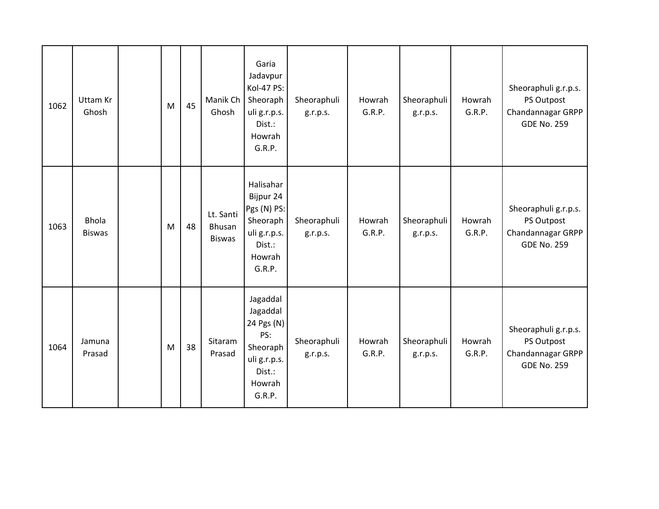| 1062 | Uttam Kr<br>Ghosh             | M | 45 | Manik Ch<br>Ghosh                    | Garia<br>Jadavpur<br>Kol-47 PS:<br>Sheoraph<br>uli g.r.p.s.<br>Dist.:<br>Howrah<br>G.R.P.           | Sheoraphuli<br>g.r.p.s. | Howrah<br>G.R.P. | Sheoraphuli<br>g.r.p.s. | Howrah<br>G.R.P. | Sheoraphuli g.r.p.s.<br>PS Outpost<br>Chandannagar GRPP<br><b>GDE No. 259</b> |
|------|-------------------------------|---|----|--------------------------------------|-----------------------------------------------------------------------------------------------------|-------------------------|------------------|-------------------------|------------------|-------------------------------------------------------------------------------|
| 1063 | <b>Bhola</b><br><b>Biswas</b> | M | 48 | Lt. Santi<br>Bhusan<br><b>Biswas</b> | Halisahar<br>Bijpur 24<br>Pgs (N) PS:<br>Sheoraph<br>uli g.r.p.s.<br>Dist.:<br>Howrah<br>G.R.P.     | Sheoraphuli<br>g.r.p.s. | Howrah<br>G.R.P. | Sheoraphuli<br>g.r.p.s. | Howrah<br>G.R.P. | Sheoraphuli g.r.p.s.<br>PS Outpost<br>Chandannagar GRPP<br><b>GDE No. 259</b> |
| 1064 | Jamuna<br>Prasad              | M | 38 | Sitaram<br>Prasad                    | Jagaddal<br>Jagaddal<br>24 Pgs (N)<br>PS:<br>Sheoraph<br>uli g.r.p.s.<br>Dist.:<br>Howrah<br>G.R.P. | Sheoraphuli<br>g.r.p.s. | Howrah<br>G.R.P. | Sheoraphuli<br>g.r.p.s. | Howrah<br>G.R.P. | Sheoraphuli g.r.p.s.<br>PS Outpost<br>Chandannagar GRPP<br><b>GDE No. 259</b> |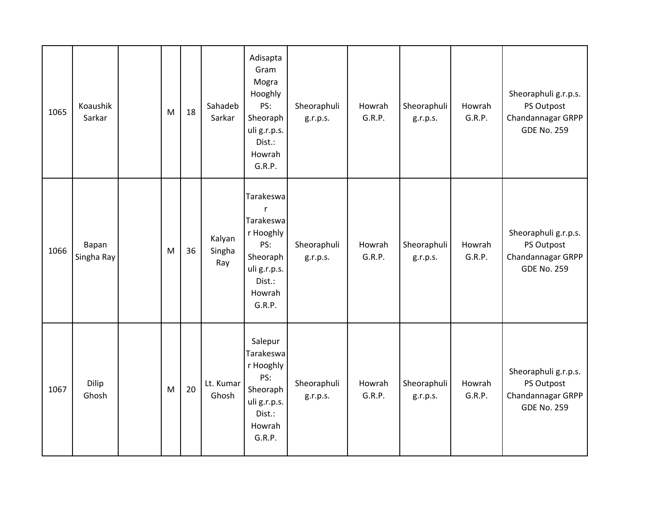| 1065 | Koaushik<br>Sarkar  | M | 18 | Sahadeb<br>Sarkar       | Adisapta<br>Gram<br>Mogra<br>Hooghly<br>PS:<br>Sheoraph<br>uli g.r.p.s.<br>Dist.:<br>Howrah<br>G.R.P.                | Sheoraphuli<br>g.r.p.s. | Howrah<br>G.R.P. | Sheoraphuli<br>g.r.p.s. | Howrah<br>G.R.P. | Sheoraphuli g.r.p.s.<br>PS Outpost<br>Chandannagar GRPP<br><b>GDE No. 259</b> |
|------|---------------------|---|----|-------------------------|----------------------------------------------------------------------------------------------------------------------|-------------------------|------------------|-------------------------|------------------|-------------------------------------------------------------------------------|
| 1066 | Bapan<br>Singha Ray | M | 36 | Kalyan<br>Singha<br>Ray | Tarakeswa<br>$\mathsf{r}$<br>Tarakeswa<br>r Hooghly<br>PS:<br>Sheoraph<br>uli g.r.p.s.<br>Dist.:<br>Howrah<br>G.R.P. | Sheoraphuli<br>g.r.p.s. | Howrah<br>G.R.P. | Sheoraphuli<br>g.r.p.s. | Howrah<br>G.R.P. | Sheoraphuli g.r.p.s.<br>PS Outpost<br>Chandannagar GRPP<br><b>GDE No. 259</b> |
| 1067 | Dilip<br>Ghosh      | M | 20 | Lt. Kumar<br>Ghosh      | Salepur<br>Tarakeswa<br>r Hooghly<br>PS:<br>Sheoraph<br>uli g.r.p.s.<br>Dist.:<br>Howrah<br>G.R.P.                   | Sheoraphuli<br>g.r.p.s. | Howrah<br>G.R.P. | Sheoraphuli<br>g.r.p.s. | Howrah<br>G.R.P. | Sheoraphuli g.r.p.s.<br>PS Outpost<br>Chandannagar GRPP<br><b>GDE No. 259</b> |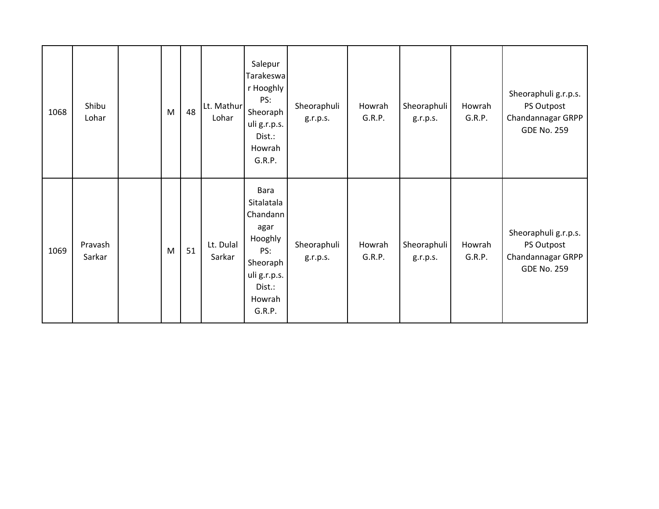| 1068 | Shibu<br>Lohar    | M         | 48 | Lt. Mathur<br>Lohar | Salepur<br>Tarakeswa<br>r Hooghly<br>PS:<br>Sheoraph<br>uli g.r.p.s.<br>Dist.:<br>Howrah<br>G.R.P.                 | Sheoraphuli<br>g.r.p.s. | Howrah<br>G.R.P. | Sheoraphuli<br>g.r.p.s. | Howrah<br>G.R.P. | Sheoraphuli g.r.p.s.<br>PS Outpost<br>Chandannagar GRPP<br><b>GDE No. 259</b> |
|------|-------------------|-----------|----|---------------------|--------------------------------------------------------------------------------------------------------------------|-------------------------|------------------|-------------------------|------------------|-------------------------------------------------------------------------------|
| 1069 | Pravash<br>Sarkar | ${\sf M}$ | 51 | Lt. Dulal<br>Sarkar | Bara<br>Sitalatala<br>Chandann<br>agar<br>Hooghly<br>PS:<br>Sheoraph<br>uli g.r.p.s.<br>Dist.:<br>Howrah<br>G.R.P. | Sheoraphuli<br>g.r.p.s. | Howrah<br>G.R.P. | Sheoraphuli<br>g.r.p.s. | Howrah<br>G.R.P. | Sheoraphuli g.r.p.s.<br>PS Outpost<br>Chandannagar GRPP<br><b>GDE No. 259</b> |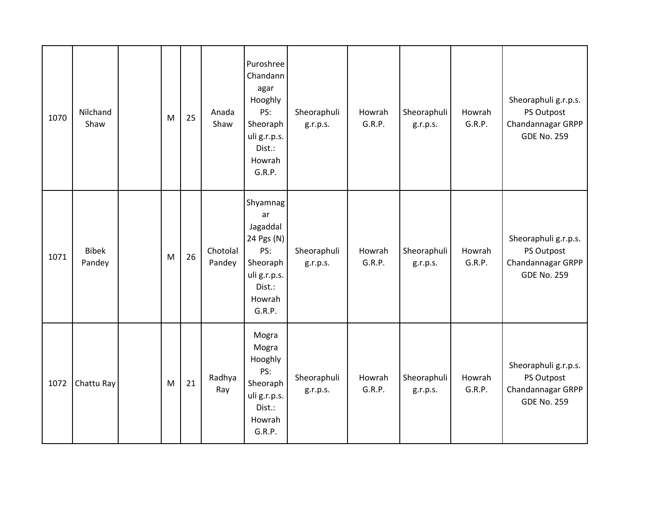| 1070 | Nilchand<br>Shaw       | M | 25 | Anada<br>Shaw      | Puroshree<br>Chandann<br>agar<br>Hooghly<br>PS:<br>Sheoraph<br>uli g.r.p.s.<br>Dist.:<br>Howrah<br>G.R.P. | Sheoraphuli<br>g.r.p.s. | Howrah<br>G.R.P. | Sheoraphuli<br>g.r.p.s. | Howrah<br>G.R.P. | Sheoraphuli g.r.p.s.<br>PS Outpost<br>Chandannagar GRPP<br><b>GDE No. 259</b> |
|------|------------------------|---|----|--------------------|-----------------------------------------------------------------------------------------------------------|-------------------------|------------------|-------------------------|------------------|-------------------------------------------------------------------------------|
| 1071 | <b>Bibek</b><br>Pandey | M | 26 | Chotolal<br>Pandey | Shyamnag<br>ar<br>Jagaddal<br>24 Pgs (N)<br>PS:<br>Sheoraph<br>uli g.r.p.s.<br>Dist.:<br>Howrah<br>G.R.P. | Sheoraphuli<br>g.r.p.s. | Howrah<br>G.R.P. | Sheoraphuli<br>g.r.p.s. | Howrah<br>G.R.P. | Sheoraphuli g.r.p.s.<br>PS Outpost<br>Chandannagar GRPP<br><b>GDE No. 259</b> |
| 1072 | Chattu Ray             | M | 21 | Radhya<br>Ray      | Mogra<br>Mogra<br>Hooghly<br>PS:<br>Sheoraph<br>uli g.r.p.s.<br>Dist.:<br>Howrah<br>G.R.P.                | Sheoraphuli<br>g.r.p.s. | Howrah<br>G.R.P. | Sheoraphuli<br>g.r.p.s. | Howrah<br>G.R.P. | Sheoraphuli g.r.p.s.<br>PS Outpost<br>Chandannagar GRPP<br><b>GDE No. 259</b> |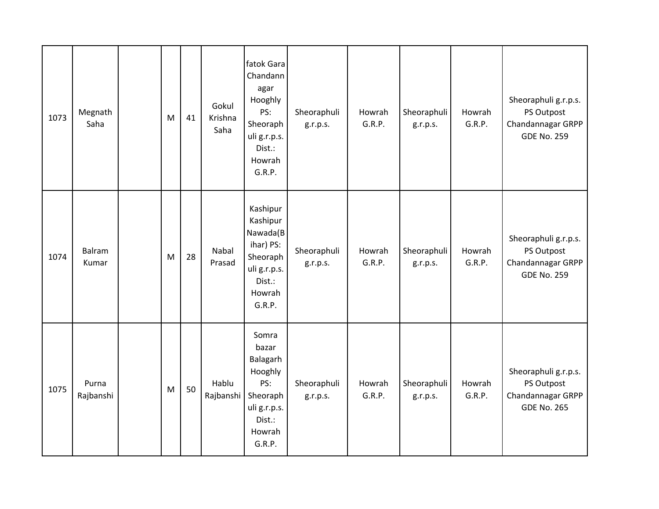| 1073 | Megnath<br>Saha    | M | 41 | Gokul<br>Krishna<br>Saha | fatok Gara<br>Chandann<br>agar<br>Hooghly<br>PS:<br>Sheoraph<br>uli g.r.p.s.<br>Dist.:<br>Howrah<br>G.R.P. | Sheoraphuli<br>g.r.p.s. | Howrah<br>G.R.P. | Sheoraphuli<br>g.r.p.s. | Howrah<br>G.R.P. | Sheoraphuli g.r.p.s.<br>PS Outpost<br>Chandannagar GRPP<br><b>GDE No. 259</b> |
|------|--------------------|---|----|--------------------------|------------------------------------------------------------------------------------------------------------|-------------------------|------------------|-------------------------|------------------|-------------------------------------------------------------------------------|
| 1074 | Balram<br>Kumar    | M | 28 | Nabal<br>Prasad          | Kashipur<br>Kashipur<br>Nawada(B<br>ihar) PS:<br>Sheoraph<br>uli g.r.p.s.<br>Dist.:<br>Howrah<br>G.R.P.    | Sheoraphuli<br>g.r.p.s. | Howrah<br>G.R.P. | Sheoraphuli<br>g.r.p.s. | Howrah<br>G.R.P. | Sheoraphuli g.r.p.s.<br>PS Outpost<br>Chandannagar GRPP<br><b>GDE No. 259</b> |
| 1075 | Purna<br>Rajbanshi | M | 50 | Hablu<br>Rajbanshi       | Somra<br>bazar<br>Balagarh<br>Hooghly<br>PS:<br>Sheoraph<br>uli g.r.p.s.<br>Dist.:<br>Howrah<br>G.R.P.     | Sheoraphuli<br>g.r.p.s. | Howrah<br>G.R.P. | Sheoraphuli<br>g.r.p.s. | Howrah<br>G.R.P. | Sheoraphuli g.r.p.s.<br>PS Outpost<br>Chandannagar GRPP<br><b>GDE No. 265</b> |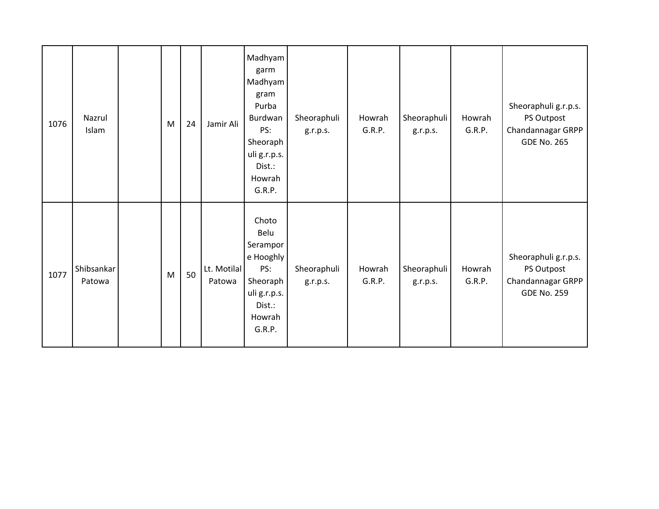| 1076 | Nazrul<br>Islam      | M | 24 | Jamir Ali             | Madhyam<br>garm<br>Madhyam<br>gram<br>Purba<br>Burdwan<br>PS:<br>Sheoraph<br>uli g.r.p.s.<br>Dist.:<br>Howrah<br>G.R.P. | Sheoraphuli<br>g.r.p.s. | Howrah<br>G.R.P. | Sheoraphuli<br>g.r.p.s. | Howrah<br>G.R.P. | Sheoraphuli g.r.p.s.<br>PS Outpost<br>Chandannagar GRPP<br><b>GDE No. 265</b> |
|------|----------------------|---|----|-----------------------|-------------------------------------------------------------------------------------------------------------------------|-------------------------|------------------|-------------------------|------------------|-------------------------------------------------------------------------------|
| 1077 | Shibsankar<br>Patowa | M | 50 | Lt. Motilal<br>Patowa | Choto<br>Belu<br>Serampor<br>e Hooghly<br>PS:<br>Sheoraph<br>uli g.r.p.s.<br>Dist.:<br>Howrah<br>G.R.P.                 | Sheoraphuli<br>g.r.p.s. | Howrah<br>G.R.P. | Sheoraphuli<br>g.r.p.s. | Howrah<br>G.R.P. | Sheoraphuli g.r.p.s.<br>PS Outpost<br>Chandannagar GRPP<br><b>GDE No. 259</b> |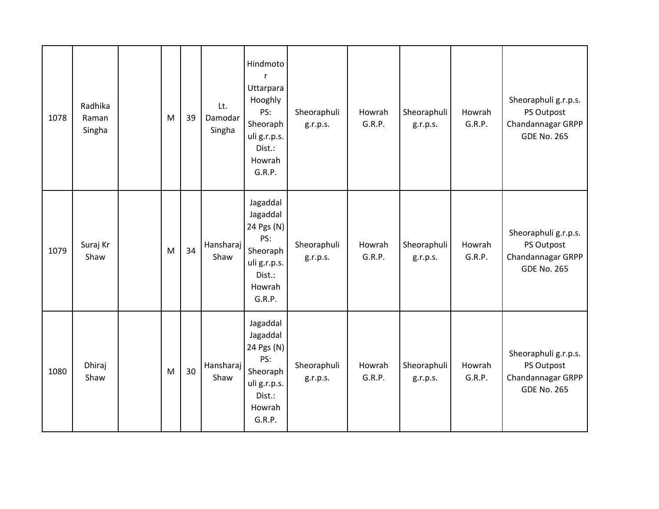| 1078 | Radhika<br>Raman<br>Singha | M | 39 | Lt.<br>Damodar<br>Singha | Hindmoto<br>$\mathsf{r}$<br>Uttarpara<br>Hooghly<br>PS:<br>Sheoraph<br>uli g.r.p.s.<br>Dist.:<br>Howrah<br>G.R.P. | Sheoraphuli<br>g.r.p.s. | Howrah<br>G.R.P. | Sheoraphuli<br>g.r.p.s. | Howrah<br>G.R.P. | Sheoraphuli g.r.p.s.<br>PS Outpost<br>Chandannagar GRPP<br><b>GDE No. 265</b> |
|------|----------------------------|---|----|--------------------------|-------------------------------------------------------------------------------------------------------------------|-------------------------|------------------|-------------------------|------------------|-------------------------------------------------------------------------------|
| 1079 | Suraj Kr<br>Shaw           | M | 34 | Hansharaj<br>Shaw        | Jagaddal<br>Jagaddal<br>24 Pgs (N)<br>PS:<br>Sheoraph<br>uli g.r.p.s.<br>Dist.:<br>Howrah<br>G.R.P.               | Sheoraphuli<br>g.r.p.s. | Howrah<br>G.R.P. | Sheoraphuli<br>g.r.p.s. | Howrah<br>G.R.P. | Sheoraphuli g.r.p.s.<br>PS Outpost<br>Chandannagar GRPP<br><b>GDE No. 265</b> |
| 1080 | Dhiraj<br>Shaw             | M | 30 | Hansharaj<br>Shaw        | Jagaddal<br>Jagaddal<br>24 Pgs (N)<br>PS:<br>Sheoraph<br>uli g.r.p.s.<br>Dist.:<br>Howrah<br>G.R.P.               | Sheoraphuli<br>g.r.p.s. | Howrah<br>G.R.P. | Sheoraphuli<br>g.r.p.s. | Howrah<br>G.R.P. | Sheoraphuli g.r.p.s.<br>PS Outpost<br>Chandannagar GRPP<br><b>GDE No. 265</b> |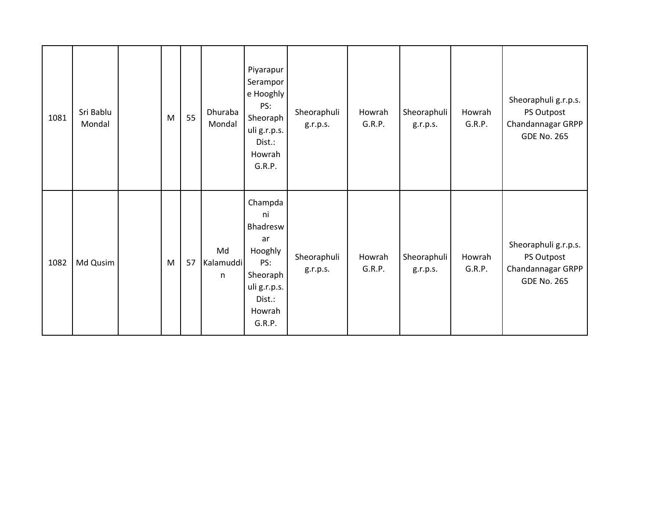| 1081 | Sri Bablu<br>Mondal | M | 55 | Dhuraba<br>Mondal    | Piyarapur<br>Serampor<br>e Hooghly<br>PS:<br>Sheoraph<br>uli g.r.p.s.<br>Dist.:<br>Howrah<br>G.R.P.         | Sheoraphuli<br>g.r.p.s. | Howrah<br>G.R.P. | Sheoraphuli<br>g.r.p.s. | Howrah<br>G.R.P. | Sheoraphuli g.r.p.s.<br>PS Outpost<br>Chandannagar GRPP<br><b>GDE No. 265</b> |
|------|---------------------|---|----|----------------------|-------------------------------------------------------------------------------------------------------------|-------------------------|------------------|-------------------------|------------------|-------------------------------------------------------------------------------|
| 1082 | Md Qusim            | M | 57 | Md<br>Kalamuddi<br>n | Champda<br>ni<br>Bhadresw<br>ar<br>Hooghly<br>PS:<br>Sheoraph<br>uli g.r.p.s.<br>Dist.:<br>Howrah<br>G.R.P. | Sheoraphuli<br>g.r.p.s. | Howrah<br>G.R.P. | Sheoraphuli<br>g.r.p.s. | Howrah<br>G.R.P. | Sheoraphuli g.r.p.s.<br>PS Outpost<br>Chandannagar GRPP<br><b>GDE No. 265</b> |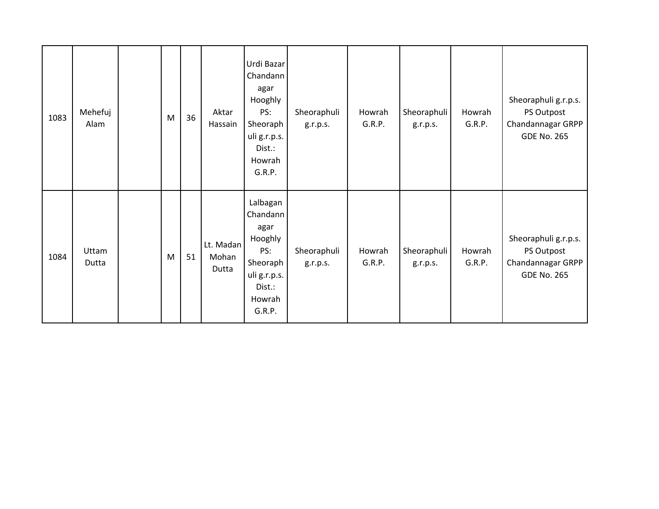| 1083 | Mehefuj<br>Alam | M | 36 | Aktar<br>Hassain            | Urdi Bazar<br>Chandann<br>agar<br>Hooghly<br>PS:<br>Sheoraph<br>uli g.r.p.s.<br>Dist.:<br>Howrah<br>G.R.P. | Sheoraphuli<br>g.r.p.s. | Howrah<br>G.R.P. | Sheoraphuli<br>g.r.p.s. | Howrah<br>G.R.P. | Sheoraphuli g.r.p.s.<br>PS Outpost<br>Chandannagar GRPP<br><b>GDE No. 265</b> |
|------|-----------------|---|----|-----------------------------|------------------------------------------------------------------------------------------------------------|-------------------------|------------------|-------------------------|------------------|-------------------------------------------------------------------------------|
| 1084 | Uttam<br>Dutta  | M | 51 | Lt. Madan<br>Mohan<br>Dutta | Lalbagan<br>Chandann<br>agar<br>Hooghly<br>PS:<br>Sheoraph<br>uli g.r.p.s.<br>Dist.:<br>Howrah<br>G.R.P.   | Sheoraphuli<br>g.r.p.s. | Howrah<br>G.R.P. | Sheoraphuli<br>g.r.p.s. | Howrah<br>G.R.P. | Sheoraphuli g.r.p.s.<br>PS Outpost<br>Chandannagar GRPP<br><b>GDE No. 265</b> |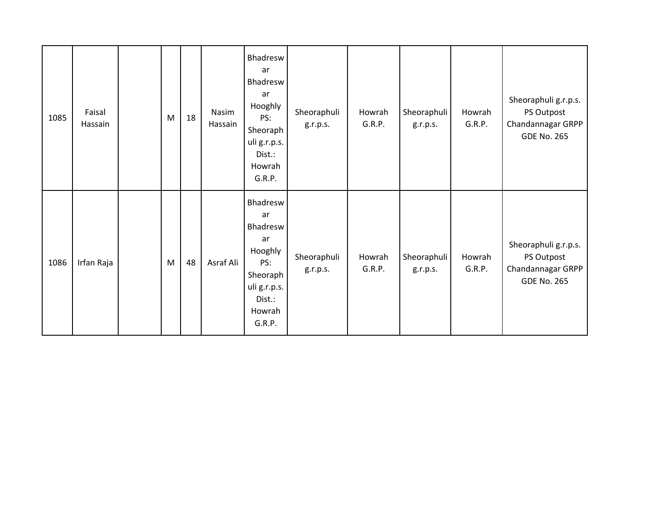| 1085 | Faisal<br>Hassain | M | 18 | Nasim<br>Hassain | Bhadresw<br>ar<br>Bhadresw<br>ar<br>Hooghly<br>PS:<br>Sheoraph<br>uli g.r.p.s.<br>Dist.:<br>Howrah<br>G.R.P. | Sheoraphuli<br>g.r.p.s. | Howrah<br>G.R.P. | Sheoraphuli<br>g.r.p.s. | Howrah<br>G.R.P. | Sheoraphuli g.r.p.s.<br>PS Outpost<br>Chandannagar GRPP<br><b>GDE No. 265</b> |
|------|-------------------|---|----|------------------|--------------------------------------------------------------------------------------------------------------|-------------------------|------------------|-------------------------|------------------|-------------------------------------------------------------------------------|
| 1086 | Irfan Raja        | M | 48 | Asraf Ali        | Bhadresw<br>ar<br>Bhadresw<br>ar<br>Hooghly<br>PS:<br>Sheoraph<br>uli g.r.p.s.<br>Dist.:<br>Howrah<br>G.R.P. | Sheoraphuli<br>g.r.p.s. | Howrah<br>G.R.P. | Sheoraphuli<br>g.r.p.s. | Howrah<br>G.R.P. | Sheoraphuli g.r.p.s.<br>PS Outpost<br>Chandannagar GRPP<br><b>GDE No. 265</b> |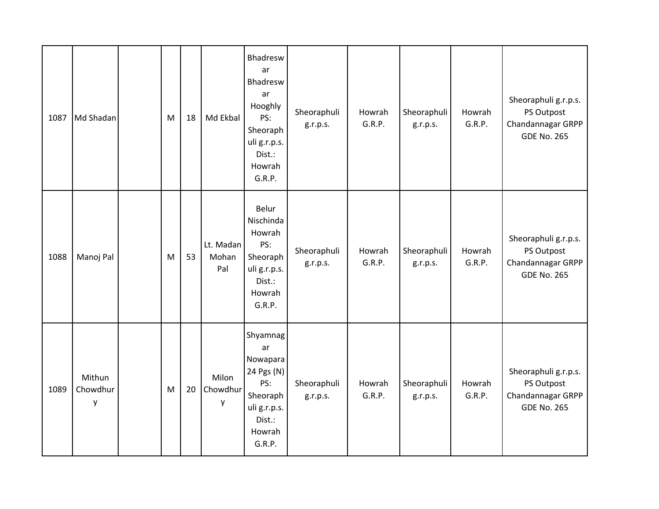| 1087 | Md Shadan               | M | 18 | Md Ekbal                  | Bhadresw<br>ar<br>Bhadresw<br>ar<br>Hooghly<br>PS:<br>Sheoraph<br>uli g.r.p.s.<br>Dist.:<br>Howrah<br>G.R.P. | Sheoraphuli<br>g.r.p.s. | Howrah<br>G.R.P. | Sheoraphuli<br>g.r.p.s. | Howrah<br>G.R.P. | Sheoraphuli g.r.p.s.<br>PS Outpost<br>Chandannagar GRPP<br><b>GDE No. 265</b> |
|------|-------------------------|---|----|---------------------------|--------------------------------------------------------------------------------------------------------------|-------------------------|------------------|-------------------------|------------------|-------------------------------------------------------------------------------|
| 1088 | Manoj Pal               | M | 53 | Lt. Madan<br>Mohan<br>Pal | Belur<br>Nischinda<br>Howrah<br>PS:<br>Sheoraph<br>uli g.r.p.s.<br>Dist.:<br>Howrah<br>G.R.P.                | Sheoraphuli<br>g.r.p.s. | Howrah<br>G.R.P. | Sheoraphuli<br>g.r.p.s. | Howrah<br>G.R.P. | Sheoraphuli g.r.p.s.<br>PS Outpost<br>Chandannagar GRPP<br><b>GDE No. 265</b> |
| 1089 | Mithun<br>Chowdhur<br>y | M | 20 | Milon<br>Chowdhur<br>y    | Shyamnag<br>ar<br>Nowapara<br>24 Pgs (N)<br>PS:<br>Sheoraph<br>uli g.r.p.s.<br>Dist.:<br>Howrah<br>G.R.P.    | Sheoraphuli<br>g.r.p.s. | Howrah<br>G.R.P. | Sheoraphuli<br>g.r.p.s. | Howrah<br>G.R.P. | Sheoraphuli g.r.p.s.<br>PS Outpost<br>Chandannagar GRPP<br><b>GDE No. 265</b> |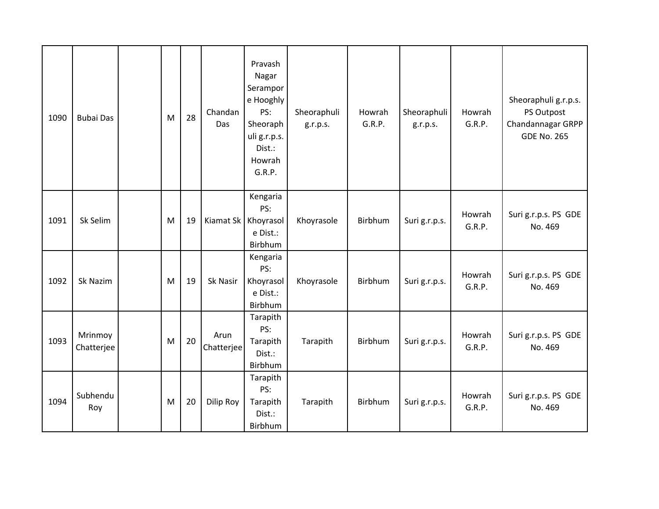| 1090 | <b>Bubai Das</b>      | M | 28 | Chandan<br>Das      | Pravash<br>Nagar<br>Serampor<br>e Hooghly<br>PS:<br>Sheoraph<br>uli g.r.p.s.<br>Dist.:<br>Howrah<br>G.R.P. | Sheoraphuli<br>g.r.p.s. | Howrah<br>G.R.P. | Sheoraphuli<br>g.r.p.s. | Howrah<br>G.R.P. | Sheoraphuli g.r.p.s.<br>PS Outpost<br>Chandannagar GRPP<br><b>GDE No. 265</b> |
|------|-----------------------|---|----|---------------------|------------------------------------------------------------------------------------------------------------|-------------------------|------------------|-------------------------|------------------|-------------------------------------------------------------------------------|
| 1091 | Sk Selim              | M | 19 | Kiamat Sk Khoyrasol | Kengaria<br>PS:<br>e Dist.:<br>Birbhum                                                                     | Khoyrasole              | Birbhum          | Suri g.r.p.s.           | Howrah<br>G.R.P. | Suri g.r.p.s. PS GDE<br>No. 469                                               |
| 1092 | Sk Nazim              | M | 19 | Sk Nasir            | Kengaria<br>PS:<br>Khoyrasol<br>e Dist.:<br>Birbhum                                                        | Khoyrasole              | Birbhum          | Suri g.r.p.s.           | Howrah<br>G.R.P. | Suri g.r.p.s. PS GDE<br>No. 469                                               |
| 1093 | Mrinmoy<br>Chatterjee | M | 20 | Arun<br>Chatterjee  | Tarapith<br>PS:<br>Tarapith<br>Dist.:<br>Birbhum                                                           | Tarapith                | Birbhum          | Suri g.r.p.s.           | Howrah<br>G.R.P. | Suri g.r.p.s. PS GDE<br>No. 469                                               |
| 1094 | Subhendu<br>Roy       | M | 20 | Dilip Roy           | Tarapith<br>PS:<br>Tarapith<br>Dist.:<br>Birbhum                                                           | Tarapith                | Birbhum          | Suri g.r.p.s.           | Howrah<br>G.R.P. | Suri g.r.p.s. PS GDE<br>No. 469                                               |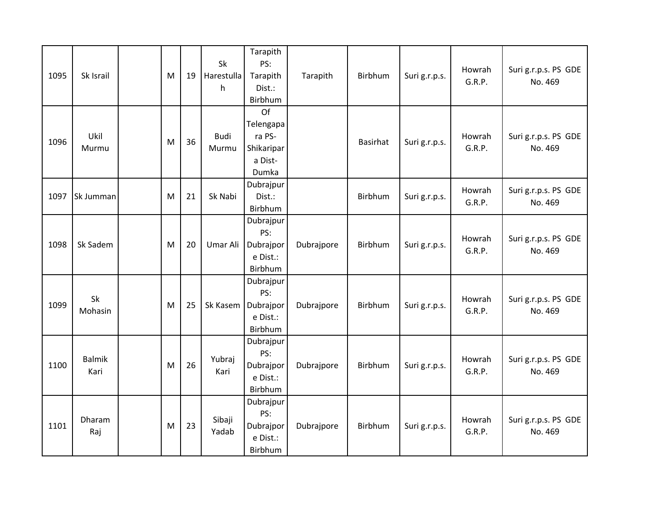| 1095 | Sk Israil             | M | 19 | <b>Sk</b><br>Harestulla<br>h | Tarapith<br>PS:<br>Tarapith<br>Dist.:<br>Birbhum            | Tarapith   | Birbhum  | Suri g.r.p.s. | Howrah<br>G.R.P. | Suri g.r.p.s. PS GDE<br>No. 469 |
|------|-----------------------|---|----|------------------------------|-------------------------------------------------------------|------------|----------|---------------|------------------|---------------------------------|
| 1096 | Ukil<br>Murmu         | M | 36 | <b>Budi</b><br>Murmu         | Of<br>Telengapa<br>ra PS-<br>Shikaripar<br>a Dist-<br>Dumka |            | Basirhat | Suri g.r.p.s. | Howrah<br>G.R.P. | Suri g.r.p.s. PS GDE<br>No. 469 |
| 1097 | Sk Jumman             | M | 21 | Sk Nabi                      | Dubrajpur<br>Dist.:<br>Birbhum                              |            | Birbhum  | Suri g.r.p.s. | Howrah<br>G.R.P. | Suri g.r.p.s. PS GDE<br>No. 469 |
| 1098 | Sk Sadem              | M | 20 | Umar Ali                     | Dubrajpur<br>PS:<br>Dubrajpor<br>e Dist.:<br>Birbhum        | Dubrajpore | Birbhum  | Suri g.r.p.s. | Howrah<br>G.R.P. | Suri g.r.p.s. PS GDE<br>No. 469 |
| 1099 | Sk<br>Mohasin         | M | 25 | Sk Kasem                     | Dubrajpur<br>PS:<br>Dubrajpor<br>e Dist.:<br>Birbhum        | Dubrajpore | Birbhum  | Suri g.r.p.s. | Howrah<br>G.R.P. | Suri g.r.p.s. PS GDE<br>No. 469 |
| 1100 | <b>Balmik</b><br>Kari | M | 26 | Yubraj<br>Kari               | Dubrajpur<br>PS:<br>Dubrajpor<br>e Dist.:<br>Birbhum        | Dubrajpore | Birbhum  | Suri g.r.p.s. | Howrah<br>G.R.P. | Suri g.r.p.s. PS GDE<br>No. 469 |
| 1101 | Dharam<br>Raj         | M | 23 | Sibaji<br>Yadab              | Dubrajpur<br>PS:<br>Dubrajpor<br>e Dist.:<br>Birbhum        | Dubrajpore | Birbhum  | Suri g.r.p.s. | Howrah<br>G.R.P. | Suri g.r.p.s. PS GDE<br>No. 469 |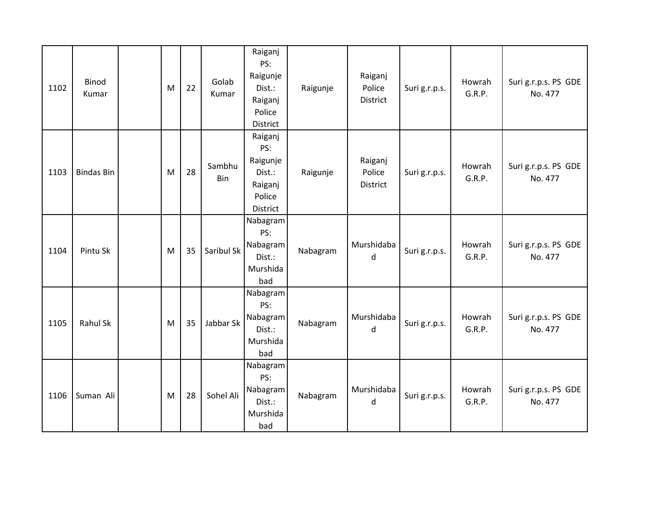| 1102 | <b>Binod</b><br>Kumar | M | 22 | Golab<br>Kumar | Raiganj<br>PS:<br>Raigunje<br>Dist.:<br>Raiganj<br>Police<br>District        | Raigunje | Raiganj<br>Police<br>District | Suri g.r.p.s. | Howrah<br>G.R.P. | Suri g.r.p.s. PS GDE<br>No. 477 |
|------|-----------------------|---|----|----------------|------------------------------------------------------------------------------|----------|-------------------------------|---------------|------------------|---------------------------------|
| 1103 | <b>Bindas Bin</b>     | M | 28 | Sambhu<br>Bin  | Raiganj<br>PS:<br>Raigunje<br>Dist.:<br>Raiganj<br>Police<br><b>District</b> | Raigunje | Raiganj<br>Police<br>District | Suri g.r.p.s. | Howrah<br>G.R.P. | Suri g.r.p.s. PS GDE<br>No. 477 |
| 1104 | Pintu Sk              | M | 35 | Saribul Sk     | Nabagram<br>PS:<br>Nabagram<br>Dist.:<br>Murshida<br>bad                     | Nabagram | Murshidaba<br>d               | Suri g.r.p.s. | Howrah<br>G.R.P. | Suri g.r.p.s. PS GDE<br>No. 477 |
| 1105 | Rahul Sk              | M | 35 | Jabbar Sk      | Nabagram<br>PS:<br>Nabagram<br>Dist.:<br>Murshida<br>bad                     | Nabagram | Murshidaba<br>d               | Suri g.r.p.s. | Howrah<br>G.R.P. | Suri g.r.p.s. PS GDE<br>No. 477 |
| 1106 | Suman Ali             | M | 28 | Sohel Ali      | Nabagram<br>PS:<br>Nabagram<br>Dist.:<br>Murshida<br>bad                     | Nabagram | Murshidaba<br>d               | Suri g.r.p.s. | Howrah<br>G.R.P. | Suri g.r.p.s. PS GDE<br>No. 477 |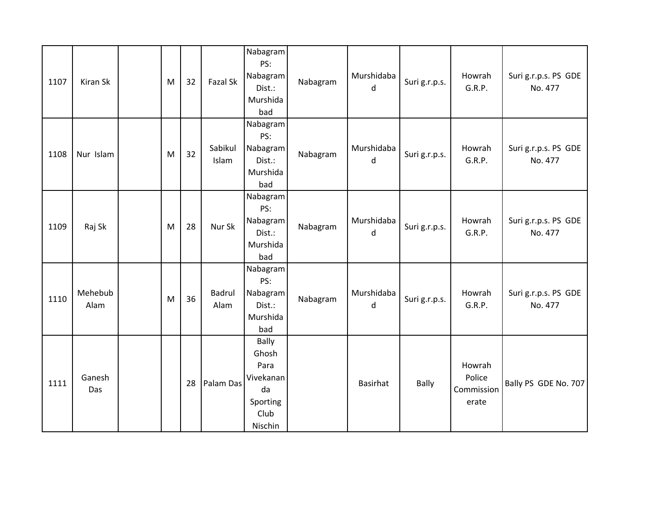| 1107 | Kiran Sk        | M | 32 | Fazal Sk              | Nabagram<br>PS:<br>Nabagram<br>Dist.:<br>Murshida<br>bad                        | Nabagram | Murshidaba<br>d | Suri g.r.p.s. | Howrah<br>G.R.P.                        | Suri g.r.p.s. PS GDE<br>No. 477 |
|------|-----------------|---|----|-----------------------|---------------------------------------------------------------------------------|----------|-----------------|---------------|-----------------------------------------|---------------------------------|
| 1108 | Nur Islam       | M | 32 | Sabikul<br>Islam      | Nabagram<br>PS:<br>Nabagram<br>Dist.:<br>Murshida<br>bad                        | Nabagram | Murshidaba<br>d | Suri g.r.p.s. | Howrah<br>G.R.P.                        | Suri g.r.p.s. PS GDE<br>No. 477 |
| 1109 | Raj Sk          | M | 28 | Nur Sk                | Nabagram<br>PS:<br>Nabagram<br>Dist.:<br>Murshida<br>bad                        | Nabagram | Murshidaba<br>d | Suri g.r.p.s. | Howrah<br>G.R.P.                        | Suri g.r.p.s. PS GDE<br>No. 477 |
| 1110 | Mehebub<br>Alam | M | 36 | <b>Badrul</b><br>Alam | Nabagram<br>PS:<br>Nabagram<br>Dist.:<br>Murshida<br>bad                        | Nabagram | Murshidaba<br>d | Suri g.r.p.s. | Howrah<br>G.R.P.                        | Suri g.r.p.s. PS GDE<br>No. 477 |
| 1111 | Ganesh<br>Das   |   | 28 | Palam Das             | <b>Bally</b><br>Ghosh<br>Para<br>Vivekanan<br>da<br>Sporting<br>Club<br>Nischin |          | <b>Basirhat</b> | <b>Bally</b>  | Howrah<br>Police<br>Commission<br>erate | Bally PS GDE No. 707            |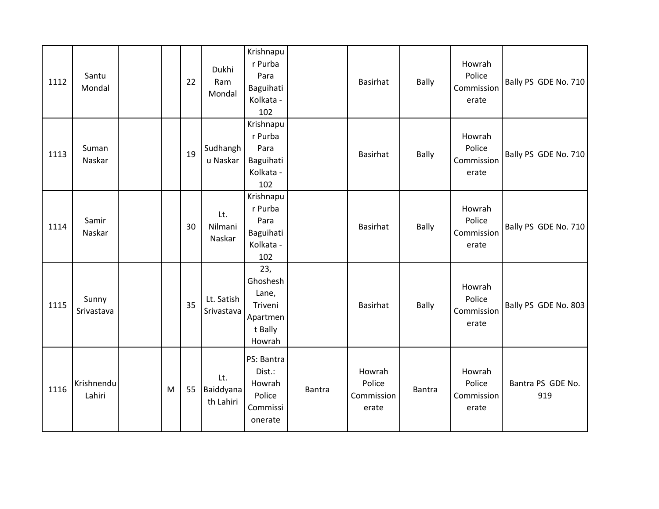| 1112 | Santu<br>Mondal      |   | 22 | Dukhi<br>Ram<br>Mondal        | Krishnapu<br>r Purba<br>Para<br>Baguihati<br>Kolkata -<br>102        |        | <b>Basirhat</b>                         | <b>Bally</b> | Howrah<br>Police<br>Commission<br>erate | Bally PS GDE No. 710     |
|------|----------------------|---|----|-------------------------------|----------------------------------------------------------------------|--------|-----------------------------------------|--------------|-----------------------------------------|--------------------------|
| 1113 | Suman<br>Naskar      |   | 19 | Sudhangh<br>u Naskar          | Krishnapu<br>r Purba<br>Para<br>Baguihati<br>Kolkata -<br>102        |        | <b>Basirhat</b>                         | <b>Bally</b> | Howrah<br>Police<br>Commission<br>erate | Bally PS GDE No. 710     |
| 1114 | Samir<br>Naskar      |   | 30 | Lt.<br>Nilmani<br>Naskar      | Krishnapu<br>r Purba<br>Para<br>Baguihati<br>Kolkata -<br>102        |        | <b>Basirhat</b>                         | <b>Bally</b> | Howrah<br>Police<br>Commission<br>erate | Bally PS GDE No. 710     |
| 1115 | Sunny<br>Srivastava  |   | 35 | Lt. Satish<br>Srivastava      | 23,<br>Ghoshesh<br>Lane,<br>Triveni<br>Apartmen<br>t Bally<br>Howrah |        | <b>Basirhat</b>                         | <b>Bally</b> | Howrah<br>Police<br>Commission<br>erate | Bally PS GDE No. 803     |
| 1116 | Krishnendu<br>Lahiri | M | 55 | Lt.<br>Baiddyana<br>th Lahiri | PS: Bantra<br>Dist.:<br>Howrah<br>Police<br>Commissi<br>onerate      | Bantra | Howrah<br>Police<br>Commission<br>erate | Bantra       | Howrah<br>Police<br>Commission<br>erate | Bantra PS GDE No.<br>919 |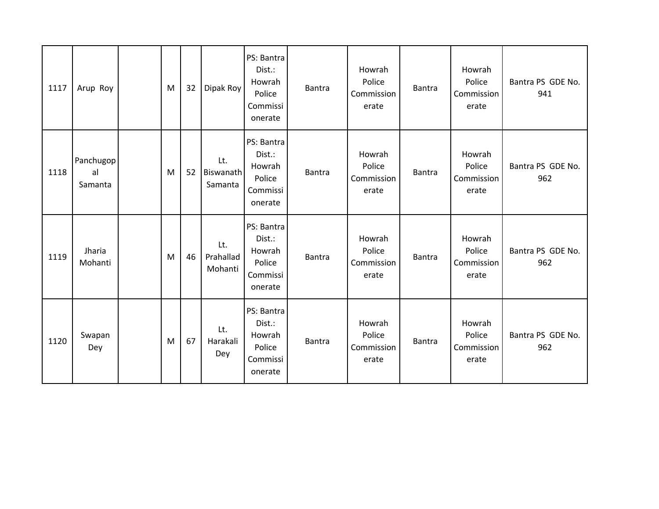| 1117 | Arup Roy                   | M | 32 | Dipak Roy                   | PS: Bantra<br>Dist.:<br>Howrah<br>Police<br>Commissi<br>onerate | <b>Bantra</b> | Howrah<br>Police<br>Commission<br>erate | <b>Bantra</b> | Howrah<br>Police<br>Commission<br>erate | Bantra PS GDE No.<br>941 |
|------|----------------------------|---|----|-----------------------------|-----------------------------------------------------------------|---------------|-----------------------------------------|---------------|-----------------------------------------|--------------------------|
| 1118 | Panchugop<br>al<br>Samanta | M | 52 | Lt.<br>Biswanath<br>Samanta | PS: Bantra<br>Dist.:<br>Howrah<br>Police<br>Commissi<br>onerate | Bantra        | Howrah<br>Police<br>Commission<br>erate | <b>Bantra</b> | Howrah<br>Police<br>Commission<br>erate | Bantra PS GDE No.<br>962 |
| 1119 | Jharia<br>Mohanti          | M | 46 | Lt.<br>Prahallad<br>Mohanti | PS: Bantra<br>Dist.:<br>Howrah<br>Police<br>Commissi<br>onerate | <b>Bantra</b> | Howrah<br>Police<br>Commission<br>erate | <b>Bantra</b> | Howrah<br>Police<br>Commission<br>erate | Bantra PS GDE No.<br>962 |
| 1120 | Swapan<br>Dey              | M | 67 | Lt.<br>Harakali<br>Dey      | PS: Bantra<br>Dist.:<br>Howrah<br>Police<br>Commissi<br>onerate | Bantra        | Howrah<br>Police<br>Commission<br>erate | <b>Bantra</b> | Howrah<br>Police<br>Commission<br>erate | Bantra PS GDE No.<br>962 |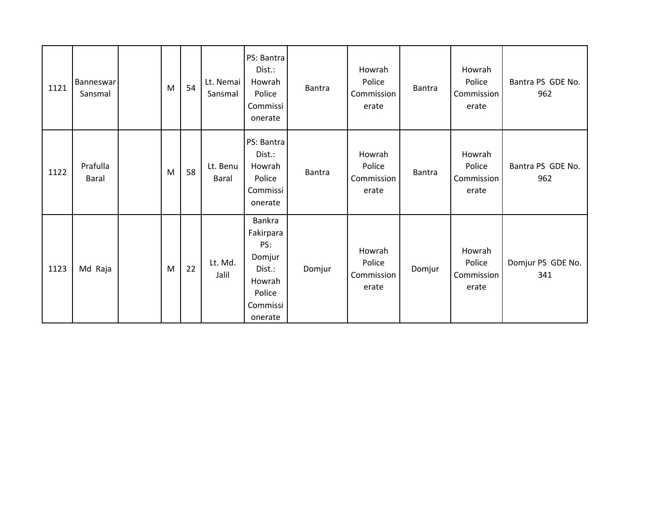| 1121 | <b>Banneswar</b><br>Sansmal | M | 54 | Lt. Nemai<br>Sansmal | PS: Bantra<br>Dist.:<br>Howrah<br>Police<br>Commissi<br>onerate                           | Bantra        | Howrah<br>Police<br>Commission<br>erate | <b>Bantra</b> | Howrah<br>Police<br>Commission<br>erate | Bantra PS GDE No.<br>962 |
|------|-----------------------------|---|----|----------------------|-------------------------------------------------------------------------------------------|---------------|-----------------------------------------|---------------|-----------------------------------------|--------------------------|
| 1122 | Prafulla<br><b>Baral</b>    | M | 58 | Lt. Benu<br>Baral    | PS: Bantra<br>Dist.:<br>Howrah<br>Police<br>Commissi<br>onerate                           | <b>Bantra</b> | Howrah<br>Police<br>Commission<br>erate | Bantra        | Howrah<br>Police<br>Commission<br>erate | Bantra PS GDE No.<br>962 |
| 1123 | Md Raja                     | M | 22 | Lt. Md.<br>Jalil     | Bankra<br>Fakirpara<br>PS:<br>Domjur<br>Dist.:<br>Howrah<br>Police<br>Commissi<br>onerate | Domjur        | Howrah<br>Police<br>Commission<br>erate | Domjur        | Howrah<br>Police<br>Commission<br>erate | Domjur PS GDE No.<br>341 |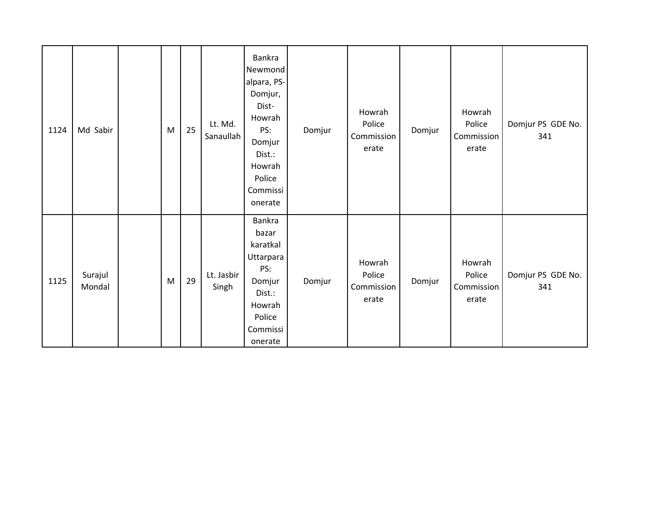| 1124 | Md Sabir          | M | 25 | Lt. Md.<br>Sanaullah | Bankra<br>Newmond<br>alpara, PS-<br>Domjur,<br>Dist-<br>Howrah<br>PS:<br>Domjur<br>Dist.:<br>Howrah<br>Police<br>Commissi<br>onerate | Domjur | Howrah<br>Police<br>Commission<br>erate | Domjur | Howrah<br>Police<br>Commission<br>erate | Domjur PS GDE No.<br>341 |
|------|-------------------|---|----|----------------------|--------------------------------------------------------------------------------------------------------------------------------------|--------|-----------------------------------------|--------|-----------------------------------------|--------------------------|
| 1125 | Surajul<br>Mondal | M | 29 | Lt. Jasbir<br>Singh  | Bankra<br>bazar<br>karatkal<br>Uttarpara<br>PS:<br>Domjur<br>Dist.:<br>Howrah<br>Police<br>Commissi<br>onerate                       | Domjur | Howrah<br>Police<br>Commission<br>erate | Domjur | Howrah<br>Police<br>Commission<br>erate | Domjur PS GDE No.<br>341 |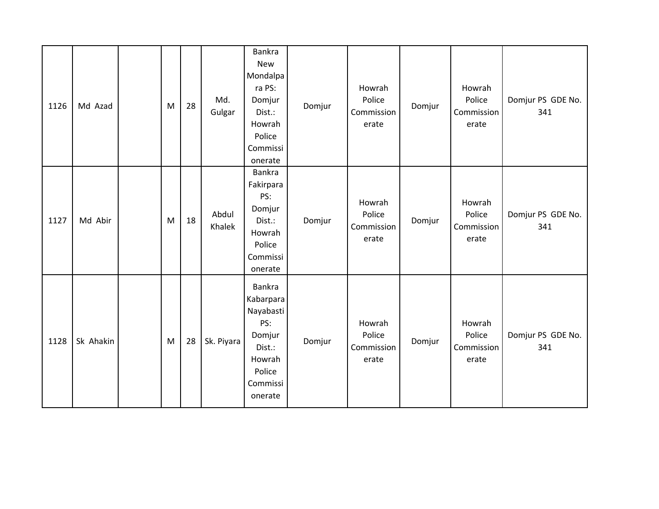| 1126 | Md Azad   | M | 28 | Md.<br>Gulgar   | Bankra<br><b>New</b><br>Mondalpa<br>ra PS:<br>Domjur<br>Dist.:<br>Howrah<br>Police<br>Commissi<br>onerate | Domjur | Howrah<br>Police<br>Commission<br>erate | Domjur | Howrah<br>Police<br>Commission<br>erate | Domjur PS GDE No.<br>341 |
|------|-----------|---|----|-----------------|-----------------------------------------------------------------------------------------------------------|--------|-----------------------------------------|--------|-----------------------------------------|--------------------------|
| 1127 | Md Abir   | M | 18 | Abdul<br>Khalek | Bankra<br>Fakirpara<br>PS:<br>Domjur<br>Dist.:<br>Howrah<br>Police<br>Commissi<br>onerate                 | Domjur | Howrah<br>Police<br>Commission<br>erate | Domjur | Howrah<br>Police<br>Commission<br>erate | Domjur PS GDE No.<br>341 |
| 1128 | Sk Ahakin | M | 28 | Sk. Piyara      | Bankra<br>Kabarpara<br>Nayabasti<br>PS:<br>Domjur<br>Dist.:<br>Howrah<br>Police<br>Commissi<br>onerate    | Domjur | Howrah<br>Police<br>Commission<br>erate | Domjur | Howrah<br>Police<br>Commission<br>erate | Domjur PS GDE No.<br>341 |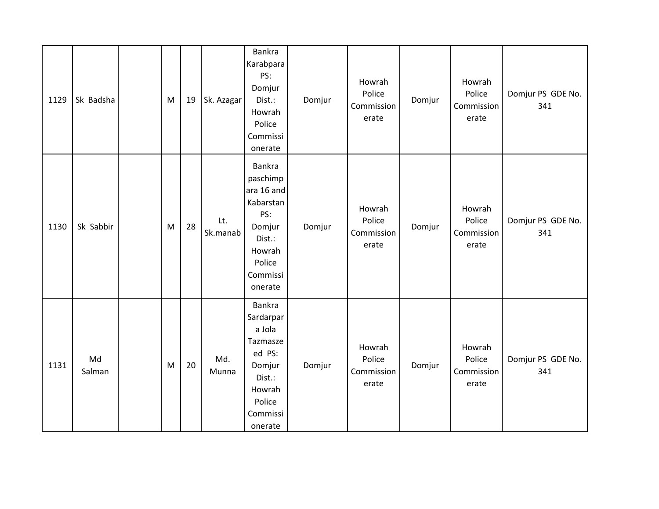| 1129 | Sk Badsha    | M | 19 | Sk. Azagar      | Bankra<br>Karabpara<br>PS:<br>Domjur<br>Dist.:<br>Howrah<br>Police<br>Commissi<br>onerate                           | Domjur | Howrah<br>Police<br>Commission<br>erate | Domjur | Howrah<br>Police<br>Commission<br>erate | Domjur PS GDE No.<br>341 |
|------|--------------|---|----|-----------------|---------------------------------------------------------------------------------------------------------------------|--------|-----------------------------------------|--------|-----------------------------------------|--------------------------|
| 1130 | Sk Sabbir    | M | 28 | Lt.<br>Sk.manab | Bankra<br>paschimp<br>ara 16 and<br>Kabarstan<br>PS:<br>Domjur<br>Dist.:<br>Howrah<br>Police<br>Commissi<br>onerate | Domjur | Howrah<br>Police<br>Commission<br>erate | Domjur | Howrah<br>Police<br>Commission<br>erate | Domjur PS GDE No.<br>341 |
| 1131 | Md<br>Salman | M | 20 | Md.<br>Munna    | Bankra<br>Sardarpar<br>a Jola<br>Tazmasze<br>ed PS:<br>Domjur<br>Dist.:<br>Howrah<br>Police<br>Commissi<br>onerate  | Domjur | Howrah<br>Police<br>Commission<br>erate | Domjur | Howrah<br>Police<br>Commission<br>erate | Domjur PS GDE No.<br>341 |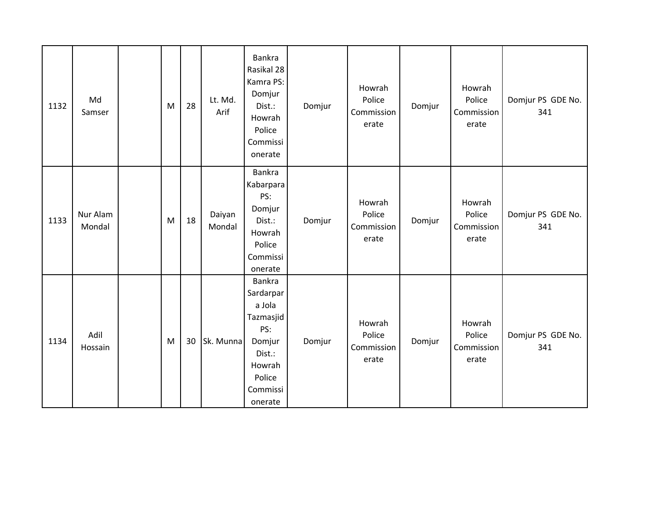| 1132 | Md<br>Samser       | M | 28 | Lt. Md.<br>Arif  | Bankra<br>Rasikal 28<br>Kamra PS:<br>Domjur<br>Dist.:<br>Howrah<br>Police<br>Commissi<br>onerate                 | Domjur | Howrah<br>Police<br>Commission<br>erate | Domjur | Howrah<br>Police<br>Commission<br>erate | Domjur PS GDE No.<br>341 |
|------|--------------------|---|----|------------------|------------------------------------------------------------------------------------------------------------------|--------|-----------------------------------------|--------|-----------------------------------------|--------------------------|
| 1133 | Nur Alam<br>Mondal | M | 18 | Daiyan<br>Mondal | Bankra<br>Kabarpara<br>PS:<br>Domjur<br>Dist.:<br>Howrah<br>Police<br>Commissi<br>onerate                        | Domjur | Howrah<br>Police<br>Commission<br>erate | Domjur | Howrah<br>Police<br>Commission<br>erate | Domjur PS GDE No.<br>341 |
| 1134 | Adil<br>Hossain    | M | 30 | Sk. Munna        | Bankra<br>Sardarpar<br>a Jola<br>Tazmasjid<br>PS:<br>Domjur<br>Dist.:<br>Howrah<br>Police<br>Commissi<br>onerate | Domjur | Howrah<br>Police<br>Commission<br>erate | Domjur | Howrah<br>Police<br>Commission<br>erate | Domjur PS GDE No.<br>341 |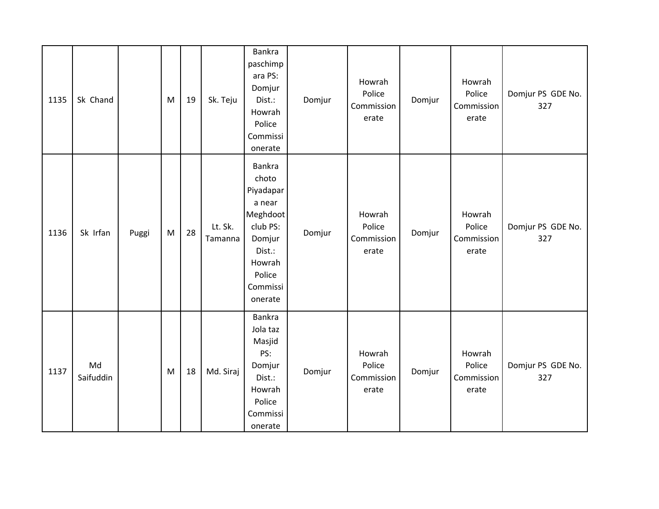| 1135 | Sk Chand        |       | M | 19 | Sk. Teju           | Bankra<br>paschimp<br>ara PS:<br>Domjur<br>Dist.:<br>Howrah<br>Police<br>Commissi<br>onerate                                  | Domjur | Howrah<br>Police<br>Commission<br>erate | Domjur | Howrah<br>Police<br>Commission<br>erate | Domjur PS GDE No.<br>327 |
|------|-----------------|-------|---|----|--------------------|-------------------------------------------------------------------------------------------------------------------------------|--------|-----------------------------------------|--------|-----------------------------------------|--------------------------|
| 1136 | Sk Irfan        | Puggi | M | 28 | Lt. Sk.<br>Tamanna | Bankra<br>choto<br>Piyadapar<br>a near<br>Meghdoot<br>club PS:<br>Domjur<br>Dist.:<br>Howrah<br>Police<br>Commissi<br>onerate | Domjur | Howrah<br>Police<br>Commission<br>erate | Domjur | Howrah<br>Police<br>Commission<br>erate | Domjur PS GDE No.<br>327 |
| 1137 | Md<br>Saifuddin |       | M | 18 | Md. Siraj          | Bankra<br>Jola taz<br>Masjid<br>PS:<br>Domjur<br>Dist.:<br>Howrah<br>Police<br>Commissi<br>onerate                            | Domjur | Howrah<br>Police<br>Commission<br>erate | Domjur | Howrah<br>Police<br>Commission<br>erate | Domjur PS GDE No.<br>327 |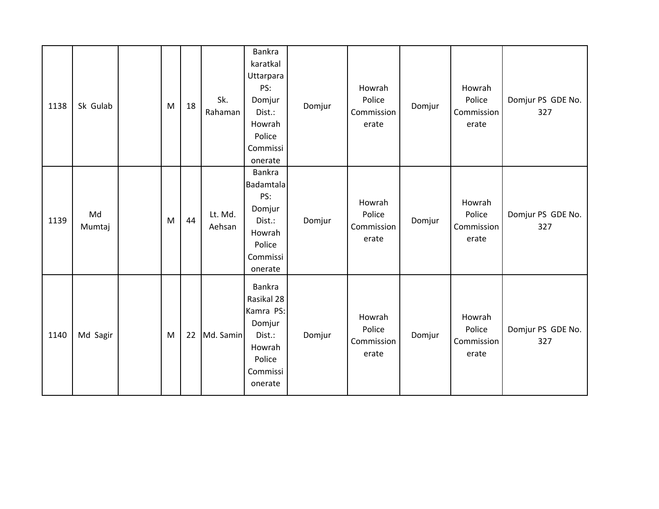| 1138 | Sk Gulab     | M | 18 | Sk.<br>Rahaman    | Bankra<br>karatkal<br>Uttarpara<br>PS:<br>Domjur<br>Dist.:<br>Howrah<br>Police<br>Commissi<br>onerate | Domjur | Howrah<br>Police<br>Commission<br>erate | Domjur | Howrah<br>Police<br>Commission<br>erate | Domjur PS GDE No.<br>327 |
|------|--------------|---|----|-------------------|-------------------------------------------------------------------------------------------------------|--------|-----------------------------------------|--------|-----------------------------------------|--------------------------|
| 1139 | Md<br>Mumtaj | M | 44 | Lt. Md.<br>Aehsan | Bankra<br><b>Badamtala</b><br>PS:<br>Domjur<br>Dist.:<br>Howrah<br>Police<br>Commissi<br>onerate      | Domjur | Howrah<br>Police<br>Commission<br>erate | Domjur | Howrah<br>Police<br>Commission<br>erate | Domjur PS GDE No.<br>327 |
| 1140 | Md Sagir     | M | 22 | Md. Samin         | Bankra<br>Rasikal 28<br>Kamra PS:<br>Domjur<br>Dist.:<br>Howrah<br>Police<br>Commissi<br>onerate      | Domjur | Howrah<br>Police<br>Commission<br>erate | Domjur | Howrah<br>Police<br>Commission<br>erate | Domjur PS GDE No.<br>327 |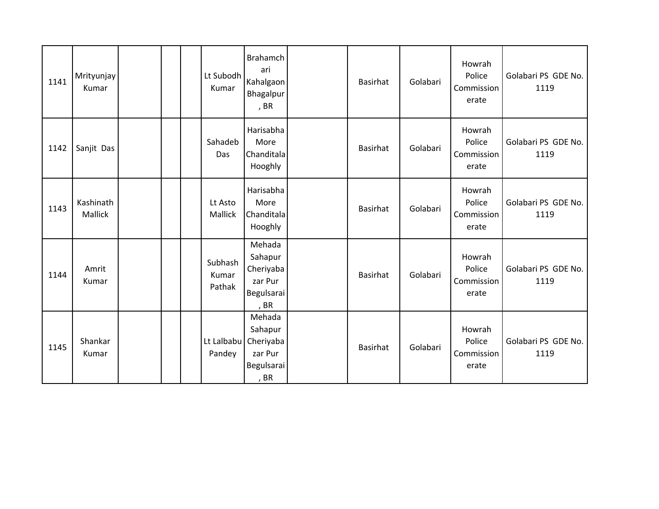| 1141 | Mrityunjay<br>Kumar  |  | Lt Subodh<br>Kumar         | <b>Brahamch</b><br>ari<br>Kahalgaon<br>Bhagalpur<br>, BR                   | <b>Basirhat</b> | Golabari | Howrah<br>Police<br>Commission<br>erate | Golabari PS GDE No.<br>1119 |
|------|----------------------|--|----------------------------|----------------------------------------------------------------------------|-----------------|----------|-----------------------------------------|-----------------------------|
| 1142 | Sanjit Das           |  | Sahadeb<br>Das             | Harisabha<br>More<br>Chanditala<br>Hooghly                                 | Basirhat        | Golabari | Howrah<br>Police<br>Commission<br>erate | Golabari PS GDE No.<br>1119 |
| 1143 | Kashinath<br>Mallick |  | Lt Asto<br>Mallick         | Harisabha<br>More<br>Chanditala<br>Hooghly                                 | <b>Basirhat</b> | Golabari | Howrah<br>Police<br>Commission<br>erate | Golabari PS GDE No.<br>1119 |
| 1144 | Amrit<br>Kumar       |  | Subhash<br>Kumar<br>Pathak | Mehada<br>Sahapur<br>Cheriyaba<br>zar Pur<br>Begulsarai<br>, BR            | <b>Basirhat</b> | Golabari | Howrah<br>Police<br>Commission<br>erate | Golabari PS GDE No.<br>1119 |
| 1145 | Shankar<br>Kumar     |  | Pandey                     | Mehada<br>Sahapur<br>Lt Lalbabu Cheriyaba<br>zar Pur<br>Begulsarai<br>, BR | <b>Basirhat</b> | Golabari | Howrah<br>Police<br>Commission<br>erate | Golabari PS GDE No.<br>1119 |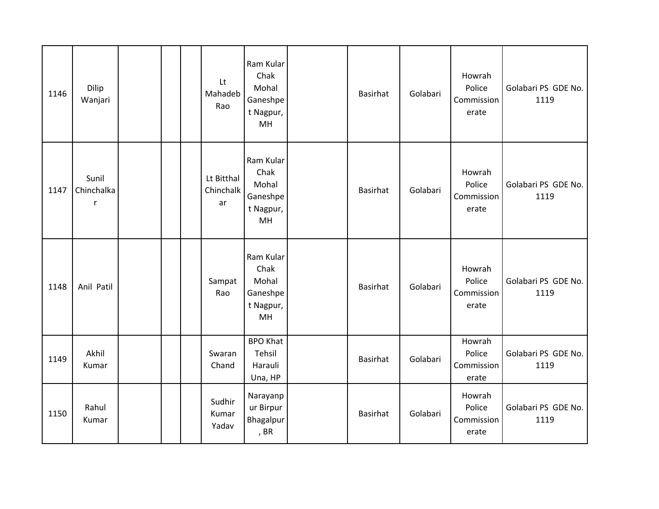| 1146 | Dilip<br>Wanjari         |  | Lt<br>Mahadeb<br>Rao          | Ram Kular<br>Chak<br>Mohal<br>Ganeshpe<br>t Nagpur,<br>MH | Basirhat        | Golabari | Howrah<br>Police<br>Commission<br>erate | Golabari PS GDE No.<br>1119 |
|------|--------------------------|--|-------------------------------|-----------------------------------------------------------|-----------------|----------|-----------------------------------------|-----------------------------|
| 1147 | Sunil<br>Chinchalka<br>r |  | Lt Bitthal<br>Chinchalk<br>ar | Ram Kular<br>Chak<br>Mohal<br>Ganeshpe<br>t Nagpur,<br>MH | Basirhat        | Golabari | Howrah<br>Police<br>Commission<br>erate | Golabari PS GDE No.<br>1119 |
| 1148 | Anil Patil               |  | Sampat<br>Rao                 | Ram Kular<br>Chak<br>Mohal<br>Ganeshpe<br>t Nagpur,<br>MH | Basirhat        | Golabari | Howrah<br>Police<br>Commission<br>erate | Golabari PS GDE No.<br>1119 |
| 1149 | Akhil<br>Kumar           |  | Swaran<br>Chand               | <b>BPO Khat</b><br>Tehsil<br>Harauli<br>Una, HP           | Basirhat        | Golabari | Howrah<br>Police<br>Commission<br>erate | Golabari PS GDE No.<br>1119 |
| 1150 | Rahul<br>Kumar           |  | Sudhir<br>Kumar<br>Yadav      | Narayanp<br>ur Birpur<br>Bhagalpur<br>, BR                | <b>Basirhat</b> | Golabari | Howrah<br>Police<br>Commission<br>erate | Golabari PS GDE No.<br>1119 |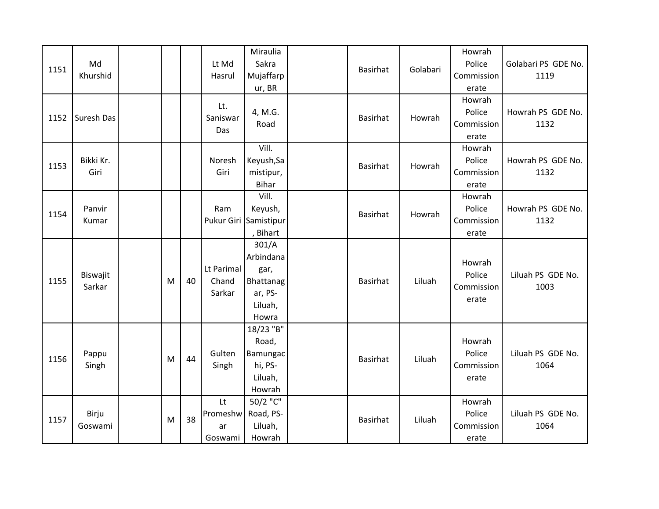| 1151 | Md<br>Khurshid     |   |    | Lt Md<br>Hasrul                 | Miraulia<br>Sakra<br>Mujaffarp<br>ur, BR                               | Basirhat        | Golabari | Howrah<br>Police<br>Commission<br>erate | Golabari PS GDE No.<br>1119 |
|------|--------------------|---|----|---------------------------------|------------------------------------------------------------------------|-----------------|----------|-----------------------------------------|-----------------------------|
| 1152 | Suresh Das         |   |    | Lt.<br>Saniswar<br>Das          | 4, M.G.<br>Road                                                        | <b>Basirhat</b> | Howrah   | Howrah<br>Police<br>Commission<br>erate | Howrah PS GDE No.<br>1132   |
| 1153 | Bikki Kr.<br>Giri  |   |    | Noresh<br>Giri                  | Vill.<br>Keyush, Sa<br>mistipur,<br><b>Bihar</b>                       | Basirhat        | Howrah   | Howrah<br>Police<br>Commission<br>erate | Howrah PS GDE No.<br>1132   |
| 1154 | Panvir<br>Kumar    |   |    | Ram                             | Vill.<br>Keyush,<br>Pukur Giri Samistipur<br>, Bihart                  | Basirhat        | Howrah   | Howrah<br>Police<br>Commission<br>erate | Howrah PS GDE No.<br>1132   |
| 1155 | Biswajit<br>Sarkar | M | 40 | Lt Parimal<br>Chand<br>Sarkar   | 301/A<br>Arbindana<br>gar,<br>Bhattanag<br>ar, PS-<br>Liluah,<br>Howra | <b>Basirhat</b> | Liluah   | Howrah<br>Police<br>Commission<br>erate | Liluah PS GDE No.<br>1003   |
| 1156 | Pappu<br>Singh     | M | 44 | Gulten<br>Singh                 | 18/23 "B"<br>Road,<br><b>Bamungac</b><br>hi, PS-<br>Liluah,<br>Howrah  | Basirhat        | Liluah   | Howrah<br>Police<br>Commission<br>erate | Liluah PS GDE No.<br>1064   |
| 1157 | Birju<br>Goswami   | M | 38 | Lt<br>Promeshw<br>ar<br>Goswami | 50/2 "C"<br>Road, PS-<br>Liluah,<br>Howrah                             | <b>Basirhat</b> | Liluah   | Howrah<br>Police<br>Commission<br>erate | Liluah PS GDE No.<br>1064   |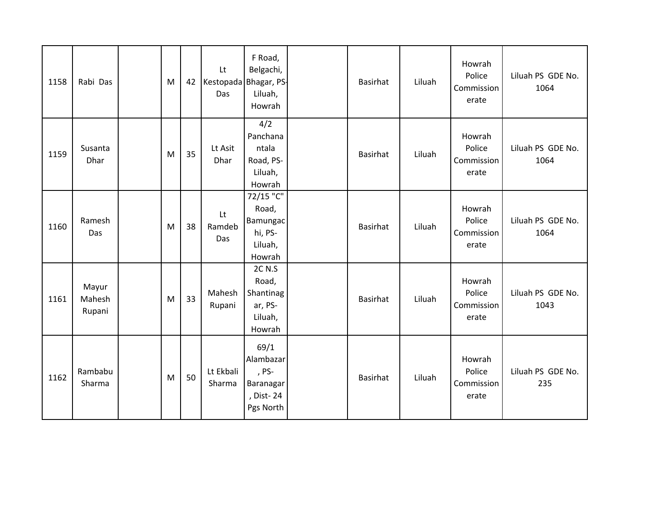| 1158 | Rabi Das                  | M | 42 | Lt<br>Kestopada Bhagar, PS-<br>Das | F Road,<br>Belgachi,<br>Liluah,<br>Howrah                         | <b>Basirhat</b> | Liluah | Howrah<br>Police<br>Commission<br>erate | Liluah PS GDE No.<br>1064 |
|------|---------------------------|---|----|------------------------------------|-------------------------------------------------------------------|-----------------|--------|-----------------------------------------|---------------------------|
| 1159 | Susanta<br>Dhar           | M | 35 | Lt Asit<br>Dhar                    | 4/2<br>Panchana<br>ntala<br>Road, PS-<br>Liluah,<br>Howrah        | <b>Basirhat</b> | Liluah | Howrah<br>Police<br>Commission<br>erate | Liluah PS GDE No.<br>1064 |
| 1160 | Ramesh<br>Das             | M | 38 | Lt<br>Ramdeb<br>Das                | 72/15 "C"<br>Road,<br>Bamungac<br>hi, PS-<br>Liluah,<br>Howrah    | <b>Basirhat</b> | Liluah | Howrah<br>Police<br>Commission<br>erate | Liluah PS GDE No.<br>1064 |
| 1161 | Mayur<br>Mahesh<br>Rupani | M | 33 | Mahesh<br>Rupani                   | 2C N.S<br>Road,<br>Shantinag<br>ar, PS-<br>Liluah,<br>Howrah      | <b>Basirhat</b> | Liluah | Howrah<br>Police<br>Commission<br>erate | Liluah PS GDE No.<br>1043 |
| 1162 | Rambabu<br>Sharma         | M | 50 | Lt Ekbali<br>Sharma                | 69/1<br>Alambazar<br>, PS-<br>Baranagar<br>, Dist-24<br>Pgs North | <b>Basirhat</b> | Liluah | Howrah<br>Police<br>Commission<br>erate | Liluah PS GDE No.<br>235  |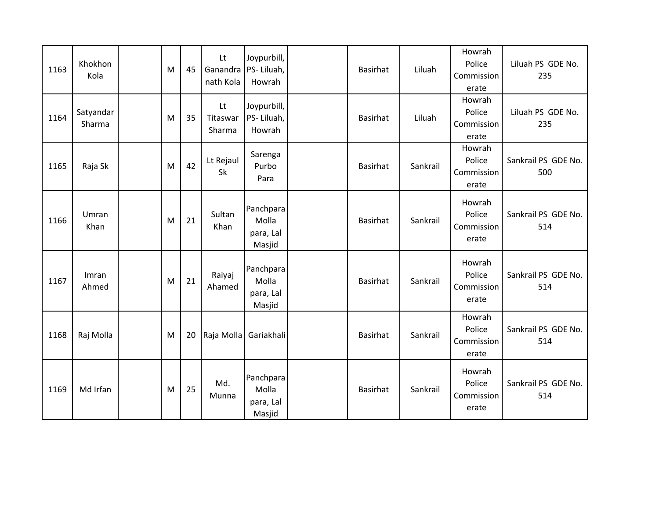| 1163 | Khokhon<br>Kola     | M | 45 | Lt<br>nath Kola          | Joypurbill,<br>Ganandra   PS- Liluah,<br>Howrah | Basirhat        | Liluah   | Howrah<br>Police<br>Commission<br>erate | Liluah PS GDE No.<br>235   |
|------|---------------------|---|----|--------------------------|-------------------------------------------------|-----------------|----------|-----------------------------------------|----------------------------|
| 1164 | Satyandar<br>Sharma | M | 35 | Lt<br>Titaswar<br>Sharma | Joypurbill,<br>PS-Liluah,<br>Howrah             | Basirhat        | Liluah   | Howrah<br>Police<br>Commission<br>erate | Liluah PS GDE No.<br>235   |
| 1165 | Raja Sk             | M | 42 | Lt Rejaul<br>Sk          | Sarenga<br>Purbo<br>Para                        | Basirhat        | Sankrail | Howrah<br>Police<br>Commission<br>erate | Sankrail PS GDE No.<br>500 |
| 1166 | Umran<br>Khan       | M | 21 | Sultan<br>Khan           | Panchpara<br>Molla<br>para, Lal<br>Masjid       | <b>Basirhat</b> | Sankrail | Howrah<br>Police<br>Commission<br>erate | Sankrail PS GDE No.<br>514 |
| 1167 | Imran<br>Ahmed      | M | 21 | Raiyaj<br>Ahamed         | Panchpara<br>Molla<br>para, Lal<br>Masjid       | Basirhat        | Sankrail | Howrah<br>Police<br>Commission<br>erate | Sankrail PS GDE No.<br>514 |
| 1168 | Raj Molla           | M | 20 | Raja Molla               | Gariakhali                                      | <b>Basirhat</b> | Sankrail | Howrah<br>Police<br>Commission<br>erate | Sankrail PS GDE No.<br>514 |
| 1169 | Md Irfan            | M | 25 | Md.<br>Munna             | Panchpara<br>Molla<br>para, Lal<br>Masjid       | <b>Basirhat</b> | Sankrail | Howrah<br>Police<br>Commission<br>erate | Sankrail PS GDE No.<br>514 |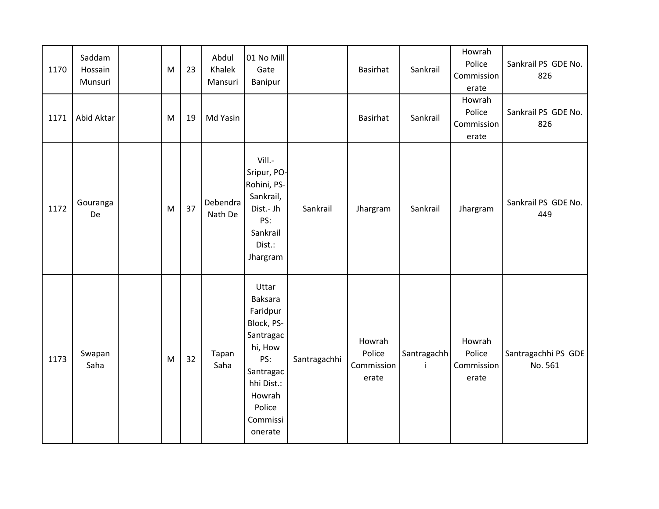| 1170 | Saddam<br>Hossain<br>Munsuri | M | 23 | Abdul<br>Khalek<br>Mansuri | 01 No Mill<br>Gate<br>Banipur                                                                                                                          |              | <b>Basirhat</b>                         | Sankrail          | Howrah<br>Police<br>Commission<br>erate | Sankrail PS GDE No.<br>826     |
|------|------------------------------|---|----|----------------------------|--------------------------------------------------------------------------------------------------------------------------------------------------------|--------------|-----------------------------------------|-------------------|-----------------------------------------|--------------------------------|
| 1171 | Abid Aktar                   | M | 19 | Md Yasin                   |                                                                                                                                                        |              | <b>Basirhat</b>                         | Sankrail          | Howrah<br>Police<br>Commission<br>erate | Sankrail PS GDE No.<br>826     |
| 1172 | Gouranga<br>De               | M | 37 | Debendra<br>Nath De        | Vill.-<br>Sripur, PO-<br>Rohini, PS-<br>Sankrail,<br>Dist.- Jh<br>PS:<br>Sankrail<br>Dist.:<br>Jhargram                                                | Sankrail     | Jhargram                                | Sankrail          | Jhargram                                | Sankrail PS GDE No.<br>449     |
| 1173 | Swapan<br>Saha               | M | 32 | Tapan<br>Saha              | Uttar<br><b>Baksara</b><br>Faridpur<br>Block, PS-<br>Santragac<br>hi, How<br>PS:<br>Santragac<br>hhi Dist.:<br>Howrah<br>Police<br>Commissi<br>onerate | Santragachhi | Howrah<br>Police<br>Commission<br>erate | Santragachh<br>j. | Howrah<br>Police<br>Commission<br>erate | Santragachhi PS GDE<br>No. 561 |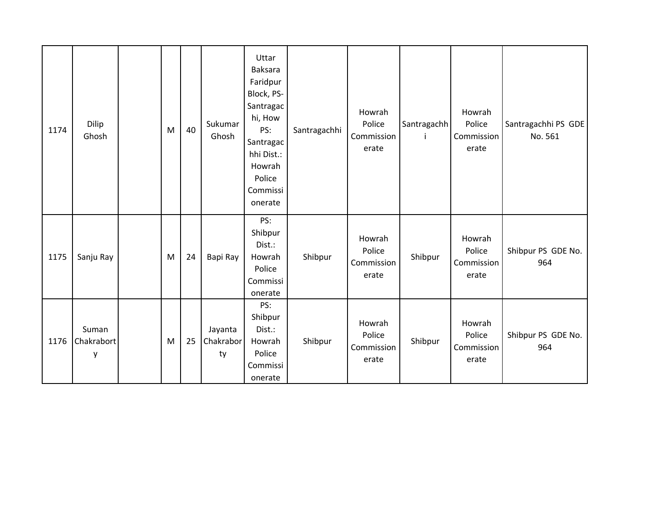| 1174 | Dilip<br>Ghosh           | M | 40 | Sukumar<br>Ghosh           | Uttar<br>Baksara<br>Faridpur<br>Block, PS-<br>Santragac<br>hi, How<br>PS:<br>Santragac<br>hhi Dist.:<br>Howrah<br>Police<br>Commissi<br>onerate | Santragachhi | Howrah<br>Police<br>Commission<br>erate | Santragachh<br>Ť | Howrah<br>Police<br>Commission<br>erate | Santragachhi PS GDE<br>No. 561 |
|------|--------------------------|---|----|----------------------------|-------------------------------------------------------------------------------------------------------------------------------------------------|--------------|-----------------------------------------|------------------|-----------------------------------------|--------------------------------|
| 1175 | Sanju Ray                | M | 24 | Bapi Ray                   | PS:<br>Shibpur<br>Dist.:<br>Howrah<br>Police<br>Commissi<br>onerate                                                                             | Shibpur      | Howrah<br>Police<br>Commission<br>erate | Shibpur          | Howrah<br>Police<br>Commission<br>erate | Shibpur PS GDE No.<br>964      |
| 1176 | Suman<br>Chakrabort<br>y | M | 25 | Jayanta<br>Chakrabor<br>ty | PS:<br>Shibpur<br>Dist.:<br>Howrah<br>Police<br>Commissi<br>onerate                                                                             | Shibpur      | Howrah<br>Police<br>Commission<br>erate | Shibpur          | Howrah<br>Police<br>Commission<br>erate | Shibpur PS GDE No.<br>964      |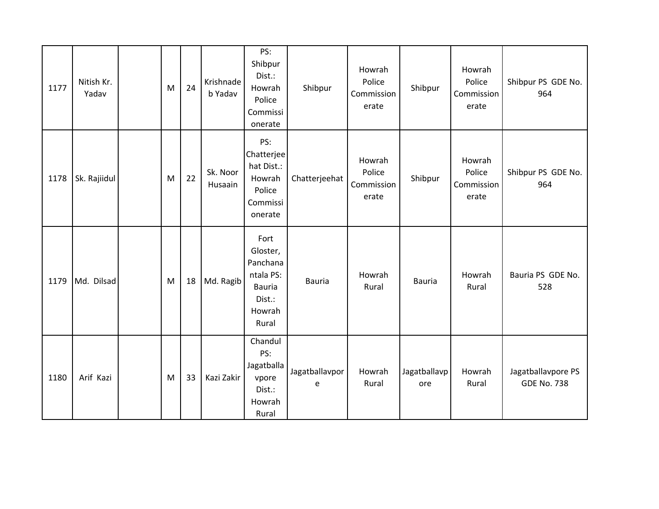| 1177 | Nitish Kr.<br>Yadav | M | 24 | Krishnade<br>b Yadav | PS:<br>Shibpur<br>Dist.:<br>Howrah<br>Police<br>Commissi<br>onerate                     | Shibpur             | Howrah<br>Police<br>Commission<br>erate | Shibpur             | Howrah<br>Police<br>Commission<br>erate | Shibpur PS GDE No.<br>964                |
|------|---------------------|---|----|----------------------|-----------------------------------------------------------------------------------------|---------------------|-----------------------------------------|---------------------|-----------------------------------------|------------------------------------------|
| 1178 | Sk. Rajiidul        | M | 22 | Sk. Noor<br>Husaain  | PS:<br>Chatterjee<br>hat Dist.:<br>Howrah<br>Police<br>Commissi<br>onerate              | Chatterjeehat       | Howrah<br>Police<br>Commission<br>erate | Shibpur             | Howrah<br>Police<br>Commission<br>erate | Shibpur PS GDE No.<br>964                |
| 1179 | Md. Dilsad          | M | 18 | Md. Ragib            | Fort<br>Gloster,<br>Panchana<br>ntala PS:<br><b>Bauria</b><br>Dist.:<br>Howrah<br>Rural | Bauria              | Howrah<br>Rural                         | <b>Bauria</b>       | Howrah<br>Rural                         | Bauria PS GDE No.<br>528                 |
| 1180 | Arif Kazi           | M | 33 | Kazi Zakir           | Chandul<br>PS:<br>Jagatballa<br>vpore<br>Dist.:<br>Howrah<br>Rural                      | Jagatballavpor<br>e | Howrah<br>Rural                         | Jagatballavp<br>ore | Howrah<br>Rural                         | Jagatballavpore PS<br><b>GDE No. 738</b> |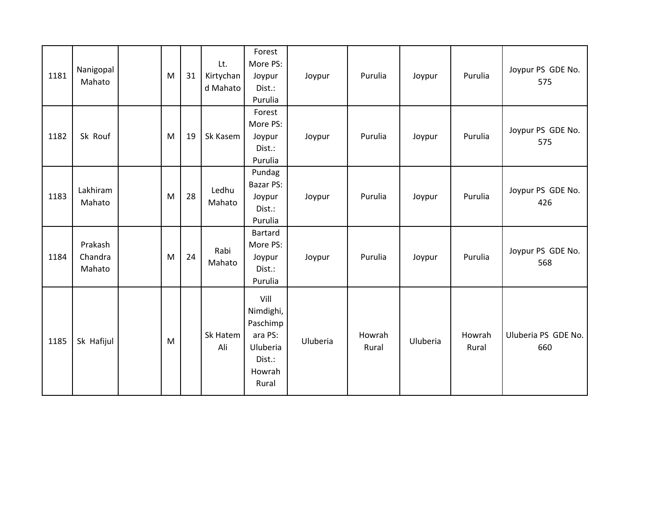| 1181 | Nanigopal<br>Mahato          | M | 31 | Lt.<br>Kirtychan<br>d Mahato | Forest<br>More PS:<br>Joypur<br>Dist.:<br>Purulia                                 | Joypur   | Purulia         | Joypur   | Purulia         | Joypur PS GDE No.<br>575   |
|------|------------------------------|---|----|------------------------------|-----------------------------------------------------------------------------------|----------|-----------------|----------|-----------------|----------------------------|
| 1182 | Sk Rouf                      | M | 19 | Sk Kasem                     | Forest<br>More PS:<br>Joypur<br>Dist.:<br>Purulia                                 | Joypur   | Purulia         | Joypur   | Purulia         | Joypur PS GDE No.<br>575   |
| 1183 | Lakhiram<br>Mahato           | M | 28 | Ledhu<br>Mahato              | Pundag<br><b>Bazar PS:</b><br>Joypur<br>Dist.:<br>Purulia                         | Joypur   | Purulia         | Joypur   | Purulia         | Joypur PS GDE No.<br>426   |
| 1184 | Prakash<br>Chandra<br>Mahato | M | 24 | Rabi<br>Mahato               | Bartard<br>More PS:<br>Joypur<br>Dist.:<br>Purulia                                | Joypur   | Purulia         | Joypur   | Purulia         | Joypur PS GDE No.<br>568   |
| 1185 | Sk Hafijul                   | M |    | Sk Hatem<br>Ali              | Vill<br>Nimdighi,<br>Paschimp<br>ara PS:<br>Uluberia<br>Dist.:<br>Howrah<br>Rural | Uluberia | Howrah<br>Rural | Uluberia | Howrah<br>Rural | Uluberia PS GDE No.<br>660 |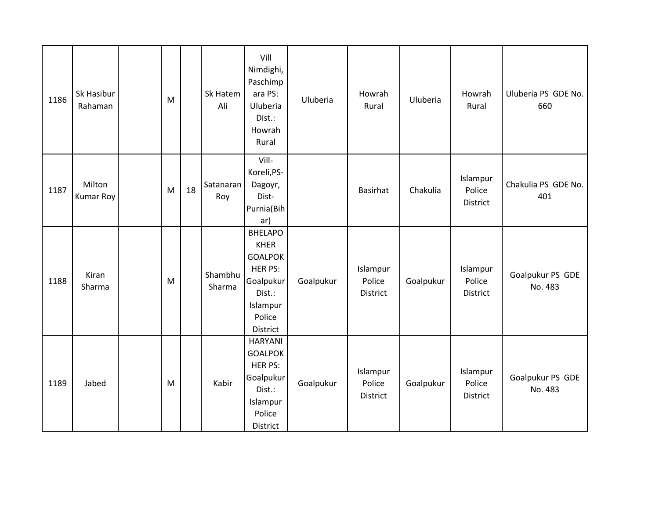| 1186 | Sk Hasibur<br>Rahaman      | M |    | Sk Hatem<br>Ali   | Vill<br>Nimdighi,<br>Paschimp<br>ara PS:<br>Uluberia<br>Dist.:<br>Howrah<br>Rural                                   | Uluberia  | Howrah<br>Rural                | Uluberia  | Howrah<br>Rural                | Uluberia PS GDE No.<br>660  |
|------|----------------------------|---|----|-------------------|---------------------------------------------------------------------------------------------------------------------|-----------|--------------------------------|-----------|--------------------------------|-----------------------------|
| 1187 | Milton<br><b>Kumar Roy</b> | M | 18 | Satanaran<br>Roy  | Vill-<br>Koreli, PS-<br>Dagoyr,<br>Dist-<br>Purnia(Bih<br>ar)                                                       |           | Basirhat                       | Chakulia  | Islampur<br>Police<br>District | Chakulia PS GDE No.<br>401  |
| 1188 | Kiran<br>Sharma            | M |    | Shambhu<br>Sharma | <b>BHELAPO</b><br><b>KHER</b><br><b>GOALPOK</b><br>HER PS:<br>Goalpukur<br>Dist.:<br>Islampur<br>Police<br>District | Goalpukur | Islampur<br>Police<br>District | Goalpukur | Islampur<br>Police<br>District | Goalpukur PS GDE<br>No. 483 |
| 1189 | Jabed                      | M |    | Kabir             | <b>HARYANI</b><br><b>GOALPOK</b><br>HER PS:<br>Goalpukur<br>Dist.:<br>Islampur<br>Police<br>District                | Goalpukur | Islampur<br>Police<br>District | Goalpukur | Islampur<br>Police<br>District | Goalpukur PS GDE<br>No. 483 |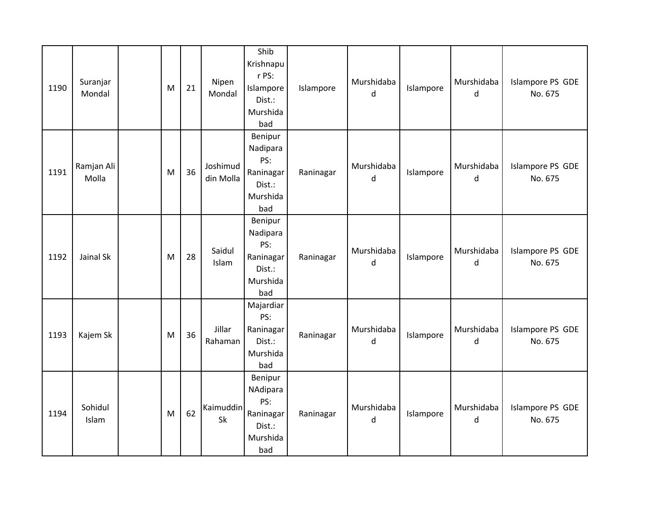| 1190 | Suranjar<br>Mondal  | M | 21 | Nipen<br>Mondal       | Shib<br>Krishnapu<br>r PS:<br>Islampore<br>Dist.:<br>Murshida<br>bad | Islampore | Murshidaba<br>d | Islampore | Murshidaba<br>d | Islampore PS GDE<br>No. 675 |
|------|---------------------|---|----|-----------------------|----------------------------------------------------------------------|-----------|-----------------|-----------|-----------------|-----------------------------|
| 1191 | Ramjan Ali<br>Molla | M | 36 | Joshimud<br>din Molla | Benipur<br>Nadipara<br>PS:<br>Raninagar<br>Dist.:<br>Murshida<br>bad | Raninagar | Murshidaba<br>d | Islampore | Murshidaba<br>d | Islampore PS GDE<br>No. 675 |
| 1192 | Jainal Sk           | M | 28 | Saidul<br>Islam       | Benipur<br>Nadipara<br>PS:<br>Raninagar<br>Dist.:<br>Murshida<br>bad | Raninagar | Murshidaba<br>d | Islampore | Murshidaba<br>d | Islampore PS GDE<br>No. 675 |
| 1193 | Kajem Sk            | M | 36 | Jillar<br>Rahaman     | Majardiar<br>PS:<br>Raninagar<br>Dist.:<br>Murshida<br>bad           | Raninagar | Murshidaba<br>d | Islampore | Murshidaba<br>d | Islampore PS GDE<br>No. 675 |
| 1194 | Sohidul<br>Islam    | M | 62 | Kaimuddin<br>Sk       | Benipur<br>NAdipara<br>PS:<br>Raninagar<br>Dist.:<br>Murshida<br>bad | Raninagar | Murshidaba<br>d | Islampore | Murshidaba<br>d | Islampore PS GDE<br>No. 675 |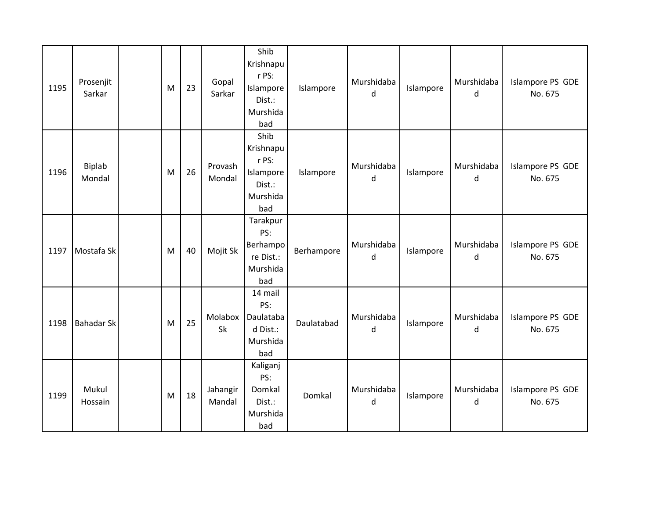| 1195 | Prosenjit<br>Sarkar     | M | 23 | Gopal<br>Sarkar    | Shib<br>Krishnapu<br>r PS:<br>Islampore<br>Dist.:<br>Murshida<br>bad | Islampore  | Murshidaba<br>d | Islampore | Murshidaba<br>d | Islampore PS GDE<br>No. 675 |
|------|-------------------------|---|----|--------------------|----------------------------------------------------------------------|------------|-----------------|-----------|-----------------|-----------------------------|
| 1196 | <b>Biplab</b><br>Mondal | M | 26 | Provash<br>Mondal  | Shib<br>Krishnapu<br>r PS:<br>Islampore<br>Dist.:<br>Murshida<br>bad | Islampore  | Murshidaba<br>d | Islampore | Murshidaba<br>d | Islampore PS GDE<br>No. 675 |
| 1197 | Mostafa Sk              | M | 40 | Mojit Sk           | Tarakpur<br>PS:<br>Berhampo<br>re Dist.:<br>Murshida<br>bad          | Berhampore | Murshidaba<br>d | Islampore | Murshidaba<br>d | Islampore PS GDE<br>No. 675 |
| 1198 | <b>Bahadar Sk</b>       | M | 25 | Molabox<br>Sk      | 14 mail<br>PS:<br>Daulataba<br>d Dist.:<br>Murshida<br>bad           | Daulatabad | Murshidaba<br>d | Islampore | Murshidaba<br>d | Islampore PS GDE<br>No. 675 |
| 1199 | Mukul<br>Hossain        | M | 18 | Jahangir<br>Mandal | Kaliganj<br>PS:<br>Domkal<br>Dist.:<br>Murshida<br>bad               | Domkal     | Murshidaba<br>d | Islampore | Murshidaba<br>d | Islampore PS GDE<br>No. 675 |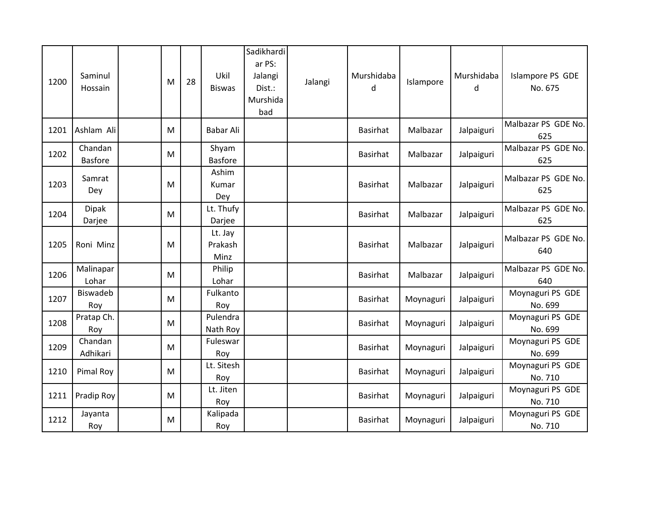| 1200 | Saminul<br>Hossain        | M | 28 | Ukil<br><b>Biswas</b>      | Sadikhardi<br>ar PS:<br>Jalangi<br>Dist.:<br>Murshida<br>bad | Jalangi | Murshidaba<br>d | Islampore | Murshidaba<br>d | Islampore PS GDE<br>No. 675 |
|------|---------------------------|---|----|----------------------------|--------------------------------------------------------------|---------|-----------------|-----------|-----------------|-----------------------------|
| 1201 | Ashlam Ali                | M |    | Babar Ali                  |                                                              |         | <b>Basirhat</b> | Malbazar  | Jalpaiguri      | Malbazar PS GDE No.<br>625  |
| 1202 | Chandan<br><b>Basfore</b> | M |    | Shyam<br><b>Basfore</b>    |                                                              |         | <b>Basirhat</b> | Malbazar  | Jalpaiguri      | Malbazar PS GDE No.<br>625  |
| 1203 | Samrat<br>Dey             | M |    | Ashim<br>Kumar<br>Dey      |                                                              |         | <b>Basirhat</b> | Malbazar  | Jalpaiguri      | Malbazar PS GDE No.<br>625  |
| 1204 | <b>Dipak</b><br>Darjee    | M |    | Lt. Thufy<br>Darjee        |                                                              |         | <b>Basirhat</b> | Malbazar  | Jalpaiguri      | Malbazar PS GDE No.<br>625  |
| 1205 | Roni Minz                 | M |    | Lt. Jay<br>Prakash<br>Minz |                                                              |         | <b>Basirhat</b> | Malbazar  | Jalpaiguri      | Malbazar PS GDE No.<br>640  |
| 1206 | Malinapar<br>Lohar        | M |    | Philip<br>Lohar            |                                                              |         | <b>Basirhat</b> | Malbazar  | Jalpaiguri      | Malbazar PS GDE No.<br>640  |
| 1207 | Biswadeb<br>Roy           | M |    | Fulkanto<br>Roy            |                                                              |         | <b>Basirhat</b> | Moynaguri | Jalpaiguri      | Moynaguri PS GDE<br>No. 699 |
| 1208 | Pratap Ch.<br>Roy         | M |    | Pulendra<br>Nath Roy       |                                                              |         | <b>Basirhat</b> | Moynaguri | Jalpaiguri      | Moynaguri PS GDE<br>No. 699 |
| 1209 | Chandan<br>Adhikari       | M |    | Fuleswar<br>Roy            |                                                              |         | <b>Basirhat</b> | Moynaguri | Jalpaiguri      | Moynaguri PS GDE<br>No. 699 |
| 1210 | Pimal Roy                 | M |    | Lt. Sitesh<br>Roy          |                                                              |         | <b>Basirhat</b> | Moynaguri | Jalpaiguri      | Moynaguri PS GDE<br>No. 710 |
| 1211 | Pradip Roy                | M |    | Lt. Jiten<br>Roy           |                                                              |         | <b>Basirhat</b> | Moynaguri | Jalpaiguri      | Moynaguri PS GDE<br>No. 710 |
| 1212 | Jayanta<br>Roy            | M |    | Kalipada<br>Roy            |                                                              |         | <b>Basirhat</b> | Moynaguri | Jalpaiguri      | Moynaguri PS GDE<br>No. 710 |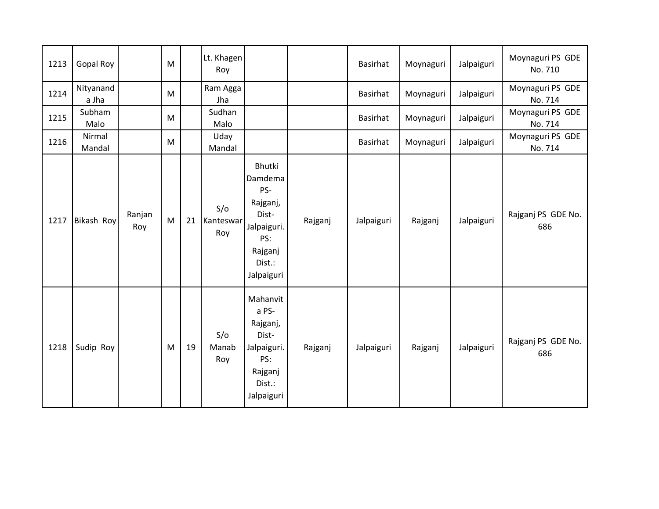| 1213 | <b>Gopal Roy</b>   |               | ${\sf M}$ |    | Lt. Khagen<br>Roy       |                                                                                                        |         | Basirhat        | Moynaguri | Jalpaiguri | Moynaguri PS GDE<br>No. 710 |
|------|--------------------|---------------|-----------|----|-------------------------|--------------------------------------------------------------------------------------------------------|---------|-----------------|-----------|------------|-----------------------------|
| 1214 | Nityanand<br>a Jha |               | M         |    | Ram Agga<br>Jha         |                                                                                                        |         | Basirhat        | Moynaguri | Jalpaiguri | Moynaguri PS GDE<br>No. 714 |
| 1215 | Subham<br>Malo     |               | ${\sf M}$ |    | Sudhan<br>Malo          |                                                                                                        |         | <b>Basirhat</b> | Moynaguri | Jalpaiguri | Moynaguri PS GDE<br>No. 714 |
| 1216 | Nirmal<br>Mandal   |               | M         |    | Uday<br>Mandal          |                                                                                                        |         | Basirhat        | Moynaguri | Jalpaiguri | Moynaguri PS GDE<br>No. 714 |
| 1217 | <b>Bikash Roy</b>  | Ranjan<br>Roy | M         | 21 | S/O<br>Kanteswar<br>Roy | Bhutki<br>Damdema<br>PS-<br>Rajganj,<br>Dist-<br>Jalpaiguri.<br>PS:<br>Rajganj<br>Dist.:<br>Jalpaiguri | Rajganj | Jalpaiguri      | Rajganj   | Jalpaiguri | Rajganj PS GDE No.<br>686   |
| 1218 | Sudip Roy          |               | M         | 19 | S/O<br>Manab<br>Roy     | Mahanvit<br>a PS-<br>Rajganj,<br>Dist-<br>Jalpaiguri.<br>PS:<br>Rajganj<br>Dist.:<br>Jalpaiguri        | Rajganj | Jalpaiguri      | Rajganj   | Jalpaiguri | Rajganj PS GDE No.<br>686   |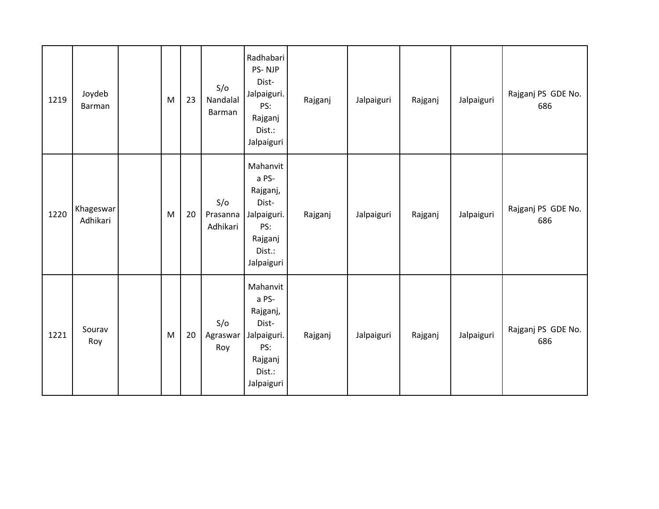| 1219 | Joydeb<br>Barman      | M         | 23 | S/O<br>Nandalal<br>Barman   | Radhabari<br>PS-NJP<br>Dist-<br>Jalpaiguri.<br>PS:<br>Rajganj<br>Dist.:<br>Jalpaiguri           | Rajganj | Jalpaiguri | Rajganj | Jalpaiguri | Rajganj PS GDE No.<br>686 |
|------|-----------------------|-----------|----|-----------------------------|-------------------------------------------------------------------------------------------------|---------|------------|---------|------------|---------------------------|
| 1220 | Khageswar<br>Adhikari | M         | 20 | S/O<br>Prasanna<br>Adhikari | Mahanvit<br>a PS-<br>Rajganj,<br>Dist-<br>Jalpaiguri.<br>PS:<br>Rajganj<br>Dist.:<br>Jalpaiguri | Rajganj | Jalpaiguri | Rajganj | Jalpaiguri | Rajganj PS GDE No.<br>686 |
| 1221 | Sourav<br>Roy         | ${\sf M}$ | 20 | S/O<br>Agraswar<br>Roy      | Mahanvit<br>a PS-<br>Rajganj,<br>Dist-<br>Jalpaiguri.<br>PS:<br>Rajganj<br>Dist.:<br>Jalpaiguri | Rajganj | Jalpaiguri | Rajganj | Jalpaiguri | Rajganj PS GDE No.<br>686 |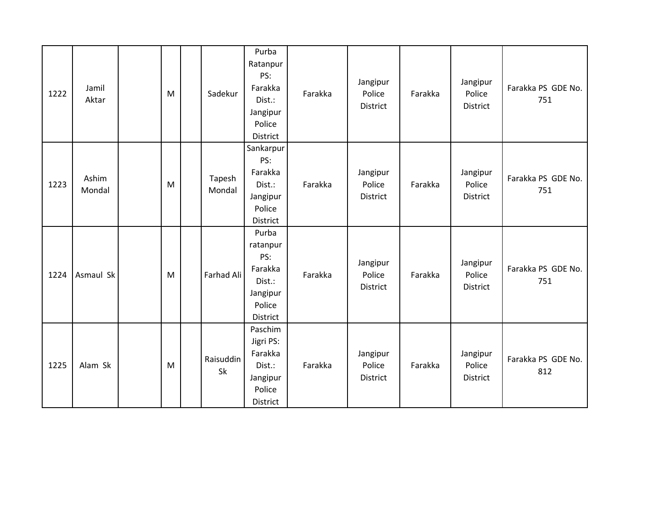| 1222 | Jamil<br>Aktar  | M | Sadekur          | Purba<br>Ratanpur<br>PS:<br>Farakka<br>Dist.:<br>Jangipur<br>Police<br>District | Farakka | Jangipur<br>Police<br>District | Farakka | Jangipur<br>Police<br>District        | Farakka PS GDE No.<br>751 |
|------|-----------------|---|------------------|---------------------------------------------------------------------------------|---------|--------------------------------|---------|---------------------------------------|---------------------------|
| 1223 | Ashim<br>Mondal | M | Tapesh<br>Mondal | Sankarpur<br>PS:<br>Farakka<br>Dist.:<br>Jangipur<br>Police<br>District         | Farakka | Jangipur<br>Police<br>District | Farakka | Jangipur<br>Police<br>District        | Farakka PS GDE No.<br>751 |
| 1224 | Asmaul Sk       | M | Farhad Ali       | Purba<br>ratanpur<br>PS:<br>Farakka<br>Dist.:<br>Jangipur<br>Police<br>District | Farakka | Jangipur<br>Police<br>District | Farakka | Jangipur<br>Police<br><b>District</b> | Farakka PS GDE No.<br>751 |
| 1225 | Alam Sk         | M | Raisuddin<br>Sk  | Paschim<br>Jigri PS:<br>Farakka<br>Dist.:<br>Jangipur<br>Police<br>District     | Farakka | Jangipur<br>Police<br>District | Farakka | Jangipur<br>Police<br><b>District</b> | Farakka PS GDE No.<br>812 |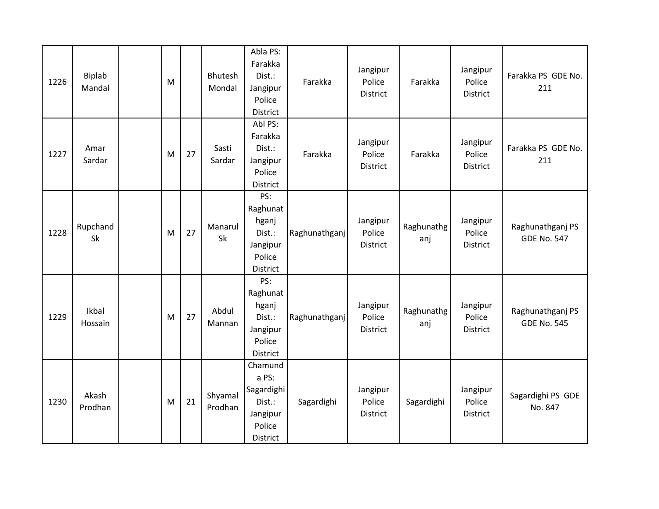| 1226 | Biplab<br>Mandal | M |    | Bhutesh<br>Mondal  | Abla PS:<br>Farakka<br>Dist.:<br>Jangipur<br>Police<br>District            | Farakka       | Jangipur<br>Police<br>District | Farakka           | Jangipur<br>Police<br>District        | Farakka PS GDE No.<br>211              |
|------|------------------|---|----|--------------------|----------------------------------------------------------------------------|---------------|--------------------------------|-------------------|---------------------------------------|----------------------------------------|
| 1227 | Amar<br>Sardar   | M | 27 | Sasti<br>Sardar    | Abl PS:<br>Farakka<br>Dist.:<br>Jangipur<br>Police<br>District             | Farakka       | Jangipur<br>Police<br>District | Farakka           | Jangipur<br>Police<br><b>District</b> | Farakka PS GDE No.<br>211              |
| 1228 | Rupchand<br>Sk   | M | 27 | Manarul<br>Sk      | PS:<br>Raghunat<br>hganj<br>Dist.:<br>Jangipur<br>Police<br>District       | Raghunathganj | Jangipur<br>Police<br>District | Raghunathg<br>anj | Jangipur<br>Police<br><b>District</b> | Raghunathganj PS<br><b>GDE No. 547</b> |
| 1229 | Ikbal<br>Hossain | M | 27 | Abdul<br>Mannan    | PS:<br>Raghunat<br>hganj<br>Dist.:<br>Jangipur<br>Police<br>District       | Raghunathganj | Jangipur<br>Police<br>District | Raghunathg<br>anj | Jangipur<br>Police<br><b>District</b> | Raghunathganj PS<br><b>GDE No. 545</b> |
| 1230 | Akash<br>Prodhan | M | 21 | Shyamal<br>Prodhan | Chamund<br>a PS:<br>Sagardighi<br>Dist.:<br>Jangipur<br>Police<br>District | Sagardighi    | Jangipur<br>Police<br>District | Sagardighi        | Jangipur<br>Police<br>District        | Sagardighi PS GDE<br>No. 847           |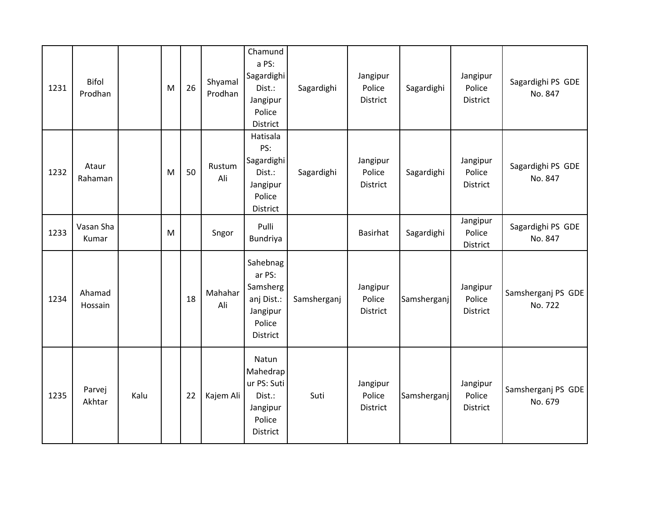| 1231 | <b>Bifol</b><br>Prodhan |      | M | 26 | Shyamal<br>Prodhan | Chamund<br>a PS:<br>Sagardighi<br>Dist.:<br>Jangipur<br>Police<br>District          | Sagardighi  | Jangipur<br>Police<br>District | Sagardighi  | Jangipur<br>Police<br>District | Sagardighi PS GDE<br>No. 847  |
|------|-------------------------|------|---|----|--------------------|-------------------------------------------------------------------------------------|-------------|--------------------------------|-------------|--------------------------------|-------------------------------|
| 1232 | Ataur<br>Rahaman        |      | M | 50 | Rustum<br>Ali      | Hatisala<br>PS:<br>Sagardighi<br>Dist.:<br>Jangipur<br>Police<br>District           | Sagardighi  | Jangipur<br>Police<br>District | Sagardighi  | Jangipur<br>Police<br>District | Sagardighi PS GDE<br>No. 847  |
| 1233 | Vasan Sha<br>Kumar      |      | M |    | Sngor              | Pulli<br>Bundriya                                                                   |             | <b>Basirhat</b>                | Sagardighi  | Jangipur<br>Police<br>District | Sagardighi PS GDE<br>No. 847  |
| 1234 | Ahamad<br>Hossain       |      |   | 18 | Mahahar<br>Ali     | Sahebnag<br>ar PS:<br>Samsherg<br>anj Dist.:<br>Jangipur<br>Police<br>District      | Samsherganj | Jangipur<br>Police<br>District | Samsherganj | Jangipur<br>Police<br>District | Samsherganj PS GDE<br>No. 722 |
| 1235 | Parvej<br>Akhtar        | Kalu |   | 22 | Kajem Ali          | Natun<br>Mahedrap<br>ur PS: Suti<br>Dist.:<br>Jangipur<br>Police<br><b>District</b> | Suti        | Jangipur<br>Police<br>District | Samsherganj | Jangipur<br>Police<br>District | Samsherganj PS GDE<br>No. 679 |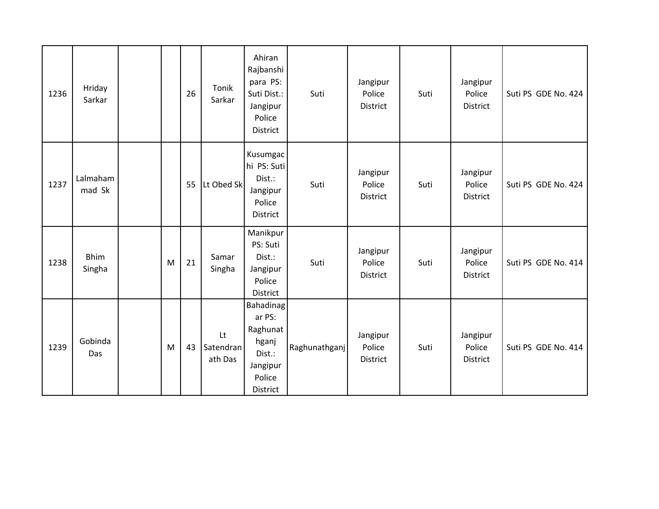| 1236 | Hriday<br>Sarkar      |   | 26 | Tonik<br>Sarkar            | Ahiran<br>Rajbanshi<br>para PS:<br>Suti Dist.:<br>Jangipur<br>Police<br>District            | Suti          | Jangipur<br>Police<br><b>District</b> | Suti | Jangipur<br>Police<br>District | Suti PS GDE No. 424 |
|------|-----------------------|---|----|----------------------------|---------------------------------------------------------------------------------------------|---------------|---------------------------------------|------|--------------------------------|---------------------|
| 1237 | Lalmaham<br>mad Sk    |   | 55 | Lt Obed Sk                 | Kusumgac<br>hi PS: Suti<br>Dist.:<br>Jangipur<br>Police<br>District                         | Suti          | Jangipur<br>Police<br>District        | Suti | Jangipur<br>Police<br>District | Suti PS GDE No. 424 |
| 1238 | <b>Bhim</b><br>Singha | M | 21 | Samar<br>Singha            | Manikpur<br>PS: Suti<br>Dist.:<br>Jangipur<br>Police<br><b>District</b>                     | Suti          | Jangipur<br>Police<br>District        | Suti | Jangipur<br>Police<br>District | Suti PS GDE No. 414 |
| 1239 | Gobinda<br>Das        | M | 43 | Lt<br>Satendran<br>ath Das | <b>Bahadinag</b><br>ar PS:<br>Raghunat<br>hganj<br>Dist.:<br>Jangipur<br>Police<br>District | Raghunathganj | Jangipur<br>Police<br>District        | Suti | Jangipur<br>Police<br>District | Suti PS GDE No. 414 |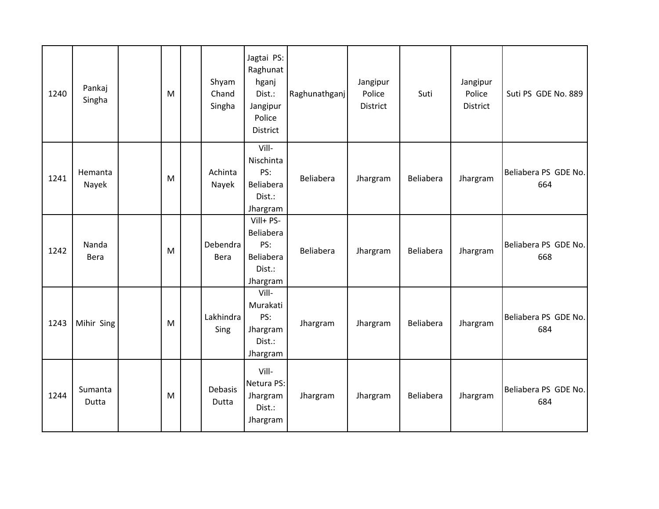| 1240 | Pankaj<br>Singha | M | Shyam<br>Chand<br>Singha | Jagtai PS:<br>Raghunat<br>hganj<br>Dist.:<br>Jangipur<br>Police<br>District | Raghunathganj    | Jangipur<br>Police<br>District | Suti      | Jangipur<br>Police<br>District | Suti PS GDE No. 889         |
|------|------------------|---|--------------------------|-----------------------------------------------------------------------------|------------------|--------------------------------|-----------|--------------------------------|-----------------------------|
| 1241 | Hemanta<br>Nayek | M | Achinta<br>Nayek         | Vill-<br>Nischinta<br>PS:<br>Beliabera<br>Dist.:<br>Jhargram                | <b>Beliabera</b> | Jhargram                       | Beliabera | Jhargram                       | Beliabera PS GDE No.<br>664 |
| 1242 | Nanda<br>Bera    | M | Debendra<br>Bera         | Vill+ PS-<br>Beliabera<br>PS:<br>Beliabera<br>Dist.:<br>Jhargram            | Beliabera        | Jhargram                       | Beliabera | Jhargram                       | Beliabera PS GDE No.<br>668 |
| 1243 | Mihir Sing       | M | Lakhindra<br>Sing        | Vill-<br>Murakati<br>PS:<br>Jhargram<br>Dist.:<br>Jhargram                  | Jhargram         | Jhargram                       | Beliabera | Jhargram                       | Beliabera PS GDE No.<br>684 |
| 1244 | Sumanta<br>Dutta | M | Debasis<br>Dutta         | Vill-<br>Netura PS:<br>Jhargram<br>Dist.:<br>Jhargram                       | Jhargram         | Jhargram                       | Beliabera | Jhargram                       | Beliabera PS GDE No.<br>684 |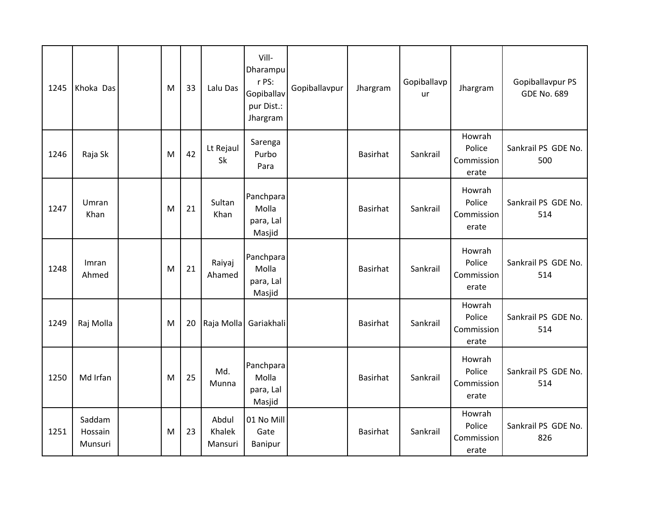| 1245 | Khoka Das                    | M | 33 | Lalu Das                   | Vill-<br>Dharampu<br>r PS:<br>Gopiballav<br>pur Dist.:<br>Jhargram | Gopiballavpur | Jhargram        | Gopiballavp<br><b>ur</b> | Jhargram                                | Gopiballavpur PS<br><b>GDE No. 689</b> |
|------|------------------------------|---|----|----------------------------|--------------------------------------------------------------------|---------------|-----------------|--------------------------|-----------------------------------------|----------------------------------------|
| 1246 | Raja Sk                      | M | 42 | Lt Rejaul<br><b>Sk</b>     | Sarenga<br>Purbo<br>Para                                           |               | <b>Basirhat</b> | Sankrail                 | Howrah<br>Police<br>Commission<br>erate | Sankrail PS GDE No.<br>500             |
| 1247 | Umran<br>Khan                | M | 21 | Sultan<br>Khan             | Panchpara<br>Molla<br>para, Lal<br>Masjid                          |               | Basirhat        | Sankrail                 | Howrah<br>Police<br>Commission<br>erate | Sankrail PS GDE No.<br>514             |
| 1248 | Imran<br>Ahmed               | M | 21 | Raiyaj<br>Ahamed           | Panchpara<br>Molla<br>para, Lal<br>Masjid                          |               | <b>Basirhat</b> | Sankrail                 | Howrah<br>Police<br>Commission<br>erate | Sankrail PS GDE No.<br>514             |
| 1249 | Raj Molla                    | M | 20 | Raja Molla                 | Gariakhali                                                         |               | Basirhat        | Sankrail                 | Howrah<br>Police<br>Commission<br>erate | Sankrail PS GDE No.<br>514             |
| 1250 | Md Irfan                     | M | 25 | Md.<br>Munna               | Panchpara<br>Molla<br>para, Lal<br>Masjid                          |               | <b>Basirhat</b> | Sankrail                 | Howrah<br>Police<br>Commission<br>erate | Sankrail PS GDE No.<br>514             |
| 1251 | Saddam<br>Hossain<br>Munsuri | M | 23 | Abdul<br>Khalek<br>Mansuri | 01 No Mill<br>Gate<br><b>Banipur</b>                               |               | <b>Basirhat</b> | Sankrail                 | Howrah<br>Police<br>Commission<br>erate | Sankrail PS GDE No.<br>826             |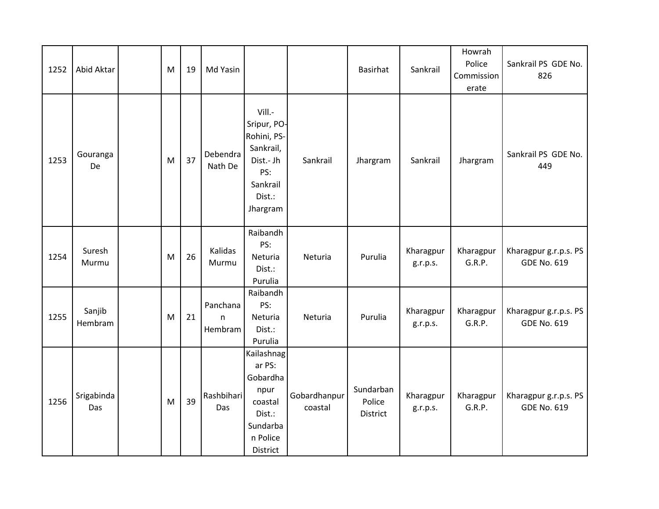| 1252 | Abid Aktar        | M | 19 | Md Yasin                 |                                                                                                         |                         | Basirhat                        | Sankrail              | Howrah<br>Police<br>Commission<br>erate | Sankrail PS GDE No.<br>826                  |
|------|-------------------|---|----|--------------------------|---------------------------------------------------------------------------------------------------------|-------------------------|---------------------------------|-----------------------|-----------------------------------------|---------------------------------------------|
| 1253 | Gouranga<br>De    | M | 37 | Debendra<br>Nath De      | Vill.-<br>Sripur, PO-<br>Rohini, PS-<br>Sankrail,<br>Dist.- Jh<br>PS:<br>Sankrail<br>Dist.:<br>Jhargram | Sankrail                | Jhargram                        | Sankrail              | Jhargram                                | Sankrail PS GDE No.<br>449                  |
| 1254 | Suresh<br>Murmu   | M | 26 | Kalidas<br>Murmu         | Raibandh<br>PS:<br>Neturia<br>Dist.:<br>Purulia                                                         | Neturia                 | Purulia                         | Kharagpur<br>g.r.p.s. | Kharagpur<br>G.R.P.                     | Kharagpur g.r.p.s. PS<br><b>GDE No. 619</b> |
| 1255 | Sanjib<br>Hembram | M | 21 | Panchana<br>n<br>Hembram | Raibandh<br>PS:<br>Neturia<br>Dist.:<br>Purulia                                                         | Neturia                 | Purulia                         | Kharagpur<br>g.r.p.s. | Kharagpur<br>G.R.P.                     | Kharagpur g.r.p.s. PS<br><b>GDE No. 619</b> |
| 1256 | Srigabinda<br>Das | M | 39 | Rashbihari<br>Das        | Kailashnag<br>ar PS:<br>Gobardha<br>npur<br>coastal<br>Dist.:<br>Sundarba<br>n Police<br>District       | Gobardhanpur<br>coastal | Sundarban<br>Police<br>District | Kharagpur<br>g.r.p.s. | Kharagpur<br>G.R.P.                     | Kharagpur g.r.p.s. PS<br><b>GDE No. 619</b> |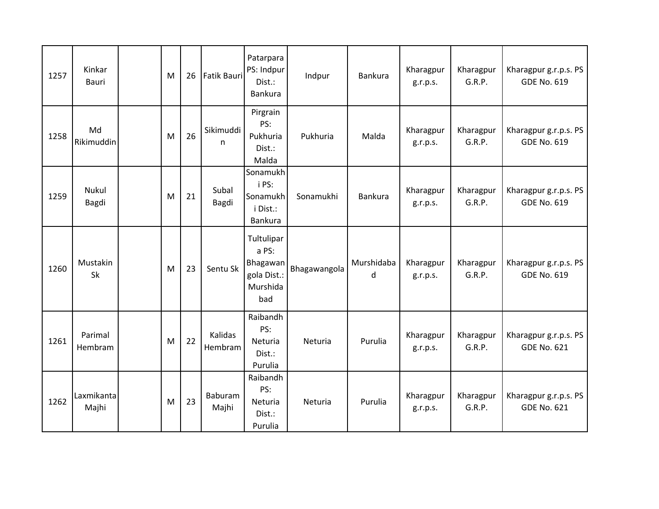| 1257 | Kinkar<br><b>Bauri</b> | M | 26 | <b>Fatik Bauri</b> | Patarpara<br>PS: Indpur<br>Dist.:<br>Bankura                      | Indpur       | Bankura         | Kharagpur<br>g.r.p.s. | Kharagpur<br>G.R.P. | Kharagpur g.r.p.s. PS<br><b>GDE No. 619</b> |
|------|------------------------|---|----|--------------------|-------------------------------------------------------------------|--------------|-----------------|-----------------------|---------------------|---------------------------------------------|
| 1258 | Md<br>Rikimuddin       | M | 26 | Sikimuddi<br>n     | Pirgrain<br>PS:<br>Pukhuria<br>Dist.:<br>Malda                    | Pukhuria     | Malda           | Kharagpur<br>g.r.p.s. | Kharagpur<br>G.R.P. | Kharagpur g.r.p.s. PS<br><b>GDE No. 619</b> |
| 1259 | Nukul<br>Bagdi         | M | 21 | Subal<br>Bagdi     | Sonamukh<br>i PS:<br>Sonamukh<br>i Dist.:<br>Bankura              | Sonamukhi    | <b>Bankura</b>  | Kharagpur<br>g.r.p.s. | Kharagpur<br>G.R.P. | Kharagpur g.r.p.s. PS<br><b>GDE No. 619</b> |
| 1260 | Mustakin<br>Sk         | M | 23 | Sentu Sk           | Tultulipar<br>a PS:<br>Bhagawan<br>gola Dist.:<br>Murshida<br>bad | Bhagawangola | Murshidaba<br>d | Kharagpur<br>g.r.p.s. | Kharagpur<br>G.R.P. | Kharagpur g.r.p.s. PS<br><b>GDE No. 619</b> |
| 1261 | Parimal<br>Hembram     | M | 22 | Kalidas<br>Hembram | Raibandh<br>PS:<br>Neturia<br>Dist.:<br>Purulia                   | Neturia      | Purulia         | Kharagpur<br>g.r.p.s. | Kharagpur<br>G.R.P. | Kharagpur g.r.p.s. PS<br><b>GDE No. 621</b> |
| 1262 | Laxmikanta<br>Majhi    | M | 23 | Baburam<br>Majhi   | Raibandh<br>PS:<br>Neturia<br>Dist.:<br>Purulia                   | Neturia      | Purulia         | Kharagpur<br>g.r.p.s. | Kharagpur<br>G.R.P. | Kharagpur g.r.p.s. PS<br><b>GDE No. 621</b> |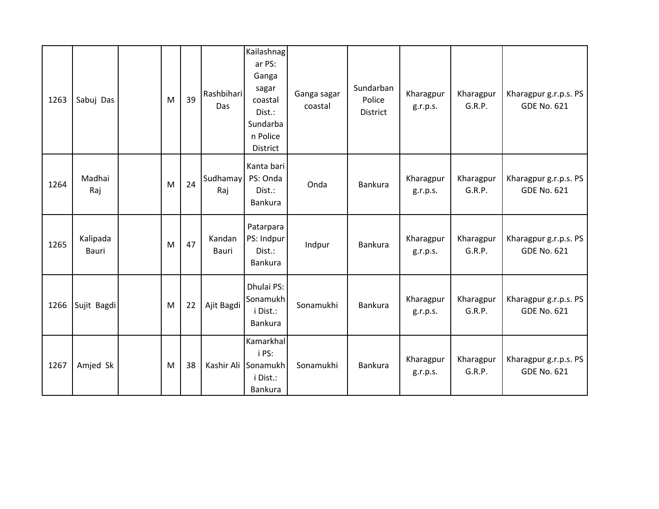| 1263 | Sabuj Das         | M | 39 | Rashbihari<br><b>Das</b> | Kailashnag<br>ar PS:<br>Ganga<br>sagar<br>coastal<br>Dist.:<br>Sundarba<br>n Police<br>District | Ganga sagar<br>coastal | Sundarban<br>Police<br>District | Kharagpur<br>g.r.p.s. | Kharagpur<br>G.R.P. | Kharagpur g.r.p.s. PS<br><b>GDE No. 621</b> |
|------|-------------------|---|----|--------------------------|-------------------------------------------------------------------------------------------------|------------------------|---------------------------------|-----------------------|---------------------|---------------------------------------------|
| 1264 | Madhai<br>Raj     | M | 24 | Sudhamay<br>Raj          | Kanta bari<br>PS: Onda<br>Dist.:<br>Bankura                                                     | Onda                   | Bankura                         | Kharagpur<br>g.r.p.s. | Kharagpur<br>G.R.P. | Kharagpur g.r.p.s. PS<br><b>GDE No. 621</b> |
| 1265 | Kalipada<br>Bauri | M | 47 | Kandan<br>Bauri          | Patarpara<br>PS: Indpur<br>Dist.:<br><b>Bankura</b>                                             | Indpur                 | Bankura                         | Kharagpur<br>g.r.p.s. | Kharagpur<br>G.R.P. | Kharagpur g.r.p.s. PS<br><b>GDE No. 621</b> |
| 1266 | Sujit Bagdi       | M | 22 | Ajit Bagdi               | Dhulai PS:<br>Sonamukh<br>i Dist.:<br>Bankura                                                   | Sonamukhi              | Bankura                         | Kharagpur<br>g.r.p.s. | Kharagpur<br>G.R.P. | Kharagpur g.r.p.s. PS<br><b>GDE No. 621</b> |
| 1267 | Amjed Sk          | M | 38 |                          | Kamarkhal<br>i PS:<br>Kashir Ali Sonamukh<br>i Dist.:<br>Bankura                                | Sonamukhi              | <b>Bankura</b>                  | Kharagpur<br>g.r.p.s. | Kharagpur<br>G.R.P. | Kharagpur g.r.p.s. PS<br><b>GDE No. 621</b> |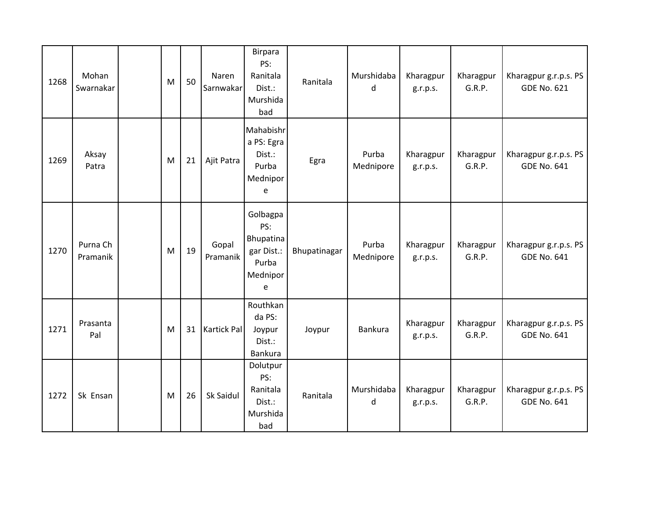| 1268 | Mohan<br>Swarnakar   | M | 50 | Naren<br>Sarnwakar | Birpara<br>PS:<br>Ranitala<br>Dist.:<br>Murshida<br>bad              | Ranitala     | Murshidaba<br>d    | Kharagpur<br>g.r.p.s. | Kharagpur<br>G.R.P. | Kharagpur g.r.p.s. PS<br><b>GDE No. 621</b> |
|------|----------------------|---|----|--------------------|----------------------------------------------------------------------|--------------|--------------------|-----------------------|---------------------|---------------------------------------------|
| 1269 | Aksay<br>Patra       | M | 21 | Ajit Patra         | Mahabishr<br>a PS: Egra<br>Dist.:<br>Purba<br>Mednipor<br>e          | Egra         | Purba<br>Mednipore | Kharagpur<br>g.r.p.s. | Kharagpur<br>G.R.P. | Kharagpur g.r.p.s. PS<br><b>GDE No. 641</b> |
| 1270 | Purna Ch<br>Pramanik | M | 19 | Gopal<br>Pramanik  | Golbagpa<br>PS:<br>Bhupatina<br>gar Dist.:<br>Purba<br>Mednipor<br>e | Bhupatinagar | Purba<br>Mednipore | Kharagpur<br>g.r.p.s. | Kharagpur<br>G.R.P. | Kharagpur g.r.p.s. PS<br><b>GDE No. 641</b> |
| 1271 | Prasanta<br>Pal      | M | 31 | <b>Kartick Pal</b> | Routhkan<br>da PS:<br>Joypur<br>Dist.:<br><b>Bankura</b>             | Joypur       | Bankura            | Kharagpur<br>g.r.p.s. | Kharagpur<br>G.R.P. | Kharagpur g.r.p.s. PS<br><b>GDE No. 641</b> |
| 1272 | Sk Ensan             | M | 26 | Sk Saidul          | Dolutpur<br>PS:<br>Ranitala<br>Dist.:<br>Murshida<br>bad             | Ranitala     | Murshidaba<br>d    | Kharagpur<br>g.r.p.s. | Kharagpur<br>G.R.P. | Kharagpur g.r.p.s. PS<br><b>GDE No. 641</b> |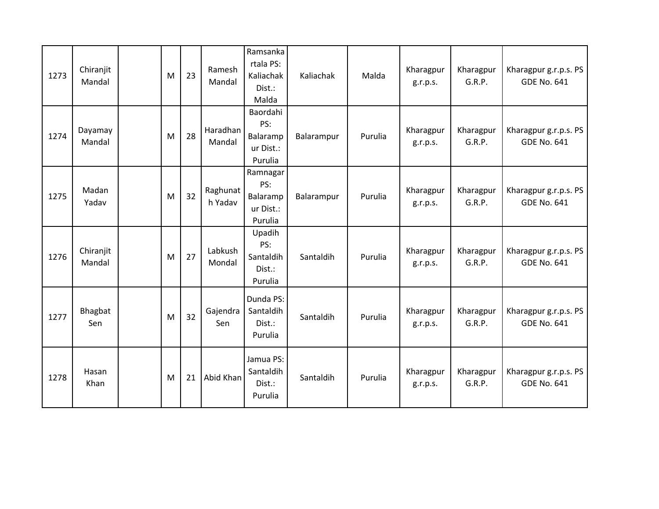| 1273 | Chiranjit<br>Mandal | M | 23 | Ramesh<br>Mandal    | Ramsanka<br>rtala PS:<br>Kaliachak<br>Dist.:<br>Malda | Kaliachak  | Malda   | Kharagpur<br>g.r.p.s. | Kharagpur<br>G.R.P. | Kharagpur g.r.p.s. PS<br><b>GDE No. 641</b> |
|------|---------------------|---|----|---------------------|-------------------------------------------------------|------------|---------|-----------------------|---------------------|---------------------------------------------|
| 1274 | Dayamay<br>Mandal   | M | 28 | Haradhan<br>Mandal  | Baordahi<br>PS:<br>Balaramp<br>ur Dist.:<br>Purulia   | Balarampur | Purulia | Kharagpur<br>g.r.p.s. | Kharagpur<br>G.R.P. | Kharagpur g.r.p.s. PS<br><b>GDE No. 641</b> |
| 1275 | Madan<br>Yadav      | M | 32 | Raghunat<br>h Yadav | Ramnagar<br>PS:<br>Balaramp<br>ur Dist.:<br>Purulia   | Balarampur | Purulia | Kharagpur<br>g.r.p.s. | Kharagpur<br>G.R.P. | Kharagpur g.r.p.s. PS<br><b>GDE No. 641</b> |
| 1276 | Chiranjit<br>Mandal | M | 27 | Labkush<br>Mondal   | Upadih<br>PS:<br>Santaldih<br>Dist.:<br>Purulia       | Santaldih  | Purulia | Kharagpur<br>g.r.p.s. | Kharagpur<br>G.R.P. | Kharagpur g.r.p.s. PS<br><b>GDE No. 641</b> |
| 1277 | Bhagbat<br>Sen      | M | 32 | Gajendra<br>Sen     | Dunda PS:<br>Santaldih<br>Dist.:<br>Purulia           | Santaldih  | Purulia | Kharagpur<br>g.r.p.s. | Kharagpur<br>G.R.P. | Kharagpur g.r.p.s. PS<br><b>GDE No. 641</b> |
| 1278 | Hasan<br>Khan       | M | 21 | Abid Khan           | Jamua PS:<br>Santaldih<br>Dist.:<br>Purulia           | Santaldih  | Purulia | Kharagpur<br>g.r.p.s. | Kharagpur<br>G.R.P. | Kharagpur g.r.p.s. PS<br><b>GDE No. 641</b> |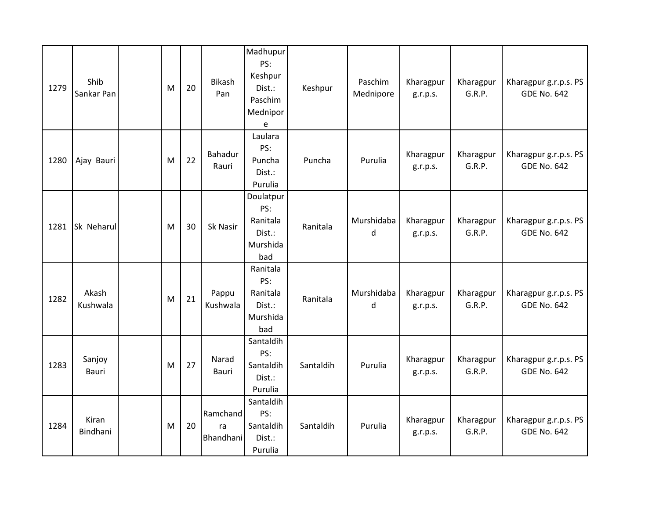| 1279 | Shib<br>Sankar Pan     | M | 20 | <b>Bikash</b><br>Pan        | Madhupur<br>PS:<br>Keshpur<br>Dist.:<br>Paschim<br>Mednipor<br>$\mathsf{e}% _{0}\left( \mathsf{e}\right)$ | Keshpur   | Paschim<br>Mednipore | Kharagpur<br>g.r.p.s. | Kharagpur<br>G.R.P. | Kharagpur g.r.p.s. PS<br><b>GDE No. 642</b> |
|------|------------------------|---|----|-----------------------------|-----------------------------------------------------------------------------------------------------------|-----------|----------------------|-----------------------|---------------------|---------------------------------------------|
| 1280 | Ajay Bauri             | M | 22 | Bahadur<br>Rauri            | Laulara<br>PS:<br>Puncha<br>Dist.:<br>Purulia                                                             | Puncha    | Purulia              | Kharagpur<br>g.r.p.s. | Kharagpur<br>G.R.P. | Kharagpur g.r.p.s. PS<br><b>GDE No. 642</b> |
| 1281 | Sk Neharul             | M | 30 | Sk Nasir                    | Doulatpur<br>PS:<br>Ranitala<br>Dist.:<br>Murshida<br>bad                                                 | Ranitala  | Murshidaba<br>d      | Kharagpur<br>g.r.p.s. | Kharagpur<br>G.R.P. | Kharagpur g.r.p.s. PS<br><b>GDE No. 642</b> |
| 1282 | Akash<br>Kushwala      | M | 21 | Pappu<br>Kushwala           | Ranitala<br>PS:<br>Ranitala<br>Dist.:<br>Murshida<br>bad                                                  | Ranitala  | Murshidaba<br>d      | Kharagpur<br>g.r.p.s. | Kharagpur<br>G.R.P. | Kharagpur g.r.p.s. PS<br><b>GDE No. 642</b> |
| 1283 | Sanjoy<br><b>Bauri</b> | M | 27 | Narad<br>Bauri              | Santaldih<br>PS:<br>Santaldih<br>Dist.:<br>Purulia                                                        | Santaldih | Purulia              | Kharagpur<br>g.r.p.s. | Kharagpur<br>G.R.P. | Kharagpur g.r.p.s. PS<br><b>GDE No. 642</b> |
| 1284 | Kiran<br>Bindhani      | M | 20 | Ramchand<br>ra<br>Bhandhani | Santaldih<br>PS:<br>Santaldih<br>Dist.:<br>Purulia                                                        | Santaldih | Purulia              | Kharagpur<br>g.r.p.s. | Kharagpur<br>G.R.P. | Kharagpur g.r.p.s. PS<br><b>GDE No. 642</b> |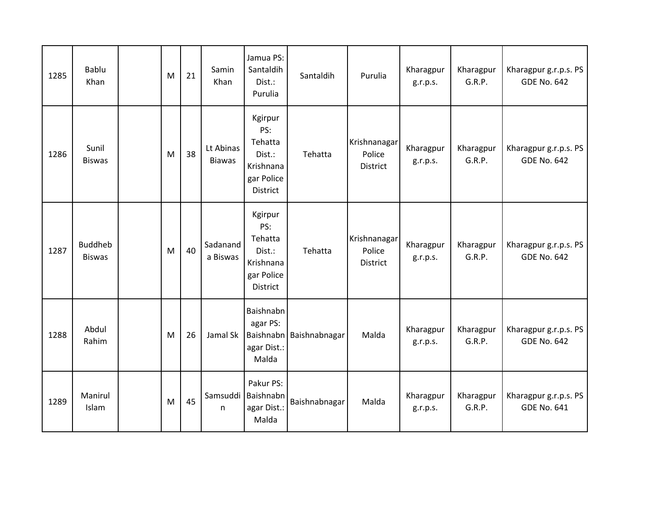| 1285 | <b>Bablu</b><br>Khan            | M | 21 | Samin<br>Khan              | Jamua PS:<br>Santaldih<br>Dist.:<br>Purulia                                | Santaldih               | Purulia                            | Kharagpur<br>g.r.p.s. | Kharagpur<br>G.R.P. | Kharagpur g.r.p.s. PS<br><b>GDE No. 642</b> |
|------|---------------------------------|---|----|----------------------------|----------------------------------------------------------------------------|-------------------------|------------------------------------|-----------------------|---------------------|---------------------------------------------|
| 1286 | Sunil<br><b>Biswas</b>          | M | 38 | Lt Abinas<br><b>Biawas</b> | Kgirpur<br>PS:<br>Tehatta<br>Dist.:<br>Krishnana<br>gar Police<br>District | Tehatta                 | Krishnanagar<br>Police<br>District | Kharagpur<br>g.r.p.s. | Kharagpur<br>G.R.P. | Kharagpur g.r.p.s. PS<br><b>GDE No. 642</b> |
| 1287 | <b>Buddheb</b><br><b>Biswas</b> | M | 40 | Sadanand<br>a Biswas       | Kgirpur<br>PS:<br>Tehatta<br>Dist.:<br>Krishnana<br>gar Police<br>District | Tehatta                 | Krishnanagar<br>Police<br>District | Kharagpur<br>g.r.p.s. | Kharagpur<br>G.R.P. | Kharagpur g.r.p.s. PS<br><b>GDE No. 642</b> |
| 1288 | Abdul<br>Rahim                  | M | 26 | Jamal Sk                   | Baishnabn<br>agar PS:<br>agar Dist.:<br>Malda                              | Baishnabn Baishnabnagar | Malda                              | Kharagpur<br>g.r.p.s. | Kharagpur<br>G.R.P. | Kharagpur g.r.p.s. PS<br><b>GDE No. 642</b> |
| 1289 | Manirul<br>Islam                | M | 45 | n                          | Pakur PS:<br>Samsuddi   Baishnabn<br>agar Dist.:<br>Malda                  | Baishnabnagar           | Malda                              | Kharagpur<br>g.r.p.s. | Kharagpur<br>G.R.P. | Kharagpur g.r.p.s. PS<br><b>GDE No. 641</b> |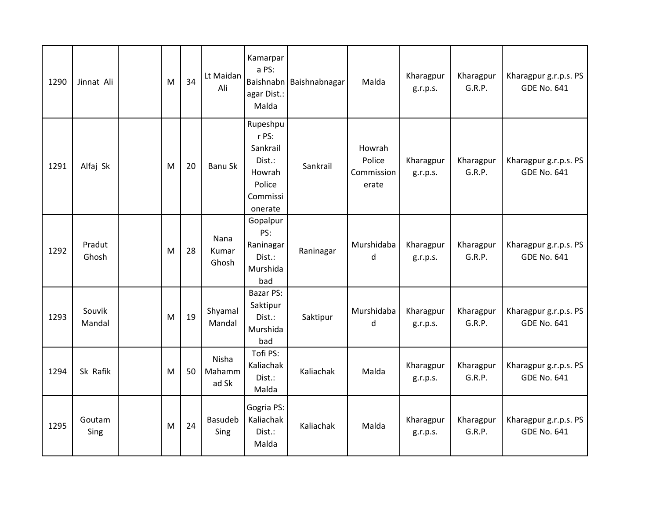| 1290 | Jinnat Ali       | M | 34 | Lt Maidan<br>Ali                | Kamarpar<br>a PS:<br>agar Dist.:<br>Malda                                          | Baishnabn Baishnabnagar | Malda                                   | Kharagpur<br>g.r.p.s. | Kharagpur<br>G.R.P. | Kharagpur g.r.p.s. PS<br><b>GDE No. 641</b> |
|------|------------------|---|----|---------------------------------|------------------------------------------------------------------------------------|-------------------------|-----------------------------------------|-----------------------|---------------------|---------------------------------------------|
| 1291 | Alfaj Sk         | M | 20 | <b>Banu Sk</b>                  | Rupeshpu<br>r PS:<br>Sankrail<br>Dist.:<br>Howrah<br>Police<br>Commissi<br>onerate | Sankrail                | Howrah<br>Police<br>Commission<br>erate | Kharagpur<br>g.r.p.s. | Kharagpur<br>G.R.P. | Kharagpur g.r.p.s. PS<br><b>GDE No. 641</b> |
| 1292 | Pradut<br>Ghosh  | M | 28 | Nana<br>Kumar<br>Ghosh          | Gopalpur<br>PS:<br>Raninagar<br>Dist.:<br>Murshida<br>bad                          | Raninagar               | Murshidaba<br>d                         | Kharagpur<br>g.r.p.s. | Kharagpur<br>G.R.P. | Kharagpur g.r.p.s. PS<br><b>GDE No. 641</b> |
| 1293 | Souvik<br>Mandal | M | 19 | Shyamal<br>Mandal               | <b>Bazar PS:</b><br>Saktipur<br>Dist.:<br>Murshida<br>bad                          | Saktipur                | Murshidaba<br>d                         | Kharagpur<br>g.r.p.s. | Kharagpur<br>G.R.P. | Kharagpur g.r.p.s. PS<br><b>GDE No. 641</b> |
| 1294 | Sk Rafik         | M | 50 | <b>Nisha</b><br>Mahamm<br>ad Sk | Tofi PS:<br>Kaliachak<br>Dist.:<br>Malda                                           | Kaliachak               | Malda                                   | Kharagpur<br>g.r.p.s. | Kharagpur<br>G.R.P. | Kharagpur g.r.p.s. PS<br><b>GDE No. 641</b> |
| 1295 | Goutam<br>Sing   | M | 24 | Basudeb<br>Sing                 | Gogria PS:<br>Kaliachak<br>Dist.:<br>Malda                                         | Kaliachak               | Malda                                   | Kharagpur<br>g.r.p.s. | Kharagpur<br>G.R.P. | Kharagpur g.r.p.s. PS<br><b>GDE No. 641</b> |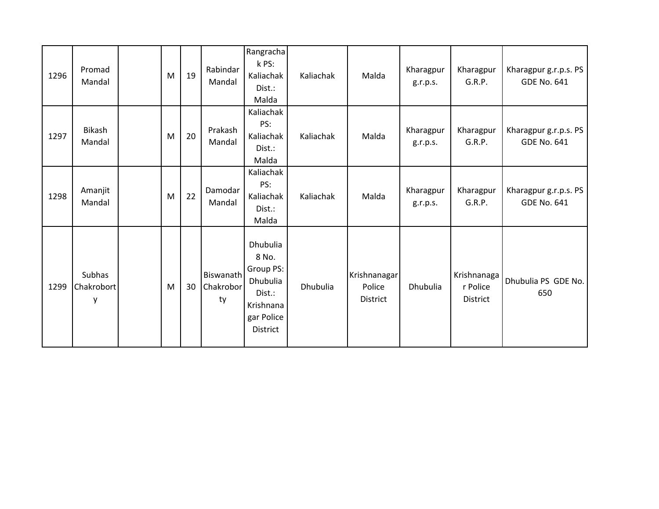| 1296 | Promad<br>Mandal          | M | 19 | Rabindar<br>Mandal           | Rangracha<br>k PS:<br>Kaliachak<br>Dist.:<br>Malda                                          | Kaliachak | Malda                                     | Kharagpur<br>g.r.p.s. | Kharagpur<br>G.R.P.                 | Kharagpur g.r.p.s. PS<br><b>GDE No. 641</b> |
|------|---------------------------|---|----|------------------------------|---------------------------------------------------------------------------------------------|-----------|-------------------------------------------|-----------------------|-------------------------------------|---------------------------------------------|
| 1297 | Bikash<br>Mandal          | M | 20 | Prakash<br>Mandal            | Kaliachak<br>PS:<br>Kaliachak<br>Dist.:<br>Malda                                            | Kaliachak | Malda                                     | Kharagpur<br>g.r.p.s. | Kharagpur<br>G.R.P.                 | Kharagpur g.r.p.s. PS<br><b>GDE No. 641</b> |
| 1298 | Amanjit<br>Mandal         | M | 22 | Damodar<br>Mandal            | Kaliachak<br>PS:<br>Kaliachak<br>Dist.:<br>Malda                                            | Kaliachak | Malda                                     | Kharagpur<br>g.r.p.s. | Kharagpur<br>G.R.P.                 | Kharagpur g.r.p.s. PS<br><b>GDE No. 641</b> |
| 1299 | Subhas<br>Chakrobort<br>у | M | 30 | Biswanath<br>Chakrobor<br>ty | Dhubulia<br>8 No.<br>Group PS:<br>Dhubulia<br>Dist.:<br>Krishnana<br>gar Police<br>District | Dhubulia  | Krishnanagar<br>Police<br><b>District</b> | Dhubulia              | Krishnanaga<br>r Police<br>District | Dhubulia PS GDE No.<br>650                  |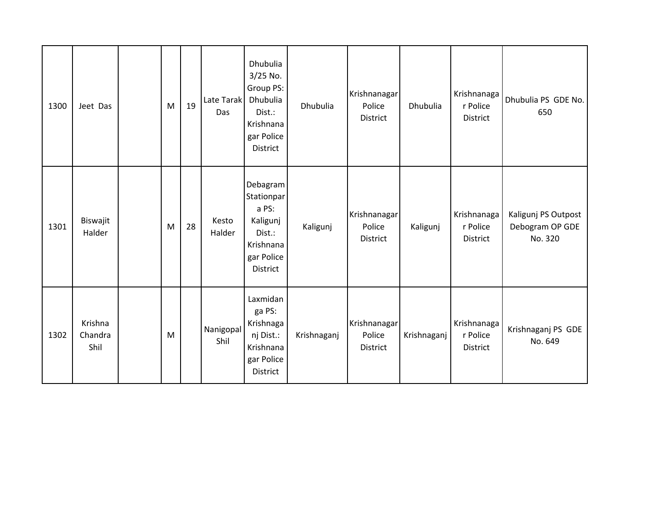| 1300 | Jeet Das                   | M | 19 | Late Tarak<br>Das | Dhubulia<br>3/25 No.<br>Group PS:<br>Dhubulia<br>Dist.:<br>Krishnana<br>gar Police<br>District | Dhubulia    | Krishnanagar<br>Police<br>District | Dhubulia    | Krishnanaga<br>r Police<br><b>District</b> | Dhubulia PS GDE No.<br>650                        |
|------|----------------------------|---|----|-------------------|------------------------------------------------------------------------------------------------|-------------|------------------------------------|-------------|--------------------------------------------|---------------------------------------------------|
| 1301 | Biswajit<br>Halder         | M | 28 | Kesto<br>Halder   | Debagram<br>Stationpar<br>a PS:<br>Kaligunj<br>Dist.:<br>Krishnana<br>gar Police<br>District   | Kaligunj    | Krishnanagar<br>Police<br>District | Kaligunj    | Krishnanaga<br>r Police<br><b>District</b> | Kaligunj PS Outpost<br>Debogram OP GDE<br>No. 320 |
| 1302 | Krishna<br>Chandra<br>Shil | M |    | Nanigopal<br>Shil | Laxmidan<br>ga PS:<br>Krishnaga<br>nj Dist.:<br>Krishnana<br>gar Police<br>District            | Krishnaganj | Krishnanagar<br>Police<br>District | Krishnaganj | Krishnanaga<br>r Police<br><b>District</b> | Krishnaganj PS GDE<br>No. 649                     |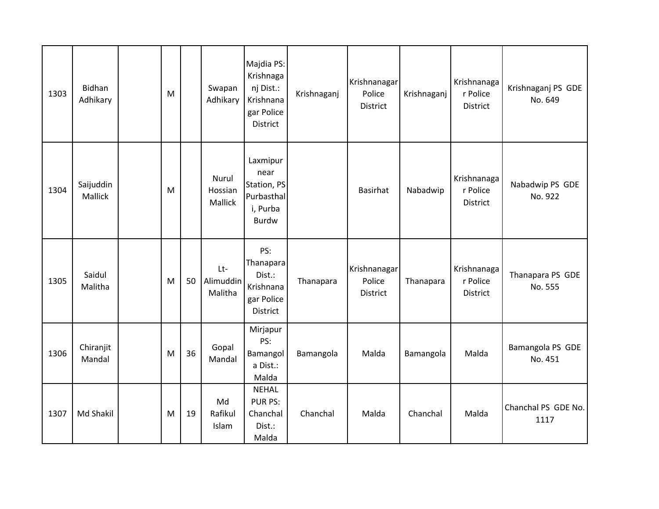| 1303 | Bidhan<br>Adhikary   | M |    | Swapan<br>Adhikary          | Majdia PS:<br>Krishnaga<br>nj Dist.:<br>Krishnana<br>gar Police<br>District | Krishnaganj | Krishnanagar<br>Police<br>District | Krishnaganj | Krishnanaga<br>r Police<br>District | Krishnaganj PS GDE<br>No. 649 |
|------|----------------------|---|----|-----------------------------|-----------------------------------------------------------------------------|-------------|------------------------------------|-------------|-------------------------------------|-------------------------------|
| 1304 | Saijuddin<br>Mallick | M |    | Nurul<br>Hossian<br>Mallick | Laxmipur<br>near<br>Station, PS<br>Purbasthal<br>i, Purba<br><b>Burdw</b>   |             | Basirhat                           | Nabadwip    | Krishnanaga<br>r Police<br>District | Nabadwip PS GDE<br>No. 922    |
| 1305 | Saidul<br>Malitha    | M | 50 | Lt-<br>Alimuddin<br>Malitha | PS:<br>Thanapara<br>Dist.:<br>Krishnana<br>gar Police<br>District           | Thanapara   | Krishnanagar<br>Police<br>District | Thanapara   | Krishnanaga<br>r Police<br>District | Thanapara PS GDE<br>No. 555   |
| 1306 | Chiranjit<br>Mandal  | M | 36 | Gopal<br>Mandal             | Mirjapur<br>PS:<br>Bamangol<br>a Dist.:<br>Malda                            | Bamangola   | Malda                              | Bamangola   | Malda                               | Bamangola PS GDE<br>No. 451   |
| 1307 | Md Shakil            | M | 19 | Md<br>Rafikul<br>Islam      | <b>NEHAL</b><br>PUR PS:<br>Chanchal<br>Dist.:<br>Malda                      | Chanchal    | Malda                              | Chanchal    | Malda                               | Chanchal PS GDE No.<br>1117   |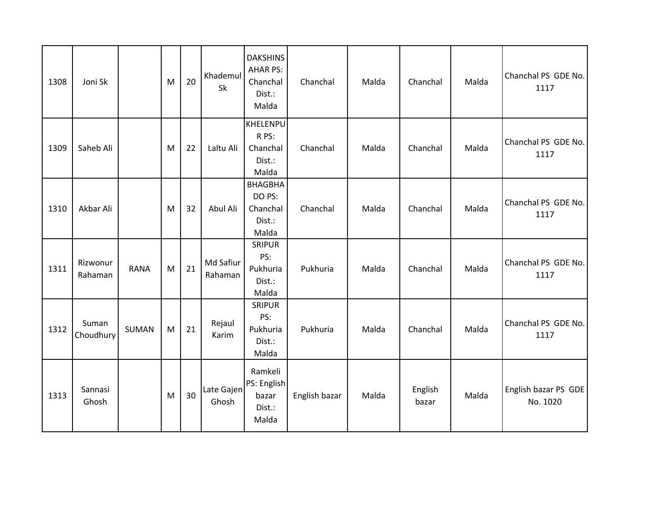| 1308 | Joni Sk             |             | M         | 20 | Khademul<br>Sk       | <b>DAKSHINS</b><br><b>AHAR PS:</b><br>Chanchal<br>Dist.:<br>Malda | Chanchal      | Malda | Chanchal         | Malda | Chanchal PS GDE No.<br>1117      |
|------|---------------------|-------------|-----------|----|----------------------|-------------------------------------------------------------------|---------------|-------|------------------|-------|----------------------------------|
| 1309 | Saheb Ali           |             | M         | 22 | Laltu Ali            | <b>KHELENPU</b><br>R PS:<br>Chanchal<br>Dist.:<br>Malda           | Chanchal      | Malda | Chanchal         | Malda | Chanchal PS GDE No.<br>1117      |
| 1310 | Akbar Ali           |             | M         | 32 | Abul Ali             | <b>BHAGBHA</b><br>DO PS:<br>Chanchal<br>Dist.:<br>Malda           | Chanchal      | Malda | Chanchal         | Malda | Chanchal PS GDE No.<br>1117      |
| 1311 | Rizwonur<br>Rahaman | <b>RANA</b> | M         | 21 | Md Safiur<br>Rahaman | <b>SRIPUR</b><br>PS:<br>Pukhuria<br>Dist.:<br>Malda               | Pukhuria      | Malda | Chanchal         | Malda | Chanchal PS GDE No.<br>1117      |
| 1312 | Suman<br>Choudhury  | SUMAN       | ${\sf M}$ | 21 | Rejaul<br>Karim      | <b>SRIPUR</b><br>PS:<br>Pukhuria<br>Dist.:<br>Malda               | Pukhuria      | Malda | Chanchal         | Malda | Chanchal PS GDE No.<br>1117      |
| 1313 | Sannasi<br>Ghosh    |             | M         | 30 | Late Gajen<br>Ghosh  | Ramkeli<br>PS: English<br>bazar<br>Dist.:<br>Malda                | English bazar | Malda | English<br>bazar | Malda | English bazar PS GDE<br>No. 1020 |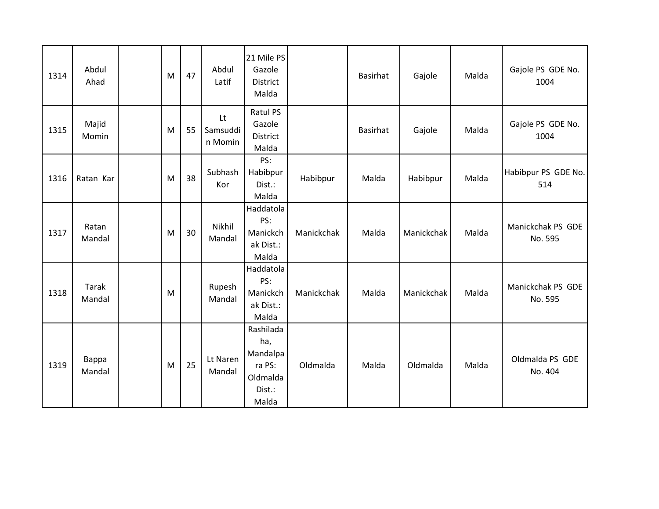| 1314 | Abdul<br>Ahad   | M | 47 | Abdul<br>Latif            | 21 Mile PS<br>Gazole<br>District<br>Malda                             |            | Basirhat | Gajole     | Malda | Gajole PS GDE No.<br>1004    |
|------|-----------------|---|----|---------------------------|-----------------------------------------------------------------------|------------|----------|------------|-------|------------------------------|
| 1315 | Majid<br>Momin  | M | 55 | Lt<br>Samsuddi<br>n Momin | <b>Ratul PS</b><br>Gazole<br>District<br>Malda                        |            | Basirhat | Gajole     | Malda | Gajole PS GDE No.<br>1004    |
| 1316 | Ratan Kar       | M | 38 | Subhash<br>Kor            | PS:<br>Habibpur<br>Dist.:<br>Malda                                    | Habibpur   | Malda    | Habibpur   | Malda | Habibpur PS GDE No.<br>514   |
| 1317 | Ratan<br>Mandal | M | 30 | Nikhil<br>Mandal          | Haddatola<br>PS:<br>Manickch<br>ak Dist.:<br>Malda                    | Manickchak | Malda    | Manickchak | Malda | Manickchak PS GDE<br>No. 595 |
| 1318 | Tarak<br>Mandal | M |    | Rupesh<br>Mandal          | Haddatola<br>PS:<br>Manickch<br>ak Dist.:<br>Malda                    | Manickchak | Malda    | Manickchak | Malda | Manickchak PS GDE<br>No. 595 |
| 1319 | Bappa<br>Mandal | M | 25 | Lt Naren<br>Mandal        | Rashilada<br>ha,<br>Mandalpa<br>ra PS:<br>Oldmalda<br>Dist.:<br>Malda | Oldmalda   | Malda    | Oldmalda   | Malda | Oldmalda PS GDE<br>No. 404   |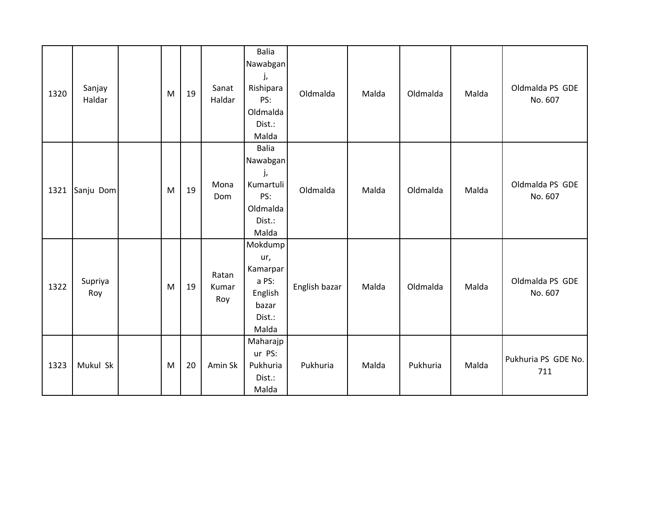| 1320 | Sanjay<br>Haldar | M | 19 | Sanat<br>Haldar       | <b>Balia</b><br>Nawabgan<br>j,<br>Rishipara<br>PS:<br>Oldmalda<br>Dist.:<br>Malda | Oldmalda      | Malda | Oldmalda | Malda | Oldmalda PS GDE<br>No. 607 |
|------|------------------|---|----|-----------------------|-----------------------------------------------------------------------------------|---------------|-------|----------|-------|----------------------------|
| 1321 | Sanju Dom        | M | 19 | Mona<br>Dom           | <b>Balia</b><br>Nawabgan<br>j,<br>Kumartuli<br>PS:<br>Oldmalda<br>Dist.:<br>Malda | Oldmalda      | Malda | Oldmalda | Malda | Oldmalda PS GDE<br>No. 607 |
| 1322 | Supriya<br>Roy   | M | 19 | Ratan<br>Kumar<br>Roy | Mokdump<br>ur,<br>Kamarpar<br>a PS:<br>English<br>bazar<br>Dist.:<br>Malda        | English bazar | Malda | Oldmalda | Malda | Oldmalda PS GDE<br>No. 607 |
| 1323 | Mukul Sk         | M | 20 | Amin Sk               | Maharajp<br>ur PS:<br>Pukhuria<br>Dist.:<br>Malda                                 | Pukhuria      | Malda | Pukhuria | Malda | Pukhuria PS GDE No.<br>711 |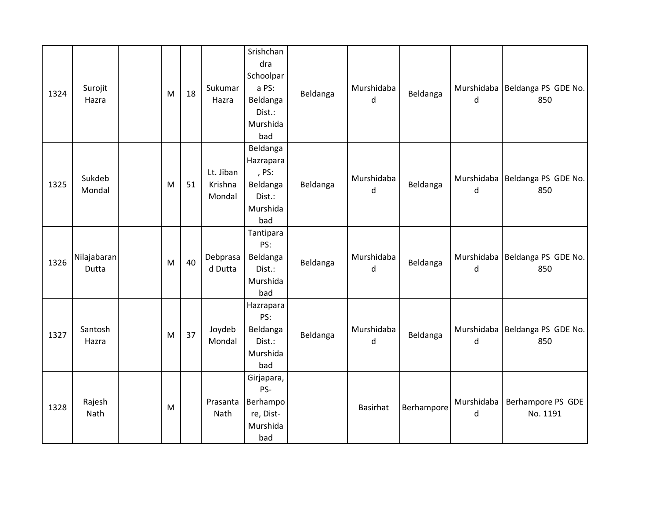| 1324 | Surojit<br>Hazra     | M | 18 | Sukumar<br>Hazra               | Srishchan<br>dra<br>Schoolpar<br>a PS:<br>Beldanga<br>Dist.:<br>Murshida<br>bad | Beldanga | Murshidaba<br>d | Beldanga   | d               | Murshidaba   Beldanga PS GDE No.<br>850 |
|------|----------------------|---|----|--------------------------------|---------------------------------------------------------------------------------|----------|-----------------|------------|-----------------|-----------------------------------------|
| 1325 | Sukdeb<br>Mondal     | M | 51 | Lt. Jiban<br>Krishna<br>Mondal | Beldanga<br>Hazrapara<br>, PS:<br>Beldanga<br>Dist.:<br>Murshida<br>bad         | Beldanga | Murshidaba<br>d | Beldanga   | d               | Murshidaba   Beldanga PS GDE No.<br>850 |
| 1326 | Nilajabaran<br>Dutta | M | 40 | Debprasa<br>d Dutta            | Tantipara<br>PS:<br>Beldanga<br>Dist.:<br>Murshida<br>bad                       | Beldanga | Murshidaba<br>d | Beldanga   | d               | Murshidaba   Beldanga PS GDE No.<br>850 |
| 1327 | Santosh<br>Hazra     | M | 37 | Joydeb<br>Mondal               | Hazrapara<br>PS:<br>Beldanga<br>Dist.:<br>Murshida<br>bad                       | Beldanga | Murshidaba<br>d | Beldanga   | d               | Murshidaba   Beldanga PS GDE No.<br>850 |
| 1328 | Rajesh<br>Nath       | M |    | Prasanta<br>Nath               | Girjapara,<br>PS-<br>Berhampo<br>re, Dist-<br>Murshida<br>bad                   |          | <b>Basirhat</b> | Berhampore | Murshidaba<br>d | Berhampore PS GDE<br>No. 1191           |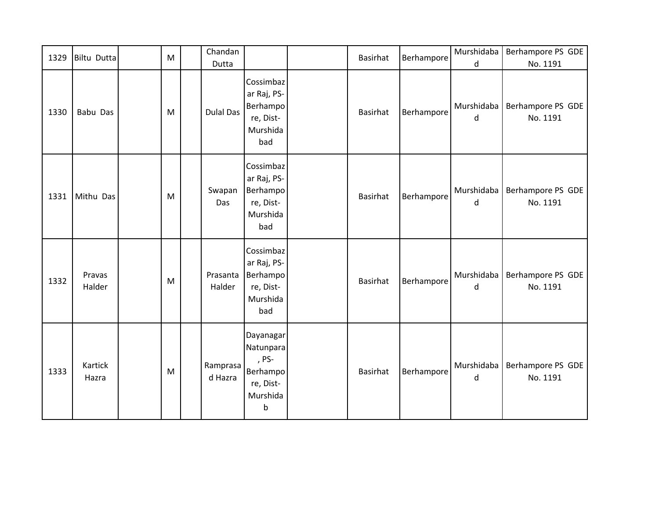| 1329 | <b>Biltu Dutta</b> | M | Chandan<br>Dutta    |                                                                           | <b>Basirhat</b> | Berhampore | Murshidaba<br>d       | Berhampore PS GDE<br>No. 1191 |
|------|--------------------|---|---------------------|---------------------------------------------------------------------------|-----------------|------------|-----------------------|-------------------------------|
| 1330 | Babu Das           | M | <b>Dulal Das</b>    | Cossimbaz<br>ar Raj, PS-<br>Berhampo<br>re, Dist-<br>Murshida<br>bad      | <b>Basirhat</b> | Berhampore | Murshidaba<br>d       | Berhampore PS GDE<br>No. 1191 |
| 1331 | Mithu Das          | M | Swapan<br>Das       | Cossimbaz<br>ar Raj, PS-<br>Berhampo<br>re, Dist-<br>Murshida<br>bad      | <b>Basirhat</b> | Berhampore | Murshidaba<br>$\sf d$ | Berhampore PS GDE<br>No. 1191 |
| 1332 | Pravas<br>Halder   | M | Prasanta<br>Halder  | Cossimbaz<br>ar Raj, PS-<br>Berhampo<br>re, Dist-<br>Murshida<br>bad      | <b>Basirhat</b> | Berhampore | Murshidaba<br>d       | Berhampore PS GDE<br>No. 1191 |
| 1333 | Kartick<br>Hazra   | M | Ramprasa<br>d Hazra | Dayanagar<br>Natunpara<br>, PS-<br>Berhampo<br>re, Dist-<br>Murshida<br>b | <b>Basirhat</b> | Berhampore | Murshidaba<br>d       | Berhampore PS GDE<br>No. 1191 |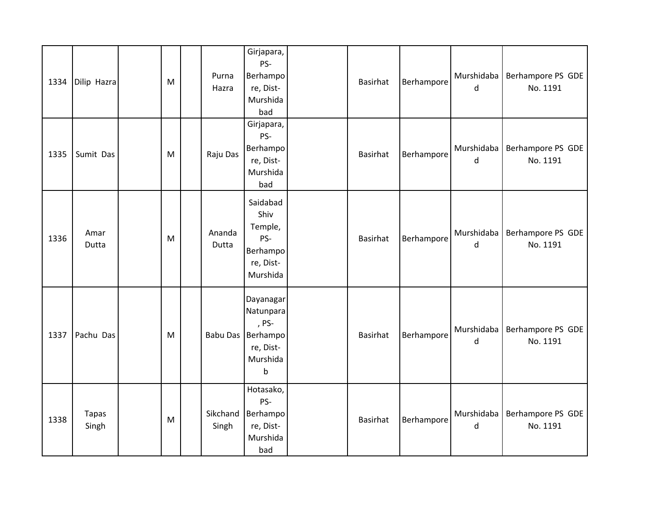| 1334 | Dilip Hazra           | M | Purna<br>Hazra    | Girjapara,<br>PS-<br>Berhampo<br>re, Dist-<br>Murshida<br>bad                   | <b>Basirhat</b> | Berhampore | Murshidaba<br>d | Berhampore PS GDE<br>No. 1191 |
|------|-----------------------|---|-------------------|---------------------------------------------------------------------------------|-----------------|------------|-----------------|-------------------------------|
| 1335 | Sumit Das             | M | Raju Das          | Girjapara,<br>PS-<br>Berhampo<br>re, Dist-<br>Murshida<br>bad                   | <b>Basirhat</b> | Berhampore | Murshidaba<br>d | Berhampore PS GDE<br>No. 1191 |
| 1336 | Amar<br>Dutta         | M | Ananda<br>Dutta   | Saidabad<br>Shiv<br>Temple,<br>PS-<br>Berhampo<br>re, Dist-<br>Murshida         | <b>Basirhat</b> | Berhampore | Murshidaba<br>d | Berhampore PS GDE<br>No. 1191 |
| 1337 | Pachu Das             | M | <b>Babu Das</b>   | Dayanagar<br>Natunpara<br>, PS-<br>Berhampo<br>re, Dist-<br>Murshida<br>$\sf b$ | <b>Basirhat</b> | Berhampore | Murshidaba<br>d | Berhampore PS GDE<br>No. 1191 |
| 1338 | <b>Tapas</b><br>Singh | M | Sikchand<br>Singh | Hotasako,<br>PS-<br>Berhampo<br>re, Dist-<br>Murshida<br>bad                    | <b>Basirhat</b> | Berhampore | Murshidaba<br>d | Berhampore PS GDE<br>No. 1191 |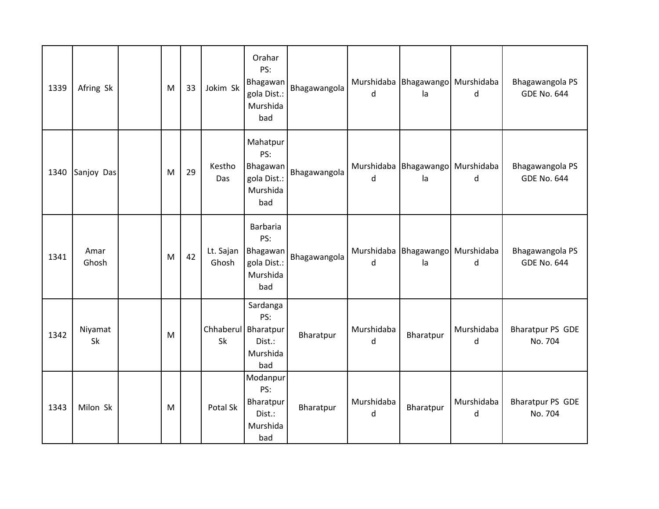| 1339 | Afring Sk     | M | 33 | Jokim Sk           | Orahar<br>PS:<br>Bhagawan<br>gola Dist.:<br>Murshida<br>bad         | Bhagawangola | d               | Murshidaba Bhagawango Murshidaba<br>la | d               | Bhagawangola PS<br><b>GDE No. 644</b> |
|------|---------------|---|----|--------------------|---------------------------------------------------------------------|--------------|-----------------|----------------------------------------|-----------------|---------------------------------------|
| 1340 | Sanjoy Das    | M | 29 | Kestho<br>Das      | Mahatpur<br>PS:<br>Bhagawan<br>gola Dist.:<br>Murshida<br>bad       | Bhagawangola | d               | Murshidaba Bhagawango Murshidaba<br>la | d               | Bhagawangola PS<br><b>GDE No. 644</b> |
| 1341 | Amar<br>Ghosh | M | 42 | Lt. Sajan<br>Ghosh | Barbaria<br>PS:<br>Bhagawan<br>gola Dist.:<br>Murshida<br>bad       | Bhagawangola | d               | Murshidaba Bhagawango Murshidaba<br>la | d               | Bhagawangola PS<br><b>GDE No. 644</b> |
| 1342 | Niyamat<br>Sk | M |    | Sk                 | Sardanga<br>PS:<br>Chhaberul Bharatpur<br>Dist.:<br>Murshida<br>bad | Bharatpur    | Murshidaba<br>d | Bharatpur                              | Murshidaba<br>d | <b>Bharatpur PS GDE</b><br>No. 704    |
| 1343 | Milon Sk      | M |    | Potal Sk           | Modanpur<br>PS:<br>Bharatpur<br>Dist.:<br>Murshida<br>bad           | Bharatpur    | Murshidaba<br>d | Bharatpur                              | Murshidaba<br>d | <b>Bharatpur PS GDE</b><br>No. 704    |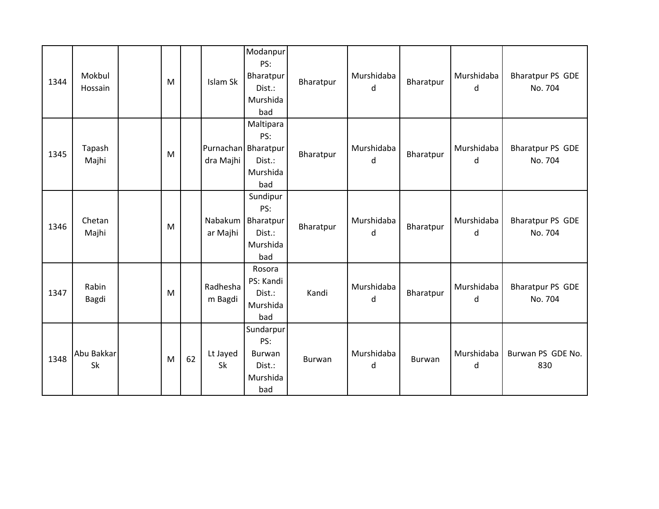| 1344 | Mokbul<br>Hossain | M |    | Islam Sk            | Modanpur<br>PS:<br>Bharatpur<br>Dist.:<br>Murshida<br>bad            | Bharatpur | Murshidaba<br>d | Bharatpur | Murshidaba<br>d | <b>Bharatpur PS GDE</b><br>No. 704 |
|------|-------------------|---|----|---------------------|----------------------------------------------------------------------|-----------|-----------------|-----------|-----------------|------------------------------------|
| 1345 | Tapash<br>Majhi   | M |    | dra Majhi           | Maltipara<br>PS:<br>Purnachan Bharatpur<br>Dist.:<br>Murshida<br>bad | Bharatpur | Murshidaba<br>d | Bharatpur | Murshidaba<br>d | <b>Bharatpur PS GDE</b><br>No. 704 |
| 1346 | Chetan<br>Majhi   | M |    | Nabakum<br>ar Majhi | Sundipur<br>PS:<br>Bharatpur<br>Dist.:<br>Murshida<br>bad            | Bharatpur | Murshidaba<br>d | Bharatpur | Murshidaba<br>d | <b>Bharatpur PS GDE</b><br>No. 704 |
| 1347 | Rabin<br>Bagdi    | M |    | Radhesha<br>m Bagdi | Rosora<br>PS: Kandi<br>Dist.:<br>Murshida<br>bad                     | Kandi     | Murshidaba<br>d | Bharatpur | Murshidaba<br>d | <b>Bharatpur PS GDE</b><br>No. 704 |
| 1348 | Abu Bakkar<br>Sk  | M | 62 | Lt Jayed<br>Sk      | Sundarpur<br>PS:<br>Burwan<br>Dist.:<br>Murshida<br>bad              | Burwan    | Murshidaba<br>d | Burwan    | Murshidaba<br>d | Burwan PS GDE No.<br>830           |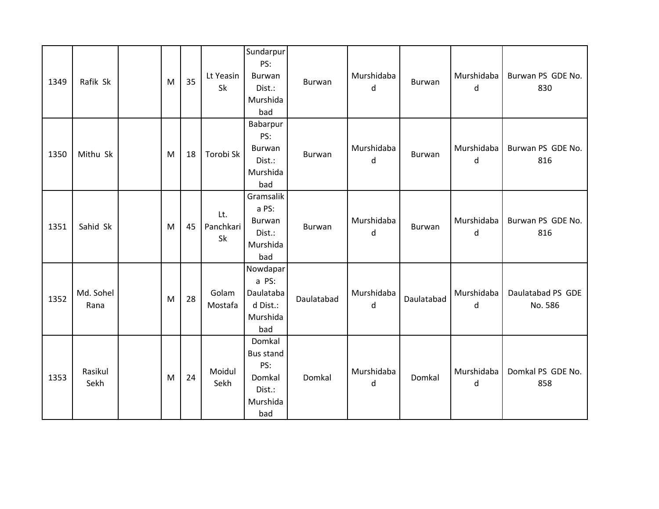| 1349 | Rafik Sk          | M | 35 | Lt Yeasin<br>Sk        | Sundarpur<br>PS:<br><b>Burwan</b><br>Dist.:<br>Murshida<br>bad           | Burwan        | Murshidaba<br>d | Burwan     | Murshidaba<br>d | Burwan PS GDE No.<br>830     |
|------|-------------------|---|----|------------------------|--------------------------------------------------------------------------|---------------|-----------------|------------|-----------------|------------------------------|
| 1350 | Mithu Sk          | M | 18 | Torobi Sk              | Babarpur<br>PS:<br><b>Burwan</b><br>Dist.:<br>Murshida<br>bad            | Burwan        | Murshidaba<br>d | Burwan     | Murshidaba<br>d | Burwan PS GDE No.<br>816     |
| 1351 | Sahid Sk          | M | 45 | Lt.<br>Panchkari<br>Sk | Gramsalik<br>a PS:<br>Burwan<br>Dist.:<br>Murshida<br>bad                | <b>Burwan</b> | Murshidaba<br>d | Burwan     | Murshidaba<br>d | Burwan PS GDE No.<br>816     |
| 1352 | Md. Sohel<br>Rana | M | 28 | Golam<br>Mostafa       | Nowdapar<br>a PS:<br>Daulataba<br>d Dist.:<br>Murshida<br>bad            | Daulatabad    | Murshidaba<br>d | Daulatabad | Murshidaba<br>d | Daulatabad PS GDE<br>No. 586 |
| 1353 | Rasikul<br>Sekh   | M | 24 | Moidul<br>Sekh         | Domkal<br><b>Bus stand</b><br>PS:<br>Domkal<br>Dist.:<br>Murshida<br>bad | Domkal        | Murshidaba<br>d | Domkal     | Murshidaba<br>d | Domkal PS GDE No.<br>858     |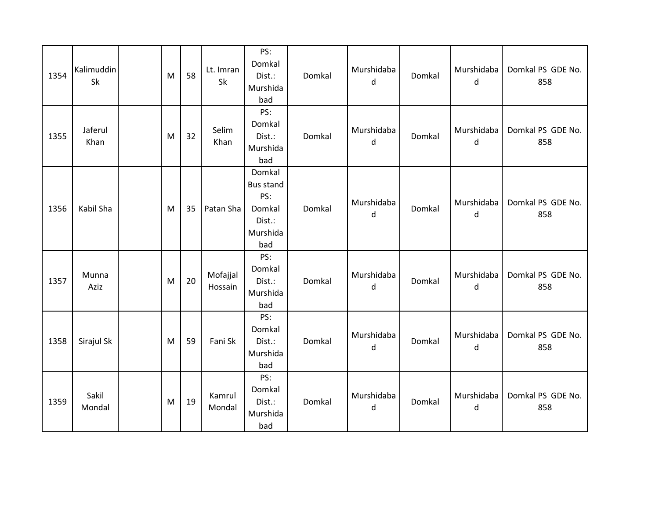| 1354 | Kalimuddin<br>Sk | M | 58 | Lt. Imran<br><b>Sk</b> | PS:<br>Domkal<br>Dist.:<br>Murshida<br>bad                               | Domkal | Murshidaba<br>d | Domkal | Murshidaba<br>d | Domkal PS GDE No.<br>858 |
|------|------------------|---|----|------------------------|--------------------------------------------------------------------------|--------|-----------------|--------|-----------------|--------------------------|
| 1355 | Jaferul<br>Khan  | M | 32 | Selim<br>Khan          | PS:<br>Domkal<br>Dist.:<br>Murshida<br>bad                               | Domkal | Murshidaba<br>d | Domkal | Murshidaba<br>d | Domkal PS GDE No.<br>858 |
| 1356 | Kabil Sha        | M | 35 | Patan Sha              | Domkal<br><b>Bus stand</b><br>PS:<br>Domkal<br>Dist.:<br>Murshida<br>bad | Domkal | Murshidaba<br>d | Domkal | Murshidaba<br>d | Domkal PS GDE No.<br>858 |
| 1357 | Munna<br>Aziz    | M | 20 | Mofajjal<br>Hossain    | PS:<br>Domkal<br>Dist.:<br>Murshida<br>bad                               | Domkal | Murshidaba<br>d | Domkal | Murshidaba<br>d | Domkal PS GDE No.<br>858 |
| 1358 | Sirajul Sk       | M | 59 | Fani Sk                | PS:<br>Domkal<br>Dist.:<br>Murshida<br>bad                               | Domkal | Murshidaba<br>d | Domkal | Murshidaba<br>d | Domkal PS GDE No.<br>858 |
| 1359 | Sakil<br>Mondal  | M | 19 | Kamrul<br>Mondal       | PS:<br>Domkal<br>Dist.:<br>Murshida<br>bad                               | Domkal | Murshidaba<br>d | Domkal | Murshidaba<br>d | Domkal PS GDE No.<br>858 |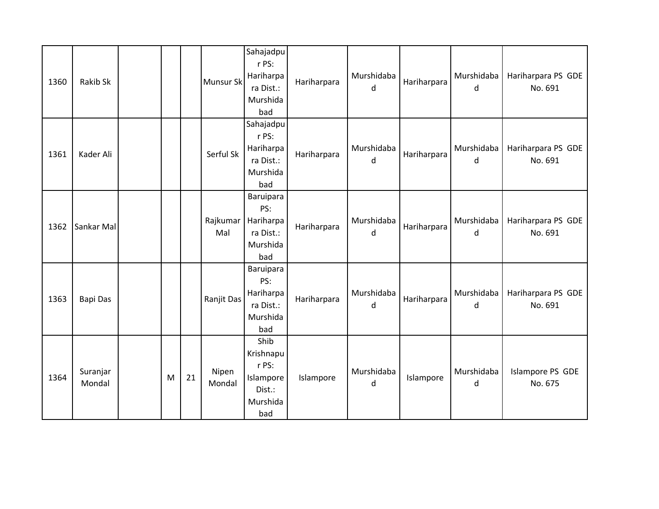| 1360 | Rakib Sk           |   |    | <b>Munsur Sk</b> | Sahajadpu<br>r PS:<br>Hariharpa<br>ra Dist.:<br>Murshida<br>bad      | Hariharpara | Murshidaba<br>d | Hariharpara | Murshidaba<br>d | Hariharpara PS GDE<br>No. 691 |
|------|--------------------|---|----|------------------|----------------------------------------------------------------------|-------------|-----------------|-------------|-----------------|-------------------------------|
| 1361 | Kader Ali          |   |    | Serful Sk        | Sahajadpu<br>r PS:<br>Hariharpa<br>ra Dist.:<br>Murshida<br>bad      | Hariharpara | Murshidaba<br>d | Hariharpara | Murshidaba<br>d | Hariharpara PS GDE<br>No. 691 |
| 1362 | Sankar Mal         |   |    | Rajkumar<br>Mal  | Baruipara<br>PS:<br>Hariharpa<br>ra Dist.:<br>Murshida<br>bad        | Hariharpara | Murshidaba<br>d | Hariharpara | Murshidaba<br>d | Hariharpara PS GDE<br>No. 691 |
| 1363 | Bapi Das           |   |    | Ranjit Das       | Baruipara<br>PS:<br>Hariharpa<br>ra Dist.:<br>Murshida<br>bad        | Hariharpara | Murshidaba<br>d | Hariharpara | Murshidaba<br>d | Hariharpara PS GDE<br>No. 691 |
| 1364 | Suranjar<br>Mondal | M | 21 | Nipen<br>Mondal  | Shib<br>Krishnapu<br>r PS:<br>Islampore<br>Dist.:<br>Murshida<br>bad | Islampore   | Murshidaba<br>d | Islampore   | Murshidaba<br>d | Islampore PS GDE<br>No. 675   |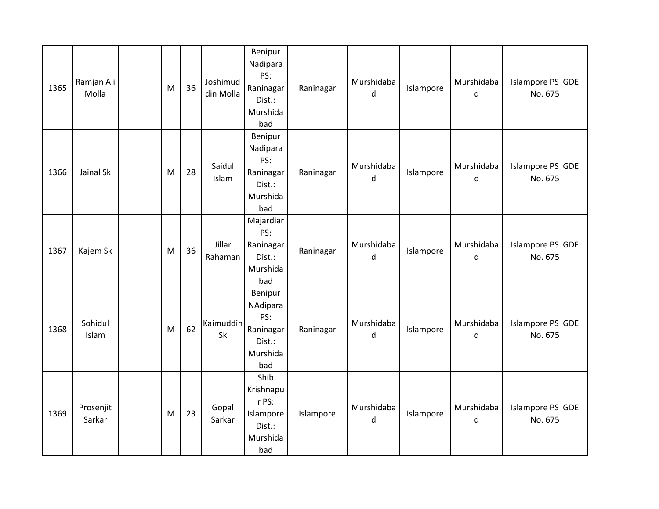| 1365 | Ramjan Ali<br>Molla | ${\sf M}$ | 36 | Joshimud<br>din Molla | Benipur<br>Nadipara<br>PS:<br>Raninagar<br>Dist.:<br>Murshida<br>bad | Raninagar | Murshidaba<br>d | Islampore | Murshidaba<br>d | Islampore PS GDE<br>No. 675 |
|------|---------------------|-----------|----|-----------------------|----------------------------------------------------------------------|-----------|-----------------|-----------|-----------------|-----------------------------|
| 1366 | Jainal Sk           | M         | 28 | Saidul<br>Islam       | Benipur<br>Nadipara<br>PS:<br>Raninagar<br>Dist.:<br>Murshida<br>bad | Raninagar | Murshidaba<br>d | Islampore | Murshidaba<br>d | Islampore PS GDE<br>No. 675 |
| 1367 | Kajem Sk            | M         | 36 | Jillar<br>Rahaman     | Majardiar<br>PS:<br>Raninagar<br>Dist.:<br>Murshida<br>bad           | Raninagar | Murshidaba<br>d | Islampore | Murshidaba<br>d | Islampore PS GDE<br>No. 675 |
| 1368 | Sohidul<br>Islam    | M         | 62 | Kaimuddin<br>Sk       | Benipur<br>NAdipara<br>PS:<br>Raninagar<br>Dist.:<br>Murshida<br>bad | Raninagar | Murshidaba<br>d | Islampore | Murshidaba<br>d | Islampore PS GDE<br>No. 675 |
| 1369 | Prosenjit<br>Sarkar | M         | 23 | Gopal<br>Sarkar       | Shib<br>Krishnapu<br>r PS:<br>Islampore<br>Dist.:<br>Murshida<br>bad | Islampore | Murshidaba<br>d | Islampore | Murshidaba<br>d | Islampore PS GDE<br>No. 675 |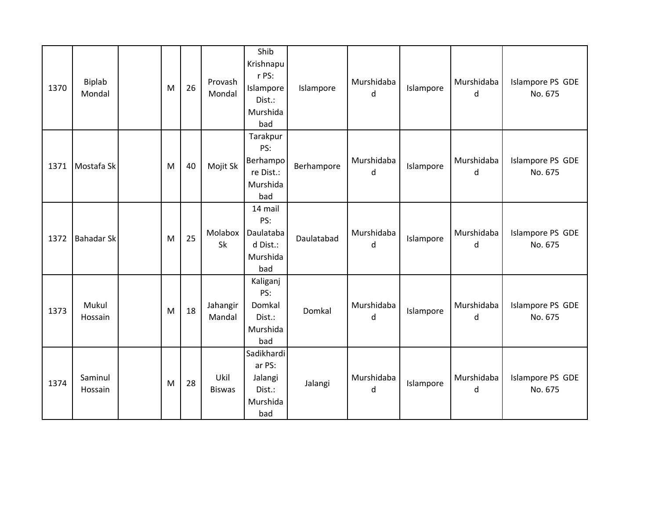| 1370 | <b>Biplab</b><br>Mondal | M | 26 | Provash<br>Mondal     | Shib<br>Krishnapu<br>r PS:<br>Islampore<br>Dist.:<br>Murshida<br>bad | Islampore  | Murshidaba<br>d | Islampore | Murshidaba<br>d | Islampore PS GDE<br>No. 675 |
|------|-------------------------|---|----|-----------------------|----------------------------------------------------------------------|------------|-----------------|-----------|-----------------|-----------------------------|
| 1371 | Mostafa Sk              | M | 40 | Mojit Sk              | Tarakpur<br>PS:<br>Berhampo<br>re Dist.:<br>Murshida<br>bad          | Berhampore | Murshidaba<br>d | Islampore | Murshidaba<br>d | Islampore PS GDE<br>No. 675 |
| 1372 | <b>Bahadar Sk</b>       | M | 25 | Molabox<br>Sk         | 14 mail<br>PS:<br>Daulataba<br>d Dist.:<br>Murshida<br>bad           | Daulatabad | Murshidaba<br>d | Islampore | Murshidaba<br>d | Islampore PS GDE<br>No. 675 |
| 1373 | Mukul<br>Hossain        | M | 18 | Jahangir<br>Mandal    | Kaliganj<br>PS:<br>Domkal<br>Dist.:<br>Murshida<br>bad               | Domkal     | Murshidaba<br>d | Islampore | Murshidaba<br>d | Islampore PS GDE<br>No. 675 |
| 1374 | Saminul<br>Hossain      | M | 28 | Ukil<br><b>Biswas</b> | Sadikhardi<br>ar PS:<br>Jalangi<br>Dist.:<br>Murshida<br>bad         | Jalangi    | Murshidaba<br>d | Islampore | Murshidaba<br>d | Islampore PS GDE<br>No. 675 |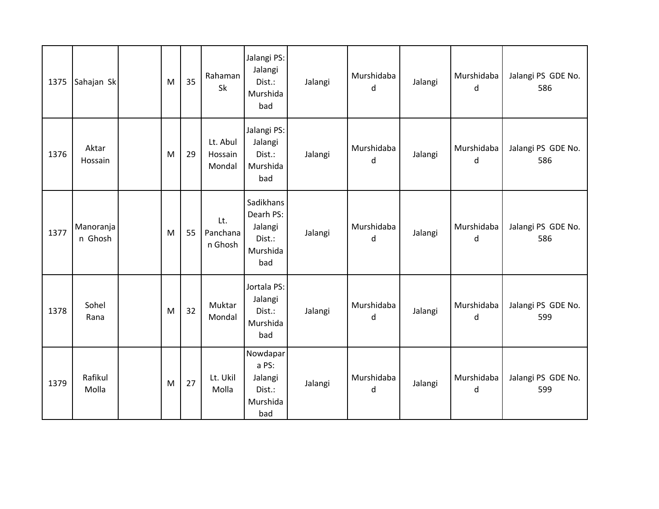| 1375 | Sahajan Sk           | M | 35 | Rahaman<br>Sk                 | Jalangi PS:<br>Jalangi<br>Dist.:<br>Murshida<br>bad            | Jalangi | Murshidaba<br>d | Jalangi | Murshidaba<br>d | Jalangi PS GDE No.<br>586 |
|------|----------------------|---|----|-------------------------------|----------------------------------------------------------------|---------|-----------------|---------|-----------------|---------------------------|
| 1376 | Aktar<br>Hossain     | M | 29 | Lt. Abul<br>Hossain<br>Mondal | Jalangi PS:<br>Jalangi<br>Dist.:<br>Murshida<br>bad            | Jalangi | Murshidaba<br>d | Jalangi | Murshidaba<br>d | Jalangi PS GDE No.<br>586 |
| 1377 | Manoranja<br>n Ghosh | M | 55 | Lt.<br>Panchana<br>n Ghosh    | Sadikhans<br>Dearh PS:<br>Jalangi<br>Dist.:<br>Murshida<br>bad | Jalangi | Murshidaba<br>d | Jalangi | Murshidaba<br>d | Jalangi PS GDE No.<br>586 |
| 1378 | Sohel<br>Rana        | M | 32 | Muktar<br>Mondal              | Jortala PS:<br>Jalangi<br>Dist.:<br>Murshida<br>bad            | Jalangi | Murshidaba<br>d | Jalangi | Murshidaba<br>d | Jalangi PS GDE No.<br>599 |
| 1379 | Rafikul<br>Molla     | M | 27 | Lt. Ukil<br>Molla             | Nowdapar<br>a PS:<br>Jalangi<br>Dist.:<br>Murshida<br>bad      | Jalangi | Murshidaba<br>d | Jalangi | Murshidaba<br>d | Jalangi PS GDE No.<br>599 |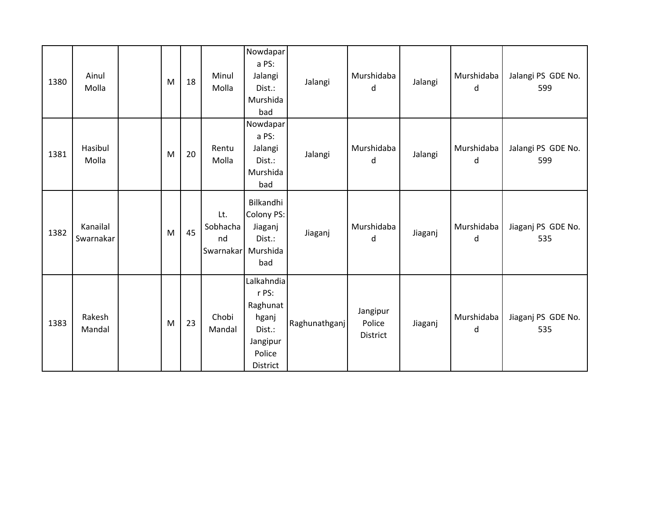| 1380 | Ainul<br>Molla        | M | 18 | Minul<br>Molla                              | Nowdapar<br>a PS:<br>Jalangi<br>Dist.:<br>Murshida<br>bad                            | Jalangi       | Murshidaba<br>d                | Jalangi | Murshidaba<br>d | Jalangi PS GDE No.<br>599 |
|------|-----------------------|---|----|---------------------------------------------|--------------------------------------------------------------------------------------|---------------|--------------------------------|---------|-----------------|---------------------------|
| 1381 | Hasibul<br>Molla      | M | 20 | Rentu<br>Molla                              | Nowdapar<br>a PS:<br>Jalangi<br>Dist.:<br>Murshida<br>bad                            | Jalangi       | Murshidaba<br>d                | Jalangi | Murshidaba<br>d | Jalangi PS GDE No.<br>599 |
| 1382 | Kanailal<br>Swarnakar | M | 45 | Lt.<br>Sobhacha<br>nd<br>Swarnakar Murshida | Bilkandhi<br>Colony PS:<br>Jiaganj<br>Dist.:<br>bad                                  | Jiaganj       | Murshidaba<br>d                | Jiaganj | Murshidaba<br>d | Jiaganj PS GDE No.<br>535 |
| 1383 | Rakesh<br>Mandal      | M | 23 | Chobi<br>Mandal                             | Lalkahndia<br>r PS:<br>Raghunat<br>hganj<br>Dist.:<br>Jangipur<br>Police<br>District | Raghunathganj | Jangipur<br>Police<br>District | Jiaganj | Murshidaba<br>d | Jiaganj PS GDE No.<br>535 |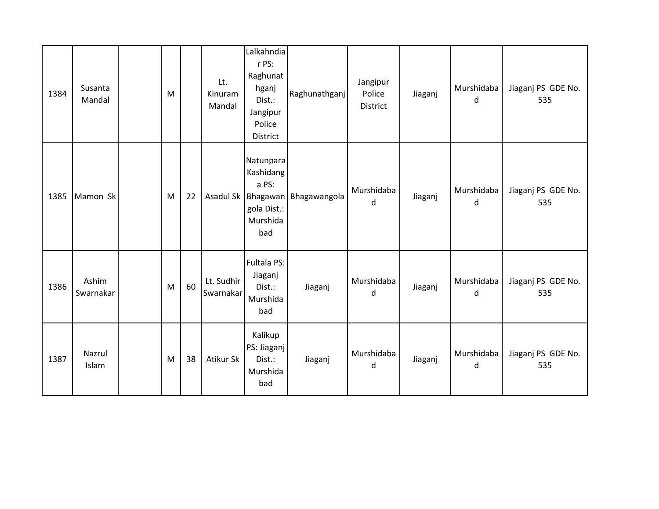| 1384 | Susanta<br>Mandal  | M |    | Lt.<br>Kinuram<br>Mandal | Lalkahndia<br>r PS:<br>Raghunat<br>hganj<br>Dist.:<br>Jangipur<br>Police<br>District | Raghunathganj                       | Jangipur<br>Police<br>District | Jiaganj | Murshidaba<br>d | Jiaganj PS GDE No.<br>535 |
|------|--------------------|---|----|--------------------------|--------------------------------------------------------------------------------------|-------------------------------------|--------------------------------|---------|-----------------|---------------------------|
| 1385 | Mamon Sk           | M | 22 |                          | Natunpara<br>Kashidang<br>a PS:<br>gola Dist.:<br>Murshida<br>bad                    | Asadul Sk   Bhagawan   Bhagawangola | Murshidaba<br>d                | Jiaganj | Murshidaba<br>d | Jiaganj PS GDE No.<br>535 |
| 1386 | Ashim<br>Swarnakar | M | 60 | Lt. Sudhir<br>Swarnakar  | Fultala PS:<br>Jiaganj<br>Dist.:<br>Murshida<br>bad                                  | Jiaganj                             | Murshidaba<br>d                | Jiaganj | Murshidaba<br>d | Jiaganj PS GDE No.<br>535 |
| 1387 | Nazrul<br>Islam    | M | 38 | Atikur Sk                | Kalikup<br>PS: Jiaganj<br>Dist.:<br>Murshida<br>bad                                  | Jiaganj                             | Murshidaba<br>d                | Jiaganj | Murshidaba<br>d | Jiaganj PS GDE No.<br>535 |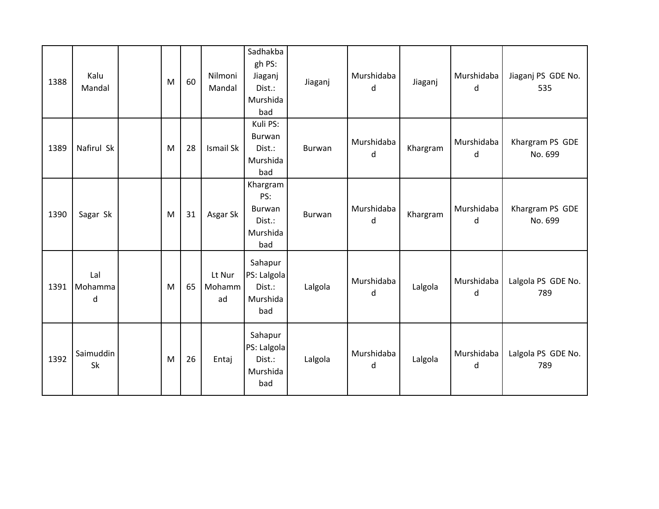| 1388 | Kalu<br>Mandal      | M | 60 | Nilmoni<br>Mandal      | Sadhakba<br>gh PS:<br>Jiaganj<br>Dist.:<br>Murshida<br>bad | Jiaganj | Murshidaba<br>d | Jiaganj  | Murshidaba<br>d | Jiaganj PS GDE No.<br>535  |
|------|---------------------|---|----|------------------------|------------------------------------------------------------|---------|-----------------|----------|-----------------|----------------------------|
| 1389 | Nafirul Sk          | M | 28 | Ismail Sk              | Kuli PS:<br>Burwan<br>Dist.:<br>Murshida<br>bad            | Burwan  | Murshidaba<br>d | Khargram | Murshidaba<br>d | Khargram PS GDE<br>No. 699 |
| 1390 | Sagar Sk            | M | 31 | Asgar Sk               | Khargram<br>PS:<br>Burwan<br>Dist.:<br>Murshida<br>bad     | Burwan  | Murshidaba<br>d | Khargram | Murshidaba<br>d | Khargram PS GDE<br>No. 699 |
| 1391 | Lal<br>Mohamma<br>d | M | 65 | Lt Nur<br>Mohamm<br>ad | Sahapur<br>PS: Lalgola<br>Dist.:<br>Murshida<br>bad        | Lalgola | Murshidaba<br>d | Lalgola  | Murshidaba<br>d | Lalgola PS GDE No.<br>789  |
| 1392 | Saimuddin<br>Sk     | M | 26 | Entaj                  | Sahapur<br>PS: Lalgola<br>Dist.:<br>Murshida<br>bad        | Lalgola | Murshidaba<br>d | Lalgola  | Murshidaba<br>d | Lalgola PS GDE No.<br>789  |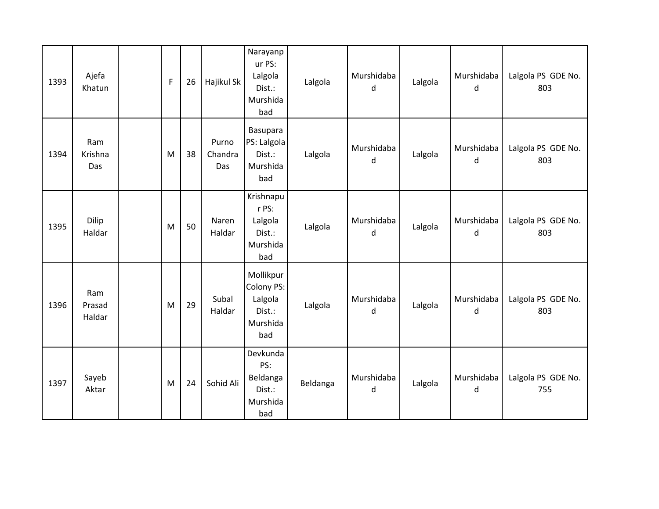| 1393 | Ajefa<br>Khatun         | $\mathsf{F}$ | 26 | Hajikul Sk              | Narayanp<br>ur PS:<br>Lalgola<br>Dist.:<br>Murshida<br>bad      | Lalgola  | Murshidaba<br>d | Lalgola | Murshidaba<br>d | Lalgola PS GDE No.<br>803 |
|------|-------------------------|--------------|----|-------------------------|-----------------------------------------------------------------|----------|-----------------|---------|-----------------|---------------------------|
| 1394 | Ram<br>Krishna<br>Das   | M            | 38 | Purno<br>Chandra<br>Das | Basupara<br>PS: Lalgola<br>Dist.:<br>Murshida<br>bad            | Lalgola  | Murshidaba<br>d | Lalgola | Murshidaba<br>d | Lalgola PS GDE No.<br>803 |
| 1395 | Dilip<br>Haldar         | M            | 50 | Naren<br>Haldar         | Krishnapu<br>r PS:<br>Lalgola<br>Dist.:<br>Murshida<br>bad      | Lalgola  | Murshidaba<br>d | Lalgola | Murshidaba<br>d | Lalgola PS GDE No.<br>803 |
| 1396 | Ram<br>Prasad<br>Haldar | M            | 29 | Subal<br>Haldar         | Mollikpur<br>Colony PS:<br>Lalgola<br>Dist.:<br>Murshida<br>bad | Lalgola  | Murshidaba<br>d | Lalgola | Murshidaba<br>d | Lalgola PS GDE No.<br>803 |
| 1397 | Sayeb<br>Aktar          | M            | 24 | Sohid Ali               | Devkunda<br>PS:<br>Beldanga<br>Dist.:<br>Murshida<br>bad        | Beldanga | Murshidaba<br>d | Lalgola | Murshidaba<br>d | Lalgola PS GDE No.<br>755 |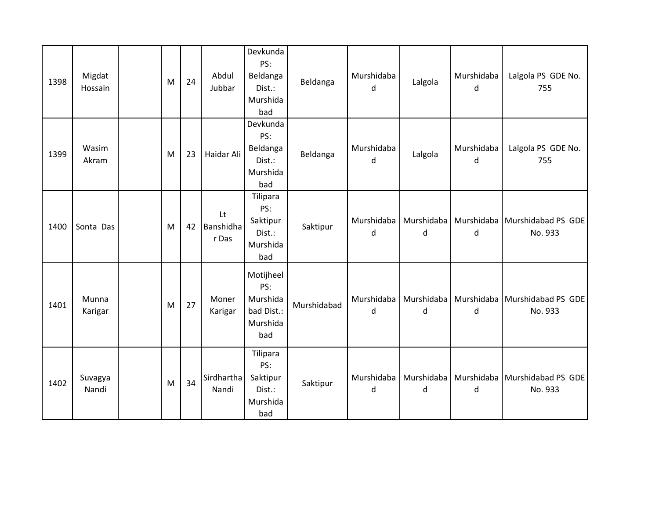| 1398 | Migdat<br>Hossain | M | 24 | Abdul<br>Jubbar          | Devkunda<br>PS:<br>Beldanga<br>Dist.:<br>Murshida<br>bad      | Beldanga    | Murshidaba<br>d | Lalgola         | Murshidaba<br>d | Lalgola PS GDE No.<br>755                  |
|------|-------------------|---|----|--------------------------|---------------------------------------------------------------|-------------|-----------------|-----------------|-----------------|--------------------------------------------|
| 1399 | Wasim<br>Akram    | M | 23 | Haidar Ali               | Devkunda<br>PS:<br>Beldanga<br>Dist.:<br>Murshida<br>bad      | Beldanga    | Murshidaba<br>d | Lalgola         | Murshidaba<br>d | Lalgola PS GDE No.<br>755                  |
| 1400 | Sonta Das         | M | 42 | Lt<br>Banshidha<br>r Das | Tilipara<br>PS:<br>Saktipur<br>Dist.:<br>Murshida<br>bad      | Saktipur    | Murshidaba<br>d | Murshidaba<br>d | d               | Murshidaba   Murshidabad PS GDE<br>No. 933 |
| 1401 | Munna<br>Karigar  | M | 27 | Moner<br>Karigar         | Motijheel<br>PS:<br>Murshida<br>bad Dist.:<br>Murshida<br>bad | Murshidabad | Murshidaba<br>d | Murshidaba<br>d | d               | Murshidaba   Murshidabad PS GDE<br>No. 933 |
| 1402 | Suvagya<br>Nandi  | M | 34 | Sirdhartha<br>Nandi      | Tilipara<br>PS:<br>Saktipur<br>Dist.:<br>Murshida<br>bad      | Saktipur    | Murshidaba<br>d | Murshidaba<br>d | d               | Murshidaba   Murshidabad PS GDE<br>No. 933 |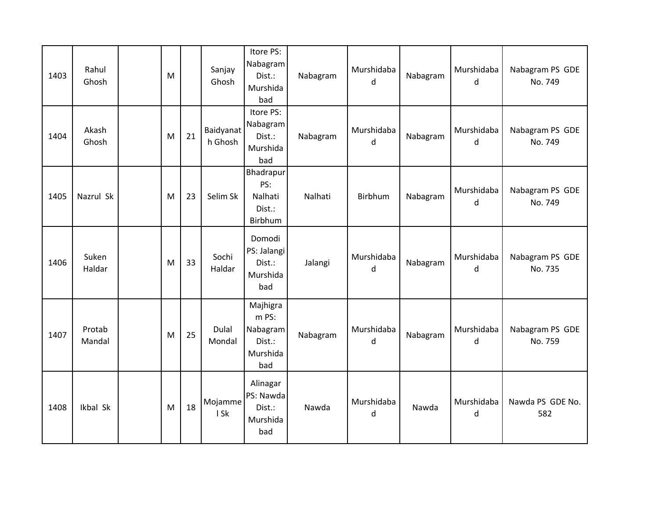| 1403 | Rahul<br>Ghosh   | M |    | Sanjay<br>Ghosh             | Itore PS:<br>Nabagram<br>Dist.:<br>Murshida<br>bad         | Nabagram | Murshidaba<br>d | Nabagram | Murshidaba<br>d | Nabagram PS GDE<br>No. 749 |
|------|------------------|---|----|-----------------------------|------------------------------------------------------------|----------|-----------------|----------|-----------------|----------------------------|
| 1404 | Akash<br>Ghosh   | M | 21 | <b>Baidyanat</b><br>h Ghosh | Itore PS:<br>Nabagram<br>Dist.:<br>Murshida<br>bad         | Nabagram | Murshidaba<br>d | Nabagram | Murshidaba<br>d | Nabagram PS GDE<br>No. 749 |
| 1405 | Nazrul Sk        | M | 23 | Selim Sk                    | Bhadrapur<br>PS:<br>Nalhati<br>Dist.:<br>Birbhum           | Nalhati  | Birbhum         | Nabagram | Murshidaba<br>d | Nabagram PS GDE<br>No. 749 |
| 1406 | Suken<br>Haldar  | M | 33 | Sochi<br>Haldar             | Domodi<br>PS: Jalangi<br>Dist.:<br>Murshida<br>bad         | Jalangi  | Murshidaba<br>d | Nabagram | Murshidaba<br>d | Nabagram PS GDE<br>No. 735 |
| 1407 | Protab<br>Mandal | M | 25 | Dulal<br>Mondal             | Majhigra<br>m PS:<br>Nabagram<br>Dist.:<br>Murshida<br>bad | Nabagram | Murshidaba<br>d | Nabagram | Murshidaba<br>d | Nabagram PS GDE<br>No. 759 |
| 1408 | Ikbal Sk         | M | 18 | Mojamme<br>I Sk             | Alinagar<br>PS: Nawda<br>Dist.:<br>Murshida<br>bad         | Nawda    | Murshidaba<br>d | Nawda    | Murshidaba<br>d | Nawda PS GDE No.<br>582    |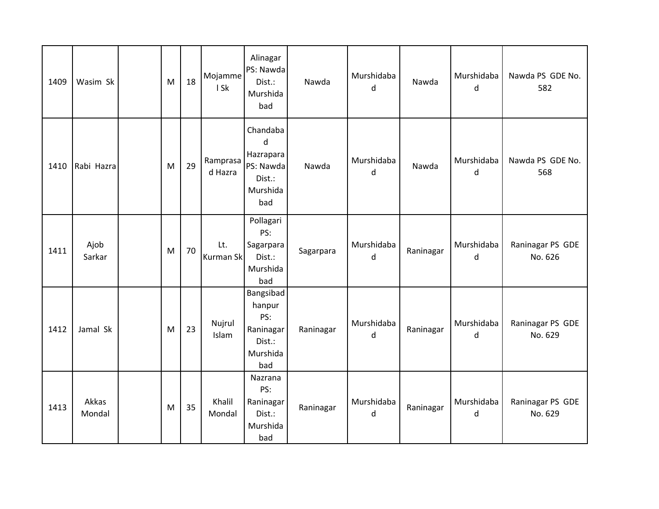| 1409 | Wasim Sk        | M | 18 | Mojamme<br>I Sk     | Alinagar<br>PS: Nawda<br>Dist.:<br>Murshida<br>bad                   | Nawda     | Murshidaba<br>d | Nawda     | Murshidaba<br>d | Nawda PS GDE No.<br>582     |
|------|-----------------|---|----|---------------------|----------------------------------------------------------------------|-----------|-----------------|-----------|-----------------|-----------------------------|
| 1410 | Rabi Hazra      | M | 29 | Ramprasa<br>d Hazra | Chandaba<br>d<br>Hazrapara<br>PS: Nawda<br>Dist.:<br>Murshida<br>bad | Nawda     | Murshidaba<br>d | Nawda     | Murshidaba<br>d | Nawda PS GDE No.<br>568     |
| 1411 | Ajob<br>Sarkar  | M | 70 | Lt.<br>Kurman Sk    | Pollagari<br>PS:<br>Sagarpara<br>Dist.:<br>Murshida<br>bad           | Sagarpara | Murshidaba<br>d | Raninagar | Murshidaba<br>d | Raninagar PS GDE<br>No. 626 |
| 1412 | Jamal Sk        | M | 23 | Nujrul<br>Islam     | Bangsibad<br>hanpur<br>PS:<br>Raninagar<br>Dist.:<br>Murshida<br>bad | Raninagar | Murshidaba<br>d | Raninagar | Murshidaba<br>d | Raninagar PS GDE<br>No. 629 |
| 1413 | Akkas<br>Mondal | M | 35 | Khalil<br>Mondal    | Nazrana<br>PS:<br>Raninagar<br>Dist.:<br>Murshida<br>bad             | Raninagar | Murshidaba<br>d | Raninagar | Murshidaba<br>d | Raninagar PS GDE<br>No. 629 |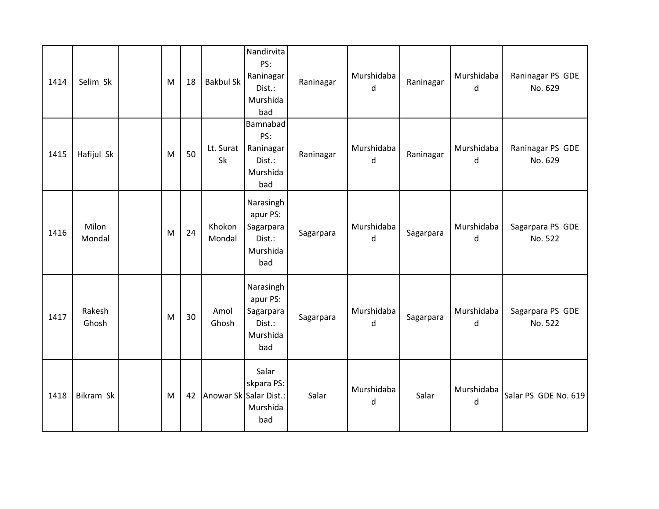| 1414 | Selim Sk        | M | 18 | <b>Bakbul Sk</b> | Nandirvita<br>PS:<br>Raninagar<br>Dist.:<br>Murshida<br>bad      | Raninagar | Murshidaba<br>d | Raninagar | Murshidaba<br>d | Raninagar PS GDE<br>No. 629 |
|------|-----------------|---|----|------------------|------------------------------------------------------------------|-----------|-----------------|-----------|-----------------|-----------------------------|
| 1415 | Hafijul Sk      | M | 50 | Lt. Surat<br>Sk  | Bamnabad<br>PS:<br>Raninagar<br>Dist.:<br>Murshida<br>bad        | Raninagar | Murshidaba<br>d | Raninagar | Murshidaba<br>d | Raninagar PS GDE<br>No. 629 |
| 1416 | Milon<br>Mondal | M | 24 | Khokon<br>Mondal | Narasingh<br>apur PS:<br>Sagarpara<br>Dist.:<br>Murshida<br>bad  | Sagarpara | Murshidaba<br>d | Sagarpara | Murshidaba<br>d | Sagarpara PS GDE<br>No. 522 |
| 1417 | Rakesh<br>Ghosh | M | 30 | Amol<br>Ghosh    | Narasingh<br>apur PS:<br>Sagarpara<br>Dist.:<br>Murshida<br>bad  | Sagarpara | Murshidaba<br>d | Sagarpara | Murshidaba<br>d | Sagarpara PS GDE<br>No. 522 |
| 1418 | Bikram Sk       | M | 42 |                  | Salar<br>skpara PS:<br>Anowar Sk Salar Dist.:<br>Murshida<br>bad | Salar     | Murshidaba<br>d | Salar     | Murshidaba<br>d | Salar PS GDE No. 619        |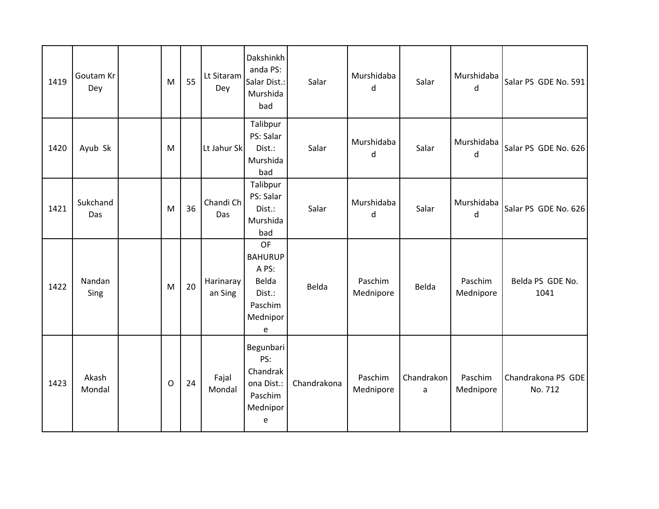| 1419 | Goutam Kr<br>Dey | M       | 55 | Lt Sitaram<br>Dey    | Dakshinkh<br>anda PS:<br>Salar Dist.:<br>Murshida<br>bad                     | Salar       | Murshidaba<br>d      | Salar           | Murshidaba<br>d      | Salar PS GDE No. 591          |
|------|------------------|---------|----|----------------------|------------------------------------------------------------------------------|-------------|----------------------|-----------------|----------------------|-------------------------------|
| 1420 | Ayub Sk          | M       |    | Lt Jahur Sk          | Talibpur<br>PS: Salar<br>Dist.:<br>Murshida<br>bad                           | Salar       | Murshidaba<br>d      | Salar           | Murshidaba<br>d      | Salar PS GDE No. 626          |
| 1421 | Sukchand<br>Das  | M       | 36 | Chandi Ch<br>Das     | Talibpur<br>PS: Salar<br>Dist.:<br>Murshida<br>bad                           | Salar       | Murshidaba<br>d      | Salar           | Murshidaba<br>d      | Salar PS GDE No. 626          |
| 1422 | Nandan<br>Sing   | M       | 20 | Harinaray<br>an Sing | OF<br><b>BAHURUP</b><br>A PS:<br>Belda<br>Dist.:<br>Paschim<br>Mednipor<br>e | Belda       | Paschim<br>Mednipore | Belda           | Paschim<br>Mednipore | Belda PS GDE No.<br>1041      |
| 1423 | Akash<br>Mondal  | $\circ$ | 24 | Fajal<br>Mondal      | Begunbari<br>PS:<br>Chandrak<br>ona Dist.:<br>Paschim<br>Mednipor<br>e       | Chandrakona | Paschim<br>Mednipore | Chandrakon<br>a | Paschim<br>Mednipore | Chandrakona PS GDE<br>No. 712 |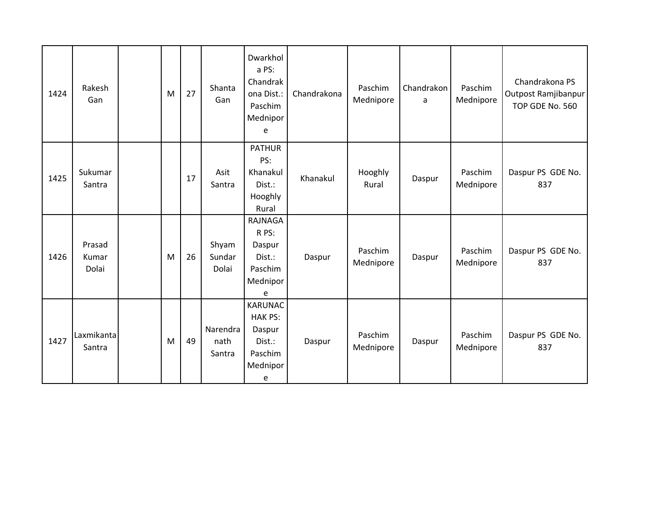| 1424 | Rakesh<br>Gan            | M | 27 | Shanta<br>Gan              | Dwarkhol<br>a PS:<br>Chandrak<br>ona Dist.:<br>Paschim<br>Mednipor<br>e          | Chandrakona | Paschim<br>Mednipore | Chandrakon<br>a | Paschim<br>Mednipore | Chandrakona PS<br>Outpost Ramjibanpur<br>TOP GDE No. 560 |
|------|--------------------------|---|----|----------------------------|----------------------------------------------------------------------------------|-------------|----------------------|-----------------|----------------------|----------------------------------------------------------|
| 1425 | Sukumar<br>Santra        |   | 17 | Asit<br>Santra             | <b>PATHUR</b><br>PS:<br>Khanakul<br>Dist.:<br>Hooghly<br>Rural                   | Khanakul    | Hooghly<br>Rural     | Daspur          | Paschim<br>Mednipore | Daspur PS GDE No.<br>837                                 |
| 1426 | Prasad<br>Kumar<br>Dolai | M | 26 | Shyam<br>Sundar<br>Dolai   | RAJNAGA<br>R PS:<br>Daspur<br>Dist.:<br>Paschim<br>Mednipor<br>e                 | Daspur      | Paschim<br>Mednipore | Daspur          | Paschim<br>Mednipore | Daspur PS GDE No.<br>837                                 |
| 1427 | Laxmikanta<br>Santra     | M | 49 | Narendra<br>nath<br>Santra | <b>KARUNAC</b><br><b>HAK PS:</b><br>Daspur<br>Dist.:<br>Paschim<br>Mednipor<br>e | Daspur      | Paschim<br>Mednipore | Daspur          | Paschim<br>Mednipore | Daspur PS GDE No.<br>837                                 |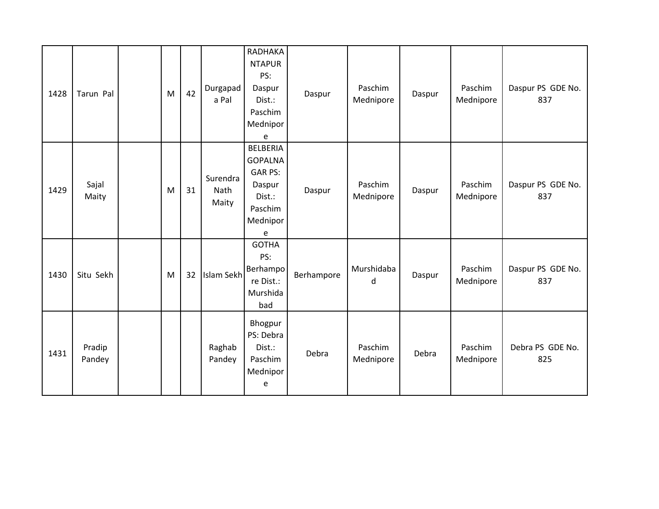| 1428 | Tarun Pal        | M | 42 | Durgapad<br>a Pal                | RADHAKA<br><b>NTAPUR</b><br>PS:<br>Daspur<br>Dist.:<br>Paschim<br>Mednipor<br>e                     | Daspur     | Paschim<br>Mednipore | Daspur | Paschim<br>Mednipore | Daspur PS GDE No.<br>837 |
|------|------------------|---|----|----------------------------------|-----------------------------------------------------------------------------------------------------|------------|----------------------|--------|----------------------|--------------------------|
| 1429 | Sajal<br>Maity   | M | 31 | Surendra<br><b>Nath</b><br>Maity | <b>BELBERIA</b><br><b>GOPALNA</b><br><b>GAR PS:</b><br>Daspur<br>Dist.:<br>Paschim<br>Mednipor<br>e | Daspur     | Paschim<br>Mednipore | Daspur | Paschim<br>Mednipore | Daspur PS GDE No.<br>837 |
| 1430 | Situ Sekh        | M | 32 | Islam Sekh                       | <b>GOTHA</b><br>PS:<br>Berhampo<br>re Dist.:<br>Murshida<br>bad                                     | Berhampore | Murshidaba<br>d      | Daspur | Paschim<br>Mednipore | Daspur PS GDE No.<br>837 |
| 1431 | Pradip<br>Pandey |   |    | Raghab<br>Pandey                 | Bhogpur<br>PS: Debra<br>Dist.:<br>Paschim<br>Mednipor<br>e                                          | Debra      | Paschim<br>Mednipore | Debra  | Paschim<br>Mednipore | Debra PS GDE No.<br>825  |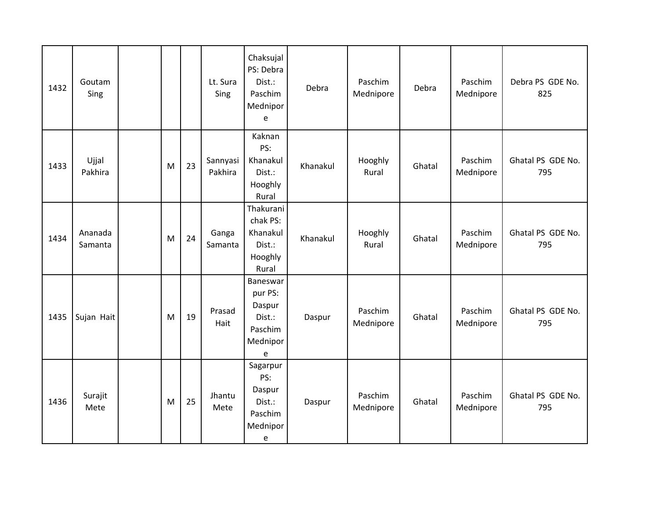| 1432 | Goutam<br>Sing     |   |    | Lt. Sura<br>Sing    | Chaksujal<br>PS: Debra<br>Dist.:<br>Paschim<br>Mednipor<br>e                                        | Debra    | Paschim<br>Mednipore | Debra  | Paschim<br>Mednipore | Debra PS GDE No.<br>825  |
|------|--------------------|---|----|---------------------|-----------------------------------------------------------------------------------------------------|----------|----------------------|--------|----------------------|--------------------------|
| 1433 | Ujjal<br>Pakhira   | M | 23 | Sannyasi<br>Pakhira | Kaknan<br>PS:<br>Khanakul<br>Dist.:<br>Hooghly<br>Rural                                             | Khanakul | Hooghly<br>Rural     | Ghatal | Paschim<br>Mednipore | Ghatal PS GDE No.<br>795 |
| 1434 | Ananada<br>Samanta | M | 24 | Ganga<br>Samanta    | Thakurani<br>chak PS:<br>Khanakul<br>Dist.:<br>Hooghly<br>Rural                                     | Khanakul | Hooghly<br>Rural     | Ghatal | Paschim<br>Mednipore | Ghatal PS GDE No.<br>795 |
| 1435 | Sujan Hait         | M | 19 | Prasad<br>Hait      | Baneswar<br>pur PS:<br>Daspur<br>Dist.:<br>Paschim<br>Mednipor<br>$\mathsf{e}% _{t}\left( t\right)$ | Daspur   | Paschim<br>Mednipore | Ghatal | Paschim<br>Mednipore | Ghatal PS GDE No.<br>795 |
| 1436 | Surajit<br>Mete    | M | 25 | Jhantu<br>Mete      | Sagarpur<br>PS:<br>Daspur<br>Dist.:<br>Paschim<br>Mednipor<br>$\mathsf{e}% _{t}\left( t\right)$     | Daspur   | Paschim<br>Mednipore | Ghatal | Paschim<br>Mednipore | Ghatal PS GDE No.<br>795 |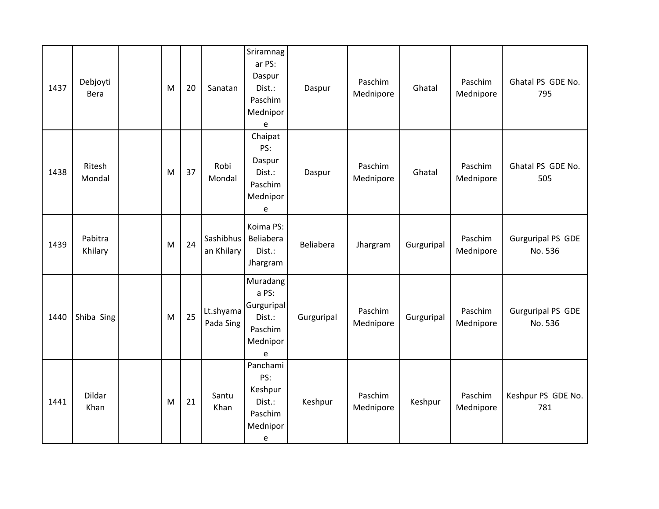| 1437 | Debjoyti<br><b>Bera</b> | M | 20 | Sanatan                 | Sriramnag<br>ar PS:<br>Daspur<br>Dist.:<br>Paschim<br>Mednipor<br>e   | Daspur     | Paschim<br>Mednipore | Ghatal     | Paschim<br>Mednipore | Ghatal PS GDE No.<br>795            |
|------|-------------------------|---|----|-------------------------|-----------------------------------------------------------------------|------------|----------------------|------------|----------------------|-------------------------------------|
| 1438 | Ritesh<br>Mondal        | M | 37 | Robi<br>Mondal          | Chaipat<br>PS:<br>Daspur<br>Dist.:<br>Paschim<br>Mednipor<br>e        | Daspur     | Paschim<br>Mednipore | Ghatal     | Paschim<br>Mednipore | Ghatal PS GDE No.<br>505            |
| 1439 | Pabitra<br>Khilary      | M | 24 | Sashibhus<br>an Khilary | Koima PS:<br>Beliabera<br>Dist.:<br>Jhargram                          | Beliabera  | Jhargram             | Gurguripal | Paschim<br>Mednipore | <b>Gurguripal PS GDE</b><br>No. 536 |
| 1440 | Shiba Sing              | M | 25 | Lt.shyama<br>Pada Sing  | Muradang<br>a PS:<br>Gurguripal<br>Dist.:<br>Paschim<br>Mednipor<br>e | Gurguripal | Paschim<br>Mednipore | Gurguripal | Paschim<br>Mednipore | <b>Gurguripal PS GDE</b><br>No. 536 |
| 1441 | Dildar<br>Khan          | M | 21 | Santu<br>Khan           | Panchami<br>PS:<br>Keshpur<br>Dist.:<br>Paschim<br>Mednipor<br>e      | Keshpur    | Paschim<br>Mednipore | Keshpur    | Paschim<br>Mednipore | Keshpur PS GDE No.<br>781           |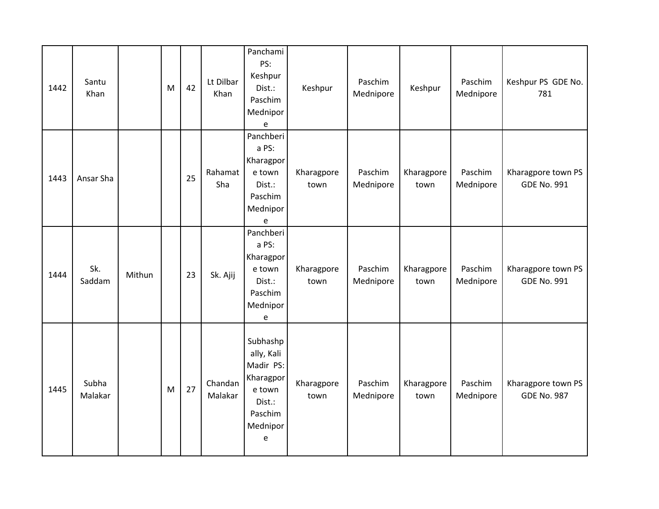| 1442 | Santu<br>Khan    |        | M         | 42 | Lt Dilbar<br>Khan  | Panchami<br>PS:<br>Keshpur<br>Dist.:<br>Paschim<br>Mednipor<br>e                                                | Keshpur            | Paschim<br>Mednipore | Keshpur            | Paschim<br>Mednipore | Keshpur PS GDE No.<br>781                |
|------|------------------|--------|-----------|----|--------------------|-----------------------------------------------------------------------------------------------------------------|--------------------|----------------------|--------------------|----------------------|------------------------------------------|
| 1443 | Ansar Sha        |        |           | 25 | Rahamat<br>Sha     | Panchberi<br>a PS:<br>Kharagpor<br>e town<br>Dist.:<br>Paschim<br>Mednipor<br>$\mathsf{e}% _{t}\left( t\right)$ | Kharagpore<br>town | Paschim<br>Mednipore | Kharagpore<br>town | Paschim<br>Mednipore | Kharagpore town PS<br><b>GDE No. 991</b> |
| 1444 | Sk.<br>Saddam    | Mithun |           | 23 | Sk. Ajij           | Panchberi<br>a PS:<br>Kharagpor<br>e town<br>Dist.:<br>Paschim<br>Mednipor<br>e                                 | Kharagpore<br>town | Paschim<br>Mednipore | Kharagpore<br>town | Paschim<br>Mednipore | Kharagpore town PS<br><b>GDE No. 991</b> |
| 1445 | Subha<br>Malakar |        | ${\sf M}$ | 27 | Chandan<br>Malakar | Subhashp<br>ally, Kali<br>Madir PS:<br>Kharagpor<br>e town<br>Dist.:<br>Paschim<br>Mednipor<br>e                | Kharagpore<br>town | Paschim<br>Mednipore | Kharagpore<br>town | Paschim<br>Mednipore | Kharagpore town PS<br><b>GDE No. 987</b> |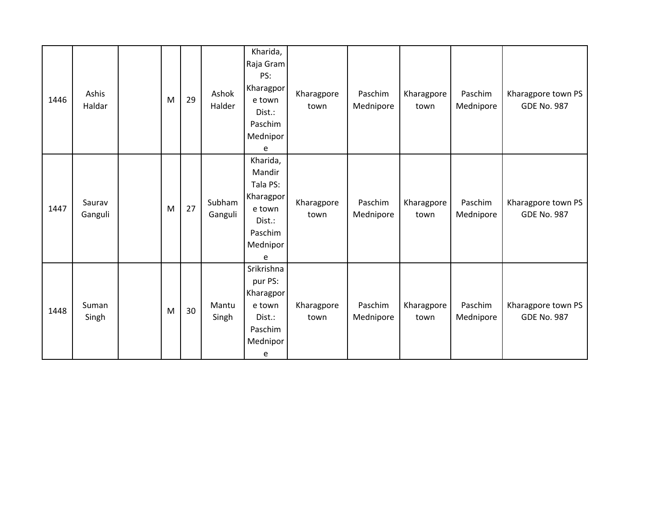| 1446 | Ashis<br>Haldar   | M | 29 | Ashok<br>Halder   | Kharida,<br>Raja Gram<br>PS:<br>Kharagpor<br>e town<br>$Dist.$ :<br>Paschim<br>Mednipor<br>e | Kharagpore<br>town | Paschim<br>Mednipore | Kharagpore<br>town | Paschim<br>Mednipore | Kharagpore town PS<br><b>GDE No. 987</b> |
|------|-------------------|---|----|-------------------|----------------------------------------------------------------------------------------------|--------------------|----------------------|--------------------|----------------------|------------------------------------------|
| 1447 | Saurav<br>Ganguli | M | 27 | Subham<br>Ganguli | Kharida,<br>Mandir<br>Tala PS:<br>Kharagpor<br>e town<br>Dist.:<br>Paschim<br>Mednipor<br>e  | Kharagpore<br>town | Paschim<br>Mednipore | Kharagpore<br>town | Paschim<br>Mednipore | Kharagpore town PS<br><b>GDE No. 987</b> |
| 1448 | Suman<br>Singh    | M | 30 | Mantu<br>Singh    | Srikrishna<br>pur PS:<br>Kharagpor<br>e town<br>Dist.:<br>Paschim<br>Mednipor<br>e           | Kharagpore<br>town | Paschim<br>Mednipore | Kharagpore<br>town | Paschim<br>Mednipore | Kharagpore town PS<br><b>GDE No. 987</b> |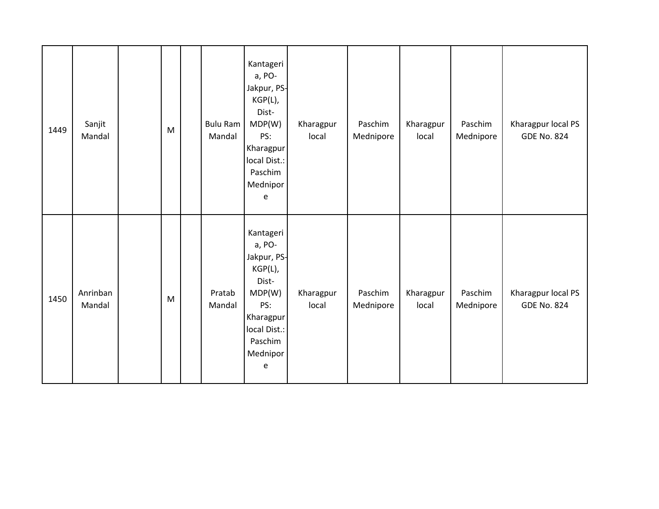| 1449 | Sanjit<br>Mandal   | M         | <b>Bulu Ram</b><br>Mandal | Kantageri<br>a, PO-<br>Jakpur, PS-<br>KGP(L),<br>Dist-<br>MDP(W)<br>PS:<br>Kharagpur<br>local Dist.:<br>Paschim<br>Mednipor<br>e | Kharagpur<br>local | Paschim<br>Mednipore | Kharagpur<br>local | Paschim<br>Mednipore | Kharagpur local PS<br><b>GDE No. 824</b> |
|------|--------------------|-----------|---------------------------|----------------------------------------------------------------------------------------------------------------------------------|--------------------|----------------------|--------------------|----------------------|------------------------------------------|
| 1450 | Anrinban<br>Mandal | ${\sf M}$ | Pratab<br>Mandal          | Kantageri<br>a, PO-<br>Jakpur, PS-<br>KGP(L),<br>Dist-<br>MDP(W)<br>PS:<br>Kharagpur<br>local Dist.:<br>Paschim<br>Mednipor<br>e | Kharagpur<br>local | Paschim<br>Mednipore | Kharagpur<br>local | Paschim<br>Mednipore | Kharagpur local PS<br><b>GDE No. 824</b> |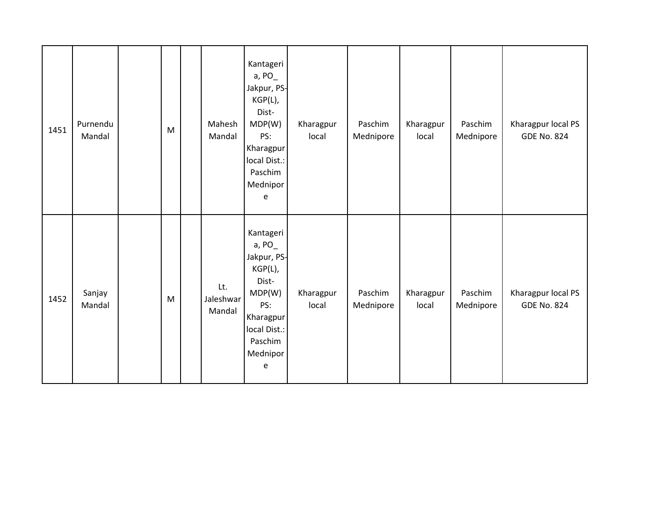| 1451 | Purnendu<br>Mandal | M | Mahesh<br>Mandal           | Kantageri<br>a, PO<br>Jakpur, PS-<br>$KGP(L)$ ,<br>Dist-<br>MDP(W)<br>PS:<br>Kharagpur<br>local Dist.:<br>Paschim<br>Mednipor<br>e       | Kharagpur<br>local | Paschim<br>Mednipore | Kharagpur<br>local | Paschim<br>Mednipore | Kharagpur local PS<br><b>GDE No. 824</b> |
|------|--------------------|---|----------------------------|------------------------------------------------------------------------------------------------------------------------------------------|--------------------|----------------------|--------------------|----------------------|------------------------------------------|
| 1452 | Sanjay<br>Mandal   | M | Lt.<br>Jaleshwar<br>Mandal | Kantageri<br>a, $PO_{-}$<br>Jakpur, PS-<br>$KGP(L)$ ,<br>Dist-<br>MDP(W)<br>PS:<br>Kharagpur<br>local Dist.:<br>Paschim<br>Mednipor<br>e | Kharagpur<br>local | Paschim<br>Mednipore | Kharagpur<br>local | Paschim<br>Mednipore | Kharagpur local PS<br><b>GDE No. 824</b> |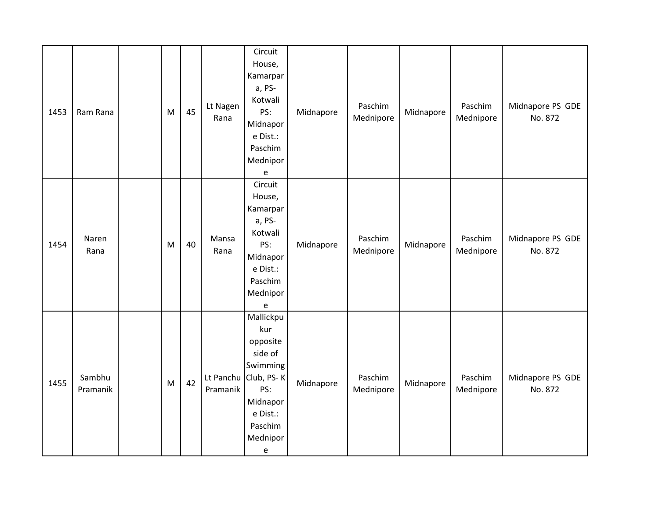| 1453 | Ram Rana           | M | 45 | Lt Nagen<br>Rana | Circuit<br>House,<br>Kamarpar<br>a, PS-<br>Kotwali<br>PS:<br>Midnapor<br>e Dist.:<br>Paschim<br>Mednipor<br>e                                                                   | Midnapore | Paschim<br>Mednipore | Midnapore | Paschim<br>Mednipore | Midnapore PS GDE<br>No. 872 |
|------|--------------------|---|----|------------------|---------------------------------------------------------------------------------------------------------------------------------------------------------------------------------|-----------|----------------------|-----------|----------------------|-----------------------------|
| 1454 | Naren<br>Rana      | M | 40 | Mansa<br>Rana    | Circuit<br>House,<br>Kamarpar<br>a, PS-<br>Kotwali<br>PS:<br>Midnapor<br>e Dist.:<br>Paschim<br>Mednipor<br>$\mathsf{e}% _{t}\left( t\right)$                                   | Midnapore | Paschim<br>Mednipore | Midnapore | Paschim<br>Mednipore | Midnapore PS GDE<br>No. 872 |
| 1455 | Sambhu<br>Pramanik | M | 42 | Pramanik         | Mallickpu<br>kur<br>opposite<br>side of<br>Swimming<br>Lt Panchu Club, PS-K<br>PS:<br>Midnapor<br>e Dist.:<br>Paschim<br>Mednipor<br>$\mathsf{e}% _{0}\left( \mathsf{e}\right)$ | Midnapore | Paschim<br>Mednipore | Midnapore | Paschim<br>Mednipore | Midnapore PS GDE<br>No. 872 |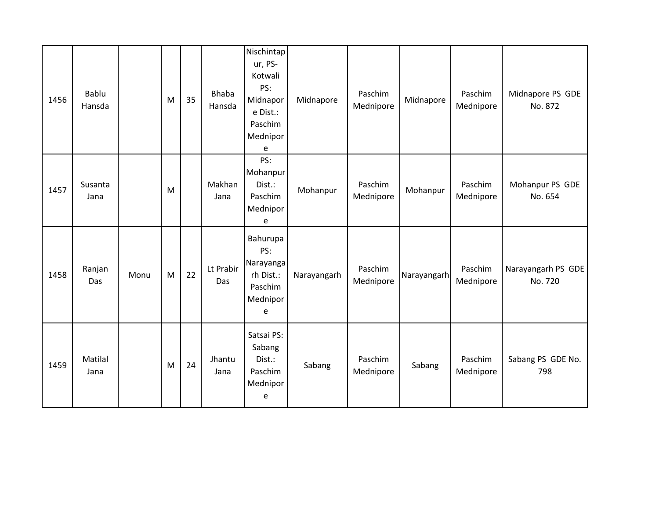| 1456 | Bablu<br>Hansda |      | M | 35 | <b>Bhaba</b><br>Hansda | Nischintap<br>ur, PS-<br>Kotwali<br>PS:<br>Midnapor<br>e Dist.:<br>Paschim<br>Mednipor<br>e | Midnapore   | Paschim<br>Mednipore | Midnapore   | Paschim<br>Mednipore | Midnapore PS GDE<br>No. 872   |
|------|-----------------|------|---|----|------------------------|---------------------------------------------------------------------------------------------|-------------|----------------------|-------------|----------------------|-------------------------------|
| 1457 | Susanta<br>Jana |      | M |    | Makhan<br>Jana         | PS:<br>Mohanpur<br>Dist.:<br>Paschim<br>Mednipor<br>e                                       | Mohanpur    | Paschim<br>Mednipore | Mohanpur    | Paschim<br>Mednipore | Mohanpur PS GDE<br>No. 654    |
| 1458 | Ranjan<br>Das   | Monu | M | 22 | Lt Prabir<br>Das       | Bahurupa<br>PS:<br>Narayanga<br>rh Dist.:<br>Paschim<br>Mednipor<br>e                       | Narayangarh | Paschim<br>Mednipore | Narayangarh | Paschim<br>Mednipore | Narayangarh PS GDE<br>No. 720 |
| 1459 | Matilal<br>Jana |      | M | 24 | Jhantu<br>Jana         | Satsai PS:<br>Sabang<br>Dist.:<br>Paschim<br>Mednipor<br>e                                  | Sabang      | Paschim<br>Mednipore | Sabang      | Paschim<br>Mednipore | Sabang PS GDE No.<br>798      |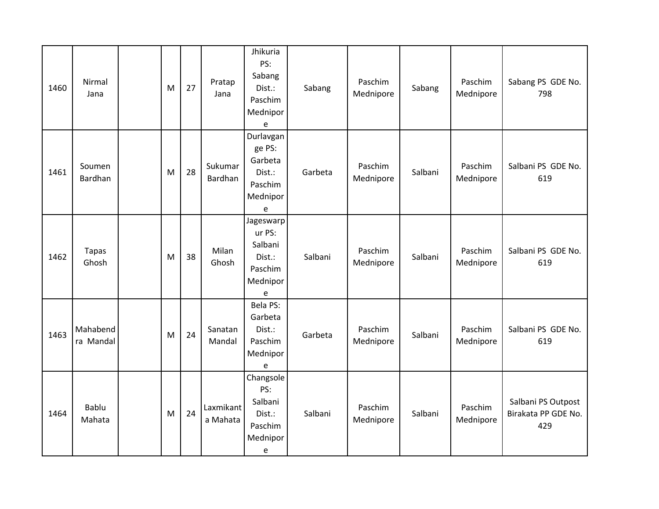| 1460 | Nirmal<br>Jana         | M | 27 | Pratap<br>Jana        | Jhikuria<br>PS:<br>Sabang<br>Dist.:<br>Paschim<br>Mednipor<br>e      | Sabang  | Paschim<br>Mednipore | Sabang  | Paschim<br>Mednipore | Sabang PS GDE No.<br>798                         |
|------|------------------------|---|----|-----------------------|----------------------------------------------------------------------|---------|----------------------|---------|----------------------|--------------------------------------------------|
| 1461 | Soumen<br>Bardhan      | M | 28 | Sukumar<br>Bardhan    | Durlavgan<br>ge PS:<br>Garbeta<br>Dist.:<br>Paschim<br>Mednipor<br>e | Garbeta | Paschim<br>Mednipore | Salbani | Paschim<br>Mednipore | Salbani PS GDE No.<br>619                        |
| 1462 | <b>Tapas</b><br>Ghosh  | M | 38 | Milan<br>Ghosh        | Jageswarp<br>ur PS:<br>Salbani<br>Dist.:<br>Paschim<br>Mednipor<br>e | Salbani | Paschim<br>Mednipore | Salbani | Paschim<br>Mednipore | Salbani PS GDE No.<br>619                        |
| 1463 | Mahabend<br>ra Mandal  | M | 24 | Sanatan<br>Mandal     | Bela PS:<br>Garbeta<br>Dist.:<br>Paschim<br>Mednipor<br>e            | Garbeta | Paschim<br>Mednipore | Salbani | Paschim<br>Mednipore | Salbani PS GDE No.<br>619                        |
| 1464 | <b>Bablu</b><br>Mahata | M | 24 | Laxmikant<br>a Mahata | Changsole<br>PS:<br>Salbani<br>Dist.:<br>Paschim<br>Mednipor<br>e    | Salbani | Paschim<br>Mednipore | Salbani | Paschim<br>Mednipore | Salbani PS Outpost<br>Birakata PP GDE No.<br>429 |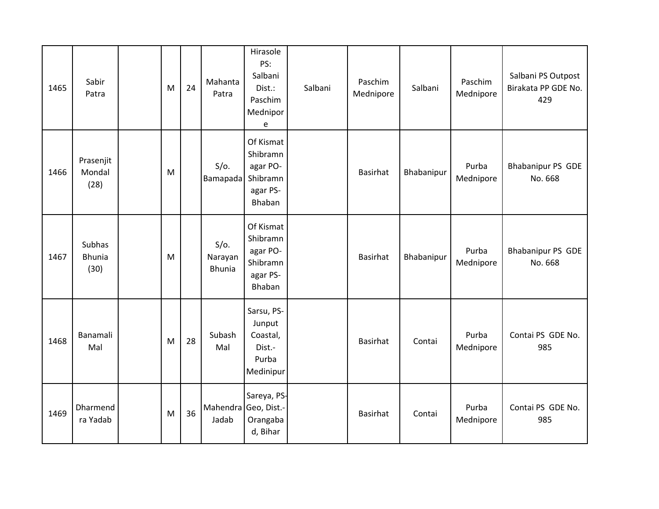| 1465 | Sabir<br>Patra                  | M | 24 | Mahanta<br>Patra                    | Hirasole<br>PS:<br>Salbani<br>Dist.:<br>Paschim<br>Mednipor<br>e    | Salbani | Paschim<br>Mednipore | Salbani    | Paschim<br>Mednipore | Salbani PS Outpost<br>Birakata PP GDE No.<br>429 |
|------|---------------------------------|---|----|-------------------------------------|---------------------------------------------------------------------|---------|----------------------|------------|----------------------|--------------------------------------------------|
| 1466 | Prasenjit<br>Mondal<br>(28)     | M |    | $S/O$ .<br>Bamapada                 | Of Kismat<br>Shibramn<br>agar PO-<br>Shibramn<br>agar PS-<br>Bhaban |         | Basirhat             | Bhabanipur | Purba<br>Mednipore   | Bhabanipur PS GDE<br>No. 668                     |
| 1467 | Subhas<br><b>Bhunia</b><br>(30) | M |    | $S/O$ .<br>Narayan<br><b>Bhunia</b> | Of Kismat<br>Shibramn<br>agar PO-<br>Shibramn<br>agar PS-<br>Bhaban |         | Basirhat             | Bhabanipur | Purba<br>Mednipore   | Bhabanipur PS GDE<br>No. 668                     |
| 1468 | Banamali<br>Mal                 | M | 28 | Subash<br>Mal                       | Sarsu, PS-<br>Junput<br>Coastal,<br>Dist.-<br>Purba<br>Medinipur    |         | <b>Basirhat</b>      | Contai     | Purba<br>Mednipore   | Contai PS GDE No.<br>985                         |
| 1469 | Dharmend<br>ra Yadab            | M | 36 | Mahendra Geo, Dist.-<br>Jadab       | Sareya, PS-<br>Orangaba<br>d, Bihar                                 |         | <b>Basirhat</b>      | Contai     | Purba<br>Mednipore   | Contai PS GDE No.<br>985                         |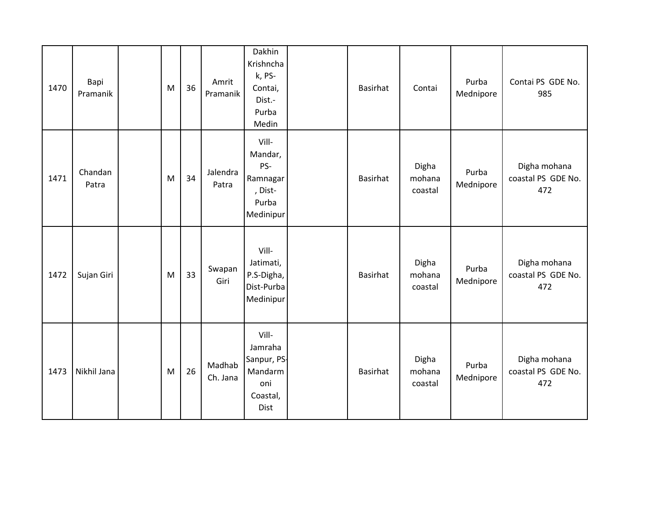| 1470 | Bapi<br>Pramanik | M | 36 | Amrit<br>Pramanik  | Dakhin<br>Krishncha<br>k, PS-<br>Contai,<br>Dist.-<br>Purba<br>Medin  | <b>Basirhat</b> | Contai                     | Purba<br>Mednipore | Contai PS GDE No.<br>985                  |
|------|------------------|---|----|--------------------|-----------------------------------------------------------------------|-----------------|----------------------------|--------------------|-------------------------------------------|
| 1471 | Chandan<br>Patra | M | 34 | Jalendra<br>Patra  | Vill-<br>Mandar,<br>PS-<br>Ramnagar<br>, Dist-<br>Purba<br>Medinipur  | <b>Basirhat</b> | Digha<br>mohana<br>coastal | Purba<br>Mednipore | Digha mohana<br>coastal PS GDE No.<br>472 |
| 1472 | Sujan Giri       | M | 33 | Swapan<br>Giri     | Vill-<br>Jatimati,<br>P.S-Digha,<br>Dist-Purba<br>Medinipur           | <b>Basirhat</b> | Digha<br>mohana<br>coastal | Purba<br>Mednipore | Digha mohana<br>coastal PS GDE No.<br>472 |
| 1473 | Nikhil Jana      | M | 26 | Madhab<br>Ch. Jana | Vill-<br>Jamraha<br>Sanpur, PS-<br>Mandarm<br>oni<br>Coastal,<br>Dist | <b>Basirhat</b> | Digha<br>mohana<br>coastal | Purba<br>Mednipore | Digha mohana<br>coastal PS GDE No.<br>472 |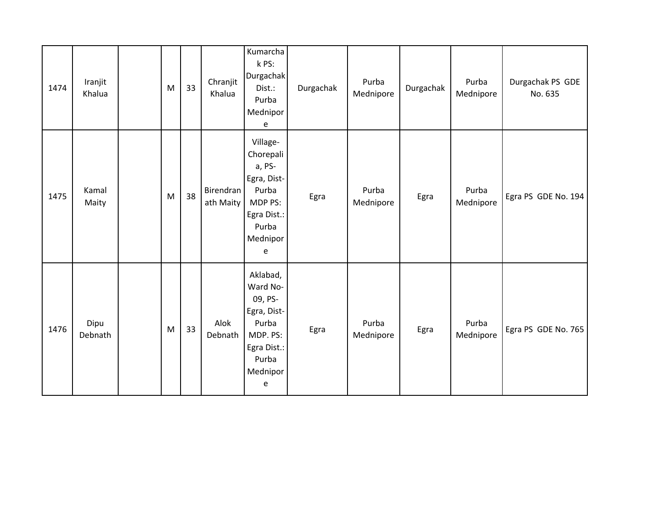| 1474 | Iranjit<br>Khalua | M | 33 | Chranjit<br>Khalua     | Kumarcha<br>k PS:<br>Durgachak<br>Dist.:<br>Purba<br>Mednipor<br>e                                           | Durgachak | Purba<br>Mednipore | Durgachak | Purba<br>Mednipore | Durgachak PS GDE<br>No. 635 |
|------|-------------------|---|----|------------------------|--------------------------------------------------------------------------------------------------------------|-----------|--------------------|-----------|--------------------|-----------------------------|
| 1475 | Kamal<br>Maity    | M | 38 | Birendran<br>ath Maity | Village-<br>Chorepali<br>a, PS-<br>Egra, Dist-<br>Purba<br>MDP PS:<br>Egra Dist.:<br>Purba<br>Mednipor<br>e  | Egra      | Purba<br>Mednipore | Egra      | Purba<br>Mednipore | Egra PS GDE No. 194         |
| 1476 | Dipu<br>Debnath   | M | 33 | Alok<br>Debnath        | Aklabad,<br>Ward No-<br>09, PS-<br>Egra, Dist-<br>Purba<br>MDP. PS:<br>Egra Dist.:<br>Purba<br>Mednipor<br>e | Egra      | Purba<br>Mednipore | Egra      | Purba<br>Mednipore | Egra PS GDE No. 765         |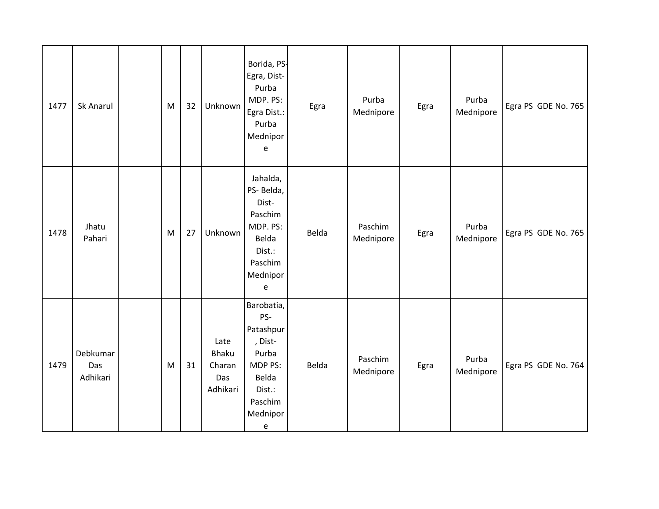| 1477 | Sk Anarul                   | M | 32 | Unknown                                           | Borida, PS-<br>Egra, Dist-<br>Purba<br>MDP. PS:<br>Egra Dist.:<br>Purba<br>Mednipor<br>e                     | Egra  | Purba<br>Mednipore   | Egra | Purba<br>Mednipore | Egra PS GDE No. 765 |
|------|-----------------------------|---|----|---------------------------------------------------|--------------------------------------------------------------------------------------------------------------|-------|----------------------|------|--------------------|---------------------|
| 1478 | Jhatu<br>Pahari             | M | 27 | Unknown                                           | Jahalda,<br>PS-Belda,<br>Dist-<br>Paschim<br>MDP. PS:<br>Belda<br>Dist.:<br>Paschim<br>Mednipor<br>e         | Belda | Paschim<br>Mednipore | Egra | Purba<br>Mednipore | Egra PS GDE No. 765 |
| 1479 | Debkumar<br>Das<br>Adhikari | M | 31 | Late<br><b>Bhaku</b><br>Charan<br>Das<br>Adhikari | Barobatia,<br>PS-<br>Patashpur<br>, Dist-<br>Purba<br>MDP PS:<br>Belda<br>Dist.:<br>Paschim<br>Mednipor<br>e | Belda | Paschim<br>Mednipore | Egra | Purba<br>Mednipore | Egra PS GDE No. 764 |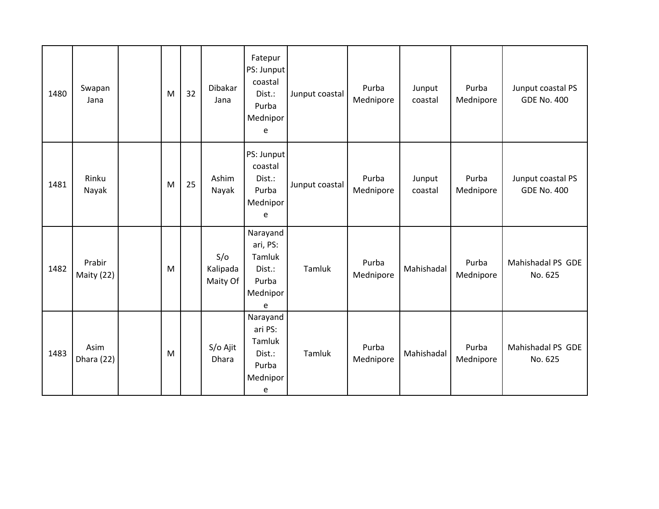| 1480 | Swapan<br>Jana       | M | 32 | Dibakar<br>Jana             | Fatepur<br>PS: Junput<br>coastal<br>Dist.:<br>Purba<br>Mednipor<br>e | Junput coastal | Purba<br>Mednipore | Junput<br>coastal | Purba<br>Mednipore | Junput coastal PS<br><b>GDE No. 400</b> |
|------|----------------------|---|----|-----------------------------|----------------------------------------------------------------------|----------------|--------------------|-------------------|--------------------|-----------------------------------------|
| 1481 | Rinku<br>Nayak       | M | 25 | Ashim<br>Nayak              | PS: Junput<br>coastal<br>Dist.:<br>Purba<br>Mednipor<br>e            | Junput coastal | Purba<br>Mednipore | Junput<br>coastal | Purba<br>Mednipore | Junput coastal PS<br><b>GDE No. 400</b> |
| 1482 | Prabir<br>Maity (22) | M |    | S/O<br>Kalipada<br>Maity Of | Narayand<br>ari, PS:<br>Tamluk<br>Dist.:<br>Purba<br>Mednipor<br>e   | Tamluk         | Purba<br>Mednipore | Mahishadal        | Purba<br>Mednipore | Mahishadal PS GDE<br>No. 625            |
| 1483 | Asim<br>Dhara (22)   | M |    | S/o Ajit<br>Dhara           | Narayand<br>ari PS:<br>Tamluk<br>Dist.:<br>Purba<br>Mednipor<br>e    | Tamluk         | Purba<br>Mednipore | Mahishadal        | Purba<br>Mednipore | Mahishadal PS GDE<br>No. 625            |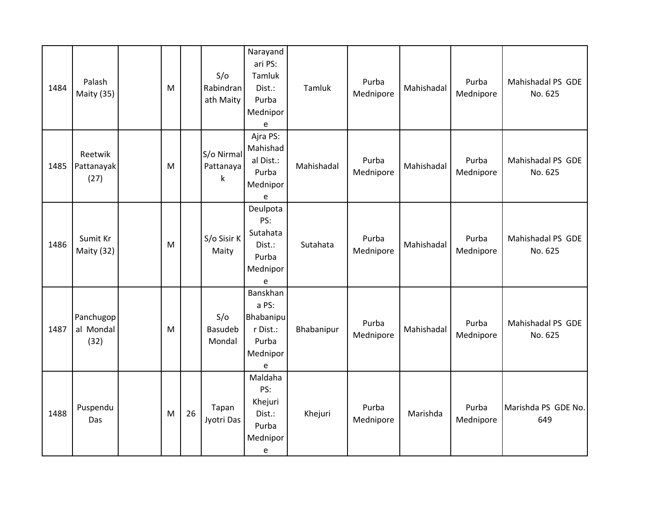| 1484 | Palash<br>Maity (35)           | M |    | S/O<br>Rabindran<br>ath Maity | Narayand<br>ari PS:<br>Tamluk<br>Dist.:<br>Purba<br>Mednipor<br>$\mathsf{e}% _{t}\left( t\right)$ | Tamluk     | Purba<br>Mednipore | Mahishadal | Purba<br>Mednipore | Mahishadal PS GDE<br>No. 625 |
|------|--------------------------------|---|----|-------------------------------|---------------------------------------------------------------------------------------------------|------------|--------------------|------------|--------------------|------------------------------|
| 1485 | Reetwik<br>Pattanayak<br>(27)  | M |    | S/o Nirmal<br>Pattanaya<br>k  | Ajra PS:<br>Mahishad<br>al Dist.:<br>Purba<br>Mednipor<br>e                                       | Mahishadal | Purba<br>Mednipore | Mahishadal | Purba<br>Mednipore | Mahishadal PS GDE<br>No. 625 |
| 1486 | Sumit Kr<br>Maity (32)         | M |    | S/o Sisir K<br>Maity          | Deulpota<br>PS:<br>Sutahata<br>Dist.:<br>Purba<br>Mednipor<br>e                                   | Sutahata   | Purba<br>Mednipore | Mahishadal | Purba<br>Mednipore | Mahishadal PS GDE<br>No. 625 |
| 1487 | Panchugop<br>al Mondal<br>(32) | M |    | S/O<br>Basudeb<br>Mondal      | Banskhan<br>a PS:<br><b>Bhabanipu</b><br>r Dist.:<br>Purba<br>Mednipor<br>e                       | Bhabanipur | Purba<br>Mednipore | Mahishadal | Purba<br>Mednipore | Mahishadal PS GDE<br>No. 625 |
| 1488 | Puspendu<br>Das                | M | 26 | Tapan<br>Jyotri Das           | Maldaha<br>PS:<br>Khejuri<br>Dist.:<br>Purba<br>Mednipor<br>e                                     | Khejuri    | Purba<br>Mednipore | Marishda   | Purba<br>Mednipore | Marishda PS GDE No.<br>649   |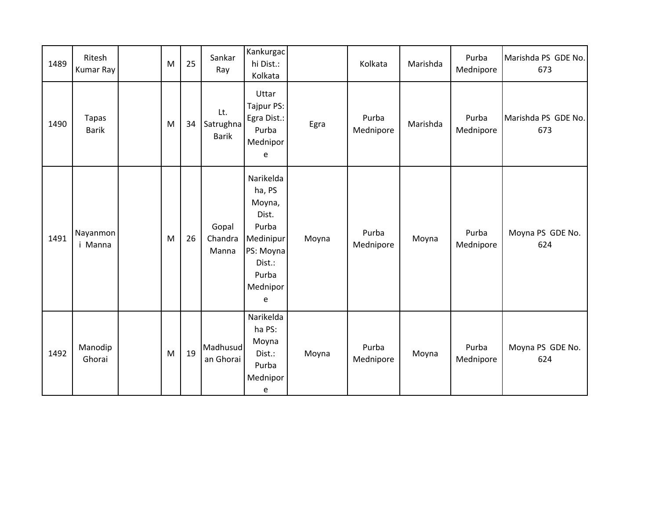| 1489 | Ritesh<br><b>Kumar Ray</b>   | M | 25 | Sankar<br>Ray                    | Kankurgac<br>hi Dist.:<br>Kolkata                                                                             |       | Kolkata            | Marishda | Purba<br>Mednipore | Marishda PS GDE No.<br>673 |
|------|------------------------------|---|----|----------------------------------|---------------------------------------------------------------------------------------------------------------|-------|--------------------|----------|--------------------|----------------------------|
| 1490 | <b>Tapas</b><br><b>Barik</b> | M | 34 | Lt.<br>Satrughna<br><b>Barik</b> | Uttar<br>Tajpur PS:<br>Egra Dist.:<br>Purba<br>Mednipor<br>e                                                  | Egra  | Purba<br>Mednipore | Marishda | Purba<br>Mednipore | Marishda PS GDE No.<br>673 |
| 1491 | Nayanmon<br>i Manna          | M | 26 | Gopal<br>Chandra<br>Manna        | Narikelda<br>ha, PS<br>Moyna,<br>Dist.<br>Purba<br>Medinipur<br>PS: Moyna<br>Dist.:<br>Purba<br>Mednipor<br>e | Moyna | Purba<br>Mednipore | Moyna    | Purba<br>Mednipore | Moyna PS GDE No.<br>624    |
| 1492 | Manodip<br>Ghorai            | M | 19 | Madhusud<br>an Ghorai            | Narikelda<br>ha PS:<br>Moyna<br>Dist.:<br>Purba<br>Mednipor<br>e                                              | Moyna | Purba<br>Mednipore | Moyna    | Purba<br>Mednipore | Moyna PS GDE No.<br>624    |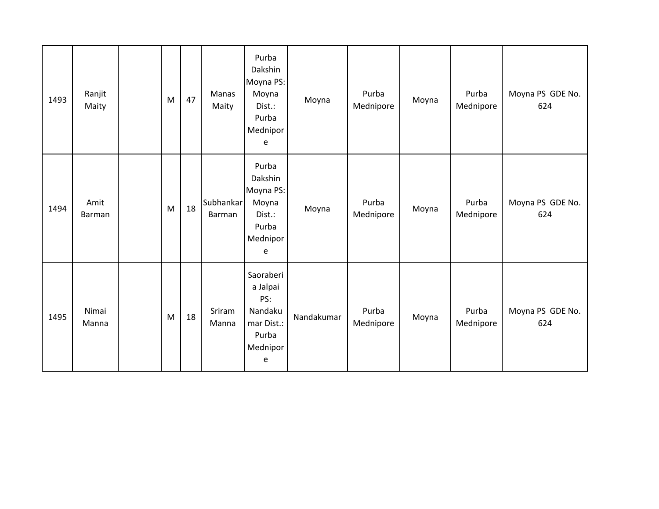| 1493 | Ranjit<br>Maity | M | 47 | Manas<br>Maity      | Purba<br>Dakshin<br>Moyna PS:<br>Moyna<br>Dist.:<br>Purba<br>Mednipor<br>e      | Moyna      | Purba<br>Mednipore | Moyna | Purba<br>Mednipore | Moyna PS GDE No.<br>624 |
|------|-----------------|---|----|---------------------|---------------------------------------------------------------------------------|------------|--------------------|-------|--------------------|-------------------------|
| 1494 | Amit<br>Barman  | M | 18 | Subhankar<br>Barman | Purba<br>Dakshin<br>Moyna PS:<br>Moyna<br>Dist.:<br>Purba<br>Mednipor<br>e      | Moyna      | Purba<br>Mednipore | Moyna | Purba<br>Mednipore | Moyna PS GDE No.<br>624 |
| 1495 | Nimai<br>Manna  | M | 18 | Sriram<br>Manna     | Saoraberi<br>a Jalpai<br>PS:<br>Nandaku<br>mar Dist.:<br>Purba<br>Mednipor<br>e | Nandakumar | Purba<br>Mednipore | Moyna | Purba<br>Mednipore | Moyna PS GDE No.<br>624 |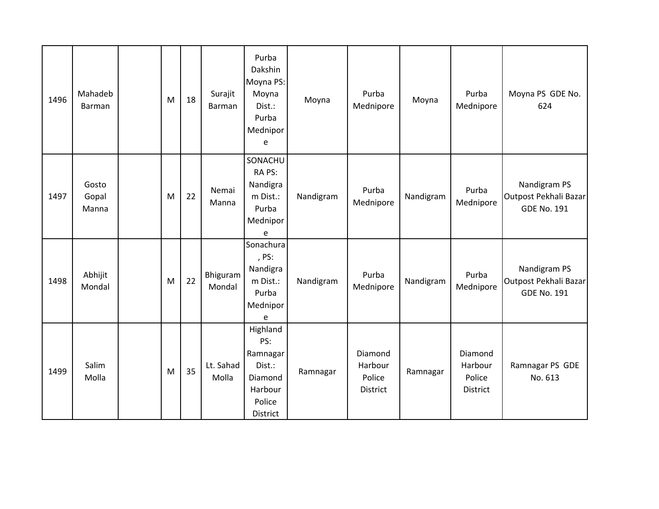| 1496 | Mahadeb<br>Barman       | M | 18 | Surajit<br><b>Barman</b> | Purba<br>Dakshin<br>Moyna PS:<br>Moyna<br>Dist.:<br>Purba<br>Mednipor<br>e        | Moyna     | Purba<br>Mednipore                              | Moyna     | Purba<br>Mednipore                       | Moyna PS GDE No.<br>624                                     |
|------|-------------------------|---|----|--------------------------|-----------------------------------------------------------------------------------|-----------|-------------------------------------------------|-----------|------------------------------------------|-------------------------------------------------------------|
| 1497 | Gosto<br>Gopal<br>Manna | M | 22 | Nemai<br>Manna           | SONACHU<br>RA PS:<br>Nandigra<br>m Dist.:<br>Purba<br>Mednipor<br>e               | Nandigram | Purba<br>Mednipore                              | Nandigram | Purba<br>Mednipore                       | Nandigram PS<br>Outpost Pekhali Bazar<br><b>GDE No. 191</b> |
| 1498 | Abhijit<br>Mondal       | M | 22 | Bhiguram<br>Mondal       | Sonachura<br>, PS:<br>Nandigra<br>m Dist.:<br>Purba<br>Mednipor<br>e              | Nandigram | Purba<br>Mednipore                              | Nandigram | Purba<br>Mednipore                       | Nandigram PS<br>Outpost Pekhali Bazar<br><b>GDE No. 191</b> |
| 1499 | Salim<br>Molla          | M | 35 | Lt. Sahad<br>Molla       | Highland<br>PS:<br>Ramnagar<br>Dist.:<br>Diamond<br>Harbour<br>Police<br>District | Ramnagar  | Diamond<br>Harbour<br>Police<br><b>District</b> | Ramnagar  | Diamond<br>Harbour<br>Police<br>District | Ramnagar PS GDE<br>No. 613                                  |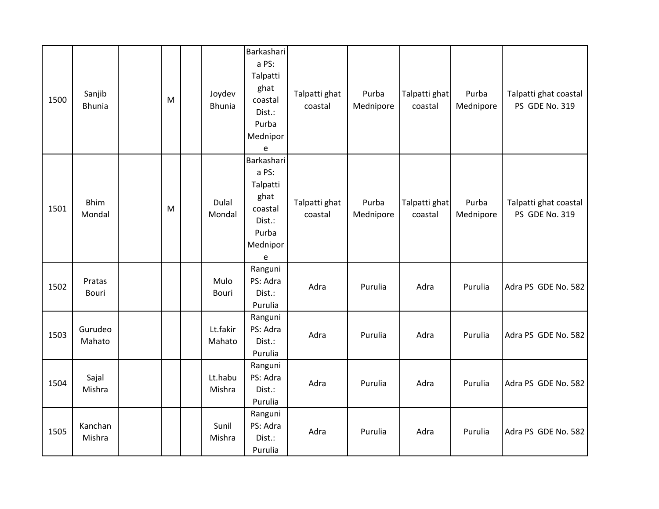| 1500 | Sanjib<br><b>Bhunia</b> | M | Joydev<br><b>Bhunia</b> | Barkashari<br>a PS:<br>Talpatti<br>ghat<br>coastal<br>Dist.:<br>Purba<br>Mednipor<br>e                                 | Talpatti ghat<br>coastal | Purba<br>Mednipore | Talpatti ghat<br>coastal | Purba<br>Mednipore | Talpatti ghat coastal<br>PS GDE No. 319 |
|------|-------------------------|---|-------------------------|------------------------------------------------------------------------------------------------------------------------|--------------------------|--------------------|--------------------------|--------------------|-----------------------------------------|
| 1501 | <b>Bhim</b><br>Mondal   | M | Dulal<br>Mondal         | Barkashari<br>a PS:<br>Talpatti<br>ghat<br>coastal<br>Dist.:<br>Purba<br>Mednipor<br>$\mathsf{e}% _{t}\left( t\right)$ | Talpatti ghat<br>coastal | Purba<br>Mednipore | Talpatti ghat<br>coastal | Purba<br>Mednipore | Talpatti ghat coastal<br>PS GDE No. 319 |
| 1502 | Pratas<br>Bouri         |   | Mulo<br><b>Bouri</b>    | Ranguni<br>PS: Adra<br>Dist.:<br>Purulia                                                                               | Adra                     | Purulia            | Adra                     | Purulia            | Adra PS GDE No. 582                     |
| 1503 | Gurudeo<br>Mahato       |   | Lt.fakir<br>Mahato      | Ranguni<br>PS: Adra<br>Dist.:<br>Purulia                                                                               | Adra                     | Purulia            | Adra                     | Purulia            | Adra PS GDE No. 582                     |
| 1504 | Sajal<br>Mishra         |   | Lt.habu<br>Mishra       | Ranguni<br>PS: Adra<br>Dist.:<br>Purulia                                                                               | Adra                     | Purulia            | Adra                     | Purulia            | Adra PS GDE No. 582                     |
| 1505 | Kanchan<br>Mishra       |   | Sunil<br>Mishra         | Ranguni<br>PS: Adra<br>Dist.:<br>Purulia                                                                               | Adra                     | Purulia            | Adra                     | Purulia            | Adra PS GDE No. 582                     |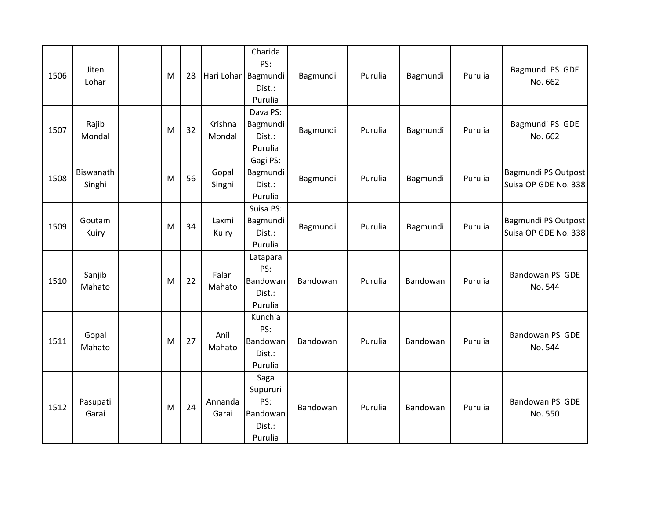| 1506 | Jiten<br>Lohar      | M | 28 | Hari Lohar Bagmundi | Charida<br>PS:<br>Dist.:<br>Purulia                             | Bagmundi | Purulia | Bagmundi | Purulia | Bagmundi PS GDE<br>No. 662                  |
|------|---------------------|---|----|---------------------|-----------------------------------------------------------------|----------|---------|----------|---------|---------------------------------------------|
| 1507 | Rajib<br>Mondal     | M | 32 | Krishna<br>Mondal   | Dava PS:<br>Bagmundi<br>Dist.:<br>Purulia                       | Bagmundi | Purulia | Bagmundi | Purulia | Bagmundi PS GDE<br>No. 662                  |
| 1508 | Biswanath<br>Singhi | M | 56 | Gopal<br>Singhi     | Gagi PS:<br>Bagmundi<br>Dist.:<br>Purulia                       | Bagmundi | Purulia | Bagmundi | Purulia | Bagmundi PS Outpost<br>Suisa OP GDE No. 338 |
| 1509 | Goutam<br>Kuiry     | M | 34 | Laxmi<br>Kuiry      | Suisa PS:<br>Bagmundi<br>Dist.:<br>Purulia                      | Bagmundi | Purulia | Bagmundi | Purulia | Bagmundi PS Outpost<br>Suisa OP GDE No. 338 |
| 1510 | Sanjib<br>Mahato    | M | 22 | Falari<br>Mahato    | Latapara<br>PS:<br>Bandowan<br>Dist.:<br>Purulia                | Bandowan | Purulia | Bandowan | Purulia | Bandowan PS GDE<br>No. 544                  |
| 1511 | Gopal<br>Mahato     | M | 27 | Anil<br>Mahato      | Kunchia<br>PS:<br>Bandowan<br>Dist.:<br>Purulia                 | Bandowan | Purulia | Bandowan | Purulia | Bandowan PS GDE<br>No. 544                  |
| 1512 | Pasupati<br>Garai   | M | 24 | Annanda<br>Garai    | Saga<br>Supururi<br>PS:<br><b>Bandowan</b><br>Dist.:<br>Purulia | Bandowan | Purulia | Bandowan | Purulia | Bandowan PS GDE<br>No. 550                  |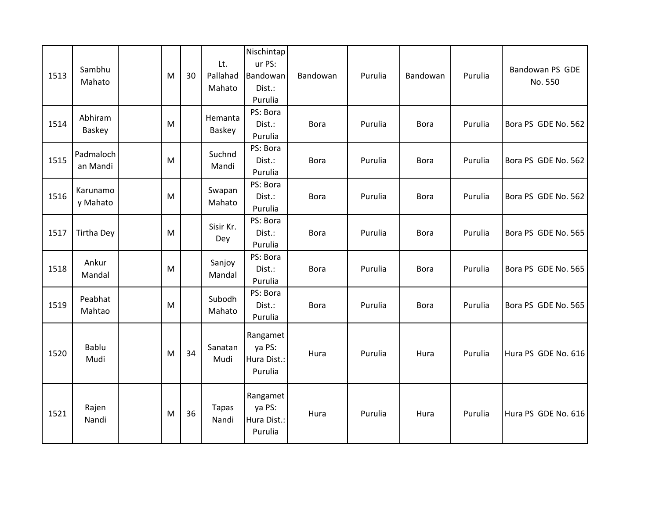| 1513 | Sambhu<br>Mahato      | M | 30 | Lt.<br>Pallahad<br>Mahato | Nischintap<br>ur PS:<br>Bandowan<br>Dist.:<br>Purulia | Bandowan    | Purulia | Bandowan    | Purulia | Bandowan PS GDE<br>No. 550 |
|------|-----------------------|---|----|---------------------------|-------------------------------------------------------|-------------|---------|-------------|---------|----------------------------|
| 1514 | Abhiram<br>Baskey     | M |    | Hemanta<br>Baskey         | PS: Bora<br>Dist.:<br>Purulia                         | <b>Bora</b> | Purulia | <b>Bora</b> | Purulia | Bora PS GDE No. 562        |
| 1515 | Padmaloch<br>an Mandi | M |    | Suchnd<br>Mandi           | PS: Bora<br>Dist.:<br>Purulia                         | <b>Bora</b> | Purulia | <b>Bora</b> | Purulia | Bora PS GDE No. 562        |
| 1516 | Karunamo<br>y Mahato  | M |    | Swapan<br>Mahato          | PS: Bora<br>Dist.:<br>Purulia                         | Bora        | Purulia | <b>Bora</b> | Purulia | Bora PS GDE No. 562        |
| 1517 | <b>Tirtha Dey</b>     | M |    | Sisir Kr.<br>Dey          | PS: Bora<br>Dist.:<br>Purulia                         | <b>Bora</b> | Purulia | <b>Bora</b> | Purulia | Bora PS GDE No. 565        |
| 1518 | Ankur<br>Mandal       | M |    | Sanjoy<br>Mandal          | PS: Bora<br>Dist.:<br>Purulia                         | <b>Bora</b> | Purulia | <b>Bora</b> | Purulia | Bora PS GDE No. 565        |
| 1519 | Peabhat<br>Mahtao     | M |    | Subodh<br>Mahato          | PS: Bora<br>Dist.:<br>Purulia                         | <b>Bora</b> | Purulia | <b>Bora</b> | Purulia | Bora PS GDE No. 565        |
| 1520 | Bablu<br>Mudi         | M | 34 | Sanatan<br>Mudi           | Rangamet<br>ya PS:<br>Hura Dist.:<br>Purulia          | Hura        | Purulia | Hura        | Purulia | Hura PS GDE No. 616        |
| 1521 | Rajen<br>Nandi        | M | 36 | <b>Tapas</b><br>Nandi     | Rangamet<br>ya PS:<br>Hura Dist.:<br>Purulia          | Hura        | Purulia | Hura        | Purulia | Hura PS GDE No. 616        |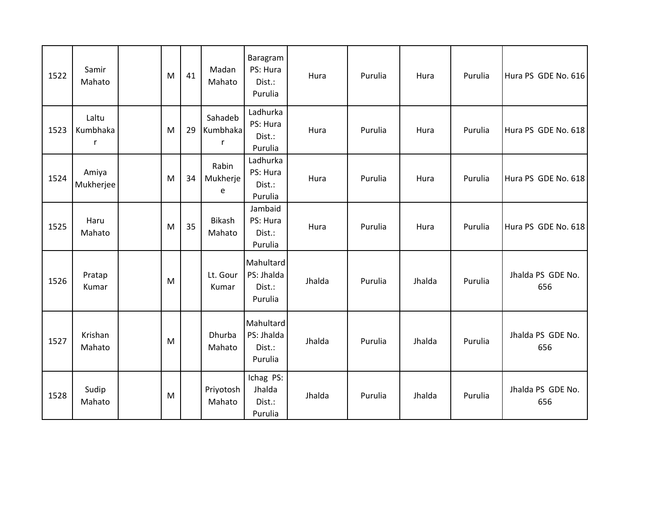| 1522 | Samir<br>Mahato        | M | 41 | Madan<br>Mahato          | Baragram<br>PS: Hura<br>Dist.:<br>Purulia    | Hura   | Purulia | Hura   | Purulia | Hura PS GDE No. 616      |
|------|------------------------|---|----|--------------------------|----------------------------------------------|--------|---------|--------|---------|--------------------------|
| 1523 | Laltu<br>Kumbhaka<br>r | M | 29 | Sahadeb<br>Kumbhaka<br>r | Ladhurka<br>PS: Hura<br>Dist.:<br>Purulia    | Hura   | Purulia | Hura   | Purulia | Hura PS GDE No. 618      |
| 1524 | Amiya<br>Mukherjee     | M | 34 | Rabin<br>Mukherje<br>e   | Ladhurka<br>PS: Hura<br>Dist.:<br>Purulia    | Hura   | Purulia | Hura   | Purulia | Hura PS GDE No. 618      |
| 1525 | Haru<br>Mahato         | M | 35 | Bikash<br>Mahato         | Jambaid<br>PS: Hura<br>Dist.:<br>Purulia     | Hura   | Purulia | Hura   | Purulia | Hura PS GDE No. 618      |
| 1526 | Pratap<br>Kumar        | M |    | Lt. Gour<br>Kumar        | Mahultard<br>PS: Jhalda<br>Dist.:<br>Purulia | Jhalda | Purulia | Jhalda | Purulia | Jhalda PS GDE No.<br>656 |
| 1527 | Krishan<br>Mahato      | M |    | Dhurba<br>Mahato         | Mahultard<br>PS: Jhalda<br>Dist.:<br>Purulia | Jhalda | Purulia | Jhalda | Purulia | Jhalda PS GDE No.<br>656 |
| 1528 | Sudip<br>Mahato        | M |    | Priyotosh<br>Mahato      | Ichag PS:<br>Jhalda<br>Dist.:<br>Purulia     | Jhalda | Purulia | Jhalda | Purulia | Jhalda PS GDE No.<br>656 |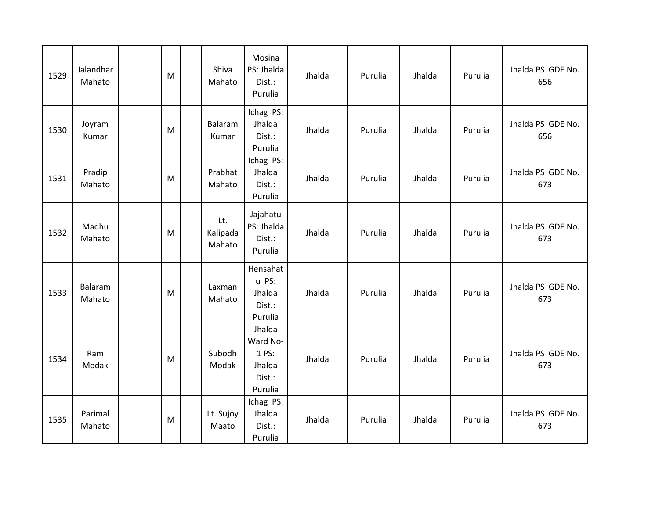| 1529 | Jalandhar<br>Mahato | M | Shiva<br>Mahato           | Mosina<br>PS: Jhalda<br>Dist.:<br>Purulia                  | Jhalda | Purulia | Jhalda | Purulia | Jhalda PS GDE No.<br>656 |
|------|---------------------|---|---------------------------|------------------------------------------------------------|--------|---------|--------|---------|--------------------------|
| 1530 | Joyram<br>Kumar     | M | Balaram<br>Kumar          | Ichag PS:<br>Jhalda<br>Dist.:<br>Purulia                   | Jhalda | Purulia | Jhalda | Purulia | Jhalda PS GDE No.<br>656 |
| 1531 | Pradip<br>Mahato    | M | Prabhat<br>Mahato         | Ichag PS:<br>Jhalda<br>Dist.:<br>Purulia                   | Jhalda | Purulia | Jhalda | Purulia | Jhalda PS GDE No.<br>673 |
| 1532 | Madhu<br>Mahato     | M | Lt.<br>Kalipada<br>Mahato | Jajahatu<br>PS: Jhalda<br>Dist.:<br>Purulia                | Jhalda | Purulia | Jhalda | Purulia | Jhalda PS GDE No.<br>673 |
| 1533 | Balaram<br>Mahato   | M | Laxman<br>Mahato          | Hensahat<br>u PS:<br>Jhalda<br>Dist.:<br>Purulia           | Jhalda | Purulia | Jhalda | Purulia | Jhalda PS GDE No.<br>673 |
| 1534 | Ram<br>Modak        | M | Subodh<br>Modak           | Jhalda<br>Ward No-<br>1 PS:<br>Jhalda<br>Dist.:<br>Purulia | Jhalda | Purulia | Jhalda | Purulia | Jhalda PS GDE No.<br>673 |
| 1535 | Parimal<br>Mahato   | M | Lt. Sujoy<br>Maato        | Ichag PS:<br>Jhalda<br>Dist.:<br>Purulia                   | Jhalda | Purulia | Jhalda | Purulia | Jhalda PS GDE No.<br>673 |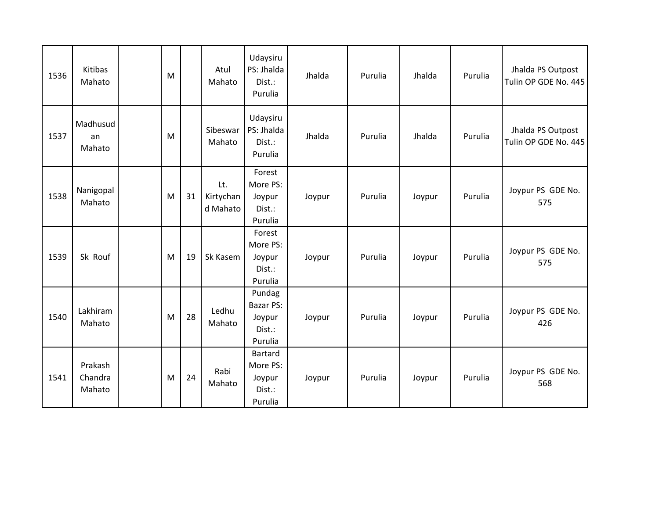| 1536 | Kitibas<br>Mahato            | M |    | Atul<br>Mahato               | Udaysiru<br>PS: Jhalda<br>Dist.:<br>Purulia        | Jhalda | Purulia | Jhalda | Purulia | Jhalda PS Outpost<br>Tulin OP GDE No. 445 |
|------|------------------------------|---|----|------------------------------|----------------------------------------------------|--------|---------|--------|---------|-------------------------------------------|
| 1537 | Madhusud<br>an<br>Mahato     | M |    | Sibeswar<br>Mahato           | Udaysiru<br>PS: Jhalda<br>Dist.:<br>Purulia        | Jhalda | Purulia | Jhalda | Purulia | Jhalda PS Outpost<br>Tulin OP GDE No. 445 |
| 1538 | Nanigopal<br>Mahato          | M | 31 | Lt.<br>Kirtychan<br>d Mahato | Forest<br>More PS:<br>Joypur<br>Dist.:<br>Purulia  | Joypur | Purulia | Joypur | Purulia | Joypur PS GDE No.<br>575                  |
| 1539 | Sk Rouf                      | M | 19 | Sk Kasem                     | Forest<br>More PS:<br>Joypur<br>Dist.:<br>Purulia  | Joypur | Purulia | Joypur | Purulia | Joypur PS GDE No.<br>575                  |
| 1540 | Lakhiram<br>Mahato           | M | 28 | Ledhu<br>Mahato              | Pundag<br>Bazar PS:<br>Joypur<br>Dist.:<br>Purulia | Joypur | Purulia | Joypur | Purulia | Joypur PS GDE No.<br>426                  |
| 1541 | Prakash<br>Chandra<br>Mahato | M | 24 | Rabi<br>Mahato               | Bartard<br>More PS:<br>Joypur<br>Dist.:<br>Purulia | Joypur | Purulia | Joypur | Purulia | Joypur PS GDE No.<br>568                  |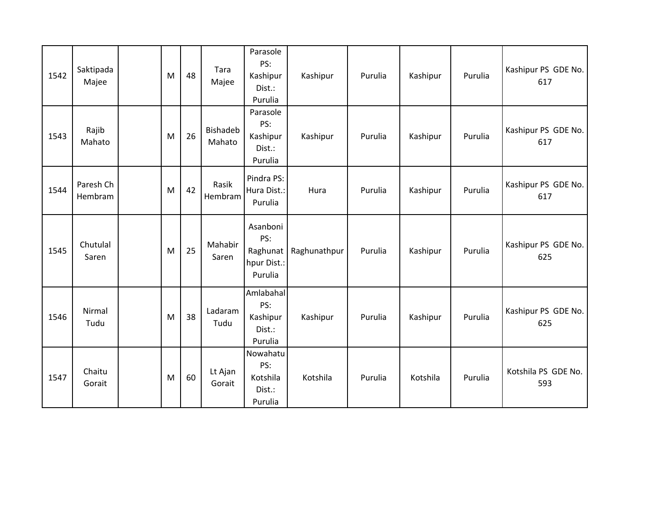| 1542 | Saktipada<br>Majee   | M | 48 | Tara<br>Majee             | Parasole<br>PS:<br>Kashipur<br>Dist.:<br>Purulia      | Kashipur     | Purulia | Kashipur | Purulia | Kashipur PS GDE No.<br>617 |
|------|----------------------|---|----|---------------------------|-------------------------------------------------------|--------------|---------|----------|---------|----------------------------|
| 1543 | Rajib<br>Mahato      | M | 26 | <b>Bishadeb</b><br>Mahato | Parasole<br>PS:<br>Kashipur<br>Dist.:<br>Purulia      | Kashipur     | Purulia | Kashipur | Purulia | Kashipur PS GDE No.<br>617 |
| 1544 | Paresh Ch<br>Hembram | M | 42 | Rasik<br>Hembram          | Pindra PS:<br>Hura Dist.:<br>Purulia                  | Hura         | Purulia | Kashipur | Purulia | Kashipur PS GDE No.<br>617 |
| 1545 | Chutulal<br>Saren    | M | 25 | Mahabir<br>Saren          | Asanboni<br>PS:<br>Raghunat<br>hpur Dist.:<br>Purulia | Raghunathpur | Purulia | Kashipur | Purulia | Kashipur PS GDE No.<br>625 |
| 1546 | Nirmal<br>Tudu       | M | 38 | Ladaram<br>Tudu           | Amlabahal<br>PS:<br>Kashipur<br>Dist.:<br>Purulia     | Kashipur     | Purulia | Kashipur | Purulia | Kashipur PS GDE No.<br>625 |
| 1547 | Chaitu<br>Gorait     | M | 60 | Lt Ajan<br>Gorait         | Nowahatu<br>PS:<br>Kotshila<br>Dist.:<br>Purulia      | Kotshila     | Purulia | Kotshila | Purulia | Kotshila PS GDE No.<br>593 |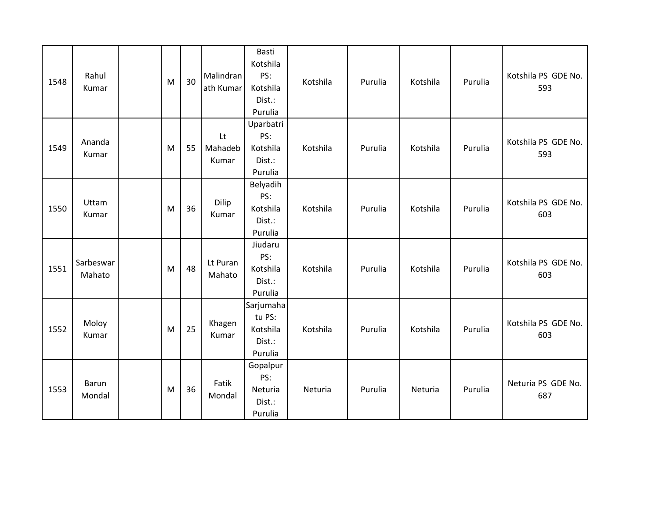| 1548 | Rahul<br>Kumar         | M | 30 | Malindran<br>ath Kumar | Basti<br>Kotshila<br>PS:<br>Kotshila<br>Dist.:<br>Purulia | Kotshila | Purulia | Kotshila | Purulia | Kotshila PS GDE No.<br>593 |
|------|------------------------|---|----|------------------------|-----------------------------------------------------------|----------|---------|----------|---------|----------------------------|
| 1549 | Ananda<br>Kumar        | M | 55 | Lt<br>Mahadeb<br>Kumar | Uparbatri<br>PS:<br>Kotshila<br>Dist.:<br>Purulia         | Kotshila | Purulia | Kotshila | Purulia | Kotshila PS GDE No.<br>593 |
| 1550 | Uttam<br>Kumar         | M | 36 | Dilip<br>Kumar         | Belyadih<br>PS:<br>Kotshila<br>Dist.:<br>Purulia          | Kotshila | Purulia | Kotshila | Purulia | Kotshila PS GDE No.<br>603 |
| 1551 | Sarbeswar<br>Mahato    | M | 48 | Lt Puran<br>Mahato     | Jiudaru<br>PS:<br>Kotshila<br>Dist.:<br>Purulia           | Kotshila | Purulia | Kotshila | Purulia | Kotshila PS GDE No.<br>603 |
| 1552 | Moloy<br>Kumar         | M | 25 | Khagen<br>Kumar        | Sarjumaha<br>tu PS:<br>Kotshila<br>Dist.:<br>Purulia      | Kotshila | Purulia | Kotshila | Purulia | Kotshila PS GDE No.<br>603 |
| 1553 | <b>Barun</b><br>Mondal | M | 36 | Fatik<br>Mondal        | Gopalpur<br>PS:<br>Neturia<br>Dist.:<br>Purulia           | Neturia  | Purulia | Neturia  | Purulia | Neturia PS GDE No.<br>687  |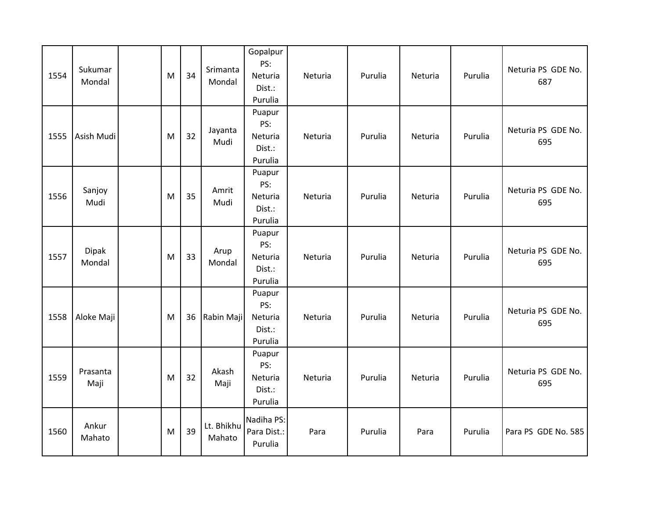| 1554 | Sukumar<br>Mondal | M | 34 | Srimanta<br>Mondal   | Gopalpur<br>PS:<br>Neturia<br>Dist.:<br>Purulia | Neturia | Purulia | Neturia | Purulia | Neturia PS GDE No.<br>687 |
|------|-------------------|---|----|----------------------|-------------------------------------------------|---------|---------|---------|---------|---------------------------|
| 1555 | Asish Mudi        | M | 32 | Jayanta<br>Mudi      | Puapur<br>PS:<br>Neturia<br>Dist.:<br>Purulia   | Neturia | Purulia | Neturia | Purulia | Neturia PS GDE No.<br>695 |
| 1556 | Sanjoy<br>Mudi    | M | 35 | Amrit<br>Mudi        | Puapur<br>PS:<br>Neturia<br>Dist.:<br>Purulia   | Neturia | Purulia | Neturia | Purulia | Neturia PS GDE No.<br>695 |
| 1557 | Dipak<br>Mondal   | M | 33 | Arup<br>Mondal       | Puapur<br>PS:<br>Neturia<br>Dist.:<br>Purulia   | Neturia | Purulia | Neturia | Purulia | Neturia PS GDE No.<br>695 |
| 1558 | Aloke Maji        | M | 36 | Rabin Maji           | Puapur<br>PS:<br>Neturia<br>Dist.:<br>Purulia   | Neturia | Purulia | Neturia | Purulia | Neturia PS GDE No.<br>695 |
| 1559 | Prasanta<br>Maji  | M | 32 | Akash<br>Maji        | Puapur<br>PS:<br>Neturia<br>Dist.:<br>Purulia   | Neturia | Purulia | Neturia | Purulia | Neturia PS GDE No.<br>695 |
| 1560 | Ankur<br>Mahato   | M | 39 | Lt. Bhikhu<br>Mahato | Nadiha PS:<br>Para Dist.:<br>Purulia            | Para    | Purulia | Para    | Purulia | Para PS GDE No. 585       |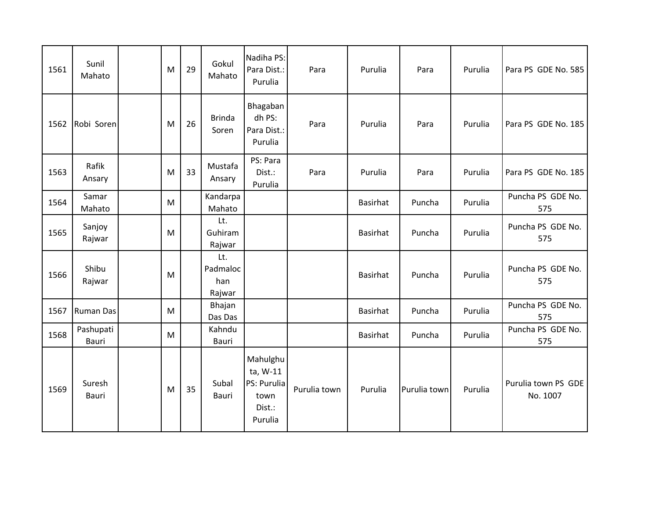| 1561 | Sunil<br>Mahato    | M | 29 | Gokul<br>Mahato                  | Nadiha PS:<br>Para Dist.:<br>Purulia                             | Para         | Purulia         | Para         | Purulia | Para PS GDE No. 585             |
|------|--------------------|---|----|----------------------------------|------------------------------------------------------------------|--------------|-----------------|--------------|---------|---------------------------------|
| 1562 | Robi Soren         | M | 26 | <b>Brinda</b><br>Soren           | Bhagaban<br>dh PS:<br>Para Dist.:<br>Purulia                     | Para         | Purulia         | Para         | Purulia | Para PS GDE No. 185             |
| 1563 | Rafik<br>Ansary    | M | 33 | Mustafa<br>Ansary                | PS: Para<br>Dist.:<br>Purulia                                    | Para         | Purulia         | Para         | Purulia | Para PS GDE No. 185             |
| 1564 | Samar<br>Mahato    | M |    | Kandarpa<br>Mahato               |                                                                  |              | Basirhat        | Puncha       | Purulia | Puncha PS GDE No.<br>575        |
| 1565 | Sanjoy<br>Rajwar   | M |    | Lt.<br>Guhiram<br>Rajwar         |                                                                  |              | <b>Basirhat</b> | Puncha       | Purulia | Puncha PS GDE No.<br>575        |
| 1566 | Shibu<br>Rajwar    | M |    | Lt.<br>Padmaloc<br>han<br>Rajwar |                                                                  |              | Basirhat        | Puncha       | Purulia | Puncha PS GDE No.<br>575        |
| 1567 | <b>Ruman Das</b>   | M |    | Bhajan<br>Das Das                |                                                                  |              | <b>Basirhat</b> | Puncha       | Purulia | Puncha PS GDE No.<br>575        |
| 1568 | Pashupati<br>Bauri | M |    | Kahndu<br>Bauri                  |                                                                  |              | <b>Basirhat</b> | Puncha       | Purulia | Puncha PS GDE No.<br>575        |
| 1569 | Suresh<br>Bauri    | M | 35 | Subal<br>Bauri                   | Mahulghu<br>ta, W-11<br>PS: Purulia<br>town<br>Dist.:<br>Purulia | Purulia town | Purulia         | Purulia town | Purulia | Purulia town PS GDE<br>No. 1007 |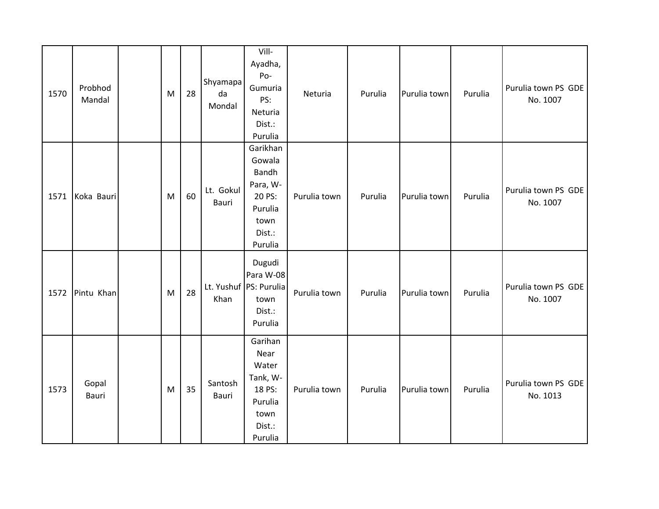| 1570 | Probhod<br>Mandal | M | 28 | Shyamapa<br>da<br>Mondal | Vill-<br>Ayadha,<br>Po-<br>Gumuria<br>PS:<br>Neturia<br>Dist.:<br>Purulia                 | Neturia      | Purulia | Purulia town | Purulia | Purulia town PS GDE<br>No. 1007 |
|------|-------------------|---|----|--------------------------|-------------------------------------------------------------------------------------------|--------------|---------|--------------|---------|---------------------------------|
| 1571 | Koka Bauri        | M | 60 | Lt. Gokul<br>Bauri       | Garikhan<br>Gowala<br>Bandh<br>Para, W-<br>20 PS:<br>Purulia<br>town<br>Dist.:<br>Purulia | Purulia town | Purulia | Purulia town | Purulia | Purulia town PS GDE<br>No. 1007 |
| 1572 | Pintu Khan        | M | 28 | Khan                     | Dugudi<br>Para W-08<br>Lt. Yushuf PS: Purulia<br>town<br>Dist.:<br>Purulia                | Purulia town | Purulia | Purulia town | Purulia | Purulia town PS GDE<br>No. 1007 |
| 1573 | Gopal<br>Bauri    | M | 35 | Santosh<br>Bauri         | Garihan<br>Near<br>Water<br>Tank, W-<br>18 PS:<br>Purulia<br>town<br>Dist.:<br>Purulia    | Purulia town | Purulia | Purulia town | Purulia | Purulia town PS GDE<br>No. 1013 |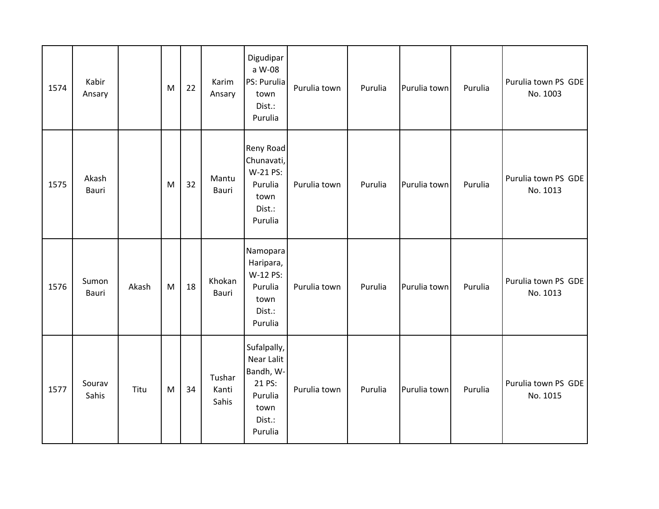| 1574 | Kabir<br>Ansary       |       | M | 22 | Karim<br>Ansary          | Digudipar<br>a W-08<br>PS: Purulia<br>town<br>Dist.:<br>Purulia                          | Purulia town | Purulia | Purulia town | Purulia | Purulia town PS GDE<br>No. 1003 |
|------|-----------------------|-------|---|----|--------------------------|------------------------------------------------------------------------------------------|--------------|---------|--------------|---------|---------------------------------|
| 1575 | Akash<br><b>Bauri</b> |       | M | 32 | Mantu<br>Bauri           | Reny Road<br>Chunavati,<br>W-21 PS:<br>Purulia<br>town<br>Dist.:<br>Purulia              | Purulia town | Purulia | Purulia town | Purulia | Purulia town PS GDE<br>No. 1013 |
| 1576 | Sumon<br>Bauri        | Akash | M | 18 | Khokan<br>Bauri          | Namopara<br>Haripara,<br>W-12 PS:<br>Purulia<br>town<br>Dist.:<br>Purulia                | Purulia town | Purulia | Purulia town | Purulia | Purulia town PS GDE<br>No. 1013 |
| 1577 | Sourav<br>Sahis       | Titu  | M | 34 | Tushar<br>Kanti<br>Sahis | Sufalpally,<br>Near Lalit<br>Bandh, W-<br>21 PS:<br>Purulia<br>town<br>Dist.:<br>Purulia | Purulia town | Purulia | Purulia town | Purulia | Purulia town PS GDE<br>No. 1015 |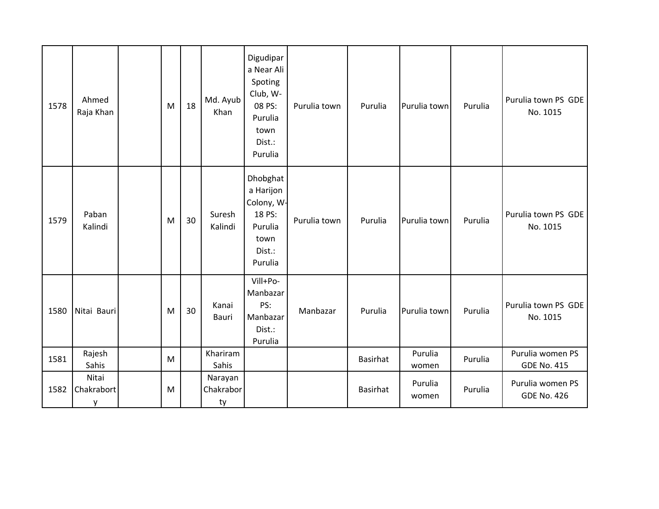| 1578 | Ahmed<br>Raja Khan       | M         | 18 | Md. Ayub<br>Khan           | Digudipar<br>a Near Ali<br>Spoting<br>Club, W-<br>08 PS:<br>Purulia<br>town<br>Dist.:<br>Purulia | Purulia town | Purulia         | Purulia town     | Purulia | Purulia town PS GDE<br>No. 1015        |
|------|--------------------------|-----------|----|----------------------------|--------------------------------------------------------------------------------------------------|--------------|-----------------|------------------|---------|----------------------------------------|
| 1579 | Paban<br>Kalindi         | M         | 30 | Suresh<br>Kalindi          | Dhobghat<br>a Harijon<br>Colony, W-<br>18 PS:<br>Purulia<br>town<br>Dist.:<br>Purulia            | Purulia town | Purulia         | Purulia town     | Purulia | Purulia town PS GDE<br>No. 1015        |
| 1580 | Nitai Bauri              | ${\sf M}$ | 30 | Kanai<br>Bauri             | Vill+Po-<br>Manbazar<br>PS:<br>Manbazar<br>Dist.:<br>Purulia                                     | Manbazar     | Purulia         | Purulia town     | Purulia | Purulia town PS GDE<br>No. 1015        |
| 1581 | Rajesh<br>Sahis          | M         |    | Khariram<br>Sahis          |                                                                                                  |              | <b>Basirhat</b> | Purulia<br>women | Purulia | Purulia women PS<br><b>GDE No. 415</b> |
| 1582 | Nitai<br>Chakrabort<br>y | M         |    | Narayan<br>Chakrabor<br>ty |                                                                                                  |              | <b>Basirhat</b> | Purulia<br>women | Purulia | Purulia women PS<br><b>GDE No. 426</b> |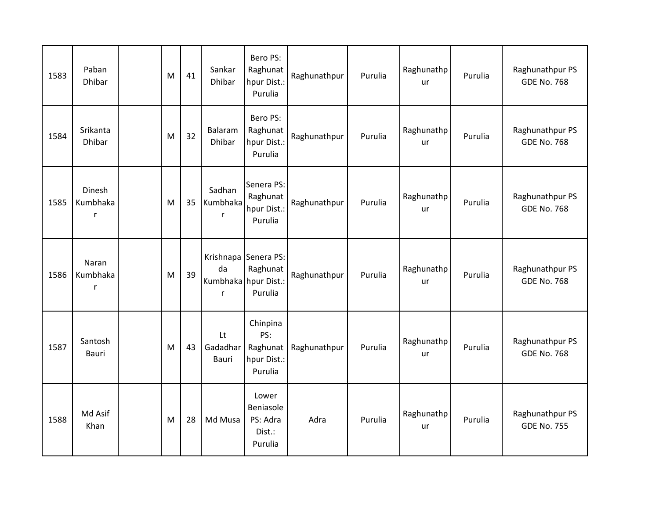| 1583 | Paban<br><b>Dhibar</b>           | M | 41 | Sankar<br>Dhibar        | Bero PS:<br>Raghunat<br>hpur Dist.:<br>Purulia                      | Raghunathpur | Purulia | Raghunathp<br>ur | Purulia | Raghunathpur PS<br><b>GDE No. 768</b> |
|------|----------------------------------|---|----|-------------------------|---------------------------------------------------------------------|--------------|---------|------------------|---------|---------------------------------------|
| 1584 | Srikanta<br><b>Dhibar</b>        | M | 32 | Balaram<br>Dhibar       | Bero PS:<br>Raghunat<br>hpur Dist.:<br>Purulia                      | Raghunathpur | Purulia | Raghunathp<br>ur | Purulia | Raghunathpur PS<br><b>GDE No. 768</b> |
| 1585 | Dinesh<br>Kumbhaka<br>r          | M | 35 | Sadhan<br>Kumbhaka<br>r | Senera PS:<br>Raghunat<br>hpur Dist.:<br>Purulia                    | Raghunathpur | Purulia | Raghunathp<br>ur | Purulia | Raghunathpur PS<br><b>GDE No. 768</b> |
| 1586 | Naran<br>Kumbhaka<br>$\mathsf r$ | M | 39 | da<br>r                 | Krishnapa Senera PS:<br>Raghunat<br>Kumbhaka hpur Dist.:<br>Purulia | Raghunathpur | Purulia | Raghunathp<br>ur | Purulia | Raghunathpur PS<br><b>GDE No. 768</b> |
| 1587 | Santosh<br>Bauri                 | M | 43 | Lt<br>Gadadhar<br>Bauri | Chinpina<br>PS:<br>Raghunat<br>hpur Dist.:<br>Purulia               | Raghunathpur | Purulia | Raghunathp<br>ur | Purulia | Raghunathpur PS<br><b>GDE No. 768</b> |
| 1588 | Md Asif<br>Khan                  | M | 28 | Md Musa                 | Lower<br>Beniasole<br>PS: Adra<br>Dist.:<br>Purulia                 | Adra         | Purulia | Raghunathp<br>ur | Purulia | Raghunathpur PS<br><b>GDE No. 755</b> |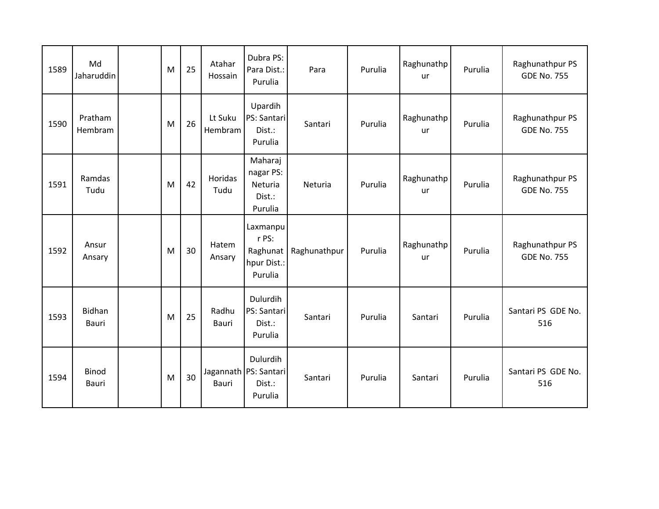| 1589 | Md<br>Jaharuddin      | M | 25 | Atahar<br>Hossain  | Dubra PS:<br>Para Dist.:<br>Purulia                             | Para         | Purulia | Raghunathp<br>ur | Purulia | Raghunathpur PS<br><b>GDE No. 755</b> |
|------|-----------------------|---|----|--------------------|-----------------------------------------------------------------|--------------|---------|------------------|---------|---------------------------------------|
| 1590 | Pratham<br>Hembram    | M | 26 | Lt Suku<br>Hembram | Upardih<br>PS: Santari<br>Dist.:<br>Purulia                     | Santari      | Purulia | Raghunathp<br>ur | Purulia | Raghunathpur PS<br><b>GDE No. 755</b> |
| 1591 | Ramdas<br>Tudu        | M | 42 | Horidas<br>Tudu    | Maharaj<br>nagar PS:<br>Neturia<br>Dist.:<br>Purulia            | Neturia      | Purulia | Raghunathp<br>ur | Purulia | Raghunathpur PS<br><b>GDE No. 755</b> |
| 1592 | Ansur<br>Ansary       | M | 30 | Hatem<br>Ansary    | Laxmanpu<br>r PS:<br>Raghunat<br>hpur Dist.:<br>Purulia         | Raghunathpur | Purulia | Raghunathp<br>ur | Purulia | Raghunathpur PS<br><b>GDE No. 755</b> |
| 1593 | Bidhan<br>Bauri       | M | 25 | Radhu<br>Bauri     | Dulurdih<br>PS: Santari<br>Dist.:<br>Purulia                    | Santari      | Purulia | Santari          | Purulia | Santari PS GDE No.<br>516             |
| 1594 | <b>Binod</b><br>Bauri | M | 30 | <b>Bauri</b>       | <b>Dulurdih</b><br>Jagannath   PS: Santari<br>Dist.:<br>Purulia | Santari      | Purulia | Santari          | Purulia | Santari PS GDE No.<br>516             |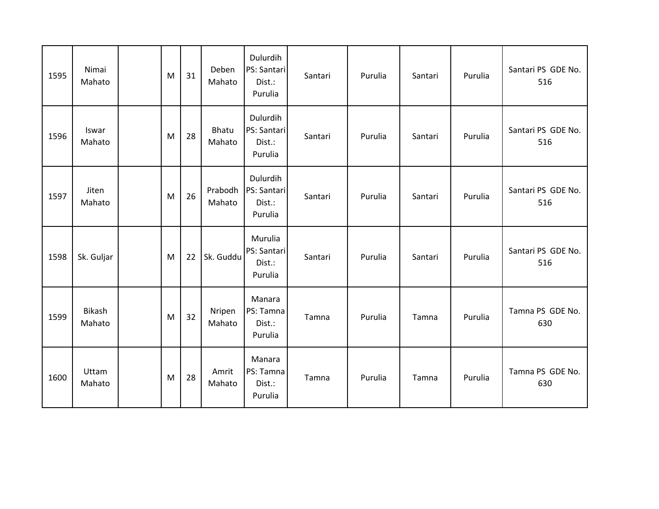| 1595 | Nimai<br>Mahato  | M | 31 | Deben<br>Mahato        | Dulurdih<br>PS: Santari<br>Dist.:<br>Purulia | Santari | Purulia | Santari | Purulia | Santari PS GDE No.<br>516 |
|------|------------------|---|----|------------------------|----------------------------------------------|---------|---------|---------|---------|---------------------------|
| 1596 | Iswar<br>Mahato  | M | 28 | <b>Bhatu</b><br>Mahato | Dulurdih<br>PS: Santari<br>Dist.:<br>Purulia | Santari | Purulia | Santari | Purulia | Santari PS GDE No.<br>516 |
| 1597 | Jiten<br>Mahato  | M | 26 | Prabodh<br>Mahato      | Dulurdih<br>PS: Santari<br>Dist.:<br>Purulia | Santari | Purulia | Santari | Purulia | Santari PS GDE No.<br>516 |
| 1598 | Sk. Guljar       | M | 22 | Sk. Guddu              | Murulia<br>PS: Santari<br>Dist.:<br>Purulia  | Santari | Purulia | Santari | Purulia | Santari PS GDE No.<br>516 |
| 1599 | Bikash<br>Mahato | M | 32 | Nripen<br>Mahato       | Manara<br>PS: Tamna<br>Dist.:<br>Purulia     | Tamna   | Purulia | Tamna   | Purulia | Tamna PS GDE No.<br>630   |
| 1600 | Uttam<br>Mahato  | M | 28 | Amrit<br>Mahato        | Manara<br>PS: Tamna<br>Dist.:<br>Purulia     | Tamna   | Purulia | Tamna   | Purulia | Tamna PS GDE No.<br>630   |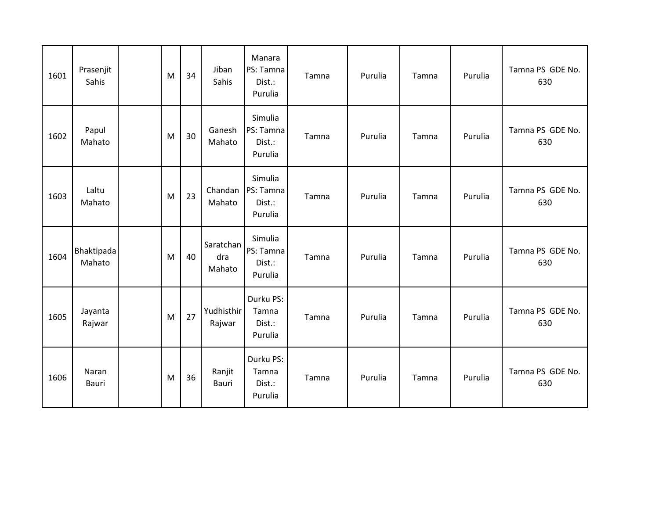| 1601 | Prasenjit<br>Sahis   | M | 34 | Jiban<br>Sahis             | Manara<br>PS: Tamna<br>Dist.:<br>Purulia  | Tamna | Purulia | Tamna | Purulia | Tamna PS GDE No.<br>630 |
|------|----------------------|---|----|----------------------------|-------------------------------------------|-------|---------|-------|---------|-------------------------|
| 1602 | Papul<br>Mahato      | M | 30 | Ganesh<br>Mahato           | Simulia<br>PS: Tamna<br>Dist.:<br>Purulia | Tamna | Purulia | Tamna | Purulia | Tamna PS GDE No.<br>630 |
| 1603 | Laltu<br>Mahato      | M | 23 | Chandan<br>Mahato          | Simulia<br>PS: Tamna<br>Dist.:<br>Purulia | Tamna | Purulia | Tamna | Purulia | Tamna PS GDE No.<br>630 |
| 1604 | Bhaktipada<br>Mahato | M | 40 | Saratchan<br>dra<br>Mahato | Simulia<br>PS: Tamna<br>Dist.:<br>Purulia | Tamna | Purulia | Tamna | Purulia | Tamna PS GDE No.<br>630 |
| 1605 | Jayanta<br>Rajwar    | M | 27 | Yudhisthir<br>Rajwar       | Durku PS:<br>Tamna<br>Dist.:<br>Purulia   | Tamna | Purulia | Tamna | Purulia | Tamna PS GDE No.<br>630 |
| 1606 | Naran<br>Bauri       | M | 36 | Ranjit<br>Bauri            | Durku PS:<br>Tamna<br>Dist.:<br>Purulia   | Tamna | Purulia | Tamna | Purulia | Tamna PS GDE No.<br>630 |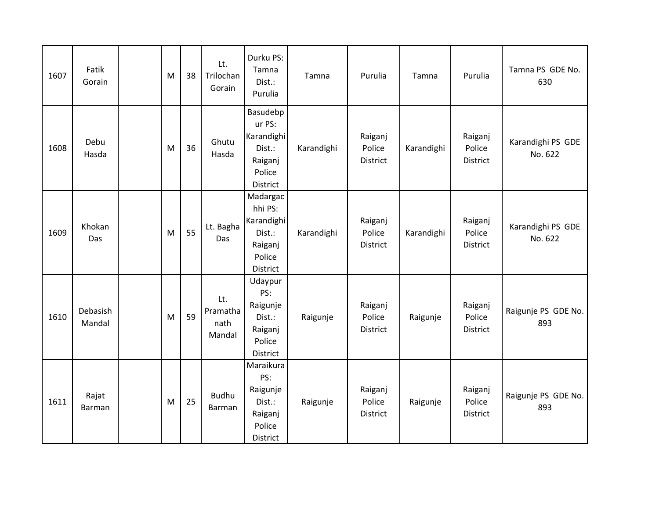| 1607 | Fatik<br>Gorain    | M         | 38 | Lt.<br>Trilochan<br>Gorain        | Durku PS:<br>Tamna<br>Dist.:<br>Purulia                                      | Tamna      | Purulia                       | Tamna      | Purulia                       | Tamna PS GDE No.<br>630      |
|------|--------------------|-----------|----|-----------------------------------|------------------------------------------------------------------------------|------------|-------------------------------|------------|-------------------------------|------------------------------|
| 1608 | Debu<br>Hasda      | M         | 36 | Ghutu<br>Hasda                    | Basudebp<br>ur PS:<br>Karandighi<br>Dist.:<br>Raiganj<br>Police<br>District  | Karandighi | Raiganj<br>Police<br>District | Karandighi | Raiganj<br>Police<br>District | Karandighi PS GDE<br>No. 622 |
| 1609 | Khokan<br>Das      | M         | 55 | Lt. Bagha<br>Das                  | Madargac<br>hhi PS:<br>Karandighi<br>Dist.:<br>Raiganj<br>Police<br>District | Karandighi | Raiganj<br>Police<br>District | Karandighi | Raiganj<br>Police<br>District | Karandighi PS GDE<br>No. 622 |
| 1610 | Debasish<br>Mandal | M         | 59 | Lt.<br>Pramatha<br>nath<br>Mandal | Udaypur<br>PS:<br>Raigunje<br>Dist.:<br>Raiganj<br>Police<br>District        | Raigunje   | Raiganj<br>Police<br>District | Raigunje   | Raiganj<br>Police<br>District | Raigunje PS GDE No.<br>893   |
| 1611 | Rajat<br>Barman    | ${\sf M}$ | 25 | <b>Budhu</b><br>Barman            | Maraikura<br>PS:<br>Raigunje<br>Dist.:<br>Raiganj<br>Police<br>District      | Raigunje   | Raiganj<br>Police<br>District | Raigunje   | Raiganj<br>Police<br>District | Raigunje PS GDE No.<br>893   |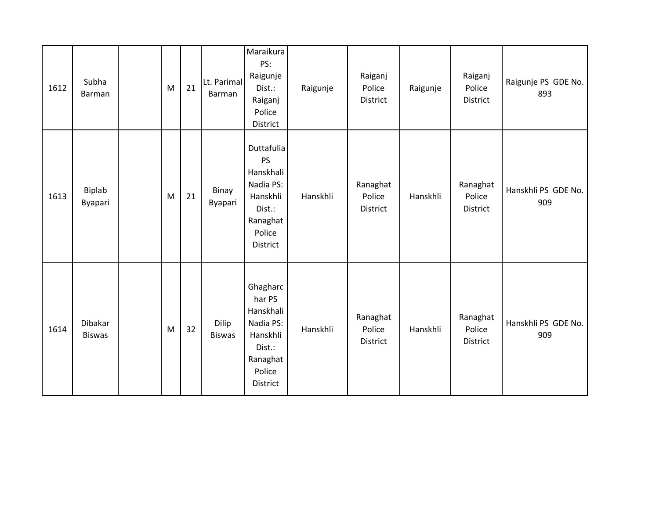| 1612 | Subha<br>Barman          | M | 21 | Lt. Parimal<br>Barman  | Maraikura<br>PS:<br>Raigunje<br>Dist.:<br>Raiganj<br>Police<br>District                              | Raigunje | Raiganj<br>Police<br>District  | Raigunje | Raiganj<br>Police<br>District         | Raigunje PS GDE No.<br>893 |
|------|--------------------------|---|----|------------------------|------------------------------------------------------------------------------------------------------|----------|--------------------------------|----------|---------------------------------------|----------------------------|
| 1613 | Biplab<br>Byapari        | M | 21 | Binay<br>Byapari       | Duttafulia<br>PS<br>Hanskhali<br>Nadia PS:<br>Hanskhli<br>Dist.:<br>Ranaghat<br>Police<br>District   | Hanskhli | Ranaghat<br>Police<br>District | Hanskhli | Ranaghat<br>Police<br><b>District</b> | Hanskhli PS GDE No.<br>909 |
| 1614 | Dibakar<br><b>Biswas</b> | M | 32 | Dilip<br><b>Biswas</b> | Ghagharc<br>har PS<br>Hanskhali<br>Nadia PS:<br>Hanskhli<br>Dist.:<br>Ranaghat<br>Police<br>District | Hanskhli | Ranaghat<br>Police<br>District | Hanskhli | Ranaghat<br>Police<br>District        | Hanskhli PS GDE No.<br>909 |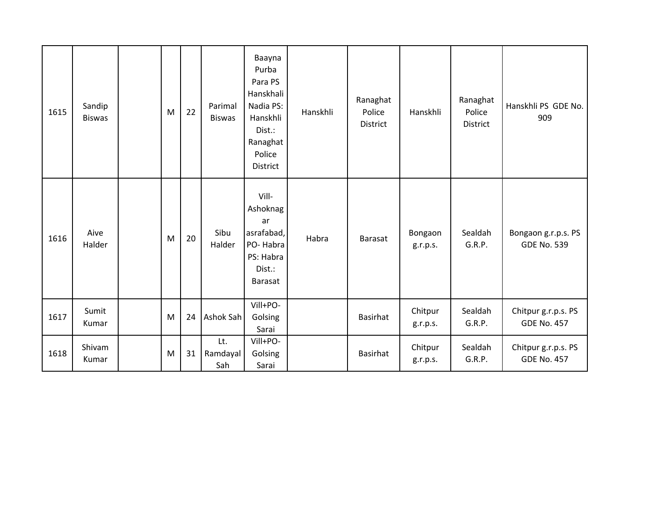| 1615 | Sandip<br><b>Biswas</b> | M | 22 | Parimal<br><b>Biswas</b> | Baayna<br>Purba<br>Para PS<br>Hanskhali<br>Nadia PS:<br>Hanskhli<br>Dist.:<br>Ranaghat<br>Police<br><b>District</b> | Hanskhli | Ranaghat<br>Police<br>District | Hanskhli            | Ranaghat<br>Police<br>District | Hanskhli PS GDE No.<br>909                |
|------|-------------------------|---|----|--------------------------|---------------------------------------------------------------------------------------------------------------------|----------|--------------------------------|---------------------|--------------------------------|-------------------------------------------|
| 1616 | Aive<br>Halder          | M | 20 | Sibu<br>Halder           | Vill-<br>Ashoknag<br>ar<br>asrafabad,<br>PO-Habra<br>PS: Habra<br>Dist.:<br>Barasat                                 | Habra    | <b>Barasat</b>                 | Bongaon<br>g.r.p.s. | Sealdah<br>G.R.P.              | Bongaon g.r.p.s. PS<br><b>GDE No. 539</b> |
| 1617 | Sumit<br>Kumar          | M | 24 | Ashok Sah                | Vill+PO-<br>Golsing<br>Sarai                                                                                        |          | <b>Basirhat</b>                | Chitpur<br>g.r.p.s. | Sealdah<br>G.R.P.              | Chitpur g.r.p.s. PS<br><b>GDE No. 457</b> |
| 1618 | Shivam<br>Kumar         | M | 31 | Lt.<br>Ramdayal<br>Sah   | Vill+PO-<br>Golsing<br>Sarai                                                                                        |          | <b>Basirhat</b>                | Chitpur<br>g.r.p.s. | Sealdah<br>G.R.P.              | Chitpur g.r.p.s. PS<br><b>GDE No. 457</b> |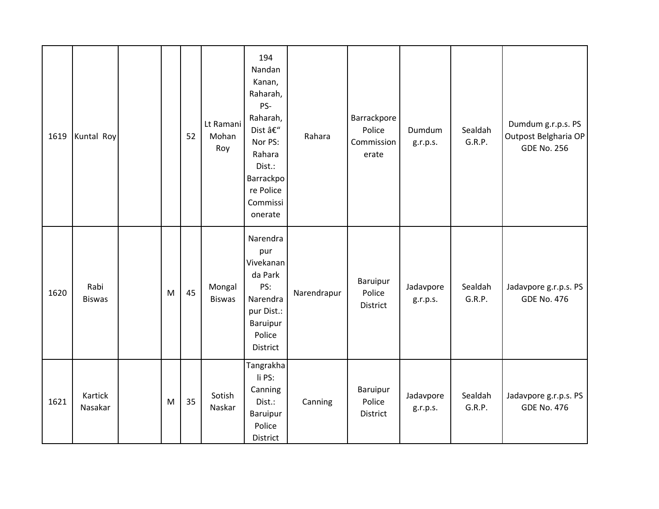| 1619 | Kuntal Roy            |           | 52 | Lt Ramani<br>Mohan<br>Roy | 194<br>Nandan<br>Kanan,<br>Raharah,<br>PS-<br>Raharah,<br>Dist –<br>Nor PS:<br>Rahara<br>Dist.:<br>Barrackpo<br>re Police<br>Commissi<br>onerate | Rahara      | Barrackpore<br>Police<br>Commission<br>erate | Dumdum<br>g.r.p.s.    | Sealdah<br>G.R.P. | Dumdum g.r.p.s. PS<br>Outpost Belgharia OP<br><b>GDE No. 256</b> |
|------|-----------------------|-----------|----|---------------------------|--------------------------------------------------------------------------------------------------------------------------------------------------|-------------|----------------------------------------------|-----------------------|-------------------|------------------------------------------------------------------|
| 1620 | Rabi<br><b>Biswas</b> | M         | 45 | Mongal<br><b>Biswas</b>   | Narendra<br>pur<br>Vivekanan<br>da Park<br>PS:<br>Narendra<br>pur Dist.:<br>Baruipur<br>Police<br>District                                       | Narendrapur | Baruipur<br>Police<br>District               | Jadavpore<br>g.r.p.s. | Sealdah<br>G.R.P. | Jadavpore g.r.p.s. PS<br><b>GDE No. 476</b>                      |
| 1621 | Kartick<br>Nasakar    | ${\sf M}$ | 35 | Sotish<br>Naskar          | Tangrakha<br>li PS:<br>Canning<br>Dist.:<br>Baruipur<br>Police<br>District                                                                       | Canning     | Baruipur<br>Police<br>District               | Jadavpore<br>g.r.p.s. | Sealdah<br>G.R.P. | Jadavpore g.r.p.s. PS<br><b>GDE No. 476</b>                      |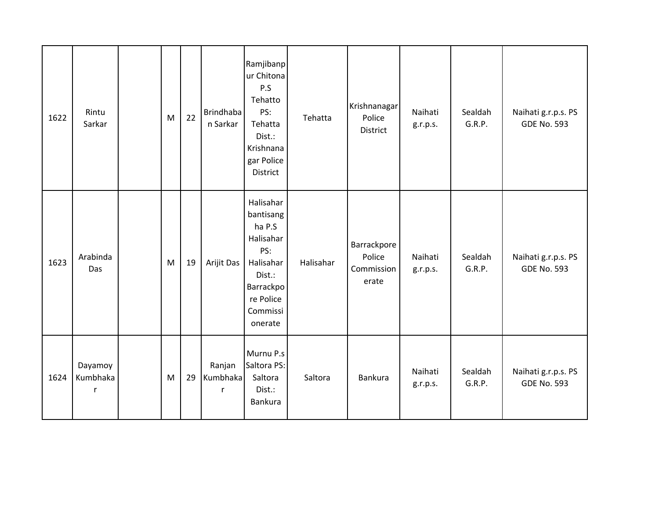| 1622 | Rintu<br>Sarkar          | M | 22 | <b>Brindhaba</b><br>n Sarkar | Ramjibanp<br>ur Chitona<br>P.S<br>Tehatto<br>PS:<br>Tehatta<br>Dist.:<br>Krishnana<br>gar Police<br>District                 | Tehatta   | Krishnanagar<br>Police<br><b>District</b>    | Naihati<br>g.r.p.s. | Sealdah<br>G.R.P. | Naihati g.r.p.s. PS<br><b>GDE No. 593</b> |
|------|--------------------------|---|----|------------------------------|------------------------------------------------------------------------------------------------------------------------------|-----------|----------------------------------------------|---------------------|-------------------|-------------------------------------------|
| 1623 | Arabinda<br>Das          | M | 19 | Arijit Das                   | Halisahar<br>bantisang<br>ha P.S<br>Halisahar<br>PS:<br>Halisahar<br>Dist.:<br>Barrackpo<br>re Police<br>Commissi<br>onerate | Halisahar | Barrackpore<br>Police<br>Commission<br>erate | Naihati<br>g.r.p.s. | Sealdah<br>G.R.P. | Naihati g.r.p.s. PS<br><b>GDE No. 593</b> |
| 1624 | Dayamoy<br>Kumbhaka<br>r | M | 29 | Ranjan<br>Kumbhaka<br>r      | Murnu P.s<br>Saltora PS:<br>Saltora<br>Dist.:<br>Bankura                                                                     | Saltora   | Bankura                                      | Naihati<br>g.r.p.s. | Sealdah<br>G.R.P. | Naihati g.r.p.s. PS<br><b>GDE No. 593</b> |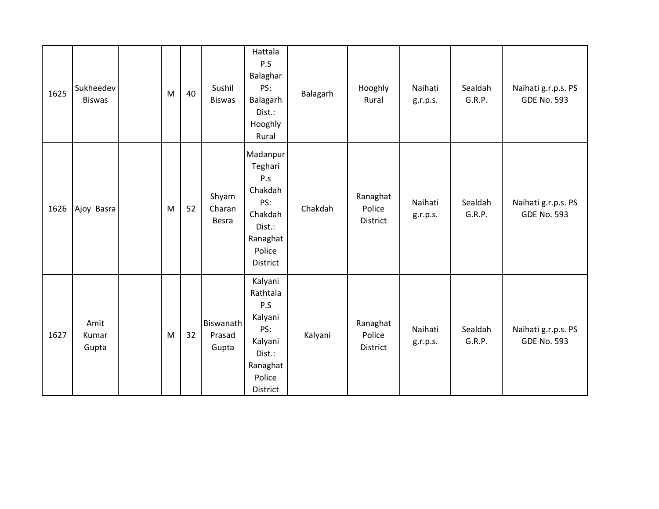| 1625 | Sukheedev<br><b>Biswas</b> | M | 40 | Sushil<br><b>Biswas</b>      | Hattala<br>P.S<br>Balaghar<br>PS:<br>Balagarh<br>Dist.:<br>Hooghly<br>Rural                         | Balagarh | Hooghly<br>Rural                      | Naihati<br>g.r.p.s. | Sealdah<br>G.R.P. | Naihati g.r.p.s. PS<br><b>GDE No. 593</b> |
|------|----------------------------|---|----|------------------------------|-----------------------------------------------------------------------------------------------------|----------|---------------------------------------|---------------------|-------------------|-------------------------------------------|
| 1626 | Ajoy Basra                 | M | 52 | Shyam<br>Charan<br>Besra     | Madanpur<br>Teghari<br>P.s<br>Chakdah<br>PS:<br>Chakdah<br>Dist.:<br>Ranaghat<br>Police<br>District | Chakdah  | Ranaghat<br>Police<br>District        | Naihati<br>g.r.p.s. | Sealdah<br>G.R.P. | Naihati g.r.p.s. PS<br><b>GDE No. 593</b> |
| 1627 | Amit<br>Kumar<br>Gupta     | M | 32 | Biswanath<br>Prasad<br>Gupta | Kalyani<br>Rathtala<br>P.S<br>Kalyani<br>PS:<br>Kalyani<br>Dist.:<br>Ranaghat<br>Police<br>District | Kalyani  | Ranaghat<br>Police<br><b>District</b> | Naihati<br>g.r.p.s. | Sealdah<br>G.R.P. | Naihati g.r.p.s. PS<br><b>GDE No. 593</b> |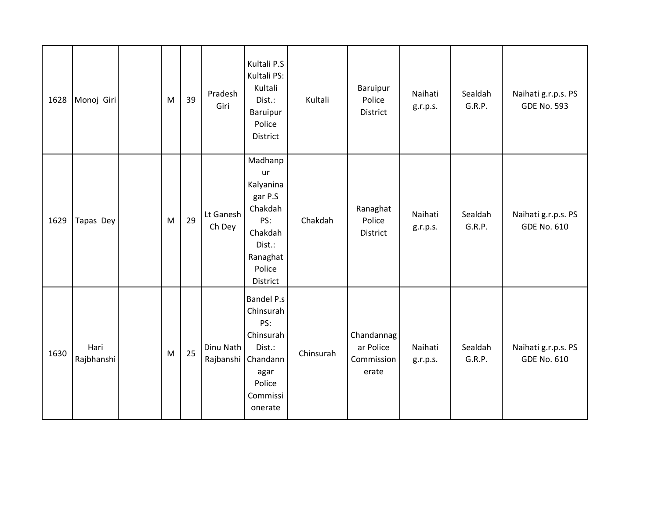| 1628 | Monoj Giri         | M | 39 | Pradesh<br>Giri     | Kultali P.S<br>Kultali PS:<br>Kultali<br>Dist.:<br>Baruipur<br>Police<br>District                                           | Kultali   | Baruipur<br>Police<br>District                 | Naihati<br>g.r.p.s. | Sealdah<br>G.R.P. | Naihati g.r.p.s. PS<br><b>GDE No. 593</b> |
|------|--------------------|---|----|---------------------|-----------------------------------------------------------------------------------------------------------------------------|-----------|------------------------------------------------|---------------------|-------------------|-------------------------------------------|
| 1629 | Tapas Dey          | M | 29 | Lt Ganesh<br>Ch Dey | Madhanp<br>ur<br>Kalyanina<br>gar P.S<br>Chakdah<br>PS:<br>Chakdah<br>Dist.:<br>Ranaghat<br>Police<br>District              | Chakdah   | Ranaghat<br>Police<br>District                 | Naihati<br>g.r.p.s. | Sealdah<br>G.R.P. | Naihati g.r.p.s. PS<br><b>GDE No. 610</b> |
| 1630 | Hari<br>Rajbhanshi | M | 25 | Dinu Nath           | <b>Bandel P.s</b><br>Chinsurah<br>PS:<br>Chinsurah<br>Dist.:<br>Rajbanshi Chandann<br>agar<br>Police<br>Commissi<br>onerate | Chinsurah | Chandannag<br>ar Police<br>Commission<br>erate | Naihati<br>g.r.p.s. | Sealdah<br>G.R.P. | Naihati g.r.p.s. PS<br><b>GDE No. 610</b> |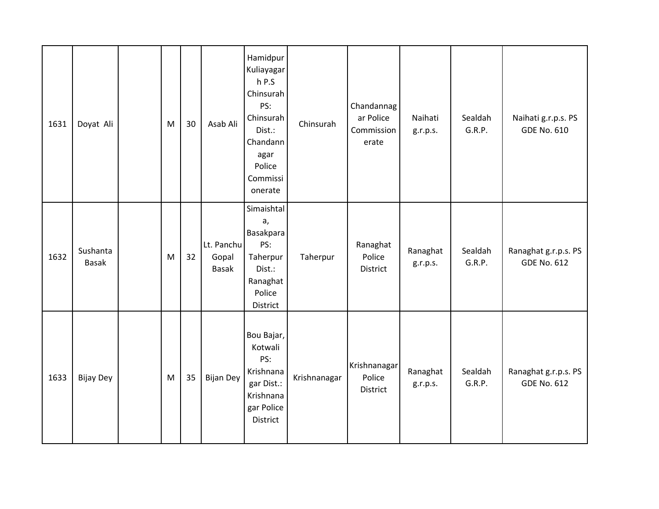| 1631 | Doyat Ali                | M | 30 | Asab Ali                     | Hamidpur<br>Kuliayagar<br>$h$ P.S<br>Chinsurah<br>PS:<br>Chinsurah<br>Dist.:<br>Chandann<br>agar<br>Police<br>Commissi<br>onerate | Chinsurah    | Chandannag<br>ar Police<br>Commission<br>erate | Naihati<br>g.r.p.s.  | Sealdah<br>G.R.P. | Naihati g.r.p.s. PS<br><b>GDE No. 610</b>  |
|------|--------------------------|---|----|------------------------------|-----------------------------------------------------------------------------------------------------------------------------------|--------------|------------------------------------------------|----------------------|-------------------|--------------------------------------------|
| 1632 | Sushanta<br><b>Basak</b> | M | 32 | Lt. Panchu<br>Gopal<br>Basak | Simaishtal<br>a,<br>Basakpara<br>PS:<br>Taherpur<br>Dist.:<br>Ranaghat<br>Police<br>District                                      | Taherpur     | Ranaghat<br>Police<br>District                 | Ranaghat<br>g.r.p.s. | Sealdah<br>G.R.P. | Ranaghat g.r.p.s. PS<br><b>GDE No. 612</b> |
| 1633 | <b>Bijay Dey</b>         | M | 35 | <b>Bijan Dey</b>             | Bou Bajar,<br>Kotwali<br>PS:<br>Krishnana<br>gar Dist.:<br>Krishnana<br>gar Police<br>District                                    | Krishnanagar | Krishnanagar<br>Police<br>District             | Ranaghat<br>g.r.p.s. | Sealdah<br>G.R.P. | Ranaghat g.r.p.s. PS<br><b>GDE No. 612</b> |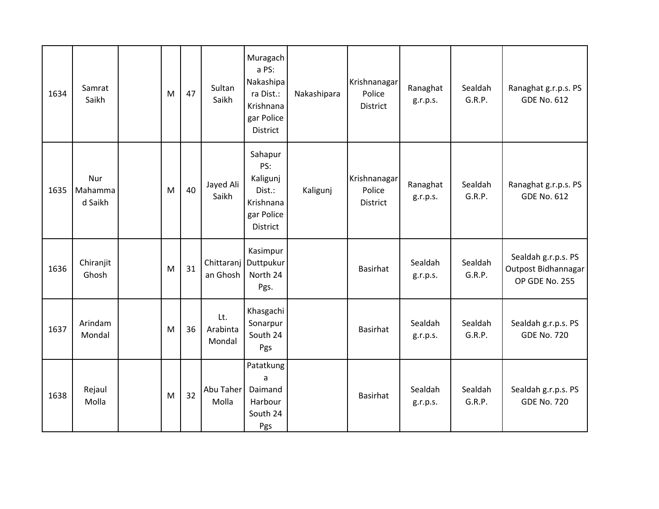| 1634 | Samrat<br>Saikh           | M | 47 | Sultan<br>Saikh           | Muragach<br>a PS:<br>Nakashipa<br>ra Dist.:<br>Krishnana<br>gar Police<br><b>District</b> | Nakashipara | Krishnanagar<br>Police<br>District | Ranaghat<br>g.r.p.s. | Sealdah<br>G.R.P. | Ranaghat g.r.p.s. PS<br><b>GDE No. 612</b>                   |
|------|---------------------------|---|----|---------------------------|-------------------------------------------------------------------------------------------|-------------|------------------------------------|----------------------|-------------------|--------------------------------------------------------------|
| 1635 | Nur<br>Mahamma<br>d Saikh | M | 40 | Jayed Ali<br>Saikh        | Sahapur<br>PS:<br>Kaligunj<br>Dist.:<br>Krishnana<br>gar Police<br><b>District</b>        | Kaligunj    | Krishnanagar<br>Police<br>District | Ranaghat<br>g.r.p.s. | Sealdah<br>G.R.P. | Ranaghat g.r.p.s. PS<br><b>GDE No. 612</b>                   |
| 1636 | Chiranjit<br>Ghosh        | M | 31 | an Ghosh                  | Kasimpur<br>Chittaranj Duttpukur<br>North 24<br>Pgs.                                      |             | <b>Basirhat</b>                    | Sealdah<br>g.r.p.s.  | Sealdah<br>G.R.P. | Sealdah g.r.p.s. PS<br>Outpost Bidhannagar<br>OP GDE No. 255 |
| 1637 | Arindam<br>Mondal         | M | 36 | Lt.<br>Arabinta<br>Mondal | Khasgachi<br>Sonarpur<br>South 24<br>Pgs                                                  |             | <b>Basirhat</b>                    | Sealdah<br>g.r.p.s.  | Sealdah<br>G.R.P. | Sealdah g.r.p.s. PS<br><b>GDE No. 720</b>                    |
| 1638 | Rejaul<br>Molla           | M | 32 | Abu Taher<br>Molla        | Patatkung<br>a<br>Daimand<br>Harbour<br>South 24<br>Pgs                                   |             | <b>Basirhat</b>                    | Sealdah<br>g.r.p.s.  | Sealdah<br>G.R.P. | Sealdah g.r.p.s. PS<br><b>GDE No. 720</b>                    |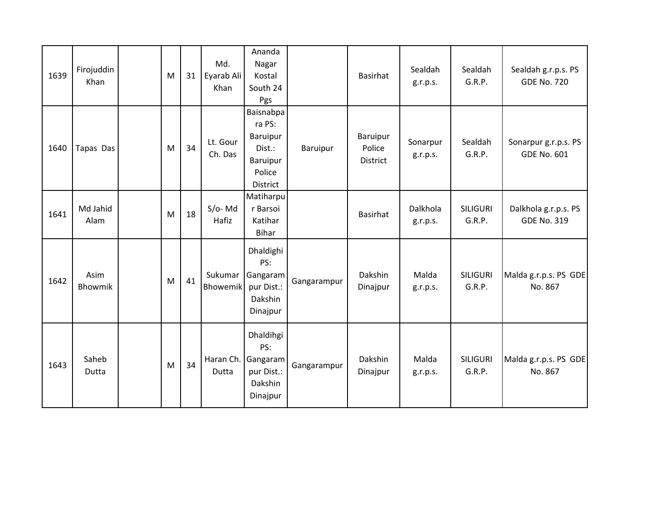| 1639 | Firojuddin<br>Khan | M | 31 | Md.<br>Eyarab Ali<br>Khan  | Ananda<br>Nagar<br>Kostal<br>South 24<br>Pgs                                |             | <b>Basirhat</b>                | Sealdah<br>g.r.p.s.  | Sealdah<br>G.R.P.         | Sealdah g.r.p.s. PS<br><b>GDE No. 720</b>  |
|------|--------------------|---|----|----------------------------|-----------------------------------------------------------------------------|-------------|--------------------------------|----------------------|---------------------------|--------------------------------------------|
| 1640 | Tapas Das          | M | 34 | Lt. Gour<br>Ch. Das        | Baisnabpa<br>ra PS:<br>Baruipur<br>Dist.:<br>Baruipur<br>Police<br>District | Baruipur    | Baruipur<br>Police<br>District | Sonarpur<br>g.r.p.s. | Sealdah<br>G.R.P.         | Sonarpur g.r.p.s. PS<br><b>GDE No. 601</b> |
| 1641 | Md Jahid<br>Alam   | M | 18 | $S/O-Md$<br>Hafiz          | Matiharpu<br>r Barsoi<br>Katihar<br><b>Bihar</b>                            |             | <b>Basirhat</b>                | Dalkhola<br>g.r.p.s. | <b>SILIGURI</b><br>G.R.P. | Dalkhola g.r.p.s. PS<br><b>GDE No. 319</b> |
| 1642 | Asim<br>Bhowmik    | M | 41 | Sukumar<br><b>Bhowemik</b> | Dhaldighi<br>PS:<br>Gangaram<br>pur Dist.:<br>Dakshin<br>Dinajpur           | Gangarampur | Dakshin<br>Dinajpur            | Malda<br>g.r.p.s.    | <b>SILIGURI</b><br>G.R.P. | Malda g.r.p.s. PS GDE<br>No. 867           |
| 1643 | Saheb<br>Dutta     | M | 34 | Haran Ch.<br>Dutta         | Dhaldihgi<br>PS:<br>Gangaram<br>pur Dist.:<br>Dakshin<br>Dinajpur           | Gangarampur | Dakshin<br>Dinajpur            | Malda<br>g.r.p.s.    | <b>SILIGURI</b><br>G.R.P. | Malda g.r.p.s. PS GDE<br>No. 867           |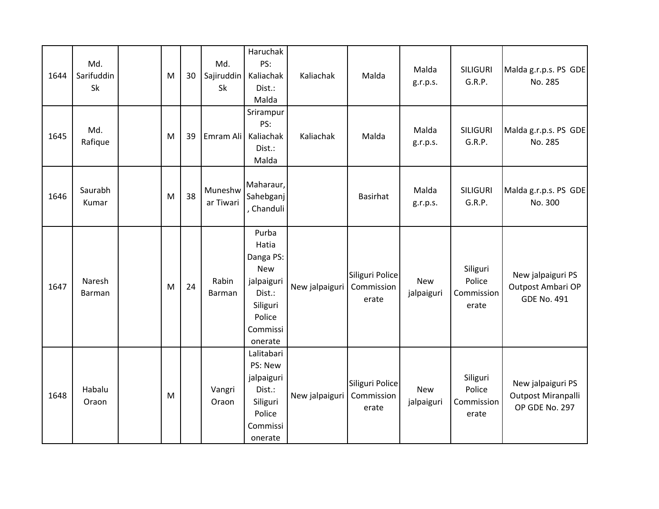| 1644 | Md.<br>Sarifuddin<br>Sk | M | 30 | Md.<br>Sajiruddin<br>Sk | Haruchak<br>PS:<br>Kaliachak<br>Dist.:<br>Malda                                                                | Kaliachak      | Malda                                  | Malda<br>g.r.p.s.        | <b>SILIGURI</b><br>G.R.P.                 | Malda g.r.p.s. PS GDE<br>No. 285                             |
|------|-------------------------|---|----|-------------------------|----------------------------------------------------------------------------------------------------------------|----------------|----------------------------------------|--------------------------|-------------------------------------------|--------------------------------------------------------------|
| 1645 | Md.<br>Rafique          | M | 39 | Emram Ali               | Srirampur<br>PS:<br>Kaliachak<br>Dist.:<br>Malda                                                               | Kaliachak      | Malda                                  | Malda<br>g.r.p.s.        | <b>SILIGURI</b><br>G.R.P.                 | Malda g.r.p.s. PS GDE<br>No. 285                             |
| 1646 | Saurabh<br>Kumar        | M | 38 | Muneshw<br>ar Tiwari    | Maharaur,<br>Sahebganj<br>, Chanduli                                                                           |                | Basirhat                               | Malda<br>g.r.p.s.        | <b>SILIGURI</b><br>G.R.P.                 | Malda g.r.p.s. PS GDE<br>No. 300                             |
| 1647 | Naresh<br>Barman        | M | 24 | Rabin<br>Barman         | Purba<br>Hatia<br>Danga PS:<br><b>New</b><br>jalpaiguri<br>Dist.:<br>Siliguri<br>Police<br>Commissi<br>onerate | New jalpaiguri | Siliguri Police<br>Commission<br>erate | <b>New</b><br>jalpaiguri | Siliguri<br>Police<br>Commission<br>erate | New jalpaiguri PS<br>Outpost Ambari OP<br><b>GDE No. 491</b> |
| 1648 | Habalu<br>Oraon         | M |    | Vangri<br>Oraon         | Lalitabari<br>PS: New<br>jalpaiguri<br>Dist.:<br>Siliguri<br>Police<br>Commissi<br>onerate                     | New jalpaiguri | Siliguri Police<br>Commission<br>erate | <b>New</b><br>jalpaiguri | Siliguri<br>Police<br>Commission<br>erate | New jalpaiguri PS<br>Outpost Miranpalli<br>OP GDE No. 297    |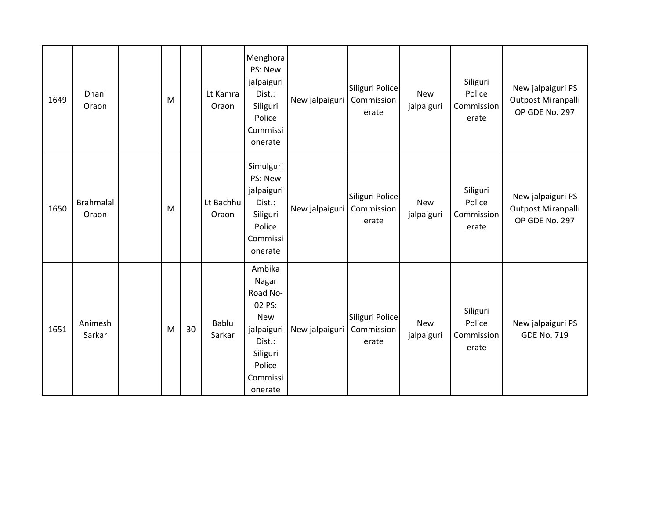| 1649 | Dhani<br>Oraon            | M |    | Lt Kamra<br>Oraon  | Menghora<br>PS: New<br>jalpaiguri<br>Dist.:<br>Siliguri<br>Police<br>Commissi<br>onerate                                 | New jalpaiguri | Siliguri Police<br>Commission<br>erate | <b>New</b><br>jalpaiguri | Siliguri<br>Police<br>Commission<br>erate | New jalpaiguri PS<br>Outpost Miranpalli<br>OP GDE No. 297 |
|------|---------------------------|---|----|--------------------|--------------------------------------------------------------------------------------------------------------------------|----------------|----------------------------------------|--------------------------|-------------------------------------------|-----------------------------------------------------------|
| 1650 | <b>Brahmalal</b><br>Oraon | M |    | Lt Bachhu<br>Oraon | Simulguri<br>PS: New<br>jalpaiguri<br>Dist.:<br>Siliguri<br>Police<br>Commissi<br>onerate                                | New jalpaiguri | Siliguri Police<br>Commission<br>erate | <b>New</b><br>jalpaiguri | Siliguri<br>Police<br>Commission<br>erate | New jalpaiguri PS<br>Outpost Miranpalli<br>OP GDE No. 297 |
| 1651 | Animesh<br>Sarkar         | M | 30 | Bablu<br>Sarkar    | Ambika<br>Nagar<br>Road No-<br>02 PS:<br><b>New</b><br>jalpaiguri<br>Dist.:<br>Siliguri<br>Police<br>Commissi<br>onerate | New jalpaiguri | Siliguri Police<br>Commission<br>erate | New<br>jalpaiguri        | Siliguri<br>Police<br>Commission<br>erate | New jalpaiguri PS<br><b>GDE No. 719</b>                   |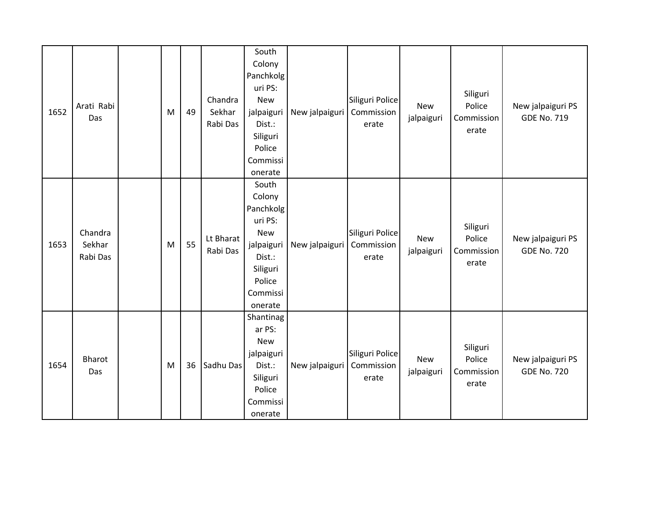| 1652 | Arati Rabi<br>Das             | M | 49 | Chandra<br>Sekhar<br>Rabi Das | South<br>Colony<br>Panchkolg<br>uri PS:<br><b>New</b><br>jalpaiguri<br>Dist.:<br>Siliguri<br>Police<br>Commissi<br>onerate | New jalpaiguri | Siliguri Police<br>Commission<br>erate | <b>New</b><br>jalpaiguri | Siliguri<br>Police<br>Commission<br>erate | New jalpaiguri PS<br><b>GDE No. 719</b> |
|------|-------------------------------|---|----|-------------------------------|----------------------------------------------------------------------------------------------------------------------------|----------------|----------------------------------------|--------------------------|-------------------------------------------|-----------------------------------------|
| 1653 | Chandra<br>Sekhar<br>Rabi Das | M | 55 | Lt Bharat<br>Rabi Das         | South<br>Colony<br>Panchkolg<br>uri PS:<br><b>New</b><br>jalpaiguri<br>Dist.:<br>Siliguri<br>Police<br>Commissi<br>onerate | New jalpaiguri | Siliguri Police<br>Commission<br>erate | <b>New</b><br>jalpaiguri | Siliguri<br>Police<br>Commission<br>erate | New jalpaiguri PS<br><b>GDE No. 720</b> |
| 1654 | Bharot<br>Das                 | M | 36 | Sadhu Das                     | Shantinag<br>ar PS:<br><b>New</b><br>jalpaiguri<br>Dist.:<br>Siliguri<br>Police<br>Commissi<br>onerate                     | New jalpaiguri | Siliguri Police<br>Commission<br>erate | New<br>jalpaiguri        | Siliguri<br>Police<br>Commission<br>erate | New jalpaiguri PS<br><b>GDE No. 720</b> |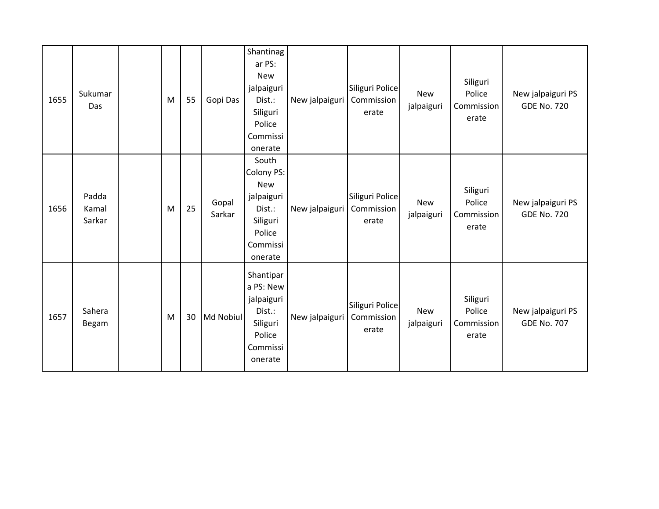| 1655 | Sukumar<br>Das           | M | 55 | Gopi Das        | Shantinag<br>ar PS:<br><b>New</b><br>jalpaiguri<br>Dist.:<br>Siliguri<br>Police<br>Commissi<br>onerate | New jalpaiguri | Siliguri Police<br>Commission<br>erate | <b>New</b><br>jalpaiguri | Siliguri<br>Police<br>Commission<br>erate | New jalpaiguri PS<br><b>GDE No. 720</b> |
|------|--------------------------|---|----|-----------------|--------------------------------------------------------------------------------------------------------|----------------|----------------------------------------|--------------------------|-------------------------------------------|-----------------------------------------|
| 1656 | Padda<br>Kamal<br>Sarkar | M | 25 | Gopal<br>Sarkar | South<br>Colony PS:<br><b>New</b><br>jalpaiguri<br>Dist.:<br>Siliguri<br>Police<br>Commissi<br>onerate | New jalpaiguri | Siliguri Police<br>Commission<br>erate | <b>New</b><br>jalpaiguri | Siliguri<br>Police<br>Commission<br>erate | New jalpaiguri PS<br><b>GDE No. 720</b> |
| 1657 | Sahera<br>Begam          | M | 30 | Md Nobiul       | Shantipar<br>a PS: New<br>jalpaiguri<br>Dist.:<br>Siliguri<br>Police<br>Commissi<br>onerate            | New jalpaiguri | Siliguri Police<br>Commission<br>erate | <b>New</b><br>jalpaiguri | Siliguri<br>Police<br>Commission<br>erate | New jalpaiguri PS<br><b>GDE No. 707</b> |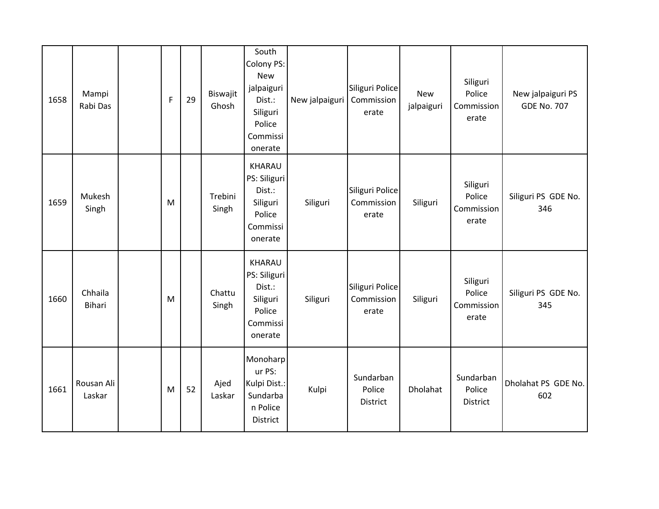| 1658 | Mampi<br>Rabi Das    | $\mathsf F$ | 29 | Biswajit<br>Ghosh | South<br>Colony PS:<br><b>New</b><br>jalpaiguri<br>Dist.:<br>Siliguri<br>Police<br>Commissi<br>onerate | New jalpaiguri | Siliguri Police<br>Commission<br>erate | New<br>jalpaiguri | Siliguri<br>Police<br>Commission<br>erate | New jalpaiguri PS<br><b>GDE No. 707</b> |
|------|----------------------|-------------|----|-------------------|--------------------------------------------------------------------------------------------------------|----------------|----------------------------------------|-------------------|-------------------------------------------|-----------------------------------------|
| 1659 | Mukesh<br>Singh      | M           |    | Trebini<br>Singh  | KHARAU<br>PS: Siliguri<br>Dist.:<br>Siliguri<br>Police<br>Commissi<br>onerate                          | Siliguri       | Siliguri Police<br>Commission<br>erate | Siliguri          | Siliguri<br>Police<br>Commission<br>erate | Siliguri PS GDE No.<br>346              |
| 1660 | Chhaila<br>Bihari    | M           |    | Chattu<br>Singh   | KHARAU<br>PS: Siliguri<br>Dist.:<br>Siliguri<br>Police<br>Commissi<br>onerate                          | Siliguri       | Siliguri Police<br>Commission<br>erate | Siliguri          | Siliguri<br>Police<br>Commission<br>erate | Siliguri PS GDE No.<br>345              |
| 1661 | Rousan Ali<br>Laskar | M           | 52 | Ajed<br>Laskar    | Monoharp<br>ur PS:<br>Kulpi Dist.:<br>Sundarba<br>n Police<br>District                                 | Kulpi          | Sundarban<br>Police<br>District        | Dholahat          | Sundarban<br>Police<br>District           | Dholahat PS GDE No.<br>602              |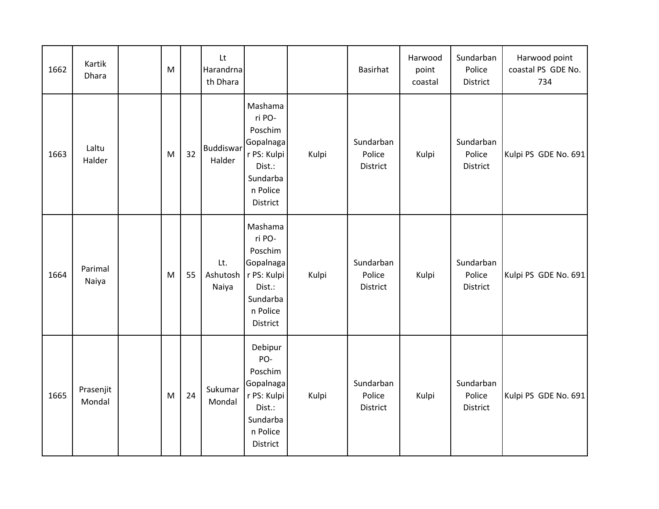| 1662 | Kartik<br>Dhara     | M |    | Lt<br>Harandrna<br>th Dhara |                                                                                                        |       | Basirhat                        | Harwood<br>point<br>coastal | Sundarban<br>Police<br>District | Harwood point<br>coastal PS GDE No.<br>734 |
|------|---------------------|---|----|-----------------------------|--------------------------------------------------------------------------------------------------------|-------|---------------------------------|-----------------------------|---------------------------------|--------------------------------------------|
| 1663 | Laltu<br>Halder     | M | 32 | <b>Buddiswar</b><br>Halder  | Mashama<br>ri PO-<br>Poschim<br>Gopalnaga<br>r PS: Kulpi<br>Dist.:<br>Sundarba<br>n Police<br>District | Kulpi | Sundarban<br>Police<br>District | Kulpi                       | Sundarban<br>Police<br>District | Kulpi PS GDE No. 691                       |
| 1664 | Parimal<br>Naiya    | M | 55 | Lt.<br>Ashutosh<br>Naiya    | Mashama<br>ri PO-<br>Poschim<br>Gopalnaga<br>r PS: Kulpi<br>Dist.:<br>Sundarba<br>n Police<br>District | Kulpi | Sundarban<br>Police<br>District | Kulpi                       | Sundarban<br>Police<br>District | Kulpi PS GDE No. 691                       |
| 1665 | Prasenjit<br>Mondal | M | 24 | Sukumar<br>Mondal           | Debipur<br>PO-<br>Poschim<br>Gopalnaga<br>r PS: Kulpi<br>Dist.:<br>Sundarba<br>n Police<br>District    | Kulpi | Sundarban<br>Police<br>District | Kulpi                       | Sundarban<br>Police<br>District | Kulpi PS GDE No. 691                       |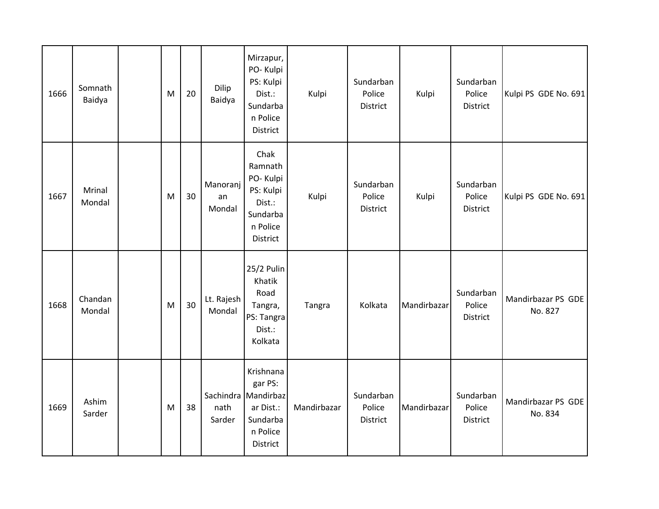| 1666 | Somnath<br>Baidya | M | 20 | Dilip<br>Baidya          | Mirzapur,<br>PO-Kulpi<br>PS: Kulpi<br>Dist.:<br>Sundarba<br>n Police<br>District             | Kulpi       | Sundarban<br>Police<br>District        | Kulpi       | Sundarban<br>Police<br>District | Kulpi PS GDE No. 691          |
|------|-------------------|---|----|--------------------------|----------------------------------------------------------------------------------------------|-------------|----------------------------------------|-------------|---------------------------------|-------------------------------|
| 1667 | Mrinal<br>Mondal  | M | 30 | Manoranj<br>an<br>Mondal | Chak<br>Ramnath<br>PO-Kulpi<br>PS: Kulpi<br>Dist.:<br>Sundarba<br>n Police<br>District       | Kulpi       | Sundarban<br>Police<br>District        | Kulpi       | Sundarban<br>Police<br>District | Kulpi PS GDE No. 691          |
| 1668 | Chandan<br>Mondal | M | 30 | Lt. Rajesh<br>Mondal     | 25/2 Pulin<br>Khatik<br>Road<br>Tangra,<br>PS: Tangra<br>Dist.:<br>Kolkata                   | Tangra      | Kolkata                                | Mandirbazar | Sundarban<br>Police<br>District | Mandirbazar PS GDE<br>No. 827 |
| 1669 | Ashim<br>Sarder   | M | 38 | nath<br>Sarder           | Krishnana<br>gar PS:<br>Sachindra Mandirbaz<br>ar Dist.:<br>Sundarba<br>n Police<br>District | Mandirbazar | Sundarban<br>Police<br><b>District</b> | Mandirbazar | Sundarban<br>Police<br>District | Mandirbazar PS GDE<br>No. 834 |